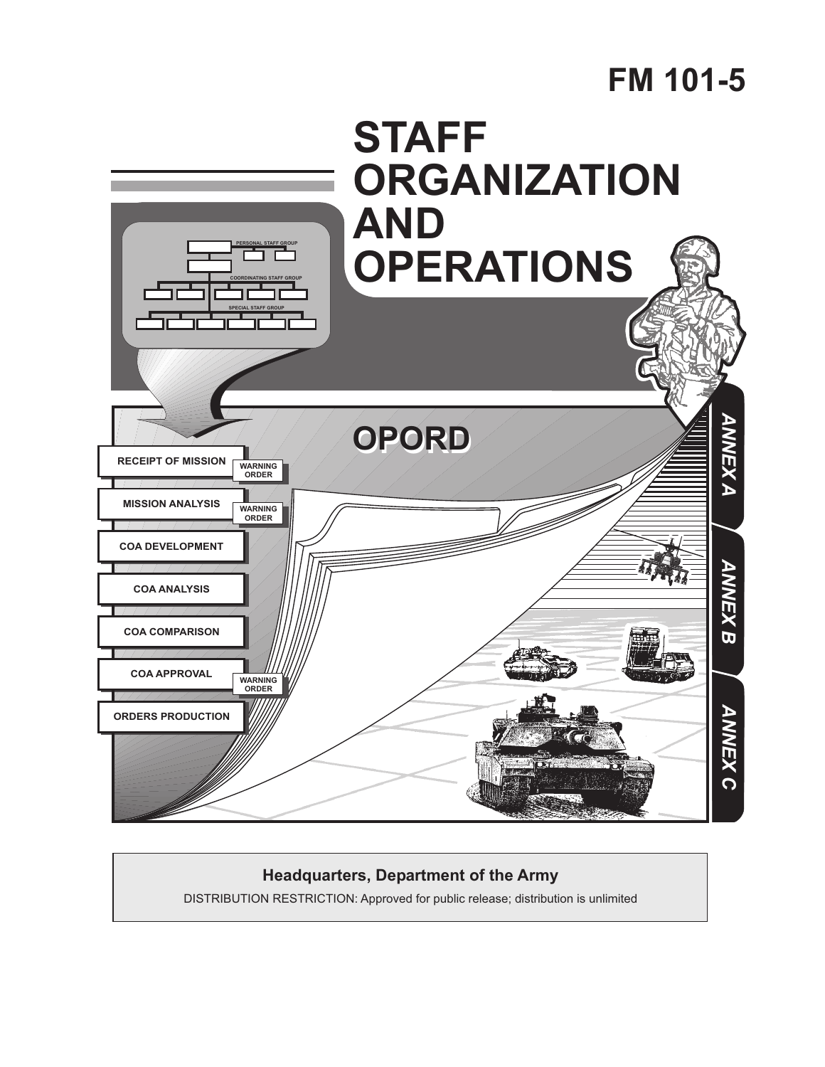# **FM 101-5**



## **Headquarters, Department of the Army**

DISTRIBUTION RESTRICTION: Approved for public release; distribution is unlimited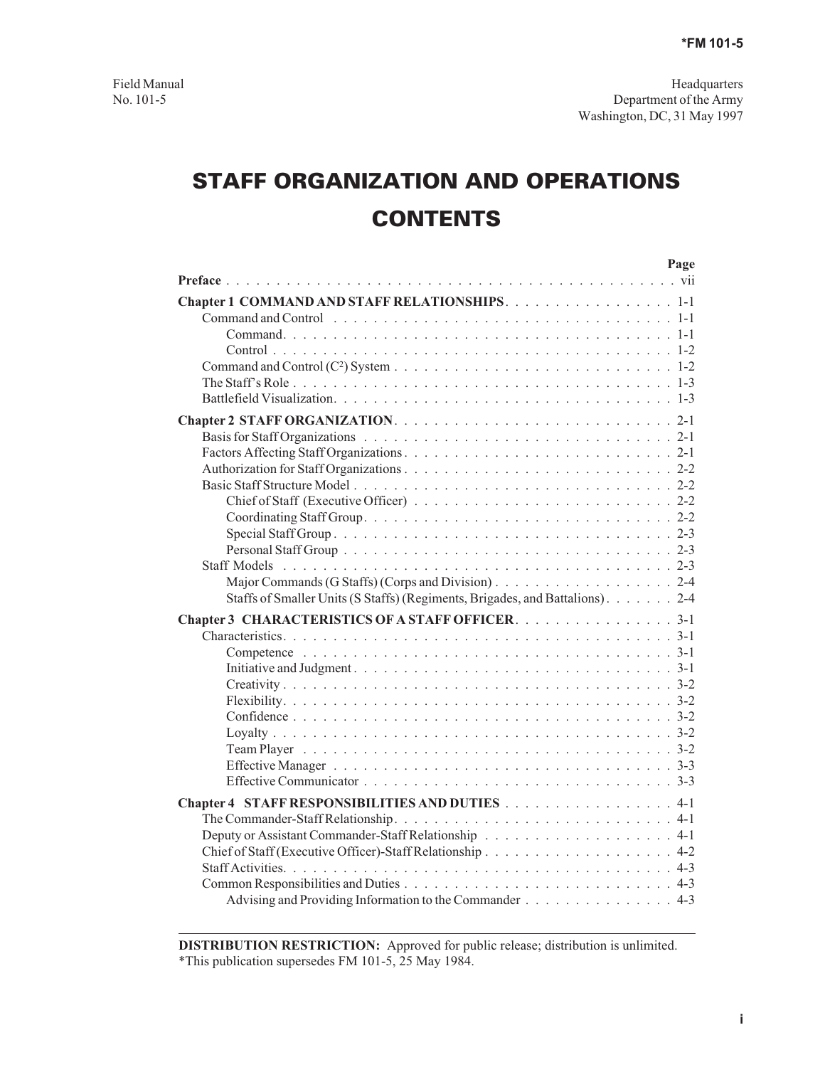## **STAFF ORGANIZATION AND OPERATIONS CONTENTS**

|                                                                               | Page |
|-------------------------------------------------------------------------------|------|
|                                                                               |      |
| Chapter 1 COMMAND AND STAFF RELATIONSHIPS. 1-1                                |      |
|                                                                               |      |
|                                                                               |      |
|                                                                               |      |
|                                                                               |      |
|                                                                               |      |
|                                                                               |      |
|                                                                               |      |
|                                                                               |      |
|                                                                               |      |
|                                                                               |      |
|                                                                               |      |
|                                                                               |      |
|                                                                               |      |
|                                                                               |      |
|                                                                               |      |
|                                                                               |      |
|                                                                               |      |
|                                                                               |      |
| Staffs of Smaller Units (S Staffs) (Regiments, Brigades, and Battalions). 2-4 |      |
|                                                                               |      |
| Chapter 3 CHARACTERISTICS OF A STAFF OFFICER. 3-1                             |      |
|                                                                               |      |
|                                                                               |      |
|                                                                               |      |
|                                                                               |      |
|                                                                               |      |
|                                                                               |      |
|                                                                               |      |
|                                                                               |      |
|                                                                               |      |
|                                                                               |      |
| Chapter 4 STAFF RESPONSIBILITIES AND DUTIES 4-1                               |      |
|                                                                               |      |
|                                                                               |      |
|                                                                               |      |
|                                                                               |      |

**DISTRIBUTION RESTRICTION:** Approved for public release; distribution is unlimited. \*This publication supersedes FM 101-5, 25 May 1984.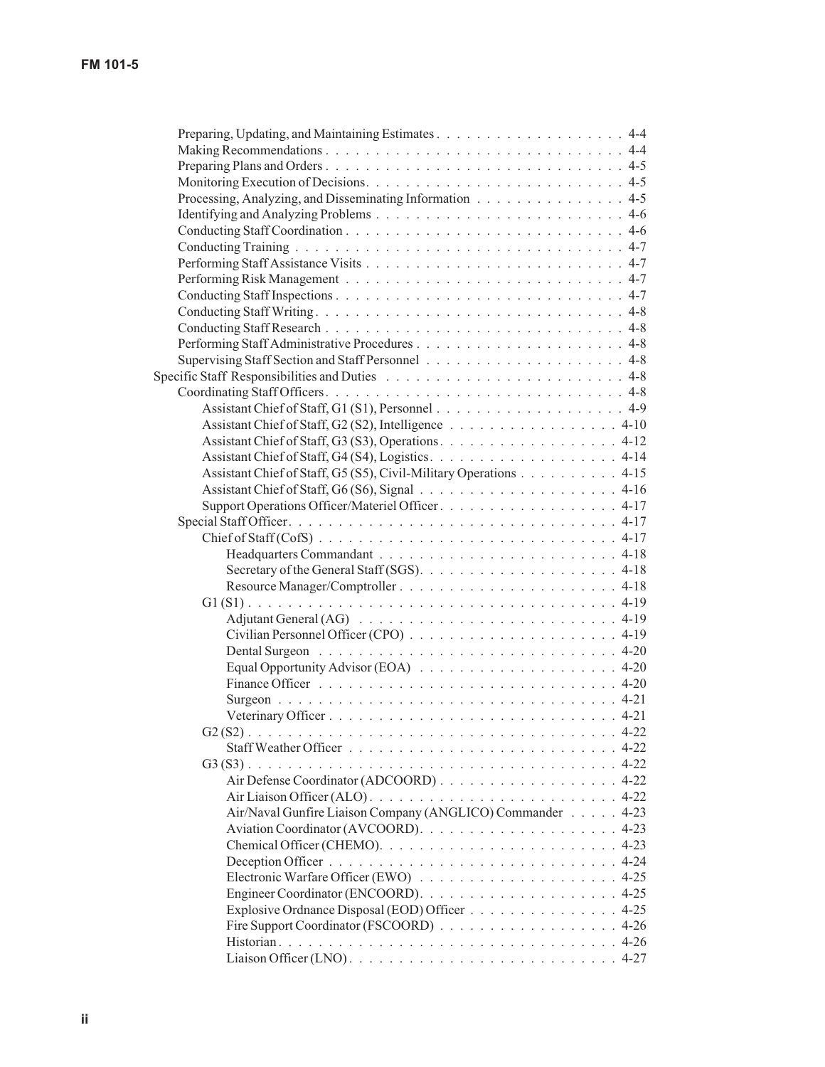| Processing, Analyzing, and Disseminating Information 4-5                                                        |  |
|-----------------------------------------------------------------------------------------------------------------|--|
|                                                                                                                 |  |
|                                                                                                                 |  |
|                                                                                                                 |  |
|                                                                                                                 |  |
|                                                                                                                 |  |
|                                                                                                                 |  |
|                                                                                                                 |  |
|                                                                                                                 |  |
|                                                                                                                 |  |
|                                                                                                                 |  |
|                                                                                                                 |  |
|                                                                                                                 |  |
|                                                                                                                 |  |
| Assistant Chief of Staff, G2 (S2), Intelligence 4-10                                                            |  |
| Assistant Chief of Staff, G3 (S3), Operations. 4-12                                                             |  |
|                                                                                                                 |  |
| Assistant Chief of Staff, G5 (S5), Civil-Military Operations 4-15                                               |  |
|                                                                                                                 |  |
| Support Operations Officer/Materiel Officer. 4-17                                                               |  |
|                                                                                                                 |  |
| $Chief of Staff(CofS) \ldots \ldots \ldots \ldots \ldots \ldots \ldots \ldots \ldots \ldots \ldots \ldots 4-17$ |  |
|                                                                                                                 |  |
|                                                                                                                 |  |
|                                                                                                                 |  |
|                                                                                                                 |  |
|                                                                                                                 |  |
|                                                                                                                 |  |
|                                                                                                                 |  |
|                                                                                                                 |  |
|                                                                                                                 |  |
|                                                                                                                 |  |
|                                                                                                                 |  |
|                                                                                                                 |  |
|                                                                                                                 |  |
|                                                                                                                 |  |
| Air Defense Coordinator (ADCOORD) 4-22                                                                          |  |
|                                                                                                                 |  |
| Air/Naval Gunfire Liaison Company (ANGLICO) Commander 4-23                                                      |  |
|                                                                                                                 |  |
|                                                                                                                 |  |
|                                                                                                                 |  |
|                                                                                                                 |  |
|                                                                                                                 |  |
| Explosive Ordnance Disposal (EOD) Officer 4-25                                                                  |  |
| Fire Support Coordinator (FSCOORD) 4-26                                                                         |  |
|                                                                                                                 |  |
|                                                                                                                 |  |
|                                                                                                                 |  |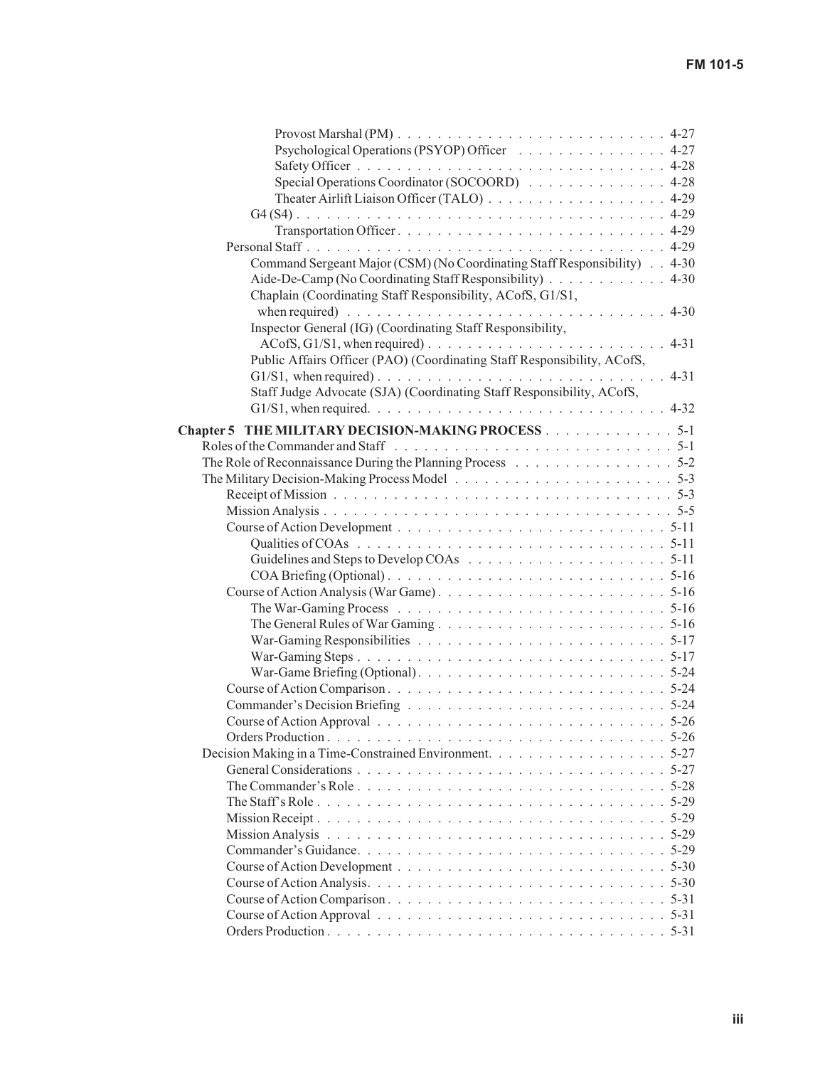| Psychological Operations (PSYOP) Officer 4-27                                                                       |  |
|---------------------------------------------------------------------------------------------------------------------|--|
|                                                                                                                     |  |
| Special Operations Coordinator (SOCOORD) 4-28                                                                       |  |
| Theater Airlift Liaison Officer (TALO) 4-29                                                                         |  |
|                                                                                                                     |  |
|                                                                                                                     |  |
|                                                                                                                     |  |
| Command Sergeant Major (CSM) (No Coordinating Staff Responsibility) 4-30                                            |  |
| Aide-De-Camp (No Coordinating Staff Responsibility) 4-30                                                            |  |
| Chaplain (Coordinating Staff Responsibility, ACofS, G1/S1,                                                          |  |
| when required) $\ldots \ldots \ldots \ldots \ldots \ldots \ldots \ldots \ldots \ldots \ldots$                       |  |
| Inspector General (IG) (Coordinating Staff Responsibility,                                                          |  |
|                                                                                                                     |  |
| Public Affairs Officer (PAO) (Coordinating Staff Responsibility, ACofS,                                             |  |
|                                                                                                                     |  |
| Staff Judge Advocate (SJA) (Coordinating Staff Responsibility, ACofS,                                               |  |
|                                                                                                                     |  |
| Chapter 5 THE MILITARY DECISION-MAKING PROCESS 5-1                                                                  |  |
|                                                                                                                     |  |
| The Role of Reconnaissance During the Planning Process 5-2                                                          |  |
|                                                                                                                     |  |
| Receipt of Mission $\ldots \ldots \ldots \ldots \ldots \ldots \ldots \ldots \ldots \ldots \ldots \ldots \ldots 5-3$ |  |
|                                                                                                                     |  |
|                                                                                                                     |  |
|                                                                                                                     |  |
|                                                                                                                     |  |
| COA Briefing (Optional). $\ldots \ldots \ldots \ldots \ldots \ldots \ldots \ldots \ldots \ldots 5$ -16              |  |
|                                                                                                                     |  |
|                                                                                                                     |  |
|                                                                                                                     |  |
|                                                                                                                     |  |
|                                                                                                                     |  |
|                                                                                                                     |  |
|                                                                                                                     |  |
|                                                                                                                     |  |
|                                                                                                                     |  |
|                                                                                                                     |  |
|                                                                                                                     |  |
|                                                                                                                     |  |
|                                                                                                                     |  |
|                                                                                                                     |  |
|                                                                                                                     |  |
|                                                                                                                     |  |
|                                                                                                                     |  |
|                                                                                                                     |  |
|                                                                                                                     |  |
|                                                                                                                     |  |
|                                                                                                                     |  |
|                                                                                                                     |  |
|                                                                                                                     |  |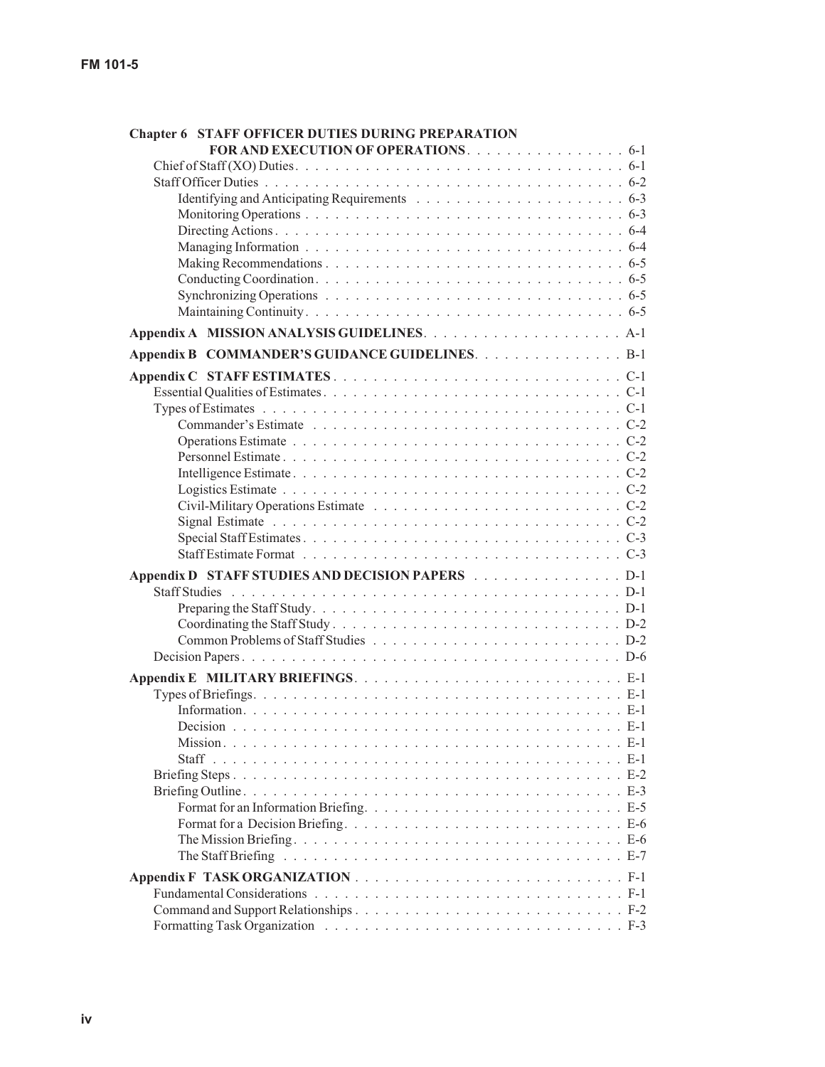| <b>Chapter 6 STAFF OFFICER DUTIES DURING PREPARATION</b> |  |
|----------------------------------------------------------|--|
| FOR AND EXECUTION OF OPERATIONS. 6-1                     |  |
|                                                          |  |
|                                                          |  |
|                                                          |  |
|                                                          |  |
|                                                          |  |
|                                                          |  |
|                                                          |  |
|                                                          |  |
|                                                          |  |
|                                                          |  |
|                                                          |  |
| Appendix B COMMANDER'S GUIDANCE GUIDELINES. B-1          |  |
|                                                          |  |
|                                                          |  |
|                                                          |  |
|                                                          |  |
|                                                          |  |
|                                                          |  |
|                                                          |  |
|                                                          |  |
|                                                          |  |
|                                                          |  |
|                                                          |  |
|                                                          |  |
| Appendix D STAFF STUDIES AND DECISION PAPERS D-1         |  |
|                                                          |  |
|                                                          |  |
|                                                          |  |
|                                                          |  |
|                                                          |  |
|                                                          |  |
|                                                          |  |
|                                                          |  |
|                                                          |  |
|                                                          |  |
|                                                          |  |
|                                                          |  |
|                                                          |  |
|                                                          |  |
|                                                          |  |
|                                                          |  |
|                                                          |  |
|                                                          |  |
|                                                          |  |
|                                                          |  |
|                                                          |  |
|                                                          |  |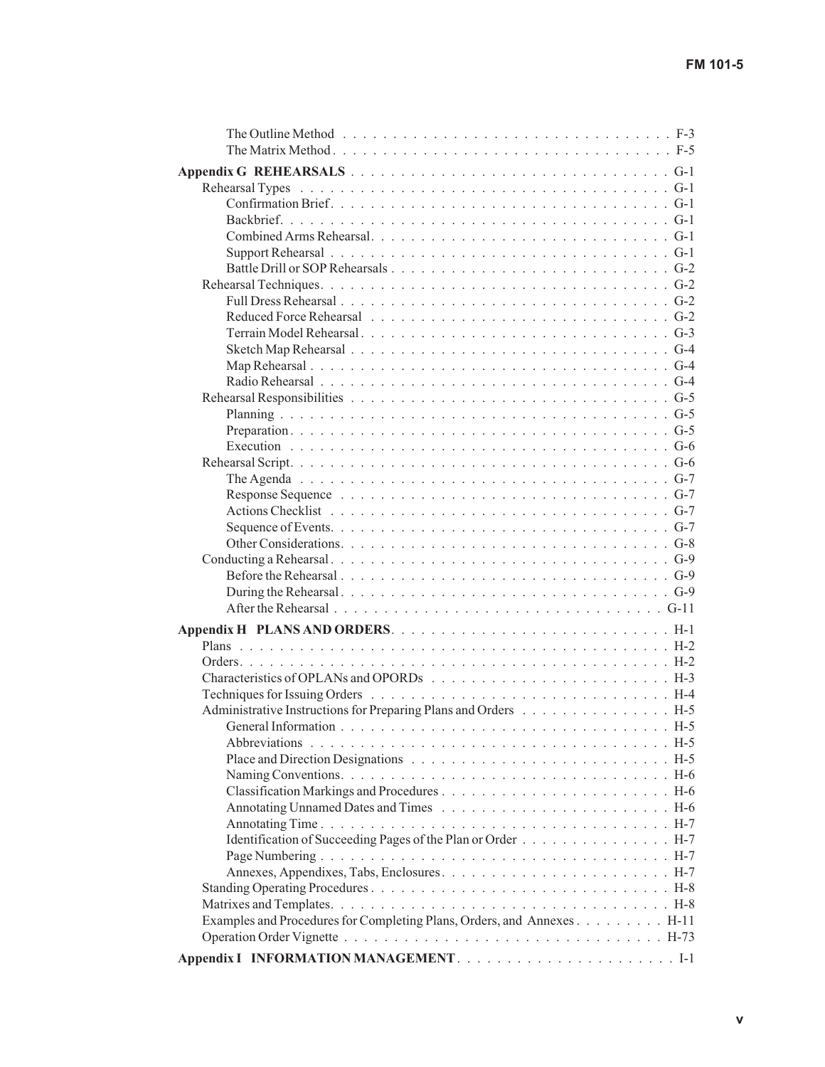| The Outline Method $\ldots \ldots \ldots \ldots \ldots \ldots \ldots \ldots \ldots \ldots \ldots$ |  |
|---------------------------------------------------------------------------------------------------|--|
|                                                                                                   |  |
|                                                                                                   |  |
|                                                                                                   |  |
|                                                                                                   |  |
|                                                                                                   |  |
|                                                                                                   |  |
|                                                                                                   |  |
|                                                                                                   |  |
|                                                                                                   |  |
|                                                                                                   |  |
|                                                                                                   |  |
|                                                                                                   |  |
|                                                                                                   |  |
|                                                                                                   |  |
|                                                                                                   |  |
|                                                                                                   |  |
|                                                                                                   |  |
|                                                                                                   |  |
|                                                                                                   |  |
|                                                                                                   |  |
|                                                                                                   |  |
|                                                                                                   |  |
|                                                                                                   |  |
|                                                                                                   |  |
|                                                                                                   |  |
|                                                                                                   |  |
|                                                                                                   |  |
|                                                                                                   |  |
|                                                                                                   |  |
|                                                                                                   |  |
|                                                                                                   |  |
|                                                                                                   |  |
|                                                                                                   |  |
|                                                                                                   |  |
|                                                                                                   |  |
| Administrative Instructions for Preparing Plans and Orders H-5                                    |  |
|                                                                                                   |  |
|                                                                                                   |  |
|                                                                                                   |  |
|                                                                                                   |  |
|                                                                                                   |  |
|                                                                                                   |  |
|                                                                                                   |  |
| Identification of Succeeding Pages of the Plan or Order H-7                                       |  |
|                                                                                                   |  |
|                                                                                                   |  |
|                                                                                                   |  |
|                                                                                                   |  |
|                                                                                                   |  |
| Examples and Procedures for Completing Plans, Orders, and Annexes. H-11                           |  |
|                                                                                                   |  |
|                                                                                                   |  |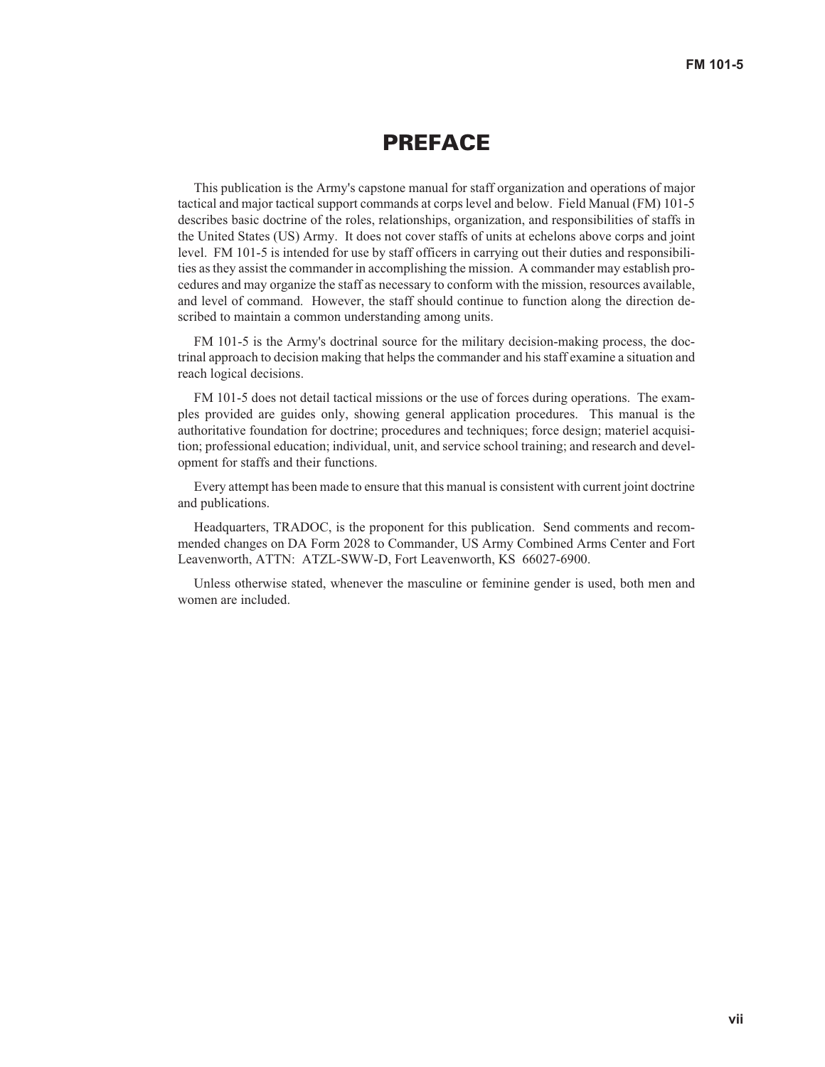## **PREFACE**

This publication is the Army's capstone manual for staff organization and operations of major tactical and major tactical support commands at corps level and below. Field Manual (FM) 101-5 describes basic doctrine of the roles, relationships, organization, and responsibilities of staffs in the United States (US) Army. It does not cover staffs of units at echelons above corps and joint level. FM 101-5 is intended for use by staff officers in carrying out their duties and responsibilities as they assist the commander in accomplishing the mission. A commander may establish procedures and may organize the staff as necessary to conform with the mission, resources available, and level of command. However, the staff should continue to function along the direction described to maintain a common understanding among units.

FM 101-5 is the Army's doctrinal source for the military decision-making process, the doctrinal approach to decision making that helps the commander and his staff examine a situation and reach logical decisions.

FM 101-5 does not detail tactical missions or the use of forces during operations. The examples provided are guides only, showing general application procedures. This manual is the authoritative foundation for doctrine; procedures and techniques; force design; materiel acquisition; professional education; individual, unit, and service school training; and research and development for staffs and their functions.

Every attempt has been made to ensure that this manual is consistent with current joint doctrine and publications.

Headquarters, TRADOC, is the proponent for this publication. Send comments and recommended changes on DA Form 2028 to Commander, US Army Combined Arms Center and Fort Leavenworth, ATTN: ATZL-SWW-D, Fort Leavenworth, KS 66027-6900.

Unless otherwise stated, whenever the masculine or feminine gender is used, both men and women are included.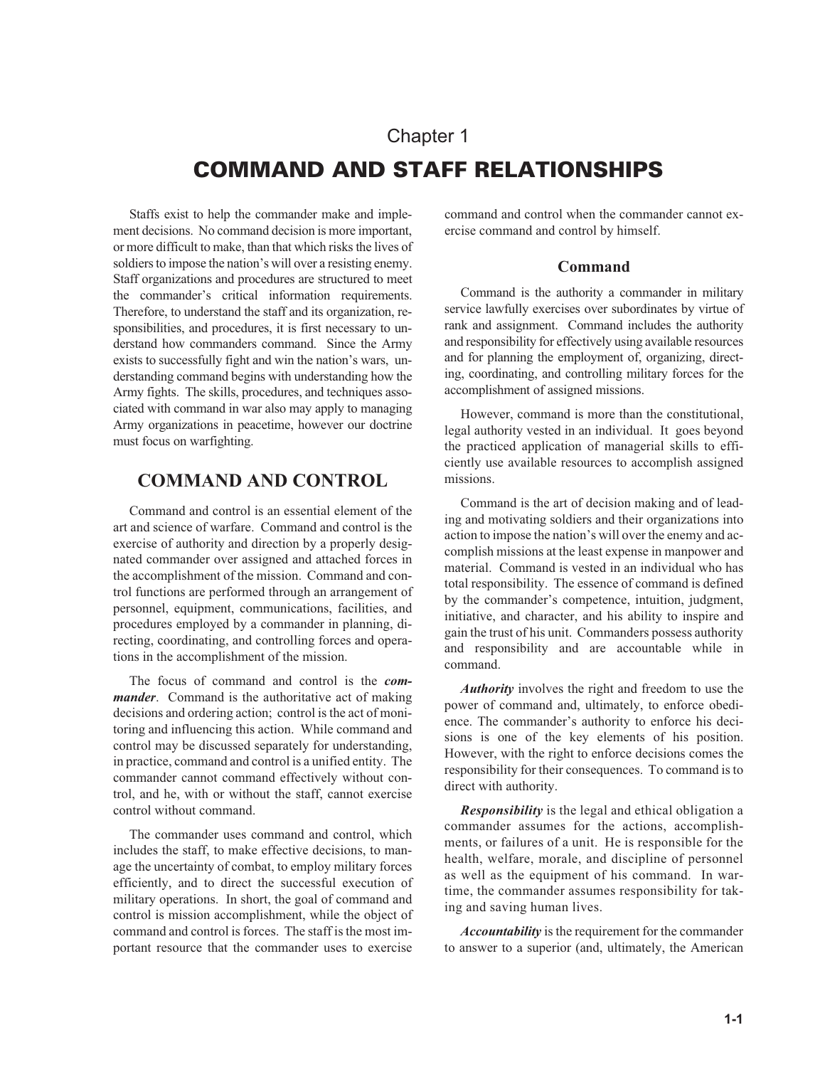## Chapter 1 **COMMAND AND STAFF RELATIONSHIPS**

Staffs exist to help the commander make and implement decisions. No command decision is more important, or more difficult to make, than that which risks the lives of soldiers to impose the nation's will over a resisting enemy. Staff organizations and procedures are structured to meet the commander's critical information requirements. Therefore, to understand the staff and its organization, responsibilities, and procedures, it is first necessary to understand how commanders command. Since the Army exists to successfully fight and win the nation's wars, understanding command begins with understanding how the Army fights. The skills, procedures, and techniques associated with command in war also may apply to managing Army organizations in peacetime, however our doctrine must focus on warfighting.

### **COMMAND AND CONTROL**

Command and control is an essential element of the art and science of warfare. Command and control is the exercise of authority and direction by a properly designated commander over assigned and attached forces in the accomplishment of the mission. Command and control functions are performed through an arrangement of personnel, equipment, communications, facilities, and procedures employed by a commander in planning, directing, coordinating, and controlling forces and operations in the accomplishment of the mission.

The focus of command and control is the *commander*. Command is the authoritative act of making decisions and ordering action; control is the act of monitoring and influencing this action. While command and control may be discussed separately for understanding, in practice, command and control is a unified entity. The commander cannot command effectively without control, and he, with or without the staff, cannot exercise control without command.

The commander uses command and control, which includes the staff, to make effective decisions, to manage the uncertainty of combat, to employ military forces efficiently, and to direct the successful execution of military operations. In short, the goal of command and control is mission accomplishment, while the object of command and control is forces. The staff is the most important resource that the commander uses to exercise

command and control when the commander cannot exercise command and control by himself.

### **Command**

Command is the authority a commander in military service lawfully exercises over subordinates by virtue of rank and assignment. Command includes the authority and responsibility for effectively using available resources and for planning the employment of, organizing, directing, coordinating, and controlling military forces for the accomplishment of assigned missions.

However, command is more than the constitutional, legal authority vested in an individual. It goes beyond the practiced application of managerial skills to efficiently use available resources to accomplish assigned missions.

Command is the art of decision making and of leading and motivating soldiers and their organizations into action to impose the nation's will over the enemy and accomplish missions at the least expense in manpower and material. Command is vested in an individual who has total responsibility. The essence of command is defined by the commander's competence, intuition, judgment, initiative, and character, and his ability to inspire and gain the trust of his unit. Commanders possess authority and responsibility and are accountable while in command.

*Authority* involves the right and freedom to use the power of command and, ultimately, to enforce obedience. The commander's authority to enforce his decisions is one of the key elements of his position. However, with the right to enforce decisions comes the responsibility for their consequences. To command is to direct with authority.

*Responsibility* is the legal and ethical obligation a commander assumes for the actions, accomplishments, or failures of a unit. He is responsible for the health, welfare, morale, and discipline of personnel as well as the equipment of his command. In wartime, the commander assumes responsibility for taking and saving human lives.

*Accountability* is the requirement for the commander to answer to a superior (and, ultimately, the American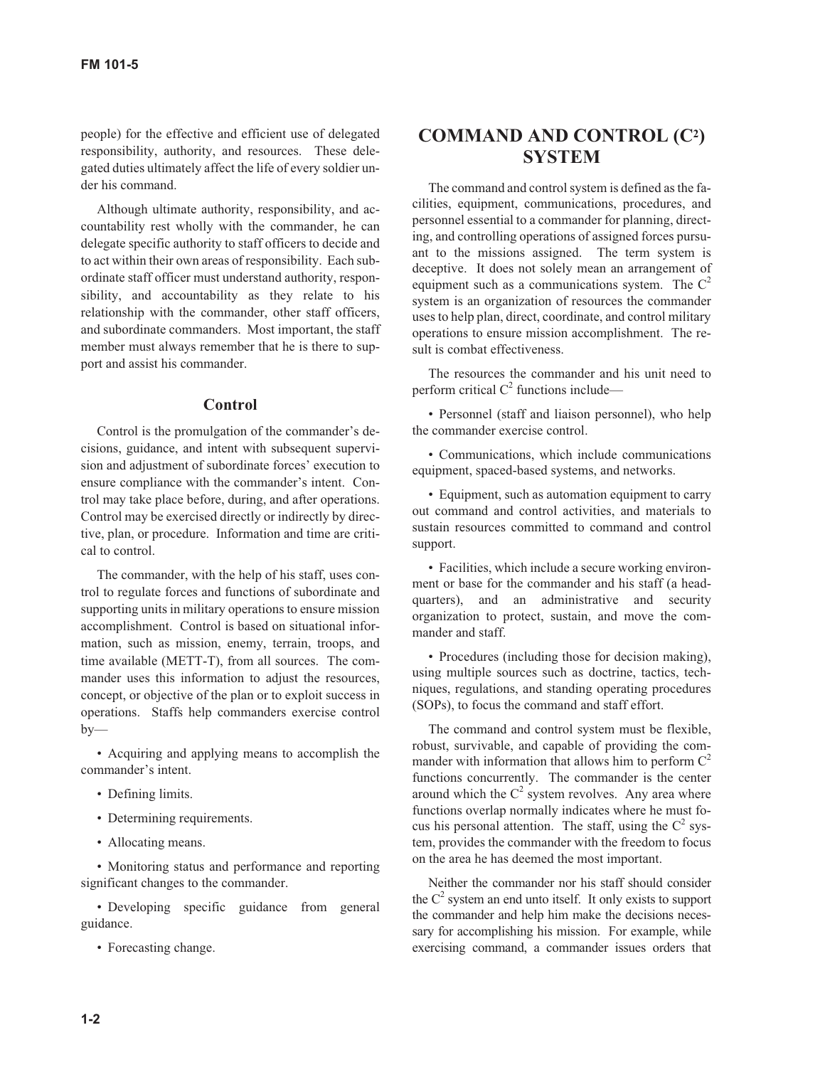people) for the effective and efficient use of delegated responsibility, authority, and resources. These delegated duties ultimately affect the life of every soldier under his command.

Although ultimate authority, responsibility, and accountability rest wholly with the commander, he can delegate specific authority to staff officers to decide and to act within their own areas of responsibility. Each subordinate staff officer must understand authority, responsibility, and accountability as they relate to his relationship with the commander, other staff officers, and subordinate commanders. Most important, the staff member must always remember that he is there to support and assist his commander.

### **Control**

Control is the promulgation of the commander's decisions, guidance, and intent with subsequent supervision and adjustment of subordinate forces' execution to ensure compliance with the commander's intent. Control may take place before, during, and after operations. Control may be exercised directly or indirectly by directive, plan, or procedure. Information and time are critical to control.

The commander, with the help of his staff, uses control to regulate forces and functions of subordinate and supporting units in military operations to ensure mission accomplishment. Control is based on situational information, such as mission, enemy, terrain, troops, and time available (METT-T), from all sources. The commander uses this information to adjust the resources, concept, or objective of the plan or to exploit success in operations. Staffs help commanders exercise control  $bv$ —

• Acquiring and applying means to accomplish the commander's intent.

- Defining limits.
- Determining requirements.
- Allocating means.

• Monitoring status and performance and reporting significant changes to the commander.

• Developing specific guidance from general guidance.

• Forecasting change.

## **COMMAND AND CONTROL (C2) SYSTEM**

The command and control system is defined as the facilities, equipment, communications, procedures, and personnel essential to a commander for planning, directing, and controlling operations of assigned forces pursuant to the missions assigned. The term system is deceptive. It does not solely mean an arrangement of equipment such as a communications system. The  $C^2$ system is an organization of resources the commander uses to help plan, direct, coordinate, and control military operations to ensure mission accomplishment. The result is combat effectiveness.

The resources the commander and his unit need to perform critical  $C^2$  functions include—

• Personnel (staff and liaison personnel), who help the commander exercise control.

• Communications, which include communications equipment, spaced-based systems, and networks.

• Equipment, such as automation equipment to carry out command and control activities, and materials to sustain resources committed to command and control support.

• Facilities, which include a secure working environment or base for the commander and his staff (a headquarters), and an administrative and security organization to protect, sustain, and move the commander and staff.

• Procedures (including those for decision making), using multiple sources such as doctrine, tactics, techniques, regulations, and standing operating procedures (SOPs), to focus the command and staff effort.

The command and control system must be flexible, robust, survivable, and capable of providing the commander with information that allows him to perform  $C^2$ functions concurrently. The commander is the center around which the  $C^2$  system revolves. Any area where functions overlap normally indicates where he must focus his personal attention. The staff, using the  $C^2$  system, provides the commander with the freedom to focus on the area he has deemed the most important.

Neither the commander nor his staff should consider the  $C<sup>2</sup>$  system an end unto itself. It only exists to support the commander and help him make the decisions necessary for accomplishing his mission. For example, while exercising command, a commander issues orders that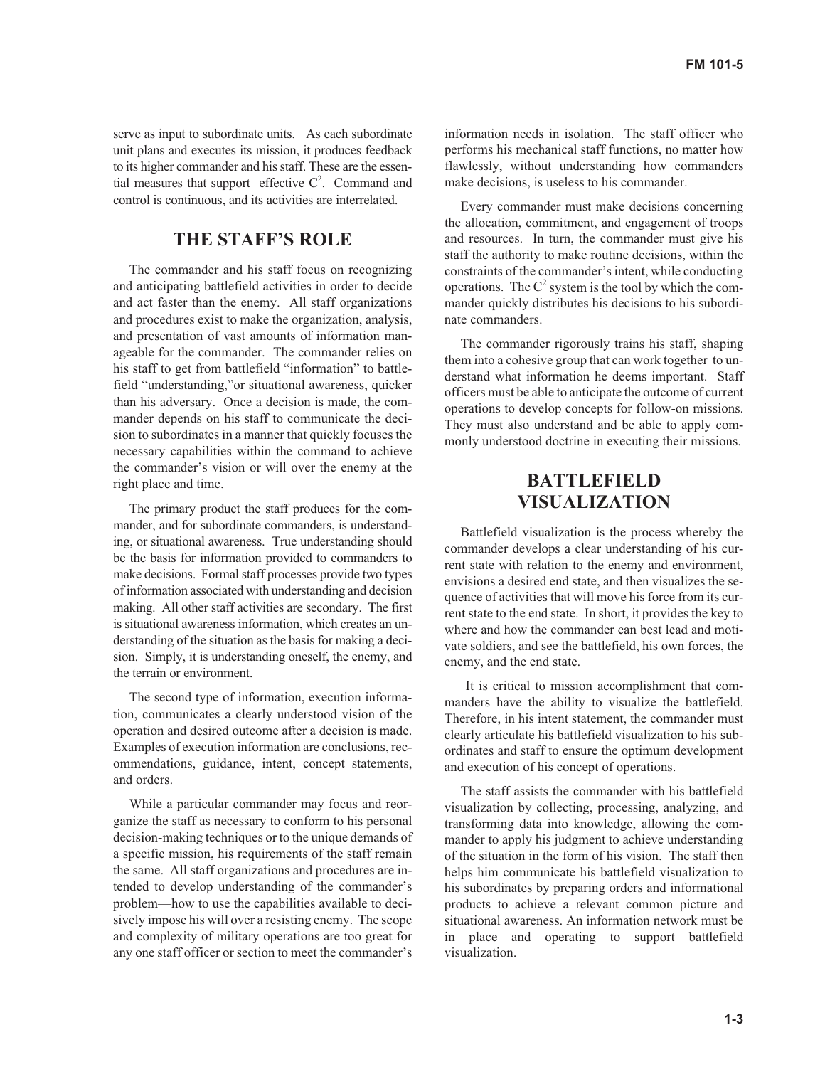serve as input to subordinate units. As each subordinate unit plans and executes its mission, it produces feedback to its higher commander and his staff. These are the essential measures that support effective  $C^2$ . Command and control is continuous, and its activities are interrelated.

### **THE STAFF'S ROLE**

The commander and his staff focus on recognizing and anticipating battlefield activities in order to decide and act faster than the enemy. All staff organizations and procedures exist to make the organization, analysis, and presentation of vast amounts of information manageable for the commander. The commander relies on his staff to get from battlefield "information" to battlefield "understanding,"or situational awareness, quicker than his adversary. Once a decision is made, the commander depends on his staff to communicate the decision to subordinates in a manner that quickly focuses the necessary capabilities within the command to achieve the commander's vision or will over the enemy at the right place and time.

The primary product the staff produces for the commander, and for subordinate commanders, is understanding, or situational awareness. True understanding should be the basis for information provided to commanders to make decisions. Formal staff processes provide two types of information associated with understanding and decision making. All other staff activities are secondary. The first is situational awareness information, which creates an understanding of the situation as the basis for making a decision. Simply, it is understanding oneself, the enemy, and the terrain or environment.

The second type of information, execution information, communicates a clearly understood vision of the operation and desired outcome after a decision is made. Examples of execution information are conclusions, recommendations, guidance, intent, concept statements, and orders.

While a particular commander may focus and reorganize the staff as necessary to conform to his personal decision-making techniques or to the unique demands of a specific mission, his requirements of the staff remain the same. All staff organizations and procedures are intended to develop understanding of the commander's problem—how to use the capabilities available to decisively impose his will over a resisting enemy. The scope and complexity of military operations are too great for any one staff officer or section to meet the commander's

information needs in isolation. The staff officer who performs his mechanical staff functions, no matter how flawlessly, without understanding how commanders make decisions, is useless to his commander.

Every commander must make decisions concerning the allocation, commitment, and engagement of troops and resources. In turn, the commander must give his staff the authority to make routine decisions, within the constraints of the commander's intent, while conducting operations. The  $C^2$  system is the tool by which the commander quickly distributes his decisions to his subordinate commanders.

The commander rigorously trains his staff, shaping them into a cohesive group that can work together to understand what information he deems important. Staff officers must be able to anticipate the outcome of current operations to develop concepts for follow-on missions. They must also understand and be able to apply commonly understood doctrine in executing their missions.

## **BATTLEFIELD VISUALIZATION**

Battlefield visualization is the process whereby the commander develops a clear understanding of his current state with relation to the enemy and environment, envisions a desired end state, and then visualizes the sequence of activities that will move his force from its current state to the end state. In short, it provides the key to where and how the commander can best lead and motivate soldiers, and see the battlefield, his own forces, the enemy, and the end state.

It is critical to mission accomplishment that commanders have the ability to visualize the battlefield. Therefore, in his intent statement, the commander must clearly articulate his battlefield visualization to his subordinates and staff to ensure the optimum development and execution of his concept of operations.

The staff assists the commander with his battlefield visualization by collecting, processing, analyzing, and transforming data into knowledge, allowing the commander to apply his judgment to achieve understanding of the situation in the form of his vision. The staff then helps him communicate his battlefield visualization to his subordinates by preparing orders and informational products to achieve a relevant common picture and situational awareness. An information network must be in place and operating to support battlefield visualization.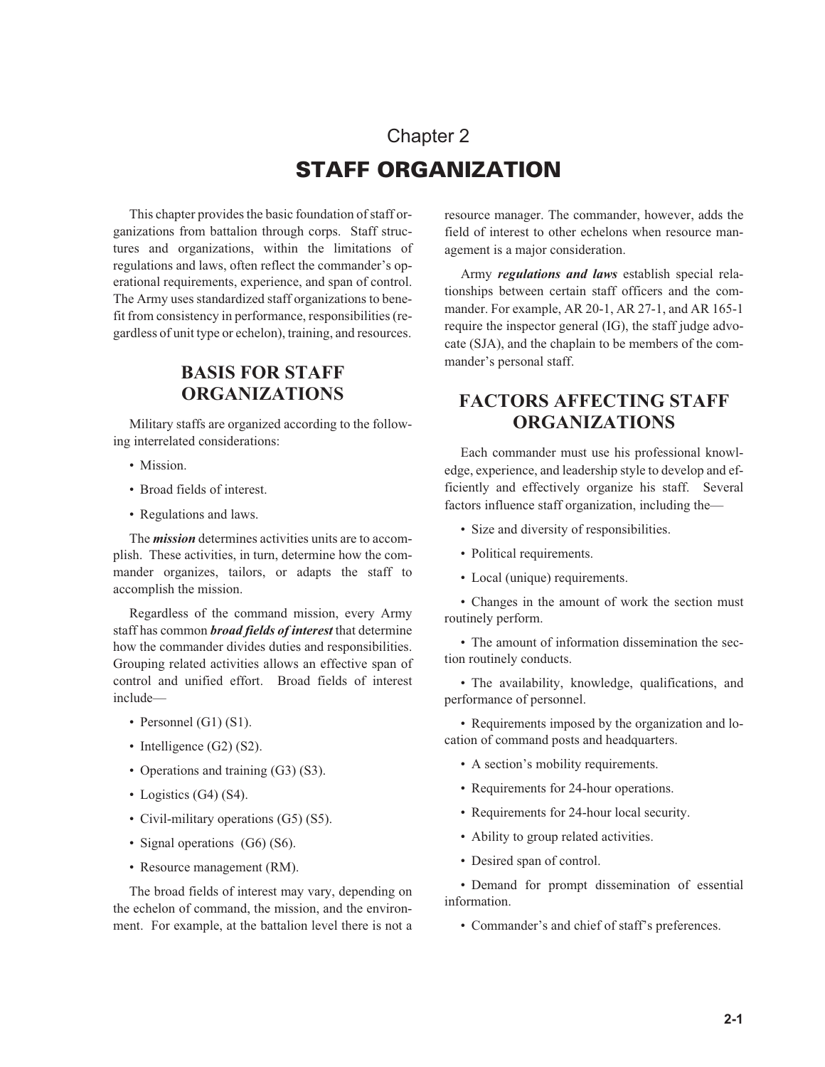## Chapter 2 **STAFF ORGANIZATION**

This chapter provides the basic foundation of staff organizations from battalion through corps. Staff structures and organizations, within the limitations of regulations and laws, often reflect the commander's operational requirements, experience, and span of control. The Army uses standardized staff organizations to benefit from consistency in performance, responsibilities (regardless of unit type or echelon), training, and resources.

## **BASIS FOR STAFF ORGANIZATIONS**

Military staffs are organized according to the following interrelated considerations:

- Mission.
- Broad fields of interest.
- Regulations and laws.

The *mission* determines activities units are to accomplish. These activities, in turn, determine how the commander organizes, tailors, or adapts the staff to accomplish the mission.

Regardless of the command mission, every Army staff has common *broad fields of interest* that determine how the commander divides duties and responsibilities. Grouping related activities allows an effective span of control and unified effort. Broad fields of interest include—

- Personnel (G1) (S1).
- Intelligence (G2) (S2).
- Operations and training (G3) (S3).
- Logistics (G4) (S4).
- Civil-military operations (G5) (S5).
- Signal operations (G6) (S6).
- Resource management (RM).

The broad fields of interest may vary, depending on the echelon of command, the mission, and the environment. For example, at the battalion level there is not a resource manager. The commander, however, adds the field of interest to other echelons when resource management is a major consideration.

Army *regulations and laws* establish special relationships between certain staff officers and the commander. For example, AR 20-1, AR 27-1, and AR 165-1 require the inspector general (IG), the staff judge advocate (SJA), and the chaplain to be members of the commander's personal staff.

### **FACTORS AFFECTING STAFF ORGANIZATIONS**

Each commander must use his professional knowledge, experience, and leadership style to develop and efficiently and effectively organize his staff. Several factors influence staff organization, including the—

- Size and diversity of responsibilities.
- Political requirements.
- Local (unique) requirements.

• Changes in the amount of work the section must routinely perform.

• The amount of information dissemination the section routinely conducts.

• The availability, knowledge, qualifications, and performance of personnel.

• Requirements imposed by the organization and location of command posts and headquarters.

- A section's mobility requirements.
- Requirements for 24-hour operations.
- Requirements for 24-hour local security.
- Ability to group related activities.
- Desired span of control.

• Demand for prompt dissemination of essential information.

• Commander's and chief of staff's preferences.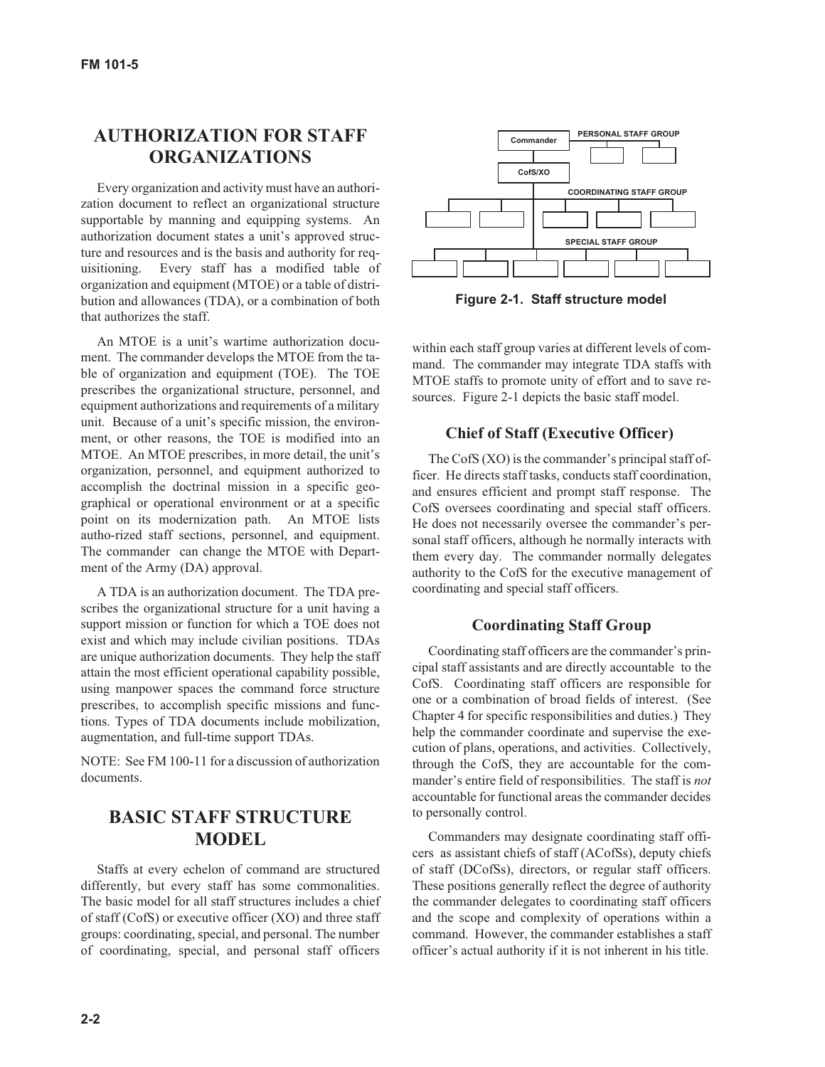## **AUTHORIZATION FOR STAFF ORGANIZATIONS**

Every organization and activity must have an authorization document to reflect an organizational structure supportable by manning and equipping systems. An authorization document states a unit's approved structure and resources and is the basis and authority for requisitioning. Every staff has a modified table of organization and equipment (MTOE) or a table of distribution and allowances (TDA), or a combination of both that authorizes the staff.

An MTOE is a unit's wartime authorization document. The commander develops the MTOE from the table of organization and equipment (TOE). The TOE prescribes the organizational structure, personnel, and equipment authorizations and requirements of a military unit. Because of a unit's specific mission, the environment, or other reasons, the TOE is modified into an MTOE. An MTOE prescribes, in more detail, the unit's organization, personnel, and equipment authorized to accomplish the doctrinal mission in a specific geographical or operational environment or at a specific point on its modernization path. An MTOE lists autho-rized staff sections, personnel, and equipment. The commander can change the MTOE with Department of the Army (DA) approval.

A TDA is an authorization document. The TDA prescribes the organizational structure for a unit having a support mission or function for which a TOE does not exist and which may include civilian positions. TDAs are unique authorization documents. They help the staff attain the most efficient operational capability possible, using manpower spaces the command force structure prescribes, to accomplish specific missions and functions. Types of TDA documents include mobilization, augmentation, and full-time support TDAs.

NOTE: See FM 100-11 for a discussion of authorization documents.

## **BASIC STAFF STRUCTURE MODEL**

Staffs at every echelon of command are structured differently, but every staff has some commonalities. The basic model for all staff structures includes a chief of staff (CofS) or executive officer (XO) and three staff groups: coordinating, special, and personal. The number of coordinating, special, and personal staff officers



**Figure 2-1. Staff structure model**

within each staff group varies at different levels of command. The commander may integrate TDA staffs with MTOE staffs to promote unity of effort and to save resources. Figure 2-1 depicts the basic staff model.

### **Chief of Staff (Executive Officer)**

The CofS (XO) is the commander's principal staff officer. He directs staff tasks, conducts staff coordination, and ensures efficient and prompt staff response. The CofS oversees coordinating and special staff officers. He does not necessarily oversee the commander's personal staff officers, although he normally interacts with them every day. The commander normally delegates authority to the CofS for the executive management of coordinating and special staff officers.

### **Coordinating Staff Group**

Coordinating staff officers are the commander's principal staff assistants and are directly accountable to the CofS. Coordinating staff officers are responsible for one or a combination of broad fields of interest. (See Chapter 4 for specific responsibilities and duties.) They help the commander coordinate and supervise the execution of plans, operations, and activities. Collectively, through the CofS, they are accountable for the commander's entire field of responsibilities. The staff is *not* accountable for functional areas the commander decides to personally control.

Commanders may designate coordinating staff officers as assistant chiefs of staff (ACofSs), deputy chiefs of staff (DCofSs), directors, or regular staff officers. These positions generally reflect the degree of authority the commander delegates to coordinating staff officers and the scope and complexity of operations within a command. However, the commander establishes a staff officer's actual authority if it is not inherent in his title.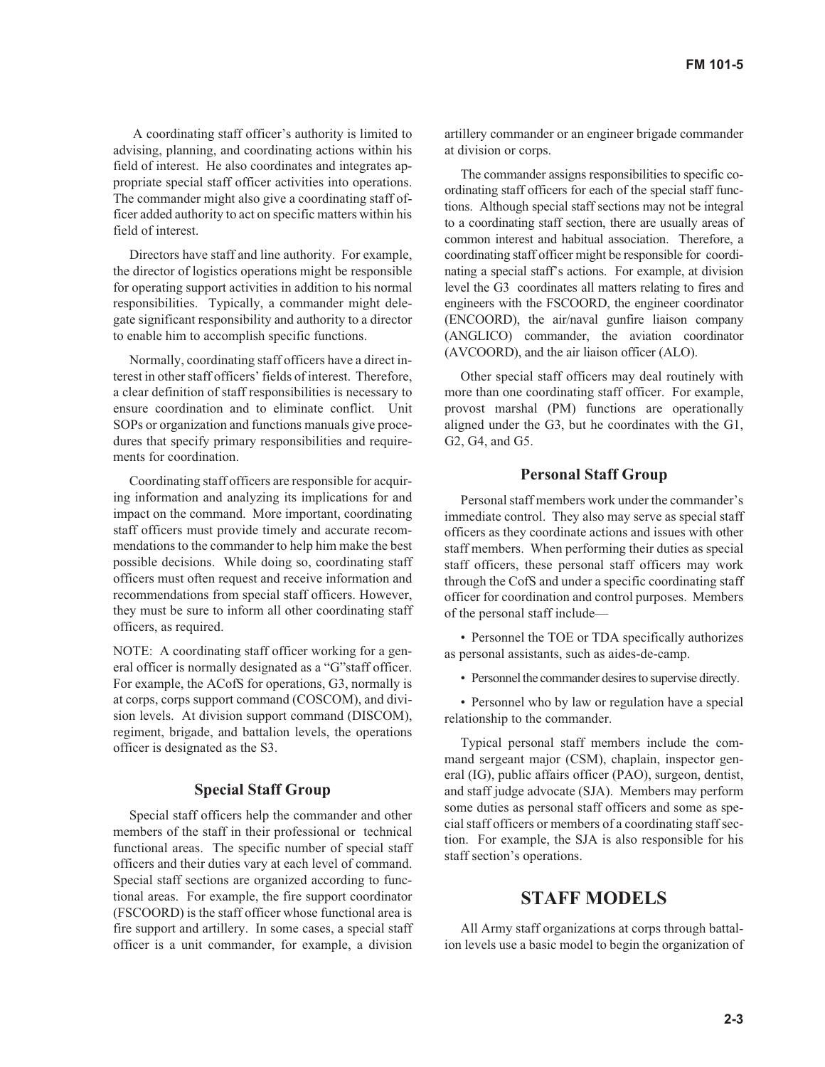A coordinating staff officer's authority is limited to advising, planning, and coordinating actions within his field of interest. He also coordinates and integrates appropriate special staff officer activities into operations. The commander might also give a coordinating staff officer added authority to act on specific matters within his field of interest.

Directors have staff and line authority. For example, the director of logistics operations might be responsible for operating support activities in addition to his normal responsibilities. Typically, a commander might delegate significant responsibility and authority to a director to enable him to accomplish specific functions.

Normally, coordinating staff officers have a direct interest in other staff officers' fields of interest. Therefore, a clear definition of staff responsibilities is necessary to ensure coordination and to eliminate conflict. Unit SOPs or organization and functions manuals give procedures that specify primary responsibilities and requirements for coordination.

Coordinating staff officers are responsible for acquiring information and analyzing its implications for and impact on the command. More important, coordinating staff officers must provide timely and accurate recommendations to the commander to help him make the best possible decisions. While doing so, coordinating staff officers must often request and receive information and recommendations from special staff officers. However, they must be sure to inform all other coordinating staff officers, as required.

NOTE: A coordinating staff officer working for a general officer is normally designated as a "G"staff officer. For example, the ACofS for operations, G3, normally is at corps, corps support command (COSCOM), and division levels. At division support command (DISCOM), regiment, brigade, and battalion levels, the operations officer is designated as the S3.

### **Special Staff Group**

Special staff officers help the commander and other members of the staff in their professional or technical functional areas. The specific number of special staff officers and their duties vary at each level of command. Special staff sections are organized according to functional areas. For example, the fire support coordinator (FSCOORD) is the staff officer whose functional area is fire support and artillery. In some cases, a special staff officer is a unit commander, for example, a division

artillery commander or an engineer brigade commander at division or corps.

The commander assigns responsibilities to specific coordinating staff officers for each of the special staff functions. Although special staff sections may not be integral to a coordinating staff section, there are usually areas of common interest and habitual association. Therefore, a coordinating staff officer might be responsible for coordinating a special staff's actions. For example, at division level the G3 coordinates all matters relating to fires and engineers with the FSCOORD, the engineer coordinator (ENCOORD), the air/naval gunfire liaison company (ANGLICO) commander, the aviation coordinator (AVCOORD), and the air liaison officer (ALO).

Other special staff officers may deal routinely with more than one coordinating staff officer. For example, provost marshal (PM) functions are operationally aligned under the G3, but he coordinates with the G1, G2, G4, and G5.

### **Personal Staff Group**

Personal staff members work under the commander's immediate control. They also may serve as special staff officers as they coordinate actions and issues with other staff members. When performing their duties as special staff officers, these personal staff officers may work through the CofS and under a specific coordinating staff officer for coordination and control purposes. Members of the personal staff include—

• Personnel the TOE or TDA specifically authorizes as personal assistants, such as aides-de-camp.

• Personnel the commander desires to supervise directly.

• Personnel who by law or regulation have a special relationship to the commander.

Typical personal staff members include the command sergeant major (CSM), chaplain, inspector general (IG), public affairs officer (PAO), surgeon, dentist, and staff judge advocate (SJA). Members may perform some duties as personal staff officers and some as special staff officers or members of a coordinating staff section. For example, the SJA is also responsible for his staff section's operations.

### **STAFF MODELS**

All Army staff organizations at corps through battalion levels use a basic model to begin the organization of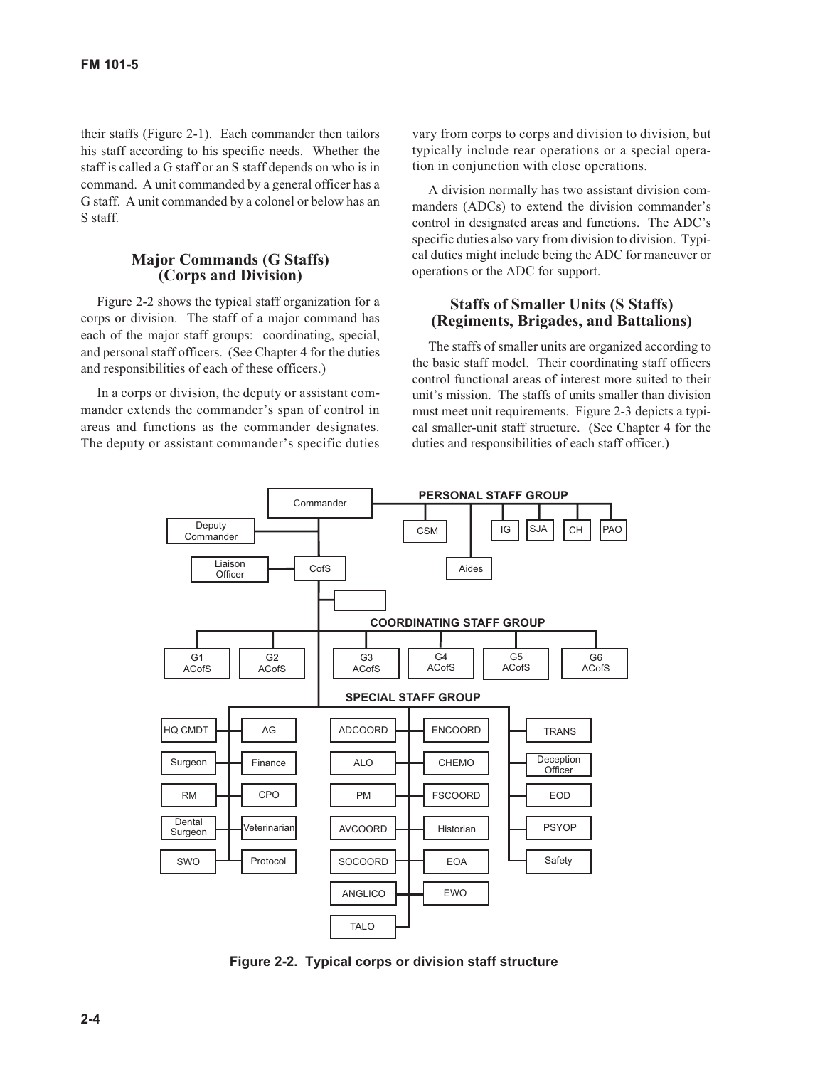their staffs (Figure 2-1). Each commander then tailors his staff according to his specific needs. Whether the staff is called a G staff or an S staff depends on who is in command. A unit commanded by a general officer has a G staff. A unit commanded by a colonel or below has an S staff.

### **Major Commands (G Staffs) (Corps and Division)**

Figure 2-2 shows the typical staff organization for a corps or division. The staff of a major command has each of the major staff groups: coordinating, special, and personal staff officers. (See Chapter 4 for the duties and responsibilities of each of these officers.)

In a corps or division, the deputy or assistant commander extends the commander's span of control in areas and functions as the commander designates. The deputy or assistant commander's specific duties vary from corps to corps and division to division, but typically include rear operations or a special operation in conjunction with close operations.

A division normally has two assistant division commanders (ADCs) to extend the division commander's control in designated areas and functions. The ADC's specific duties also vary from division to division. Typical duties might include being the ADC for maneuver or operations or the ADC for support.

### **Staffs of Smaller Units (S Staffs) (Regiments, Brigades, and Battalions)**

The staffs of smaller units are organized according to the basic staff model. Their coordinating staff officers control functional areas of interest more suited to their unit's mission. The staffs of units smaller than division must meet unit requirements. Figure 2-3 depicts a typical smaller-unit staff structure. (See Chapter 4 for the duties and responsibilities of each staff officer.)



**Figure 2-2. Typical corps or division staff structure**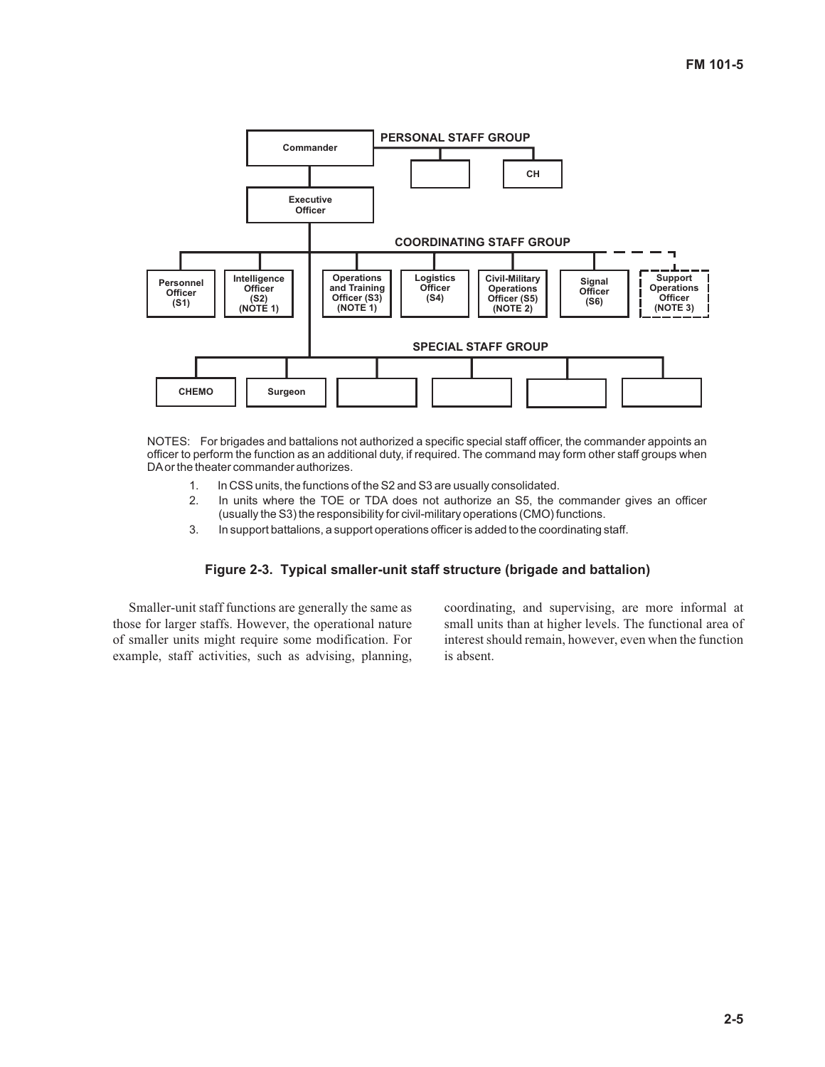

NOTES: For brigades and battalions not authorized a specific special staff officer, the commander appoints an officer to perform the function as an additional duty, if required. The command may form other staff groups when DA or the theater commander authorizes.

- 1. In CSS units, the functions of the S2 and S3 are usually consolidated.
- 2. In units where the TOE or TDA does not authorize an S5, the commander gives an officer (usually the S3) the responsibility for civil-military operations (CMO) functions.
- 3. In support battalions, a support operations officer is added to the coordinating staff.

### **Figure 2-3. Typical smaller-unit staff structure (brigade and battalion)**

Smaller-unit staff functions are generally the same as those for larger staffs. However, the operational nature of smaller units might require some modification. For example, staff activities, such as advising, planning,

coordinating, and supervising, are more informal at small units than at higher levels. The functional area of interest should remain, however, even when the function is absent.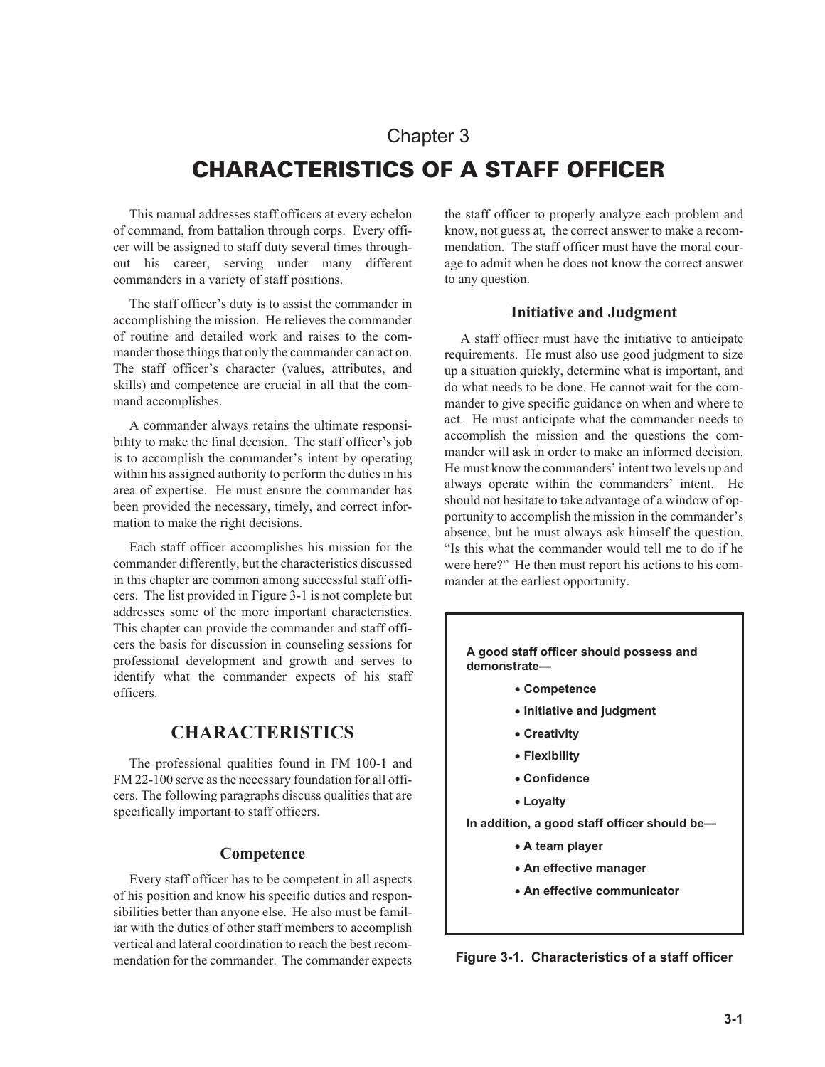## Chapter 3 **CHARACTERISTICS OF A STAFF OFFICER**

This manual addresses staff officers at every echelon of command, from battalion through corps. Every officer will be assigned to staff duty several times throughout his career, serving under many different commanders in a variety of staff positions.

The staff officer's duty is to assist the commander in accomplishing the mission. He relieves the commander of routine and detailed work and raises to the commander those things that only the commander can act on. The staff officer's character (values, attributes, and skills) and competence are crucial in all that the command accomplishes.

A commander always retains the ultimate responsibility to make the final decision. The staff officer's job is to accomplish the commander's intent by operating within his assigned authority to perform the duties in his area of expertise. He must ensure the commander has been provided the necessary, timely, and correct information to make the right decisions.

Each staff officer accomplishes his mission for the commander differently, but the characteristics discussed in this chapter are common among successful staff officers. The list provided in Figure 3-1 is not complete but addresses some of the more important characteristics. This chapter can provide the commander and staff officers the basis for discussion in counseling sessions for professional development and growth and serves to identify what the commander expects of his staff officers.

### **CHARACTERISTICS**

The professional qualities found in FM 100-1 and FM 22-100 serve as the necessary foundation for all officers. The following paragraphs discuss qualities that are specifically important to staff officers.

### **Competence**

Every staff officer has to be competent in all aspects of his position and know his specific duties and responsibilities better than anyone else. He also must be familiar with the duties of other staff members to accomplish vertical and lateral coordination to reach the best recommendation for the commander. The commander expects

the staff officer to properly analyze each problem and know, not guess at, the correct answer to make a recommendation. The staff officer must have the moral courage to admit when he does not know the correct answer to any question.

### **Initiative and Judgment**

A staff officer must have the initiative to anticipate requirements. He must also use good judgment to size up a situation quickly, determine what is important, and do what needs to be done. He cannot wait for the commander to give specific guidance on when and where to act. He must anticipate what the commander needs to accomplish the mission and the questions the commander will ask in order to make an informed decision. He must know the commanders' intent two levels up and always operate within the commanders' intent. He should not hesitate to take advantage of a window of opportunity to accomplish the mission in the commander's absence, but he must always ask himself the question, "Is this what the commander would tell me to do if he were here?" He then must report his actions to his commander at the earliest opportunity.

### **A good staff officer should possess and demonstrate—**

- **· Competence**
- **· Initiative and judgment**
- **· Creativity**
- **· Flexibility**
- **· Confidence**
- **· Loyalty**

**In addition, a good staff officer should be—**

- **· A team player**
- **· An effective manager**
- **· An effective communicator**

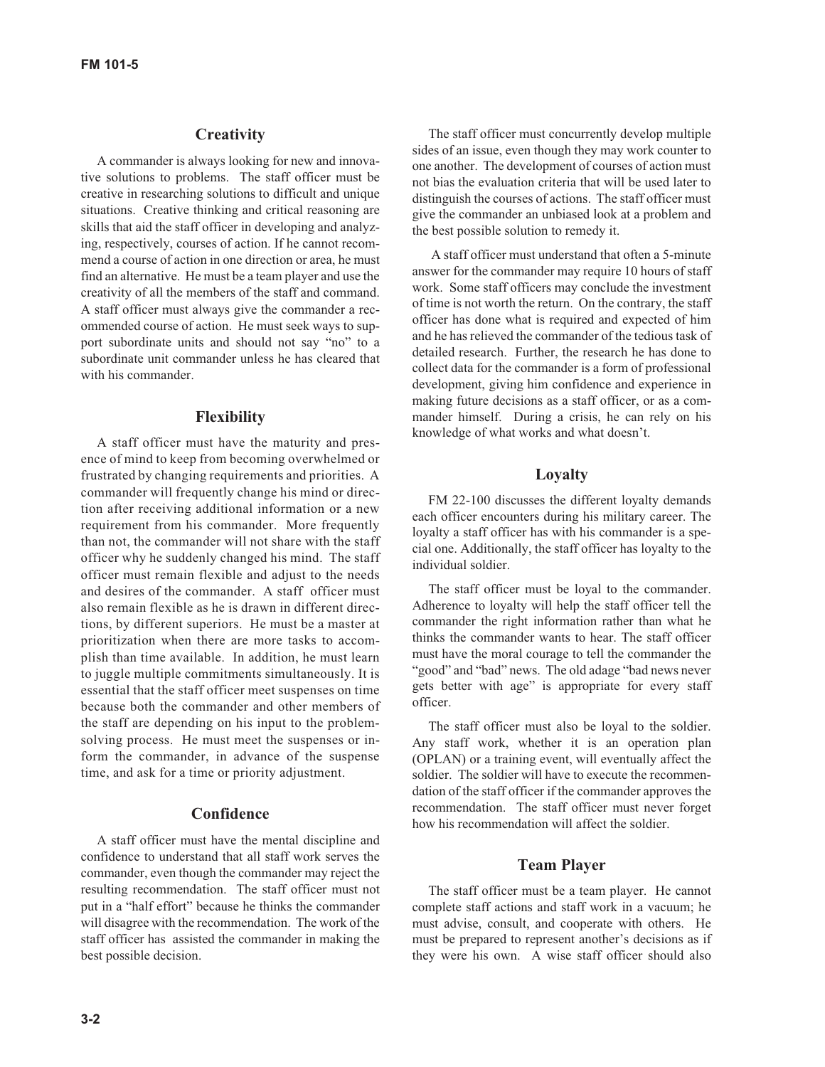### **Creativity**

A commander is always looking for new and innovative solutions to problems. The staff officer must be creative in researching solutions to difficult and unique situations. Creative thinking and critical reasoning are skills that aid the staff officer in developing and analyzing, respectively, courses of action. If he cannot recommend a course of action in one direction or area, he must find an alternative. He must be a team player and use the creativity of all the members of the staff and command. A staff officer must always give the commander a recommended course of action. He must seek ways to support subordinate units and should not say "no" to a subordinate unit commander unless he has cleared that with his commander.

#### **Flexibility**

A staff officer must have the maturity and presence of mind to keep from becoming overwhelmed or frustrated by changing requirements and priorities. A commander will frequently change his mind or direction after receiving additional information or a new requirement from his commander. More frequently than not, the commander will not share with the staff officer why he suddenly changed his mind. The staff officer must remain flexible and adjust to the needs and desires of the commander. A staff officer must also remain flexible as he is drawn in different directions, by different superiors. He must be a master at prioritization when there are more tasks to accomplish than time available. In addition, he must learn to juggle multiple commitments simultaneously. It is essential that the staff officer meet suspenses on time because both the commander and other members of the staff are depending on his input to the problemsolving process. He must meet the suspenses or inform the commander, in advance of the suspense time, and ask for a time or priority adjustment.

### **Confidence**

A staff officer must have the mental discipline and confidence to understand that all staff work serves the commander, even though the commander may reject the resulting recommendation. The staff officer must not put in a "half effort" because he thinks the commander will disagree with the recommendation. The work of the staff officer has assisted the commander in making the best possible decision.

The staff officer must concurrently develop multiple sides of an issue, even though they may work counter to one another. The development of courses of action must not bias the evaluation criteria that will be used later to distinguish the courses of actions. The staff officer must give the commander an unbiased look at a problem and the best possible solution to remedy it.

A staff officer must understand that often a 5-minute answer for the commander may require 10 hours of staff work. Some staff officers may conclude the investment of time is not worth the return. On the contrary, the staff officer has done what is required and expected of him and he has relieved the commander of the tedious task of detailed research. Further, the research he has done to collect data for the commander is a form of professional development, giving him confidence and experience in making future decisions as a staff officer, or as a commander himself. During a crisis, he can rely on his knowledge of what works and what doesn't.

### **Loyalty**

FM 22-100 discusses the different loyalty demands each officer encounters during his military career. The loyalty a staff officer has with his commander is a special one. Additionally, the staff officer has loyalty to the individual soldier.

The staff officer must be loyal to the commander. Adherence to loyalty will help the staff officer tell the commander the right information rather than what he thinks the commander wants to hear. The staff officer must have the moral courage to tell the commander the "good" and "bad" news. The old adage "bad news never gets better with age" is appropriate for every staff officer.

The staff officer must also be loyal to the soldier. Any staff work, whether it is an operation plan (OPLAN) or a training event, will eventually affect the soldier. The soldier will have to execute the recommendation of the staff officer if the commander approves the recommendation. The staff officer must never forget how his recommendation will affect the soldier.

### **Team Player**

The staff officer must be a team player. He cannot complete staff actions and staff work in a vacuum; he must advise, consult, and cooperate with others. He must be prepared to represent another's decisions as if they were his own. A wise staff officer should also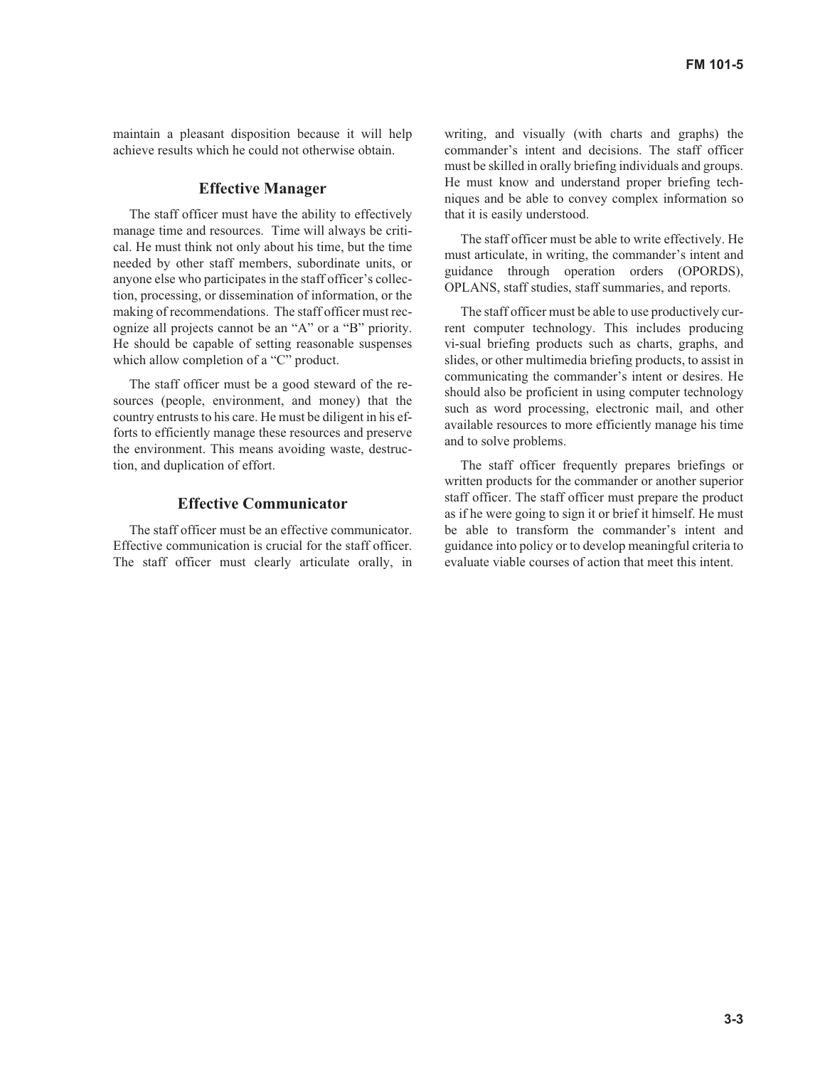maintain a pleasant disposition because it will help achieve results which he could not otherwise obtain.

### **Effective Manager**

The staff officer must have the ability to effectively manage time and resources. Time will always be critical. He must think not only about his time, but the time needed by other staff members, subordinate units, or anyone else who participates in the staff officer's collection, processing, or dissemination of information, or the making of recommendations. The staff officer must recognize all projects cannot be an "A" or a "B" priority. He should be capable of setting reasonable suspenses which allow completion of a "C" product.

The staff officer must be a good steward of the resources (people, environment, and money) that the country entrusts to his care. He must be diligent in his efforts to efficiently manage these resources and preserve the environment. This means avoiding waste, destruction, and duplication of effort.

### **Effective Communicator**

The staff officer must be an effective communicator. Effective communication is crucial for the staff officer. The staff officer must clearly articulate orally, in writing, and visually (with charts and graphs) the commander's intent and decisions. The staff officer must be skilled in orally briefing individuals and groups. He must know and understand proper briefing techniques and be able to convey complex information so that it is easily understood.

The staff officer must be able to write effectively. He must articulate, in writing, the commander's intent and guidance through operation orders (OPORDS), OPLANS, staff studies, staff summaries, and reports.

The staff officer must be able to use productively current computer technology. This includes producing vi-sual briefing products such as charts, graphs, and slides, or other multimedia briefing products, to assist in communicating the commander's intent or desires. He should also be proficient in using computer technology such as word processing, electronic mail, and other available resources to more efficiently manage his time and to solve problems.

The staff officer frequently prepares briefings or written products for the commander or another superior staff officer. The staff officer must prepare the product as if he were going to sign it or brief it himself. He must be able to transform the commander's intent and guidance into policy or to develop meaningful criteria to evaluate viable courses of action that meet this intent.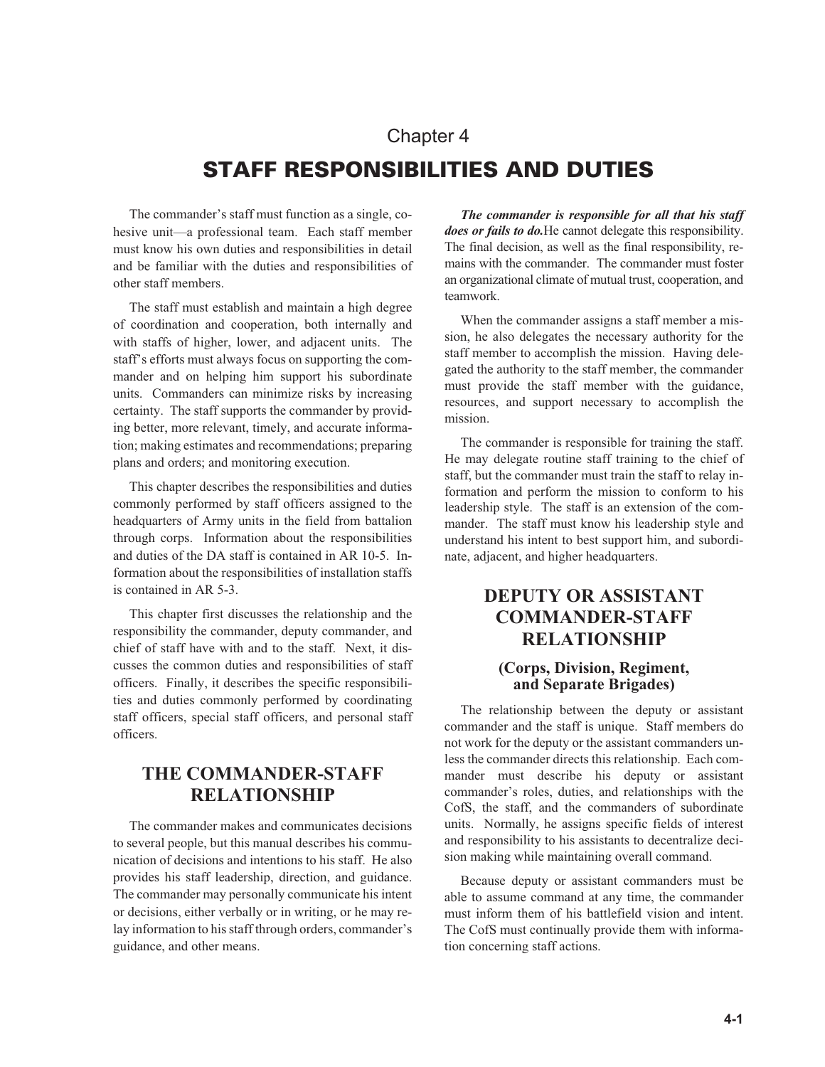## Chapter 4 **STAFF RESPONSIBILITIES AND DUTIES**

The commander's staff must function as a single, cohesive unit—a professional team. Each staff member must know his own duties and responsibilities in detail and be familiar with the duties and responsibilities of other staff members.

The staff must establish and maintain a high degree of coordination and cooperation, both internally and with staffs of higher, lower, and adjacent units. The staff's efforts must always focus on supporting the commander and on helping him support his subordinate units. Commanders can minimize risks by increasing certainty. The staff supports the commander by providing better, more relevant, timely, and accurate information; making estimates and recommendations; preparing plans and orders; and monitoring execution.

This chapter describes the responsibilities and duties commonly performed by staff officers assigned to the headquarters of Army units in the field from battalion through corps. Information about the responsibilities and duties of the DA staff is contained in AR 10-5. Information about the responsibilities of installation staffs is contained in AR 5-3.

This chapter first discusses the relationship and the responsibility the commander, deputy commander, and chief of staff have with and to the staff. Next, it discusses the common duties and responsibilities of staff officers. Finally, it describes the specific responsibilities and duties commonly performed by coordinating staff officers, special staff officers, and personal staff officers.

## **THE COMMANDER-STAFF RELATIONSHIP**

The commander makes and communicates decisions to several people, but this manual describes his communication of decisions and intentions to his staff. He also provides his staff leadership, direction, and guidance. The commander may personally communicate his intent or decisions, either verbally or in writing, or he may relay information to his staff through orders, commander's guidance, and other means.

*The commander is responsible for all that his staff does or fails to do.*He cannot delegate this responsibility. The final decision, as well as the final responsibility, remains with the commander. The commander must foster an organizational climate of mutual trust, cooperation, and teamwork.

When the commander assigns a staff member a mission, he also delegates the necessary authority for the staff member to accomplish the mission. Having delegated the authority to the staff member, the commander must provide the staff member with the guidance, resources, and support necessary to accomplish the mission.

The commander is responsible for training the staff. He may delegate routine staff training to the chief of staff, but the commander must train the staff to relay information and perform the mission to conform to his leadership style. The staff is an extension of the commander. The staff must know his leadership style and understand his intent to best support him, and subordinate, adjacent, and higher headquarters.

## **DEPUTY OR ASSISTANT COMMANDER-STAFF RELATIONSHIP**

### **(Corps, Division, Regiment, and Separate Brigades)**

The relationship between the deputy or assistant commander and the staff is unique. Staff members do not work for the deputy or the assistant commanders unless the commander directs this relationship. Each commander must describe his deputy or assistant commander's roles, duties, and relationships with the CofS, the staff, and the commanders of subordinate units. Normally, he assigns specific fields of interest and responsibility to his assistants to decentralize decision making while maintaining overall command.

Because deputy or assistant commanders must be able to assume command at any time, the commander must inform them of his battlefield vision and intent. The CofS must continually provide them with information concerning staff actions.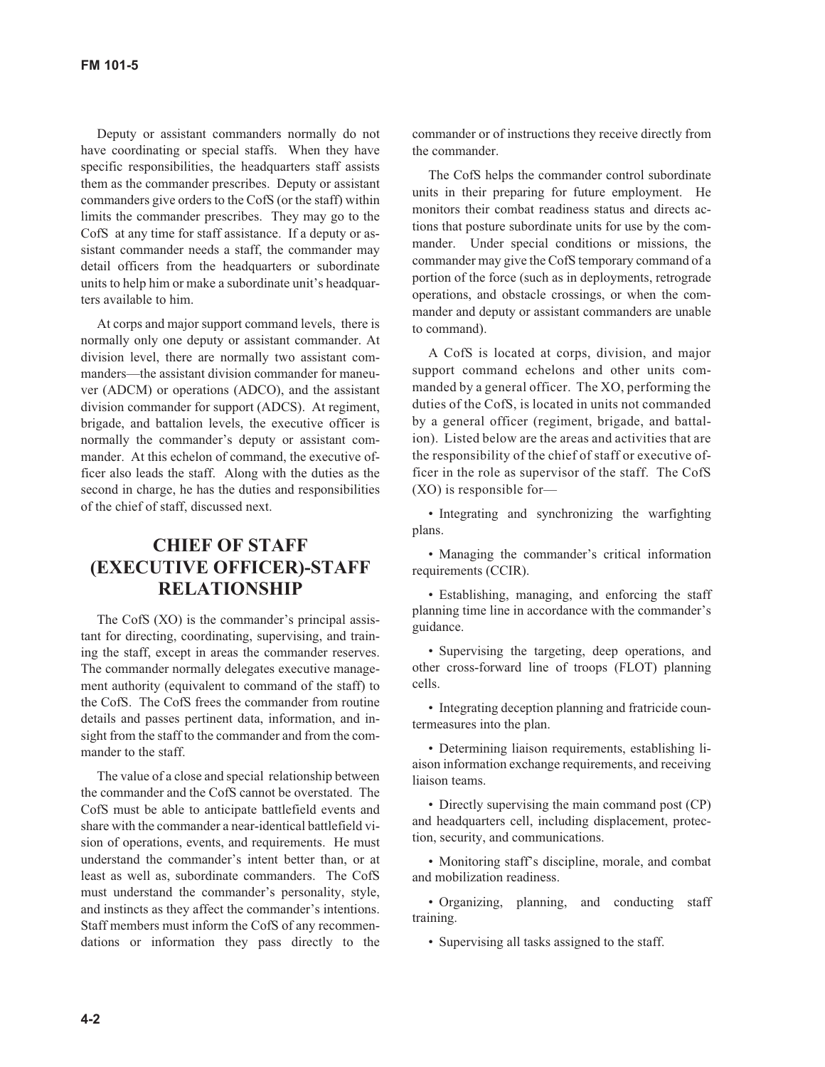Deputy or assistant commanders normally do not have coordinating or special staffs. When they have specific responsibilities, the headquarters staff assists them as the commander prescribes. Deputy or assistant commanders give orders to the CofS (or the staff) within limits the commander prescribes. They may go to the CofS at any time for staff assistance. If a deputy or assistant commander needs a staff, the commander may detail officers from the headquarters or subordinate units to help him or make a subordinate unit's headquarters available to him.

At corps and major support command levels, there is normally only one deputy or assistant commander. At division level, there are normally two assistant commanders—the assistant division commander for maneuver (ADCM) or operations (ADCO), and the assistant division commander for support (ADCS). At regiment, brigade, and battalion levels, the executive officer is normally the commander's deputy or assistant commander. At this echelon of command, the executive officer also leads the staff. Along with the duties as the second in charge, he has the duties and responsibilities of the chief of staff, discussed next.

## **CHIEF OF STAFF (EXECUTIVE OFFICER)-STAFF RELATIONSHIP**

The CofS (XO) is the commander's principal assistant for directing, coordinating, supervising, and training the staff, except in areas the commander reserves. The commander normally delegates executive management authority (equivalent to command of the staff) to the CofS. The CofS frees the commander from routine details and passes pertinent data, information, and insight from the staff to the commander and from the commander to the staff.

The value of a close and special relationship between the commander and the CofS cannot be overstated. The CofS must be able to anticipate battlefield events and share with the commander a near-identical battlefield vision of operations, events, and requirements. He must understand the commander's intent better than, or at least as well as, subordinate commanders. The CofS must understand the commander's personality, style, and instincts as they affect the commander's intentions. Staff members must inform the CofS of any recommendations or information they pass directly to the commander or of instructions they receive directly from the commander.

The CofS helps the commander control subordinate units in their preparing for future employment. He monitors their combat readiness status and directs actions that posture subordinate units for use by the commander. Under special conditions or missions, the commander may give the CofS temporary command of a portion of the force (such as in deployments, retrograde operations, and obstacle crossings, or when the commander and deputy or assistant commanders are unable to command).

A CofS is located at corps, division, and major support command echelons and other units commanded by a general officer. The XO, performing the duties of the CofS, is located in units not commanded by a general officer (regiment, brigade, and battalion). Listed below are the areas and activities that are the responsibility of the chief of staff or executive officer in the role as supervisor of the staff. The CofS (XO) is responsible for—

• Integrating and synchronizing the warfighting plans.

• Managing the commander's critical information requirements (CCIR).

• Establishing, managing, and enforcing the staff planning time line in accordance with the commander's guidance.

• Supervising the targeting, deep operations, and other cross-forward line of troops (FLOT) planning cells.

• Integrating deception planning and fratricide countermeasures into the plan.

• Determining liaison requirements, establishing liaison information exchange requirements, and receiving liaison teams.

• Directly supervising the main command post (CP) and headquarters cell, including displacement, protection, security, and communications.

• Monitoring staff's discipline, morale, and combat and mobilization readiness.

• Organizing, planning, and conducting staff training.

• Supervising all tasks assigned to the staff.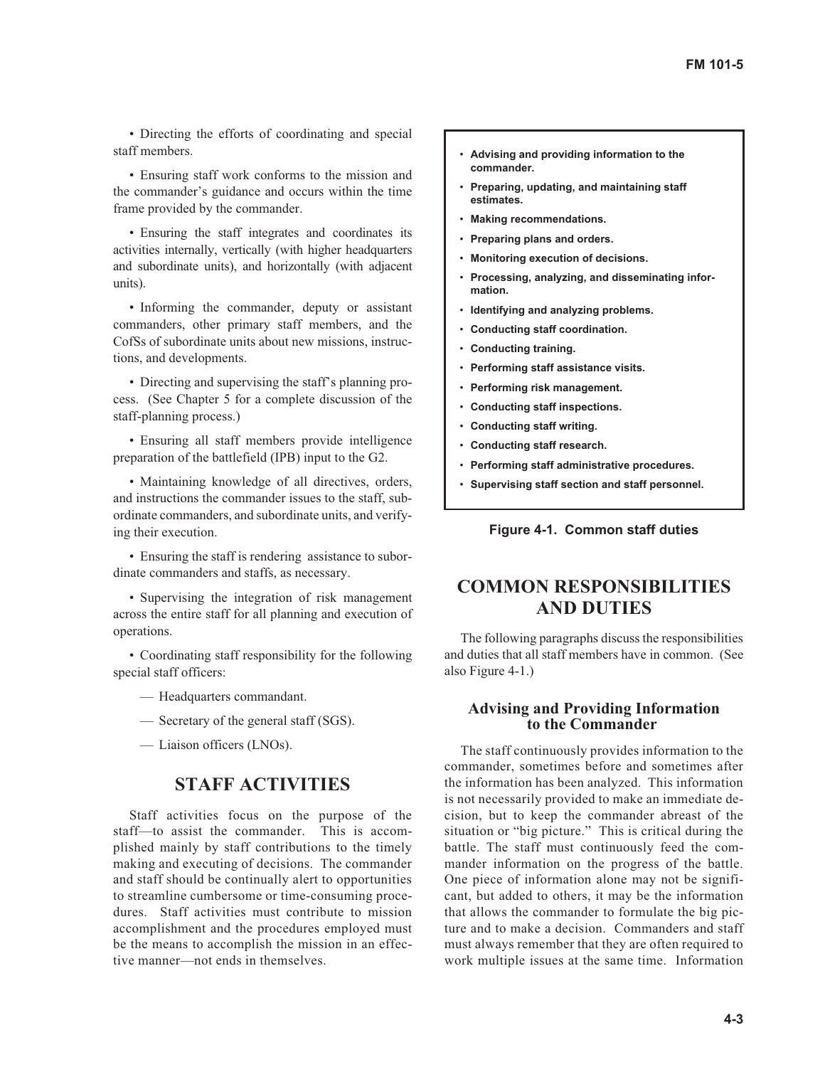• Directing the efforts of coordinating and special staff members.

• Ensuring staff work conforms to the mission and the commander's guidance and occurs within the time frame provided by the commander.

• Ensuring the staff integrates and coordinates its activities internally, vertically (with higher headquarters and subordinate units), and horizontally (with adjacent units).

• Informing the commander, deputy or assistant commanders, other primary staff members, and the CofSs of subordinate units about new missions, instructions, and developments.

• Directing and supervising the staff's planning process. (See Chapter 5 for a complete discussion of the staff-planning process.)

• Ensuring all staff members provide intelligence preparation of the battlefield (IPB) input to the G2.

• Maintaining knowledge of all directives, orders, and instructions the commander issues to the staff, subordinate commanders, and subordinate units, and verifying their execution.

• Ensuring the staff is rendering assistance to subordinate commanders and staffs, as necessary.

• Supervising the integration of risk management across the entire staff for all planning and execution of operations.

• Coordinating staff responsibility for the following special staff officers:

- Headquarters commandant.
- Secretary of the general staff (SGS).
- Liaison officers (LNOs).

### **STAFF ACTIVITIES**

Staff activities focus on the purpose of the staff—to assist the commander. This is accomplished mainly by staff contributions to the timely making and executing of decisions. The commander and staff should be continually alert to opportunities to streamline cumbersome or time-consuming procedures. Staff activities must contribute to mission accomplishment and the procedures employed must be the means to accomplish the mission in an effective manner—not ends in themselves.

- **Advising and providing information to the commander.**
- **Preparing, updating, and maintaining staff estimates.**
- **Making recommendations.**
- **Preparing plans and orders.**
- **Monitoring execution of decisions.**
- **Processing, analyzing, and disseminating information.**
- **Identifying and analyzing problems.**
- **Conducting staff coordination.**
- **Conducting training.**
- **Performing staff assistance visits.**
- **Performing risk management.**
- **Conducting staff inspections.**
- **Conducting staff writing.**
- **Conducting staff research.**
- **Performing staff administrative procedures.**
- **Supervising staff section and staff personnel.**

**Figure 4-1. Common staff duties**

## **COMMON RESPONSIBILITIES AND DUTIES**

The following paragraphs discuss the responsibilities and duties that all staff members have in common. (See also Figure 4-1.)

### **Advising and Providing Information to the Commander**

The staff continuously provides information to the commander, sometimes before and sometimes after the information has been analyzed. This information is not necessarily provided to make an immediate decision, but to keep the commander abreast of the situation or "big picture." This is critical during the battle. The staff must continuously feed the commander information on the progress of the battle. One piece of information alone may not be significant, but added to others, it may be the information that allows the commander to formulate the big picture and to make a decision. Commanders and staff must always remember that they are often required to work multiple issues at the same time. Information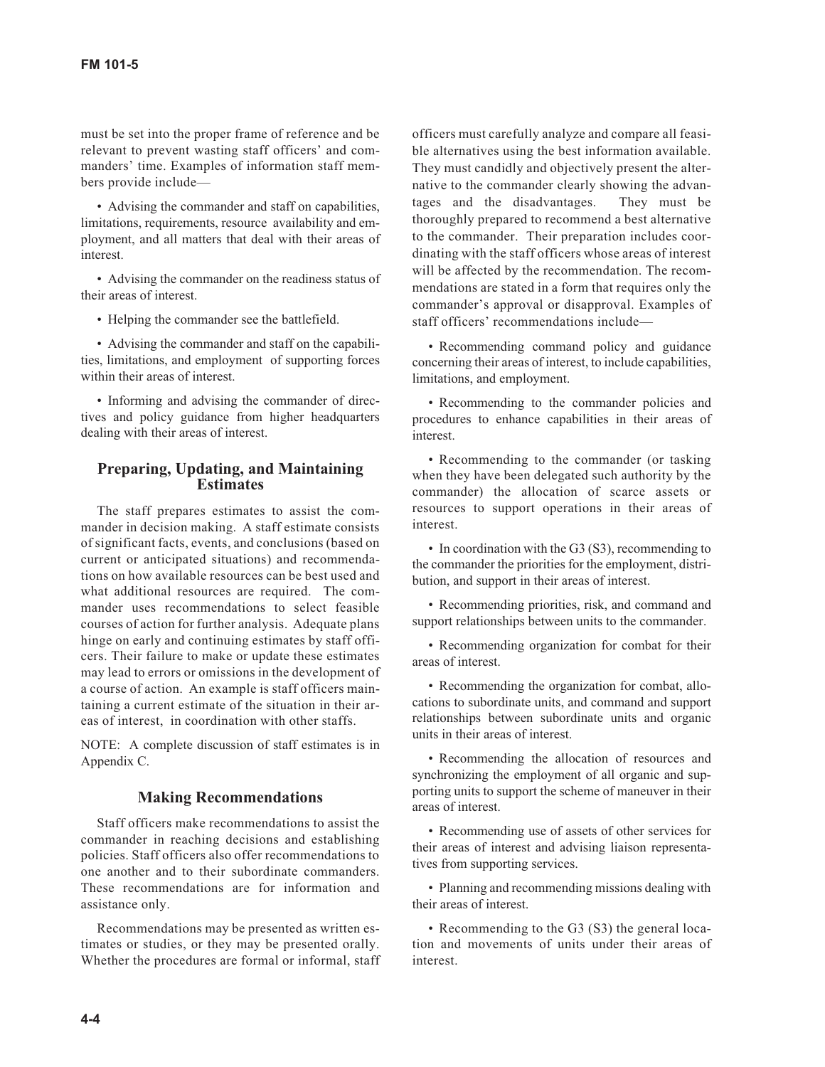must be set into the proper frame of reference and be relevant to prevent wasting staff officers' and commanders' time. Examples of information staff members provide include—

• Advising the commander and staff on capabilities, limitations, requirements, resource availability and employment, and all matters that deal with their areas of interest.

• Advising the commander on the readiness status of their areas of interest.

• Helping the commander see the battlefield.

• Advising the commander and staff on the capabilities, limitations, and employment of supporting forces within their areas of interest.

• Informing and advising the commander of directives and policy guidance from higher headquarters dealing with their areas of interest.

### **Preparing, Updating, and Maintaining Estimates**

The staff prepares estimates to assist the commander in decision making. A staff estimate consists of significant facts, events, and conclusions (based on current or anticipated situations) and recommendations on how available resources can be best used and what additional resources are required. The commander uses recommendations to select feasible courses of action for further analysis. Adequate plans hinge on early and continuing estimates by staff officers. Their failure to make or update these estimates may lead to errors or omissions in the development of a course of action. An example is staff officers maintaining a current estimate of the situation in their areas of interest, in coordination with other staffs.

NOTE: A complete discussion of staff estimates is in Appendix C.

### **Making Recommendations**

Staff officers make recommendations to assist the commander in reaching decisions and establishing policies. Staff officers also offer recommendations to one another and to their subordinate commanders. These recommendations are for information and assistance only.

Recommendations may be presented as written estimates or studies, or they may be presented orally. Whether the procedures are formal or informal, staff officers must carefully analyze and compare all feasible alternatives using the best information available. They must candidly and objectively present the alternative to the commander clearly showing the advantages and the disadvantages. They must be thoroughly prepared to recommend a best alternative to the commander. Their preparation includes coordinating with the staff officers whose areas of interest will be affected by the recommendation. The recommendations are stated in a form that requires only the commander's approval or disapproval. Examples of staff officers' recommendations include—

• Recommending command policy and guidance concerning their areas of interest, to include capabilities, limitations, and employment.

• Recommending to the commander policies and procedures to enhance capabilities in their areas of interest.

• Recommending to the commander (or tasking when they have been delegated such authority by the commander) the allocation of scarce assets or resources to support operations in their areas of interest.

• In coordination with the G3 (S3), recommending to the commander the priorities for the employment, distribution, and support in their areas of interest.

• Recommending priorities, risk, and command and support relationships between units to the commander.

• Recommending organization for combat for their areas of interest.

• Recommending the organization for combat, allocations to subordinate units, and command and support relationships between subordinate units and organic units in their areas of interest.

• Recommending the allocation of resources and synchronizing the employment of all organic and supporting units to support the scheme of maneuver in their areas of interest.

• Recommending use of assets of other services for their areas of interest and advising liaison representatives from supporting services.

• Planning and recommending missions dealing with their areas of interest.

• Recommending to the G3 (S3) the general location and movements of units under their areas of interest.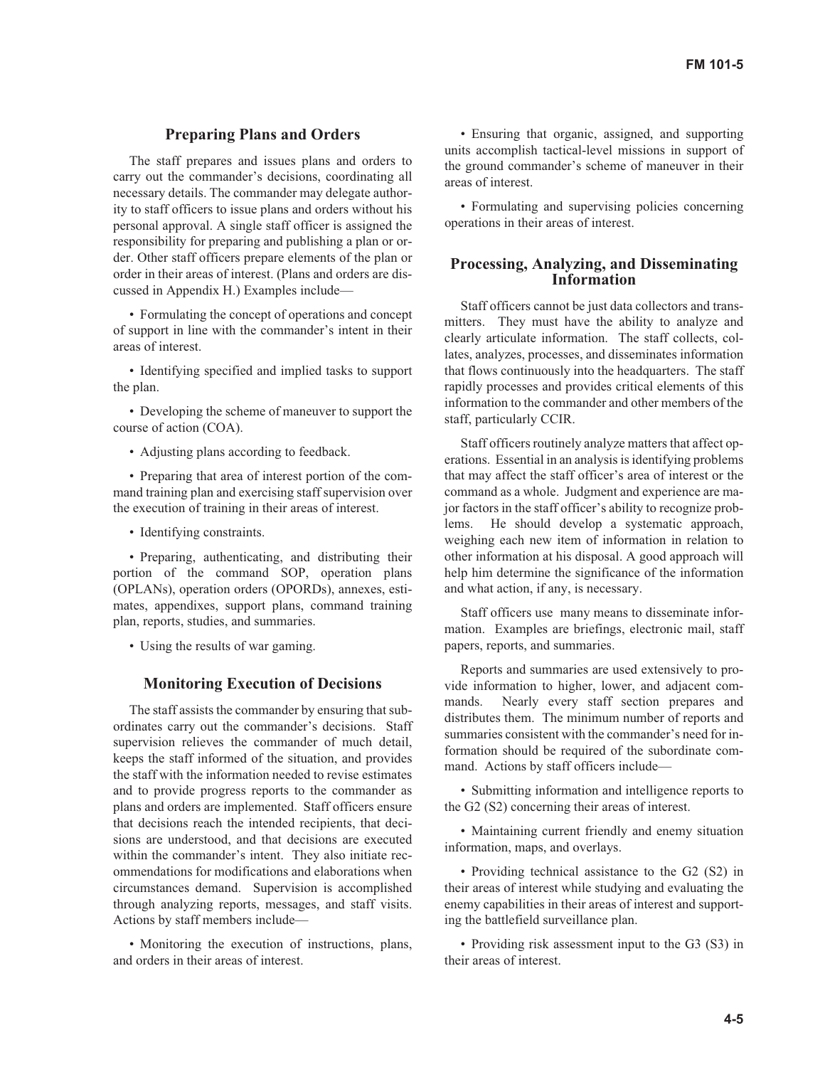### **Preparing Plans and Orders**

The staff prepares and issues plans and orders to carry out the commander's decisions, coordinating all necessary details. The commander may delegate authority to staff officers to issue plans and orders without his personal approval. A single staff officer is assigned the responsibility for preparing and publishing a plan or order. Other staff officers prepare elements of the plan or order in their areas of interest. (Plans and orders are discussed in Appendix H.) Examples include—

• Formulating the concept of operations and concept of support in line with the commander's intent in their areas of interest.

• Identifying specified and implied tasks to support the plan.

• Developing the scheme of maneuver to support the course of action (COA).

• Adjusting plans according to feedback.

• Preparing that area of interest portion of the command training plan and exercising staff supervision over the execution of training in their areas of interest.

• Identifying constraints.

• Preparing, authenticating, and distributing their portion of the command SOP, operation plans (OPLANs), operation orders (OPORDs), annexes, estimates, appendixes, support plans, command training plan, reports, studies, and summaries.

• Using the results of war gaming.

### **Monitoring Execution of Decisions**

The staff assists the commander by ensuring that subordinates carry out the commander's decisions. Staff supervision relieves the commander of much detail, keeps the staff informed of the situation, and provides the staff with the information needed to revise estimates and to provide progress reports to the commander as plans and orders are implemented. Staff officers ensure that decisions reach the intended recipients, that decisions are understood, and that decisions are executed within the commander's intent. They also initiate recommendations for modifications and elaborations when circumstances demand. Supervision is accomplished through analyzing reports, messages, and staff visits. Actions by staff members include—

• Monitoring the execution of instructions, plans, and orders in their areas of interest.

• Ensuring that organic, assigned, and supporting units accomplish tactical-level missions in support of the ground commander's scheme of maneuver in their areas of interest.

• Formulating and supervising policies concerning operations in their areas of interest.

### **Processing, Analyzing, and Disseminating Information**

Staff officers cannot be just data collectors and transmitters. They must have the ability to analyze and clearly articulate information. The staff collects, collates, analyzes, processes, and disseminates information that flows continuously into the headquarters. The staff rapidly processes and provides critical elements of this information to the commander and other members of the staff, particularly CCIR.

Staff officers routinely analyze matters that affect operations. Essential in an analysis is identifying problems that may affect the staff officer's area of interest or the command as a whole. Judgment and experience are major factors in the staff officer's ability to recognize problems. He should develop a systematic approach, weighing each new item of information in relation to other information at his disposal. A good approach will help him determine the significance of the information and what action, if any, is necessary.

Staff officers use many means to disseminate information. Examples are briefings, electronic mail, staff papers, reports, and summaries.

Reports and summaries are used extensively to provide information to higher, lower, and adjacent commands. Nearly every staff section prepares and distributes them. The minimum number of reports and summaries consistent with the commander's need for information should be required of the subordinate command. Actions by staff officers include—

• Submitting information and intelligence reports to the G2 (S2) concerning their areas of interest.

• Maintaining current friendly and enemy situation information, maps, and overlays.

• Providing technical assistance to the G2 (S2) in their areas of interest while studying and evaluating the enemy capabilities in their areas of interest and supporting the battlefield surveillance plan.

• Providing risk assessment input to the G3 (S3) in their areas of interest.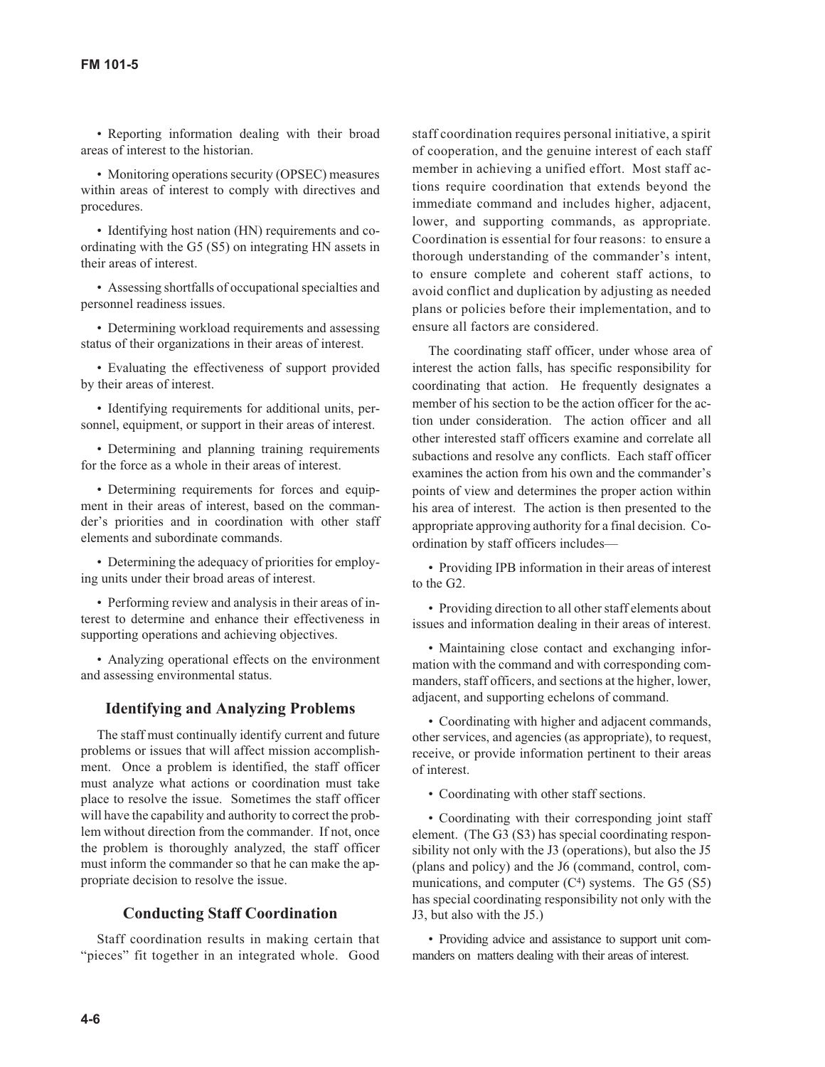• Reporting information dealing with their broad areas of interest to the historian.

• Monitoring operations security (OPSEC) measures within areas of interest to comply with directives and procedures.

• Identifying host nation (HN) requirements and coordinating with the G5 (S5) on integrating HN assets in their areas of interest.

• Assessing shortfalls of occupational specialties and personnel readiness issues.

• Determining workload requirements and assessing status of their organizations in their areas of interest.

• Evaluating the effectiveness of support provided by their areas of interest.

• Identifying requirements for additional units, personnel, equipment, or support in their areas of interest.

• Determining and planning training requirements for the force as a whole in their areas of interest.

• Determining requirements for forces and equipment in their areas of interest, based on the commander's priorities and in coordination with other staff elements and subordinate commands.

• Determining the adequacy of priorities for employing units under their broad areas of interest.

• Performing review and analysis in their areas of interest to determine and enhance their effectiveness in supporting operations and achieving objectives.

• Analyzing operational effects on the environment and assessing environmental status.

### **Identifying and Analyzing Problems**

The staff must continually identify current and future problems or issues that will affect mission accomplishment. Once a problem is identified, the staff officer must analyze what actions or coordination must take place to resolve the issue. Sometimes the staff officer will have the capability and authority to correct the problem without direction from the commander. If not, once the problem is thoroughly analyzed, the staff officer must inform the commander so that he can make the appropriate decision to resolve the issue.

### **Conducting Staff Coordination**

Staff coordination results in making certain that "pieces" fit together in an integrated whole. Good

staff coordination requires personal initiative, a spirit of cooperation, and the genuine interest of each staff member in achieving a unified effort. Most staff actions require coordination that extends beyond the immediate command and includes higher, adjacent, lower, and supporting commands, as appropriate. Coordination is essential for four reasons: to ensure a thorough understanding of the commander's intent, to ensure complete and coherent staff actions, to avoid conflict and duplication by adjusting as needed plans or policies before their implementation, and to ensure all factors are considered.

The coordinating staff officer, under whose area of interest the action falls, has specific responsibility for coordinating that action. He frequently designates a member of his section to be the action officer for the action under consideration. The action officer and all other interested staff officers examine and correlate all subactions and resolve any conflicts. Each staff officer examines the action from his own and the commander's points of view and determines the proper action within his area of interest. The action is then presented to the appropriate approving authority for a final decision. Coordination by staff officers includes—

• Providing IPB information in their areas of interest to the G2.

• Providing direction to all other staff elements about issues and information dealing in their areas of interest.

• Maintaining close contact and exchanging information with the command and with corresponding commanders, staff officers, and sections at the higher, lower, adjacent, and supporting echelons of command.

• Coordinating with higher and adjacent commands, other services, and agencies (as appropriate), to request, receive, or provide information pertinent to their areas of interest.

• Coordinating with other staff sections.

• Coordinating with their corresponding joint staff element. (The G3 (S3) has special coordinating responsibility not only with the J3 (operations), but also the J5 (plans and policy) and the J6 (command, control, communications, and computer  $(C<sup>4</sup>)$  systems. The G5 (S5) has special coordinating responsibility not only with the J3, but also with the J5.)

• Providing advice and assistance to support unit commanders on matters dealing with their areas of interest.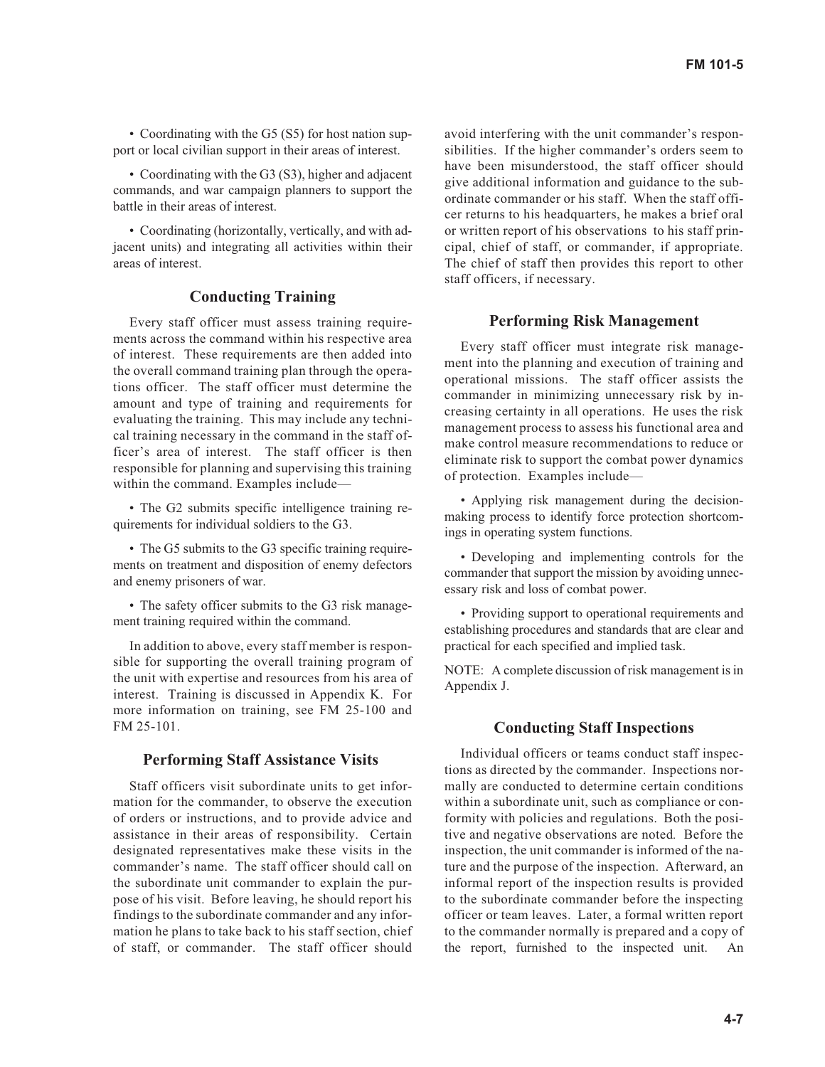• Coordinating with the G5 (S5) for host nation support or local civilian support in their areas of interest.

• Coordinating with the G3 (S3), higher and adjacent commands, and war campaign planners to support the battle in their areas of interest.

• Coordinating (horizontally, vertically, and with adjacent units) and integrating all activities within their areas of interest.

### **Conducting Training**

Every staff officer must assess training requirements across the command within his respective area of interest. These requirements are then added into the overall command training plan through the operations officer. The staff officer must determine the amount and type of training and requirements for evaluating the training. This may include any technical training necessary in the command in the staff officer's area of interest. The staff officer is then responsible for planning and supervising this training within the command. Examples include—

• The G2 submits specific intelligence training requirements for individual soldiers to the G3.

• The G5 submits to the G3 specific training requirements on treatment and disposition of enemy defectors and enemy prisoners of war.

• The safety officer submits to the G3 risk management training required within the command.

In addition to above, every staff member is responsible for supporting the overall training program of the unit with expertise and resources from his area of interest. Training is discussed in Appendix K. For more information on training, see FM 25-100 and FM 25-101.

### **Performing Staff Assistance Visits**

Staff officers visit subordinate units to get information for the commander, to observe the execution of orders or instructions, and to provide advice and assistance in their areas of responsibility. Certain designated representatives make these visits in the commander's name. The staff officer should call on the subordinate unit commander to explain the purpose of his visit. Before leaving, he should report his findings to the subordinate commander and any information he plans to take back to his staff section, chief of staff, or commander. The staff officer should

avoid interfering with the unit commander's responsibilities. If the higher commander's orders seem to have been misunderstood, the staff officer should give additional information and guidance to the subordinate commander or his staff. When the staff officer returns to his headquarters, he makes a brief oral or written report of his observations to his staff principal, chief of staff, or commander, if appropriate. The chief of staff then provides this report to other staff officers, if necessary.

### **Performing Risk Management**

Every staff officer must integrate risk management into the planning and execution of training and operational missions. The staff officer assists the commander in minimizing unnecessary risk by increasing certainty in all operations. He uses the risk management process to assess his functional area and make control measure recommendations to reduce or eliminate risk to support the combat power dynamics of protection. Examples include—

• Applying risk management during the decisionmaking process to identify force protection shortcomings in operating system functions.

• Developing and implementing controls for the commander that support the mission by avoiding unnecessary risk and loss of combat power.

• Providing support to operational requirements and establishing procedures and standards that are clear and practical for each specified and implied task.

NOTE: A complete discussion of risk management is in Appendix J.

### **Conducting Staff Inspections**

Individual officers or teams conduct staff inspections as directed by the commander. Inspections normally are conducted to determine certain conditions within a subordinate unit, such as compliance or conformity with policies and regulations. Both the positive and negative observations are noted*.* Before the inspection, the unit commander is informed of the nature and the purpose of the inspection. Afterward, an informal report of the inspection results is provided to the subordinate commander before the inspecting officer or team leaves. Later, a formal written report to the commander normally is prepared and a copy of the report, furnished to the inspected unit. An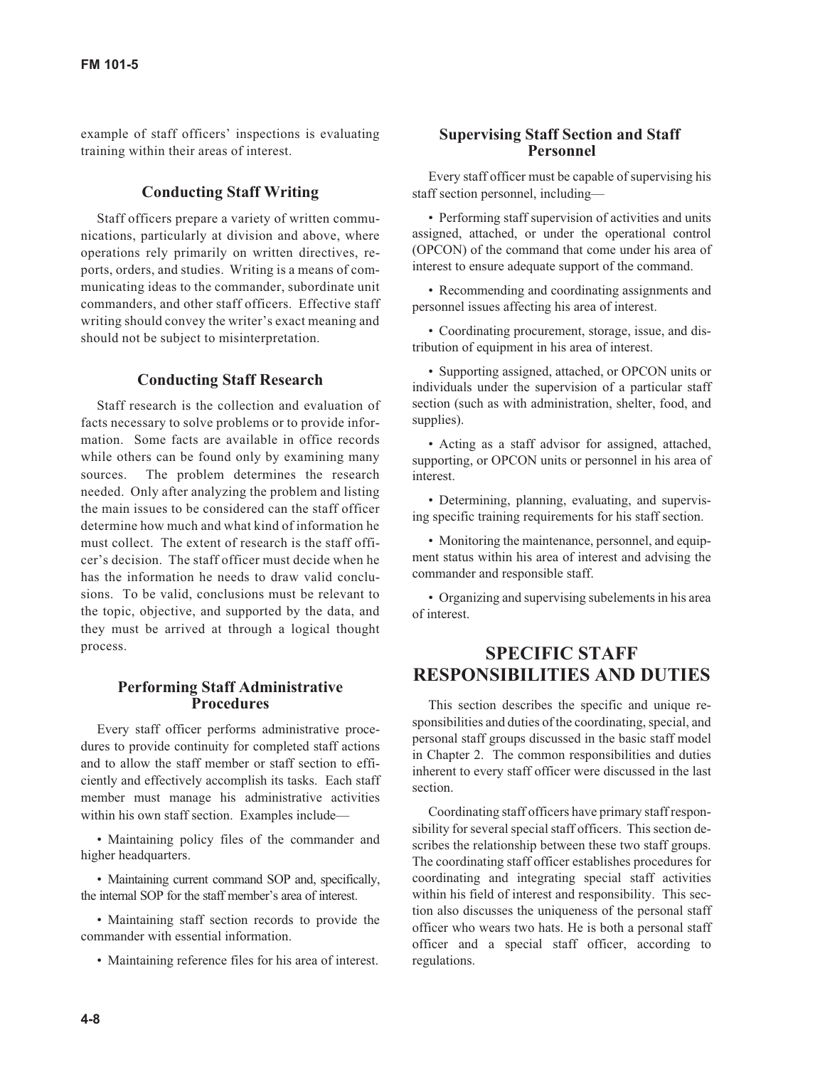example of staff officers' inspections is evaluating training within their areas of interest.

### **Conducting Staff Writing**

Staff officers prepare a variety of written communications, particularly at division and above, where operations rely primarily on written directives, reports, orders, and studies. Writing is a means of communicating ideas to the commander, subordinate unit commanders, and other staff officers. Effective staff writing should convey the writer's exact meaning and should not be subject to misinterpretation.

### **Conducting Staff Research**

Staff research is the collection and evaluation of facts necessary to solve problems or to provide information. Some facts are available in office records while others can be found only by examining many sources. The problem determines the research needed. Only after analyzing the problem and listing the main issues to be considered can the staff officer determine how much and what kind of information he must collect. The extent of research is the staff officer's decision. The staff officer must decide when he has the information he needs to draw valid conclusions. To be valid, conclusions must be relevant to the topic, objective, and supported by the data, and they must be arrived at through a logical thought process.

### **Performing Staff Administrative Procedures**

Every staff officer performs administrative procedures to provide continuity for completed staff actions and to allow the staff member or staff section to efficiently and effectively accomplish its tasks. Each staff member must manage his administrative activities within his own staff section. Examples include—

• Maintaining policy files of the commander and higher headquarters.

• Maintaining current command SOP and, specifically, the internal SOP for the staff member's area of interest.

• Maintaining staff section records to provide the commander with essential information.

• Maintaining reference files for his area of interest.

### **Supervising Staff Section and Staff Personnel**

Every staff officer must be capable of supervising his staff section personnel, including—

• Performing staff supervision of activities and units assigned, attached, or under the operational control (OPCON) of the command that come under his area of interest to ensure adequate support of the command.

• Recommending and coordinating assignments and personnel issues affecting his area of interest.

• Coordinating procurement, storage, issue, and distribution of equipment in his area of interest.

• Supporting assigned, attached, or OPCON units or individuals under the supervision of a particular staff section (such as with administration, shelter, food, and supplies).

• Acting as a staff advisor for assigned, attached, supporting, or OPCON units or personnel in his area of interest.

• Determining, planning, evaluating, and supervising specific training requirements for his staff section.

• Monitoring the maintenance, personnel, and equipment status within his area of interest and advising the commander and responsible staff.

• Organizing and supervising subelements in his area of interest.

## **SPECIFIC STAFF RESPONSIBILITIES AND DUTIES**

This section describes the specific and unique responsibilities and duties of the coordinating, special, and personal staff groups discussed in the basic staff model in Chapter 2. The common responsibilities and duties inherent to every staff officer were discussed in the last section.

Coordinating staff officers have primary staff responsibility for several special staff officers. This section describes the relationship between these two staff groups. The coordinating staff officer establishes procedures for coordinating and integrating special staff activities within his field of interest and responsibility. This section also discusses the uniqueness of the personal staff officer who wears two hats. He is both a personal staff officer and a special staff officer, according to regulations.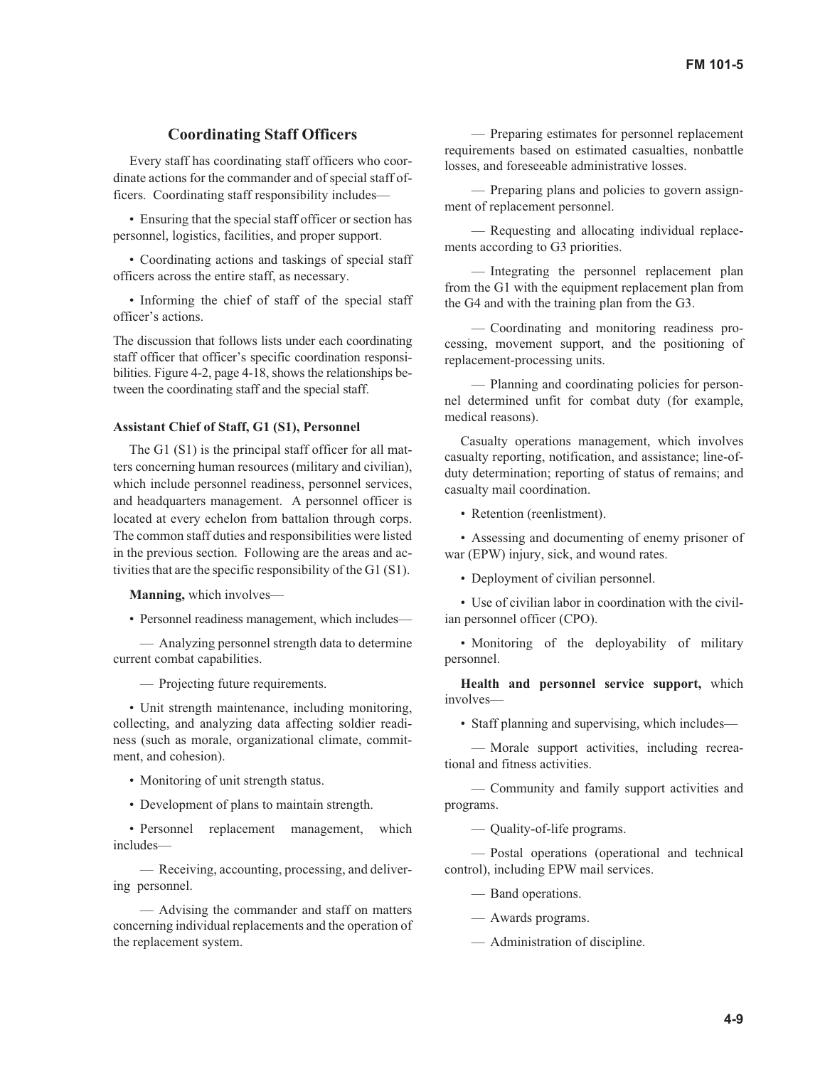### **Coordinating Staff Officers**

Every staff has coordinating staff officers who coordinate actions for the commander and of special staff officers. Coordinating staff responsibility includes—

• Ensuring that the special staff officer or section has personnel, logistics, facilities, and proper support.

• Coordinating actions and taskings of special staff officers across the entire staff, as necessary.

• Informing the chief of staff of the special staff officer's actions.

The discussion that follows lists under each coordinating staff officer that officer's specific coordination responsibilities. Figure 4-2, page 4-18, shows the relationships between the coordinating staff and the special staff.

#### **Assistant Chief of Staff, G1 (S1), Personnel**

The G1 (S1) is the principal staff officer for all matters concerning human resources (military and civilian), which include personnel readiness, personnel services, and headquarters management. A personnel officer is located at every echelon from battalion through corps. The common staff duties and responsibilities were listed in the previous section. Following are the areas and activities that are the specific responsibility of the G1 (S1).

**Manning,** which involves—

• Personnel readiness management, which includes—

— Analyzing personnel strength data to determine current combat capabilities.

— Projecting future requirements.

• Unit strength maintenance, including monitoring, collecting, and analyzing data affecting soldier readiness (such as morale, organizational climate, commitment, and cohesion).

• Monitoring of unit strength status.

• Development of plans to maintain strength.

• Personnel replacement management, which includes—

— Receiving, accounting, processing, and delivering personnel.

— Advising the commander and staff on matters concerning individual replacements and the operation of the replacement system.

— Preparing estimates for personnel replacement requirements based on estimated casualties, nonbattle losses, and foreseeable administrative losses.

— Preparing plans and policies to govern assignment of replacement personnel.

— Requesting and allocating individual replacements according to G3 priorities.

— Integrating the personnel replacement plan from the G1 with the equipment replacement plan from the G4 and with the training plan from the G3.

— Coordinating and monitoring readiness processing, movement support, and the positioning of replacement-processing units.

— Planning and coordinating policies for personnel determined unfit for combat duty (for example, medical reasons).

Casualty operations management, which involves casualty reporting, notification, and assistance; line-ofduty determination; reporting of status of remains; and casualty mail coordination.

• Retention (reenlistment).

• Assessing and documenting of enemy prisoner of war (EPW) injury, sick, and wound rates.

• Deployment of civilian personnel.

• Use of civilian labor in coordination with the civilian personnel officer (CPO).

• Monitoring of the deployability of military personnel.

**Health and personnel service support,** which involves—

• Staff planning and supervising, which includes—

— Morale support activities, including recreational and fitness activities.

— Community and family support activities and programs.

— Quality-of-life programs.

— Postal operations (operational and technical control), including EPW mail services.

— Band operations.

— Awards programs.

— Administration of discipline.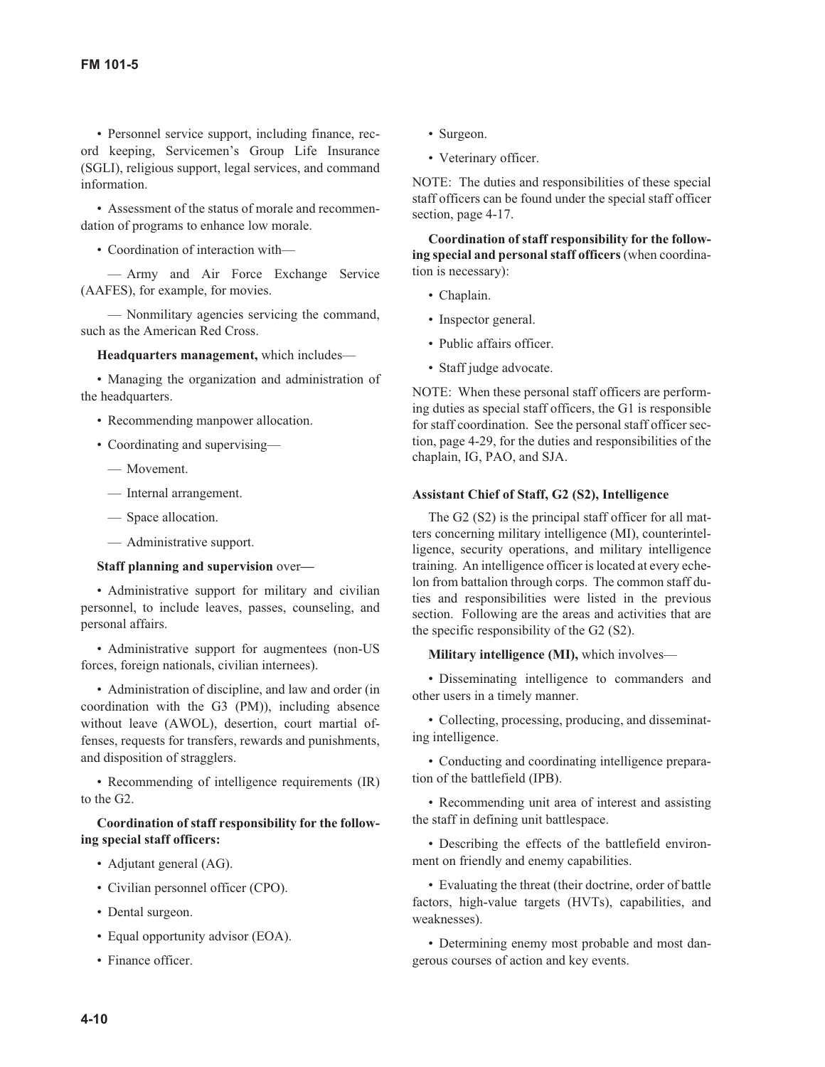• Personnel service support, including finance, record keeping, Servicemen's Group Life Insurance (SGLI), religious support, legal services, and command information.

• Assessment of the status of morale and recommendation of programs to enhance low morale.

• Coordination of interaction with—

— Army and Air Force Exchange Service (AAFES), for example, for movies.

— Nonmilitary agencies servicing the command, such as the American Red Cross.

**Headquarters management,** which includes—

• Managing the organization and administration of the headquarters.

• Recommending manpower allocation.

• Coordinating and supervising—

- Movement.
- Internal arrangement.
- Space allocation.
- Administrative support.

#### **Staff planning and supervision** over**—**

• Administrative support for military and civilian personnel, to include leaves, passes, counseling, and personal affairs.

• Administrative support for augmentees (non-US forces, foreign nationals, civilian internees).

• Administration of discipline, and law and order (in coordination with the G3 (PM)), including absence without leave (AWOL), desertion, court martial offenses, requests for transfers, rewards and punishments, and disposition of stragglers.

• Recommending of intelligence requirements (IR) to the G2.

**Coordination of staff responsibility for the following special staff officers:**

- Adjutant general (AG).
- Civilian personnel officer (CPO).
- Dental surgeon.
- Equal opportunity advisor (EOA).
- Finance officer.
- Surgeon.
- Veterinary officer.

NOTE: The duties and responsibilities of these special staff officers can be found under the special staff officer section, page 4-17.

**Coordination of staff responsibility for the following special and personal staff officers**(when coordination is necessary):

- Chaplain.
- Inspector general.
- Public affairs officer.
- Staff judge advocate.

NOTE: When these personal staff officers are performing duties as special staff officers, the G1 is responsible for staff coordination. See the personal staff officer section, page 4-29, for the duties and responsibilities of the chaplain, IG, PAO, and SJA.

#### **Assistant Chief of Staff, G2 (S2), Intelligence**

The G2 (S2) is the principal staff officer for all matters concerning military intelligence (MI), counterintelligence, security operations, and military intelligence training. An intelligence officer is located at every echelon from battalion through corps. The common staff duties and responsibilities were listed in the previous section. Following are the areas and activities that are the specific responsibility of the G2 (S2).

**Military intelligence (MI),** which involves—

• Disseminating intelligence to commanders and other users in a timely manner.

• Collecting, processing, producing, and disseminating intelligence.

• Conducting and coordinating intelligence preparation of the battlefield (IPB).

• Recommending unit area of interest and assisting the staff in defining unit battlespace.

• Describing the effects of the battlefield environment on friendly and enemy capabilities.

• Evaluating the threat (their doctrine, order of battle factors, high-value targets (HVTs), capabilities, and weaknesses).

• Determining enemy most probable and most dangerous courses of action and key events.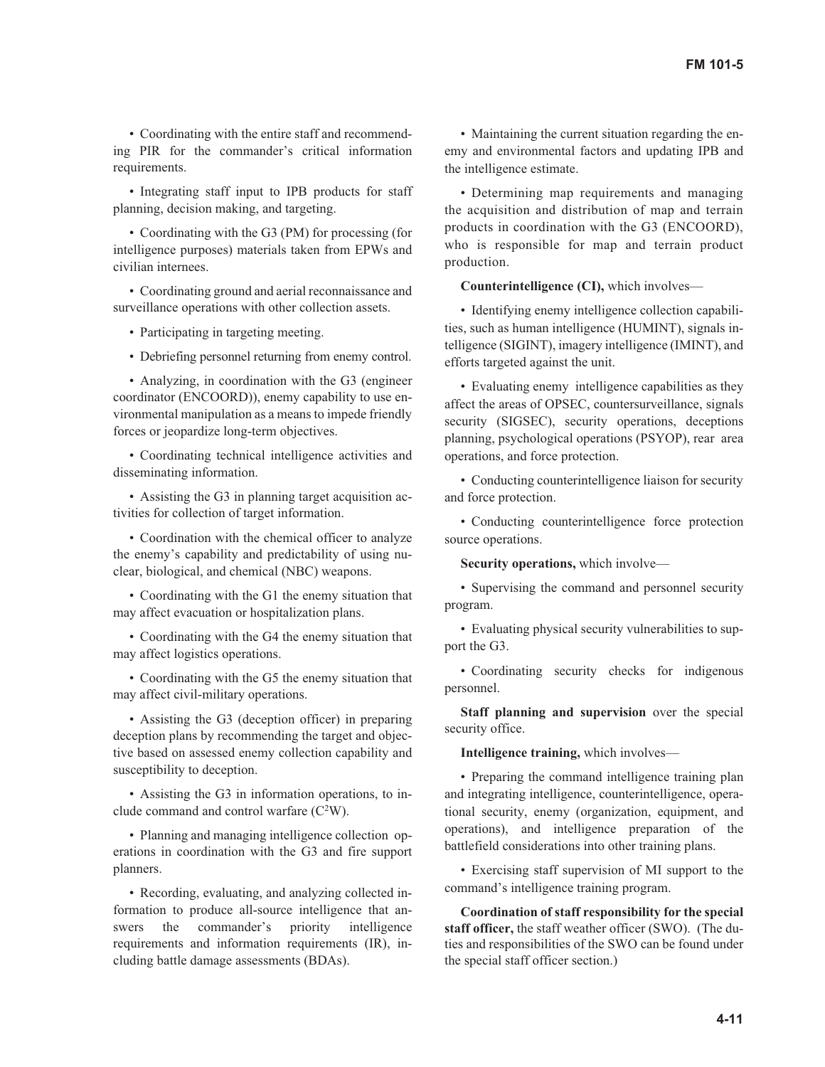• Coordinating with the entire staff and recommending PIR for the commander's critical information requirements.

• Integrating staff input to IPB products for staff planning, decision making, and targeting.

• Coordinating with the G3 (PM) for processing (for intelligence purposes) materials taken from EPWs and civilian internees.

• Coordinating ground and aerial reconnaissance and surveillance operations with other collection assets.

• Participating in targeting meeting.

• Debriefing personnel returning from enemy control.

• Analyzing, in coordination with the G3 (engineer coordinator (ENCOORD)), enemy capability to use environmental manipulation as a means to impede friendly forces or jeopardize long-term objectives.

• Coordinating technical intelligence activities and disseminating information.

• Assisting the G3 in planning target acquisition activities for collection of target information.

• Coordination with the chemical officer to analyze the enemy's capability and predictability of using nuclear, biological, and chemical (NBC) weapons.

• Coordinating with the G1 the enemy situation that may affect evacuation or hospitalization plans.

• Coordinating with the G4 the enemy situation that may affect logistics operations.

• Coordinating with the G5 the enemy situation that may affect civil-military operations.

• Assisting the G3 (deception officer) in preparing deception plans by recommending the target and objective based on assessed enemy collection capability and susceptibility to deception.

• Assisting the G3 in information operations, to include command and control warfare (C2W).

• Planning and managing intelligence collection operations in coordination with the G3 and fire support planners.

• Recording, evaluating, and analyzing collected information to produce all-source intelligence that answers the commander's priority intelligence requirements and information requirements (IR), including battle damage assessments (BDAs).

• Maintaining the current situation regarding the enemy and environmental factors and updating IPB and the intelligence estimate.

• Determining map requirements and managing the acquisition and distribution of map and terrain products in coordination with the G3 (ENCOORD), who is responsible for map and terrain product production.

#### **Counterintelligence (CI),** which involves—

• Identifying enemy intelligence collection capabilities, such as human intelligence (HUMINT), signals intelligence (SIGINT), imagery intelligence (IMINT), and efforts targeted against the unit.

• Evaluating enemy intelligence capabilities as they affect the areas of OPSEC, countersurveillance, signals security (SIGSEC), security operations, deceptions planning, psychological operations (PSYOP), rear area operations, and force protection.

• Conducting counterintelligence liaison for security and force protection.

• Conducting counterintelligence force protection source operations.

**Security operations,** which involve—

• Supervising the command and personnel security program.

• Evaluating physical security vulnerabilities to support the G3.

• Coordinating security checks for indigenous personnel.

**Staff planning and supervision** over the special security office.

**Intelligence training,** which involves—

• Preparing the command intelligence training plan and integrating intelligence, counterintelligence, operational security, enemy (organization, equipment, and operations), and intelligence preparation of the battlefield considerations into other training plans.

• Exercising staff supervision of MI support to the command's intelligence training program.

**Coordination of staff responsibility for the special staff officer,** the staff weather officer (SWO). (The duties and responsibilities of the SWO can be found under the special staff officer section.)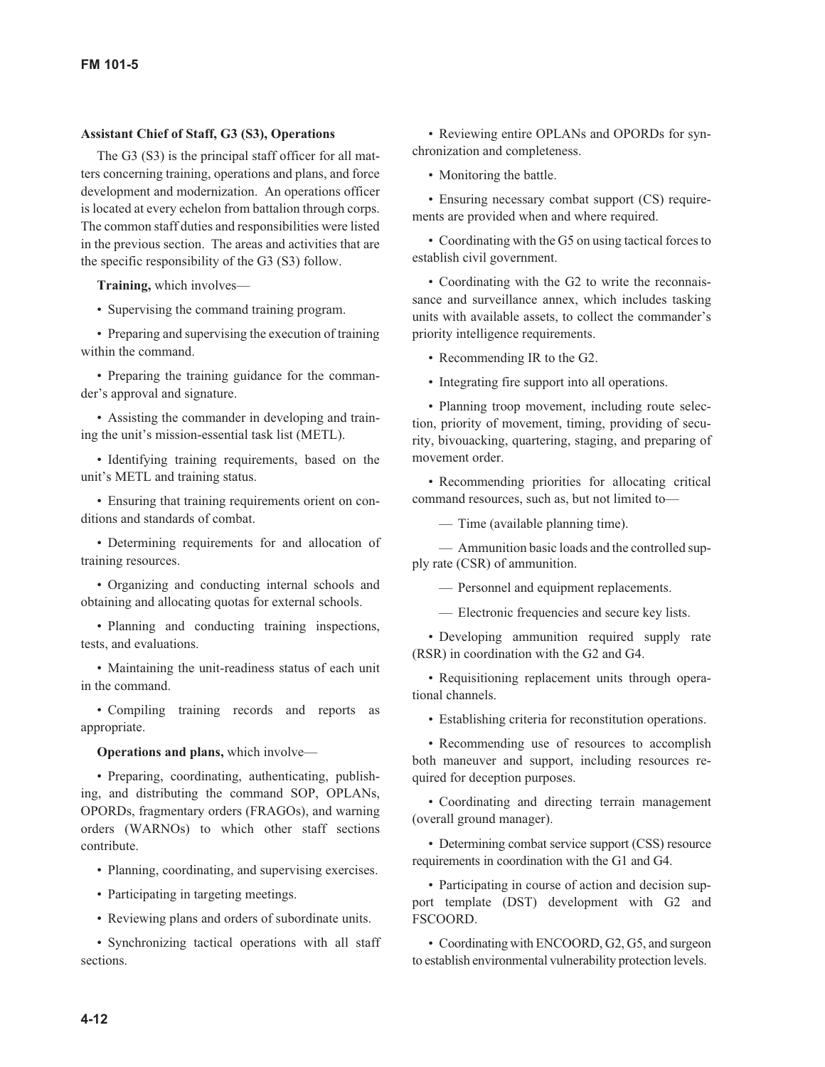### **Assistant Chief of Staff, G3 (S3), Operations**

The G3 (S3) is the principal staff officer for all matters concerning training, operations and plans, and force development and modernization. An operations officer is located at every echelon from battalion through corps. The common staff duties and responsibilities were listed in the previous section. The areas and activities that are the specific responsibility of the G3 (S3) follow.

**Training,** which involves—

• Supervising the command training program.

• Preparing and supervising the execution of training within the command.

• Preparing the training guidance for the commander's approval and signature.

• Assisting the commander in developing and training the unit's mission-essential task list (METL).

• Identifying training requirements, based on the unit's METL and training status.

• Ensuring that training requirements orient on conditions and standards of combat.

• Determining requirements for and allocation of training resources.

• Organizing and conducting internal schools and obtaining and allocating quotas for external schools.

• Planning and conducting training inspections, tests, and evaluations.

• Maintaining the unit-readiness status of each unit in the command.

• Compiling training records and reports as appropriate.

**Operations and plans,** which involve—

• Preparing, coordinating, authenticating, publishing, and distributing the command SOP, OPLANs, OPORDs, fragmentary orders (FRAGOs), and warning orders (WARNOs) to which other staff sections contribute.

- Planning, coordinating, and supervising exercises.
- Participating in targeting meetings.
- Reviewing plans and orders of subordinate units.

• Synchronizing tactical operations with all staff sections.

• Reviewing entire OPLANs and OPORDs for synchronization and completeness.

• Monitoring the battle.

• Ensuring necessary combat support (CS) requirements are provided when and where required.

• Coordinating with the G5 on using tactical forces to establish civil government.

• Coordinating with the G2 to write the reconnaissance and surveillance annex, which includes tasking units with available assets, to collect the commander's priority intelligence requirements.

• Recommending IR to the G2.

• Integrating fire support into all operations.

• Planning troop movement, including route selection, priority of movement, timing, providing of security, bivouacking, quartering, staging, and preparing of movement order.

• Recommending priorities for allocating critical command resources, such as, but not limited to—

— Time (available planning time).

— Ammunition basic loads and the controlled supply rate (CSR) of ammunition.

— Personnel and equipment replacements.

— Electronic frequencies and secure key lists.

• Developing ammunition required supply rate (RSR) in coordination with the G2 and G4.

• Requisitioning replacement units through operational channels.

• Establishing criteria for reconstitution operations.

• Recommending use of resources to accomplish both maneuver and support, including resources required for deception purposes.

• Coordinating and directing terrain management (overall ground manager).

• Determining combat service support (CSS) resource requirements in coordination with the G1 and G4.

• Participating in course of action and decision support template (DST) development with G2 and FSCOORD.

• Coordinating with ENCOORD, G2, G5, and surgeon to establish environmental vulnerability protection levels.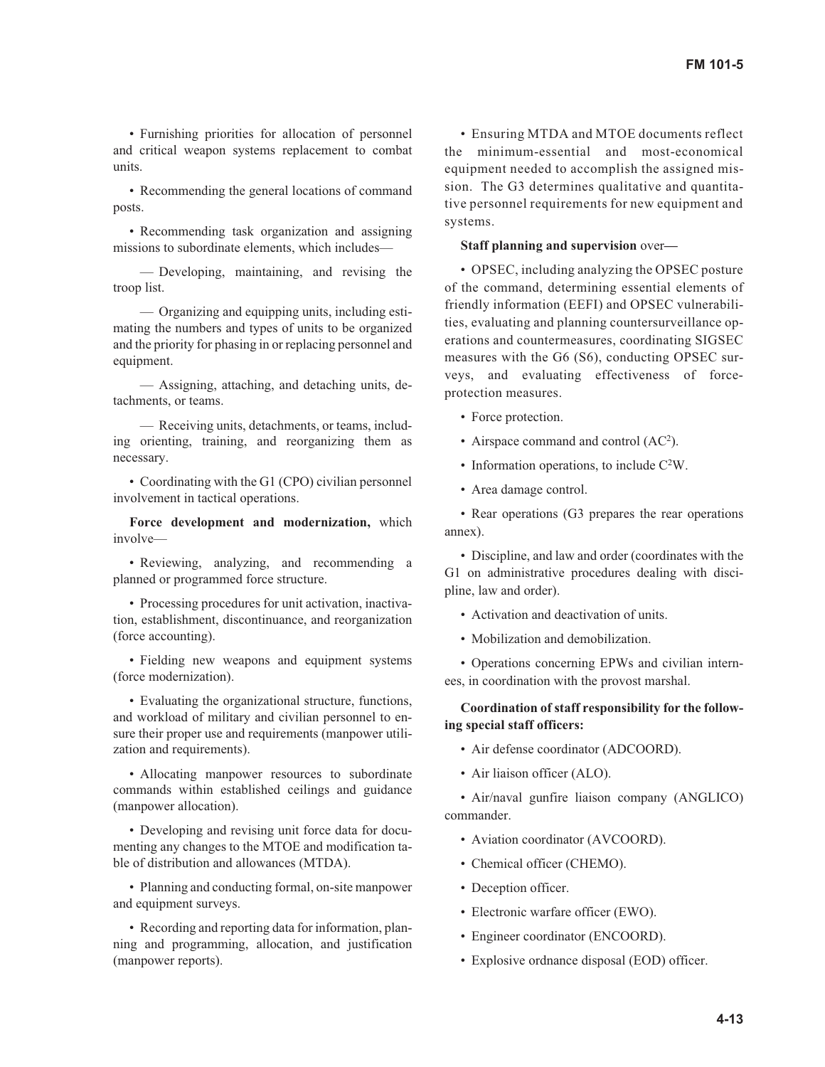• Furnishing priorities for allocation of personnel and critical weapon systems replacement to combat units.

• Recommending the general locations of command posts.

• Recommending task organization and assigning missions to subordinate elements, which includes—

— Developing, maintaining, and revising the troop list.

— Organizing and equipping units, including estimating the numbers and types of units to be organized and the priority for phasing in or replacing personnel and equipment.

— Assigning, attaching, and detaching units, detachments, or teams.

— Receiving units, detachments, or teams, including orienting, training, and reorganizing them as necessary.

• Coordinating with the G1 (CPO) civilian personnel involvement in tactical operations.

**Force development and modernization,** which involve—

• Reviewing, analyzing, and recommending a planned or programmed force structure.

• Processing procedures for unit activation, inactivation, establishment, discontinuance, and reorganization (force accounting).

• Fielding new weapons and equipment systems (force modernization).

• Evaluating the organizational structure, functions, and workload of military and civilian personnel to ensure their proper use and requirements (manpower utilization and requirements).

• Allocating manpower resources to subordinate commands within established ceilings and guidance (manpower allocation).

• Developing and revising unit force data for documenting any changes to the MTOE and modification table of distribution and allowances (MTDA).

• Planning and conducting formal, on-site manpower and equipment surveys.

• Recording and reporting data for information, planning and programming, allocation, and justification (manpower reports).

• Ensuring MTDA and MTOE documents reflect the minimum-essential and most-economical equipment needed to accomplish the assigned mission. The G3 determines qualitative and quantitative personnel requirements for new equipment and systems.

# **Staff planning and supervision** over*—*

• OPSEC, including analyzing the OPSEC posture of the command, determining essential elements of friendly information (EEFI) and OPSEC vulnerabilities, evaluating and planning countersurveillance operations and countermeasures, coordinating SIGSEC measures with the G6 (S6), conducting OPSEC surveys, and evaluating effectiveness of forceprotection measures.

- Force protection.
- Airspace command and control (AC<sup>2</sup>).
- Information operations, to include  $C^2W$ .
- Area damage control.

• Rear operations (G3 prepares the rear operations annex).

• Discipline, and law and order (coordinates with the G1 on administrative procedures dealing with discipline, law and order).

- Activation and deactivation of units.
- Mobilization and demobilization.

• Operations concerning EPWs and civilian internees, in coordination with the provost marshal.

**Coordination of staff responsibility for the following special staff officers:**

- Air defense coordinator (ADCOORD).
- Air liaison officer (ALO).

• Air/naval gunfire liaison company (ANGLICO) commander.

- Aviation coordinator (AVCOORD).
- Chemical officer (CHEMO).
- Deception officer.
- Electronic warfare officer (EWO).
- Engineer coordinator (ENCOORD).
- Explosive ordnance disposal (EOD) officer.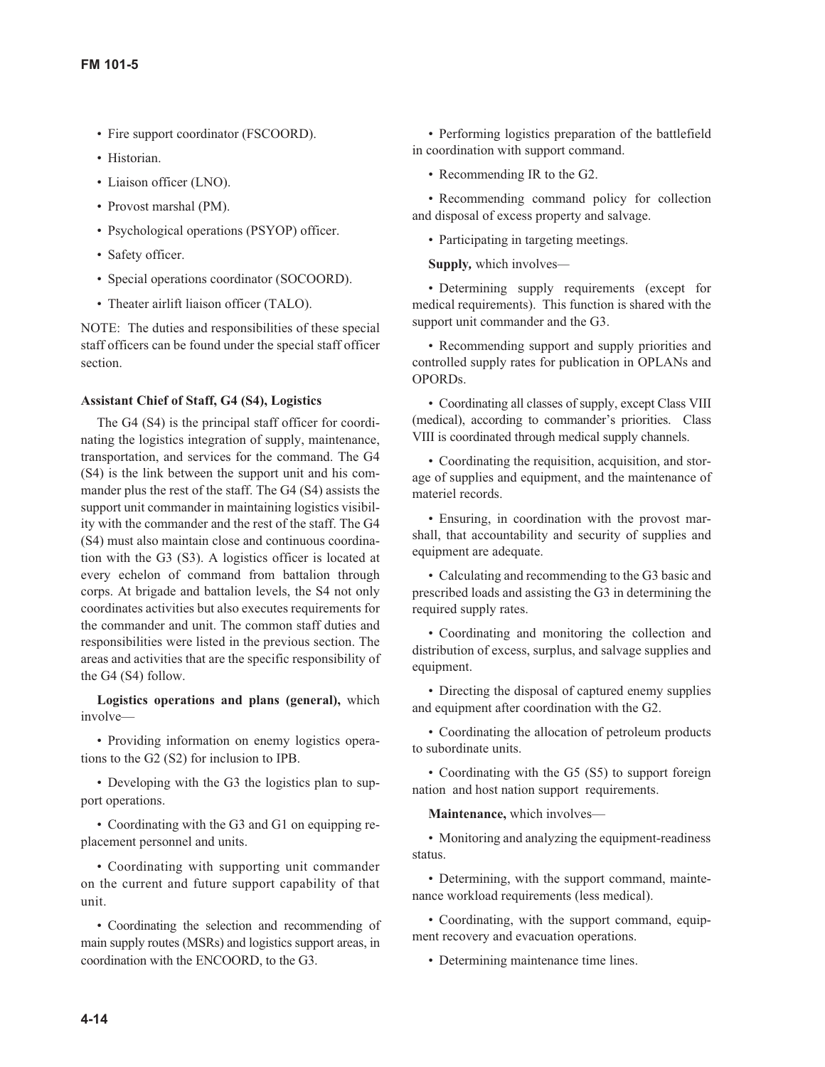- Fire support coordinator (FSCOORD).
- Historian.
- Liaison officer (LNO).
- Provost marshal (PM).
- Psychological operations (PSYOP) officer.
- Safety officer.
- Special operations coordinator (SOCOORD).
- Theater airlift liaison officer (TALO).

NOTE: The duties and responsibilities of these special staff officers can be found under the special staff officer section.

# **Assistant Chief of Staff, G4 (S4), Logistics**

The G4 (S4) is the principal staff officer for coordinating the logistics integration of supply, maintenance, transportation, and services for the command. The G4 (S4) is the link between the support unit and his commander plus the rest of the staff. The G4 (S4) assists the support unit commander in maintaining logistics visibility with the commander and the rest of the staff. The G4 (S4) must also maintain close and continuous coordination with the G3 (S3). A logistics officer is located at every echelon of command from battalion through corps. At brigade and battalion levels, the S4 not only coordinates activities but also executes requirements for the commander and unit. The common staff duties and responsibilities were listed in the previous section. The areas and activities that are the specific responsibility of the G4 (S4) follow.

**Logistics operations and plans (general),** which involve—

• Providing information on enemy logistics operations to the G2 (S2) for inclusion to IPB.

• Developing with the G3 the logistics plan to support operations.

• Coordinating with the G3 and G1 on equipping replacement personnel and units.

• Coordinating with supporting unit commander on the current and future support capability of that unit.

• Coordinating the selection and recommending of main supply routes (MSRs) and logistics support areas, in coordination with the ENCOORD, to the G3.

• Performing logistics preparation of the battlefield in coordination with support command.

• Recommending IR to the G2.

• Recommending command policy for collection and disposal of excess property and salvage.

• Participating in targeting meetings.

**Supply***,* which involves*—*

• Determining supply requirements (except for medical requirements). This function is shared with the support unit commander and the G3.

• Recommending support and supply priorities and controlled supply rates for publication in OPLANs and OPORDs.

• Coordinating all classes of supply, except Class VIII (medical), according to commander's priorities. Class VIII is coordinated through medical supply channels.

• Coordinating the requisition, acquisition, and storage of supplies and equipment, and the maintenance of materiel records.

• Ensuring, in coordination with the provost marshall, that accountability and security of supplies and equipment are adequate.

• Calculating and recommending to the G3 basic and prescribed loads and assisting the G3 in determining the required supply rates.

• Coordinating and monitoring the collection and distribution of excess, surplus, and salvage supplies and equipment.

• Directing the disposal of captured enemy supplies and equipment after coordination with the G2.

• Coordinating the allocation of petroleum products to subordinate units.

• Coordinating with the G5 (S5) to support foreign nation and host nation support requirements.

**Maintenance,** which involves—

• Monitoring and analyzing the equipment-readiness status.

• Determining, with the support command, maintenance workload requirements (less medical).

• Coordinating, with the support command, equipment recovery and evacuation operations.

• Determining maintenance time lines.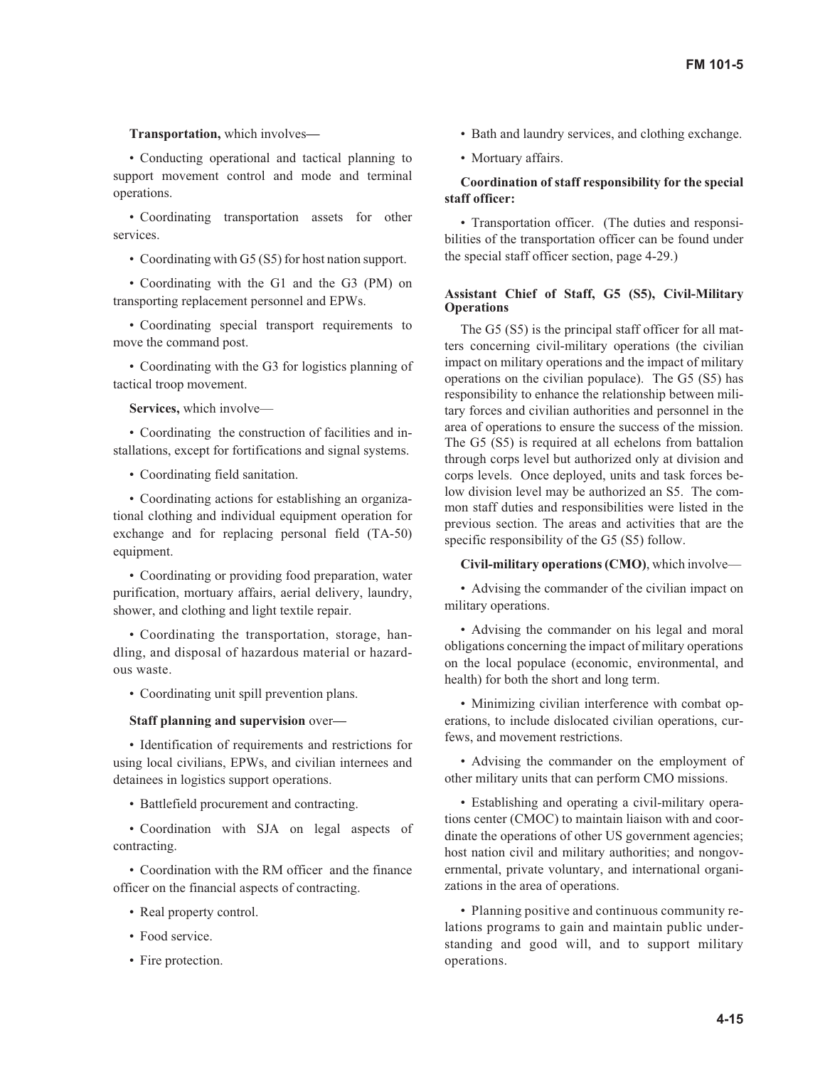## **Transportation,** which involves**—**

• Conducting operational and tactical planning to support movement control and mode and terminal operations.

• Coordinating transportation assets for other services.

• Coordinating with G5 (S5) for host nation support.

• Coordinating with the G1 and the G3 (PM) on transporting replacement personnel and EPWs.

• Coordinating special transport requirements to move the command post.

• Coordinating with the G3 for logistics planning of tactical troop movement.

**Services,** which involve—

• Coordinating the construction of facilities and installations, except for fortifications and signal systems.

• Coordinating field sanitation.

• Coordinating actions for establishing an organizational clothing and individual equipment operation for exchange and for replacing personal field (TA-50) equipment.

• Coordinating or providing food preparation, water purification, mortuary affairs, aerial delivery, laundry, shower, and clothing and light textile repair.

• Coordinating the transportation, storage, handling, and disposal of hazardous material or hazardous waste.

• Coordinating unit spill prevention plans.

#### **Staff planning and supervision** over*—*

• Identification of requirements and restrictions for using local civilians, EPWs, and civilian internees and detainees in logistics support operations.

• Battlefield procurement and contracting.

• Coordination with SJA on legal aspects of contracting.

• Coordination with the RM officer and the finance officer on the financial aspects of contracting.

- Real property control.
- Food service.
- Fire protection.
- Bath and laundry services, and clothing exchange.
- Mortuary affairs.

# **Coordination of staff responsibility for the special staff officer:**

• Transportation officer. (The duties and responsibilities of the transportation officer can be found under the special staff officer section, page 4-29.)

# **Assistant Chief of Staff, G5 (S5), Civil-Military Operations**

The G5 (S5) is the principal staff officer for all matters concerning civil-military operations (the civilian impact on military operations and the impact of military operations on the civilian populace). The G5 (S5) has responsibility to enhance the relationship between military forces and civilian authorities and personnel in the area of operations to ensure the success of the mission. The G5 (S5) is required at all echelons from battalion through corps level but authorized only at division and corps levels. Once deployed, units and task forces below division level may be authorized an S5. The common staff duties and responsibilities were listed in the previous section. The areas and activities that are the specific responsibility of the G5 (S5) follow.

#### **Civil-military operations (CMO)**, which involve—

• Advising the commander of the civilian impact on military operations.

• Advising the commander on his legal and moral obligations concerning the impact of military operations on the local populace (economic, environmental, and health) for both the short and long term.

• Minimizing civilian interference with combat operations, to include dislocated civilian operations, curfews, and movement restrictions.

• Advising the commander on the employment of other military units that can perform CMO missions.

• Establishing and operating a civil-military operations center (CMOC) to maintain liaison with and coordinate the operations of other US government agencies; host nation civil and military authorities; and nongovernmental, private voluntary, and international organizations in the area of operations.

• Planning positive and continuous community relations programs to gain and maintain public understanding and good will, and to support military operations.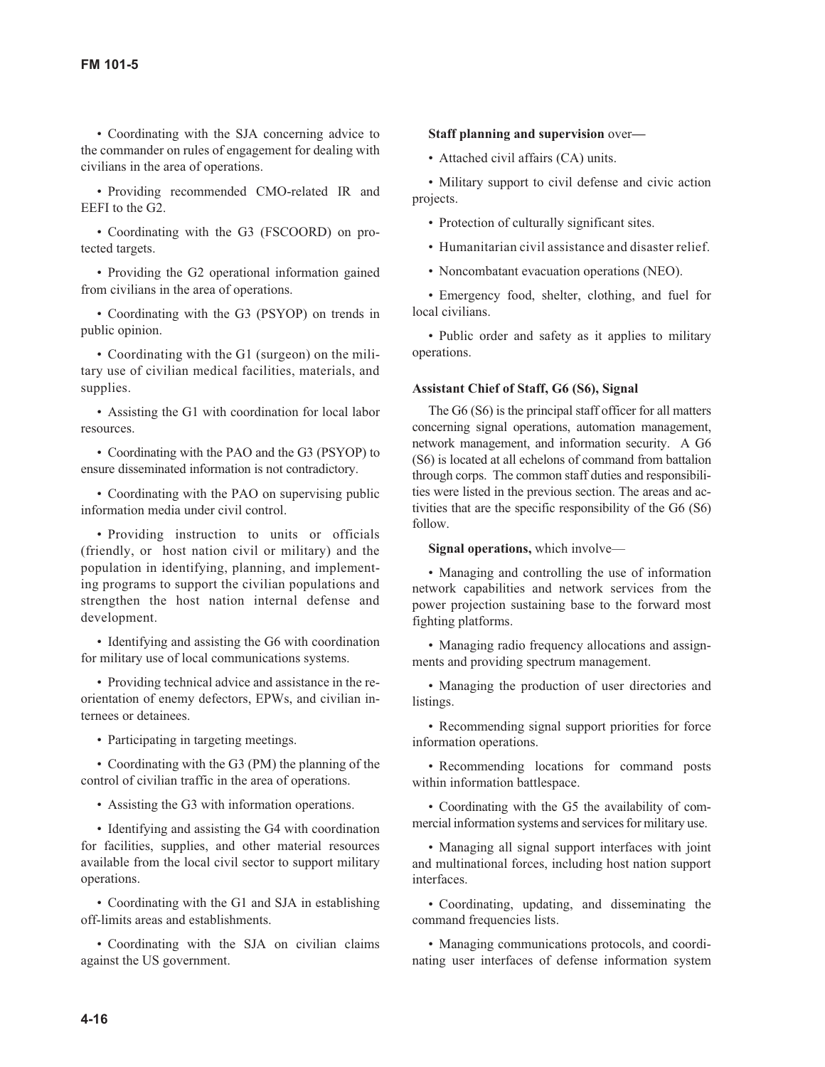• Coordinating with the SJA concerning advice to the commander on rules of engagement for dealing with civilians in the area of operations.

• Providing recommended CMO-related IR and EEFI to the G2.

• Coordinating with the G3 (FSCOORD) on protected targets.

• Providing the G2 operational information gained from civilians in the area of operations.

• Coordinating with the G3 (PSYOP) on trends in public opinion.

• Coordinating with the G1 (surgeon) on the military use of civilian medical facilities, materials, and supplies.

• Assisting the G1 with coordination for local labor resources.

• Coordinating with the PAO and the G3 (PSYOP) to ensure disseminated information is not contradictory.

• Coordinating with the PAO on supervising public information media under civil control.

• Providing instruction to units or officials (friendly, or host nation civil or military) and the population in identifying, planning, and implementing programs to support the civilian populations and strengthen the host nation internal defense and development.

• Identifying and assisting the G6 with coordination for military use of local communications systems.

• Providing technical advice and assistance in the reorientation of enemy defectors, EPWs, and civilian internees or detainees.

• Participating in targeting meetings.

• Coordinating with the G3 (PM) the planning of the control of civilian traffic in the area of operations.

• Assisting the G3 with information operations.

• Identifying and assisting the G4 with coordination for facilities, supplies, and other material resources available from the local civil sector to support military operations.

• Coordinating with the G1 and SJA in establishing off-limits areas and establishments.

• Coordinating with the SJA on civilian claims against the US government.

#### **Staff planning and supervision** over*—*

• Attached civil affairs (CA) units.

• Military support to civil defense and civic action projects.

- Protection of culturally significant sites.
- Humanitarian civil assistance and disaster relief.
- Noncombatant evacuation operations (NEO).

• Emergency food, shelter, clothing, and fuel for local civilians.

• Public order and safety as it applies to military operations.

# **Assistant Chief of Staff, G6 (S6), Signal**

The G6 (S6) is the principal staff officer for all matters concerning signal operations, automation management, network management, and information security. A G6 (S6) is located at all echelons of command from battalion through corps. The common staff duties and responsibilities were listed in the previous section. The areas and activities that are the specific responsibility of the G6 (S6) follow.

**Signal operations,** which involve—

• Managing and controlling the use of information network capabilities and network services from the power projection sustaining base to the forward most fighting platforms.

• Managing radio frequency allocations and assignments and providing spectrum management.

• Managing the production of user directories and listings.

• Recommending signal support priorities for force information operations.

• Recommending locations for command posts within information battlespace.

• Coordinating with the G5 the availability of commercial information systems and services for military use.

• Managing all signal support interfaces with joint and multinational forces, including host nation support interfaces.

• Coordinating, updating, and disseminating the command frequencies lists.

• Managing communications protocols, and coordinating user interfaces of defense information system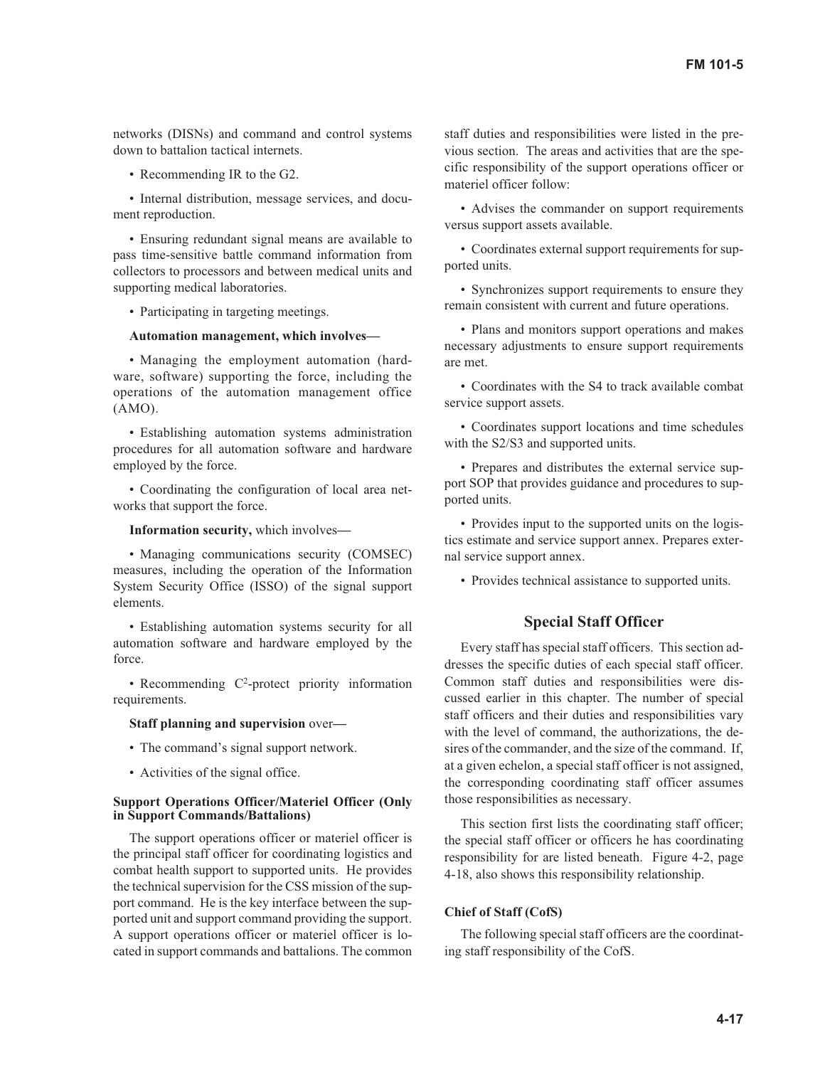networks (DISNs) and command and control systems down to battalion tactical internets.

• Recommending IR to the G2.

• Internal distribution, message services, and document reproduction.

• Ensuring redundant signal means are available to pass time-sensitive battle command information from collectors to processors and between medical units and supporting medical laboratories.

• Participating in targeting meetings.

**Automation management, which involves—**

• Managing the employment automation (hardware, software) supporting the force, including the operations of the automation management office (AMO).

• Establishing automation systems administration procedures for all automation software and hardware employed by the force.

• Coordinating the configuration of local area networks that support the force.

**Information security,** which involves*—*

• Managing communications security (COMSEC) measures, including the operation of the Information System Security Office (ISSO) of the signal support elements.

• Establishing automation systems security for all automation software and hardware employed by the force.

• Recommending C<sup>2</sup>-protect priority information requirements.

#### **Staff planning and supervision** over*—*

- The command's signal support network.
- Activities of the signal office.

#### **Support Operations Officer/Materiel Officer (Only in Support Commands/Battalions)**

The support operations officer or materiel officer is the principal staff officer for coordinating logistics and combat health support to supported units. He provides the technical supervision for the CSS mission of the support command. He is the key interface between the supported unit and support command providing the support. A support operations officer or materiel officer is located in support commands and battalions. The common

staff duties and responsibilities were listed in the previous section. The areas and activities that are the specific responsibility of the support operations officer or materiel officer follow:

• Advises the commander on support requirements versus support assets available.

• Coordinates external support requirements for supported units.

• Synchronizes support requirements to ensure they remain consistent with current and future operations.

• Plans and monitors support operations and makes necessary adjustments to ensure support requirements are met.

• Coordinates with the S4 to track available combat service support assets.

• Coordinates support locations and time schedules with the S2/S3 and supported units.

• Prepares and distributes the external service support SOP that provides guidance and procedures to supported units.

• Provides input to the supported units on the logistics estimate and service support annex. Prepares external service support annex.

• Provides technical assistance to supported units.

# **Special Staff Officer**

Every staff has special staff officers. This section addresses the specific duties of each special staff officer. Common staff duties and responsibilities were discussed earlier in this chapter. The number of special staff officers and their duties and responsibilities vary with the level of command, the authorizations, the desires of the commander, and the size of the command. If, at a given echelon, a special staff officer is not assigned, the corresponding coordinating staff officer assumes those responsibilities as necessary.

This section first lists the coordinating staff officer; the special staff officer or officers he has coordinating responsibility for are listed beneath. Figure 4-2, page 4-18, also shows this responsibility relationship.

#### **Chief of Staff (CofS)**

The following special staff officers are the coordinating staff responsibility of the CofS.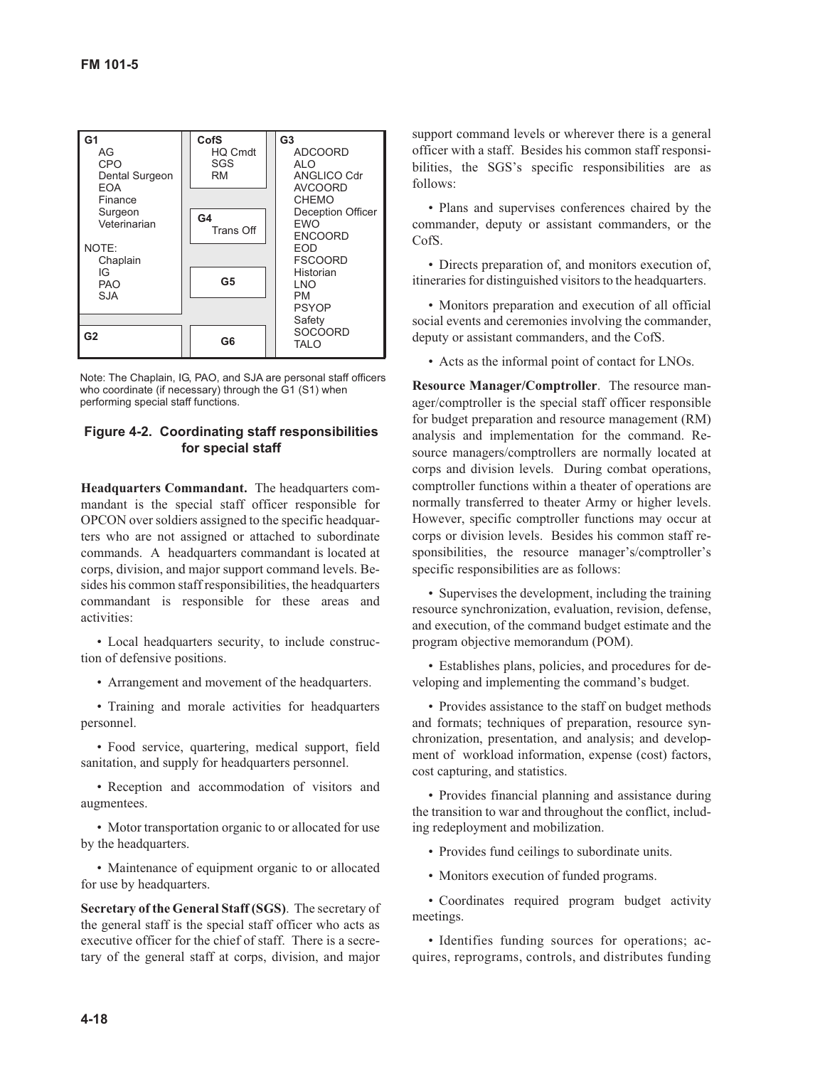

Note: The Chaplain, IG, PAO, and SJA are personal staff officers who coordinate (if necessary) through the G1 (S1) when performing special staff functions.

# **Figure 4-2. Coordinating staff responsibilities for special staff**

**Headquarters Commandant.** The headquarters commandant is the special staff officer responsible for OPCON over soldiers assigned to the specific headquarters who are not assigned or attached to subordinate commands. A headquarters commandant is located at corps, division, and major support command levels. Besides his common staff responsibilities, the headquarters commandant is responsible for these areas and activities:

• Local headquarters security, to include construction of defensive positions.

• Arrangement and movement of the headquarters.

• Training and morale activities for headquarters personnel.

• Food service, quartering, medical support, field sanitation, and supply for headquarters personnel.

• Reception and accommodation of visitors and augmentees.

• Motor transportation organic to or allocated for use by the headquarters.

• Maintenance of equipment organic to or allocated for use by headquarters.

**Secretary of the General Staff (SGS)**. The secretary of the general staff is the special staff officer who acts as executive officer for the chief of staff. There is a secretary of the general staff at corps, division, and major support command levels or wherever there is a general officer with a staff. Besides his common staff responsibilities, the SGS's specific responsibilities are as follows:

• Plans and supervises conferences chaired by the commander, deputy or assistant commanders, or the CofS.

• Directs preparation of, and monitors execution of, itineraries for distinguished visitors to the headquarters.

• Monitors preparation and execution of all official social events and ceremonies involving the commander, deputy or assistant commanders, and the CofS.

• Acts as the informal point of contact for LNOs.

**Resource Manager/Comptroller**. The resource manager/comptroller is the special staff officer responsible for budget preparation and resource management (RM) analysis and implementation for the command. Resource managers/comptrollers are normally located at corps and division levels. During combat operations, comptroller functions within a theater of operations are normally transferred to theater Army or higher levels. However, specific comptroller functions may occur at corps or division levels. Besides his common staff responsibilities, the resource manager's/comptroller's specific responsibilities are as follows:

• Supervises the development, including the training resource synchronization, evaluation, revision, defense, and execution, of the command budget estimate and the program objective memorandum (POM).

• Establishes plans, policies, and procedures for developing and implementing the command's budget.

• Provides assistance to the staff on budget methods and formats; techniques of preparation, resource synchronization, presentation, and analysis; and development of workload information, expense (cost) factors, cost capturing, and statistics.

• Provides financial planning and assistance during the transition to war and throughout the conflict, including redeployment and mobilization.

- Provides fund ceilings to subordinate units.
- Monitors execution of funded programs.

• Coordinates required program budget activity meetings.

• Identifies funding sources for operations; acquires, reprograms, controls, and distributes funding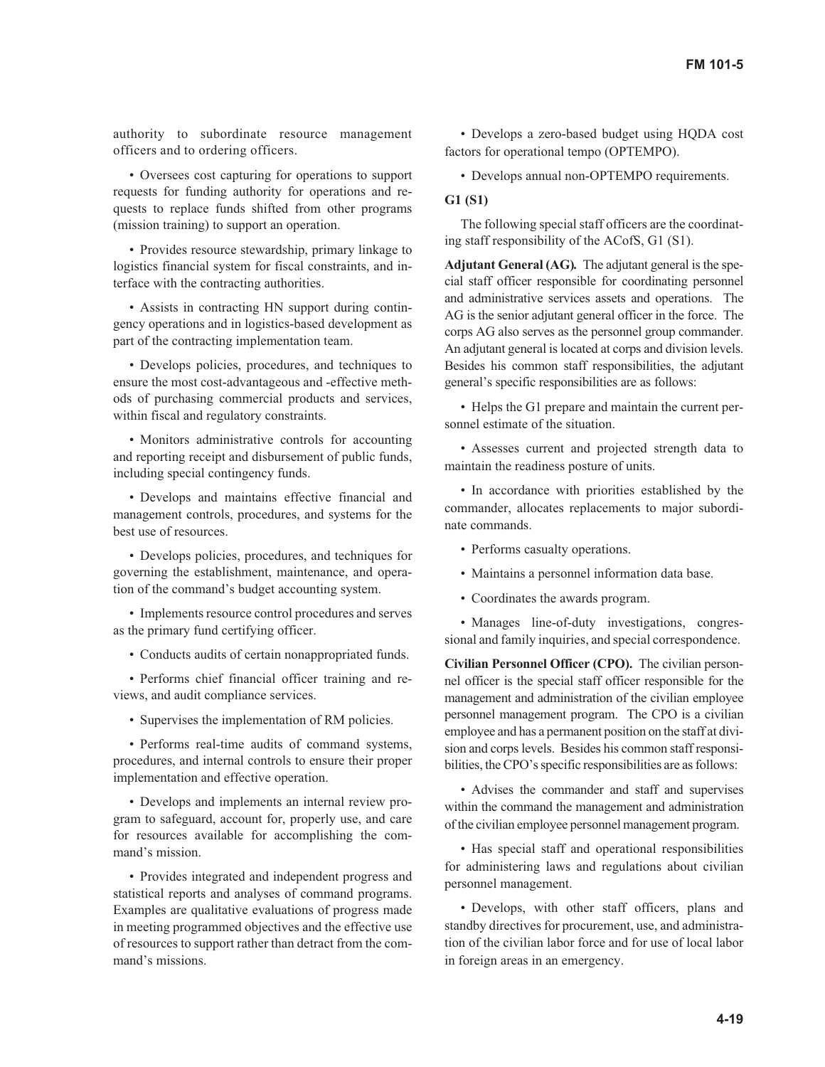authority to subordinate resource management officers and to ordering officers.

• Oversees cost capturing for operations to support requests for funding authority for operations and requests to replace funds shifted from other programs (mission training) to support an operation.

• Provides resource stewardship, primary linkage to logistics financial system for fiscal constraints, and interface with the contracting authorities.

• Assists in contracting HN support during contingency operations and in logistics-based development as part of the contracting implementation team.

• Develops policies, procedures, and techniques to ensure the most cost-advantageous and -effective methods of purchasing commercial products and services, within fiscal and regulatory constraints.

• Monitors administrative controls for accounting and reporting receipt and disbursement of public funds, including special contingency funds.

• Develops and maintains effective financial and management controls, procedures, and systems for the best use of resources.

• Develops policies, procedures, and techniques for governing the establishment, maintenance, and operation of the command's budget accounting system.

• Implements resource control procedures and serves as the primary fund certifying officer.

• Conducts audits of certain nonappropriated funds.

• Performs chief financial officer training and reviews, and audit compliance services.

• Supervises the implementation of RM policies.

• Performs real-time audits of command systems, procedures, and internal controls to ensure their proper implementation and effective operation.

• Develops and implements an internal review program to safeguard, account for, properly use, and care for resources available for accomplishing the command's mission.

• Provides integrated and independent progress and statistical reports and analyses of command programs. Examples are qualitative evaluations of progress made in meeting programmed objectives and the effective use of resources to support rather than detract from the command's missions.

• Develops a zero-based budget using HQDA cost factors for operational tempo (OPTEMPO).

• Develops annual non-OPTEMPO requirements.

# **G1 (S1)**

The following special staff officers are the coordinating staff responsibility of the ACofS, G1 (S1).

**Adjutant General (AG)***.* The adjutant general is the special staff officer responsible for coordinating personnel and administrative services assets and operations. The AG is the senior adjutant general officer in the force. The corps AG also serves as the personnel group commander. An adjutant general is located at corps and division levels. Besides his common staff responsibilities, the adjutant general's specific responsibilities are as follows:

• Helps the G1 prepare and maintain the current personnel estimate of the situation.

• Assesses current and projected strength data to maintain the readiness posture of units.

• In accordance with priorities established by the commander, allocates replacements to major subordinate commands.

- Performs casualty operations.
- Maintains a personnel information data base.
- Coordinates the awards program.

• Manages line-of-duty investigations, congressional and family inquiries, and special correspondence.

**Civilian Personnel Officer (CPO).** The civilian personnel officer is the special staff officer responsible for the management and administration of the civilian employee personnel management program. The CPO is a civilian employee and has a permanent position on the staff at division and corps levels. Besides his common staff responsibilities, the CPO's specific responsibilities are as follows:

• Advises the commander and staff and supervises within the command the management and administration of the civilian employee personnel management program.

• Has special staff and operational responsibilities for administering laws and regulations about civilian personnel management.

• Develops, with other staff officers, plans and standby directives for procurement, use, and administration of the civilian labor force and for use of local labor in foreign areas in an emergency.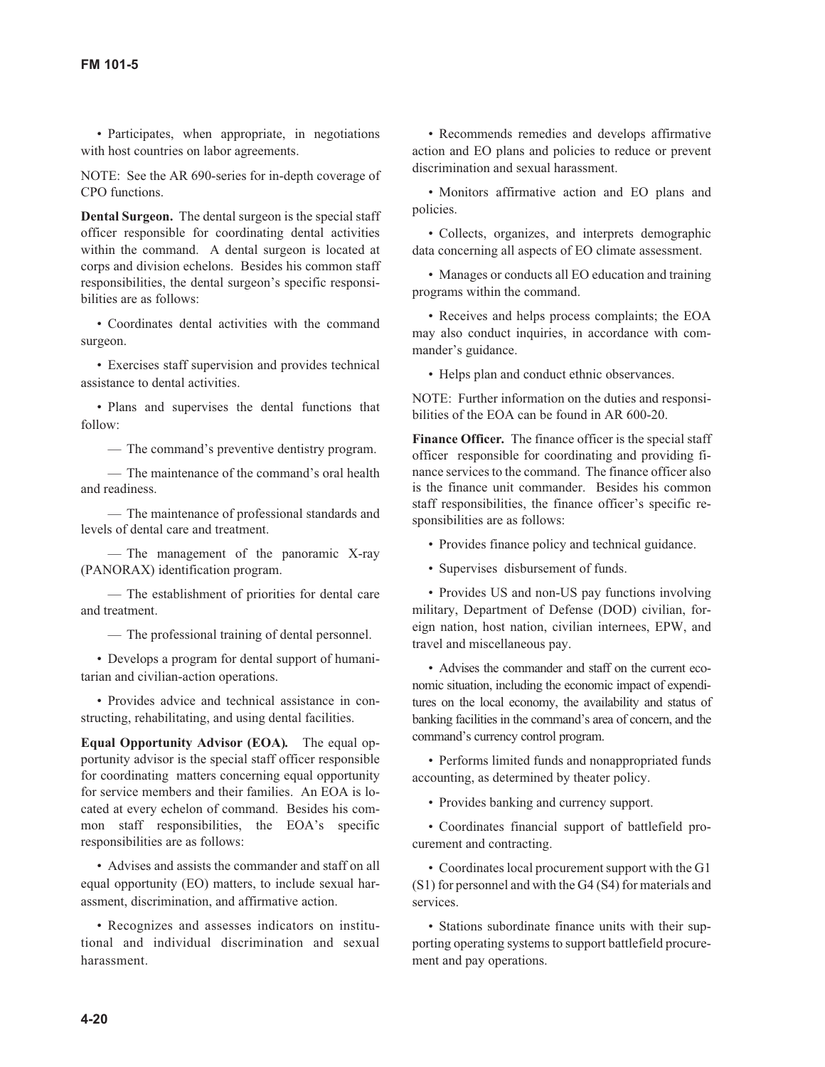• Participates, when appropriate, in negotiations with host countries on labor agreements.

NOTE: See the AR 690-series for in-depth coverage of CPO functions.

**Dental Surgeon.** The dental surgeon is the special staff officer responsible for coordinating dental activities within the command. A dental surgeon is located at corps and division echelons. Besides his common staff responsibilities, the dental surgeon's specific responsibilities are as follows:

• Coordinates dental activities with the command surgeon.

• Exercises staff supervision and provides technical assistance to dental activities.

• Plans and supervises the dental functions that follow:

— The command's preventive dentistry program.

— The maintenance of the command's oral health and readiness.

— The maintenance of professional standards and levels of dental care and treatment.

— The management of the panoramic X-ray (PANORAX) identification program.

— The establishment of priorities for dental care and treatment.

— The professional training of dental personnel.

• Develops a program for dental support of humanitarian and civilian-action operations.

• Provides advice and technical assistance in constructing, rehabilitating, and using dental facilities.

**Equal Opportunity Advisor (EOA)***.* The equal opportunity advisor is the special staff officer responsible for coordinating matters concerning equal opportunity for service members and their families. An EOA is located at every echelon of command. Besides his common staff responsibilities, the EOA's specific responsibilities are as follows:

• Advises and assists the commander and staff on all equal opportunity (EO) matters, to include sexual harassment, discrimination, and affirmative action.

• Recognizes and assesses indicators on institutional and individual discrimination and sexual harassment.

• Recommends remedies and develops affirmative action and EO plans and policies to reduce or prevent discrimination and sexual harassment.

• Monitors affirmative action and EO plans and policies.

• Collects, organizes, and interprets demographic data concerning all aspects of EO climate assessment.

• Manages or conducts all EO education and training programs within the command.

• Receives and helps process complaints; the EOA may also conduct inquiries, in accordance with commander's guidance.

• Helps plan and conduct ethnic observances.

NOTE: Further information on the duties and responsibilities of the EOA can be found in AR 600-20.

**Finance Officer***.* The finance officer is the special staff officer responsible for coordinating and providing finance services to the command. The finance officer also is the finance unit commander. Besides his common staff responsibilities, the finance officer's specific responsibilities are as follows:

• Provides finance policy and technical guidance.

• Supervises disbursement of funds.

• Provides US and non-US pay functions involving military, Department of Defense (DOD) civilian, foreign nation, host nation, civilian internees, EPW, and travel and miscellaneous pay.

• Advises the commander and staff on the current economic situation, including the economic impact of expenditures on the local economy, the availability and status of banking facilities in the command's area of concern, and the command's currency control program.

• Performs limited funds and nonappropriated funds accounting, as determined by theater policy.

• Provides banking and currency support.

• Coordinates financial support of battlefield procurement and contracting.

• Coordinates local procurement support with the G1 (S1) for personnel and with the G4 (S4) for materials and services.

• Stations subordinate finance units with their supporting operating systems to support battlefield procurement and pay operations.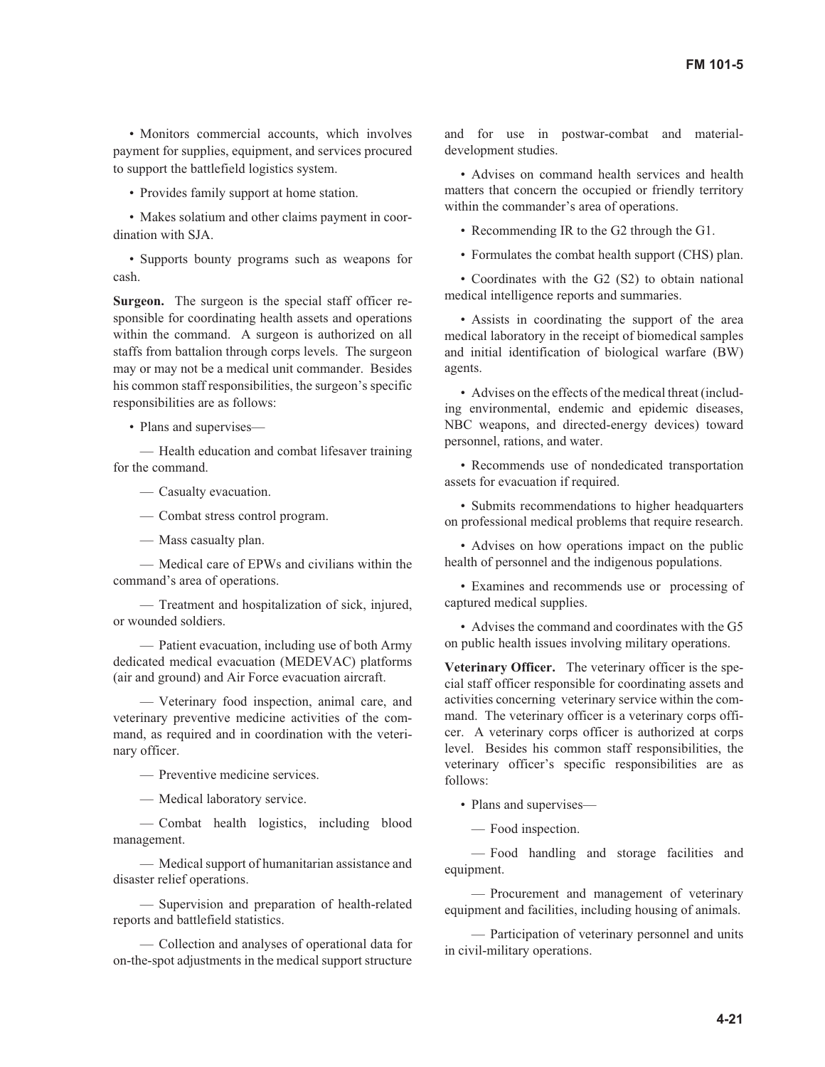• Monitors commercial accounts, which involves payment for supplies, equipment, and services procured to support the battlefield logistics system.

• Provides family support at home station.

• Makes solatium and other claims payment in coordination with SJA.

• Supports bounty programs such as weapons for cash.

**Surgeon.** The surgeon is the special staff officer responsible for coordinating health assets and operations within the command. A surgeon is authorized on all staffs from battalion through corps levels. The surgeon may or may not be a medical unit commander. Besides his common staff responsibilities, the surgeon's specific responsibilities are as follows:

• Plans and supervises—

— Health education and combat lifesaver training for the command.

— Casualty evacuation.

— Combat stress control program.

— Mass casualty plan.

— Medical care of EPWs and civilians within the command's area of operations.

— Treatment and hospitalization of sick, injured, or wounded soldiers.

— Patient evacuation, including use of both Army dedicated medical evacuation (MEDEVAC) platforms (air and ground) and Air Force evacuation aircraft.

— Veterinary food inspection, animal care, and veterinary preventive medicine activities of the command, as required and in coordination with the veterinary officer.

— Preventive medicine services.

— Medical laboratory service.

— Combat health logistics, including blood management.

— Medical support of humanitarian assistance and disaster relief operations.

— Supervision and preparation of health-related reports and battlefield statistics.

— Collection and analyses of operational data for on-the-spot adjustments in the medical support structure and for use in postwar-combat and materialdevelopment studies.

• Advises on command health services and health matters that concern the occupied or friendly territory within the commander's area of operations.

• Recommending IR to the G2 through the G1.

• Formulates the combat health support (CHS) plan.

• Coordinates with the G2 (S2) to obtain national medical intelligence reports and summaries.

• Assists in coordinating the support of the area medical laboratory in the receipt of biomedical samples and initial identification of biological warfare (BW) agents.

• Advises on the effects of the medical threat (including environmental, endemic and epidemic diseases, NBC weapons, and directed-energy devices) toward personnel, rations, and water.

• Recommends use of nondedicated transportation assets for evacuation if required.

• Submits recommendations to higher headquarters on professional medical problems that require research.

• Advises on how operations impact on the public health of personnel and the indigenous populations.

• Examines and recommends use or processing of captured medical supplies.

• Advises the command and coordinates with the G5 on public health issues involving military operations.

**Veterinary Officer.** The veterinary officer is the special staff officer responsible for coordinating assets and activities concerning veterinary service within the command. The veterinary officer is a veterinary corps officer. A veterinary corps officer is authorized at corps level. Besides his common staff responsibilities, the veterinary officer's specific responsibilities are as follows:

• Plans and supervises—

— Food inspection.

— Food handling and storage facilities and equipment.

— Procurement and management of veterinary equipment and facilities, including housing of animals.

— Participation of veterinary personnel and units in civil-military operations.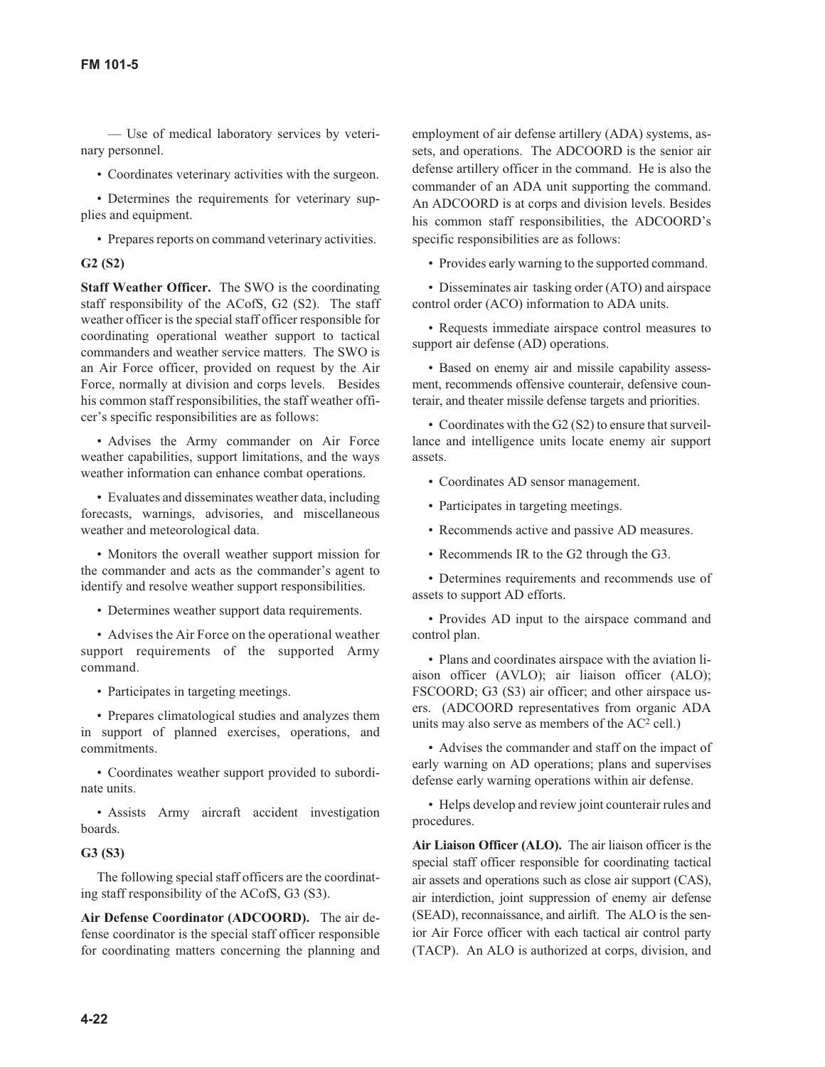— Use of medical laboratory services by veterinary personnel.

• Coordinates veterinary activities with the surgeon.

• Determines the requirements for veterinary supplies and equipment.

• Prepares reports on command veterinary activities.

#### **G2 (S2)**

**Staff Weather Officer.** The SWO is the coordinating staff responsibility of the ACofS, G2 (S2). The staff weather officer is the special staff officer responsible for coordinating operational weather support to tactical commanders and weather service matters. The SWO is an Air Force officer, provided on request by the Air Force, normally at division and corps levels. Besides his common staff responsibilities, the staff weather officer's specific responsibilities are as follows:

• Advises the Army commander on Air Force weather capabilities, support limitations, and the ways weather information can enhance combat operations.

• Evaluates and disseminates weather data, including forecasts, warnings, advisories, and miscellaneous weather and meteorological data.

• Monitors the overall weather support mission for the commander and acts as the commander's agent to identify and resolve weather support responsibilities.

• Determines weather support data requirements.

• Advises the Air Force on the operational weather support requirements of the supported Army command.

• Participates in targeting meetings.

• Prepares climatological studies and analyzes them in support of planned exercises, operations, and commitments.

• Coordinates weather support provided to subordinate units.

• Assists Army aircraft accident investigation boards.

# **G3 (S3)**

The following special staff officers are the coordinating staff responsibility of the ACofS, G3 (S3).

**Air Defense Coordinator (ADCOORD).** The air defense coordinator is the special staff officer responsible for coordinating matters concerning the planning and employment of air defense artillery (ADA) systems, assets, and operations. The ADCOORD is the senior air defense artillery officer in the command. He is also the commander of an ADA unit supporting the command. An ADCOORD is at corps and division levels. Besides his common staff responsibilities, the ADCOORD's specific responsibilities are as follows:

• Provides early warning to the supported command.

• Disseminates air tasking order (ATO) and airspace control order (ACO) information to ADA units.

• Requests immediate airspace control measures to support air defense (AD) operations.

• Based on enemy air and missile capability assessment, recommends offensive counterair, defensive counterair, and theater missile defense targets and priorities.

• Coordinates with the G2 (S2) to ensure that surveillance and intelligence units locate enemy air support assets.

• Coordinates AD sensor management.

- Participates in targeting meetings.
- Recommends active and passive AD measures.
- Recommends IR to the G2 through the G3.

• Determines requirements and recommends use of assets to support AD efforts.

• Provides AD input to the airspace command and control plan.

• Plans and coordinates airspace with the aviation liaison officer (AVLO); air liaison officer (ALO); FSCOORD; G3 (S3) air officer; and other airspace users. (ADCOORD representatives from organic ADA units may also serve as members of the  $AC<sup>2</sup>$  cell.)

• Advises the commander and staff on the impact of early warning on AD operations; plans and supervises defense early warning operations within air defense.

• Helps develop and review joint counterair rules and procedures.

**Air Liaison Officer (ALO).** The air liaison officer is the special staff officer responsible for coordinating tactical air assets and operations such as close air support (CAS), air interdiction, joint suppression of enemy air defense (SEAD), reconnaissance, and airlift. The ALO is the senior Air Force officer with each tactical air control party (TACP). An ALO is authorized at corps, division, and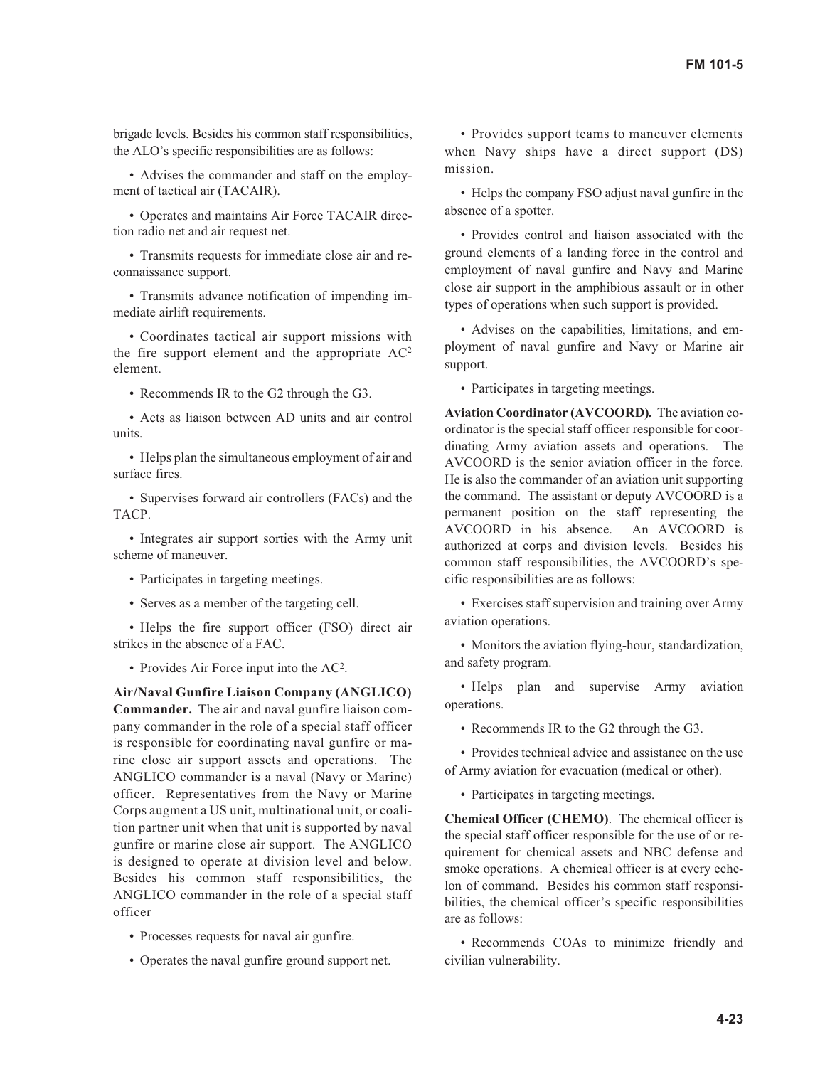brigade levels. Besides his common staff responsibilities, the ALO's specific responsibilities are as follows:

• Advises the commander and staff on the employment of tactical air (TACAIR).

• Operates and maintains Air Force TACAIR direction radio net and air request net.

• Transmits requests for immediate close air and reconnaissance support.

• Transmits advance notification of impending immediate airlift requirements.

• Coordinates tactical air support missions with the fire support element and the appropriate AC2 element.

• Recommends IR to the G2 through the G3.

• Acts as liaison between AD units and air control units.

• Helps plan the simultaneous employment of air and surface fires.

• Supervises forward air controllers (FACs) and the TACP.

• Integrates air support sorties with the Army unit scheme of maneuver.

• Participates in targeting meetings.

• Serves as a member of the targeting cell.

• Helps the fire support officer (FSO) direct air strikes in the absence of a FAC.

• Provides Air Force input into the AC<sup>2</sup>.

**Air/Naval Gunfire Liaison Company (ANGLICO) Commander.** The air and naval gunfire liaison company commander in the role of a special staff officer is responsible for coordinating naval gunfire or marine close air support assets and operations. The ANGLICO commander is a naval (Navy or Marine) officer. Representatives from the Navy or Marine Corps augment a US unit, multinational unit, or coalition partner unit when that unit is supported by naval gunfire or marine close air support. The ANGLICO is designed to operate at division level and below. Besides his common staff responsibilities, the ANGLICO commander in the role of a special staff officer—

• Processes requests for naval air gunfire.

• Operates the naval gunfire ground support net.

• Provides support teams to maneuver elements when Navy ships have a direct support (DS) mission.

• Helps the company FSO adjust naval gunfire in the absence of a spotter.

• Provides control and liaison associated with the ground elements of a landing force in the control and employment of naval gunfire and Navy and Marine close air support in the amphibious assault or in other types of operations when such support is provided.

• Advises on the capabilities, limitations, and employment of naval gunfire and Navy or Marine air support.

• Participates in targeting meetings.

**Aviation Coordinator (AVCOORD)***.* The aviation coordinator is the special staff officer responsible for coordinating Army aviation assets and operations. The AVCOORD is the senior aviation officer in the force. He is also the commander of an aviation unit supporting the command. The assistant or deputy AVCOORD is a permanent position on the staff representing the AVCOORD in his absence. An AVCOORD is authorized at corps and division levels. Besides his common staff responsibilities, the AVCOORD's specific responsibilities are as follows:

• Exercises staff supervision and training over Army aviation operations.

• Monitors the aviation flying-hour, standardization, and safety program.

• Helps plan and supervise Army aviation operations.

• Recommends IR to the G2 through the G3.

• Provides technical advice and assistance on the use of Army aviation for evacuation (medical or other).

• Participates in targeting meetings.

**Chemical Officer (CHEMO)**. The chemical officer is the special staff officer responsible for the use of or requirement for chemical assets and NBC defense and smoke operations. A chemical officer is at every echelon of command. Besides his common staff responsibilities, the chemical officer's specific responsibilities are as follows:

• Recommends COAs to minimize friendly and civilian vulnerability.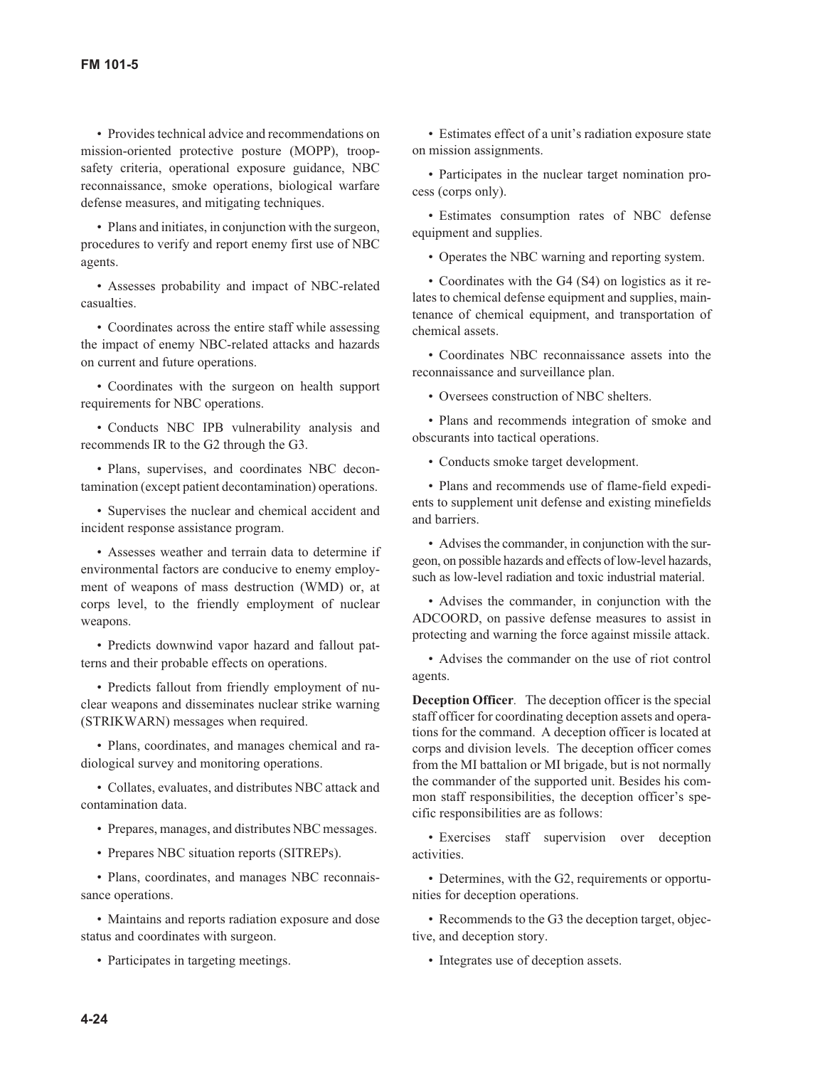• Provides technical advice and recommendations on mission-oriented protective posture (MOPP), troopsafety criteria, operational exposure guidance, NBC reconnaissance, smoke operations, biological warfare defense measures, and mitigating techniques.

• Plans and initiates, in conjunction with the surgeon, procedures to verify and report enemy first use of NBC agents.

• Assesses probability and impact of NBC-related casualties.

• Coordinates across the entire staff while assessing the impact of enemy NBC-related attacks and hazards on current and future operations.

• Coordinates with the surgeon on health support requirements for NBC operations.

• Conducts NBC IPB vulnerability analysis and recommends IR to the G2 through the G3.

• Plans, supervises, and coordinates NBC decontamination (except patient decontamination) operations.

• Supervises the nuclear and chemical accident and incident response assistance program.

• Assesses weather and terrain data to determine if environmental factors are conducive to enemy employment of weapons of mass destruction (WMD) or, at corps level, to the friendly employment of nuclear weapons.

• Predicts downwind vapor hazard and fallout patterns and their probable effects on operations.

• Predicts fallout from friendly employment of nuclear weapons and disseminates nuclear strike warning (STRIKWARN) messages when required.

• Plans, coordinates, and manages chemical and radiological survey and monitoring operations.

• Collates, evaluates, and distributes NBC attack and contamination data.

- Prepares, manages, and distributes NBC messages.
- Prepares NBC situation reports (SITREPs).

• Plans, coordinates, and manages NBC reconnaissance operations.

• Maintains and reports radiation exposure and dose status and coordinates with surgeon.

• Participates in targeting meetings.

• Estimates effect of a unit's radiation exposure state on mission assignments.

• Participates in the nuclear target nomination process (corps only).

• Estimates consumption rates of NBC defense equipment and supplies.

• Operates the NBC warning and reporting system.

• Coordinates with the G4 (S4) on logistics as it relates to chemical defense equipment and supplies, maintenance of chemical equipment, and transportation of chemical assets.

• Coordinates NBC reconnaissance assets into the reconnaissance and surveillance plan.

• Oversees construction of NBC shelters.

• Plans and recommends integration of smoke and obscurants into tactical operations.

• Conducts smoke target development.

• Plans and recommends use of flame-field expedients to supplement unit defense and existing minefields and barriers.

• Advises the commander, in conjunction with the surgeon, on possible hazards and effects of low-level hazards, such as low-level radiation and toxic industrial material.

• Advises the commander, in conjunction with the ADCOORD, on passive defense measures to assist in protecting and warning the force against missile attack.

• Advises the commander on the use of riot control agents.

**Deception Officer***.* The deception officer is the special staff officer for coordinating deception assets and operations for the command. A deception officer is located at corps and division levels. The deception officer comes from the MI battalion or MI brigade, but is not normally the commander of the supported unit. Besides his common staff responsibilities, the deception officer's specific responsibilities are as follows:

• Exercises staff supervision over deception activities.

• Determines, with the G2, requirements or opportunities for deception operations.

• Recommends to the G3 the deception target, objective, and deception story.

• Integrates use of deception assets.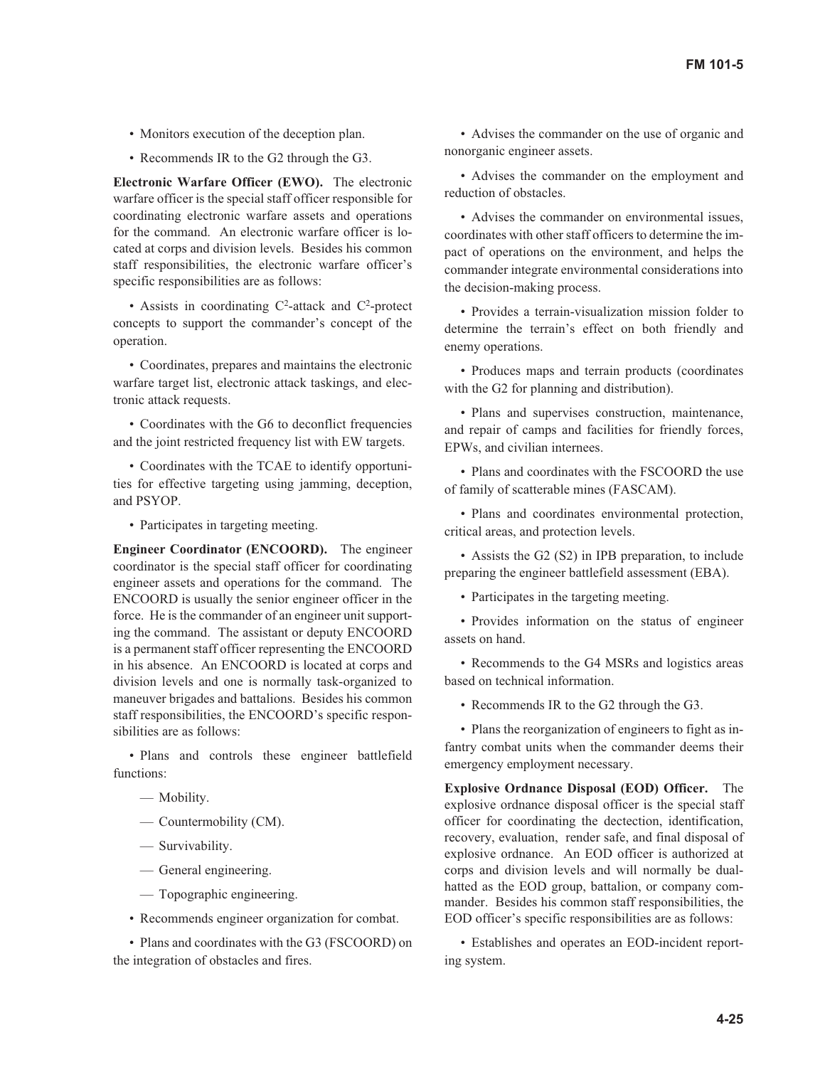- Monitors execution of the deception plan.
- Recommends IR to the G2 through the G3.

**Electronic Warfare Officer (EWO).** The electronic warfare officer is the special staff officer responsible for coordinating electronic warfare assets and operations for the command. An electronic warfare officer is located at corps and division levels. Besides his common staff responsibilities, the electronic warfare officer's specific responsibilities are as follows:

 $\bullet$  Assists in coordinating C<sup>2</sup>-attack and C<sup>2</sup>-protect concepts to support the commander's concept of the operation.

• Coordinates, prepares and maintains the electronic warfare target list, electronic attack taskings, and electronic attack requests.

• Coordinates with the G6 to deconflict frequencies and the joint restricted frequency list with EW targets.

• Coordinates with the TCAE to identify opportunities for effective targeting using jamming, deception, and PSYOP.

• Participates in targeting meeting.

**Engineer Coordinator (ENCOORD).** The engineer coordinator is the special staff officer for coordinating engineer assets and operations for the command. The ENCOORD is usually the senior engineer officer in the force. He is the commander of an engineer unit supporting the command. The assistant or deputy ENCOORD is a permanent staff officer representing the ENCOORD in his absence. An ENCOORD is located at corps and division levels and one is normally task-organized to maneuver brigades and battalions. Besides his common staff responsibilities, the ENCOORD's specific responsibilities are as follows:

• Plans and controls these engineer battlefield functions:

- Mobility.
- Countermobility (CM).
- Survivability.
- General engineering.
- Topographic engineering.
- Recommends engineer organization for combat.

• Plans and coordinates with the G3 (FSCOORD) on the integration of obstacles and fires.

• Advises the commander on the use of organic and nonorganic engineer assets.

• Advises the commander on the employment and reduction of obstacles.

• Advises the commander on environmental issues, coordinates with other staff officers to determine the impact of operations on the environment, and helps the commander integrate environmental considerations into the decision-making process.

• Provides a terrain-visualization mission folder to determine the terrain's effect on both friendly and enemy operations.

• Produces maps and terrain products (coordinates with the G2 for planning and distribution).

• Plans and supervises construction, maintenance, and repair of camps and facilities for friendly forces, EPWs, and civilian internees.

• Plans and coordinates with the FSCOORD the use of family of scatterable mines (FASCAM).

• Plans and coordinates environmental protection, critical areas, and protection levels.

• Assists the G2 (S2) in IPB preparation, to include preparing the engineer battlefield assessment (EBA).

• Participates in the targeting meeting.

• Provides information on the status of engineer assets on hand.

• Recommends to the G4 MSRs and logistics areas based on technical information.

• Recommends IR to the G2 through the G3.

• Plans the reorganization of engineers to fight as infantry combat units when the commander deems their emergency employment necessary.

**Explosive Ordnance Disposal (EOD) Officer.** The explosive ordnance disposal officer is the special staff officer for coordinating the dectection, identification, recovery, evaluation, render safe, and final disposal of explosive ordnance. An EOD officer is authorized at corps and division levels and will normally be dualhatted as the EOD group, battalion, or company commander. Besides his common staff responsibilities, the EOD officer's specific responsibilities are as follows:

• Establishes and operates an EOD-incident reporting system.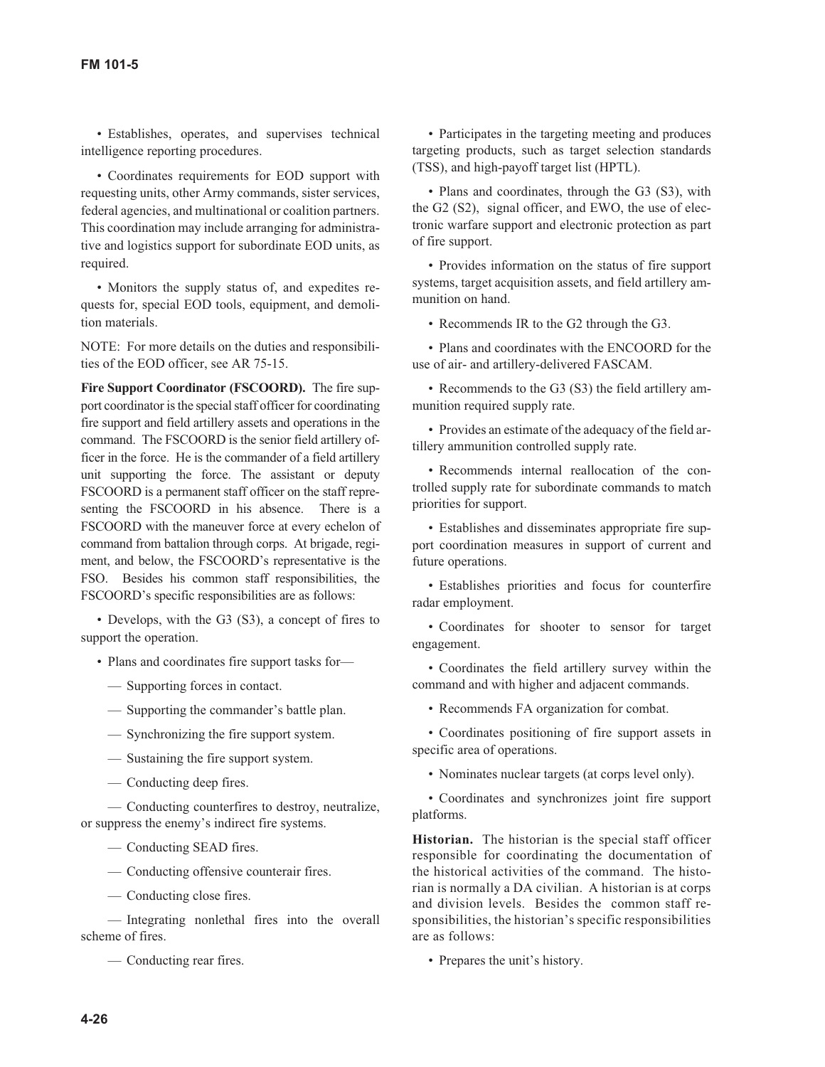• Establishes, operates, and supervises technical intelligence reporting procedures.

• Coordinates requirements for EOD support with requesting units, other Army commands, sister services, federal agencies, and multinational or coalition partners. This coordination may include arranging for administrative and logistics support for subordinate EOD units, as required.

• Monitors the supply status of, and expedites requests for, special EOD tools, equipment, and demolition materials.

NOTE: For more details on the duties and responsibilities of the EOD officer, see AR 75-15.

**Fire Support Coordinator (FSCOORD).** The fire support coordinator is the special staff officer for coordinating fire support and field artillery assets and operations in the command. The FSCOORD is the senior field artillery officer in the force. He is the commander of a field artillery unit supporting the force. The assistant or deputy FSCOORD is a permanent staff officer on the staff representing the FSCOORD in his absence. There is a FSCOORD with the maneuver force at every echelon of command from battalion through corps. At brigade, regiment, and below, the FSCOORD's representative is the FSO. Besides his common staff responsibilities, the FSCOORD's specific responsibilities are as follows:

• Develops, with the G3 (S3), a concept of fires to support the operation.

- Plans and coordinates fire support tasks for—
	- Supporting forces in contact.
	- Supporting the commander's battle plan.
	- Synchronizing the fire support system.
	- Sustaining the fire support system.
	- Conducting deep fires.

— Conducting counterfires to destroy, neutralize, or suppress the enemy's indirect fire systems.

- Conducting SEAD fires.
- Conducting offensive counterair fires.
- Conducting close fires.

— Integrating nonlethal fires into the overall scheme of fires.

— Conducting rear fires.

• Participates in the targeting meeting and produces targeting products, such as target selection standards (TSS), and high-payoff target list (HPTL).

• Plans and coordinates, through the G3 (S3), with the G2 (S2), signal officer, and EWO, the use of electronic warfare support and electronic protection as part of fire support.

• Provides information on the status of fire support systems, target acquisition assets, and field artillery ammunition on hand.

• Recommends IR to the G2 through the G3.

• Plans and coordinates with the ENCOORD for the use of air- and artillery-delivered FASCAM.

• Recommends to the G3 (S3) the field artillery ammunition required supply rate.

• Provides an estimate of the adequacy of the field artillery ammunition controlled supply rate.

• Recommends internal reallocation of the controlled supply rate for subordinate commands to match priorities for support.

• Establishes and disseminates appropriate fire support coordination measures in support of current and future operations.

• Establishes priorities and focus for counterfire radar employment.

• Coordinates for shooter to sensor for target engagement.

• Coordinates the field artillery survey within the command and with higher and adjacent commands.

• Recommends FA organization for combat.

• Coordinates positioning of fire support assets in specific area of operations.

• Nominates nuclear targets (at corps level only).

• Coordinates and synchronizes joint fire support platforms.

**Historian.** The historian is the special staff officer responsible for coordinating the documentation of the historical activities of the command. The historian is normally a DA civilian. A historian is at corps and division levels. Besides the common staff responsibilities, the historian's specific responsibilities are as follows:

• Prepares the unit's history.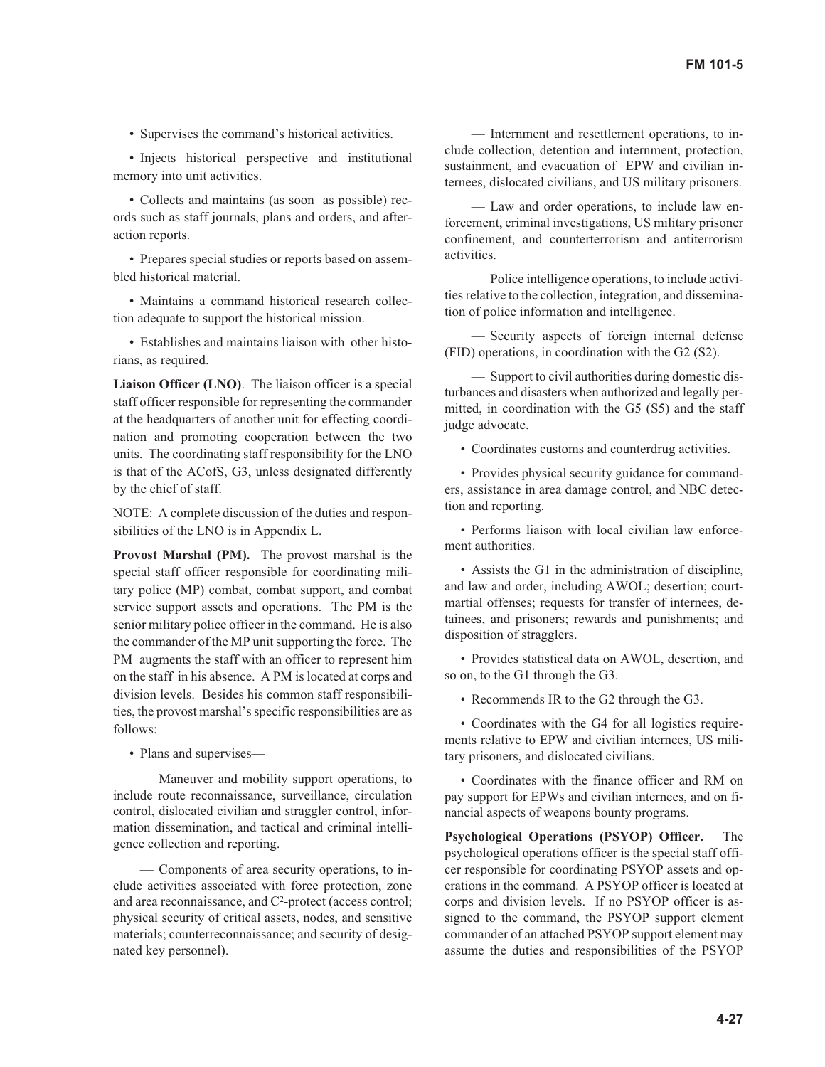• Supervises the command's historical activities.

• Injects historical perspective and institutional memory into unit activities.

• Collects and maintains (as soon as possible) records such as staff journals, plans and orders, and afteraction reports.

• Prepares special studies or reports based on assembled historical material.

• Maintains a command historical research collection adequate to support the historical mission.

• Establishes and maintains liaison with other historians, as required.

**Liaison Officer (LNO)**. The liaison officer is a special staff officer responsible for representing the commander at the headquarters of another unit for effecting coordination and promoting cooperation between the two units. The coordinating staff responsibility for the LNO is that of the ACofS, G3, unless designated differently by the chief of staff.

NOTE: A complete discussion of the duties and responsibilities of the LNO is in Appendix L.

**Provost Marshal (PM).** The provost marshal is the special staff officer responsible for coordinating military police (MP) combat, combat support, and combat service support assets and operations. The PM is the senior military police officer in the command. He is also the commander of the MP unit supporting the force. The PM augments the staff with an officer to represent him on the staff in his absence. A PM is located at corps and division levels. Besides his common staff responsibilities, the provost marshal's specific responsibilities are as follows:

• Plans and supervises—

— Maneuver and mobility support operations, to include route reconnaissance, surveillance, circulation control, dislocated civilian and straggler control, information dissemination, and tactical and criminal intelligence collection and reporting.

— Components of area security operations, to include activities associated with force protection, zone and area reconnaissance, and C<sup>2</sup>-protect (access control; physical security of critical assets, nodes, and sensitive materials; counterreconnaissance; and security of designated key personnel).

— Internment and resettlement operations, to include collection, detention and internment, protection, sustainment, and evacuation of EPW and civilian internees, dislocated civilians, and US military prisoners.

— Law and order operations, to include law enforcement, criminal investigations, US military prisoner confinement, and counterterrorism and antiterrorism activities.

— Police intelligence operations, to include activities relative to the collection, integration, and dissemination of police information and intelligence.

— Security aspects of foreign internal defense (FID) operations, in coordination with the G2 (S2).

— Support to civil authorities during domestic disturbances and disasters when authorized and legally permitted, in coordination with the G5 (S5) and the staff judge advocate.

• Coordinates customs and counterdrug activities.

• Provides physical security guidance for commanders, assistance in area damage control, and NBC detection and reporting.

• Performs liaison with local civilian law enforcement authorities.

• Assists the G1 in the administration of discipline, and law and order, including AWOL; desertion; courtmartial offenses; requests for transfer of internees, detainees, and prisoners; rewards and punishments; and disposition of stragglers.

• Provides statistical data on AWOL, desertion, and so on, to the G1 through the G3.

• Recommends IR to the G2 through the G3.

• Coordinates with the G4 for all logistics requirements relative to EPW and civilian internees, US military prisoners, and dislocated civilians.

• Coordinates with the finance officer and RM on pay support for EPWs and civilian internees, and on financial aspects of weapons bounty programs.

**Psychological Operations (PSYOP) Officer.** The psychological operations officer is the special staff officer responsible for coordinating PSYOP assets and operations in the command. A PSYOP officer is located at corps and division levels. If no PSYOP officer is assigned to the command, the PSYOP support element commander of an attached PSYOP support element may assume the duties and responsibilities of the PSYOP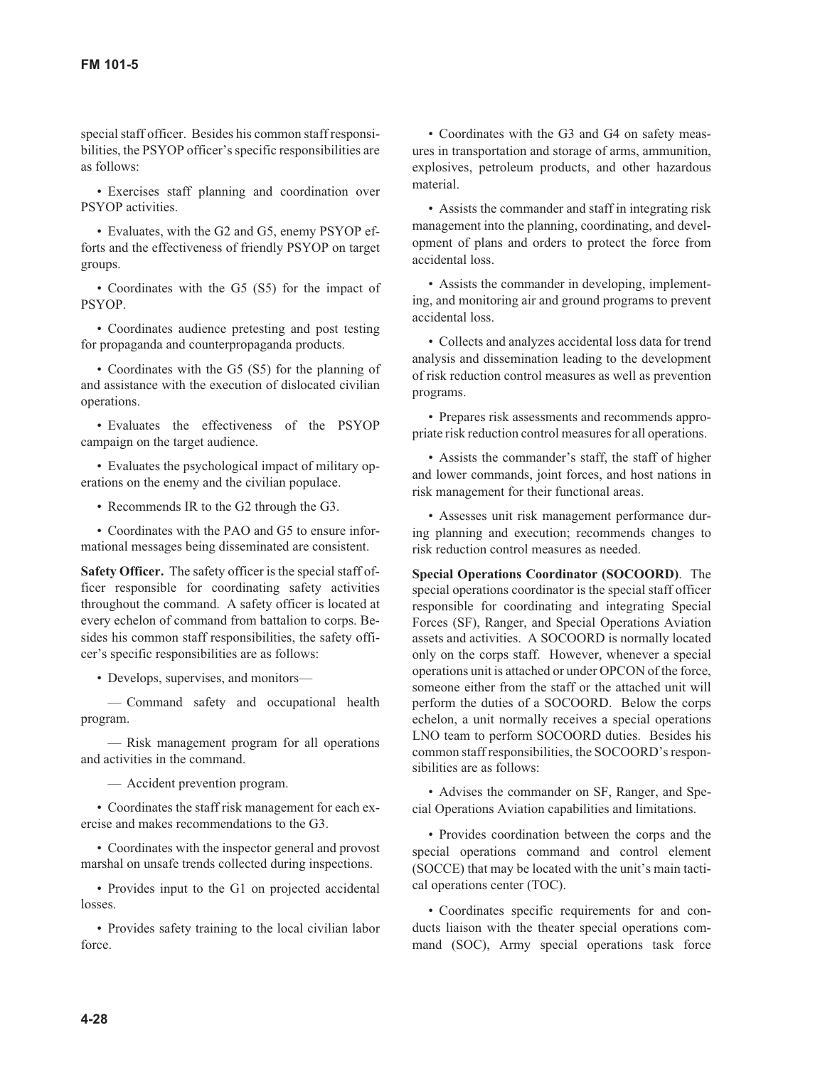special staff officer. Besides his common staff responsibilities, the PSYOP officer's specific responsibilities are as follows:

• Exercises staff planning and coordination over PSYOP activities.

• Evaluates, with the G2 and G5, enemy PSYOP efforts and the effectiveness of friendly PSYOP on target groups.

• Coordinates with the G5 (S5) for the impact of PSYOP.

• Coordinates audience pretesting and post testing for propaganda and counterpropaganda products.

• Coordinates with the G5 (S5) for the planning of and assistance with the execution of dislocated civilian operations.

• Evaluates the effectiveness of the PSYOP campaign on the target audience.

• Evaluates the psychological impact of military operations on the enemy and the civilian populace.

• Recommends IR to the G2 through the G3.

• Coordinates with the PAO and G5 to ensure informational messages being disseminated are consistent.

**Safety Officer.** The safety officer is the special staff officer responsible for coordinating safety activities throughout the command. A safety officer is located at every echelon of command from battalion to corps. Besides his common staff responsibilities, the safety officer's specific responsibilities are as follows:

• Develops, supervises, and monitors—

— Command safety and occupational health program.

— Risk management program for all operations and activities in the command.

— Accident prevention program.

• Coordinates the staff risk management for each exercise and makes recommendations to the G3.

• Coordinates with the inspector general and provost marshal on unsafe trends collected during inspections.

• Provides input to the G1 on projected accidental losses.

• Provides safety training to the local civilian labor force.

• Coordinates with the G3 and G4 on safety measures in transportation and storage of arms, ammunition, explosives, petroleum products, and other hazardous material.

• Assists the commander and staff in integrating risk management into the planning, coordinating, and development of plans and orders to protect the force from accidental loss.

• Assists the commander in developing, implementing, and monitoring air and ground programs to prevent accidental loss.

• Collects and analyzes accidental loss data for trend analysis and dissemination leading to the development of risk reduction control measures as well as prevention programs.

• Prepares risk assessments and recommends appropriate risk reduction control measures for all operations.

• Assists the commander's staff, the staff of higher and lower commands, joint forces, and host nations in risk management for their functional areas.

• Assesses unit risk management performance during planning and execution; recommends changes to risk reduction control measures as needed.

**Special Operations Coordinator (SOCOORD)**. The special operations coordinator is the special staff officer responsible for coordinating and integrating Special Forces (SF), Ranger, and Special Operations Aviation assets and activities. A SOCOORD is normally located only on the corps staff. However, whenever a special operations unit is attached or under OPCON of the force, someone either from the staff or the attached unit will perform the duties of a SOCOORD. Below the corps echelon, a unit normally receives a special operations LNO team to perform SOCOORD duties. Besides his common staff responsibilities, the SOCOORD's responsibilities are as follows:

• Advises the commander on SF, Ranger, and Special Operations Aviation capabilities and limitations.

• Provides coordination between the corps and the special operations command and control element (SOCCE) that may be located with the unit's main tactical operations center (TOC).

• Coordinates specific requirements for and conducts liaison with the theater special operations command (SOC), Army special operations task force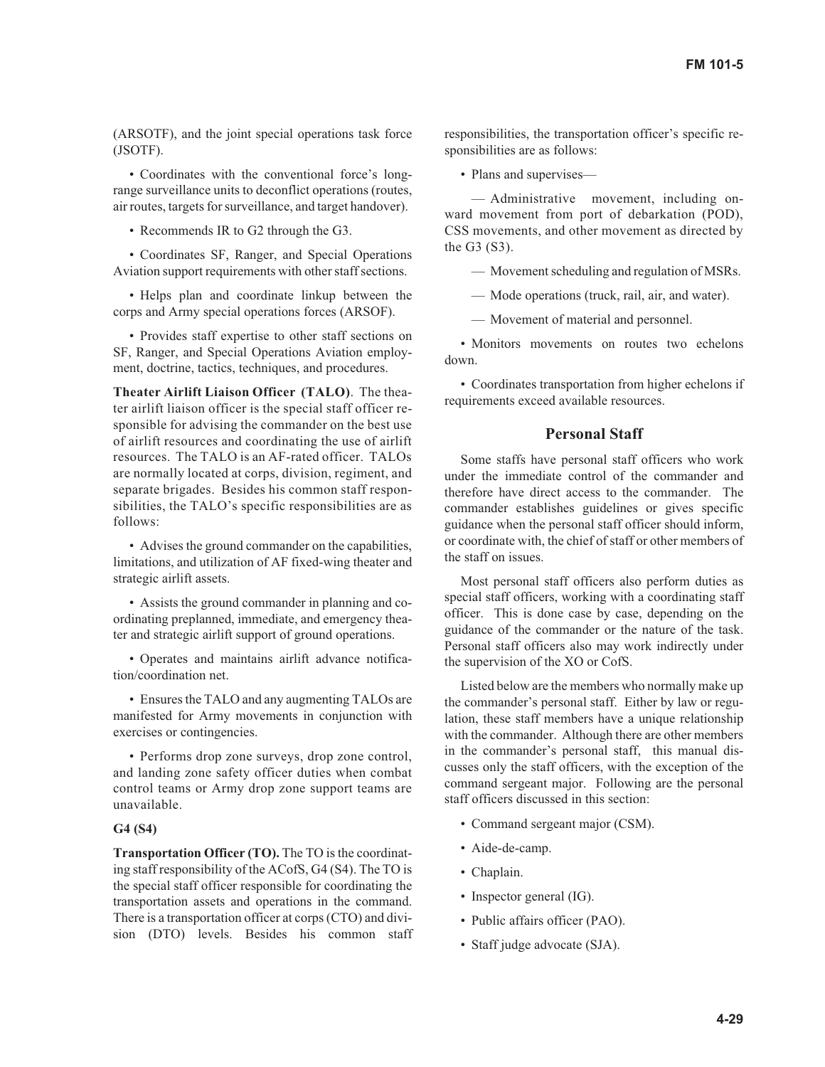(ARSOTF), and the joint special operations task force (JSOTF).

• Coordinates with the conventional force's longrange surveillance units to deconflict operations (routes, air routes, targets for surveillance, and target handover).

• Recommends IR to G2 through the G3.

• Coordinates SF, Ranger, and Special Operations Aviation support requirements with other staff sections.

• Helps plan and coordinate linkup between the corps and Army special operations forces (ARSOF).

• Provides staff expertise to other staff sections on SF, Ranger, and Special Operations Aviation employment, doctrine, tactics, techniques, and procedures.

**Theater Airlift Liaison Officer (TALO)**. The theater airlift liaison officer is the special staff officer responsible for advising the commander on the best use of airlift resources and coordinating the use of airlift resources. The TALO is an AF-rated officer. TALOs are normally located at corps, division, regiment, and separate brigades. Besides his common staff responsibilities, the TALO's specific responsibilities are as follows:

• Advises the ground commander on the capabilities, limitations, and utilization of AF fixed-wing theater and strategic airlift assets.

• Assists the ground commander in planning and coordinating preplanned, immediate, and emergency theater and strategic airlift support of ground operations.

• Operates and maintains airlift advance notification/coordination net.

• Ensures the TALO and any augmenting TALOs are manifested for Army movements in conjunction with exercises or contingencies.

• Performs drop zone surveys, drop zone control, and landing zone safety officer duties when combat control teams or Army drop zone support teams are unavailable.

# **G4 (S4)**

**Transportation Officer (TO).** The TO is the coordinating staff responsibility of the ACofS, G4 (S4). The TO is the special staff officer responsible for coordinating the transportation assets and operations in the command. There is a transportation officer at corps (CTO) and division (DTO) levels. Besides his common staff responsibilities, the transportation officer's specific responsibilities are as follows:

• Plans and supervises—

— Administrative movement, including onward movement from port of debarkation (POD), CSS movements, and other movement as directed by the G3 (S3).

— Movement scheduling and regulation of MSRs.

— Mode operations (truck, rail, air, and water).

— Movement of material and personnel.

• Monitors movements on routes two echelons down.

• Coordinates transportation from higher echelons if requirements exceed available resources.

# **Personal Staff**

Some staffs have personal staff officers who work under the immediate control of the commander and therefore have direct access to the commander. The commander establishes guidelines or gives specific guidance when the personal staff officer should inform, or coordinate with, the chief of staff or other members of the staff on issues.

Most personal staff officers also perform duties as special staff officers, working with a coordinating staff officer. This is done case by case, depending on the guidance of the commander or the nature of the task. Personal staff officers also may work indirectly under the supervision of the XO or CofS.

Listed below are the members who normally make up the commander's personal staff. Either by law or regulation, these staff members have a unique relationship with the commander. Although there are other members in the commander's personal staff, this manual discusses only the staff officers, with the exception of the command sergeant major. Following are the personal staff officers discussed in this section:

- Command sergeant major (CSM).
- Aide-de-camp.
- Chaplain.
- Inspector general (IG).
- Public affairs officer (PAO).
- Staff judge advocate (SJA).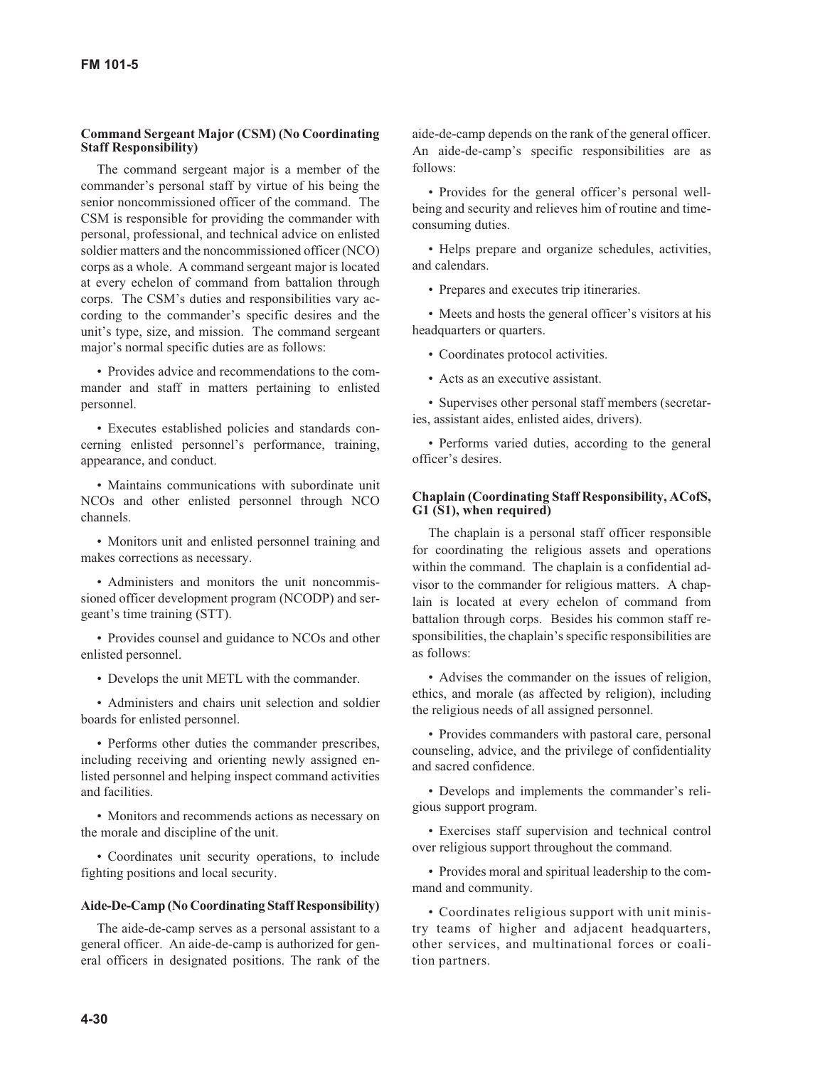### **Command Sergeant Major (CSM) (No Coordinating Staff Responsibility)**

The command sergeant major is a member of the commander's personal staff by virtue of his being the senior noncommissioned officer of the command. The CSM is responsible for providing the commander with personal, professional, and technical advice on enlisted soldier matters and the noncommissioned officer (NCO) corps as a whole. A command sergeant major is located at every echelon of command from battalion through corps. The CSM's duties and responsibilities vary according to the commander's specific desires and the unit's type, size, and mission. The command sergeant major's normal specific duties are as follows:

• Provides advice and recommendations to the commander and staff in matters pertaining to enlisted personnel.

• Executes established policies and standards concerning enlisted personnel's performance, training, appearance, and conduct.

• Maintains communications with subordinate unit NCOs and other enlisted personnel through NCO channels.

• Monitors unit and enlisted personnel training and makes corrections as necessary.

• Administers and monitors the unit noncommissioned officer development program (NCODP) and sergeant's time training (STT).

• Provides counsel and guidance to NCOs and other enlisted personnel.

• Develops the unit METL with the commander.

• Administers and chairs unit selection and soldier boards for enlisted personnel.

• Performs other duties the commander prescribes, including receiving and orienting newly assigned enlisted personnel and helping inspect command activities and facilities.

• Monitors and recommends actions as necessary on the morale and discipline of the unit.

• Coordinates unit security operations, to include fighting positions and local security.

#### **Aide-De-Camp (No Coordinating Staff Responsibility)**

The aide-de-camp serves as a personal assistant to a general officer. An aide-de-camp is authorized for general officers in designated positions. The rank of the aide-de-camp depends on the rank of the general officer. An aide-de-camp's specific responsibilities are as follows:

• Provides for the general officer's personal wellbeing and security and relieves him of routine and timeconsuming duties.

• Helps prepare and organize schedules, activities, and calendars.

• Prepares and executes trip itineraries.

• Meets and hosts the general officer's visitors at his headquarters or quarters.

• Coordinates protocol activities.

• Acts as an executive assistant.

• Supervises other personal staff members (secretaries, assistant aides, enlisted aides, drivers).

• Performs varied duties, according to the general officer's desires.

# **Chaplain (Coordinating Staff Responsibility, ACofS, G1 (S1), when required)**

The chaplain is a personal staff officer responsible for coordinating the religious assets and operations within the command. The chaplain is a confidential advisor to the commander for religious matters. A chaplain is located at every echelon of command from battalion through corps. Besides his common staff responsibilities, the chaplain's specific responsibilities are as follows:

• Advises the commander on the issues of religion, ethics, and morale (as affected by religion), including the religious needs of all assigned personnel.

• Provides commanders with pastoral care, personal counseling, advice, and the privilege of confidentiality and sacred confidence.

• Develops and implements the commander's religious support program.

• Exercises staff supervision and technical control over religious support throughout the command.

• Provides moral and spiritual leadership to the command and community.

• Coordinates religious support with unit ministry teams of higher and adjacent headquarters, other services, and multinational forces or coalition partners.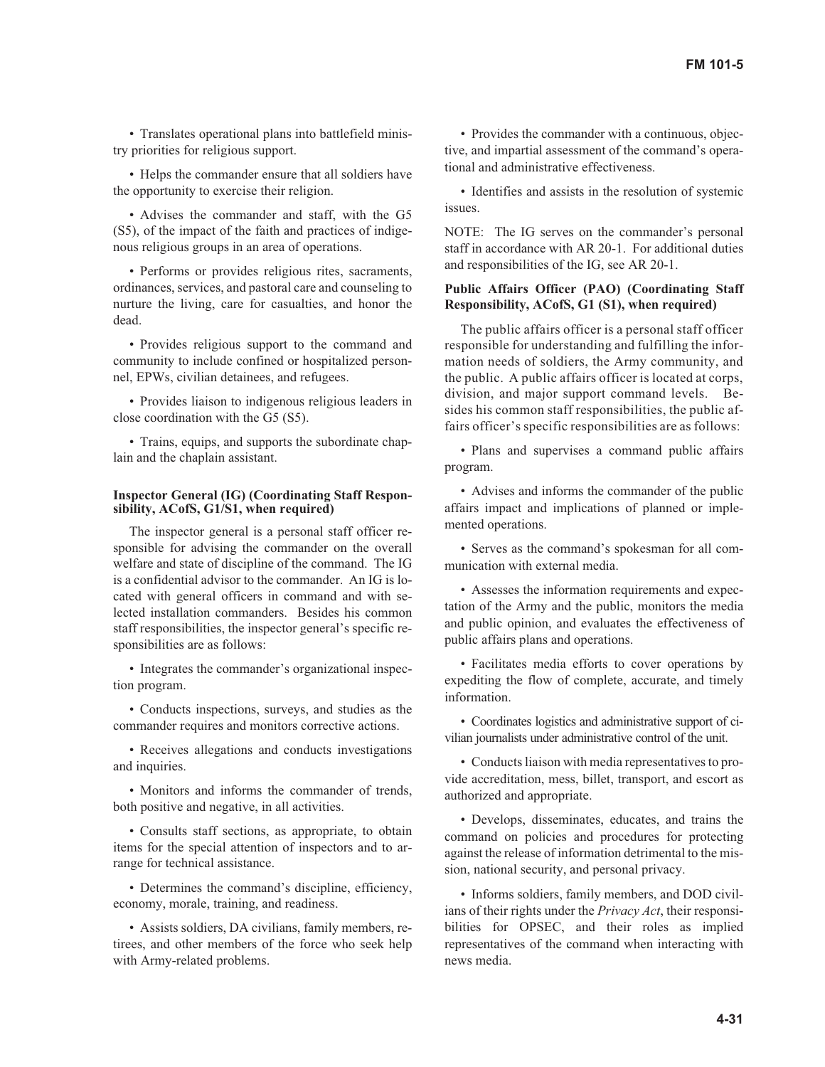• Translates operational plans into battlefield ministry priorities for religious support.

• Helps the commander ensure that all soldiers have the opportunity to exercise their religion.

• Advises the commander and staff, with the G5 (S5), of the impact of the faith and practices of indigenous religious groups in an area of operations.

• Performs or provides religious rites, sacraments, ordinances, services, and pastoral care and counseling to nurture the living, care for casualties, and honor the dead.

• Provides religious support to the command and community to include confined or hospitalized personnel, EPWs, civilian detainees, and refugees.

• Provides liaison to indigenous religious leaders in close coordination with the G5 (S5).

• Trains, equips, and supports the subordinate chaplain and the chaplain assistant.

## **Inspector General (IG) (Coordinating Staff Responsibility, ACofS, G1/S1, when required)**

The inspector general is a personal staff officer responsible for advising the commander on the overall welfare and state of discipline of the command. The IG is a confidential advisor to the commander. An IG is located with general officers in command and with selected installation commanders. Besides his common staff responsibilities, the inspector general's specific responsibilities are as follows:

• Integrates the commander's organizational inspection program.

• Conducts inspections, surveys, and studies as the commander requires and monitors corrective actions.

• Receives allegations and conducts investigations and inquiries.

• Monitors and informs the commander of trends, both positive and negative, in all activities.

• Consults staff sections, as appropriate, to obtain items for the special attention of inspectors and to arrange for technical assistance.

• Determines the command's discipline, efficiency, economy, morale, training, and readiness.

• Assists soldiers, DA civilians, family members, retirees, and other members of the force who seek help with Army-related problems.

• Provides the commander with a continuous, objective, and impartial assessment of the command's operational and administrative effectiveness.

• Identifies and assists in the resolution of systemic issues.

NOTE: The IG serves on the commander's personal staff in accordance with AR 20-1. For additional duties and responsibilities of the IG, see AR 20-1.

# **Public Affairs Officer (PAO) (Coordinating Staff Responsibility, ACofS, G1 (S1), when required)**

The public affairs officer is a personal staff officer responsible for understanding and fulfilling the information needs of soldiers, the Army community, and the public. A public affairs officer is located at corps, division, and major support command levels. Besides his common staff responsibilities, the public affairs officer's specific responsibilities are as follows:

• Plans and supervises a command public affairs program.

• Advises and informs the commander of the public affairs impact and implications of planned or implemented operations.

• Serves as the command's spokesman for all communication with external media.

• Assesses the information requirements and expectation of the Army and the public, monitors the media and public opinion, and evaluates the effectiveness of public affairs plans and operations.

• Facilitates media efforts to cover operations by expediting the flow of complete, accurate, and timely information.

• Coordinates logistics and administrative support of civilian journalists under administrative control of the unit.

• Conducts liaison with media representatives to provide accreditation, mess, billet, transport, and escort as authorized and appropriate.

• Develops, disseminates, educates, and trains the command on policies and procedures for protecting against the release of information detrimental to the mission, national security, and personal privacy.

• Informs soldiers, family members, and DOD civilians of their rights under the *Privacy Act*, their responsibilities for OPSEC, and their roles as implied representatives of the command when interacting with news media.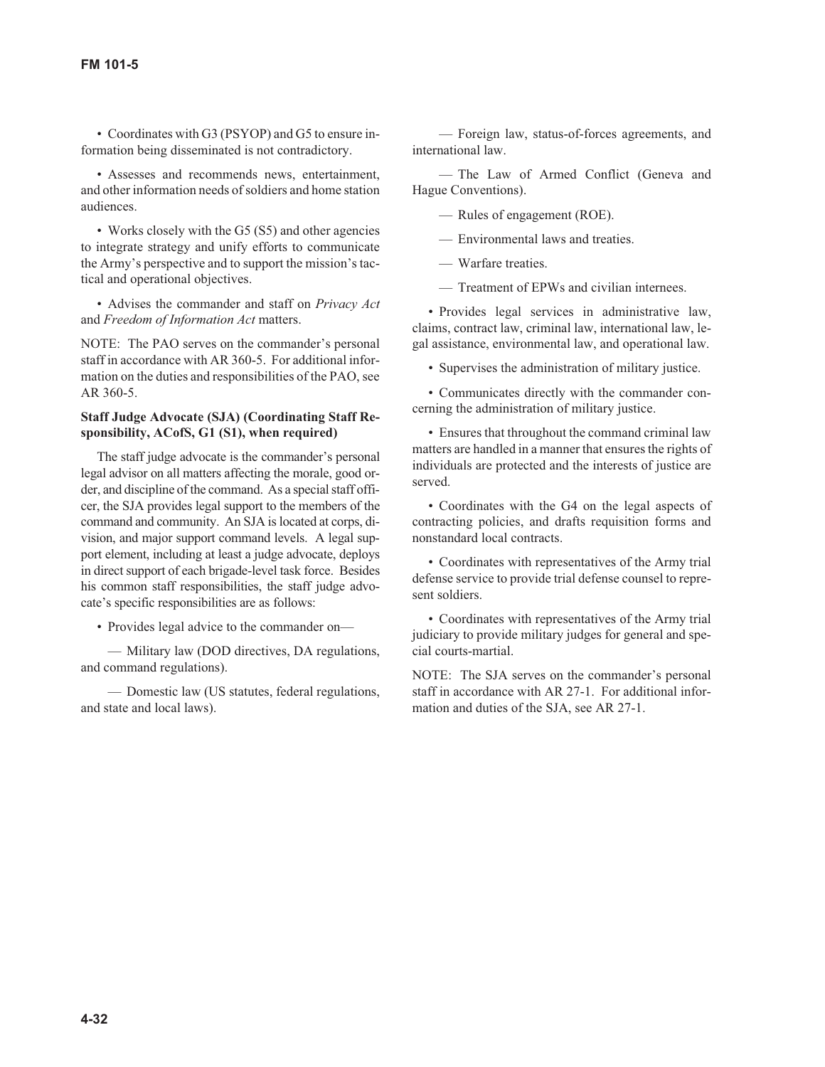• Coordinates with G3 (PSYOP) and G5 to ensure information being disseminated is not contradictory.

• Assesses and recommends news, entertainment, and other information needs of soldiers and home station audiences.

• Works closely with the G5 (S5) and other agencies to integrate strategy and unify efforts to communicate the Army's perspective and to support the mission's tactical and operational objectives.

• Advises the commander and staff on *Privacy Act* and *Freedom of Information Act* matters.

NOTE: The PAO serves on the commander's personal staff in accordance with AR 360-5. For additional information on the duties and responsibilities of the PAO, see AR 360-5.

# **Staff Judge Advocate (SJA) (Coordinating Staff Responsibility, ACofS, G1 (S1), when required)**

The staff judge advocate is the commander's personal legal advisor on all matters affecting the morale, good order, and discipline of the command. As a special staff officer, the SJA provides legal support to the members of the command and community. An SJA is located at corps, division, and major support command levels. A legal support element, including at least a judge advocate, deploys in direct support of each brigade-level task force. Besides his common staff responsibilities, the staff judge advocate's specific responsibilities are as follows:

• Provides legal advice to the commander on—

— Military law (DOD directives, DA regulations, and command regulations).

— Domestic law (US statutes, federal regulations, and state and local laws).

— Foreign law, status-of-forces agreements, and international law.

— The Law of Armed Conflict (Geneva and Hague Conventions).

— Rules of engagement (ROE).

- Environmental laws and treaties.
- Warfare treaties.
- Treatment of EPWs and civilian internees.

• Provides legal services in administrative law, claims, contract law, criminal law, international law, legal assistance, environmental law, and operational law.

• Supervises the administration of military justice.

• Communicates directly with the commander concerning the administration of military justice.

• Ensures that throughout the command criminal law matters are handled in a manner that ensures the rights of individuals are protected and the interests of justice are served.

• Coordinates with the G4 on the legal aspects of contracting policies, and drafts requisition forms and nonstandard local contracts.

• Coordinates with representatives of the Army trial defense service to provide trial defense counsel to represent soldiers.

• Coordinates with representatives of the Army trial judiciary to provide military judges for general and special courts-martial.

NOTE: The SJA serves on the commander's personal staff in accordance with AR 27-1. For additional information and duties of the SJA, see AR 27-1.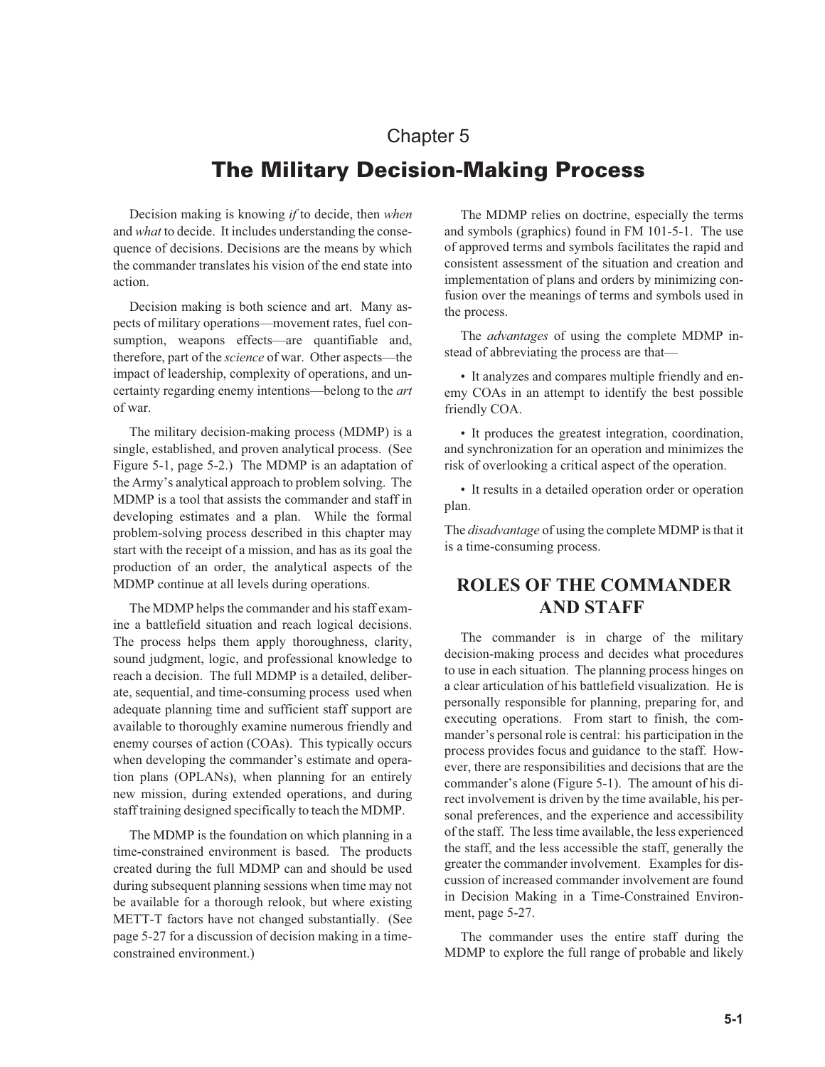# Chapter 5 **The Military Decision-Making Process**

Decision making is knowing *if* to decide, then *when* and *what* to decide. It includes understanding the consequence of decisions. Decisions are the means by which the commander translates his vision of the end state into action.

Decision making is both science and art. Many aspects of military operations—movement rates, fuel consumption, weapons effects—are quantifiable and, therefore, part of the *science* of war. Other aspects—the impact of leadership, complexity of operations, and uncertainty regarding enemy intentions—belong to the *art* of war.

The military decision-making process (MDMP) is a single, established, and proven analytical process. (See Figure 5-1, page 5-2.) The MDMP is an adaptation of the Army's analytical approach to problem solving. The MDMP is a tool that assists the commander and staff in developing estimates and a plan. While the formal problem-solving process described in this chapter may start with the receipt of a mission, and has as its goal the production of an order, the analytical aspects of the MDMP continue at all levels during operations.

The MDMP helps the commander and his staff examine a battlefield situation and reach logical decisions. The process helps them apply thoroughness, clarity, sound judgment, logic, and professional knowledge to reach a decision. The full MDMP is a detailed, deliberate, sequential, and time-consuming process used when adequate planning time and sufficient staff support are available to thoroughly examine numerous friendly and enemy courses of action (COAs). This typically occurs when developing the commander's estimate and operation plans (OPLANs), when planning for an entirely new mission, during extended operations, and during staff training designed specifically to teach the MDMP.

The MDMP is the foundation on which planning in a time-constrained environment is based. The products created during the full MDMP can and should be used during subsequent planning sessions when time may not be available for a thorough relook, but where existing METT-T factors have not changed substantially. (See page 5-27 for a discussion of decision making in a timeconstrained environment.)

The MDMP relies on doctrine, especially the terms and symbols (graphics) found in FM 101-5-1. The use of approved terms and symbols facilitates the rapid and consistent assessment of the situation and creation and implementation of plans and orders by minimizing confusion over the meanings of terms and symbols used in the process.

The *advantages* of using the complete MDMP instead of abbreviating the process are that—

• It analyzes and compares multiple friendly and enemy COAs in an attempt to identify the best possible friendly COA.

• It produces the greatest integration, coordination, and synchronization for an operation and minimizes the risk of overlooking a critical aspect of the operation.

• It results in a detailed operation order or operation plan.

The *disadvantage* of using the complete MDMP is that it is a time-consuming process.

# **ROLES OF THE COMMANDER AND STAFF**

The commander is in charge of the military decision-making process and decides what procedures to use in each situation. The planning process hinges on a clear articulation of his battlefield visualization. He is personally responsible for planning, preparing for, and executing operations. From start to finish, the commander's personal role is central: his participation in the process provides focus and guidance to the staff. However, there are responsibilities and decisions that are the commander's alone (Figure 5-1). The amount of his direct involvement is driven by the time available, his personal preferences, and the experience and accessibility of the staff. The less time available, the less experienced the staff, and the less accessible the staff, generally the greater the commander involvement. Examples for discussion of increased commander involvement are found in Decision Making in a Time-Constrained Environment, page 5-27.

The commander uses the entire staff during the MDMP to explore the full range of probable and likely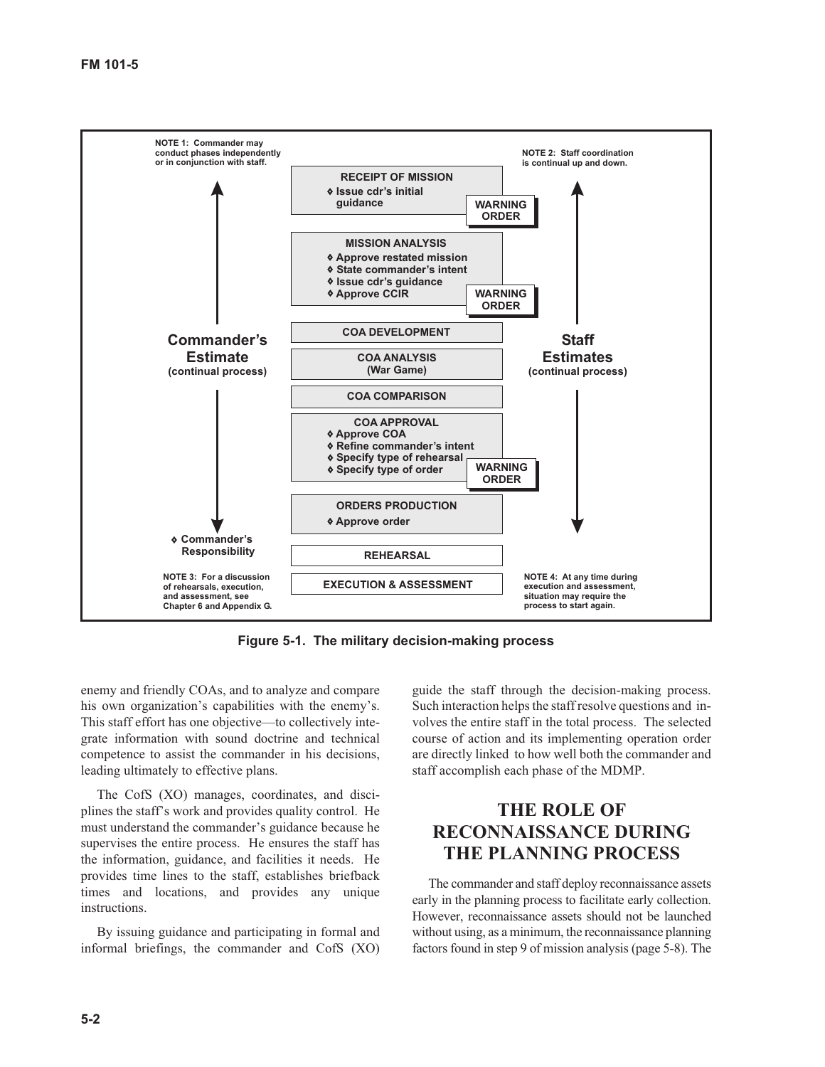

**Figure 5-1. The military decision-making process**

enemy and friendly COAs, and to analyze and compare his own organization's capabilities with the enemy's. This staff effort has one objective—to collectively integrate information with sound doctrine and technical competence to assist the commander in his decisions, leading ultimately to effective plans.

The CofS (XO) manages, coordinates, and disciplines the staff's work and provides quality control. He must understand the commander's guidance because he supervises the entire process. He ensures the staff has the information, guidance, and facilities it needs. He provides time lines to the staff, establishes briefback times and locations, and provides any unique instructions.

By issuing guidance and participating in formal and informal briefings, the commander and CofS (XO) guide the staff through the decision-making process. Such interaction helps the staff resolve questions and involves the entire staff in the total process. The selected course of action and its implementing operation order are directly linked to how well both the commander and staff accomplish each phase of the MDMP.

# **THE ROLE OF RECONNAISSANCE DURING THE PLANNING PROCESS**

The commander and staff deploy reconnaissance assets early in the planning process to facilitate early collection. However, reconnaissance assets should not be launched without using, as a minimum, the reconnaissance planning factors found in step 9 of mission analysis (page 5-8). The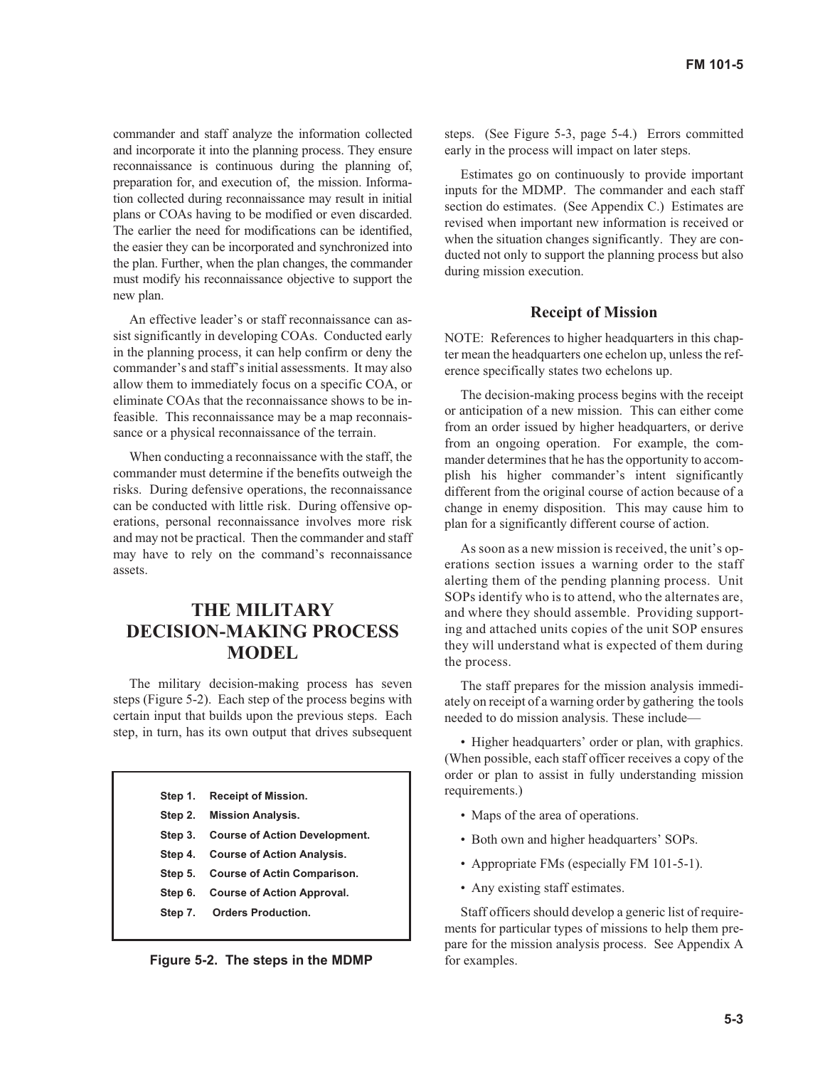commander and staff analyze the information collected and incorporate it into the planning process. They ensure reconnaissance is continuous during the planning of, preparation for, and execution of, the mission. Information collected during reconnaissance may result in initial plans or COAs having to be modified or even discarded. The earlier the need for modifications can be identified, the easier they can be incorporated and synchronized into the plan. Further, when the plan changes, the commander must modify his reconnaissance objective to support the new plan.

An effective leader's or staff reconnaissance can assist significantly in developing COAs. Conducted early in the planning process, it can help confirm or deny the commander's and staff's initial assessments. It may also allow them to immediately focus on a specific COA, or eliminate COAs that the reconnaissance shows to be infeasible. This reconnaissance may be a map reconnaissance or a physical reconnaissance of the terrain.

When conducting a reconnaissance with the staff, the commander must determine if the benefits outweigh the risks. During defensive operations, the reconnaissance can be conducted with little risk. During offensive operations, personal reconnaissance involves more risk and may not be practical. Then the commander and staff may have to rely on the command's reconnaissance assets.

# **THE MILITARY DECISION-MAKING PROCESS MODEL**

The military decision-making process has seven steps (Figure 5-2). Each step of the process begins with certain input that builds upon the previous steps. Each step, in turn, has its own output that drives subsequent

- **Step 1. Receipt of Mission.**
- **Step 2. Mission Analysis.**
- **Step 3. Course of Action Development.**
- **Step 4. Course of Action Analysis.**
- **Step 5. Course of Actin Comparison.**
- **Step 6. Course of Action Approval.**
- **Step 7. Orders Production.**



steps. (See Figure 5-3, page 5-4.) Errors committed early in the process will impact on later steps.

Estimates go on continuously to provide important inputs for the MDMP. The commander and each staff section do estimates. (See Appendix C.) Estimates are revised when important new information is received or when the situation changes significantly. They are conducted not only to support the planning process but also during mission execution.

# **Receipt of Mission**

NOTE: References to higher headquarters in this chapter mean the headquarters one echelon up, unless the reference specifically states two echelons up.

The decision-making process begins with the receipt or anticipation of a new mission. This can either come from an order issued by higher headquarters, or derive from an ongoing operation. For example, the commander determines that he has the opportunity to accomplish his higher commander's intent significantly different from the original course of action because of a change in enemy disposition. This may cause him to plan for a significantly different course of action.

As soon as a new mission is received, the unit's operations section issues a warning order to the staff alerting them of the pending planning process. Unit SOPs identify who is to attend, who the alternates are, and where they should assemble. Providing supporting and attached units copies of the unit SOP ensures they will understand what is expected of them during the process.

The staff prepares for the mission analysis immediately on receipt of a warning order by gathering the tools needed to do mission analysis. These include—

• Higher headquarters' order or plan, with graphics. (When possible, each staff officer receives a copy of the order or plan to assist in fully understanding mission requirements.)

- Maps of the area of operations.
- Both own and higher headquarters' SOPs.
- Appropriate FMs (especially FM 101-5-1).
- Any existing staff estimates.

Staff officers should develop a generic list of requirements for particular types of missions to help them prepare for the mission analysis process. See Appendix A for examples.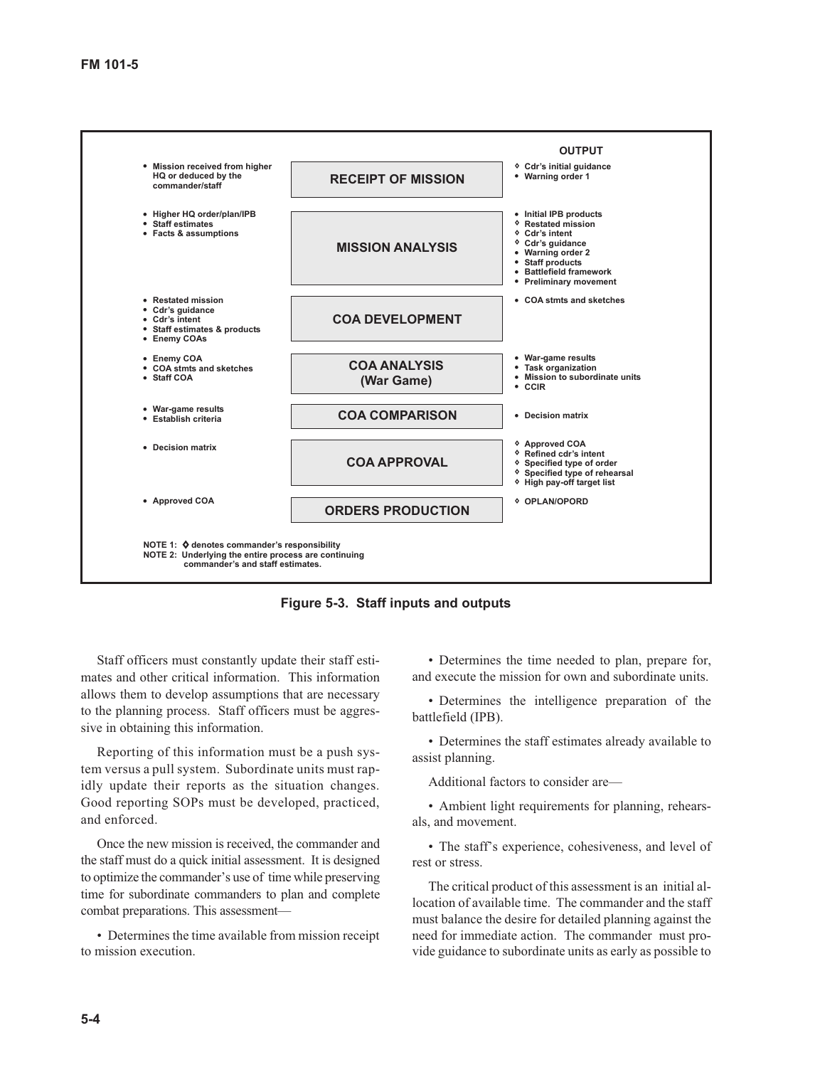

**Figure 5-3. Staff inputs and outputs**

Staff officers must constantly update their staff estimates and other critical information. This information allows them to develop assumptions that are necessary to the planning process. Staff officers must be aggressive in obtaining this information.

Reporting of this information must be a push system versus a pull system. Subordinate units must rapidly update their reports as the situation changes. Good reporting SOPs must be developed, practiced, and enforced.

Once the new mission is received, the commander and the staff must do a quick initial assessment. It is designed to optimize the commander's use of time while preserving time for subordinate commanders to plan and complete combat preparations. This assessment—

• Determines the time available from mission receipt to mission execution.

• Determines the time needed to plan, prepare for, and execute the mission for own and subordinate units.

• Determines the intelligence preparation of the battlefield (IPB).

• Determines the staff estimates already available to assist planning.

Additional factors to consider are—

• Ambient light requirements for planning, rehearsals, and movement.

• The staff's experience, cohesiveness, and level of rest or stress.

The critical product of this assessment is an initial allocation of available time. The commander and the staff must balance the desire for detailed planning against the need for immediate action. The commander must provide guidance to subordinate units as early as possible to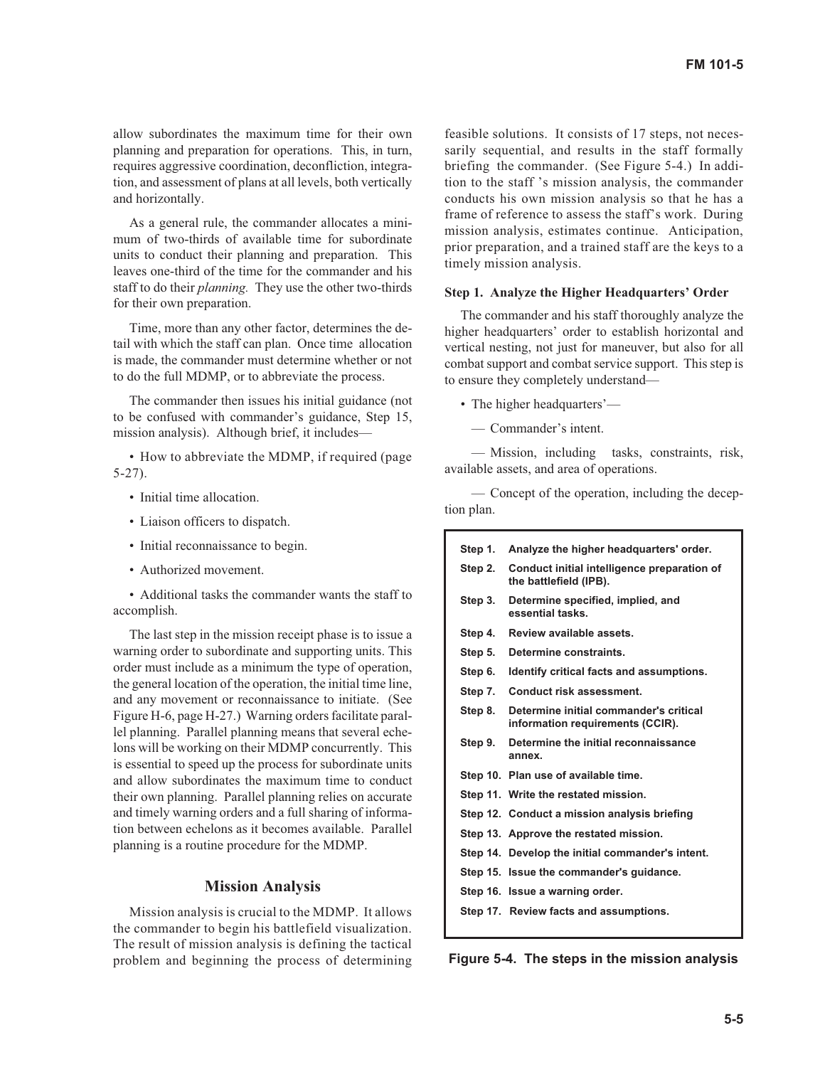allow subordinates the maximum time for their own planning and preparation for operations. This, in turn, requires aggressive coordination, deconfliction, integration, and assessment of plans at all levels, both vertically and horizontally.

As a general rule, the commander allocates a minimum of two-thirds of available time for subordinate units to conduct their planning and preparation. This leaves one-third of the time for the commander and his staff to do their *planning.* They use the other two-thirds for their own preparation.

Time, more than any other factor, determines the detail with which the staff can plan. Once time allocation is made, the commander must determine whether or not to do the full MDMP, or to abbreviate the process.

The commander then issues his initial guidance (not to be confused with commander's guidance, Step 15, mission analysis). Although brief, it includes—

• How to abbreviate the MDMP, if required (page 5-27).

- Initial time allocation.
- Liaison officers to dispatch.
- Initial reconnaissance to begin.
- Authorized movement.

• Additional tasks the commander wants the staff to accomplish.

The last step in the mission receipt phase is to issue a warning order to subordinate and supporting units. This order must include as a minimum the type of operation, the general location of the operation, the initial time line, and any movement or reconnaissance to initiate. (See Figure H-6, page H-27.) Warning orders facilitate parallel planning. Parallel planning means that several echelons will be working on their MDMP concurrently. This is essential to speed up the process for subordinate units and allow subordinates the maximum time to conduct their own planning. Parallel planning relies on accurate and timely warning orders and a full sharing of information between echelons as it becomes available. Parallel planning is a routine procedure for the MDMP.

# **Mission Analysis**

Mission analysis is crucial to the MDMP. It allows the commander to begin his battlefield visualization. The result of mission analysis is defining the tactical problem and beginning the process of determining

feasible solutions. It consists of 17 steps, not necessarily sequential, and results in the staff formally briefing the commander. (See Figure 5-4.) In addition to the staff 's mission analysis, the commander conducts his own mission analysis so that he has a frame of reference to assess the staff's work. During mission analysis, estimates continue. Anticipation, prior preparation, and a trained staff are the keys to a timely mission analysis.

#### **Step 1. Analyze the Higher Headquarters' Order**

The commander and his staff thoroughly analyze the higher headquarters' order to establish horizontal and vertical nesting, not just for maneuver, but also for all combat support and combat service support. This step is to ensure they completely understand—

• The higher headquarters'—

— Commander's intent.

— Mission, including tasks, constraints, risk, available assets, and area of operations.

— Concept of the operation, including the deception plan.

| Step 1. | Analyze the higher headquarters' order.                                    |
|---------|----------------------------------------------------------------------------|
| Step 2. | Conduct initial intelligence preparation of<br>the battlefield (IPB).      |
| Step 3. | Determine specified, implied, and<br>essential tasks.                      |
| Step 4. | Review available assets.                                                   |
| Step 5. | Determine constraints.                                                     |
| Step 6. | Identify critical facts and assumptions.                                   |
| Step 7. | Conduct risk assessment.                                                   |
| Step 8. | Determine initial commander's critical<br>information requirements (CCIR). |
| Step 9. | Determine the initial reconnaissance<br>annex.                             |
|         | Step 10. Plan use of available time.                                       |
|         | Step 11. Write the restated mission.                                       |
|         | Step 12. Conduct a mission analysis briefing                               |
|         | Step 13. Approve the restated mission.                                     |
|         | Step 14. Develop the initial commander's intent.                           |
|         | Step 15. Issue the commander's quidance.                                   |
|         | Step 16. Issue a warning order.                                            |
|         | Step 17. Review facts and assumptions.                                     |
|         |                                                                            |

**Figure 5-4. The steps in the mission analysis**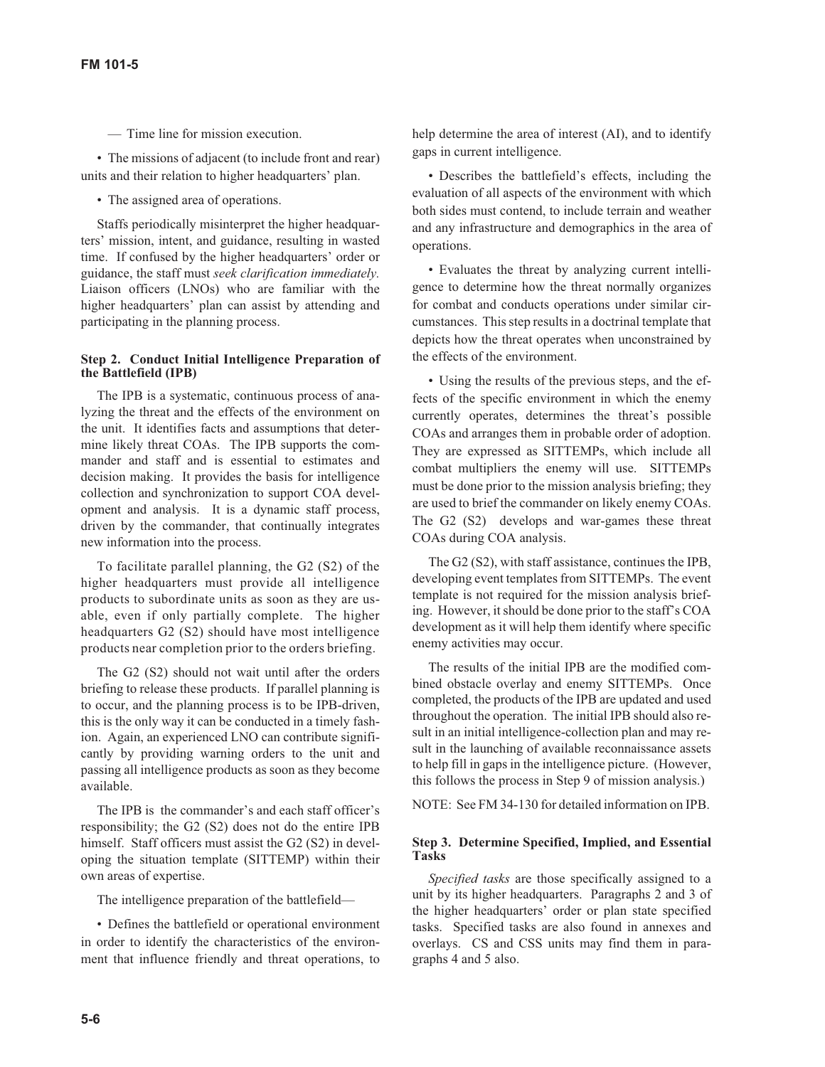— Time line for mission execution.

• The missions of adjacent (to include front and rear) units and their relation to higher headquarters' plan.

• The assigned area of operations.

Staffs periodically misinterpret the higher headquarters' mission, intent, and guidance, resulting in wasted time. If confused by the higher headquarters' order or guidance, the staff must *seek clarification immediately.* Liaison officers (LNOs) who are familiar with the higher headquarters' plan can assist by attending and participating in the planning process.

#### **Step 2. Conduct Initial Intelligence Preparation of the Battlefield (IPB)**

The IPB is a systematic, continuous process of analyzing the threat and the effects of the environment on the unit. It identifies facts and assumptions that determine likely threat COAs. The IPB supports the commander and staff and is essential to estimates and decision making. It provides the basis for intelligence collection and synchronization to support COA development and analysis. It is a dynamic staff process, driven by the commander, that continually integrates new information into the process.

To facilitate parallel planning, the G2 (S2) of the higher headquarters must provide all intelligence products to subordinate units as soon as they are usable, even if only partially complete. The higher headquarters G2 (S2) should have most intelligence products near completion prior to the orders briefing.

The G2 (S2) should not wait until after the orders briefing to release these products. If parallel planning is to occur, and the planning process is to be IPB-driven, this is the only way it can be conducted in a timely fashion. Again, an experienced LNO can contribute significantly by providing warning orders to the unit and passing all intelligence products as soon as they become available.

The IPB is the commander's and each staff officer's responsibility; the G2 (S2) does not do the entire IPB himself. Staff officers must assist the G2 (S2) in developing the situation template (SITTEMP) within their own areas of expertise.

The intelligence preparation of the battlefield—

• Defines the battlefield or operational environment in order to identify the characteristics of the environment that influence friendly and threat operations, to help determine the area of interest (AI), and to identify gaps in current intelligence.

• Describes the battlefield's effects, including the evaluation of all aspects of the environment with which both sides must contend, to include terrain and weather and any infrastructure and demographics in the area of operations.

• Evaluates the threat by analyzing current intelligence to determine how the threat normally organizes for combat and conducts operations under similar circumstances. This step results in a doctrinal template that depicts how the threat operates when unconstrained by the effects of the environment.

• Using the results of the previous steps, and the effects of the specific environment in which the enemy currently operates, determines the threat's possible COAs and arranges them in probable order of adoption. They are expressed as SITTEMPs, which include all combat multipliers the enemy will use. SITTEMPs must be done prior to the mission analysis briefing; they are used to brief the commander on likely enemy COAs. The G2 (S2) develops and war-games these threat COAs during COA analysis.

The G2 (S2), with staff assistance, continues the IPB, developing event templates from SITTEMPs. The event template is not required for the mission analysis briefing. However, it should be done prior to the staff's COA development as it will help them identify where specific enemy activities may occur.

The results of the initial IPB are the modified combined obstacle overlay and enemy SITTEMPs. Once completed, the products of the IPB are updated and used throughout the operation. The initial IPB should also result in an initial intelligence-collection plan and may result in the launching of available reconnaissance assets to help fill in gaps in the intelligence picture. (However, this follows the process in Step 9 of mission analysis.)

NOTE: See FM 34-130 for detailed information on IPB.

#### **Step 3. Determine Specified, Implied, and Essential Tasks**

*Specified tasks* are those specifically assigned to a unit by its higher headquarters. Paragraphs 2 and 3 of the higher headquarters' order or plan state specified tasks. Specified tasks are also found in annexes and overlays. CS and CSS units may find them in paragraphs 4 and 5 also.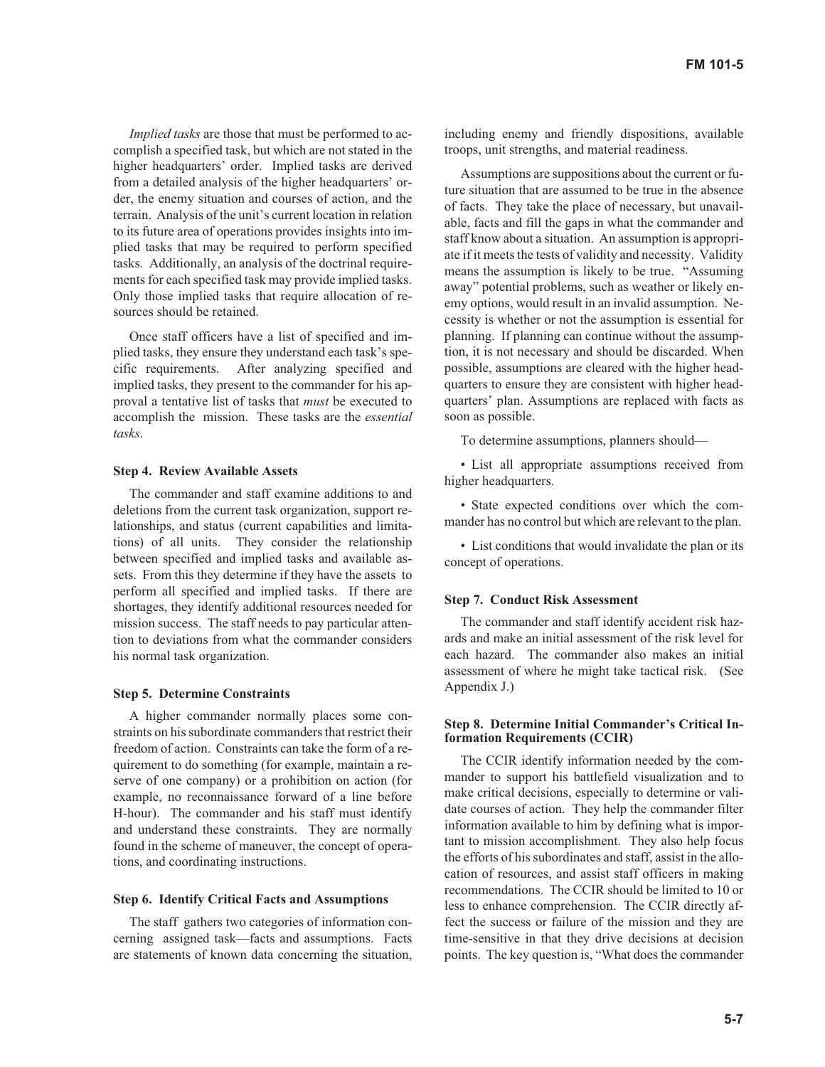*Implied tasks* are those that must be performed to accomplish a specified task, but which are not stated in the higher headquarters' order. Implied tasks are derived from a detailed analysis of the higher headquarters' order, the enemy situation and courses of action, and the terrain. Analysis of the unit's current location in relation to its future area of operations provides insights into implied tasks that may be required to perform specified tasks. Additionally, an analysis of the doctrinal requirements for each specified task may provide implied tasks. Only those implied tasks that require allocation of resources should be retained.

Once staff officers have a list of specified and implied tasks, they ensure they understand each task's specific requirements. After analyzing specified and implied tasks, they present to the commander for his approval a tentative list of tasks that *must* be executed to accomplish the mission. These tasks are the *essential tasks*.

#### **Step 4. Review Available Assets**

The commander and staff examine additions to and deletions from the current task organization, support relationships, and status (current capabilities and limitations) of all units. They consider the relationship between specified and implied tasks and available assets. From this they determine if they have the assets to perform all specified and implied tasks. If there are shortages, they identify additional resources needed for mission success. The staff needs to pay particular attention to deviations from what the commander considers his normal task organization.

#### **Step 5. Determine Constraints**

A higher commander normally places some constraints on his subordinate commanders that restrict their freedom of action. Constraints can take the form of a requirement to do something (for example, maintain a reserve of one company) or a prohibition on action (for example, no reconnaissance forward of a line before H-hour). The commander and his staff must identify and understand these constraints. They are normally found in the scheme of maneuver, the concept of operations, and coordinating instructions.

#### **Step 6. Identify Critical Facts and Assumptions**

The staff gathers two categories of information concerning assigned task—facts and assumptions. Facts are statements of known data concerning the situation, including enemy and friendly dispositions, available troops, unit strengths, and material readiness.

Assumptions are suppositions about the current or future situation that are assumed to be true in the absence of facts. They take the place of necessary, but unavailable, facts and fill the gaps in what the commander and staff know about a situation. An assumption is appropriate if it meets the tests of validity and necessity. Validity means the assumption is likely to be true. "Assuming away" potential problems, such as weather or likely enemy options, would result in an invalid assumption. Necessity is whether or not the assumption is essential for planning. If planning can continue without the assumption, it is not necessary and should be discarded. When possible, assumptions are cleared with the higher headquarters to ensure they are consistent with higher headquarters' plan. Assumptions are replaced with facts as soon as possible.

To determine assumptions, planners should—

• List all appropriate assumptions received from higher headquarters.

• State expected conditions over which the commander has no control but which are relevant to the plan.

• List conditions that would invalidate the plan or its concept of operations.

#### **Step 7. Conduct Risk Assessment**

The commander and staff identify accident risk hazards and make an initial assessment of the risk level for each hazard. The commander also makes an initial assessment of where he might take tactical risk. (See Appendix J.)

#### **Step 8. Determine Initial Commander's Critical Information Requirements (CCIR)**

The CCIR identify information needed by the commander to support his battlefield visualization and to make critical decisions, especially to determine or validate courses of action. They help the commander filter information available to him by defining what is important to mission accomplishment. They also help focus the efforts of his subordinates and staff, assist in the allocation of resources, and assist staff officers in making recommendations. The CCIR should be limited to 10 or less to enhance comprehension. The CCIR directly affect the success or failure of the mission and they are time-sensitive in that they drive decisions at decision points. The key question is, "What does the commander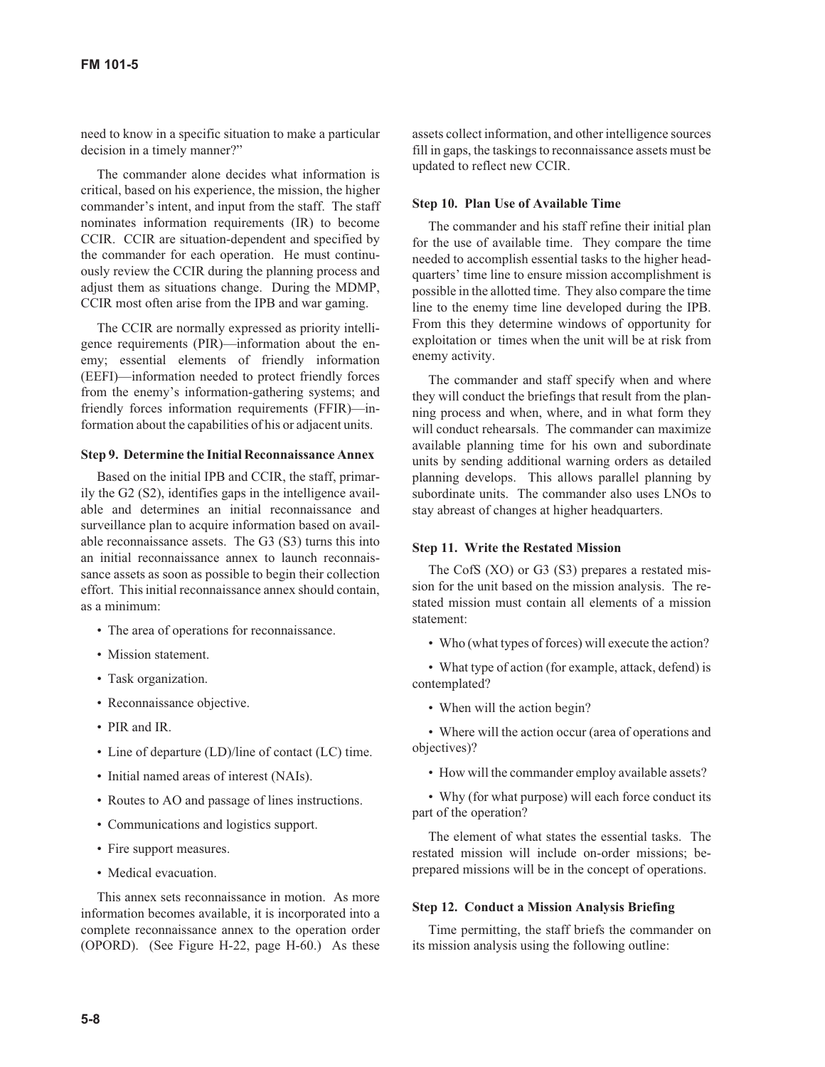need to know in a specific situation to make a particular decision in a timely manner?"

The commander alone decides what information is critical, based on his experience, the mission, the higher commander's intent, and input from the staff. The staff nominates information requirements (IR) to become CCIR. CCIR are situation-dependent and specified by the commander for each operation. He must continuously review the CCIR during the planning process and adjust them as situations change. During the MDMP, CCIR most often arise from the IPB and war gaming.

The CCIR are normally expressed as priority intelligence requirements (PIR)—information about the enemy; essential elements of friendly information (EEFI)—information needed to protect friendly forces from the enemy's information-gathering systems; and friendly forces information requirements (FFIR)—information about the capabilities of his or adjacent units.

#### **Step 9. Determine the Initial Reconnaissance Annex**

Based on the initial IPB and CCIR, the staff, primarily the G2 (S2), identifies gaps in the intelligence available and determines an initial reconnaissance and surveillance plan to acquire information based on available reconnaissance assets. The G3 (S3) turns this into an initial reconnaissance annex to launch reconnaissance assets as soon as possible to begin their collection effort. This initial reconnaissance annex should contain, as a minimum:

- The area of operations for reconnaissance.
- Mission statement.
- Task organization.
- Reconnaissance objective.
- PIR and IR.
- Line of departure (LD)/line of contact (LC) time.
- Initial named areas of interest (NAIs).
- Routes to AO and passage of lines instructions.
- Communications and logistics support.
- Fire support measures.
- Medical evacuation.

This annex sets reconnaissance in motion. As more information becomes available, it is incorporated into a complete reconnaissance annex to the operation order (OPORD). (See Figure H-22, page H-60.) As these assets collect information, and other intelligence sources fill in gaps, the taskings to reconnaissance assets must be updated to reflect new CCIR.

#### **Step 10. Plan Use of Available Time**

The commander and his staff refine their initial plan for the use of available time. They compare the time needed to accomplish essential tasks to the higher headquarters' time line to ensure mission accomplishment is possible in the allotted time. They also compare the time line to the enemy time line developed during the IPB. From this they determine windows of opportunity for exploitation or times when the unit will be at risk from enemy activity.

The commander and staff specify when and where they will conduct the briefings that result from the planning process and when, where, and in what form they will conduct rehearsals. The commander can maximize available planning time for his own and subordinate units by sending additional warning orders as detailed planning develops. This allows parallel planning by subordinate units. The commander also uses LNOs to stay abreast of changes at higher headquarters.

#### **Step 11. Write the Restated Mission**

The CofS (XO) or G3 (S3) prepares a restated mission for the unit based on the mission analysis. The restated mission must contain all elements of a mission statement:

• Who (what types of forces) will execute the action?

• What type of action (for example, attack, defend) is contemplated?

• When will the action begin?

• Where will the action occur (area of operations and objectives)?

• How will the commander employ available assets?

• Why (for what purpose) will each force conduct its part of the operation?

The element of what states the essential tasks. The restated mission will include on-order missions; beprepared missions will be in the concept of operations.

# **Step 12. Conduct a Mission Analysis Briefing**

Time permitting, the staff briefs the commander on its mission analysis using the following outline: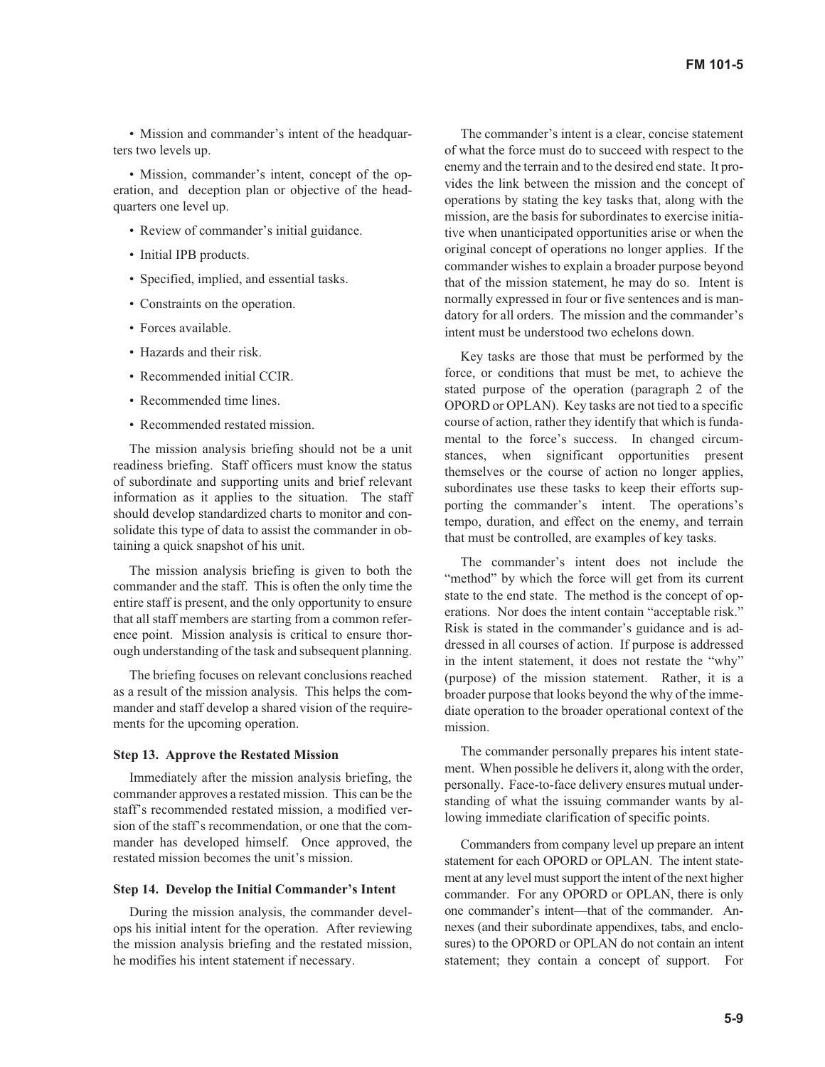• Mission and commander's intent of the headquarters two levels up.

• Mission, commander's intent, concept of the operation, and deception plan or objective of the headquarters one level up.

- Review of commander's initial guidance.
- Initial IPB products.
- Specified, implied, and essential tasks.
- Constraints on the operation.
- Forces available.
- Hazards and their risk.
- Recommended initial CCIR.
- Recommended time lines.
- Recommended restated mission.

The mission analysis briefing should not be a unit readiness briefing. Staff officers must know the status of subordinate and supporting units and brief relevant information as it applies to the situation. The staff should develop standardized charts to monitor and consolidate this type of data to assist the commander in obtaining a quick snapshot of his unit.

The mission analysis briefing is given to both the commander and the staff. This is often the only time the entire staff is present, and the only opportunity to ensure that all staff members are starting from a common reference point. Mission analysis is critical to ensure thorough understanding of the task and subsequent planning.

The briefing focuses on relevant conclusions reached as a result of the mission analysis. This helps the commander and staff develop a shared vision of the requirements for the upcoming operation.

#### **Step 13. Approve the Restated Mission**

Immediately after the mission analysis briefing, the commander approves a restated mission. This can be the staff's recommended restated mission, a modified version of the staff's recommendation, or one that the commander has developed himself. Once approved, the restated mission becomes the unit's mission.

#### **Step 14. Develop the Initial Commander's Intent**

During the mission analysis, the commander develops his initial intent for the operation. After reviewing the mission analysis briefing and the restated mission, he modifies his intent statement if necessary.

The commander's intent is a clear, concise statement of what the force must do to succeed with respect to the enemy and the terrain and to the desired end state. It provides the link between the mission and the concept of operations by stating the key tasks that, along with the mission, are the basis for subordinates to exercise initiative when unanticipated opportunities arise or when the original concept of operations no longer applies. If the commander wishes to explain a broader purpose beyond that of the mission statement, he may do so. Intent is normally expressed in four or five sentences and is mandatory for all orders. The mission and the commander's intent must be understood two echelons down.

Key tasks are those that must be performed by the force, or conditions that must be met, to achieve the stated purpose of the operation (paragraph 2 of the OPORD or OPLAN). Key tasks are not tied to a specific course of action, rather they identify that which is fundamental to the force's success. In changed circumstances, when significant opportunities present themselves or the course of action no longer applies, subordinates use these tasks to keep their efforts supporting the commander's intent. The operations's tempo, duration, and effect on the enemy, and terrain that must be controlled, are examples of key tasks.

The commander's intent does not include the "method" by which the force will get from its current state to the end state. The method is the concept of operations. Nor does the intent contain "acceptable risk." Risk is stated in the commander's guidance and is addressed in all courses of action. If purpose is addressed in the intent statement, it does not restate the "why" (purpose) of the mission statement. Rather, it is a broader purpose that looks beyond the why of the immediate operation to the broader operational context of the mission.

The commander personally prepares his intent statement. When possible he delivers it, along with the order, personally. Face-to-face delivery ensures mutual understanding of what the issuing commander wants by allowing immediate clarification of specific points.

Commanders from company level up prepare an intent statement for each OPORD or OPLAN. The intent statement at any level must support the intent of the next higher commander. For any OPORD or OPLAN, there is only one commander's intent—that of the commander. Annexes (and their subordinate appendixes, tabs, and enclosures) to the OPORD or OPLAN do not contain an intent statement; they contain a concept of support. For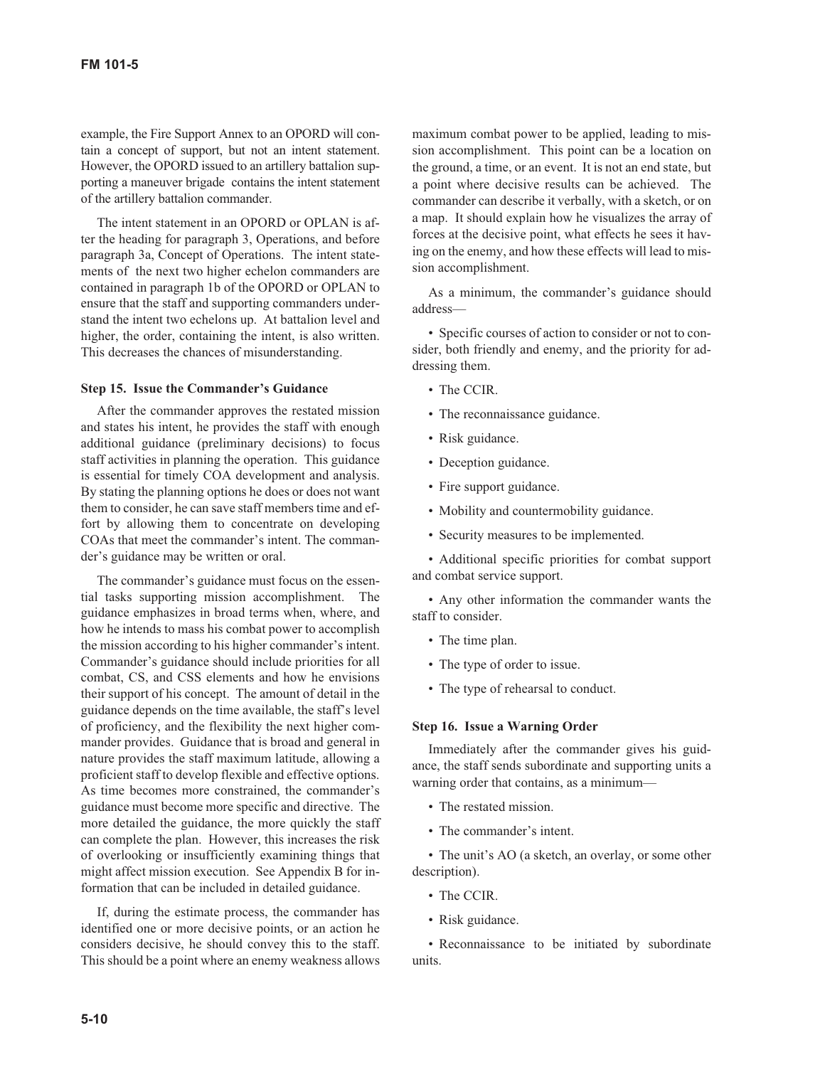example, the Fire Support Annex to an OPORD will contain a concept of support, but not an intent statement. However, the OPORD issued to an artillery battalion supporting a maneuver brigade contains the intent statement of the artillery battalion commander.

The intent statement in an OPORD or OPLAN is after the heading for paragraph 3, Operations, and before paragraph 3a, Concept of Operations. The intent statements of the next two higher echelon commanders are contained in paragraph 1b of the OPORD or OPLAN to ensure that the staff and supporting commanders understand the intent two echelons up. At battalion level and higher, the order, containing the intent, is also written. This decreases the chances of misunderstanding.

#### **Step 15. Issue the Commander's Guidance**

After the commander approves the restated mission and states his intent, he provides the staff with enough additional guidance (preliminary decisions) to focus staff activities in planning the operation. This guidance is essential for timely COA development and analysis. By stating the planning options he does or does not want them to consider, he can save staff members time and effort by allowing them to concentrate on developing COAs that meet the commander's intent. The commander's guidance may be written or oral.

The commander's guidance must focus on the essential tasks supporting mission accomplishment. The guidance emphasizes in broad terms when, where, and how he intends to mass his combat power to accomplish the mission according to his higher commander's intent. Commander's guidance should include priorities for all combat, CS, and CSS elements and how he envisions their support of his concept. The amount of detail in the guidance depends on the time available, the staff's level of proficiency, and the flexibility the next higher commander provides. Guidance that is broad and general in nature provides the staff maximum latitude, allowing a proficient staff to develop flexible and effective options. As time becomes more constrained, the commander's guidance must become more specific and directive. The more detailed the guidance, the more quickly the staff can complete the plan. However, this increases the risk of overlooking or insufficiently examining things that might affect mission execution. See Appendix B for information that can be included in detailed guidance.

If, during the estimate process, the commander has identified one or more decisive points, or an action he considers decisive, he should convey this to the staff. This should be a point where an enemy weakness allows

maximum combat power to be applied, leading to mission accomplishment. This point can be a location on the ground, a time, or an event. It is not an end state, but a point where decisive results can be achieved. The commander can describe it verbally, with a sketch, or on a map. It should explain how he visualizes the array of forces at the decisive point, what effects he sees it having on the enemy, and how these effects will lead to mission accomplishment.

As a minimum, the commander's guidance should address—

• Specific courses of action to consider or not to consider, both friendly and enemy, and the priority for addressing them.

- The CCIR.
- The reconnaissance guidance.
- Risk guidance.
- Deception guidance.
- Fire support guidance.
- Mobility and countermobility guidance.
- Security measures to be implemented.

• Additional specific priorities for combat support and combat service support.

• Any other information the commander wants the staff to consider.

- The time plan.
- The type of order to issue.
- The type of rehearsal to conduct.

#### **Step 16. Issue a Warning Order**

Immediately after the commander gives his guidance, the staff sends subordinate and supporting units a warning order that contains, as a minimum—

- The restated mission.
- The commander's intent.

• The unit's AO (a sketch, an overlay, or some other description).

- The CCIR.
- Risk guidance.

• Reconnaissance to be initiated by subordinate units.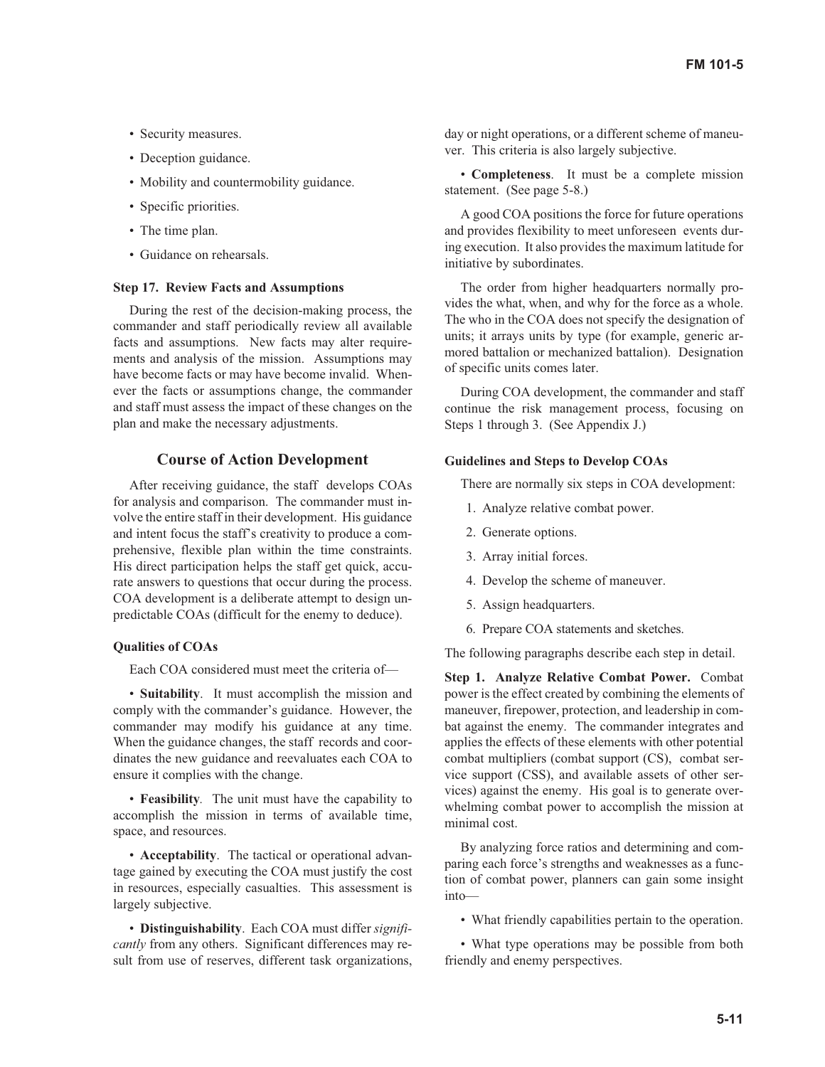- Security measures.
- Deception guidance.
- Mobility and countermobility guidance.
- Specific priorities.
- The time plan.
- Guidance on rehearsals.

### **Step 17. Review Facts and Assumptions**

During the rest of the decision-making process, the commander and staff periodically review all available facts and assumptions. New facts may alter requirements and analysis of the mission. Assumptions may have become facts or may have become invalid. Whenever the facts or assumptions change, the commander and staff must assess the impact of these changes on the plan and make the necessary adjustments.

# **Course of Action Development**

After receiving guidance, the staff develops COAs for analysis and comparison. The commander must involve the entire staff in their development. His guidance and intent focus the staff's creativity to produce a comprehensive, flexible plan within the time constraints. His direct participation helps the staff get quick, accurate answers to questions that occur during the process. COA development is a deliberate attempt to design unpredictable COAs (difficult for the enemy to deduce).

#### **Qualities of COAs**

Each COA considered must meet the criteria of—

• **Suitability**. It must accomplish the mission and comply with the commander's guidance. However, the commander may modify his guidance at any time. When the guidance changes, the staff records and coordinates the new guidance and reevaluates each COA to ensure it complies with the change.

• **Feasibility***.* The unit must have the capability to accomplish the mission in terms of available time, space, and resources.

• **Acceptability**. The tactical or operational advantage gained by executing the COA must justify the cost in resources, especially casualties. This assessment is largely subjective.

• **Distinguishability**. Each COA must differ *significantly* from any others. Significant differences may result from use of reserves, different task organizations, day or night operations, or a different scheme of maneuver. This criteria is also largely subjective.

• **Completeness**. It must be a complete mission statement. (See page 5-8.)

A good COA positions the force for future operations and provides flexibility to meet unforeseen events during execution. It also provides the maximum latitude for initiative by subordinates.

The order from higher headquarters normally provides the what, when, and why for the force as a whole. The who in the COA does not specify the designation of units; it arrays units by type (for example, generic armored battalion or mechanized battalion). Designation of specific units comes later.

During COA development, the commander and staff continue the risk management process, focusing on Steps 1 through 3. (See Appendix J.)

#### **Guidelines and Steps to Develop COAs**

There are normally six steps in COA development:

- 1. Analyze relative combat power.
- 2. Generate options.
- 3. Array initial forces.
- 4. Develop the scheme of maneuver.
- 5. Assign headquarters.
- 6. Prepare COA statements and sketches.

The following paragraphs describe each step in detail.

**Step 1. Analyze Relative Combat Power.** Combat power is the effect created by combining the elements of maneuver, firepower, protection, and leadership in combat against the enemy. The commander integrates and applies the effects of these elements with other potential combat multipliers (combat support (CS), combat service support (CSS), and available assets of other services) against the enemy. His goal is to generate overwhelming combat power to accomplish the mission at minimal cost.

By analyzing force ratios and determining and comparing each force's strengths and weaknesses as a function of combat power, planners can gain some insight into—

• What friendly capabilities pertain to the operation.

• What type operations may be possible from both friendly and enemy perspectives.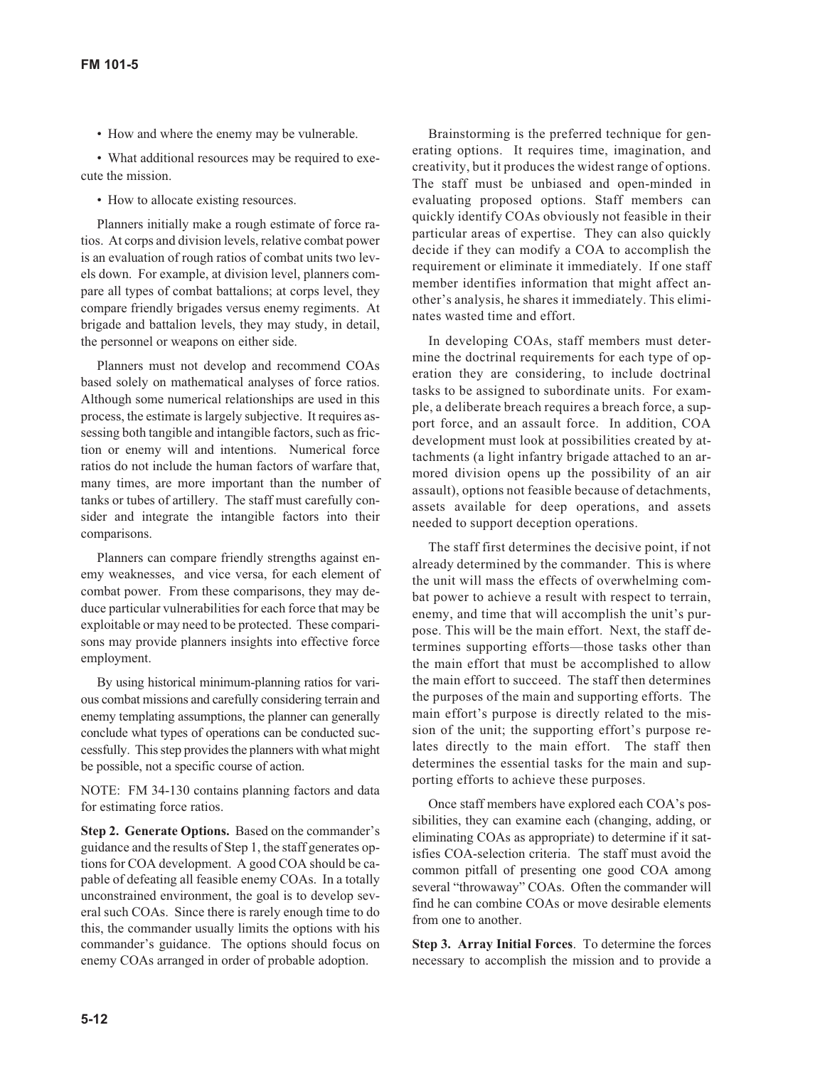• How and where the enemy may be vulnerable.

• What additional resources may be required to execute the mission.

• How to allocate existing resources.

Planners initially make a rough estimate of force ratios. At corps and division levels, relative combat power is an evaluation of rough ratios of combat units two levels down. For example, at division level, planners compare all types of combat battalions; at corps level, they compare friendly brigades versus enemy regiments. At brigade and battalion levels, they may study, in detail, the personnel or weapons on either side.

Planners must not develop and recommend COAs based solely on mathematical analyses of force ratios. Although some numerical relationships are used in this process, the estimate is largely subjective. It requires assessing both tangible and intangible factors, such as friction or enemy will and intentions. Numerical force ratios do not include the human factors of warfare that, many times, are more important than the number of tanks or tubes of artillery. The staff must carefully consider and integrate the intangible factors into their comparisons.

Planners can compare friendly strengths against enemy weaknesses, and vice versa, for each element of combat power. From these comparisons, they may deduce particular vulnerabilities for each force that may be exploitable or may need to be protected. These comparisons may provide planners insights into effective force employment.

By using historical minimum-planning ratios for various combat missions and carefully considering terrain and enemy templating assumptions, the planner can generally conclude what types of operations can be conducted successfully. This step provides the planners with what might be possible, not a specific course of action.

NOTE: FM 34-130 contains planning factors and data for estimating force ratios.

**Step 2. Generate Options.** Based on the commander's guidance and the results of Step 1, the staff generates options for COA development. A good COA should be capable of defeating all feasible enemy COAs. In a totally unconstrained environment, the goal is to develop several such COAs. Since there is rarely enough time to do this, the commander usually limits the options with his commander's guidance. The options should focus on enemy COAs arranged in order of probable adoption.

Brainstorming is the preferred technique for generating options. It requires time, imagination, and creativity, but it produces the widest range of options. The staff must be unbiased and open-minded in evaluating proposed options. Staff members can quickly identify COAs obviously not feasible in their particular areas of expertise. They can also quickly decide if they can modify a COA to accomplish the requirement or eliminate it immediately. If one staff member identifies information that might affect another's analysis, he shares it immediately. This eliminates wasted time and effort.

In developing COAs, staff members must determine the doctrinal requirements for each type of operation they are considering, to include doctrinal tasks to be assigned to subordinate units. For example, a deliberate breach requires a breach force, a support force, and an assault force. In addition, COA development must look at possibilities created by attachments (a light infantry brigade attached to an armored division opens up the possibility of an air assault), options not feasible because of detachments, assets available for deep operations, and assets needed to support deception operations.

The staff first determines the decisive point, if not already determined by the commander. This is where the unit will mass the effects of overwhelming combat power to achieve a result with respect to terrain, enemy, and time that will accomplish the unit's purpose. This will be the main effort. Next, the staff determines supporting efforts—those tasks other than the main effort that must be accomplished to allow the main effort to succeed. The staff then determines the purposes of the main and supporting efforts. The main effort's purpose is directly related to the mission of the unit; the supporting effort's purpose relates directly to the main effort. The staff then determines the essential tasks for the main and supporting efforts to achieve these purposes.

Once staff members have explored each COA's possibilities, they can examine each (changing, adding, or eliminating COAs as appropriate) to determine if it satisfies COA-selection criteria. The staff must avoid the common pitfall of presenting one good COA among several "throwaway" COAs. Often the commander will find he can combine COAs or move desirable elements from one to another.

**Step 3. Array Initial Forces**. To determine the forces necessary to accomplish the mission and to provide a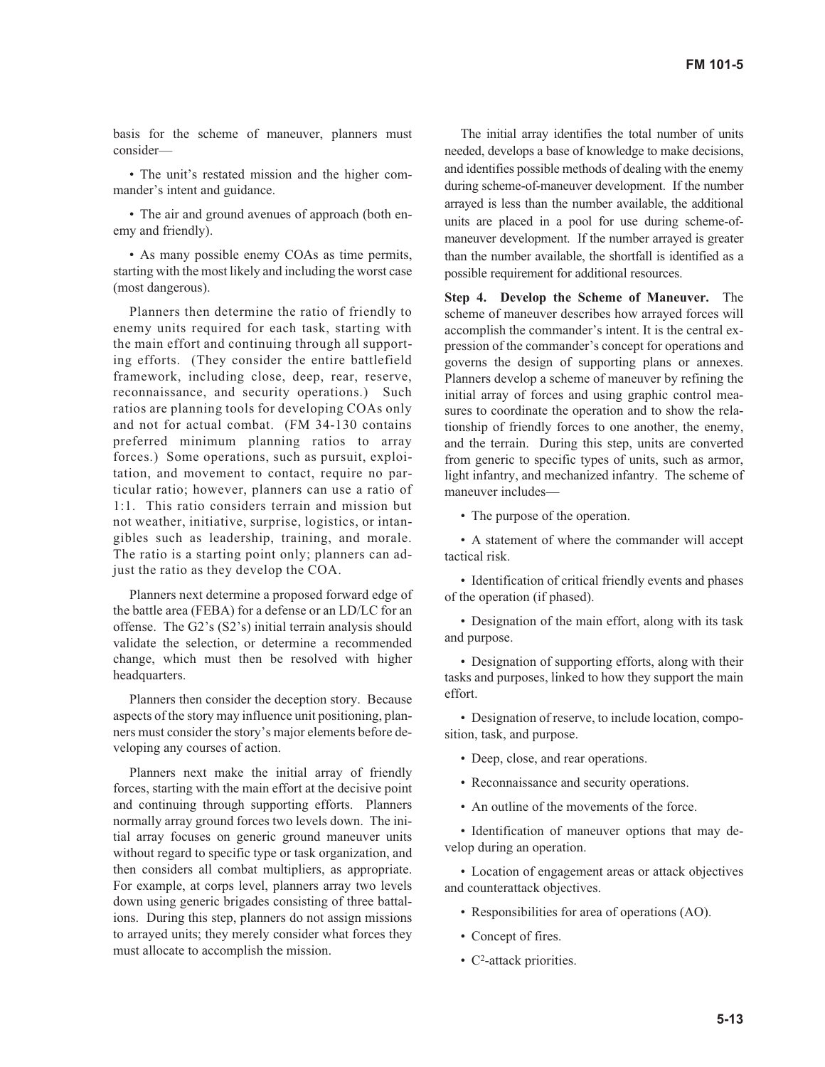basis for the scheme of maneuver, planners must consider—

• The unit's restated mission and the higher commander's intent and guidance.

• The air and ground avenues of approach (both enemy and friendly).

• As many possible enemy COAs as time permits, starting with the most likely and including the worst case (most dangerous).

Planners then determine the ratio of friendly to enemy units required for each task, starting with the main effort and continuing through all supporting efforts. (They consider the entire battlefield framework, including close, deep, rear, reserve, reconnaissance, and security operations.) Such ratios are planning tools for developing COAs only and not for actual combat. (FM 34-130 contains preferred minimum planning ratios to array forces.) Some operations, such as pursuit, exploitation, and movement to contact, require no particular ratio; however, planners can use a ratio of 1:1. This ratio considers terrain and mission but not weather, initiative, surprise, logistics, or intangibles such as leadership, training, and morale. The ratio is a starting point only; planners can adjust the ratio as they develop the COA.

Planners next determine a proposed forward edge of the battle area (FEBA) for a defense or an LD/LC for an offense. The G2's (S2's) initial terrain analysis should validate the selection, or determine a recommended change, which must then be resolved with higher headquarters.

Planners then consider the deception story. Because aspects of the story may influence unit positioning, planners must consider the story's major elements before developing any courses of action.

Planners next make the initial array of friendly forces, starting with the main effort at the decisive point and continuing through supporting efforts. Planners normally array ground forces two levels down. The initial array focuses on generic ground maneuver units without regard to specific type or task organization, and then considers all combat multipliers, as appropriate. For example, at corps level, planners array two levels down using generic brigades consisting of three battalions. During this step, planners do not assign missions to arrayed units; they merely consider what forces they must allocate to accomplish the mission.

The initial array identifies the total number of units needed, develops a base of knowledge to make decisions, and identifies possible methods of dealing with the enemy during scheme-of-maneuver development. If the number arrayed is less than the number available, the additional units are placed in a pool for use during scheme-ofmaneuver development. If the number arrayed is greater than the number available, the shortfall is identified as a possible requirement for additional resources.

**Step 4. Develop the Scheme of Maneuver.** The scheme of maneuver describes how arrayed forces will accomplish the commander's intent. It is the central expression of the commander's concept for operations and governs the design of supporting plans or annexes. Planners develop a scheme of maneuver by refining the initial array of forces and using graphic control measures to coordinate the operation and to show the relationship of friendly forces to one another, the enemy, and the terrain. During this step, units are converted from generic to specific types of units, such as armor, light infantry, and mechanized infantry. The scheme of maneuver includes—

• The purpose of the operation.

• A statement of where the commander will accept tactical risk.

• Identification of critical friendly events and phases of the operation (if phased).

• Designation of the main effort, along with its task and purpose.

• Designation of supporting efforts, along with their tasks and purposes, linked to how they support the main effort.

• Designation of reserve, to include location, composition, task, and purpose.

- Deep, close, and rear operations.
- Reconnaissance and security operations.
- An outline of the movements of the force.

• Identification of maneuver options that may develop during an operation.

• Location of engagement areas or attack objectives and counterattack objectives.

- Responsibilities for area of operations (AO).
- Concept of fires.
- C<sup>2</sup>-attack priorities.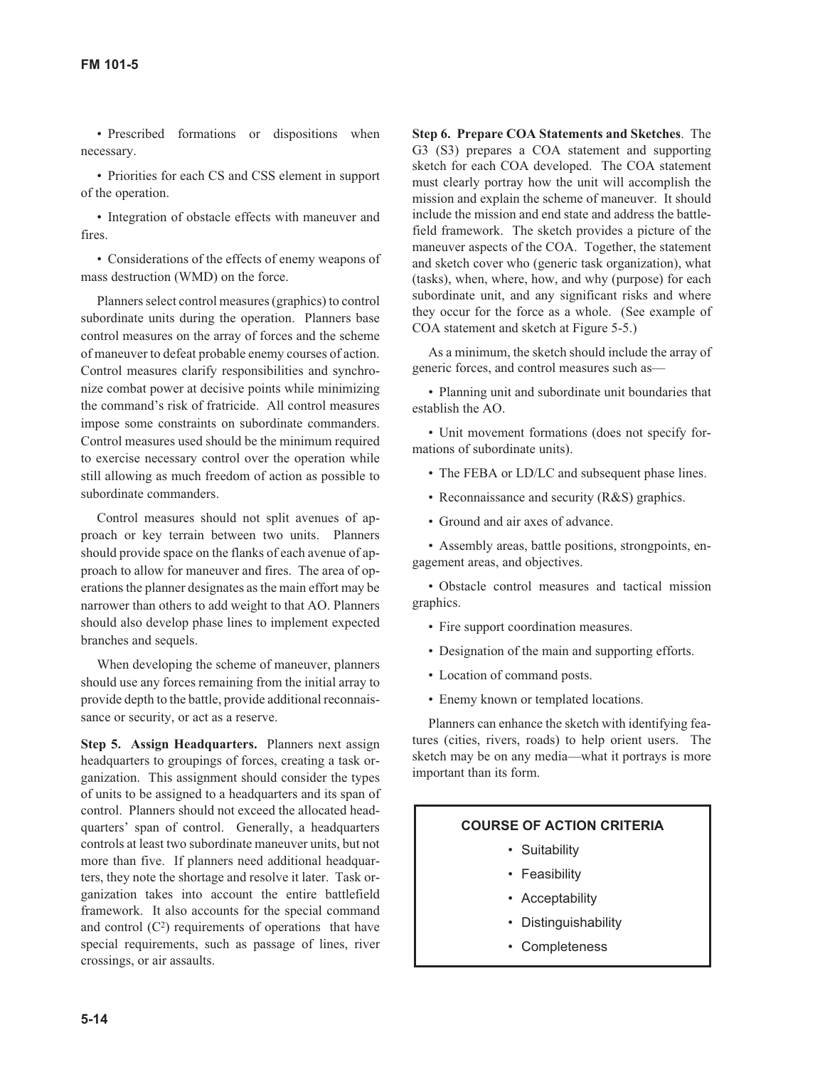• Prescribed formations or dispositions when necessary.

• Priorities for each CS and CSS element in support of the operation.

• Integration of obstacle effects with maneuver and fires.

• Considerations of the effects of enemy weapons of mass destruction (WMD) on the force.

Planners select control measures (graphics) to control subordinate units during the operation. Planners base control measures on the array of forces and the scheme of maneuver to defeat probable enemy courses of action. Control measures clarify responsibilities and synchronize combat power at decisive points while minimizing the command's risk of fratricide. All control measures impose some constraints on subordinate commanders. Control measures used should be the minimum required to exercise necessary control over the operation while still allowing as much freedom of action as possible to subordinate commanders.

Control measures should not split avenues of approach or key terrain between two units. Planners should provide space on the flanks of each avenue of approach to allow for maneuver and fires. The area of operations the planner designates as the main effort may be narrower than others to add weight to that AO. Planners should also develop phase lines to implement expected branches and sequels.

When developing the scheme of maneuver, planners should use any forces remaining from the initial array to provide depth to the battle, provide additional reconnaissance or security, or act as a reserve.

**Step 5. Assign Headquarters.** Planners next assign headquarters to groupings of forces, creating a task organization. This assignment should consider the types of units to be assigned to a headquarters and its span of control. Planners should not exceed the allocated headquarters' span of control. Generally, a headquarters controls at least two subordinate maneuver units, but not more than five. If planners need additional headquarters, they note the shortage and resolve it later. Task organization takes into account the entire battlefield framework. It also accounts for the special command and control  $(C<sup>2</sup>)$  requirements of operations that have special requirements, such as passage of lines, river crossings, or air assaults.

**Step 6. Prepare COA Statements and Sketches**. The G3 (S3) prepares a COA statement and supporting sketch for each COA developed. The COA statement must clearly portray how the unit will accomplish the mission and explain the scheme of maneuver. It should include the mission and end state and address the battlefield framework. The sketch provides a picture of the maneuver aspects of the COA. Together, the statement and sketch cover who (generic task organization), what (tasks), when, where, how, and why (purpose) for each subordinate unit, and any significant risks and where they occur for the force as a whole. (See example of COA statement and sketch at Figure 5-5.)

As a minimum, the sketch should include the array of generic forces, and control measures such as—

• Planning unit and subordinate unit boundaries that establish the AO.

• Unit movement formations (does not specify formations of subordinate units).

• The FEBA or LD/LC and subsequent phase lines.

- Reconnaissance and security (R&S) graphics.
- Ground and air axes of advance.

• Assembly areas, battle positions, strongpoints, engagement areas, and objectives.

• Obstacle control measures and tactical mission graphics.

- Fire support coordination measures.
- Designation of the main and supporting efforts.
- Location of command posts.
- Enemy known or templated locations.

Planners can enhance the sketch with identifying features (cities, rivers, roads) to help orient users. The sketch may be on any media—what it portrays is more important than its form.

# **COURSE OF ACTION CRITERIA**

- Suitability
- Feasibility
- Acceptability
- Distinguishability
- Completeness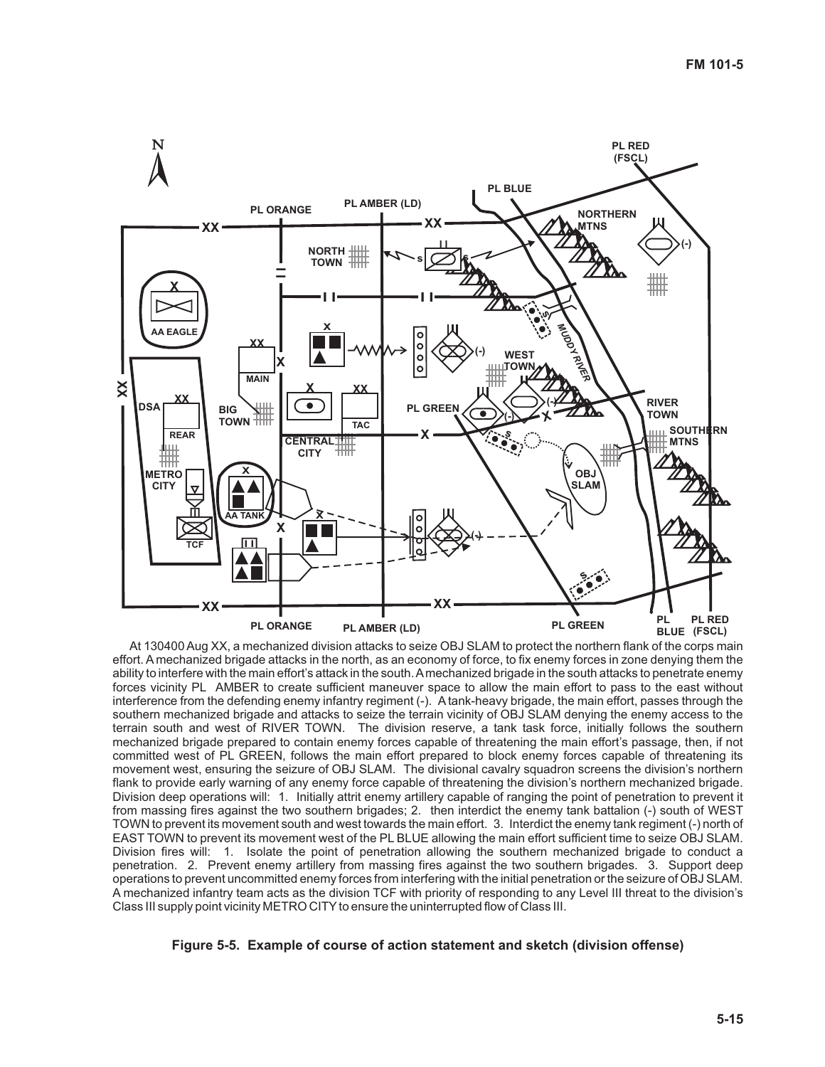

At 130400 Aug XX, a mechanized division attacks to seize OBJ SLAM to protect the northern flank of the corps main effort. A mechanized brigade attacks in the north, as an economy of force, to fix enemy forces in zone denying them the ability to interfere with the main effort's attack in the south. A mechanized brigade in the south attacks to penetrate enemy forces vicinity PL AMBER to create sufficient maneuver space to allow the main effort to pass to the east without interference from the defending enemy infantry regiment (-). A tank-heavy brigade, the main effort, passes through the southern mechanized brigade and attacks to seize the terrain vicinity of OBJ SLAM denying the enemy access to the terrain south and west of RIVER TOWN. The division reserve, a tank task force, initially follows the southern mechanized brigade prepared to contain enemy forces capable of threatening the main effort's passage, then, if not committed west of PL GREEN, follows the main effort prepared to block enemy forces capable of threatening its movement west, ensuring the seizure of OBJ SLAM. The divisional cavalry squadron screens the division's northern flank to provide early warning of any enemy force capable of threatening the division's northern mechanized brigade. Division deep operations will: 1. Initially attrit enemy artillery capable of ranging the point of penetration to prevent it from massing fires against the two southern brigades; 2. then interdict the enemy tank battalion (-) south of WEST TOWN to prevent its movement south and west towards the main effort. 3. Interdict the enemy tank regiment (-) north of EAST TOWN to prevent its movement west of the PL BLUE allowing the main effort sufficient time to seize OBJ SLAM. Division fires will: 1. Isolate the point of penetration allowing the southern mechanized brigade to conduct a penetration. 2. Prevent enemy artillery from massing fires against the two southern brigades. 3. Support deep operations to prevent uncommitted enemy forces from interfering with the initial penetration or the seizure of OBJ SLAM. A mechanized infantry team acts as the division TCF with priority of responding to any Level III threat to the division's Class III supply point vicinity METRO CITY to ensure the uninterrupted flow of Class III.

#### **Figure 5-5. Example of course of action statement and sketch (division offense)**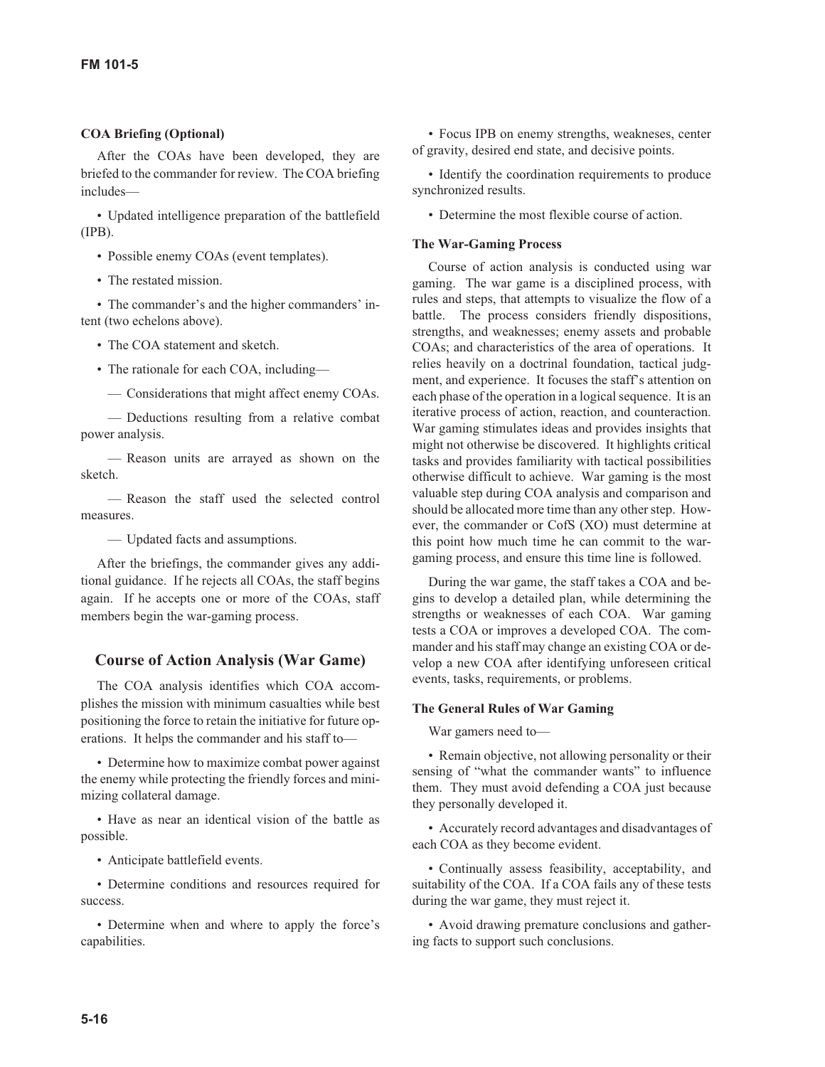# **COA Briefing (Optional)**

After the COAs have been developed, they are briefed to the commander for review. The COA briefing includes—

• Updated intelligence preparation of the battlefield (IPB).

• Possible enemy COAs (event templates).

• The restated mission.

• The commander's and the higher commanders' intent (two echelons above).

• The COA statement and sketch.

• The rationale for each COA, including—

— Considerations that might affect enemy COAs.

— Deductions resulting from a relative combat power analysis.

— Reason units are arrayed as shown on the sketch.

— Reason the staff used the selected control measures.

— Updated facts and assumptions.

After the briefings, the commander gives any additional guidance. If he rejects all COAs, the staff begins again. If he accepts one or more of the COAs, staff members begin the war-gaming process.

# **Course of Action Analysis (War Game)**

The COA analysis identifies which COA accomplishes the mission with minimum casualties while best positioning the force to retain the initiative for future operations. It helps the commander and his staff to—

• Determine how to maximize combat power against the enemy while protecting the friendly forces and minimizing collateral damage.

• Have as near an identical vision of the battle as possible.

• Anticipate battlefield events.

• Determine conditions and resources required for success.

• Determine when and where to apply the force's capabilities.

• Focus IPB on enemy strengths, weakneses, center of gravity, desired end state, and decisive points.

• Identify the coordination requirements to produce synchronized results.

• Determine the most flexible course of action.

#### **The War-Gaming Process**

Course of action analysis is conducted using war gaming. The war game is a disciplined process, with rules and steps, that attempts to visualize the flow of a battle. The process considers friendly dispositions, strengths, and weaknesses; enemy assets and probable COAs; and characteristics of the area of operations. It relies heavily on a doctrinal foundation, tactical judgment, and experience. It focuses the staff's attention on each phase of the operation in a logical sequence. It is an iterative process of action, reaction, and counteraction. War gaming stimulates ideas and provides insights that might not otherwise be discovered. It highlights critical tasks and provides familiarity with tactical possibilities otherwise difficult to achieve. War gaming is the most valuable step during COA analysis and comparison and should be allocated more time than any other step. However, the commander or CofS (XO) must determine at this point how much time he can commit to the wargaming process, and ensure this time line is followed.

During the war game, the staff takes a COA and begins to develop a detailed plan, while determining the strengths or weaknesses of each COA. War gaming tests a COA or improves a developed COA. The commander and his staff may change an existing COA or develop a new COA after identifying unforeseen critical events, tasks, requirements, or problems.

# **The General Rules of War Gaming**

War gamers need to—

• Remain objective, not allowing personality or their sensing of "what the commander wants" to influence them. They must avoid defending a COA just because they personally developed it.

• Accurately record advantages and disadvantages of each COA as they become evident.

• Continually assess feasibility, acceptability, and suitability of the COA. If a COA fails any of these tests during the war game, they must reject it.

• Avoid drawing premature conclusions and gathering facts to support such conclusions.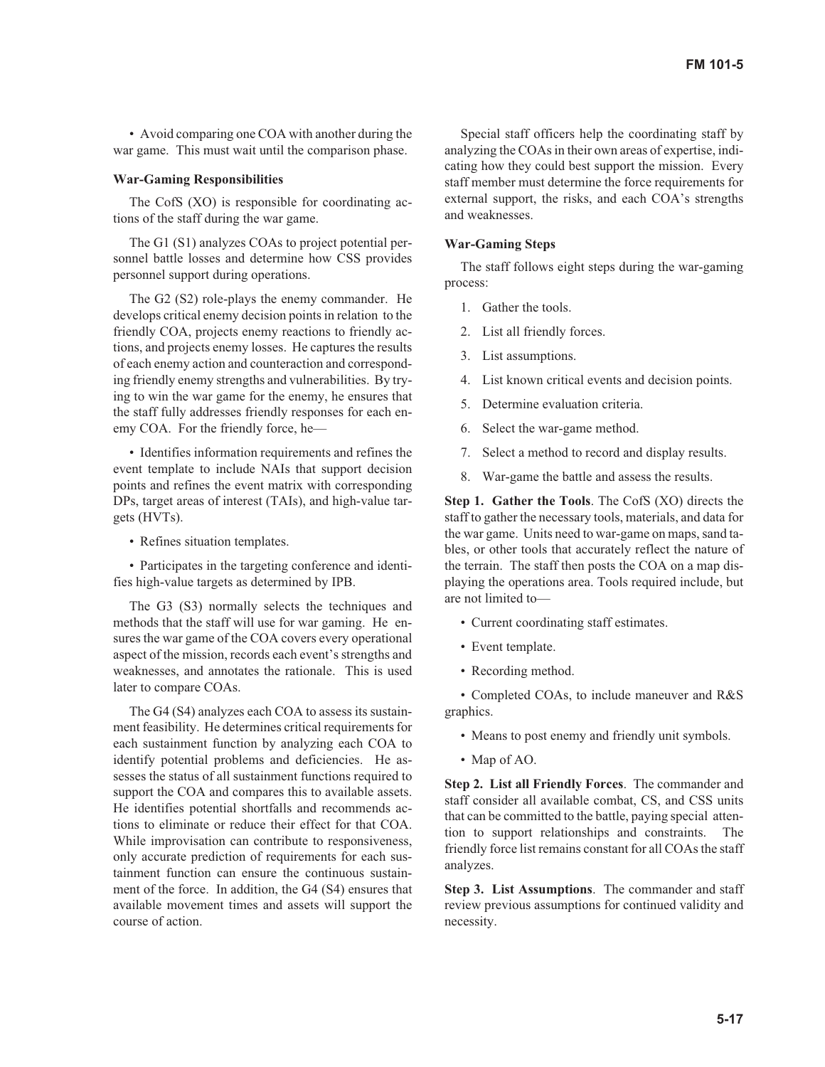• Avoid comparing one COA with another during the war game. This must wait until the comparison phase.

#### **War-Gaming Responsibilities**

The CofS (XO) is responsible for coordinating actions of the staff during the war game.

The G1 (S1) analyzes COAs to project potential personnel battle losses and determine how CSS provides personnel support during operations.

The G2 (S2) role-plays the enemy commander. He develops critical enemy decision points in relation to the friendly COA, projects enemy reactions to friendly actions, and projects enemy losses. He captures the results of each enemy action and counteraction and corresponding friendly enemy strengths and vulnerabilities. By trying to win the war game for the enemy, he ensures that the staff fully addresses friendly responses for each enemy COA. For the friendly force, he—

• Identifies information requirements and refines the event template to include NAIs that support decision points and refines the event matrix with corresponding DPs, target areas of interest (TAIs), and high-value targets (HVTs).

• Refines situation templates.

• Participates in the targeting conference and identifies high-value targets as determined by IPB.

The G3 (S3) normally selects the techniques and methods that the staff will use for war gaming. He ensures the war game of the COA covers every operational aspect of the mission, records each event's strengths and weaknesses, and annotates the rationale. This is used later to compare COAs.

The G4 (S4) analyzes each COA to assess its sustainment feasibility. He determines critical requirements for each sustainment function by analyzing each COA to identify potential problems and deficiencies. He assesses the status of all sustainment functions required to support the COA and compares this to available assets. He identifies potential shortfalls and recommends actions to eliminate or reduce their effect for that COA. While improvisation can contribute to responsiveness, only accurate prediction of requirements for each sustainment function can ensure the continuous sustainment of the force. In addition, the G4 (S4) ensures that available movement times and assets will support the course of action.

Special staff officers help the coordinating staff by analyzing the COAs in their own areas of expertise, indicating how they could best support the mission. Every staff member must determine the force requirements for external support, the risks, and each COA's strengths and weaknesses.

#### **War-Gaming Steps**

The staff follows eight steps during the war-gaming process:

- 1. Gather the tools.
- 2. List all friendly forces.
- 3. List assumptions.
- 4. List known critical events and decision points.
- 5. Determine evaluation criteria.
- 6. Select the war-game method.
- 7. Select a method to record and display results.
- 8. War-game the battle and assess the results.

**Step 1. Gather the Tools**. The CofS (XO) directs the staff to gather the necessary tools, materials, and data for the war game. Units need to war-game on maps, sand tables, or other tools that accurately reflect the nature of the terrain. The staff then posts the COA on a map displaying the operations area. Tools required include, but are not limited to—

- Current coordinating staff estimates.
- Event template.
- Recording method.

• Completed COAs, to include maneuver and R&S graphics.

- Means to post enemy and friendly unit symbols.
- Map of AO.

**Step 2. List all Friendly Forces**. The commander and staff consider all available combat, CS, and CSS units that can be committed to the battle, paying special attention to support relationships and constraints. The friendly force list remains constant for all COAs the staff analyzes.

**Step 3. List Assumptions**. The commander and staff review previous assumptions for continued validity and necessity.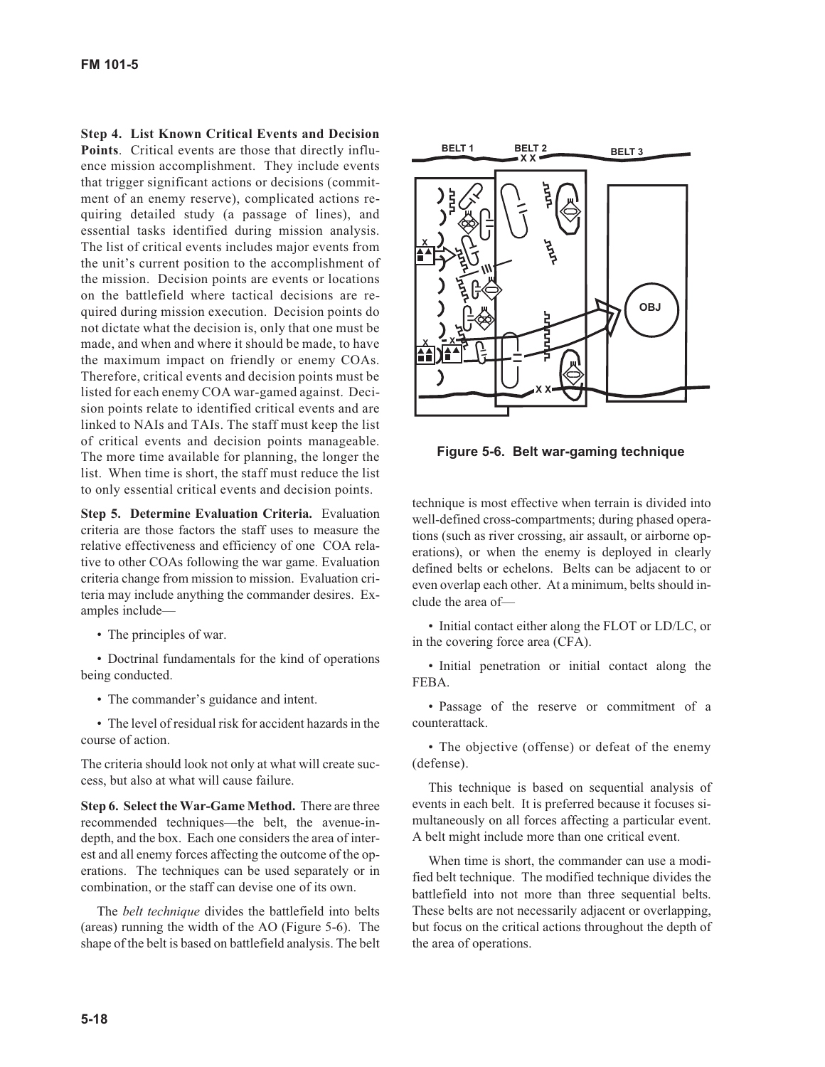**Step 4. List Known Critical Events and Decision Points**. Critical events are those that directly influence mission accomplishment. They include events that trigger significant actions or decisions (commitment of an enemy reserve), complicated actions requiring detailed study (a passage of lines), and essential tasks identified during mission analysis. The list of critical events includes major events from the unit's current position to the accomplishment of the mission. Decision points are events or locations on the battlefield where tactical decisions are required during mission execution. Decision points do not dictate what the decision is, only that one must be made, and when and where it should be made, to have the maximum impact on friendly or enemy COAs. Therefore, critical events and decision points must be listed for each enemy COA war-gamed against. Decision points relate to identified critical events and are linked to NAIs and TAIs. The staff must keep the list of critical events and decision points manageable. The more time available for planning, the longer the list. When time is short, the staff must reduce the list to only essential critical events and decision points.

**Step 5. Determine Evaluation Criteria.** Evaluation criteria are those factors the staff uses to measure the relative effectiveness and efficiency of one COA relative to other COAs following the war game. Evaluation criteria change from mission to mission. Evaluation criteria may include anything the commander desires. Examples include—

• The principles of war.

• Doctrinal fundamentals for the kind of operations being conducted.

• The commander's guidance and intent.

• The level of residual risk for accident hazards in the course of action.

The criteria should look not only at what will create success, but also at what will cause failure.

**Step 6. Select the War-Game Method.** There are three recommended techniques—the belt, the avenue-indepth, and the box. Each one considers the area of interest and all enemy forces affecting the outcome of the operations. The techniques can be used separately or in combination, or the staff can devise one of its own.

The *belt technique* divides the battlefield into belts (areas) running the width of the AO (Figure 5-6). The shape of the belt is based on battlefield analysis. The belt



**Figure 5-6. Belt war-gaming technique**

technique is most effective when terrain is divided into well-defined cross-compartments; during phased operations (such as river crossing, air assault, or airborne operations), or when the enemy is deployed in clearly defined belts or echelons. Belts can be adjacent to or even overlap each other. At a minimum, belts should include the area of—

• Initial contact either along the FLOT or LD/LC, or in the covering force area (CFA).

• Initial penetration or initial contact along the FEBA.

• Passage of the reserve or commitment of a counterattack.

• The objective (offense) or defeat of the enemy (defense).

This technique is based on sequential analysis of events in each belt. It is preferred because it focuses simultaneously on all forces affecting a particular event. A belt might include more than one critical event.

When time is short, the commander can use a modified belt technique. The modified technique divides the battlefield into not more than three sequential belts. These belts are not necessarily adjacent or overlapping, but focus on the critical actions throughout the depth of the area of operations.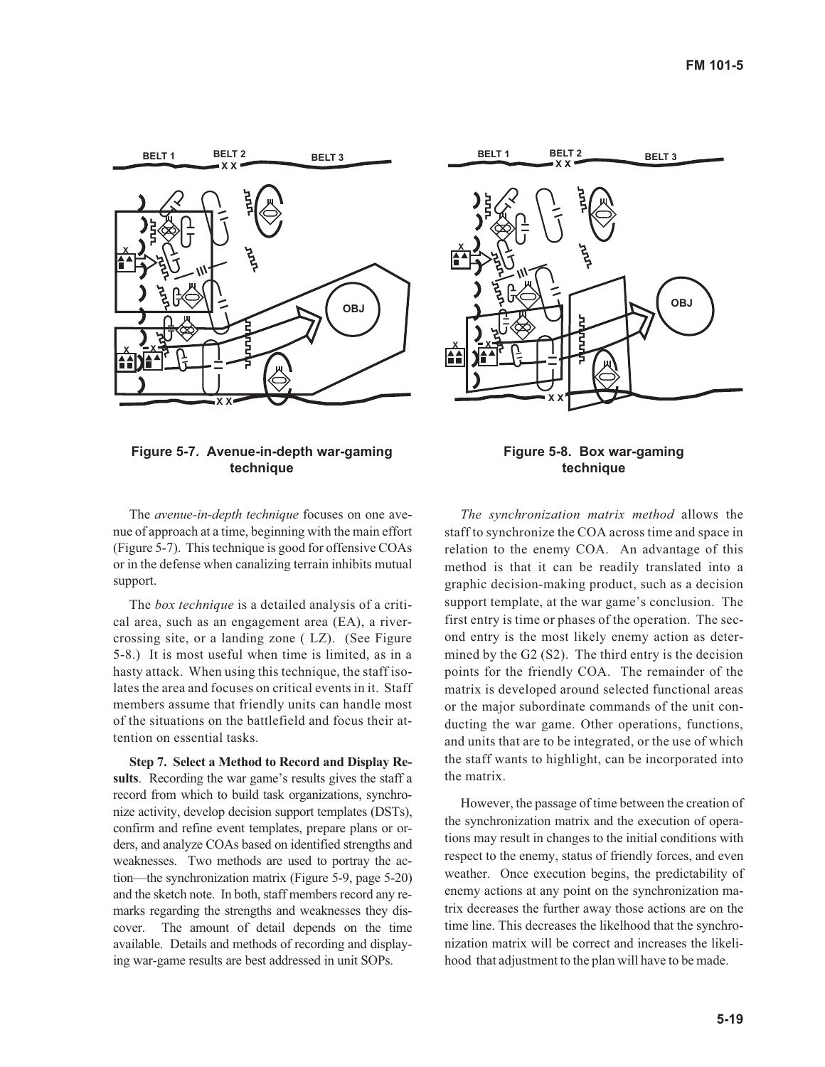

#### **Figure 5-7. Avenue-in-depth war-gaming technique**

The *avenue-in-depth technique* focuses on one avenue of approach at a time, beginning with the main effort (Figure 5-7). This technique is good for offensive COAs or in the defense when canalizing terrain inhibits mutual support.

The *box technique* is a detailed analysis of a critical area, such as an engagement area (EA), a rivercrossing site, or a landing zone ( LZ). (See Figure 5-8.) It is most useful when time is limited, as in a hasty attack. When using this technique, the staff isolates the area and focuses on critical events in it. Staff members assume that friendly units can handle most of the situations on the battlefield and focus their attention on essential tasks.

**Step 7. Select a Method to Record and Display Results**. Recording the war game's results gives the staff a record from which to build task organizations, synchronize activity, develop decision support templates (DSTs), confirm and refine event templates, prepare plans or orders, and analyze COAs based on identified strengths and weaknesses. Two methods are used to portray the action—the synchronization matrix (Figure 5-9, page 5-20) and the sketch note. In both, staff members record any remarks regarding the strengths and weaknesses they discover. The amount of detail depends on the time available. Details and methods of recording and displaying war-game results are best addressed in unit SOPs.



**Figure 5-8. Box war-gaming technique**

*The synchronization matrix method* allows the staff to synchronize the COA across time and space in relation to the enemy COA. An advantage of this method is that it can be readily translated into a graphic decision-making product, such as a decision support template, at the war game's conclusion. The first entry is time or phases of the operation. The second entry is the most likely enemy action as determined by the G2 (S2). The third entry is the decision points for the friendly COA. The remainder of the matrix is developed around selected functional areas or the major subordinate commands of the unit conducting the war game. Other operations, functions, and units that are to be integrated, or the use of which the staff wants to highlight, can be incorporated into the matrix.

However, the passage of time between the creation of the synchronization matrix and the execution of operations may result in changes to the initial conditions with respect to the enemy, status of friendly forces, and even weather. Once execution begins, the predictability of enemy actions at any point on the synchronization matrix decreases the further away those actions are on the time line. This decreases the likelhood that the synchronization matrix will be correct and increases the likelihood that adjustment to the plan will have to be made.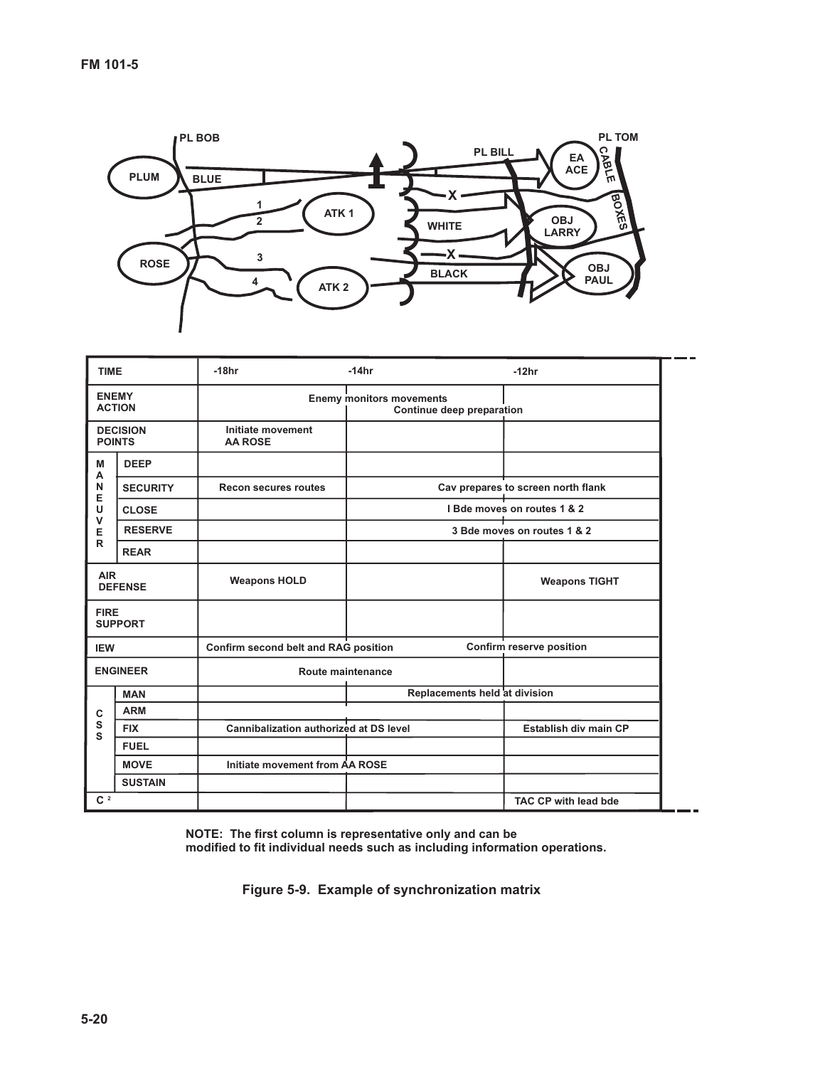

| <b>TIME</b>                      |                 | $-18hr$                                    | $-14hr$                                                      | $-12hr$                            |  |
|----------------------------------|-----------------|--------------------------------------------|--------------------------------------------------------------|------------------------------------|--|
| <b>ENEMY</b><br><b>ACTION</b>    |                 |                                            | <b>Enemy monitors movements</b><br>Continue deep preparation |                                    |  |
| <b>DECISION</b><br><b>POINTS</b> |                 | <b>Initiate movement</b><br><b>AA ROSE</b> |                                                              |                                    |  |
| M<br>A                           | <b>DEEP</b>     |                                            |                                                              |                                    |  |
| N<br>E                           | <b>SECURITY</b> | <b>Recon secures routes</b>                |                                                              | Cav prepares to screen north flank |  |
| U<br>$\mathsf{V}$                | <b>CLOSE</b>    |                                            |                                                              | I Bde moves on routes 1 & 2        |  |
| Е                                | <b>RESERVE</b>  |                                            | 3 Bde moves on routes 1 & 2                                  |                                    |  |
| $\mathsf{R}$                     | <b>REAR</b>     |                                            |                                                              |                                    |  |
| <b>AIR</b><br><b>DEFENSE</b>     |                 | <b>Weapons HOLD</b>                        |                                                              | <b>Weapons TIGHT</b>               |  |
| <b>FIRE</b>                      | <b>SUPPORT</b>  |                                            |                                                              |                                    |  |
| <b>IEW</b>                       |                 | Confirm second belt and RAG position       |                                                              | <b>Confirm reserve position</b>    |  |
|                                  | <b>ENGINEER</b> |                                            | Route maintenance                                            |                                    |  |
|                                  | <b>MAN</b>      |                                            | Replacements held at division                                |                                    |  |
| $\mathbf{C}$                     | <b>ARM</b>      |                                            |                                                              |                                    |  |
| S<br>S                           | <b>FIX</b>      | Cannibalization authorized at DS level     |                                                              | Establish div main CP              |  |
|                                  | <b>FUEL</b>     |                                            |                                                              |                                    |  |
|                                  | <b>MOVE</b>     | Initiate movement from AA ROSE             |                                                              |                                    |  |
|                                  | <b>SUSTAIN</b>  |                                            |                                                              |                                    |  |
| C <sup>2</sup>                   |                 |                                            |                                                              | TAC CP with lead bde               |  |

**NOTE: The first column is representative only and can be modified to fit individual needs such as including information operations.**

**Figure 5-9. Example of synchronization matrix**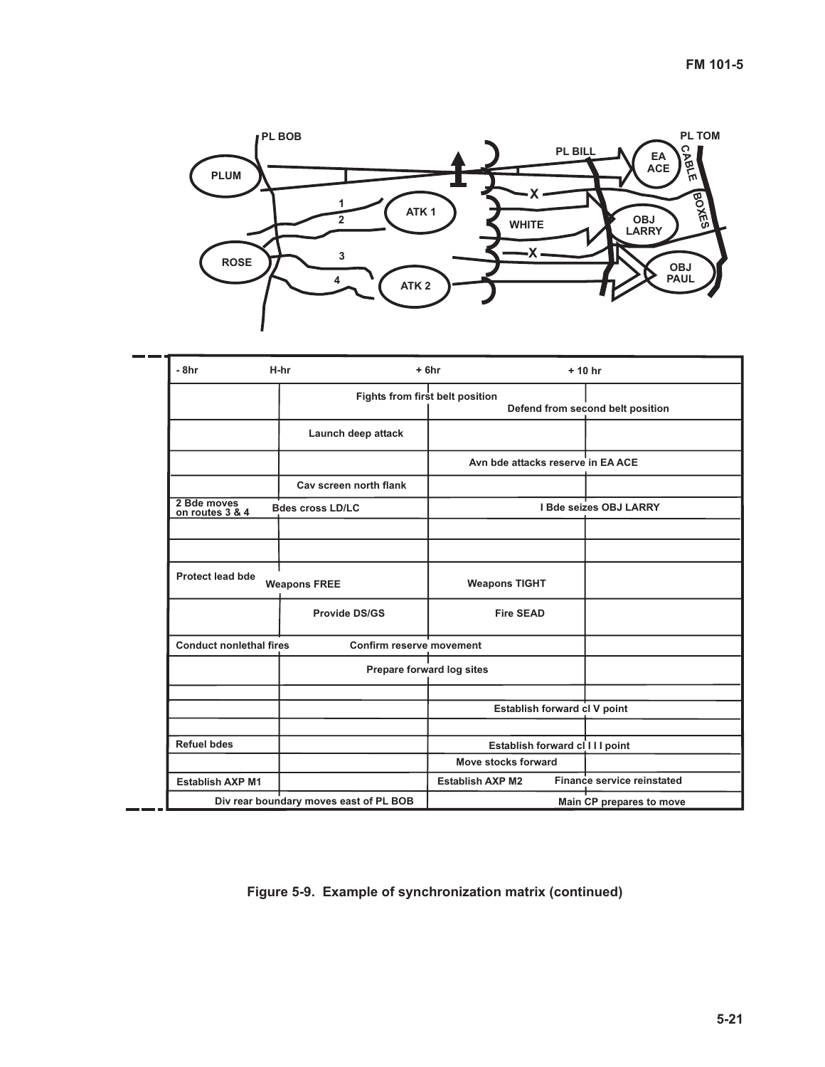

|  | $-8hr$                                 | H-hr<br>$+6hr$                  | $+10$ hr                          |                                  |  |
|--|----------------------------------------|---------------------------------|-----------------------------------|----------------------------------|--|
|  |                                        | Fights from first belt position |                                   | Defend from second belt position |  |
|  |                                        | Launch deep attack              |                                   |                                  |  |
|  |                                        |                                 | Avn bde attacks reserve in EA ACE |                                  |  |
|  |                                        | Cav screen north flank          |                                   |                                  |  |
|  | 2 Bde moves<br>on routes 3 & 4         | <b>Bdes cross LD/LC</b>         | I Bde seizes OBJ LARRY            |                                  |  |
|  |                                        |                                 |                                   |                                  |  |
|  | <b>Protect lead bde</b>                | <b>Weapons FREE</b>             | <b>Weapons TIGHT</b>              |                                  |  |
|  |                                        | <b>Provide DS/GS</b>            | <b>Fire SEAD</b>                  |                                  |  |
|  | <b>Conduct nonlethal fires</b>         | <b>Confirm reserve movement</b> |                                   |                                  |  |
|  | Prepare forward log sites              |                                 |                                   |                                  |  |
|  |                                        |                                 | Establish forward cl V point      |                                  |  |
|  |                                        |                                 |                                   |                                  |  |
|  | <b>Refuel bdes</b>                     |                                 | Establish forward cl III point    |                                  |  |
|  |                                        |                                 | Move stocks forward               |                                  |  |
|  | <b>Establish AXP M1</b>                |                                 | <b>Establish AXP M2</b>           | Finance service reinstated       |  |
|  | Div rear boundary moves east of PL BOB |                                 |                                   | Main CP prepares to move         |  |

**Figure 5-9. Example of synchronization matrix (continued)**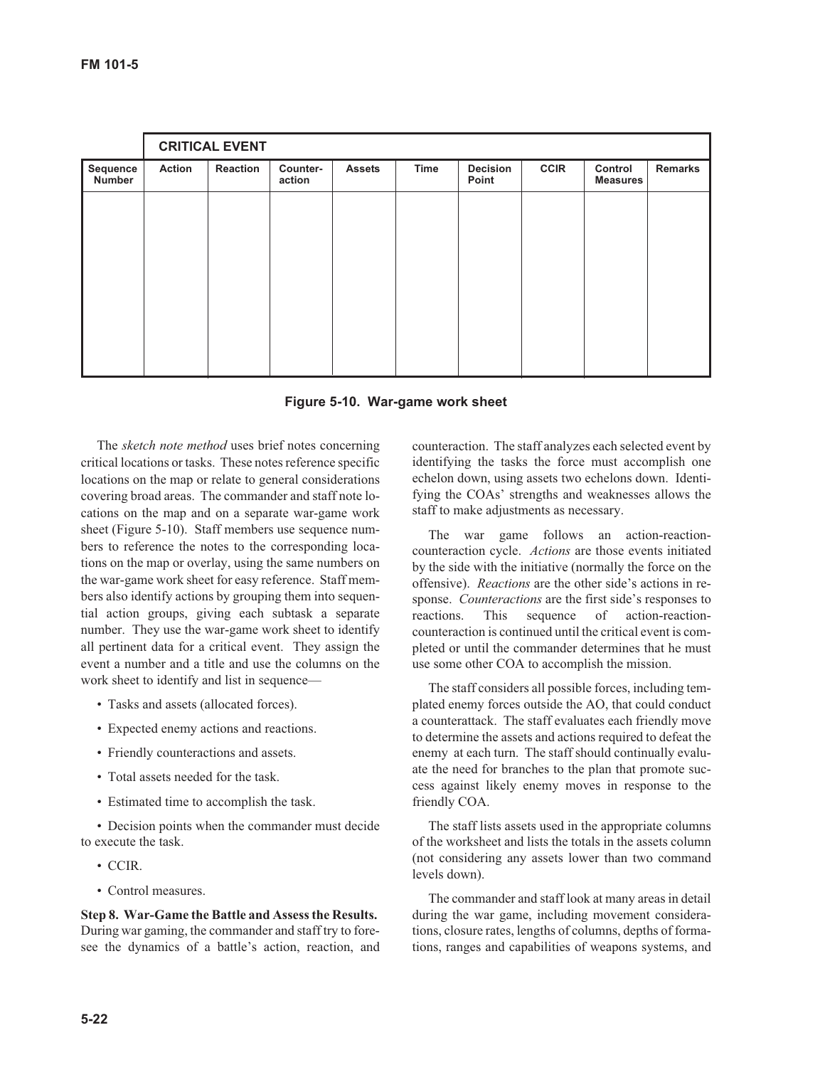|                    | <b>CRITICAL EVENT</b> |                 |                    |               |             |                          |             |                            |                |
|--------------------|-----------------------|-----------------|--------------------|---------------|-------------|--------------------------|-------------|----------------------------|----------------|
| Sequence<br>Number | Action                | <b>Reaction</b> | Counter-<br>action | <b>Assets</b> | <b>Time</b> | <b>Decision</b><br>Point | <b>CCIR</b> | Control<br><b>Measures</b> | <b>Remarks</b> |
|                    |                       |                 |                    |               |             |                          |             |                            |                |
|                    |                       |                 |                    |               |             |                          |             |                            |                |
|                    |                       |                 |                    |               |             |                          |             |                            |                |
|                    |                       |                 |                    |               |             |                          |             |                            |                |
|                    |                       |                 |                    |               |             |                          |             |                            |                |
|                    |                       |                 |                    |               |             |                          |             |                            |                |

**Figure 5-10. War-game work sheet**

The *sketch note method* uses brief notes concerning critical locations or tasks. These notes reference specific locations on the map or relate to general considerations covering broad areas. The commander and staff note locations on the map and on a separate war-game work sheet (Figure 5-10). Staff members use sequence numbers to reference the notes to the corresponding locations on the map or overlay, using the same numbers on the war-game work sheet for easy reference. Staff members also identify actions by grouping them into sequential action groups, giving each subtask a separate number. They use the war-game work sheet to identify all pertinent data for a critical event. They assign the event a number and a title and use the columns on the work sheet to identify and list in sequence—

- Tasks and assets (allocated forces).
- Expected enemy actions and reactions.
- Friendly counteractions and assets.
- Total assets needed for the task.
- Estimated time to accomplish the task.

• Decision points when the commander must decide to execute the task.

- CCIR.
- Control measures.

**Step 8. War-Game the Battle and Assess the Results.** During war gaming, the commander and staff try to foresee the dynamics of a battle's action, reaction, and counteraction. The staff analyzes each selected event by identifying the tasks the force must accomplish one echelon down, using assets two echelons down. Identifying the COAs' strengths and weaknesses allows the staff to make adjustments as necessary.

The war game follows an action-reactioncounteraction cycle. *Actions* are those events initiated by the side with the initiative (normally the force on the offensive). *Reactions* are the other side's actions in response. *Counteractions* are the first side's responses to reactions. This sequence of action-reactioncounteraction is continued until the critical event is completed or until the commander determines that he must use some other COA to accomplish the mission.

The staff considers all possible forces, including templated enemy forces outside the AO, that could conduct a counterattack. The staff evaluates each friendly move to determine the assets and actions required to defeat the enemy at each turn. The staff should continually evaluate the need for branches to the plan that promote success against likely enemy moves in response to the friendly COA.

The staff lists assets used in the appropriate columns of the worksheet and lists the totals in the assets column (not considering any assets lower than two command levels down).

The commander and staff look at many areas in detail during the war game, including movement considerations, closure rates, lengths of columns, depths of formations, ranges and capabilities of weapons systems, and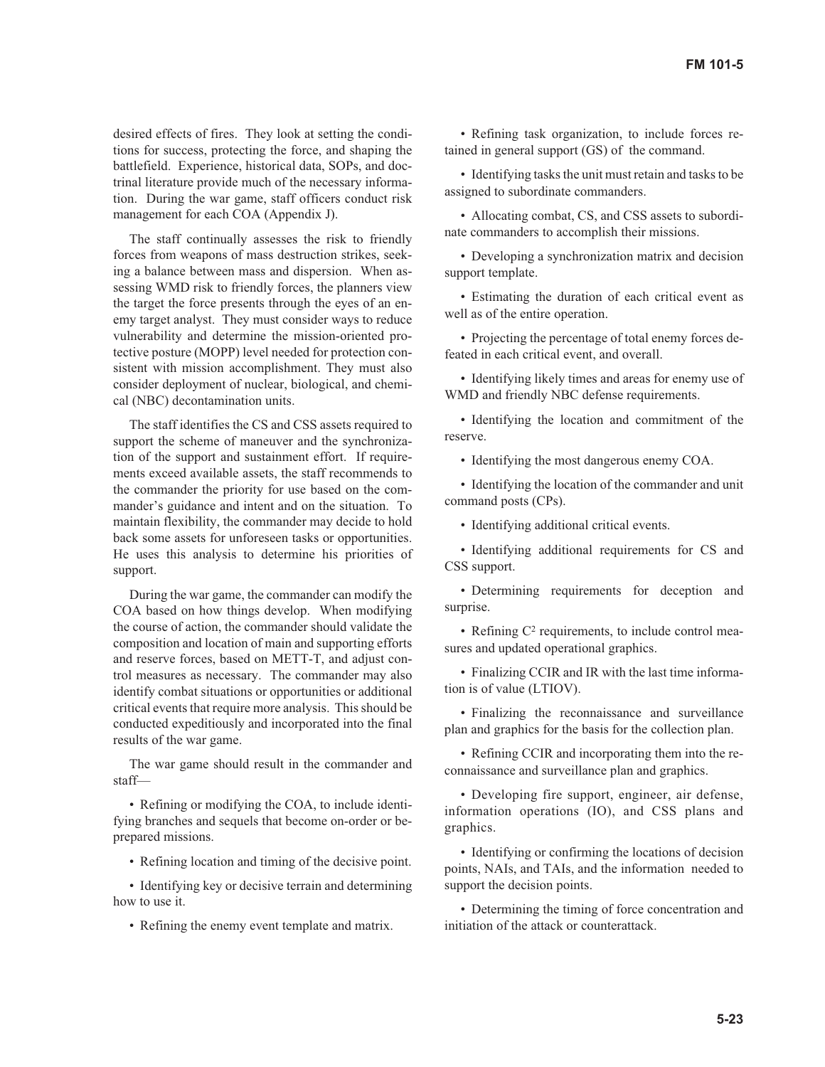desired effects of fires. They look at setting the conditions for success, protecting the force, and shaping the battlefield. Experience, historical data, SOPs, and doctrinal literature provide much of the necessary information. During the war game, staff officers conduct risk management for each COA (Appendix J).

The staff continually assesses the risk to friendly forces from weapons of mass destruction strikes, seeking a balance between mass and dispersion. When assessing WMD risk to friendly forces, the planners view the target the force presents through the eyes of an enemy target analyst. They must consider ways to reduce vulnerability and determine the mission-oriented protective posture (MOPP) level needed for protection consistent with mission accomplishment. They must also consider deployment of nuclear, biological, and chemical (NBC) decontamination units.

The staff identifies the CS and CSS assets required to support the scheme of maneuver and the synchronization of the support and sustainment effort. If requirements exceed available assets, the staff recommends to the commander the priority for use based on the commander's guidance and intent and on the situation. To maintain flexibility, the commander may decide to hold back some assets for unforeseen tasks or opportunities. He uses this analysis to determine his priorities of support.

During the war game, the commander can modify the COA based on how things develop. When modifying the course of action, the commander should validate the composition and location of main and supporting efforts and reserve forces, based on METT-T, and adjust control measures as necessary. The commander may also identify combat situations or opportunities or additional critical events that require more analysis. This should be conducted expeditiously and incorporated into the final results of the war game.

The war game should result in the commander and staff—

• Refining or modifying the COA, to include identifying branches and sequels that become on-order or beprepared missions.

• Refining location and timing of the decisive point.

• Identifying key or decisive terrain and determining how to use it.

• Refining the enemy event template and matrix.

• Refining task organization, to include forces retained in general support (GS) of the command.

• Identifying tasks the unit must retain and tasks to be assigned to subordinate commanders.

• Allocating combat, CS, and CSS assets to subordinate commanders to accomplish their missions.

• Developing a synchronization matrix and decision support template.

• Estimating the duration of each critical event as well as of the entire operation.

• Projecting the percentage of total enemy forces defeated in each critical event, and overall.

• Identifying likely times and areas for enemy use of WMD and friendly NBC defense requirements.

• Identifying the location and commitment of the reserve.

• Identifying the most dangerous enemy COA.

• Identifying the location of the commander and unit command posts (CPs).

• Identifying additional critical events.

• Identifying additional requirements for CS and CSS support.

• Determining requirements for deception and surprise.

• Refining C<sup>2</sup> requirements, to include control measures and updated operational graphics.

• Finalizing CCIR and IR with the last time information is of value (LTIOV).

• Finalizing the reconnaissance and surveillance plan and graphics for the basis for the collection plan.

• Refining CCIR and incorporating them into the reconnaissance and surveillance plan and graphics.

• Developing fire support, engineer, air defense, information operations (IO), and CSS plans and graphics.

• Identifying or confirming the locations of decision points, NAIs, and TAIs, and the information needed to support the decision points.

• Determining the timing of force concentration and initiation of the attack or counterattack.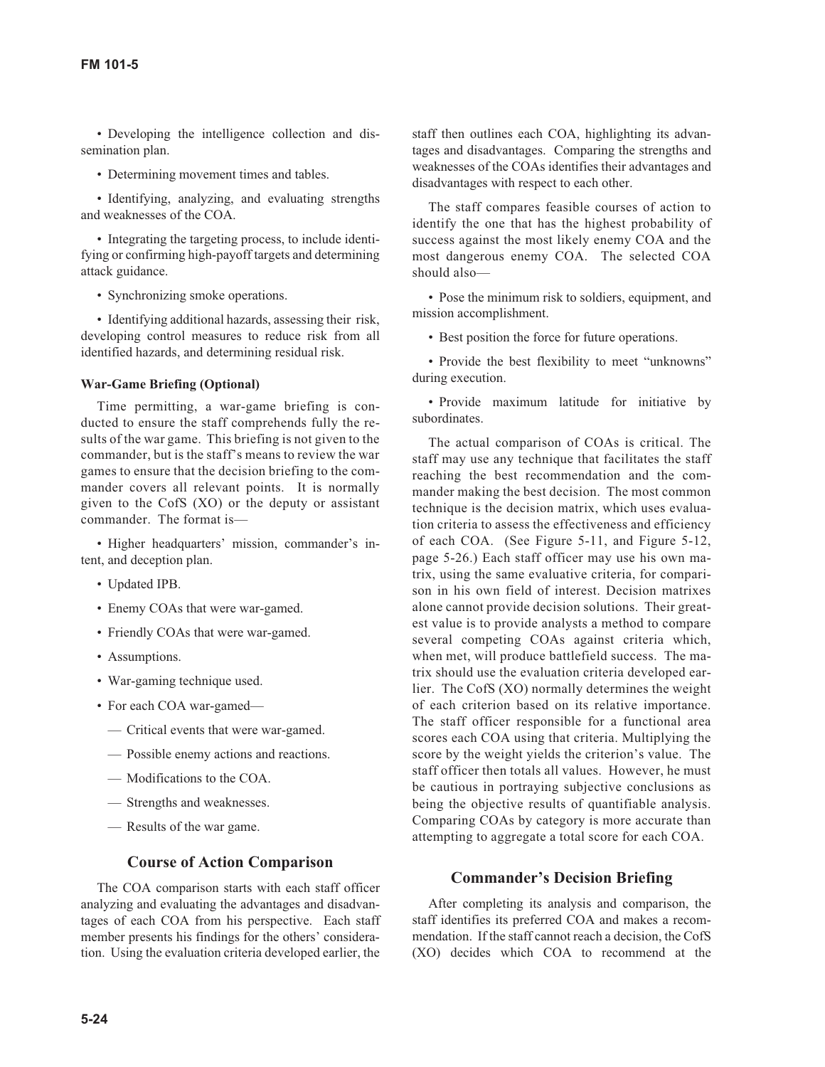• Developing the intelligence collection and dissemination plan.

• Determining movement times and tables.

• Identifying, analyzing, and evaluating strengths and weaknesses of the COA.

• Integrating the targeting process, to include identifying or confirming high-payoff targets and determining attack guidance.

• Synchronizing smoke operations.

• Identifying additional hazards, assessing their risk, developing control measures to reduce risk from all identified hazards, and determining residual risk.

#### **War-Game Briefing (Optional)**

Time permitting, a war-game briefing is conducted to ensure the staff comprehends fully the results of the war game. This briefing is not given to the commander, but is the staff's means to review the war games to ensure that the decision briefing to the commander covers all relevant points. It is normally given to the CofS (XO) or the deputy or assistant commander. The format is—

• Higher headquarters' mission, commander's intent, and deception plan.

- Updated IPB.
- Enemy COAs that were war-gamed.
- Friendly COAs that were war-gamed.
- Assumptions.
- War-gaming technique used.
- For each COA war-gamed—
	- Critical events that were war-gamed.
	- Possible enemy actions and reactions.
	- Modifications to the COA.
	- Strengths and weaknesses.
	- Results of the war game.

#### **Course of Action Comparison**

The COA comparison starts with each staff officer analyzing and evaluating the advantages and disadvantages of each COA from his perspective. Each staff member presents his findings for the others' consideration. Using the evaluation criteria developed earlier, the staff then outlines each COA, highlighting its advantages and disadvantages. Comparing the strengths and weaknesses of the COAs identifies their advantages and disadvantages with respect to each other.

The staff compares feasible courses of action to identify the one that has the highest probability of success against the most likely enemy COA and the most dangerous enemy COA. The selected COA should also—

• Pose the minimum risk to soldiers, equipment, and mission accomplishment.

• Best position the force for future operations.

• Provide the best flexibility to meet "unknowns" during execution.

• Provide maximum latitude for initiative by subordinates.

The actual comparison of COAs is critical. The staff may use any technique that facilitates the staff reaching the best recommendation and the commander making the best decision. The most common technique is the decision matrix, which uses evaluation criteria to assess the effectiveness and efficiency of each COA. (See Figure 5-11, and Figure 5-12, page 5-26.) Each staff officer may use his own matrix, using the same evaluative criteria, for comparison in his own field of interest. Decision matrixes alone cannot provide decision solutions. Their greatest value is to provide analysts a method to compare several competing COAs against criteria which, when met, will produce battlefield success. The matrix should use the evaluation criteria developed earlier. The CofS (XO) normally determines the weight of each criterion based on its relative importance. The staff officer responsible for a functional area scores each COA using that criteria. Multiplying the score by the weight yields the criterion's value. The staff officer then totals all values. However, he must be cautious in portraying subjective conclusions as being the objective results of quantifiable analysis. Comparing COAs by category is more accurate than attempting to aggregate a total score for each COA.

#### **Commander's Decision Briefing**

After completing its analysis and comparison, the staff identifies its preferred COA and makes a recommendation. If the staff cannot reach a decision, the CofS (XO) decides which COA to recommend at the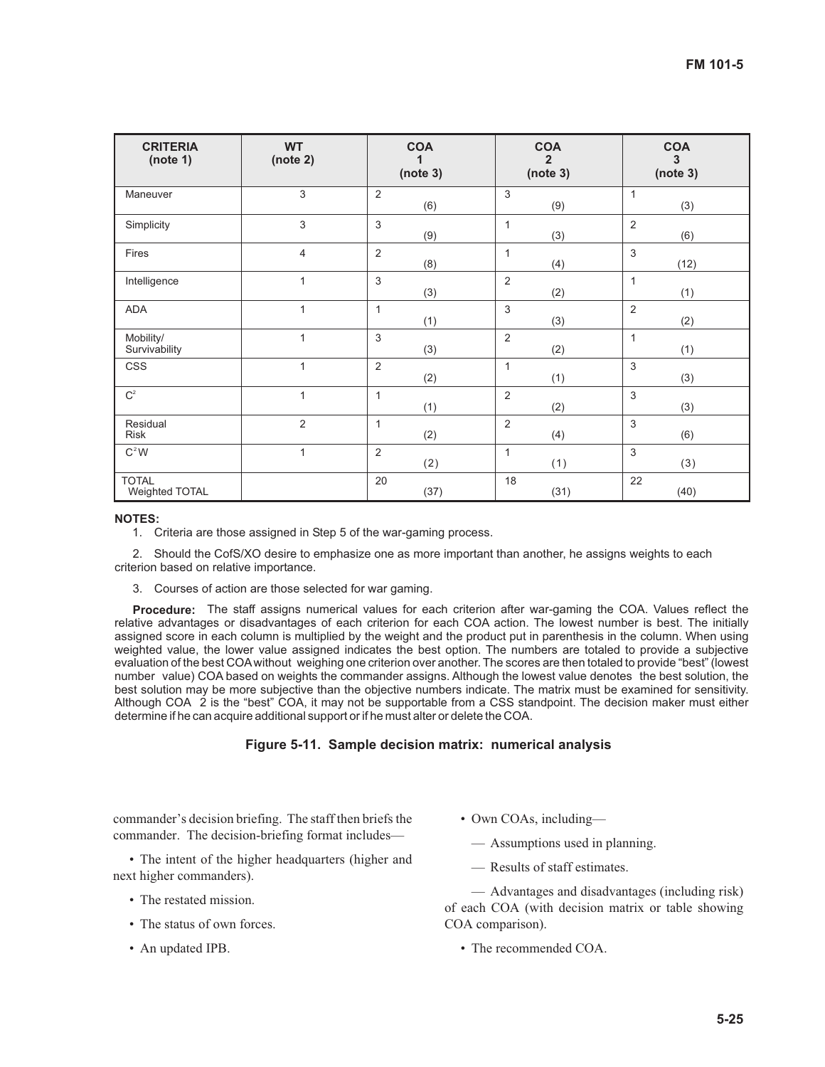| <b>CRITERIA</b><br>(note 1)    | <b>WT</b><br>(note 2) | <b>COA</b><br>1<br>(note 3) | <b>COA</b><br>$\overline{2}$<br>(note 3) | <b>COA</b><br>3<br>(note 3) |
|--------------------------------|-----------------------|-----------------------------|------------------------------------------|-----------------------------|
| Maneuver                       | $\mathfrak{Z}$        | 2<br>(6)                    | 3<br>(9)                                 | $\mathbf{1}$<br>(3)         |
| Simplicity                     | $\mathfrak{Z}$        | 3<br>(9)                    | 1<br>(3)                                 | 2<br>(6)                    |
| Fires                          | $\overline{4}$        | $\overline{2}$<br>(8)       | 1<br>(4)                                 | 3<br>(12)                   |
| Intelligence                   | 1                     | 3<br>(3)                    | $\overline{2}$<br>(2)                    | $\mathbf{1}$<br>(1)         |
| <b>ADA</b>                     | 1                     | 1<br>(1)                    | $\mathfrak{Z}$<br>(3)                    | $\overline{2}$<br>(2)       |
| Mobility/<br>Survivability     | $\mathbf{1}$          | 3<br>(3)                    | 2<br>(2)                                 | $\mathbf{1}$<br>(1)         |
| CSS                            | $\mathbf{1}$          | $\overline{2}$<br>(2)       | $\mathbf{1}$<br>(1)                      | 3<br>(3)                    |
| $\mathbf{C}^2$                 | $\mathbf{1}$          | $\mathbf{1}$<br>(1)         | 2<br>(2)                                 | 3<br>(3)                    |
| Residual<br><b>Risk</b>        | $\overline{2}$        | 1<br>(2)                    | $\overline{2}$<br>(4)                    | $\overline{3}$<br>(6)       |
| $C^2W$                         | $\mathbf{1}$          | 2<br>(2)                    | $\mathbf{1}$<br>(1)                      | 3<br>(3)                    |
| <b>TOTAL</b><br>Weighted TOTAL |                       | 20<br>(37)                  | 18<br>(31)                               | 22<br>(40)                  |

#### **NOTES:**

1. Criteria are those assigned in Step 5 of the war-gaming process.

2. Should the CofS/XO desire to emphasize one as more important than another, he assigns weights to each criterion based on relative importance.

3. Courses of action are those selected for war gaming.

**Procedure:** The staff assigns numerical values for each criterion after war-gaming the COA. Values reflect the relative advantages or disadvantages of each criterion for each COA action. The lowest number is best. The initially assigned score in each column is multiplied by the weight and the product put in parenthesis in the column. When using weighted value, the lower value assigned indicates the best option. The numbers are totaled to provide a subjective evaluation of the best COA without weighing one criterion over another. The scores are then totaled to provide "best" (lowest number value) COA based on weights the commander assigns. Although the lowest value denotes the best solution, the best solution may be more subjective than the objective numbers indicate. The matrix must be examined for sensitivity. Although COA 2 is the "best" COA, it may not be supportable from a CSS standpoint. The decision maker must either determine if he can acquire additional support or if he must alter or delete the COA.

#### **Figure 5-11. Sample decision matrix: numerical analysis**

commander's decision briefing. The staff then briefs the commander. The decision-briefing format includes—

• The intent of the higher headquarters (higher and next higher commanders).

- The restated mission.
- The status of own forces.
- An updated IPB.
- Own COAs, including—
	- Assumptions used in planning.
	- Results of staff estimates.

— Advantages and disadvantages (including risk) of each COA (with decision matrix or table showing COA comparison).

• The recommended COA.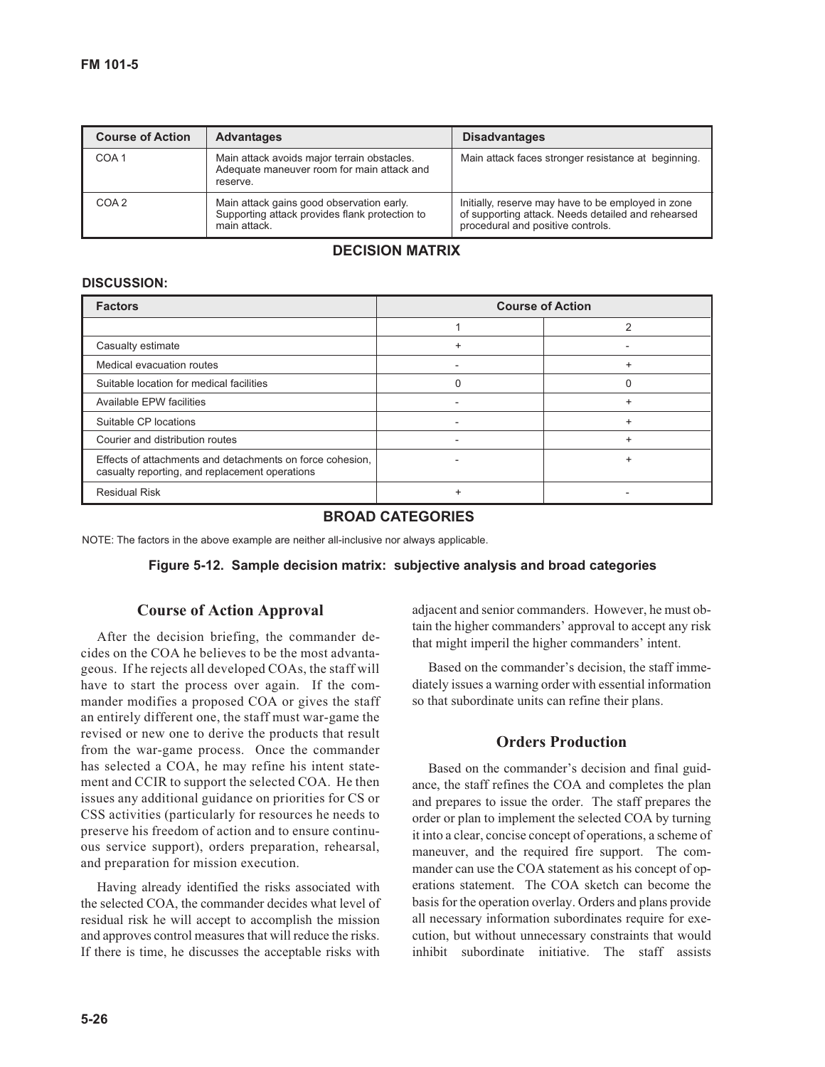| <b>Course of Action</b> | <b>Advantages</b>                                                                                           | <b>Disadvantages</b>                                                                                                                          |  |
|-------------------------|-------------------------------------------------------------------------------------------------------------|-----------------------------------------------------------------------------------------------------------------------------------------------|--|
| COA <sub>1</sub>        | Main attack avoids major terrain obstacles.<br>Adequate maneuver room for main attack and<br>reserve.       | Main attack faces stronger resistance at beginning.                                                                                           |  |
| COA <sub>2</sub>        | Main attack gains good observation early.<br>Supporting attack provides flank protection to<br>main attack. | Initially, reserve may have to be employed in zone<br>of supporting attack. Needs detailed and rehearsed<br>procedural and positive controls. |  |

#### **DECISION MATRIX**

#### **DISCUSSION:**

| <b>Factors</b>                                                                                              | <b>Course of Action</b>  |                          |  |
|-------------------------------------------------------------------------------------------------------------|--------------------------|--------------------------|--|
|                                                                                                             |                          | っ                        |  |
| Casualty estimate                                                                                           | $\ddot{}$                | $\overline{\phantom{0}}$ |  |
| Medical evacuation routes                                                                                   | $\qquad \qquad$          | $\ddot{}$                |  |
| Suitable location for medical facilities                                                                    |                          |                          |  |
| Available EPW facilities                                                                                    | $\overline{\phantom{a}}$ | +                        |  |
| Suitable CP locations                                                                                       |                          |                          |  |
| Courier and distribution routes                                                                             |                          |                          |  |
| Effects of attachments and detachments on force cohesion,<br>casualty reporting, and replacement operations |                          | $\div$                   |  |
| <b>Residual Risk</b>                                                                                        | $\div$                   |                          |  |

#### **BROAD CATEGORIES**

NOTE: The factors in the above example are neither all-inclusive nor always applicable.

**Figure 5-12. Sample decision matrix: subjective analysis and broad categories**

#### **Course of Action Approval**

After the decision briefing, the commander decides on the COA he believes to be the most advantageous. If he rejects all developed COAs, the staff will have to start the process over again. If the commander modifies a proposed COA or gives the staff an entirely different one, the staff must war-game the revised or new one to derive the products that result from the war-game process. Once the commander has selected a COA, he may refine his intent statement and CCIR to support the selected COA. He then issues any additional guidance on priorities for CS or CSS activities (particularly for resources he needs to preserve his freedom of action and to ensure continuous service support), orders preparation, rehearsal, and preparation for mission execution.

Having already identified the risks associated with the selected COA, the commander decides what level of residual risk he will accept to accomplish the mission and approves control measures that will reduce the risks. If there is time, he discusses the acceptable risks with adjacent and senior commanders. However, he must obtain the higher commanders' approval to accept any risk that might imperil the higher commanders' intent.

Based on the commander's decision, the staff immediately issues a warning order with essential information so that subordinate units can refine their plans.

#### **Orders Production**

Based on the commander's decision and final guidance, the staff refines the COA and completes the plan and prepares to issue the order. The staff prepares the order or plan to implement the selected COA by turning it into a clear, concise concept of operations, a scheme of maneuver, and the required fire support. The commander can use the COA statement as his concept of operations statement. The COA sketch can become the basis for the operation overlay. Orders and plans provide all necessary information subordinates require for execution, but without unnecessary constraints that would inhibit subordinate initiative. The staff assists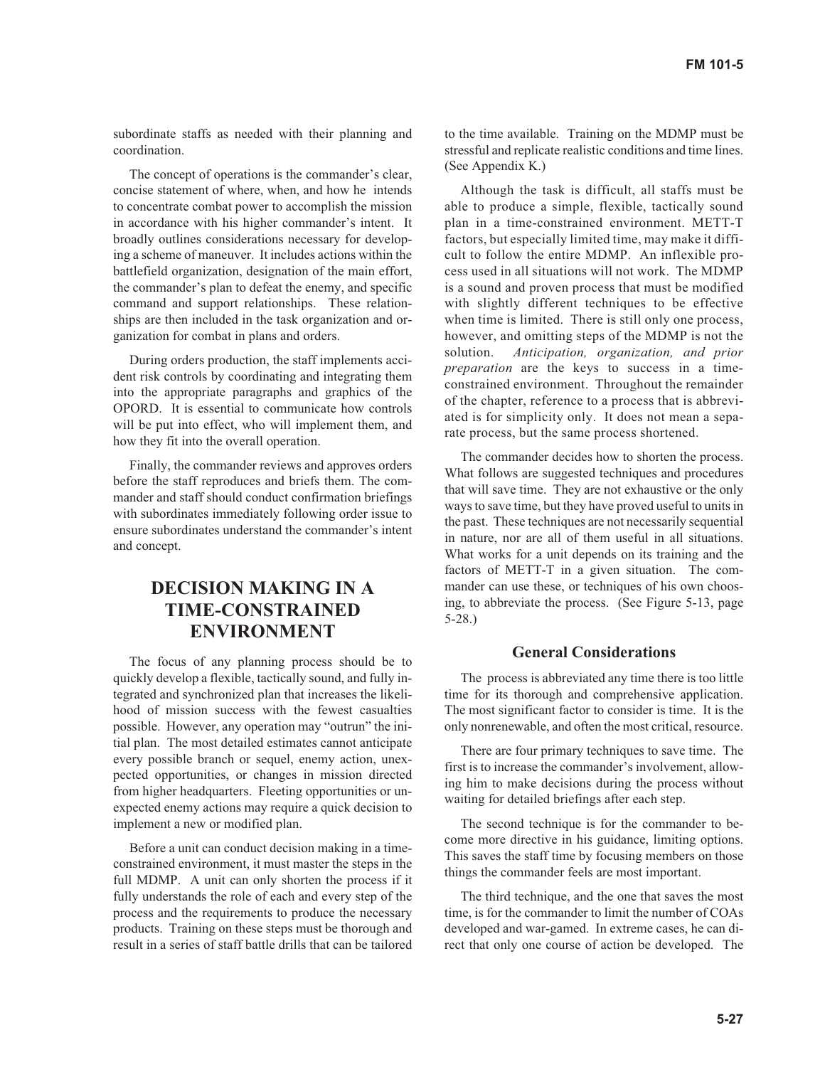subordinate staffs as needed with their planning and coordination.

The concept of operations is the commander's clear, concise statement of where, when, and how he intends to concentrate combat power to accomplish the mission in accordance with his higher commander's intent. It broadly outlines considerations necessary for developing a scheme of maneuver. It includes actions within the battlefield organization, designation of the main effort, the commander's plan to defeat the enemy, and specific command and support relationships. These relationships are then included in the task organization and organization for combat in plans and orders.

During orders production, the staff implements accident risk controls by coordinating and integrating them into the appropriate paragraphs and graphics of the OPORD. It is essential to communicate how controls will be put into effect, who will implement them, and how they fit into the overall operation.

Finally, the commander reviews and approves orders before the staff reproduces and briefs them. The commander and staff should conduct confirmation briefings with subordinates immediately following order issue to ensure subordinates understand the commander's intent and concept.

## **DECISION MAKING IN A TIME-CONSTRAINED ENVIRONMENT**

The focus of any planning process should be to quickly develop a flexible, tactically sound, and fully integrated and synchronized plan that increases the likelihood of mission success with the fewest casualties possible. However, any operation may "outrun" the initial plan. The most detailed estimates cannot anticipate every possible branch or sequel, enemy action, unexpected opportunities, or changes in mission directed from higher headquarters. Fleeting opportunities or unexpected enemy actions may require a quick decision to implement a new or modified plan.

Before a unit can conduct decision making in a timeconstrained environment, it must master the steps in the full MDMP. A unit can only shorten the process if it fully understands the role of each and every step of the process and the requirements to produce the necessary products. Training on these steps must be thorough and result in a series of staff battle drills that can be tailored

to the time available. Training on the MDMP must be stressful and replicate realistic conditions and time lines. (See Appendix K.)

Although the task is difficult, all staffs must be able to produce a simple, flexible, tactically sound plan in a time-constrained environment. METT-T factors, but especially limited time, may make it difficult to follow the entire MDMP. An inflexible process used in all situations will not work. The MDMP is a sound and proven process that must be modified with slightly different techniques to be effective when time is limited. There is still only one process, however, and omitting steps of the MDMP is not the solution. *Anticipation, organization, and prior preparation* are the keys to success in a timeconstrained environment. Throughout the remainder of the chapter, reference to a process that is abbreviated is for simplicity only. It does not mean a separate process, but the same process shortened.

The commander decides how to shorten the process. What follows are suggested techniques and procedures that will save time. They are not exhaustive or the only ways to save time, but they have proved useful to units in the past. These techniques are not necessarily sequential in nature, nor are all of them useful in all situations. What works for a unit depends on its training and the factors of METT-T in a given situation. The commander can use these, or techniques of his own choosing, to abbreviate the process. (See Figure 5-13, page 5-28.)

#### **General Considerations**

The process is abbreviated any time there is too little time for its thorough and comprehensive application. The most significant factor to consider is time. It is the only nonrenewable, and often the most critical, resource.

There are four primary techniques to save time. The first is to increase the commander's involvement, allowing him to make decisions during the process without waiting for detailed briefings after each step.

The second technique is for the commander to become more directive in his guidance, limiting options. This saves the staff time by focusing members on those things the commander feels are most important.

The third technique, and the one that saves the most time, is for the commander to limit the number of COAs developed and war-gamed. In extreme cases, he can direct that only one course of action be developed. The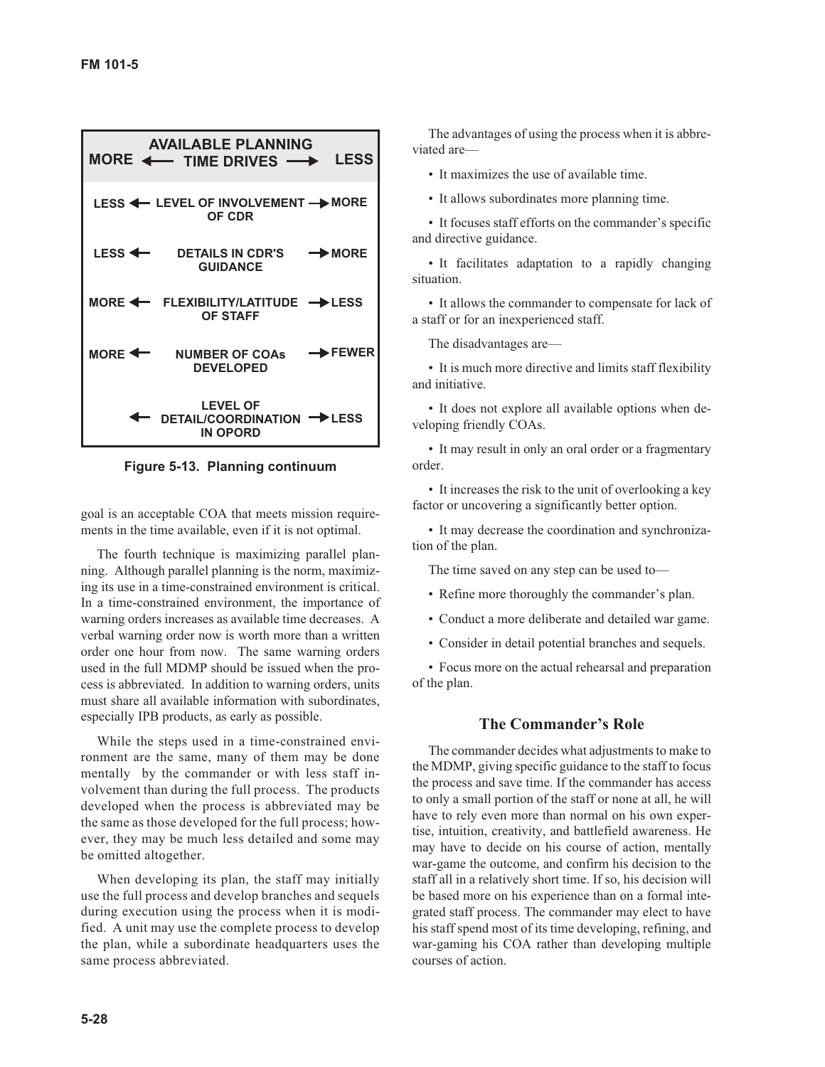

**Figure 5-13. Planning continuum**

goal is an acceptable COA that meets mission requirements in the time available, even if it is not optimal.

The fourth technique is maximizing parallel planning. Although parallel planning is the norm, maximizing its use in a time-constrained environment is critical. In a time-constrained environment, the importance of warning orders increases as available time decreases. A verbal warning order now is worth more than a written order one hour from now. The same warning orders used in the full MDMP should be issued when the process is abbreviated. In addition to warning orders, units must share all available information with subordinates, especially IPB products, as early as possible.

While the steps used in a time-constrained environment are the same, many of them may be done mentally by the commander or with less staff involvement than during the full process. The products developed when the process is abbreviated may be the same as those developed for the full process; however, they may be much less detailed and some may be omitted altogether.

When developing its plan, the staff may initially use the full process and develop branches and sequels during execution using the process when it is modified. A unit may use the complete process to develop the plan, while a subordinate headquarters uses the same process abbreviated.

The advantages of using the process when it is abbreviated are—

• It maximizes the use of available time.

• It allows subordinates more planning time.

• It focuses staff efforts on the commander's specific and directive guidance.

• It facilitates adaptation to a rapidly changing situation.

• It allows the commander to compensate for lack of a staff or for an inexperienced staff.

The disadvantages are—

• It is much more directive and limits staff flexibility and initiative.

• It does not explore all available options when developing friendly COAs.

• It may result in only an oral order or a fragmentary order.

• It increases the risk to the unit of overlooking a key factor or uncovering a significantly better option.

• It may decrease the coordination and synchronization of the plan.

The time saved on any step can be used to—

- Refine more thoroughly the commander's plan.
- Conduct a more deliberate and detailed war game.
- Consider in detail potential branches and sequels.

• Focus more on the actual rehearsal and preparation of the plan.

#### **The Commander's Role**

The commander decides what adjustments to make to the MDMP, giving specific guidance to the staff to focus the process and save time. If the commander has access to only a small portion of the staff or none at all, he will have to rely even more than normal on his own expertise, intuition, creativity, and battlefield awareness. He may have to decide on his course of action, mentally war-game the outcome, and confirm his decision to the staff all in a relatively short time. If so, his decision will be based more on his experience than on a formal integrated staff process. The commander may elect to have his staff spend most of its time developing, refining, and war-gaming his COA rather than developing multiple courses of action.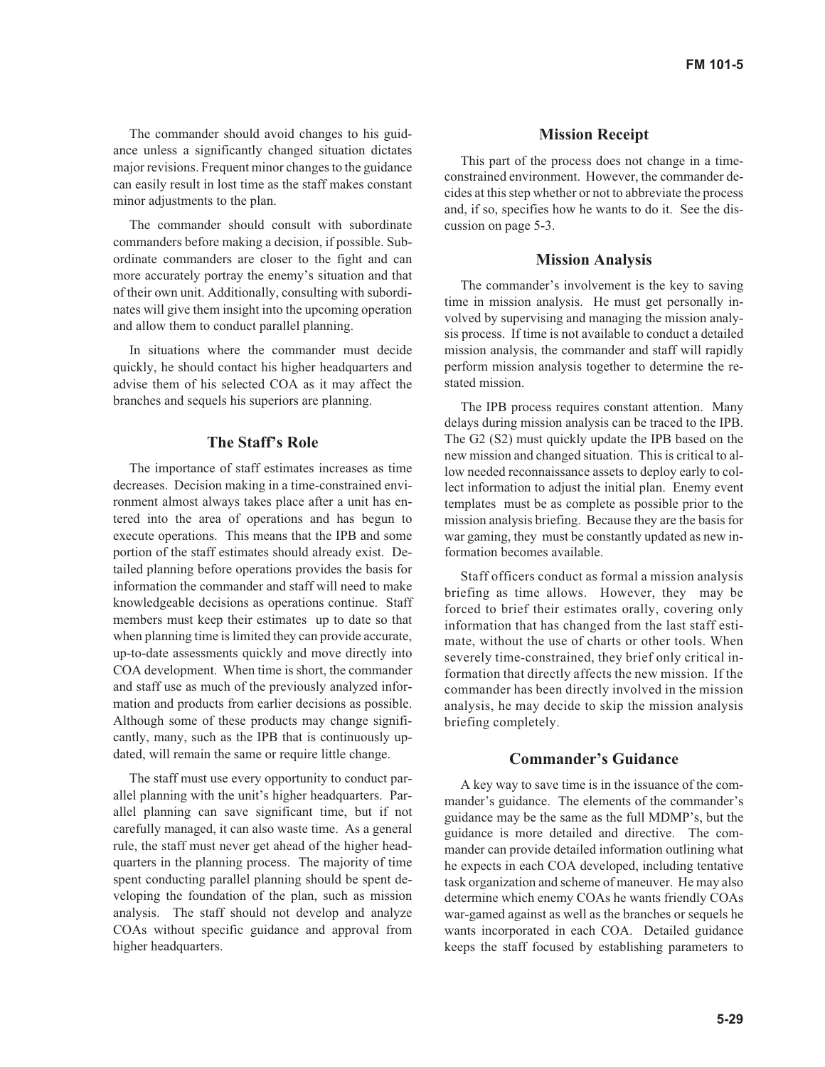The commander should avoid changes to his guidance unless a significantly changed situation dictates major revisions. Frequent minor changes to the guidance can easily result in lost time as the staff makes constant minor adjustments to the plan.

The commander should consult with subordinate commanders before making a decision, if possible. Subordinate commanders are closer to the fight and can more accurately portray the enemy's situation and that of their own unit. Additionally, consulting with subordinates will give them insight into the upcoming operation and allow them to conduct parallel planning.

In situations where the commander must decide quickly, he should contact his higher headquarters and advise them of his selected COA as it may affect the branches and sequels his superiors are planning.

#### **The Staff's Role**

The importance of staff estimates increases as time decreases. Decision making in a time-constrained environment almost always takes place after a unit has entered into the area of operations and has begun to execute operations. This means that the IPB and some portion of the staff estimates should already exist. Detailed planning before operations provides the basis for information the commander and staff will need to make knowledgeable decisions as operations continue. Staff members must keep their estimates up to date so that when planning time is limited they can provide accurate, up-to-date assessments quickly and move directly into COA development. When time is short, the commander and staff use as much of the previously analyzed information and products from earlier decisions as possible. Although some of these products may change significantly, many, such as the IPB that is continuously updated, will remain the same or require little change.

The staff must use every opportunity to conduct parallel planning with the unit's higher headquarters. Parallel planning can save significant time, but if not carefully managed, it can also waste time. As a general rule, the staff must never get ahead of the higher headquarters in the planning process. The majority of time spent conducting parallel planning should be spent developing the foundation of the plan, such as mission analysis. The staff should not develop and analyze COAs without specific guidance and approval from higher headquarters.

#### **Mission Receipt**

This part of the process does not change in a timeconstrained environment. However, the commander decides at this step whether or not to abbreviate the process and, if so, specifies how he wants to do it. See the discussion on page 5-3.

#### **Mission Analysis**

The commander's involvement is the key to saving time in mission analysis. He must get personally involved by supervising and managing the mission analysis process. If time is not available to conduct a detailed mission analysis, the commander and staff will rapidly perform mission analysis together to determine the restated mission.

The IPB process requires constant attention. Many delays during mission analysis can be traced to the IPB. The G2 (S2) must quickly update the IPB based on the new mission and changed situation. This is critical to allow needed reconnaissance assets to deploy early to collect information to adjust the initial plan. Enemy event templates must be as complete as possible prior to the mission analysis briefing. Because they are the basis for war gaming, they must be constantly updated as new information becomes available.

Staff officers conduct as formal a mission analysis briefing as time allows. However, they may be forced to brief their estimates orally, covering only information that has changed from the last staff estimate, without the use of charts or other tools. When severely time-constrained, they brief only critical information that directly affects the new mission. If the commander has been directly involved in the mission analysis, he may decide to skip the mission analysis briefing completely.

#### **Commander's Guidance**

A key way to save time is in the issuance of the commander's guidance. The elements of the commander's guidance may be the same as the full MDMP's, but the guidance is more detailed and directive. The commander can provide detailed information outlining what he expects in each COA developed, including tentative task organization and scheme of maneuver. He may also determine which enemy COAs he wants friendly COAs war-gamed against as well as the branches or sequels he wants incorporated in each COA. Detailed guidance keeps the staff focused by establishing parameters to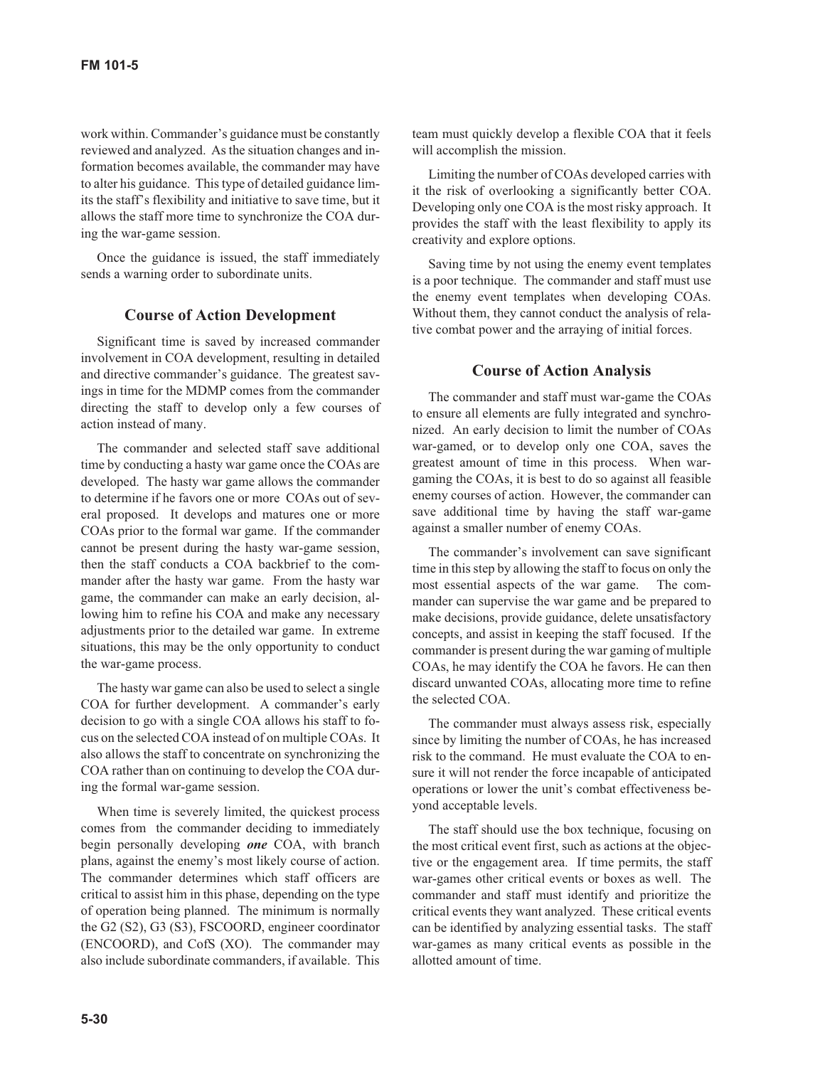work within. Commander's guidance must be constantly reviewed and analyzed. As the situation changes and information becomes available, the commander may have to alter his guidance. This type of detailed guidance limits the staff's flexibility and initiative to save time, but it allows the staff more time to synchronize the COA during the war-game session.

Once the guidance is issued, the staff immediately sends a warning order to subordinate units.

#### **Course of Action Development**

Significant time is saved by increased commander involvement in COA development, resulting in detailed and directive commander's guidance. The greatest savings in time for the MDMP comes from the commander directing the staff to develop only a few courses of action instead of many.

The commander and selected staff save additional time by conducting a hasty war game once the COAs are developed. The hasty war game allows the commander to determine if he favors one or more COAs out of several proposed. It develops and matures one or more COAs prior to the formal war game. If the commander cannot be present during the hasty war-game session, then the staff conducts a COA backbrief to the commander after the hasty war game. From the hasty war game, the commander can make an early decision, allowing him to refine his COA and make any necessary adjustments prior to the detailed war game. In extreme situations, this may be the only opportunity to conduct the war-game process.

The hasty war game can also be used to select a single COA for further development. A commander's early decision to go with a single COA allows his staff to focus on the selected COA instead of on multiple COAs. It also allows the staff to concentrate on synchronizing the COA rather than on continuing to develop the COA during the formal war-game session.

When time is severely limited, the quickest process comes from the commander deciding to immediately begin personally developing *one* COA, with branch plans, against the enemy's most likely course of action. The commander determines which staff officers are critical to assist him in this phase, depending on the type of operation being planned. The minimum is normally the G2 (S2), G3 (S3), FSCOORD, engineer coordinator (ENCOORD), and CofS (XO). The commander may also include subordinate commanders, if available. This team must quickly develop a flexible COA that it feels will accomplish the mission.

Limiting the number of COAs developed carries with it the risk of overlooking a significantly better COA. Developing only one COA is the most risky approach. It provides the staff with the least flexibility to apply its creativity and explore options.

Saving time by not using the enemy event templates is a poor technique. The commander and staff must use the enemy event templates when developing COAs. Without them, they cannot conduct the analysis of relative combat power and the arraying of initial forces.

#### **Course of Action Analysis**

The commander and staff must war-game the COAs to ensure all elements are fully integrated and synchronized. An early decision to limit the number of COAs war-gamed, or to develop only one COA, saves the greatest amount of time in this process. When wargaming the COAs, it is best to do so against all feasible enemy courses of action. However, the commander can save additional time by having the staff war-game against a smaller number of enemy COAs.

The commander's involvement can save significant time in this step by allowing the staff to focus on only the most essential aspects of the war game. The commander can supervise the war game and be prepared to make decisions, provide guidance, delete unsatisfactory concepts, and assist in keeping the staff focused. If the commander is present during the war gaming of multiple COAs, he may identify the COA he favors. He can then discard unwanted COAs, allocating more time to refine the selected COA.

The commander must always assess risk, especially since by limiting the number of COAs, he has increased risk to the command. He must evaluate the COA to ensure it will not render the force incapable of anticipated operations or lower the unit's combat effectiveness beyond acceptable levels.

The staff should use the box technique, focusing on the most critical event first, such as actions at the objective or the engagement area. If time permits, the staff war-games other critical events or boxes as well. The commander and staff must identify and prioritize the critical events they want analyzed. These critical events can be identified by analyzing essential tasks. The staff war-games as many critical events as possible in the allotted amount of time.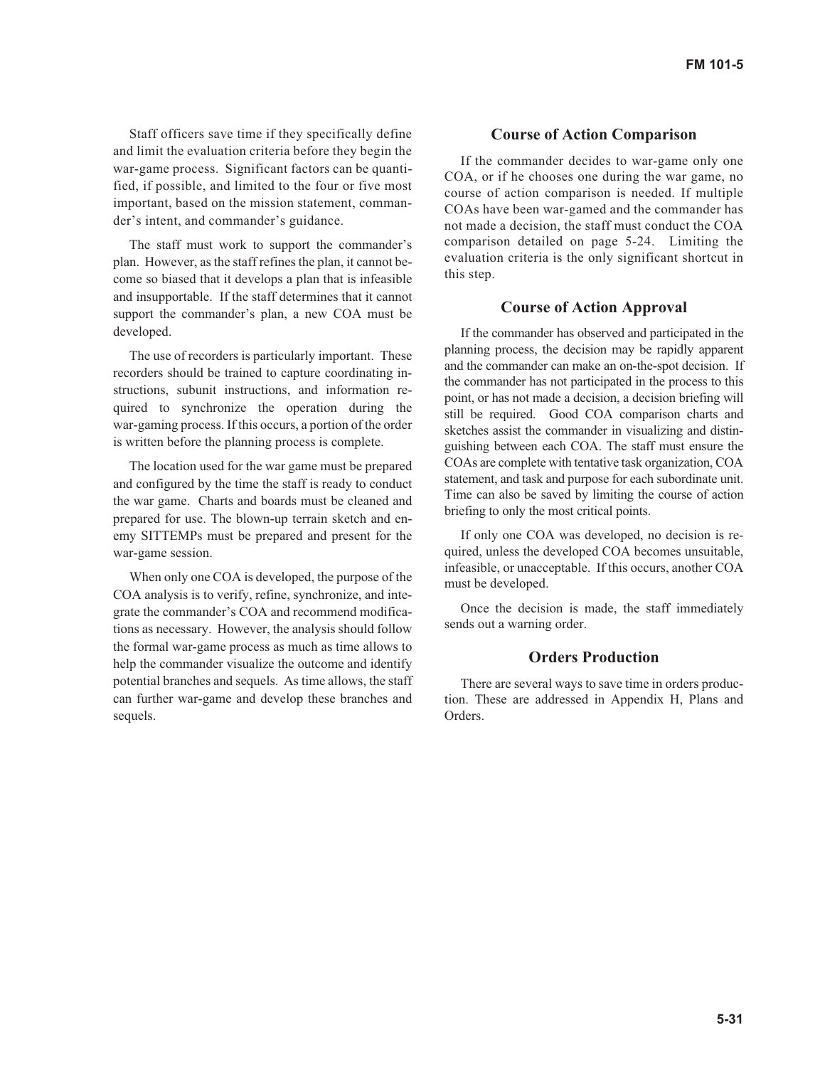Staff officers save time if they specifically define and limit the evaluation criteria before they begin the war-game process. Significant factors can be quantified, if possible, and limited to the four or five most important, based on the mission statement, commander's intent, and commander's guidance.

The staff must work to support the commander's plan. However, as the staff refines the plan, it cannot become so biased that it develops a plan that is infeasible and insupportable. If the staff determines that it cannot support the commander's plan, a new COA must be developed.

The use of recorders is particularly important. These recorders should be trained to capture coordinating instructions, subunit instructions, and information required to synchronize the operation during the war-gaming process. If this occurs, a portion of the order is written before the planning process is complete.

The location used for the war game must be prepared and configured by the time the staff is ready to conduct the war game. Charts and boards must be cleaned and prepared for use. The blown-up terrain sketch and enemy SITTEMPs must be prepared and present for the war-game session.

When only one COA is developed, the purpose of the COA analysis is to verify, refine, synchronize, and integrate the commander's COA and recommend modifications as necessary. However, the analysis should follow the formal war-game process as much as time allows to help the commander visualize the outcome and identify potential branches and sequels. As time allows, the staff can further war-game and develop these branches and sequels.

#### **Course of Action Comparison**

If the commander decides to war-game only one COA, or if he chooses one during the war game, no course of action comparison is needed. If multiple COAs have been war-gamed and the commander has not made a decision, the staff must conduct the COA comparison detailed on page 5-24. Limiting the evaluation criteria is the only significant shortcut in this step.

#### **Course of Action Approval**

If the commander has observed and participated in the planning process, the decision may be rapidly apparent and the commander can make an on-the-spot decision. If the commander has not participated in the process to this point, or has not made a decision, a decision briefing will still be required. Good COA comparison charts and sketches assist the commander in visualizing and distinguishing between each COA. The staff must ensure the COAs are complete with tentative task organization, COA statement, and task and purpose for each subordinate unit. Time can also be saved by limiting the course of action briefing to only the most critical points.

If only one COA was developed, no decision is required, unless the developed COA becomes unsuitable, infeasible, or unacceptable. If this occurs, another COA must be developed.

Once the decision is made, the staff immediately sends out a warning order.

#### **Orders Production**

There are several ways to save time in orders production. These are addressed in Appendix H, Plans and Orders.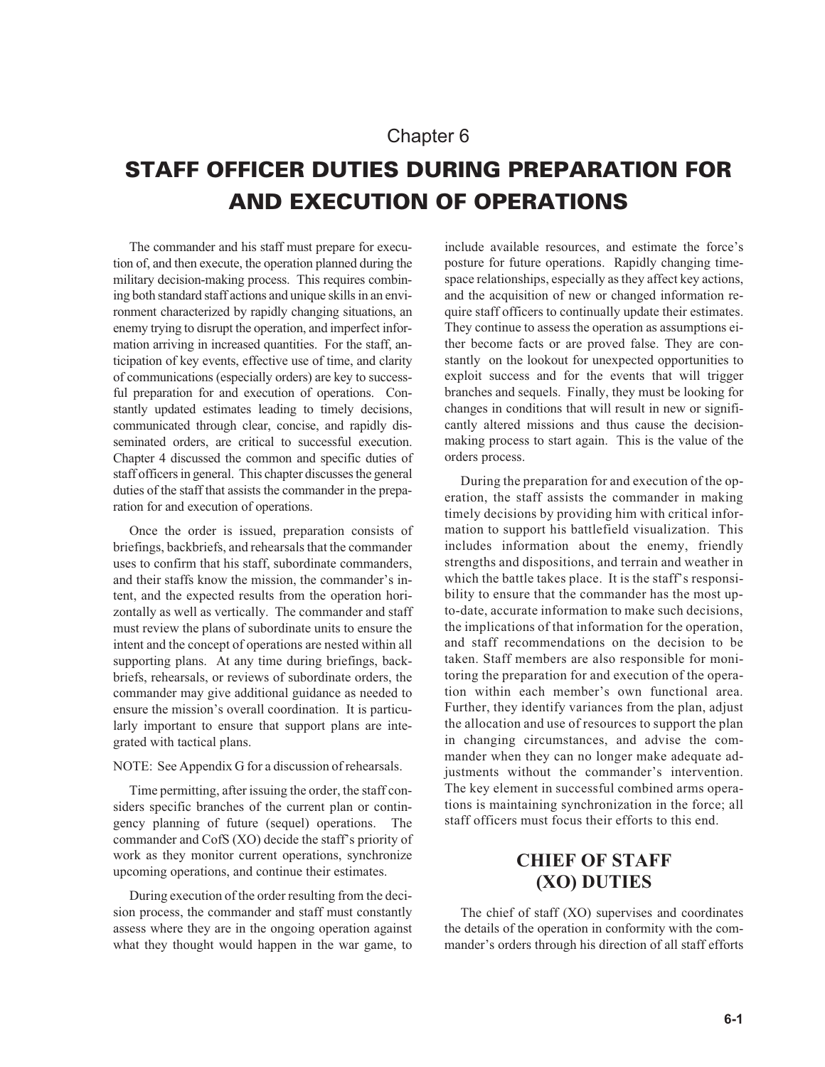## Chapter 6

# **STAFF OFFICER DUTIES DURING PREPARATION FOR AND EXECUTION OF OPERATIONS**

The commander and his staff must prepare for execution of, and then execute, the operation planned during the military decision-making process. This requires combining both standard staff actions and unique skills in an environment characterized by rapidly changing situations, an enemy trying to disrupt the operation, and imperfect information arriving in increased quantities. For the staff, anticipation of key events, effective use of time, and clarity of communications (especially orders) are key to successful preparation for and execution of operations. Constantly updated estimates leading to timely decisions, communicated through clear, concise, and rapidly disseminated orders, are critical to successful execution. Chapter 4 discussed the common and specific duties of staff officers in general. This chapter discusses the general duties of the staff that assists the commander in the preparation for and execution of operations.

Once the order is issued, preparation consists of briefings, backbriefs, and rehearsals that the commander uses to confirm that his staff, subordinate commanders, and their staffs know the mission, the commander's intent, and the expected results from the operation horizontally as well as vertically. The commander and staff must review the plans of subordinate units to ensure the intent and the concept of operations are nested within all supporting plans. At any time during briefings, backbriefs, rehearsals, or reviews of subordinate orders, the commander may give additional guidance as needed to ensure the mission's overall coordination. It is particularly important to ensure that support plans are integrated with tactical plans.

#### NOTE: See Appendix G for a discussion of rehearsals.

Time permitting, after issuing the order, the staff considers specific branches of the current plan or contingency planning of future (sequel) operations. The commander and CofS (XO) decide the staff's priority of work as they monitor current operations, synchronize upcoming operations, and continue their estimates.

During execution of the order resulting from the decision process, the commander and staff must constantly assess where they are in the ongoing operation against what they thought would happen in the war game, to include available resources, and estimate the force's posture for future operations. Rapidly changing timespace relationships, especially as they affect key actions, and the acquisition of new or changed information require staff officers to continually update their estimates. They continue to assess the operation as assumptions either become facts or are proved false. They are constantly on the lookout for unexpected opportunities to exploit success and for the events that will trigger branches and sequels. Finally, they must be looking for changes in conditions that will result in new or significantly altered missions and thus cause the decisionmaking process to start again. This is the value of the orders process.

During the preparation for and execution of the operation, the staff assists the commander in making timely decisions by providing him with critical information to support his battlefield visualization. This includes information about the enemy, friendly strengths and dispositions, and terrain and weather in which the battle takes place. It is the staff's responsibility to ensure that the commander has the most upto-date, accurate information to make such decisions, the implications of that information for the operation, and staff recommendations on the decision to be taken. Staff members are also responsible for monitoring the preparation for and execution of the operation within each member's own functional area. Further, they identify variances from the plan, adjust the allocation and use of resources to support the plan in changing circumstances, and advise the commander when they can no longer make adequate adjustments without the commander's intervention. The key element in successful combined arms operations is maintaining synchronization in the force; all staff officers must focus their efforts to this end.

## **CHIEF OF STAFF (XO) DUTIES**

The chief of staff (XO) supervises and coordinates the details of the operation in conformity with the commander's orders through his direction of all staff efforts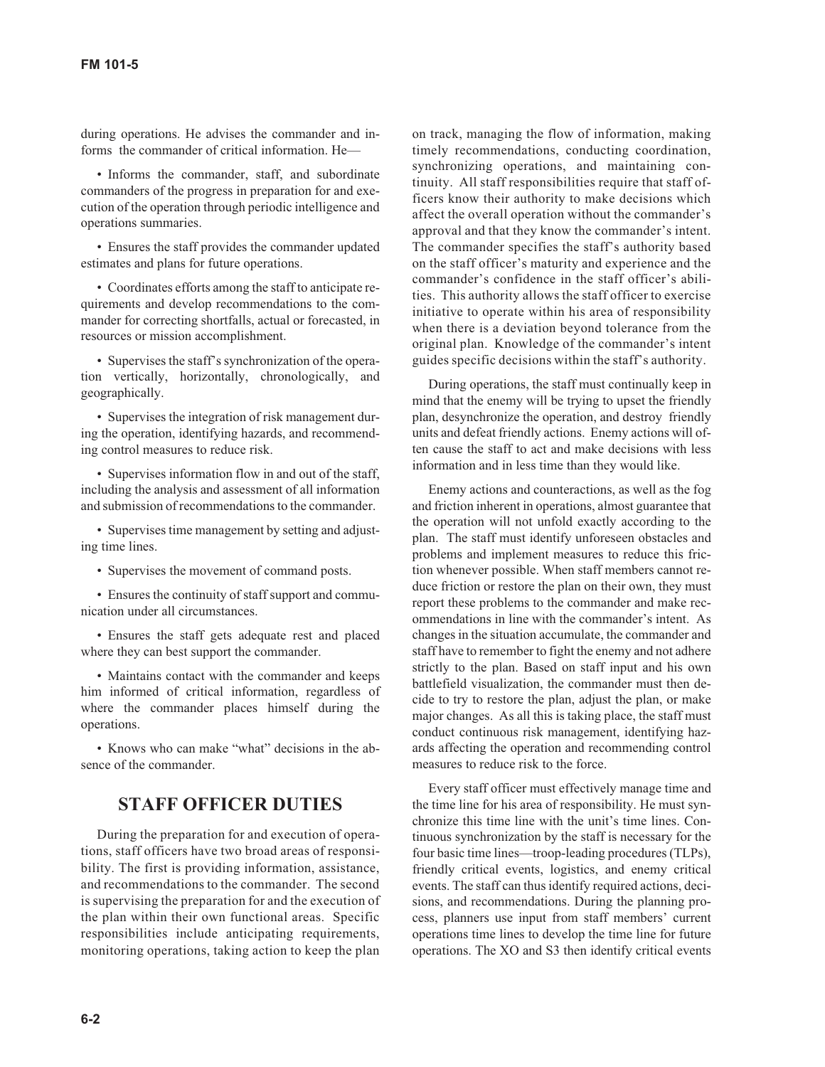during operations. He advises the commander and informs the commander of critical information. He—

• Informs the commander, staff, and subordinate commanders of the progress in preparation for and execution of the operation through periodic intelligence and operations summaries.

• Ensures the staff provides the commander updated estimates and plans for future operations.

• Coordinates efforts among the staff to anticipate requirements and develop recommendations to the commander for correcting shortfalls, actual or forecasted, in resources or mission accomplishment.

• Supervises the staff's synchronization of the operation vertically, horizontally, chronologically, and geographically.

• Supervises the integration of risk management during the operation, identifying hazards, and recommending control measures to reduce risk.

• Supervises information flow in and out of the staff, including the analysis and assessment of all information and submission of recommendations to the commander.

• Supervises time management by setting and adjusting time lines.

• Supervises the movement of command posts.

• Ensures the continuity of staff support and communication under all circumstances.

• Ensures the staff gets adequate rest and placed where they can best support the commander.

• Maintains contact with the commander and keeps him informed of critical information, regardless of where the commander places himself during the operations.

• Knows who can make "what" decisions in the absence of the commander.

## **STAFF OFFICER DUTIES**

During the preparation for and execution of operations, staff officers have two broad areas of responsibility. The first is providing information, assistance, and recommendations to the commander. The second is supervising the preparation for and the execution of the plan within their own functional areas. Specific responsibilities include anticipating requirements, monitoring operations, taking action to keep the plan on track, managing the flow of information, making timely recommendations, conducting coordination, synchronizing operations, and maintaining continuity. All staff responsibilities require that staff officers know their authority to make decisions which affect the overall operation without the commander's approval and that they know the commander's intent. The commander specifies the staff's authority based on the staff officer's maturity and experience and the commander's confidence in the staff officer's abilities. This authority allows the staff officer to exercise initiative to operate within his area of responsibility when there is a deviation beyond tolerance from the original plan. Knowledge of the commander's intent guides specific decisions within the staff's authority.

During operations, the staff must continually keep in mind that the enemy will be trying to upset the friendly plan, desynchronize the operation, and destroy friendly units and defeat friendly actions. Enemy actions will often cause the staff to act and make decisions with less information and in less time than they would like.

Enemy actions and counteractions, as well as the fog and friction inherent in operations, almost guarantee that the operation will not unfold exactly according to the plan. The staff must identify unforeseen obstacles and problems and implement measures to reduce this friction whenever possible. When staff members cannot reduce friction or restore the plan on their own, they must report these problems to the commander and make recommendations in line with the commander's intent. As changes in the situation accumulate, the commander and staff have to remember to fight the enemy and not adhere strictly to the plan. Based on staff input and his own battlefield visualization, the commander must then decide to try to restore the plan, adjust the plan, or make major changes. As all this is taking place, the staff must conduct continuous risk management, identifying hazards affecting the operation and recommending control measures to reduce risk to the force.

Every staff officer must effectively manage time and the time line for his area of responsibility. He must synchronize this time line with the unit's time lines. Continuous synchronization by the staff is necessary for the four basic time lines—troop-leading procedures (TLPs), friendly critical events, logistics, and enemy critical events. The staff can thus identify required actions, decisions, and recommendations. During the planning process, planners use input from staff members' current operations time lines to develop the time line for future operations. The XO and S3 then identify critical events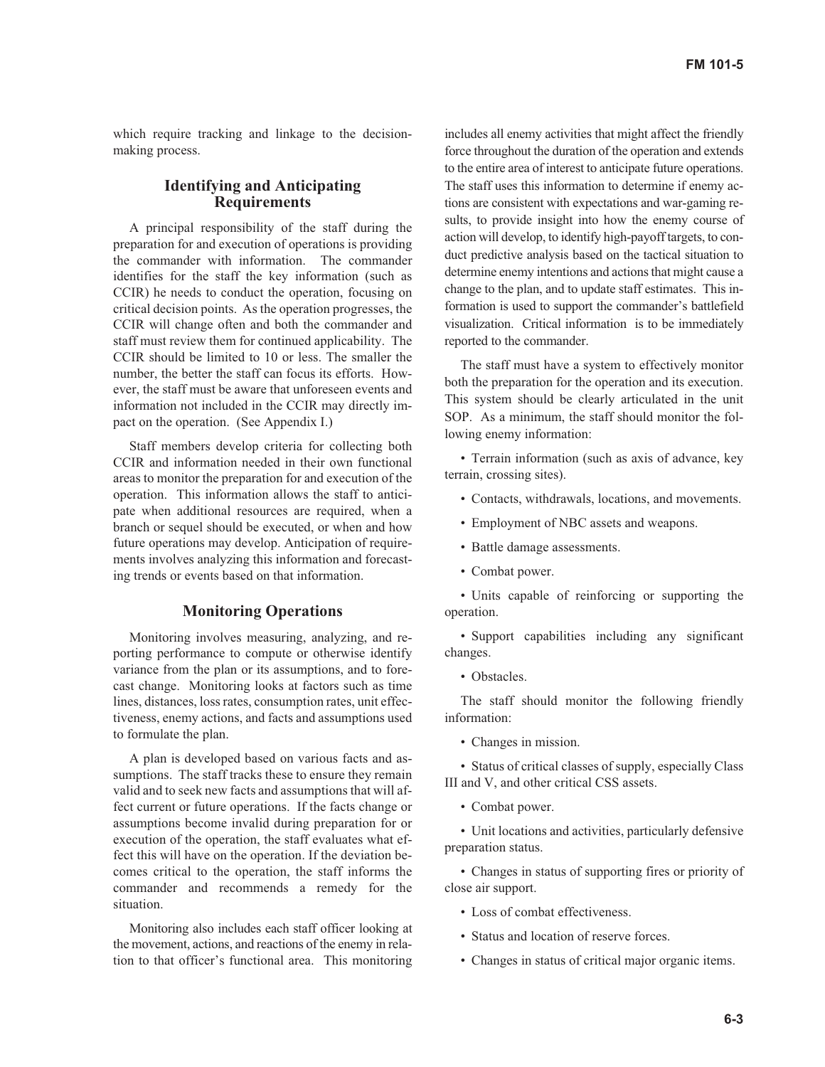which require tracking and linkage to the decisionmaking process.

#### **Identifying and Anticipating Requirements**

A principal responsibility of the staff during the preparation for and execution of operations is providing the commander with information. The commander identifies for the staff the key information (such as CCIR) he needs to conduct the operation, focusing on critical decision points. As the operation progresses, the CCIR will change often and both the commander and staff must review them for continued applicability. The CCIR should be limited to 10 or less. The smaller the number, the better the staff can focus its efforts. However, the staff must be aware that unforeseen events and information not included in the CCIR may directly impact on the operation. (See Appendix I.)

Staff members develop criteria for collecting both CCIR and information needed in their own functional areas to monitor the preparation for and execution of the operation. This information allows the staff to anticipate when additional resources are required, when a branch or sequel should be executed, or when and how future operations may develop. Anticipation of requirements involves analyzing this information and forecasting trends or events based on that information.

#### **Monitoring Operations**

Monitoring involves measuring, analyzing, and reporting performance to compute or otherwise identify variance from the plan or its assumptions, and to forecast change. Monitoring looks at factors such as time lines, distances, loss rates, consumption rates, unit effectiveness, enemy actions, and facts and assumptions used to formulate the plan.

A plan is developed based on various facts and assumptions. The staff tracks these to ensure they remain valid and to seek new facts and assumptions that will affect current or future operations. If the facts change or assumptions become invalid during preparation for or execution of the operation, the staff evaluates what effect this will have on the operation. If the deviation becomes critical to the operation, the staff informs the commander and recommends a remedy for the situation.

Monitoring also includes each staff officer looking at the movement, actions, and reactions of the enemy in relation to that officer's functional area. This monitoring includes all enemy activities that might affect the friendly force throughout the duration of the operation and extends to the entire area of interest to anticipate future operations. The staff uses this information to determine if enemy actions are consistent with expectations and war-gaming results, to provide insight into how the enemy course of action will develop, to identify high-payoff targets, to conduct predictive analysis based on the tactical situation to determine enemy intentions and actions that might cause a change to the plan, and to update staff estimates. This information is used to support the commander's battlefield visualization. Critical information is to be immediately reported to the commander.

The staff must have a system to effectively monitor both the preparation for the operation and its execution. This system should be clearly articulated in the unit SOP. As a minimum, the staff should monitor the following enemy information:

• Terrain information (such as axis of advance, key terrain, crossing sites).

- Contacts, withdrawals, locations, and movements.
- Employment of NBC assets and weapons.
- Battle damage assessments.
- Combat power.

• Units capable of reinforcing or supporting the operation.

• Support capabilities including any significant changes.

• Obstacles.

The staff should monitor the following friendly information:

• Changes in mission.

• Status of critical classes of supply, especially Class III and V, and other critical CSS assets.

• Combat power.

• Unit locations and activities, particularly defensive preparation status.

• Changes in status of supporting fires or priority of close air support.

- Loss of combat effectiveness.
- Status and location of reserve forces.
- Changes in status of critical major organic items.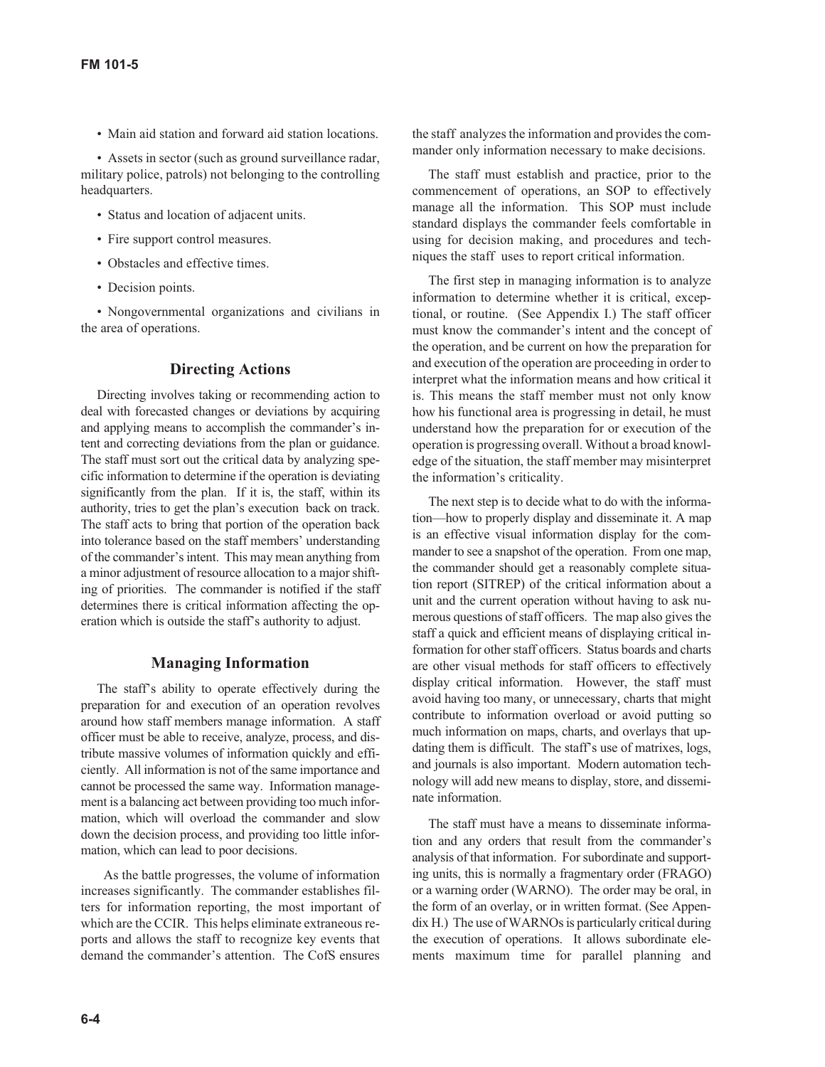• Main aid station and forward aid station locations.

• Assets in sector (such as ground surveillance radar, military police, patrols) not belonging to the controlling headquarters.

- Status and location of adjacent units.
- Fire support control measures.
- Obstacles and effective times.
- Decision points.

• Nongovernmental organizations and civilians in the area of operations.

#### **Directing Actions**

Directing involves taking or recommending action to deal with forecasted changes or deviations by acquiring and applying means to accomplish the commander's intent and correcting deviations from the plan or guidance. The staff must sort out the critical data by analyzing specific information to determine if the operation is deviating significantly from the plan. If it is, the staff, within its authority, tries to get the plan's execution back on track. The staff acts to bring that portion of the operation back into tolerance based on the staff members' understanding of the commander's intent. This may mean anything from a minor adjustment of resource allocation to a major shifting of priorities. The commander is notified if the staff determines there is critical information affecting the operation which is outside the staff's authority to adjust.

#### **Managing Information**

The staff's ability to operate effectively during the preparation for and execution of an operation revolves around how staff members manage information. A staff officer must be able to receive, analyze, process, and distribute massive volumes of information quickly and efficiently. All information is not of the same importance and cannot be processed the same way. Information management is a balancing act between providing too much information, which will overload the commander and slow down the decision process, and providing too little information, which can lead to poor decisions.

As the battle progresses, the volume of information increases significantly. The commander establishes filters for information reporting, the most important of which are the CCIR. This helps eliminate extraneous reports and allows the staff to recognize key events that demand the commander's attention. The CofS ensures

the staff analyzes the information and provides the commander only information necessary to make decisions.

The staff must establish and practice, prior to the commencement of operations, an SOP to effectively manage all the information. This SOP must include standard displays the commander feels comfortable in using for decision making, and procedures and techniques the staff uses to report critical information.

The first step in managing information is to analyze information to determine whether it is critical, exceptional, or routine. (See Appendix I.) The staff officer must know the commander's intent and the concept of the operation, and be current on how the preparation for and execution of the operation are proceeding in order to interpret what the information means and how critical it is. This means the staff member must not only know how his functional area is progressing in detail, he must understand how the preparation for or execution of the operation is progressing overall. Without a broad knowledge of the situation, the staff member may misinterpret the information's criticality.

The next step is to decide what to do with the information—how to properly display and disseminate it. A map is an effective visual information display for the commander to see a snapshot of the operation. From one map, the commander should get a reasonably complete situation report (SITREP) of the critical information about a unit and the current operation without having to ask numerous questions of staff officers. The map also gives the staff a quick and efficient means of displaying critical information for other staff officers. Status boards and charts are other visual methods for staff officers to effectively display critical information. However, the staff must avoid having too many, or unnecessary, charts that might contribute to information overload or avoid putting so much information on maps, charts, and overlays that updating them is difficult. The staff's use of matrixes, logs, and journals is also important. Modern automation technology will add new means to display, store, and disseminate information.

The staff must have a means to disseminate information and any orders that result from the commander's analysis of that information. For subordinate and supporting units, this is normally a fragmentary order (FRAGO) or a warning order (WARNO). The order may be oral, in the form of an overlay, or in written format. (See Appendix H.) The use of WARNOs is particularly critical during the execution of operations. It allows subordinate elements maximum time for parallel planning and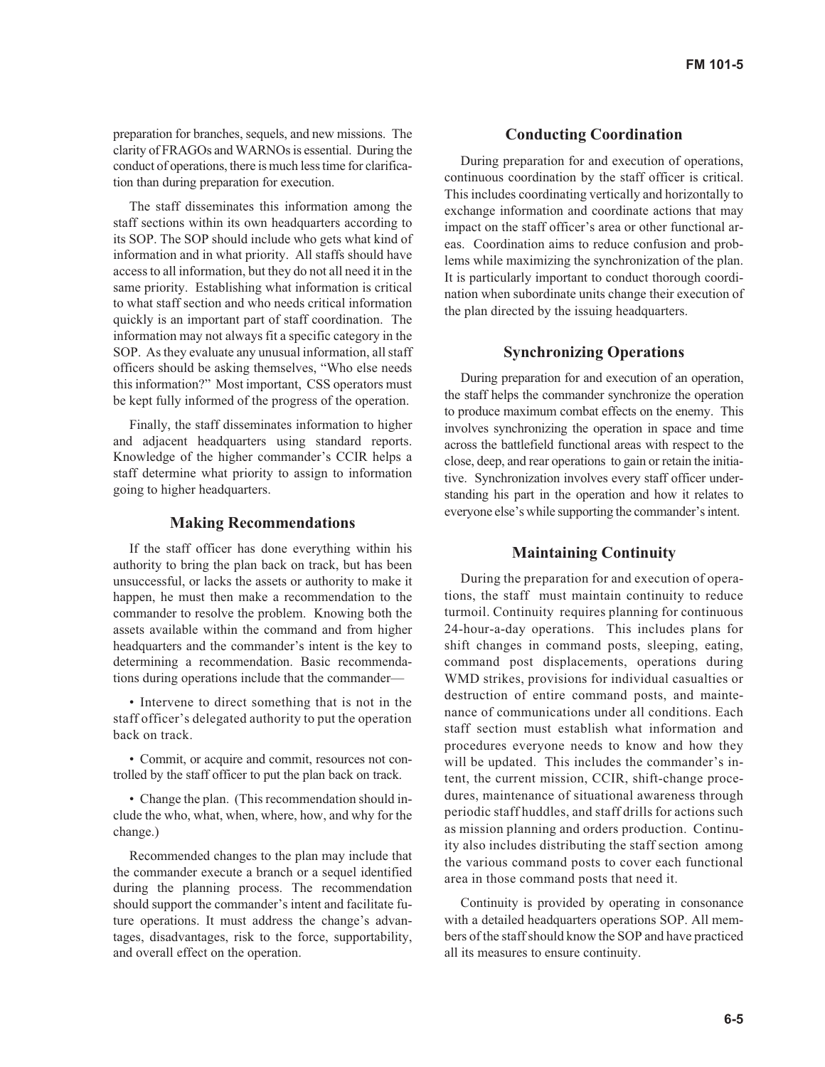preparation for branches, sequels, and new missions. The clarity of FRAGOs and WARNOs is essential. During the conduct of operations, there is much less time for clarification than during preparation for execution.

The staff disseminates this information among the staff sections within its own headquarters according to its SOP. The SOP should include who gets what kind of information and in what priority. All staffs should have access to all information, but they do not all need it in the same priority. Establishing what information is critical to what staff section and who needs critical information quickly is an important part of staff coordination. The information may not always fit a specific category in the SOP. As they evaluate any unusual information, all staff officers should be asking themselves, "Who else needs this information?" Most important, CSS operators must be kept fully informed of the progress of the operation.

Finally, the staff disseminates information to higher and adjacent headquarters using standard reports. Knowledge of the higher commander's CCIR helps a staff determine what priority to assign to information going to higher headquarters.

#### **Making Recommendations**

If the staff officer has done everything within his authority to bring the plan back on track, but has been unsuccessful, or lacks the assets or authority to make it happen, he must then make a recommendation to the commander to resolve the problem. Knowing both the assets available within the command and from higher headquarters and the commander's intent is the key to determining a recommendation. Basic recommendations during operations include that the commander—

• Intervene to direct something that is not in the staff officer's delegated authority to put the operation back on track.

• Commit, or acquire and commit, resources not controlled by the staff officer to put the plan back on track.

• Change the plan. (This recommendation should include the who, what, when, where, how, and why for the change.)

Recommended changes to the plan may include that the commander execute a branch or a sequel identified during the planning process. The recommendation should support the commander's intent and facilitate future operations. It must address the change's advantages, disadvantages, risk to the force, supportability, and overall effect on the operation.

#### **Conducting Coordination**

During preparation for and execution of operations, continuous coordination by the staff officer is critical. This includes coordinating vertically and horizontally to exchange information and coordinate actions that may impact on the staff officer's area or other functional areas. Coordination aims to reduce confusion and problems while maximizing the synchronization of the plan. It is particularly important to conduct thorough coordination when subordinate units change their execution of the plan directed by the issuing headquarters.

#### **Synchronizing Operations**

During preparation for and execution of an operation, the staff helps the commander synchronize the operation to produce maximum combat effects on the enemy. This involves synchronizing the operation in space and time across the battlefield functional areas with respect to the close, deep, and rear operations to gain or retain the initiative. Synchronization involves every staff officer understanding his part in the operation and how it relates to everyone else's while supporting the commander's intent.

#### **Maintaining Continuity**

During the preparation for and execution of operations, the staff must maintain continuity to reduce turmoil. Continuity requires planning for continuous 24-hour-a-day operations. This includes plans for shift changes in command posts, sleeping, eating, command post displacements, operations during WMD strikes, provisions for individual casualties or destruction of entire command posts, and maintenance of communications under all conditions. Each staff section must establish what information and procedures everyone needs to know and how they will be updated. This includes the commander's intent, the current mission, CCIR, shift-change procedures, maintenance of situational awareness through periodic staff huddles, and staff drills for actions such as mission planning and orders production. Continuity also includes distributing the staff section among the various command posts to cover each functional area in those command posts that need it.

Continuity is provided by operating in consonance with a detailed headquarters operations SOP. All members of the staff should know the SOP and have practiced all its measures to ensure continuity.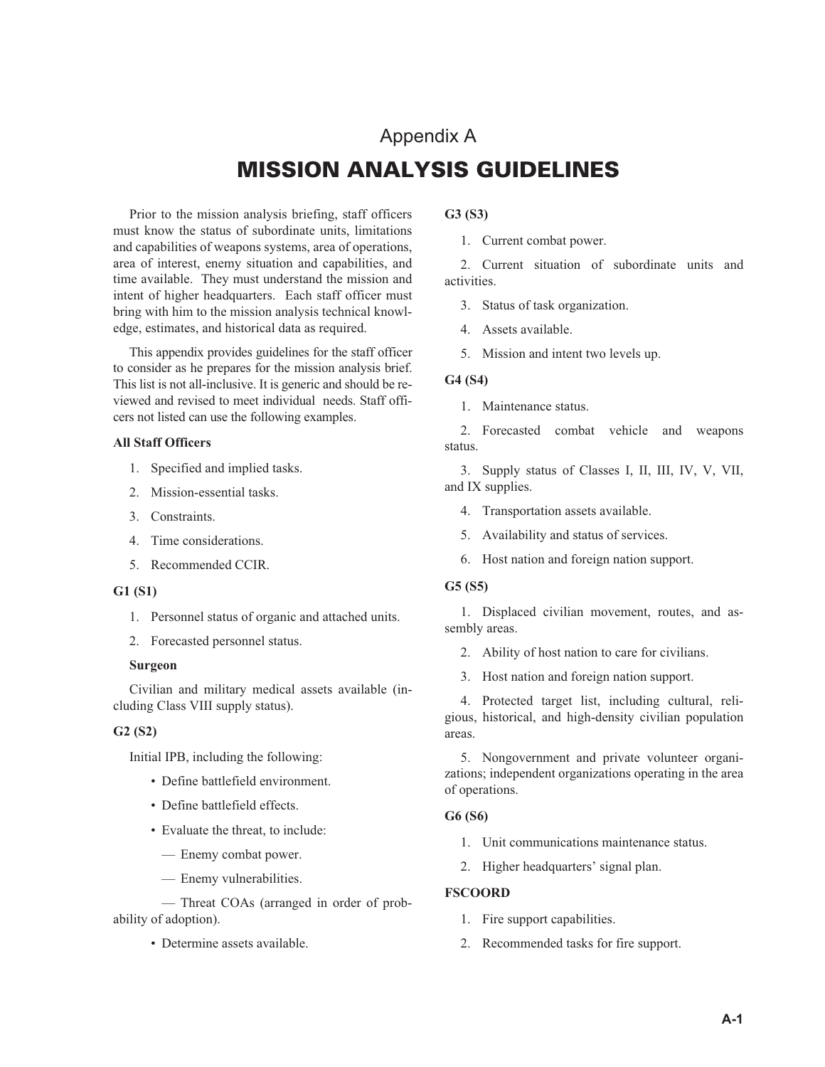# Appendix A **MISSION ANALYSIS GUIDELINES**

Prior to the mission analysis briefing, staff officers must know the status of subordinate units, limitations and capabilities of weapons systems, area of operations, area of interest, enemy situation and capabilities, and time available. They must understand the mission and intent of higher headquarters. Each staff officer must bring with him to the mission analysis technical knowledge, estimates, and historical data as required.

This appendix provides guidelines for the staff officer to consider as he prepares for the mission analysis brief. This list is not all-inclusive. It is generic and should be reviewed and revised to meet individual needs. Staff officers not listed can use the following examples.

#### **All Staff Officers**

- 1. Specified and implied tasks.
- 2. Mission-essential tasks.
- 3. Constraints.
- 4. Time considerations.
- 5. Recommended CCIR.

#### **G1 (S1)**

- 1. Personnel status of organic and attached units.
- 2. Forecasted personnel status.

#### **Surgeon**

Civilian and military medical assets available (including Class VIII supply status).

#### **G2 (S2)**

Initial IPB, including the following:

- Define battlefield environment.
- Define battlefield effects.
- Evaluate the threat, to include:
	- Enemy combat power.
	- Enemy vulnerabilities.

— Threat COAs (arranged in order of probability of adoption).

• Determine assets available.

#### **G3 (S3)**

1. Current combat power.

2. Current situation of subordinate units and activities.

- 3. Status of task organization.
- 4. Assets available.
- 5. Mission and intent two levels up.

#### **G4 (S4)**

1. Maintenance status.

2. Forecasted combat vehicle and weapons status.

3. Supply status of Classes I, II, III, IV, V, VII, and IX supplies.

4. Transportation assets available.

5. Availability and status of services.

6. Host nation and foreign nation support.

#### **G5 (S5)**

1. Displaced civilian movement, routes, and assembly areas.

2. Ability of host nation to care for civilians.

3. Host nation and foreign nation support.

4. Protected target list, including cultural, religious, historical, and high-density civilian population areas.

5. Nongovernment and private volunteer organizations; independent organizations operating in the area of operations.

#### **G6 (S6)**

- 1. Unit communications maintenance status.
- 2. Higher headquarters' signal plan.

#### **FSCOORD**

- 1. Fire support capabilities.
- 2. Recommended tasks for fire support.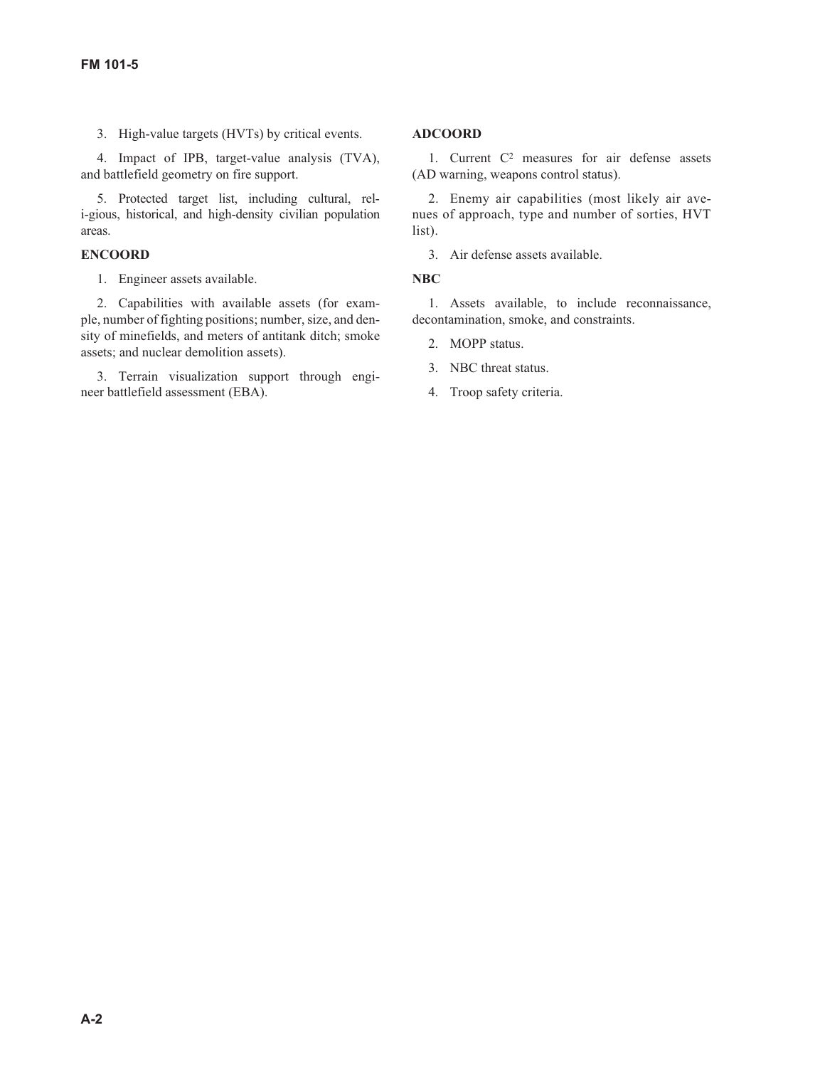3. High-value targets (HVTs) by critical events.

4. Impact of IPB, target-value analysis (TVA), and battlefield geometry on fire support.

5. Protected target list, including cultural, reli-gious, historical, and high-density civilian population areas.

#### **ENCOORD**

1. Engineer assets available.

2. Capabilities with available assets (for example, number of fighting positions; number, size, and density of minefields, and meters of antitank ditch; smoke assets; and nuclear demolition assets).

3. Terrain visualization support through engineer battlefield assessment (EBA).

#### **ADCOORD**

1. Current C2 measures for air defense assets (AD warning, weapons control status).

2. Enemy air capabilities (most likely air avenues of approach, type and number of sorties, HVT list).

3. Air defense assets available.

#### **NBC**

1. Assets available, to include reconnaissance, decontamination, smoke, and constraints.

- 2. MOPP status.
- 3. NBC threat status.
- 4. Troop safety criteria.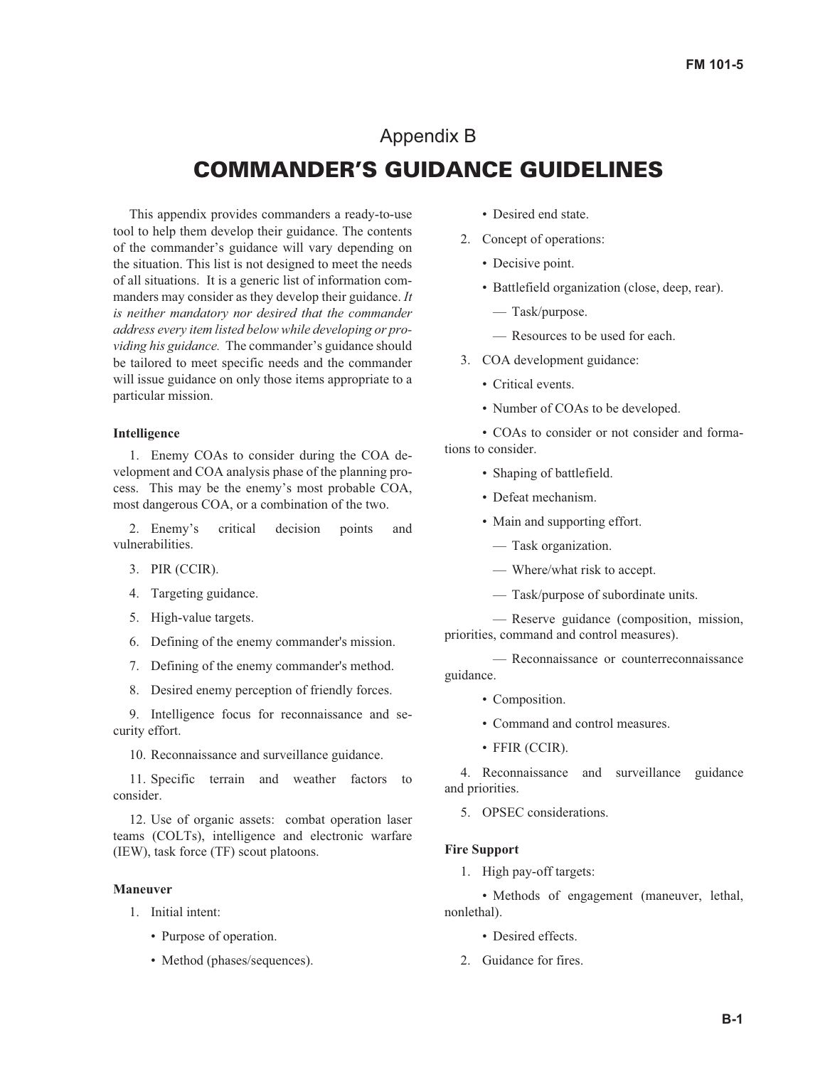## Appendix B **COMMANDER'S GUIDANCE GUIDELINES**

This appendix provides commanders a ready-to-use tool to help them develop their guidance. The contents of the commander's guidance will vary depending on the situation. This list is not designed to meet the needs of all situations. It is a generic list of information commanders may consider as they develop their guidance. *It is neither mandatory nor desired that the commander address every item listed below while developing or providing his guidance.* The commander's guidance should be tailored to meet specific needs and the commander will issue guidance on only those items appropriate to a particular mission.

#### **Intelligence**

1. Enemy COAs to consider during the COA development and COA analysis phase of the planning process. This may be the enemy's most probable COA, most dangerous COA, or a combination of the two.

2. Enemy's critical decision points and vulnerabilities.

- 3. PIR (CCIR).
- 4. Targeting guidance.
- 5. High-value targets.
- 6. Defining of the enemy commander's mission.
- 7. Defining of the enemy commander's method.
- 8. Desired enemy perception of friendly forces.

9. Intelligence focus for reconnaissance and security effort.

10. Reconnaissance and surveillance guidance.

11. Specific terrain and weather factors to consider.

12. Use of organic assets: combat operation laser teams (COLTs), intelligence and electronic warfare (IEW), task force (TF) scout platoons.

#### **Maneuver**

- 1. Initial intent:
	- Purpose of operation.
	- Method (phases/sequences).
- Desired end state.
- 2. Concept of operations:
	- Decisive point.
	- Battlefield organization (close, deep, rear).
		- Task/purpose.
		- Resources to be used for each.
- 3. COA development guidance:
	- Critical events.
	- Number of COAs to be developed.

• COAs to consider or not consider and formations to consider.

- Shaping of battlefield.
- Defeat mechanism.
- Main and supporting effort.
	- Task organization.
	- Where/what risk to accept.
	- Task/purpose of subordinate units.
- Reserve guidance (composition, mission, priorities, command and control measures).
- Reconnaissance or counterreconnaissance guidance.
	- Composition.
	- Command and control measures.
	- FFIR (CCIR).

4. Reconnaissance and surveillance guidance and priorities.

5. OPSEC considerations.

#### **Fire Support**

1. High pay-off targets:

• Methods of engagement (maneuver, lethal, nonlethal).

- Desired effects.
- 2. Guidance for fires.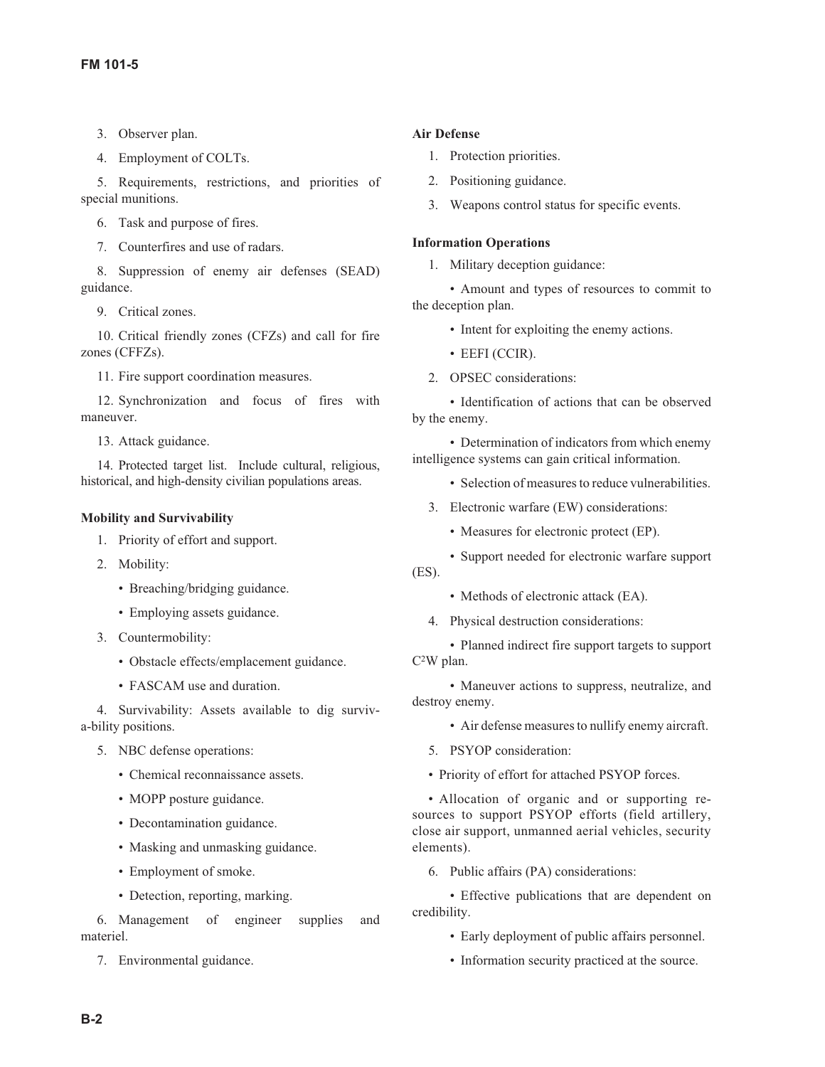- 3. Observer plan.
- 4. Employment of COLTs.

5. Requirements, restrictions, and priorities of special munitions.

- 6. Task and purpose of fires.
- 7. Counterfires and use of radars.

8. Suppression of enemy air defenses (SEAD) guidance.

9. Critical zones.

10. Critical friendly zones (CFZs) and call for fire zones (CFFZs).

11. Fire support coordination measures.

12. Synchronization and focus of fires with maneuver.

13. Attack guidance.

14. Protected target list. Include cultural, religious, historical, and high-density civilian populations areas.

#### **Mobility and Survivability**

- 1. Priority of effort and support.
- 2. Mobility:
	- Breaching/bridging guidance.
	- Employing assets guidance.
- 3. Countermobility:
	- Obstacle effects/emplacement guidance.
	- FASCAM use and duration.

4. Survivability: Assets available to dig surviva-bility positions.

- 5. NBC defense operations:
	- Chemical reconnaissance assets.
	- MOPP posture guidance.
	- Decontamination guidance.
	- Masking and unmasking guidance.
	- Employment of smoke.
	- Detection, reporting, marking.

6. Management of engineer supplies and materiel.

7. Environmental guidance.

#### **Air Defense**

- 1. Protection priorities.
- 2. Positioning guidance.
- 3. Weapons control status for specific events.

#### **Information Operations**

1. Military deception guidance:

• Amount and types of resources to commit to the deception plan.

- Intent for exploiting the enemy actions.
- EEFI (CCIR).
- 2. OPSEC considerations:

• Identification of actions that can be observed by the enemy.

• Determination of indicators from which enemy intelligence systems can gain critical information.

- Selection of measures to reduce vulnerabilities.
- 3. Electronic warfare (EW) considerations:
	- Measures for electronic protect (EP).
- Support needed for electronic warfare support
- (ES).
- Methods of electronic attack (EA).
- 4. Physical destruction considerations:

• Planned indirect fire support targets to support C2W plan.

• Maneuver actions to suppress, neutralize, and destroy enemy.

- Air defense measures to nullify enemy aircraft.
- 5. PSYOP consideration:
- Priority of effort for attached PSYOP forces.

• Allocation of organic and or supporting resources to support PSYOP efforts (field artillery, close air support, unmanned aerial vehicles, security elements).

6. Public affairs (PA) considerations:

• Effective publications that are dependent on credibility.

- Early deployment of public affairs personnel.
- Information security practiced at the source.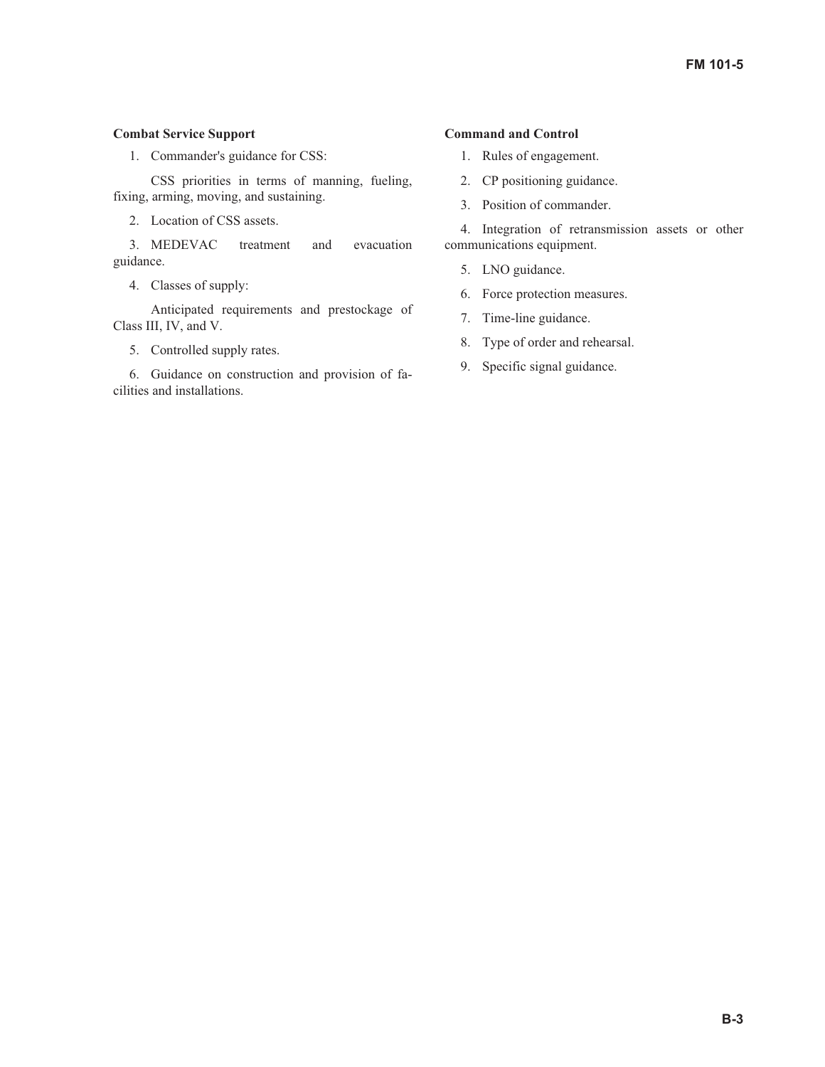#### **Combat Service Support**

1. Commander's guidance for CSS:

CSS priorities in terms of manning, fueling, fixing, arming, moving, and sustaining.

2. Location of CSS assets.

3. MEDEVAC treatment and evacuation guidance.

4. Classes of supply:

Anticipated requirements and prestockage of Class III, IV, and V.

5. Controlled supply rates.

6. Guidance on construction and provision of facilities and installations.

#### **Command and Control**

- 1. Rules of engagement.
- 2. CP positioning guidance.
- 3. Position of commander.

4. Integration of retransmission assets or other communications equipment.

- 5. LNO guidance.
- 6. Force protection measures.
- 7. Time-line guidance.
- 8. Type of order and rehearsal.
- 9. Specific signal guidance.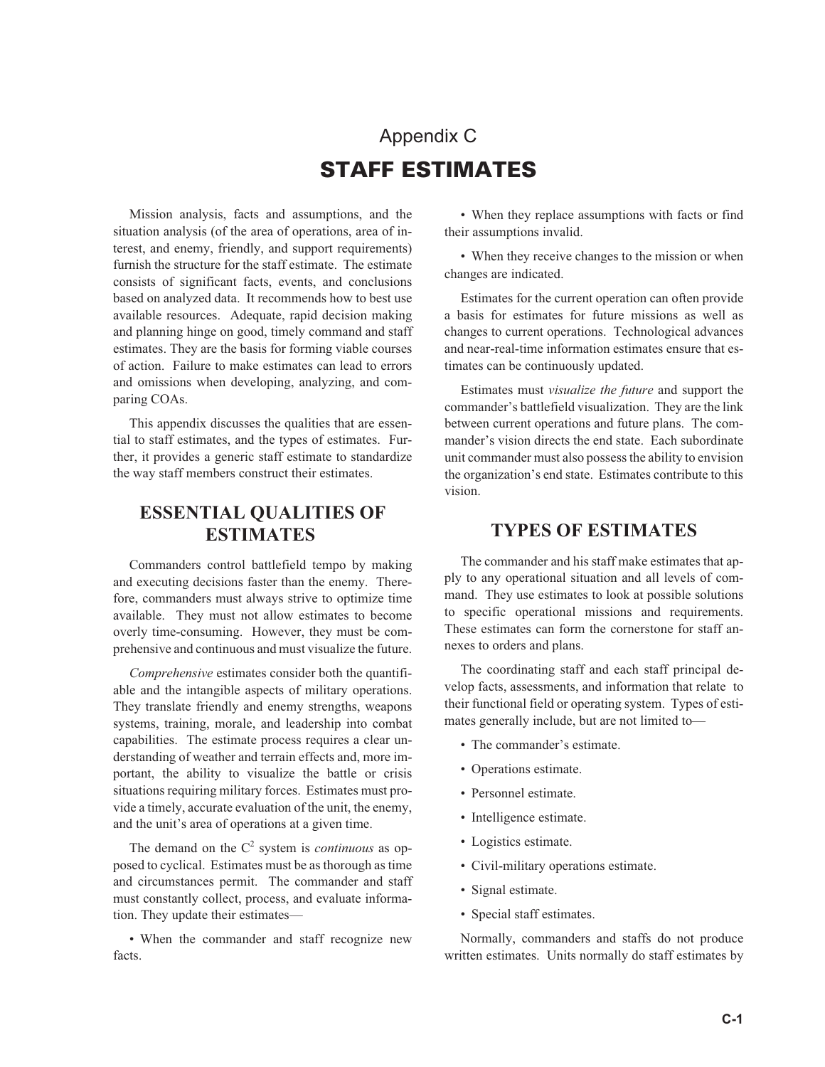# Appendix C **STAFF ESTIMATES**

Mission analysis, facts and assumptions, and the situation analysis (of the area of operations, area of interest, and enemy, friendly, and support requirements) furnish the structure for the staff estimate. The estimate consists of significant facts, events, and conclusions based on analyzed data. It recommends how to best use available resources. Adequate, rapid decision making and planning hinge on good, timely command and staff estimates. They are the basis for forming viable courses of action. Failure to make estimates can lead to errors and omissions when developing, analyzing, and comparing COAs.

This appendix discusses the qualities that are essential to staff estimates, and the types of estimates. Further, it provides a generic staff estimate to standardize the way staff members construct their estimates.

## **ESSENTIAL QUALITIES OF ESTIMATES**

Commanders control battlefield tempo by making and executing decisions faster than the enemy. Therefore, commanders must always strive to optimize time available. They must not allow estimates to become overly time-consuming. However, they must be comprehensive and continuous and must visualize the future.

*Comprehensive* estimates consider both the quantifiable and the intangible aspects of military operations. They translate friendly and enemy strengths, weapons systems, training, morale, and leadership into combat capabilities. The estimate process requires a clear understanding of weather and terrain effects and, more important, the ability to visualize the battle or crisis situations requiring military forces. Estimates must provide a timely, accurate evaluation of the unit, the enemy, and the unit's area of operations at a given time.

The demand on the  $C^2$  system is *continuous* as opposed to cyclical. Estimates must be as thorough as time and circumstances permit. The commander and staff must constantly collect, process, and evaluate information. They update their estimates—

• When the commander and staff recognize new facts.

• When they replace assumptions with facts or find their assumptions invalid.

• When they receive changes to the mission or when changes are indicated.

Estimates for the current operation can often provide a basis for estimates for future missions as well as changes to current operations. Technological advances and near-real-time information estimates ensure that estimates can be continuously updated.

Estimates must *visualize the future* and support the commander's battlefield visualization. They are the link between current operations and future plans. The commander's vision directs the end state. Each subordinate unit commander must also possess the ability to envision the organization's end state. Estimates contribute to this vision.

#### **TYPES OF ESTIMATES**

The commander and his staff make estimates that apply to any operational situation and all levels of command. They use estimates to look at possible solutions to specific operational missions and requirements. These estimates can form the cornerstone for staff annexes to orders and plans.

The coordinating staff and each staff principal develop facts, assessments, and information that relate to their functional field or operating system. Types of estimates generally include, but are not limited to—

- The commander's estimate.
- Operations estimate.
- Personnel estimate.
- Intelligence estimate.
- Logistics estimate.
- Civil-military operations estimate.
- Signal estimate.
- Special staff estimates.

Normally, commanders and staffs do not produce written estimates. Units normally do staff estimates by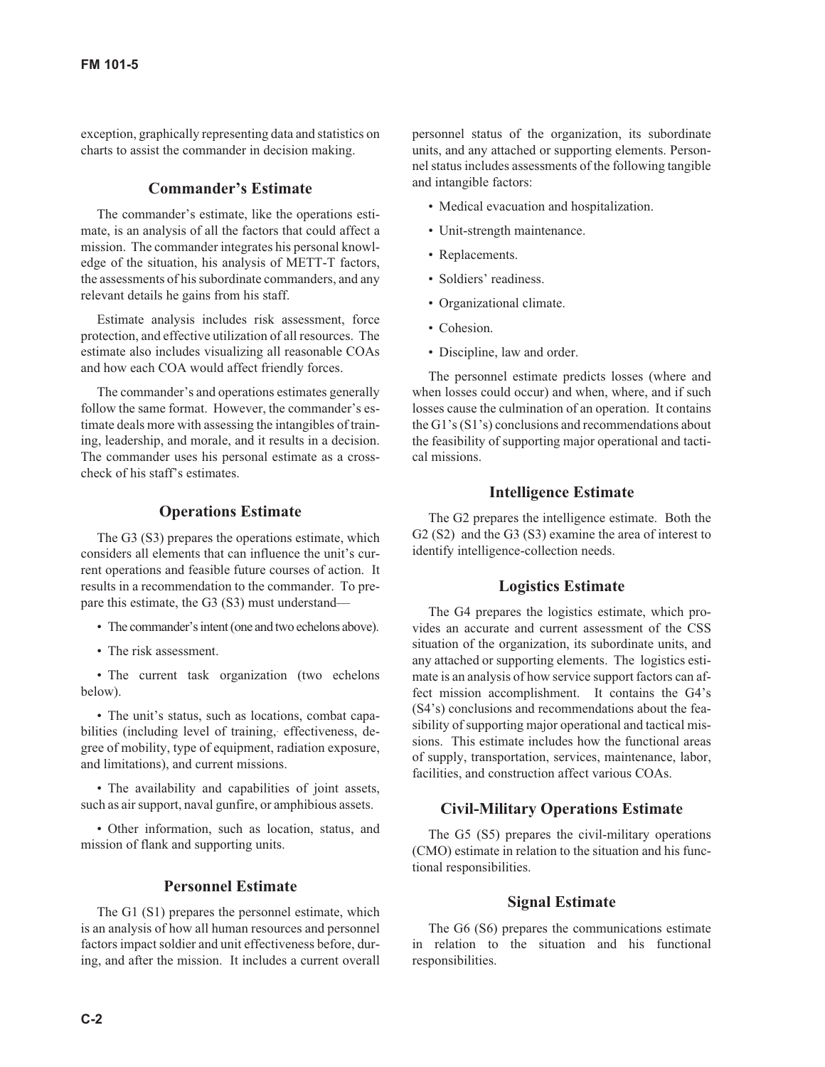exception, graphically representing data and statistics on charts to assist the commander in decision making.

#### **Commander's Estimate**

The commander's estimate, like the operations estimate, is an analysis of all the factors that could affect a mission. The commander integrates his personal knowledge of the situation, his analysis of METT-T factors, the assessments of his subordinate commanders, and any relevant details he gains from his staff.

Estimate analysis includes risk assessment, force protection, and effective utilization of all resources. The estimate also includes visualizing all reasonable COAs and how each COA would affect friendly forces.

The commander's and operations estimates generally follow the same format. However, the commander's estimate deals more with assessing the intangibles of training, leadership, and morale, and it results in a decision. The commander uses his personal estimate as a crosscheck of his staff's estimates.

#### **Operations Estimate**

The G3 (S3) prepares the operations estimate, which considers all elements that can influence the unit's current operations and feasible future courses of action. It results in a recommendation to the commander. To prepare this estimate, the G3 (S3) must understand—

- The commander's intent (one and two echelons above).
- The risk assessment.

• The current task organization (two echelons below).

• The unit's status, such as locations, combat capabilities (including level of training, effectiveness, degree of mobility, type of equipment, radiation exposure, and limitations), and current missions.

• The availability and capabilities of joint assets, such as air support, naval gunfire, or amphibious assets.

• Other information, such as location, status, and mission of flank and supporting units.

#### **Personnel Estimate**

The G1 (S1) prepares the personnel estimate, which is an analysis of how all human resources and personnel factors impact soldier and unit effectiveness before, during, and after the mission. It includes a current overall personnel status of the organization, its subordinate units, and any attached or supporting elements. Personnel status includes assessments of the following tangible and intangible factors:

- Medical evacuation and hospitalization.
- Unit-strength maintenance.
- Replacements.
- Soldiers' readiness.
- Organizational climate.
- Cohesion.
- Discipline, law and order.

The personnel estimate predicts losses (where and when losses could occur) and when, where, and if such losses cause the culmination of an operation. It contains the G1's (S1's) conclusions and recommendations about the feasibility of supporting major operational and tactical missions.

#### **Intelligence Estimate**

The G2 prepares the intelligence estimate. Both the G2 (S2) and the G3 (S3) examine the area of interest to identify intelligence-collection needs.

#### **Logistics Estimate**

The G4 prepares the logistics estimate, which provides an accurate and current assessment of the CSS situation of the organization, its subordinate units, and any attached or supporting elements. The logistics estimate is an analysis of how service support factors can affect mission accomplishment. It contains the G4's (S4's) conclusions and recommendations about the feasibility of supporting major operational and tactical missions. This estimate includes how the functional areas of supply, transportation, services, maintenance, labor, facilities, and construction affect various COAs.

#### **Civil-Military Operations Estimate**

The G5 (S5) prepares the civil-military operations (CMO) estimate in relation to the situation and his functional responsibilities.

#### **Signal Estimate**

The G6 (S6) prepares the communications estimate in relation to the situation and his functional responsibilities.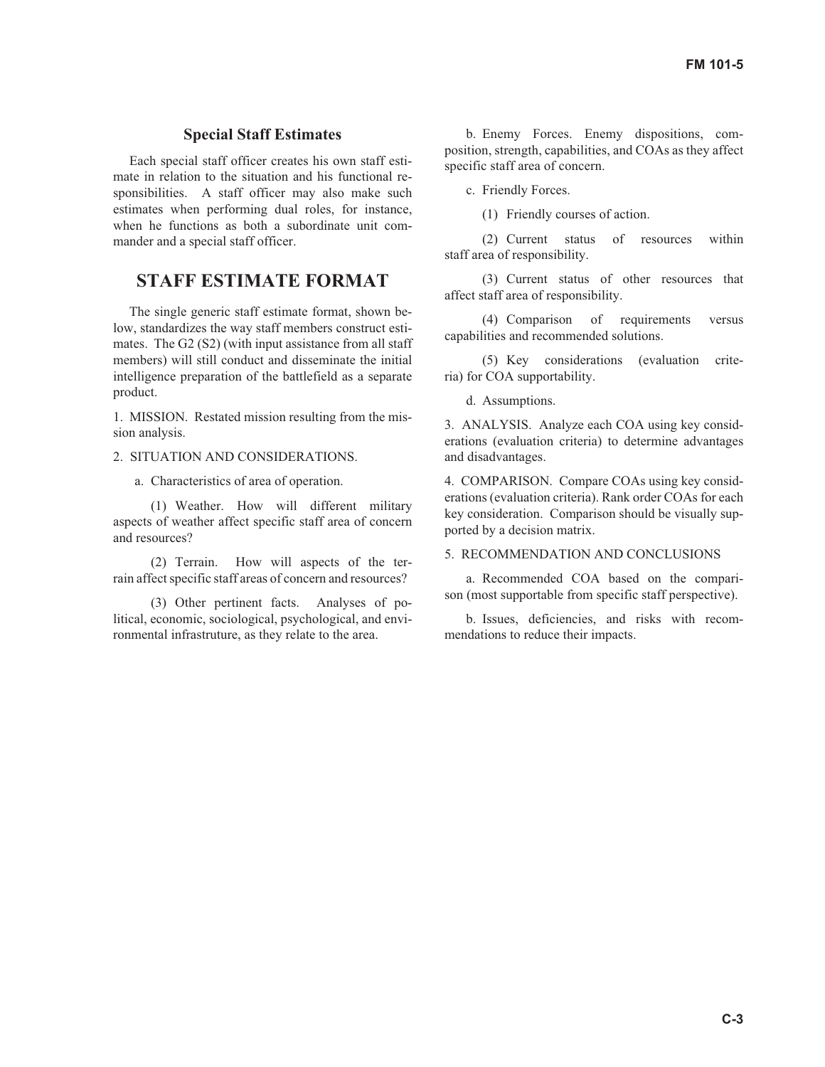#### **Special Staff Estimates**

Each special staff officer creates his own staff estimate in relation to the situation and his functional responsibilities. A staff officer may also make such estimates when performing dual roles, for instance, when he functions as both a subordinate unit commander and a special staff officer.

## **STAFF ESTIMATE FORMAT**

The single generic staff estimate format, shown below, standardizes the way staff members construct estimates. The G2 (S2) (with input assistance from all staff members) will still conduct and disseminate the initial intelligence preparation of the battlefield as a separate product.

1. MISSION. Restated mission resulting from the mission analysis.

2. SITUATION AND CONSIDERATIONS.

a. Characteristics of area of operation.

(1) Weather. How will different military aspects of weather affect specific staff area of concern and resources?

(2) Terrain. How will aspects of the terrain affect specific staff areas of concern and resources?

(3) Other pertinent facts. Analyses of political, economic, sociological, psychological, and environmental infrastruture, as they relate to the area.

b. Enemy Forces. Enemy dispositions, composition, strength, capabilities, and COAs as they affect specific staff area of concern.

c. Friendly Forces.

(1) Friendly courses of action.

(2) Current status of resources within staff area of responsibility.

(3) Current status of other resources that affect staff area of responsibility.

(4) Comparison of requirements versus capabilities and recommended solutions.

(5) Key considerations (evaluation criteria) for COA supportability.

d. Assumptions.

3. ANALYSIS. Analyze each COA using key considerations (evaluation criteria) to determine advantages and disadvantages.

4. COMPARISON. Compare COAs using key considerations (evaluation criteria). Rank order COAs for each key consideration. Comparison should be visually supported by a decision matrix.

5. RECOMMENDATION AND CONCLUSIONS

a. Recommended COA based on the comparison (most supportable from specific staff perspective).

b. Issues, deficiencies, and risks with recommendations to reduce their impacts.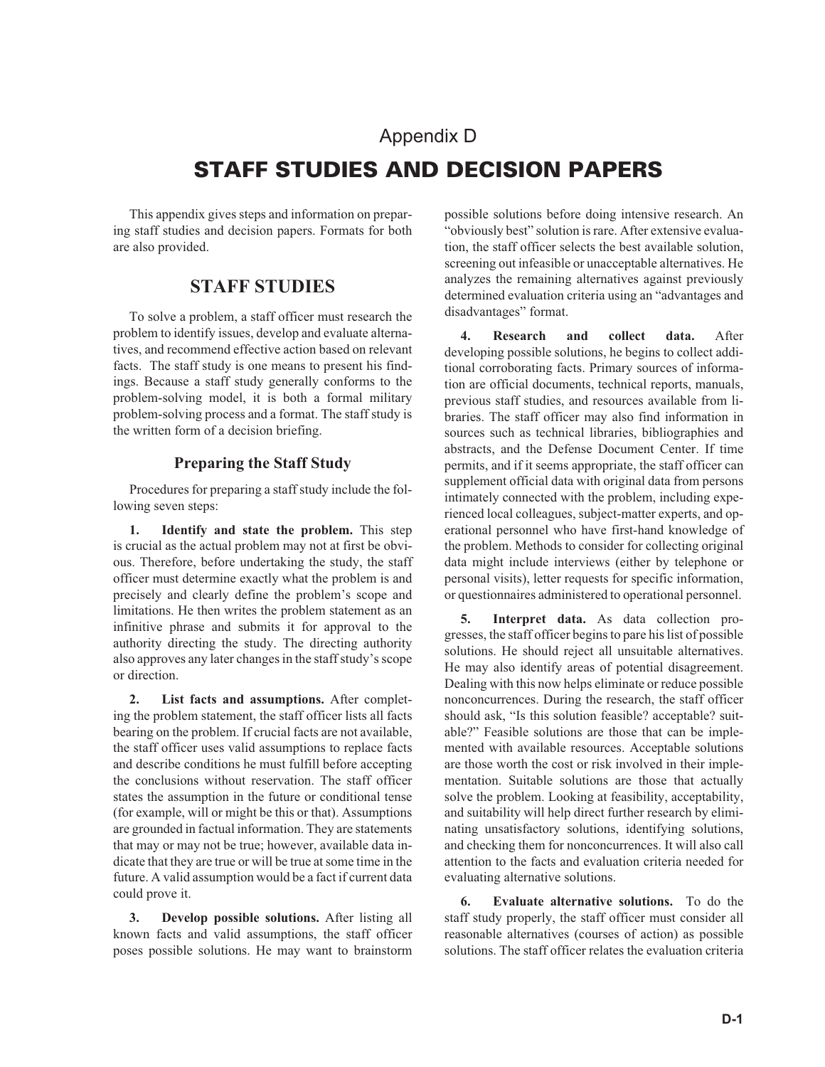# Appendix D **STAFF STUDIES AND DECISION PAPERS**

This appendix gives steps and information on preparing staff studies and decision papers. Formats for both are also provided.

### **STAFF STUDIES**

To solve a problem, a staff officer must research the problem to identify issues, develop and evaluate alternatives, and recommend effective action based on relevant facts. The staff study is one means to present his findings. Because a staff study generally conforms to the problem-solving model, it is both a formal military problem-solving process and a format. The staff study is the written form of a decision briefing.

#### **Preparing the Staff Study**

Procedures for preparing a staff study include the following seven steps:

**1. Identify and state the problem.** This step is crucial as the actual problem may not at first be obvious. Therefore, before undertaking the study, the staff officer must determine exactly what the problem is and precisely and clearly define the problem's scope and limitations. He then writes the problem statement as an infinitive phrase and submits it for approval to the authority directing the study. The directing authority also approves any later changes in the staff study's scope or direction.

**2. List facts and assumptions.** After completing the problem statement, the staff officer lists all facts bearing on the problem. If crucial facts are not available, the staff officer uses valid assumptions to replace facts and describe conditions he must fulfill before accepting the conclusions without reservation. The staff officer states the assumption in the future or conditional tense (for example, will or might be this or that). Assumptions are grounded in factual information. They are statements that may or may not be true; however, available data indicate that they are true or will be true at some time in the future. A valid assumption would be a fact if current data could prove it.

**3. Develop possible solutions.** After listing all known facts and valid assumptions, the staff officer poses possible solutions. He may want to brainstorm possible solutions before doing intensive research. An "obviously best" solution is rare. After extensive evaluation, the staff officer selects the best available solution, screening out infeasible or unacceptable alternatives. He analyzes the remaining alternatives against previously determined evaluation criteria using an "advantages and disadvantages" format.

**4. Research and collect data.** After developing possible solutions, he begins to collect additional corroborating facts. Primary sources of information are official documents, technical reports, manuals, previous staff studies, and resources available from libraries. The staff officer may also find information in sources such as technical libraries, bibliographies and abstracts, and the Defense Document Center. If time permits, and if it seems appropriate, the staff officer can supplement official data with original data from persons intimately connected with the problem, including experienced local colleagues, subject-matter experts, and operational personnel who have first-hand knowledge of the problem. Methods to consider for collecting original data might include interviews (either by telephone or personal visits), letter requests for specific information, or questionnaires administered to operational personnel.

**5. Interpret data.** As data collection progresses, the staff officer begins to pare his list of possible solutions. He should reject all unsuitable alternatives. He may also identify areas of potential disagreement. Dealing with this now helps eliminate or reduce possible nonconcurrences. During the research, the staff officer should ask, "Is this solution feasible? acceptable? suitable?" Feasible solutions are those that can be implemented with available resources. Acceptable solutions are those worth the cost or risk involved in their implementation. Suitable solutions are those that actually solve the problem. Looking at feasibility, acceptability, and suitability will help direct further research by eliminating unsatisfactory solutions, identifying solutions, and checking them for nonconcurrences. It will also call attention to the facts and evaluation criteria needed for evaluating alternative solutions.

**6. Evaluate alternative solutions.** To do the staff study properly, the staff officer must consider all reasonable alternatives (courses of action) as possible solutions. The staff officer relates the evaluation criteria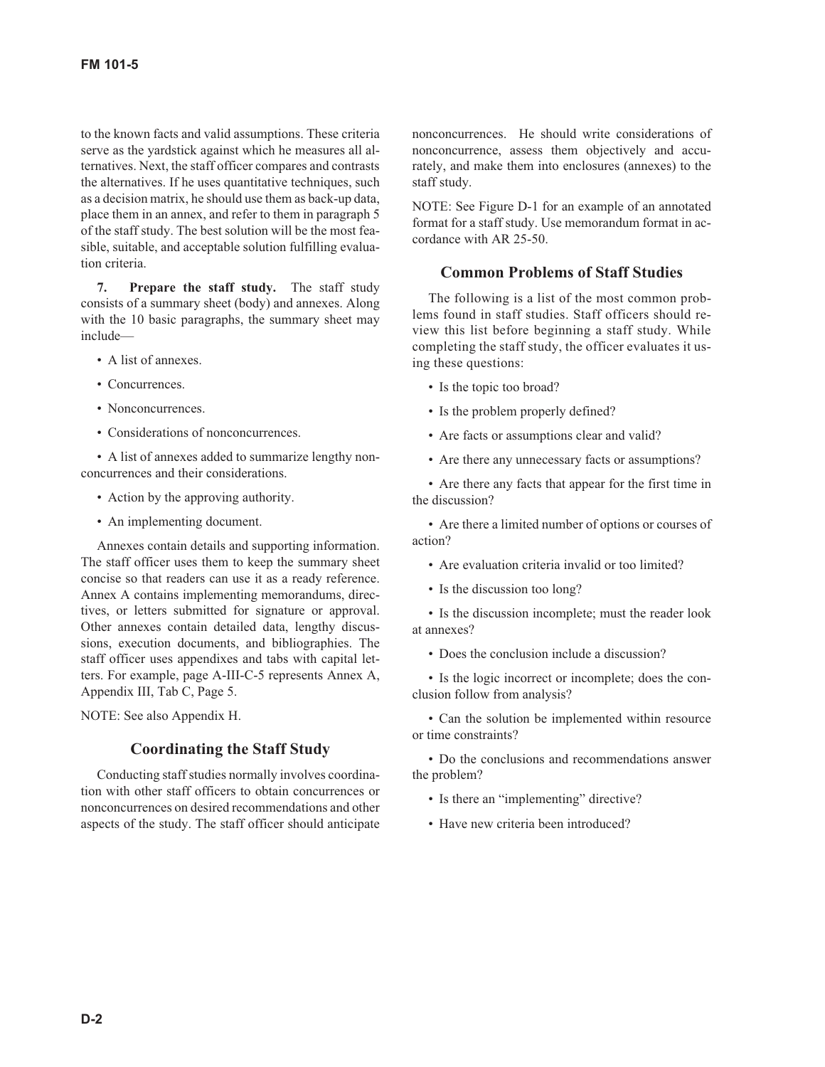to the known facts and valid assumptions. These criteria serve as the yardstick against which he measures all alternatives. Next, the staff officer compares and contrasts the alternatives. If he uses quantitative techniques, such as a decision matrix, he should use them as back-up data, place them in an annex, and refer to them in paragraph 5 of the staff study. The best solution will be the most feasible, suitable, and acceptable solution fulfilling evaluation criteria.

**7. Prepare the staff study.** The staff study consists of a summary sheet (body) and annexes. Along with the 10 basic paragraphs, the summary sheet may include—

- A list of annexes.
- Concurrences.
- Nonconcurrences.
- Considerations of nonconcurrences.

• A list of annexes added to summarize lengthy nonconcurrences and their considerations.

- Action by the approving authority.
- An implementing document.

Annexes contain details and supporting information. The staff officer uses them to keep the summary sheet concise so that readers can use it as a ready reference. Annex A contains implementing memorandums, directives, or letters submitted for signature or approval. Other annexes contain detailed data, lengthy discussions, execution documents, and bibliographies. The staff officer uses appendixes and tabs with capital letters. For example, page A-III-C-5 represents Annex A, Appendix III, Tab C, Page 5.

NOTE: See also Appendix H.

#### **Coordinating the Staff Study**

Conducting staff studies normally involves coordination with other staff officers to obtain concurrences or nonconcurrences on desired recommendations and other aspects of the study. The staff officer should anticipate nonconcurrences. He should write considerations of nonconcurrence, assess them objectively and accurately, and make them into enclosures (annexes) to the staff study.

NOTE: See Figure D-1 for an example of an annotated format for a staff study. Use memorandum format in accordance with AR 25-50.

#### **Common Problems of Staff Studies**

The following is a list of the most common problems found in staff studies. Staff officers should review this list before beginning a staff study. While completing the staff study, the officer evaluates it using these questions:

- Is the topic too broad?
- Is the problem properly defined?
- Are facts or assumptions clear and valid?
- Are there any unnecessary facts or assumptions?

• Are there any facts that appear for the first time in the discussion?

• Are there a limited number of options or courses of action?

- Are evaluation criteria invalid or too limited?
- Is the discussion too long?

• Is the discussion incomplete; must the reader look at annexes?

• Does the conclusion include a discussion?

• Is the logic incorrect or incomplete; does the conclusion follow from analysis?

• Can the solution be implemented within resource or time constraints?

• Do the conclusions and recommendations answer the problem?

- Is there an "implementing" directive?
- Have new criteria been introduced?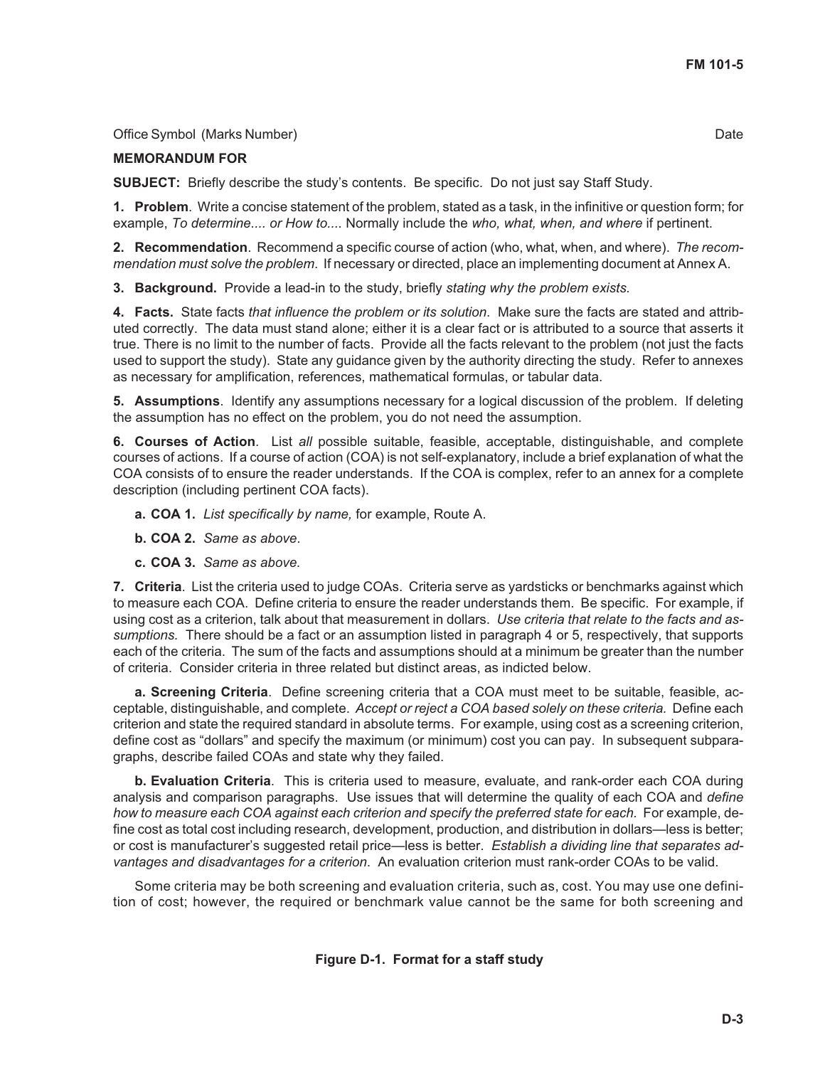Office Symbol (Marks Number) Date and the Control of the Control of the Control of the Control of the Control of the Control of the Control of the Control of the Control of the Control of the Control of the Control of the

#### **MEMORANDUM FOR**

**SUBJECT:** Briefly describe the study's contents. Be specific. Do not just say Staff Study.

**1. Problem**. Write a concise statement of the problem, stated as a task, in the infinitive or question form; for example, *To determine.... or How to....* Normally include the *who, what, when, and where* if pertinent.

**2. Recommendation**. Recommend a specific course of action (who, what, when, and where). *The recommendation must solve the problem*. If necessary or directed, place an implementing document at Annex A.

**3. Background.** Provide a lead-in to the study, briefly *stating why the problem exists.*

**4. Facts.** State facts *that influence the problem or its solution*. Make sure the facts are stated and attributed correctly. The data must stand alone; either it is a clear fact or is attributed to a source that asserts it true. There is no limit to the number of facts. Provide all the facts relevant to the problem (not just the facts used to support the study). State any guidance given by the authority directing the study. Refer to annexes as necessary for amplification, references, mathematical formulas, or tabular data.

**5. Assumptions**. Identify any assumptions necessary for a logical discussion of the problem. If deleting the assumption has no effect on the problem, you do not need the assumption.

**6. Courses of Action**. List *all* possible suitable, feasible, acceptable, distinguishable, and complete courses of actions. If a course of action (COA) is not self-explanatory, include a brief explanation of what the COA consists of to ensure the reader understands. If the COA is complex, refer to an annex for a complete description (including pertinent COA facts).

**a. COA 1.** *List specifically by name,* for example, Route A.

- **b. COA 2.** *Same as above*.
- **c. COA 3.** *Same as above.*

**7. Criteria**. List the criteria used to judge COAs. Criteria serve as yardsticks or benchmarks against which to measure each COA. Define criteria to ensure the reader understands them. Be specific. For example, if using cost as a criterion, talk about that measurement in dollars. *Use criteria that relate to the facts and assumptions.* There should be a fact or an assumption listed in paragraph 4 or 5, respectively, that supports each of the criteria. The sum of the facts and assumptions should at a minimum be greater than the number of criteria. Consider criteria in three related but distinct areas, as indicted below.

**a. Screening Criteria**. Define screening criteria that a COA must meet to be suitable, feasible, acceptable, distinguishable, and complete. *Accept or reject a COA based solely on these criteria.* Define each criterion and state the required standard in absolute terms. For example, using cost as a screening criterion, define cost as "dollars" and specify the maximum (or minimum) cost you can pay. In subsequent subparagraphs, describe failed COAs and state why they failed.

**b. Evaluation Criteria**. This is criteria used to measure, evaluate, and rank-order each COA during analysis and comparison paragraphs. Use issues that will determine the quality of each COA and *define how to measure each COA against each criterion and specify the preferred state for each.* For example, define cost as total cost including research, development, production, and distribution in dollars—less is better; or cost is manufacturer's suggested retail price—less is better. *Establish a dividing line that separates advantages and disadvantages for a criterion*. An evaluation criterion must rank-order COAs to be valid.

Some criteria may be both screening and evaluation criteria, such as, cost. You may use one definition of cost; however, the required or benchmark value cannot be the same for both screening and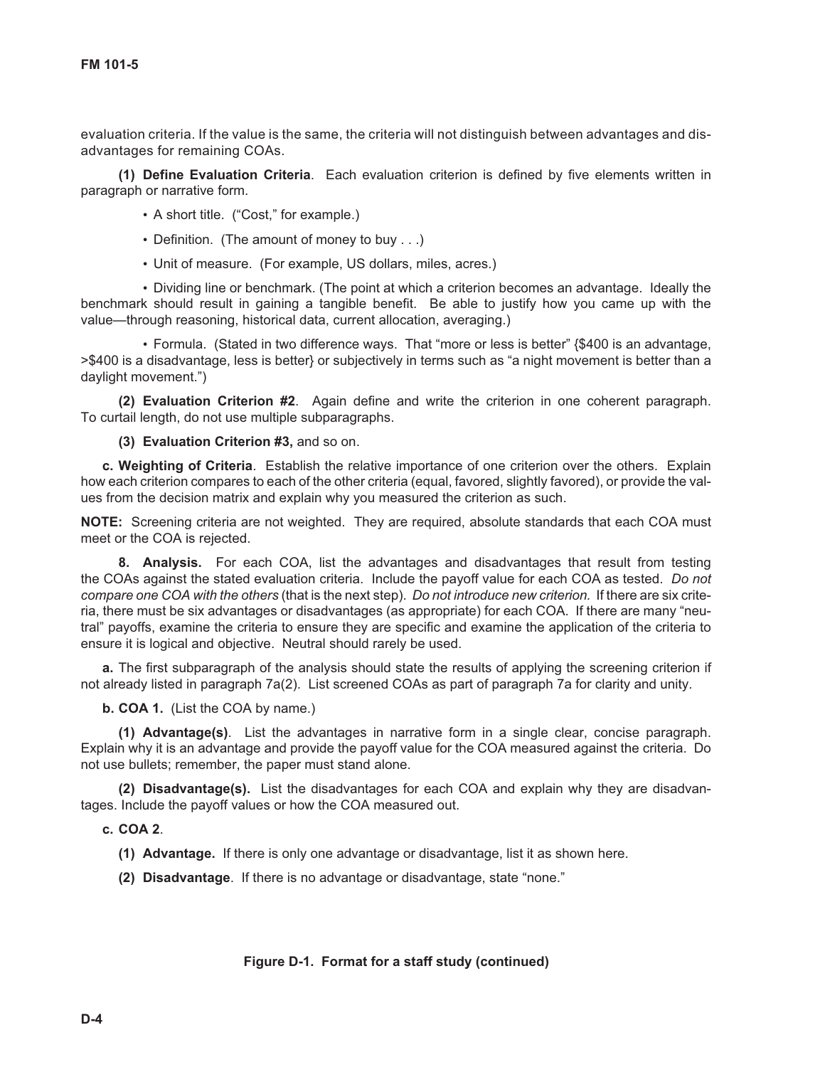evaluation criteria. If the value is the same, the criteria will not distinguish between advantages and disadvantages for remaining COAs.

**(1) Define Evaluation Criteria**. Each evaluation criterion is defined by five elements written in paragraph or narrative form.

- A short title. ("Cost," for example.)
- Definition. (The amount of money to buy . . .)
- Unit of measure. (For example, US dollars, miles, acres.)

• Dividing line or benchmark. (The point at which a criterion becomes an advantage. Ideally the benchmark should result in gaining a tangible benefit. Be able to justify how you came up with the value—through reasoning, historical data, current allocation, averaging.)

• Formula. (Stated in two difference ways. That "more or less is better" {\$400 is an advantage, >\$400 is a disadvantage, less is better} or subjectively in terms such as "a night movement is better than a daylight movement.")

**(2) Evaluation Criterion #2**. Again define and write the criterion in one coherent paragraph. To curtail length, do not use multiple subparagraphs.

**(3) Evaluation Criterion #3,** and so on.

**c. Weighting of Criteria**. Establish the relative importance of one criterion over the others. Explain how each criterion compares to each of the other criteria (equal, favored, slightly favored), or provide the values from the decision matrix and explain why you measured the criterion as such.

**NOTE:** Screening criteria are not weighted. They are required, absolute standards that each COA must meet or the COA is rejected.

**8. Analysis.** For each COA, list the advantages and disadvantages that result from testing the COAs against the stated evaluation criteria. Include the payoff value for each COA as tested. *Do not compare one COA with the others* (that is the next step). *Do not introduce new criterion.* If there are six criteria, there must be six advantages or disadvantages (as appropriate) for each COA. If there are many "neutral" payoffs, examine the criteria to ensure they are specific and examine the application of the criteria to ensure it is logical and objective. Neutral should rarely be used.

**a.** The first subparagraph of the analysis should state the results of applying the screening criterion if not already listed in paragraph 7a(2). List screened COAs as part of paragraph 7a for clarity and unity.

**b. COA 1.** (List the COA by name.)

**(1) Advantage(s)**. List the advantages in narrative form in a single clear, concise paragraph. Explain why it is an advantage and provide the payoff value for the COA measured against the criteria. Do not use bullets; remember, the paper must stand alone.

**(2) Disadvantage(s).** List the disadvantages for each COA and explain why they are disadvantages. Include the payoff values or how the COA measured out.

**c. COA 2**.

- **(1) Advantage.** If there is only one advantage or disadvantage, list it as shown here.
- **(2) Disadvantage**. If there is no advantage or disadvantage, state "none."

#### **Figure D-1. Format for a staff study (continued)**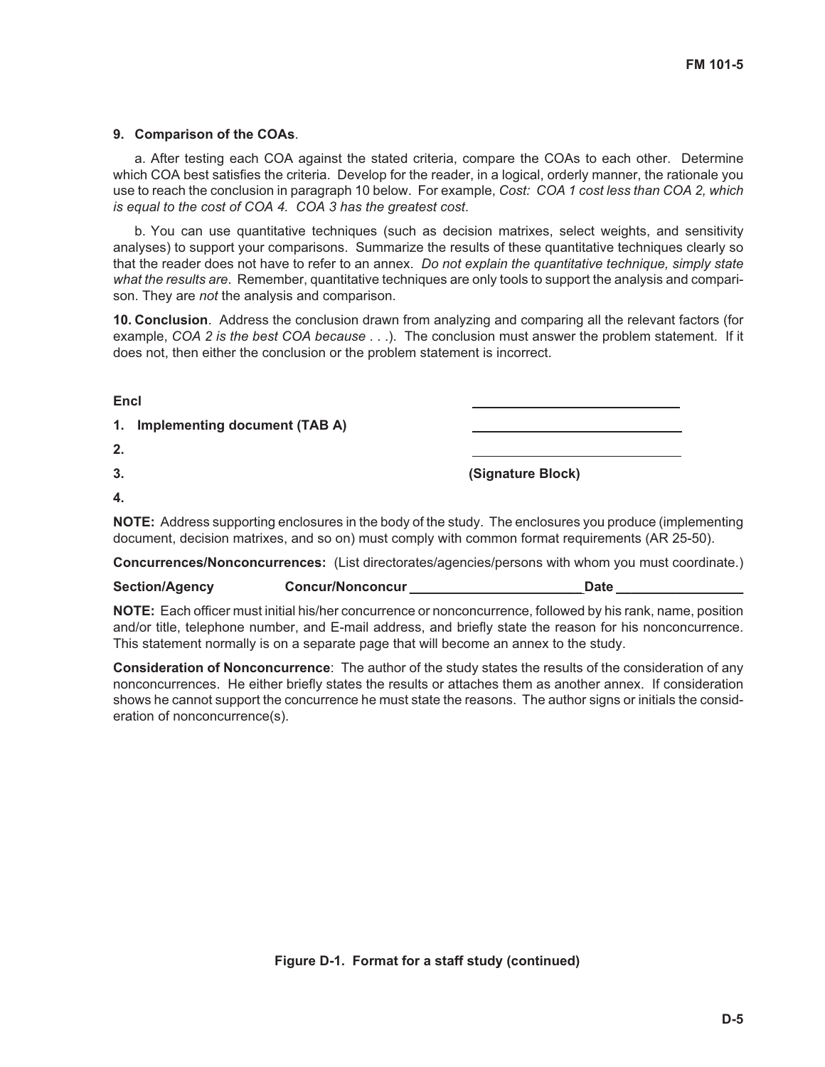## **9. Comparison of the COAs**.

a. After testing each COA against the stated criteria, compare the COAs to each other. Determine which COA best satisfies the criteria. Develop for the reader, in a logical, orderly manner, the rationale you use to reach the conclusion in paragraph 10 below. For example, *Cost: COA 1 cost less than COA 2, which is equal to the cost of COA 4. COA 3 has the greatest cost*.

b. You can use quantitative techniques (such as decision matrixes, select weights, and sensitivity analyses) to support your comparisons. Summarize the results of these quantitative techniques clearly so that the reader does not have to refer to an annex. *Do not explain the quantitative technique, simply state what the results are*. Remember, quantitative techniques are only tools to support the analysis and comparison. They are *not* the analysis and comparison.

**10. Conclusion**. Address the conclusion drawn from analyzing and comparing all the relevant factors (for example, *COA 2 is the best COA because* . . .). The conclusion must answer the problem statement. If it does not, then either the conclusion or the problem statement is incorrect.

**Encl**

|    | 1. Implementing document (TAB A) |                   |
|----|----------------------------------|-------------------|
| 2. |                                  |                   |
| 3. |                                  | (Signature Block) |
| 4. |                                  |                   |

**NOTE:** Address supporting enclosures in the body of the study. The enclosures you produce (implementing document, decision matrixes, and so on) must comply with common format requirements (AR 25-50).

**Concurrences/Nonconcurrences:** (List directorates/agencies/persons with whom you must coordinate.)

| <b>Section/Agency</b> | <b>Concur/Nonconcur</b> | Date |  |
|-----------------------|-------------------------|------|--|
|                       |                         |      |  |

**NOTE:** Each officer must initial his/her concurrence or nonconcurrence, followed by his rank, name, position and/or title, telephone number, and E-mail address, and briefly state the reason for his nonconcurrence. This statement normally is on a separate page that will become an annex to the study.

**Consideration of Nonconcurrence**: The author of the study states the results of the consideration of any nonconcurrences. He either briefly states the results or attaches them as another annex. If consideration shows he cannot support the concurrence he must state the reasons. The author signs or initials the consideration of nonconcurrence(s).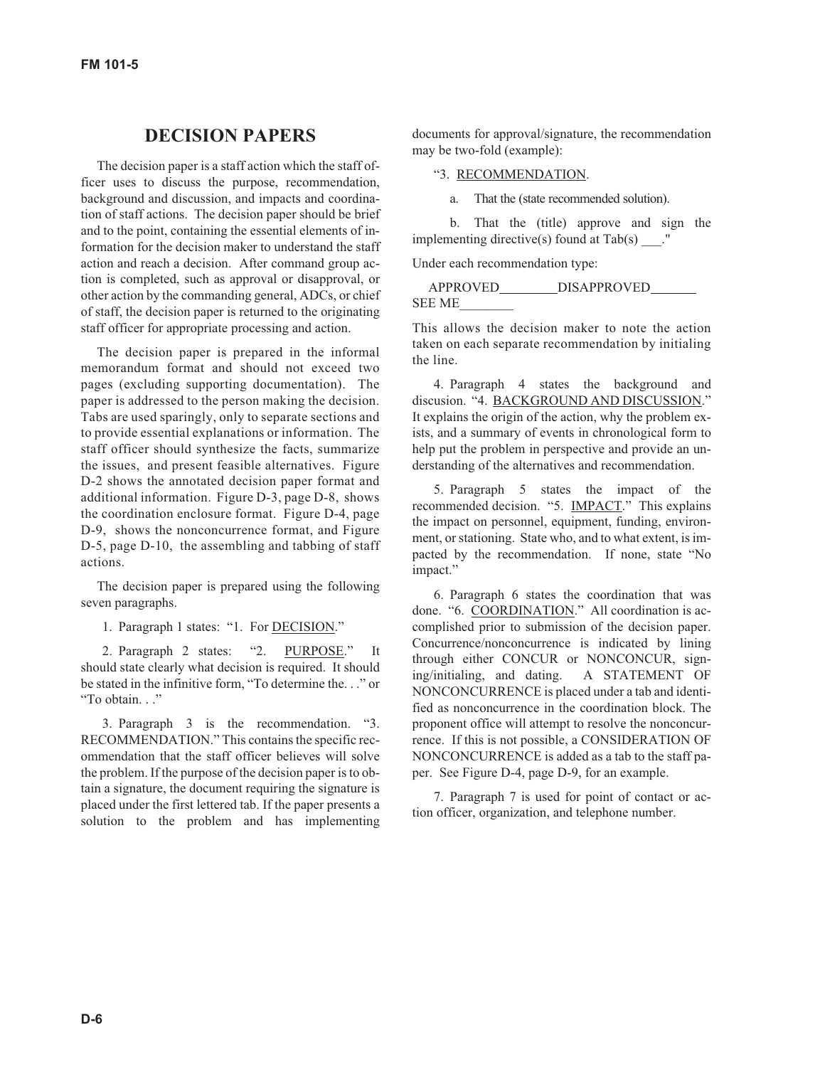## **DECISION PAPERS**

The decision paper is a staff action which the staff officer uses to discuss the purpose, recommendation, background and discussion, and impacts and coordination of staff actions. The decision paper should be brief and to the point, containing the essential elements of information for the decision maker to understand the staff action and reach a decision. After command group action is completed, such as approval or disapproval, or other action by the commanding general, ADCs, or chief of staff, the decision paper is returned to the originating staff officer for appropriate processing and action.

The decision paper is prepared in the informal memorandum format and should not exceed two pages (excluding supporting documentation). The paper is addressed to the person making the decision. Tabs are used sparingly, only to separate sections and to provide essential explanations or information. The staff officer should synthesize the facts, summarize the issues, and present feasible alternatives. Figure D-2 shows the annotated decision paper format and additional information. Figure D-3, page D-8, shows the coordination enclosure format. Figure D-4, page D-9, shows the nonconcurrence format, and Figure D-5, page D-10, the assembling and tabbing of staff actions.

The decision paper is prepared using the following seven paragraphs.

1. Paragraph 1 states: "1. For DECISION."

2. Paragraph 2 states: "2. PURPOSE." It should state clearly what decision is required. It should be stated in the infinitive form, "To determine the. . ." or "To obtain. . ."

3. Paragraph 3 is the recommendation. "3. RECOMMENDATION." This contains the specific recommendation that the staff officer believes will solve the problem. If the purpose of the decision paper is to obtain a signature, the document requiring the signature is placed under the first lettered tab. If the paper presents a solution to the problem and has implementing documents for approval/signature, the recommendation may be two-fold (example):

#### "3. RECOMMENDATION.

a. That the (state recommended solution).

b. That the (title) approve and sign the implementing directive(s) found at  $Tab(s)$   $\qquad$ ."

Under each recommendation type:

| APPROVED | <b>DISAPPROVED</b> |
|----------|--------------------|
| SEE ME   |                    |

This allows the decision maker to note the action taken on each separate recommendation by initialing the line.

4. Paragraph 4 states the background and discusion. "4. BACKGROUND AND DISCUSSION." It explains the origin of the action, why the problem exists, and a summary of events in chronological form to help put the problem in perspective and provide an understanding of the alternatives and recommendation.

5. Paragraph 5 states the impact of the recommended decision. "5. IMPACT." This explains the impact on personnel, equipment, funding, environment, or stationing. State who, and to what extent, is impacted by the recommendation. If none, state "No impact."

6. Paragraph 6 states the coordination that was done. "6. COORDINATION." All coordination is accomplished prior to submission of the decision paper. Concurrence/nonconcurrence is indicated by lining through either CONCUR or NONCONCUR, signing/initialing, and dating. A STATEMENT OF NONCONCURRENCE is placed under a tab and identified as nonconcurrence in the coordination block. The proponent office will attempt to resolve the nonconcurrence. If this is not possible, a CONSIDERATION OF NONCONCURRENCE is added as a tab to the staff paper. See Figure D-4, page D-9, for an example.

7. Paragraph 7 is used for point of contact or action officer, organization, and telephone number.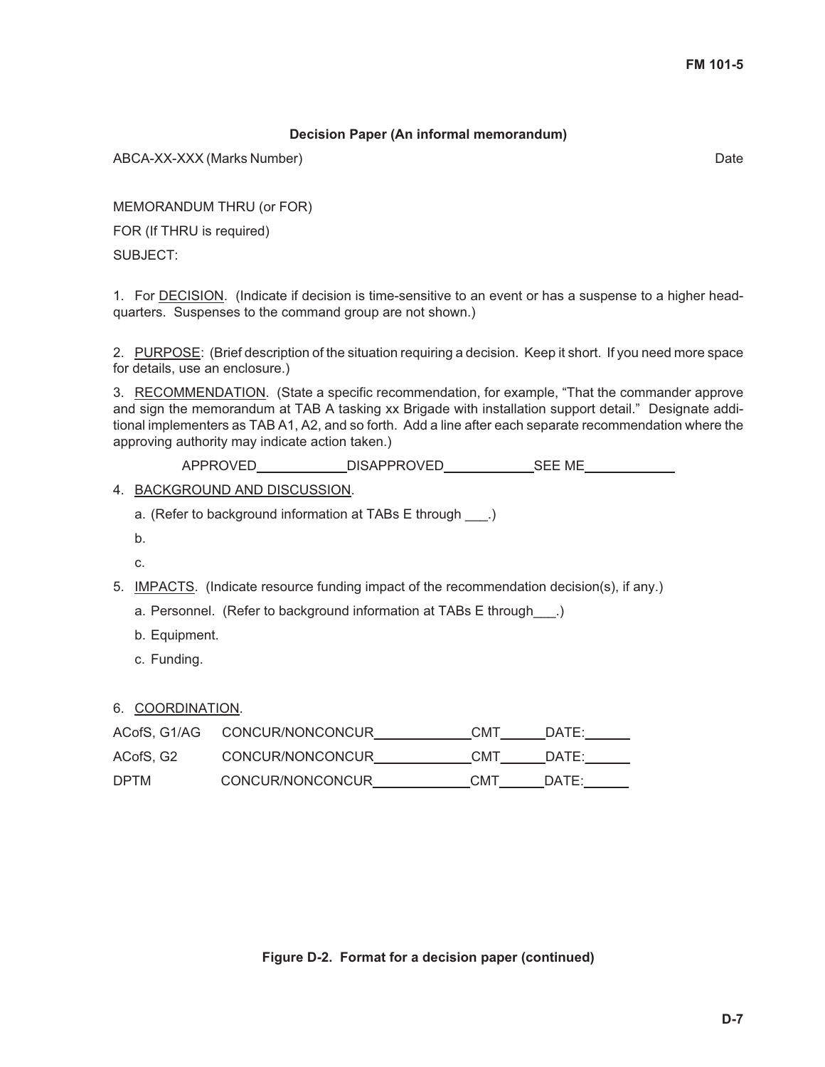## **Decision Paper (An informal memorandum)**

ABCA-XX-XXX (Marks Number) Date and the control of the control of the control of the control of the control of the control of the control of the control of the control of the control of the control of the control of the co

MEMORANDUM THRU (or FOR)

FOR (If THRU is required)

SUBJECT:

1. For DECISION. (Indicate if decision is time-sensitive to an event or has a suspense to a higher headquarters. Suspenses to the command group are not shown.)

2. PURPOSE: (Brief description of the situation requiring a decision. Keep it short. If you need more space for details, use an enclosure.)

3. RECOMMENDATION. (State a specific recommendation, for example, "That the commander approve and sign the memorandum at TAB A tasking xx Brigade with installation support detail." Designate additional implementers as TAB A1, A2, and so forth. Add a line after each separate recommendation where the approving authority may indicate action taken.)

APPROVED\_\_\_\_\_\_\_\_\_\_\_\_DISAPPROVED\_\_\_\_\_\_\_\_\_\_\_\_SEE ME\_\_\_\_\_\_\_\_\_\_\_\_

- 4. BACKGROUND AND DISCUSSION.
	- a. (Refer to background information at TABs E through  $\qquad$ .)
	- b.
	- c.
- 5. IMPACTS. (Indicate resource funding impact of the recommendation decision(s), if any.)
	- a. Personnel. (Refer to background information at TABs E through\_\_\_.)
	- b. Equipment.
	- c. Funding.

6. COORDINATION.

|             | ACofS, G1/AG CONCUR/NONCONCUR | <b>CMT</b> | DATE: |
|-------------|-------------------------------|------------|-------|
| ACofS, G2   | CONCUR/NONCONCUR              | CMT.       | DATE: |
| <b>DPTM</b> | CONCUR/NONCONCUR              | <b>CMT</b> | DATE: |

**Figure D-2. Format for a decision paper (continued)**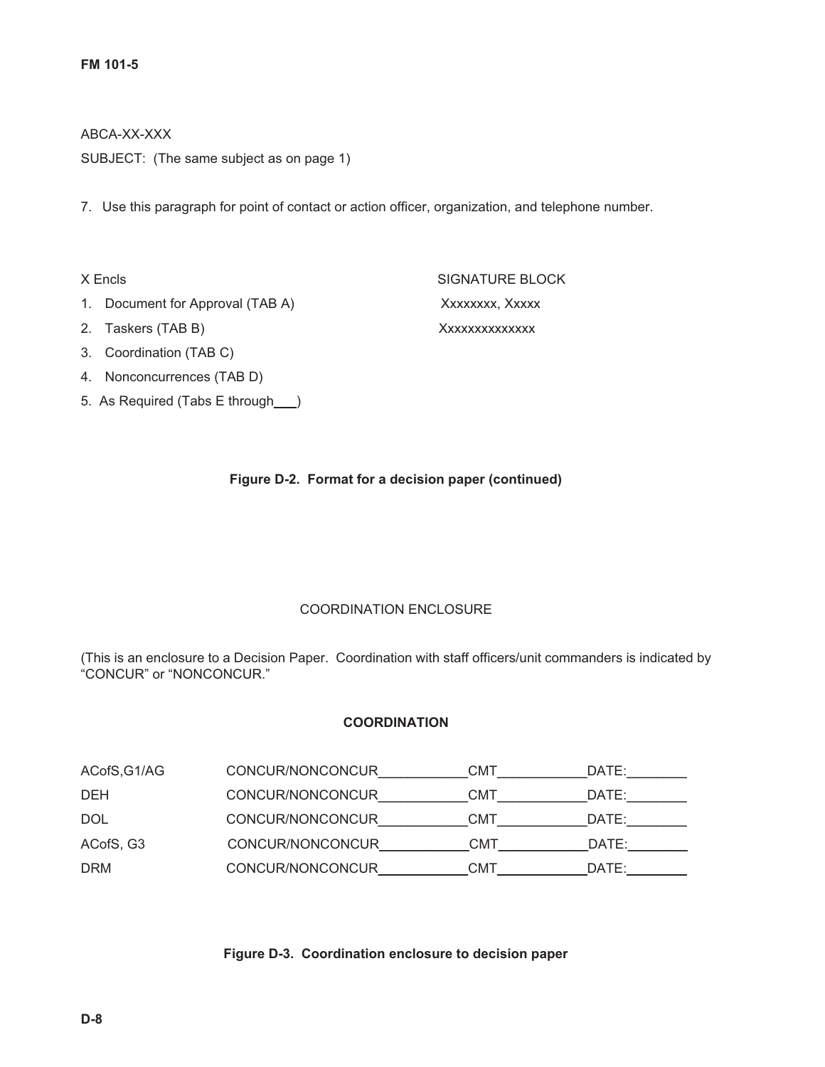## ABCA-XX-XXX

SUBJECT: (The same subject as on page 1)

7. Use this paragraph for point of contact or action officer, organization, and telephone number.

- 1. Document for Approval (TAB A) Xxxxxxxx, Xxxxx
- 2. Taskers (TAB B) Xxxxxxxxxxxxxx
- 3. Coordination (TAB C)
- 4. Nonconcurrences (TAB D)
- 5. As Required (Tabs E through\_\_\_)

X Encls SIGNATURE BLOCK

## **Figure D-2. Format for a decision paper (continued)**

## COORDINATION ENCLOSURE

(This is an enclosure to a Decision Paper. Coordination with staff officers/unit commanders is indicated by "CONCUR" or "NONCONCUR."

## **COORDINATION**

| ACofS, G1/AG | CONCUR/NONCONCUR | CMT        | DATE: |
|--------------|------------------|------------|-------|
| <b>DEH</b>   | CONCUR/NONCONCUR | <b>CMT</b> | DATE: |
| <b>DOL</b>   | CONCUR/NONCONCUR | <b>CMT</b> | DATE: |
| ACofS, G3    | CONCUR/NONCONCUR | <b>CMT</b> | DATE: |
| <b>DRM</b>   | CONCUR/NONCONCUR | CMT        | DATE: |

## **Figure D-3. Coordination enclosure to decision paper**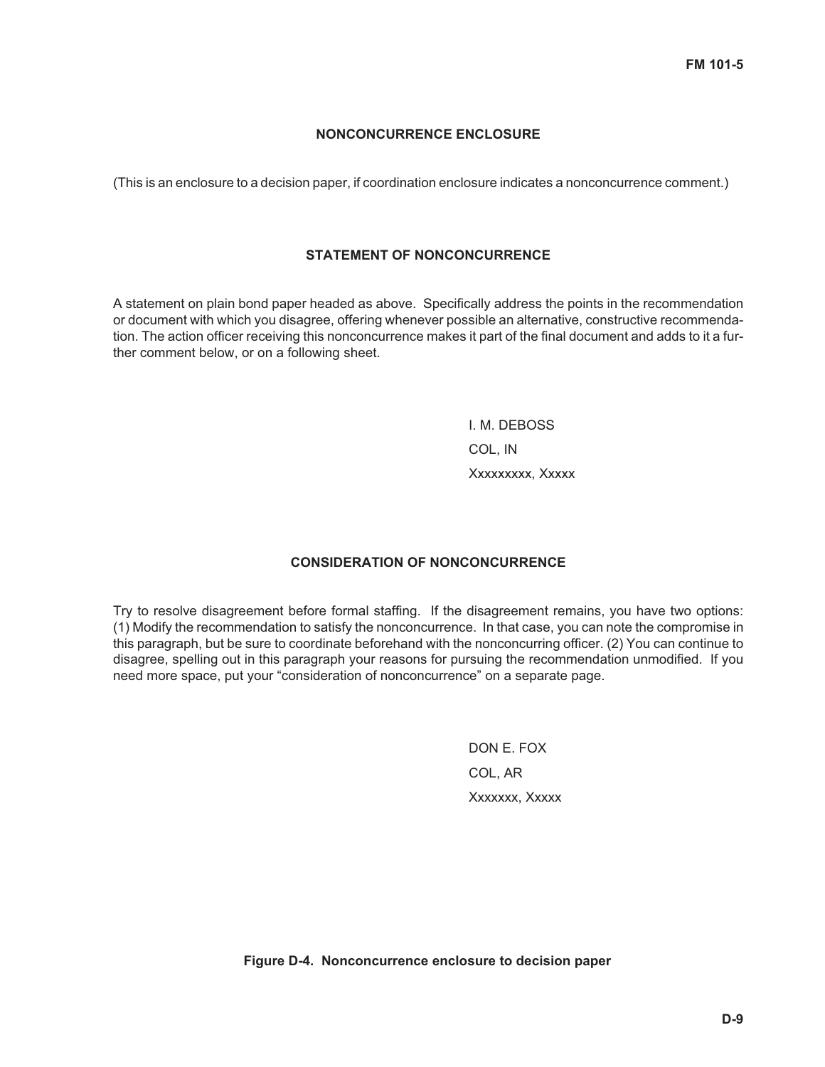## **NONCONCURRENCE ENCLOSURE**

(This is an enclosure to a decision paper, if coordination enclosure indicates a nonconcurrence comment.)

## **STATEMENT OF NONCONCURRENCE**

A statement on plain bond paper headed as above. Specifically address the points in the recommendation or document with which you disagree, offering whenever possible an alternative, constructive recommendation. The action officer receiving this nonconcurrence makes it part of the final document and adds to it a further comment below, or on a following sheet.

> I. M. DEBOSS COL, IN Xxxxxxxxx, Xxxxx

## **CONSIDERATION OF NONCONCURRENCE**

Try to resolve disagreement before formal staffing. If the disagreement remains, you have two options: (1) Modify the recommendation to satisfy the nonconcurrence. In that case, you can note the compromise in this paragraph, but be sure to coordinate beforehand with the nonconcurring officer. (2) You can continue to disagree, spelling out in this paragraph your reasons for pursuing the recommendation unmodified. If you need more space, put your "consideration of nonconcurrence" on a separate page.

> DON E. FOX COL, AR Xxxxxxx, Xxxxx

#### **Figure D-4. Nonconcurrence enclosure to decision paper**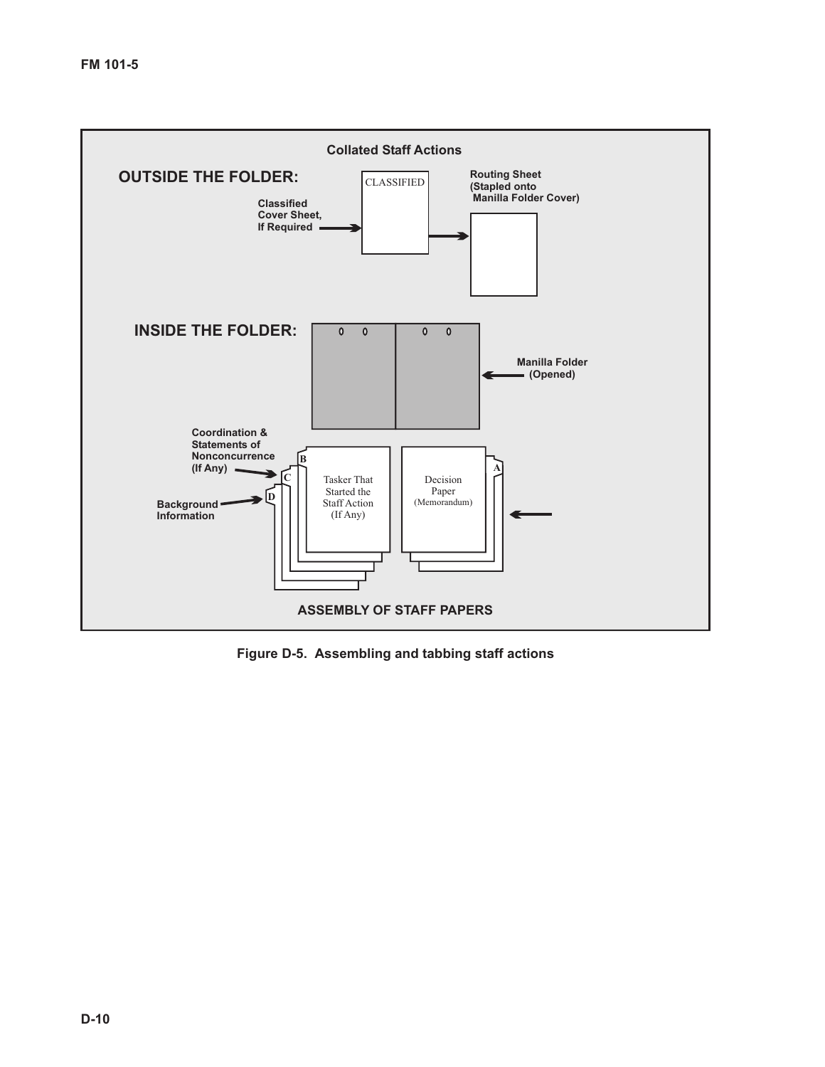

**Figure D-5. Assembling and tabbing staff actions**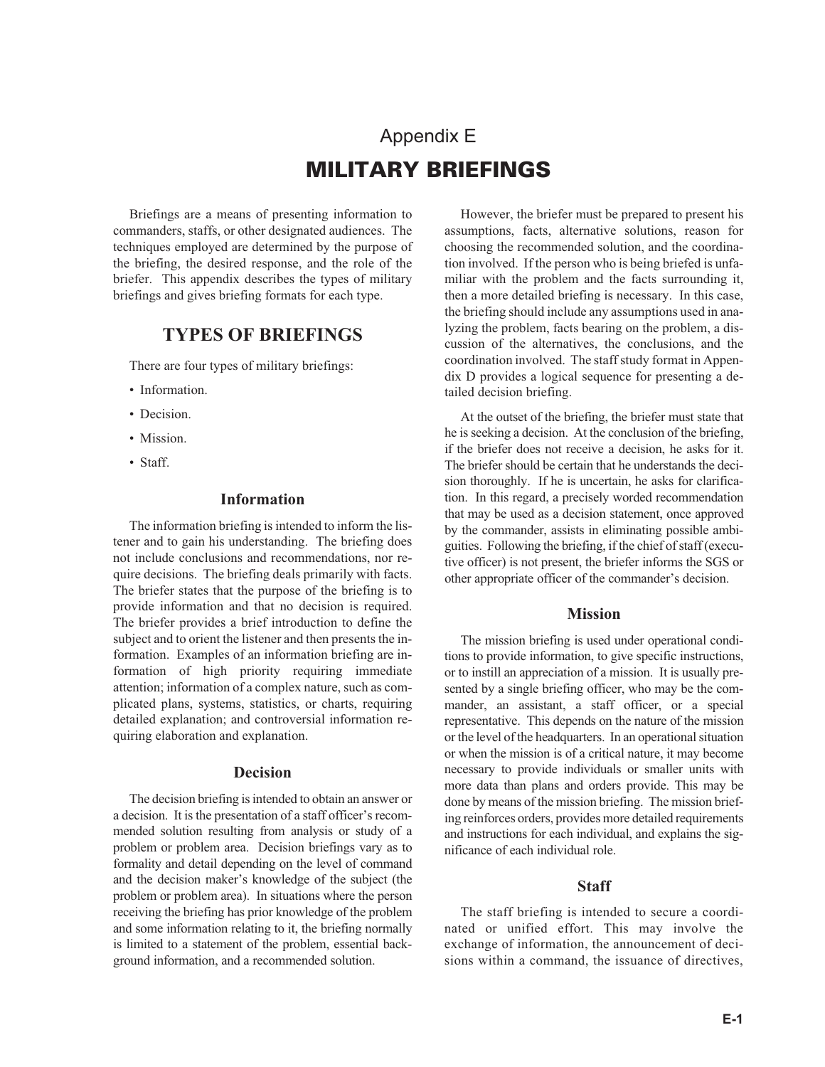# Appendix E **MILITARY BRIEFINGS**

Briefings are a means of presenting information to commanders, staffs, or other designated audiences. The techniques employed are determined by the purpose of the briefing, the desired response, and the role of the briefer. This appendix describes the types of military briefings and gives briefing formats for each type.

## **TYPES OF BRIEFINGS**

There are four types of military briefings:

- Information.
- Decision.
- Mission.
- Staff.

## **Information**

The information briefing is intended to inform the listener and to gain his understanding. The briefing does not include conclusions and recommendations, nor require decisions. The briefing deals primarily with facts. The briefer states that the purpose of the briefing is to provide information and that no decision is required. The briefer provides a brief introduction to define the subject and to orient the listener and then presents the information. Examples of an information briefing are information of high priority requiring immediate attention; information of a complex nature, such as complicated plans, systems, statistics, or charts, requiring detailed explanation; and controversial information requiring elaboration and explanation.

## **Decision**

The decision briefing is intended to obtain an answer or a decision. It is the presentation of a staff officer's recommended solution resulting from analysis or study of a problem or problem area. Decision briefings vary as to formality and detail depending on the level of command and the decision maker's knowledge of the subject (the problem or problem area). In situations where the person receiving the briefing has prior knowledge of the problem and some information relating to it, the briefing normally is limited to a statement of the problem, essential background information, and a recommended solution.

However, the briefer must be prepared to present his assumptions, facts, alternative solutions, reason for choosing the recommended solution, and the coordination involved. If the person who is being briefed is unfamiliar with the problem and the facts surrounding it, then a more detailed briefing is necessary. In this case, the briefing should include any assumptions used in analyzing the problem, facts bearing on the problem, a discussion of the alternatives, the conclusions, and the coordination involved. The staff study format in Appendix D provides a logical sequence for presenting a detailed decision briefing.

At the outset of the briefing, the briefer must state that he is seeking a decision. At the conclusion of the briefing, if the briefer does not receive a decision, he asks for it. The briefer should be certain that he understands the decision thoroughly. If he is uncertain, he asks for clarification. In this regard, a precisely worded recommendation that may be used as a decision statement, once approved by the commander, assists in eliminating possible ambiguities. Following the briefing, if the chief of staff (executive officer) is not present, the briefer informs the SGS or other appropriate officer of the commander's decision.

#### **Mission**

The mission briefing is used under operational conditions to provide information, to give specific instructions, or to instill an appreciation of a mission. It is usually presented by a single briefing officer, who may be the commander, an assistant, a staff officer, or a special representative. This depends on the nature of the mission or the level of the headquarters. In an operational situation or when the mission is of a critical nature, it may become necessary to provide individuals or smaller units with more data than plans and orders provide. This may be done by means of the mission briefing. The mission briefing reinforces orders, provides more detailed requirements and instructions for each individual, and explains the significance of each individual role.

#### **Staff**

The staff briefing is intended to secure a coordinated or unified effort. This may involve the exchange of information, the announcement of decisions within a command, the issuance of directives,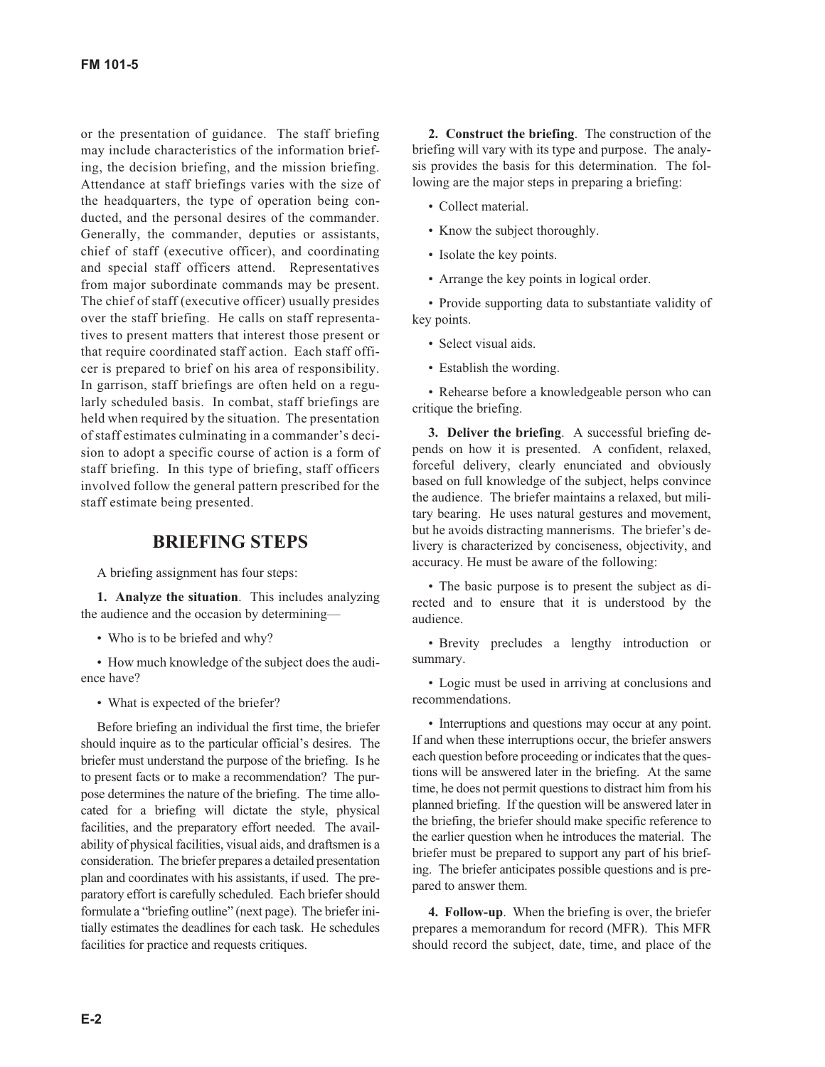or the presentation of guidance. The staff briefing may include characteristics of the information briefing, the decision briefing, and the mission briefing. Attendance at staff briefings varies with the size of the headquarters, the type of operation being conducted, and the personal desires of the commander. Generally, the commander, deputies or assistants, chief of staff (executive officer), and coordinating and special staff officers attend. Representatives from major subordinate commands may be present. The chief of staff (executive officer) usually presides over the staff briefing. He calls on staff representatives to present matters that interest those present or that require coordinated staff action. Each staff officer is prepared to brief on his area of responsibility. In garrison, staff briefings are often held on a regularly scheduled basis. In combat, staff briefings are held when required by the situation. The presentation of staff estimates culminating in a commander's decision to adopt a specific course of action is a form of staff briefing. In this type of briefing, staff officers involved follow the general pattern prescribed for the staff estimate being presented.

## **BRIEFING STEPS**

A briefing assignment has four steps:

**1. Analyze the situation**. This includes analyzing the audience and the occasion by determining—

• Who is to be briefed and why?

• How much knowledge of the subject does the audience have?

• What is expected of the briefer?

Before briefing an individual the first time, the briefer should inquire as to the particular official's desires. The briefer must understand the purpose of the briefing. Is he to present facts or to make a recommendation? The purpose determines the nature of the briefing. The time allocated for a briefing will dictate the style, physical facilities, and the preparatory effort needed. The availability of physical facilities, visual aids, and draftsmen is a consideration. The briefer prepares a detailed presentation plan and coordinates with his assistants, if used. The preparatory effort is carefully scheduled. Each briefer should formulate a "briefing outline" (next page). The briefer initially estimates the deadlines for each task. He schedules facilities for practice and requests critiques.

**2. Construct the briefing**. The construction of the briefing will vary with its type and purpose. The analysis provides the basis for this determination. The following are the major steps in preparing a briefing:

- Collect material.
- Know the subject thoroughly.
- Isolate the key points.
- Arrange the key points in logical order.

• Provide supporting data to substantiate validity of key points.

- Select visual aids.
- Establish the wording.

• Rehearse before a knowledgeable person who can critique the briefing.

**3. Deliver the briefing**. A successful briefing depends on how it is presented. A confident, relaxed, forceful delivery, clearly enunciated and obviously based on full knowledge of the subject, helps convince the audience. The briefer maintains a relaxed, but military bearing. He uses natural gestures and movement, but he avoids distracting mannerisms. The briefer's delivery is characterized by conciseness, objectivity, and accuracy. He must be aware of the following:

• The basic purpose is to present the subject as directed and to ensure that it is understood by the audience.

• Brevity precludes a lengthy introduction or summary.

• Logic must be used in arriving at conclusions and recommendations.

• Interruptions and questions may occur at any point. If and when these interruptions occur, the briefer answers each question before proceeding or indicates that the questions will be answered later in the briefing. At the same time, he does not permit questions to distract him from his planned briefing. If the question will be answered later in the briefing, the briefer should make specific reference to the earlier question when he introduces the material. The briefer must be prepared to support any part of his briefing. The briefer anticipates possible questions and is prepared to answer them.

**4. Follow-up**. When the briefing is over, the briefer prepares a memorandum for record (MFR). This MFR should record the subject, date, time, and place of the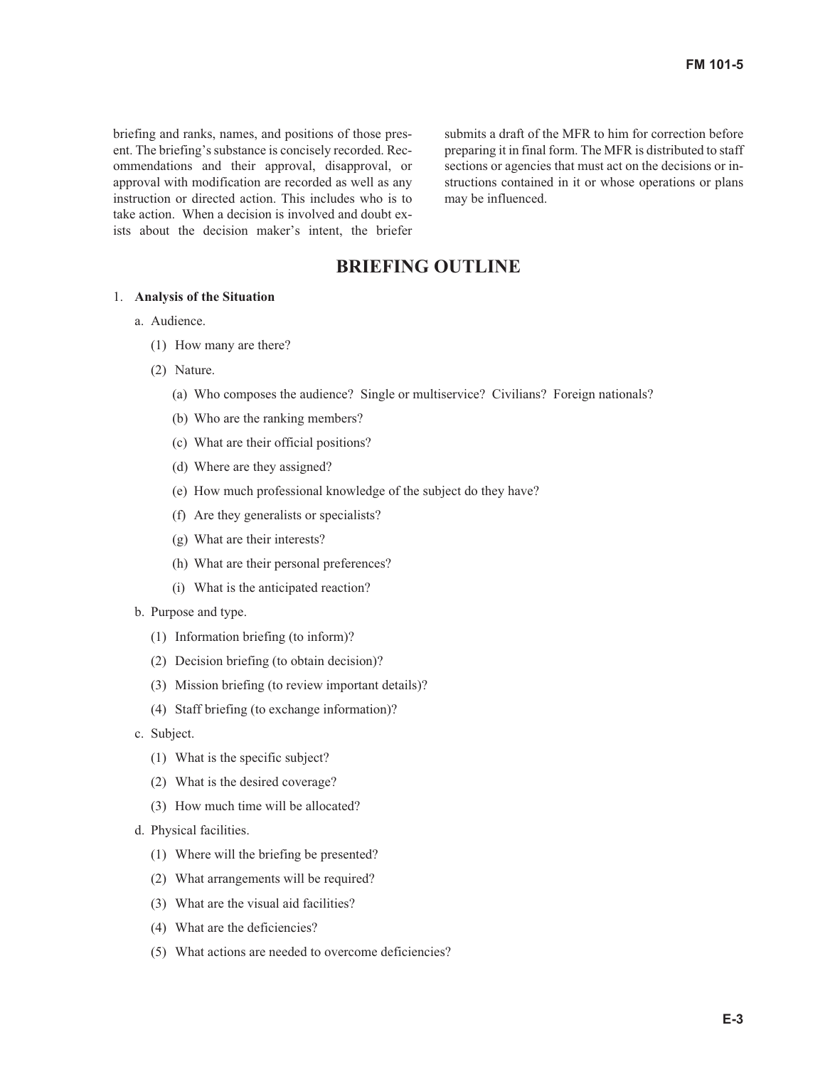briefing and ranks, names, and positions of those present. The briefing's substance is concisely recorded. Recommendations and their approval, disapproval, or approval with modification are recorded as well as any instruction or directed action. This includes who is to take action. When a decision is involved and doubt exists about the decision maker's intent, the briefer submits a draft of the MFR to him for correction before preparing it in final form. The MFR is distributed to staff sections or agencies that must act on the decisions or instructions contained in it or whose operations or plans may be influenced.

## **BRIEFING OUTLINE**

#### 1. **Analysis of the Situation**

### a. Audience.

- (1) How many are there?
- (2) Nature.
	- (a) Who composes the audience? Single or multiservice? Civilians? Foreign nationals?
	- (b) Who are the ranking members?
	- (c) What are their official positions?
	- (d) Where are they assigned?
	- (e) How much professional knowledge of the subject do they have?
	- (f) Are they generalists or specialists?
	- (g) What are their interests?
	- (h) What are their personal preferences?
	- (i) What is the anticipated reaction?
- b. Purpose and type.
	- (1) Information briefing (to inform)?
	- (2) Decision briefing (to obtain decision)?
	- (3) Mission briefing (to review important details)?
	- (4) Staff briefing (to exchange information)?
- c. Subject.
	- (1) What is the specific subject?
	- (2) What is the desired coverage?
	- (3) How much time will be allocated?
- d. Physical facilities.
	- (1) Where will the briefing be presented?
	- (2) What arrangements will be required?
	- (3) What are the visual aid facilities?
	- (4) What are the deficiencies?
	- (5) What actions are needed to overcome deficiencies?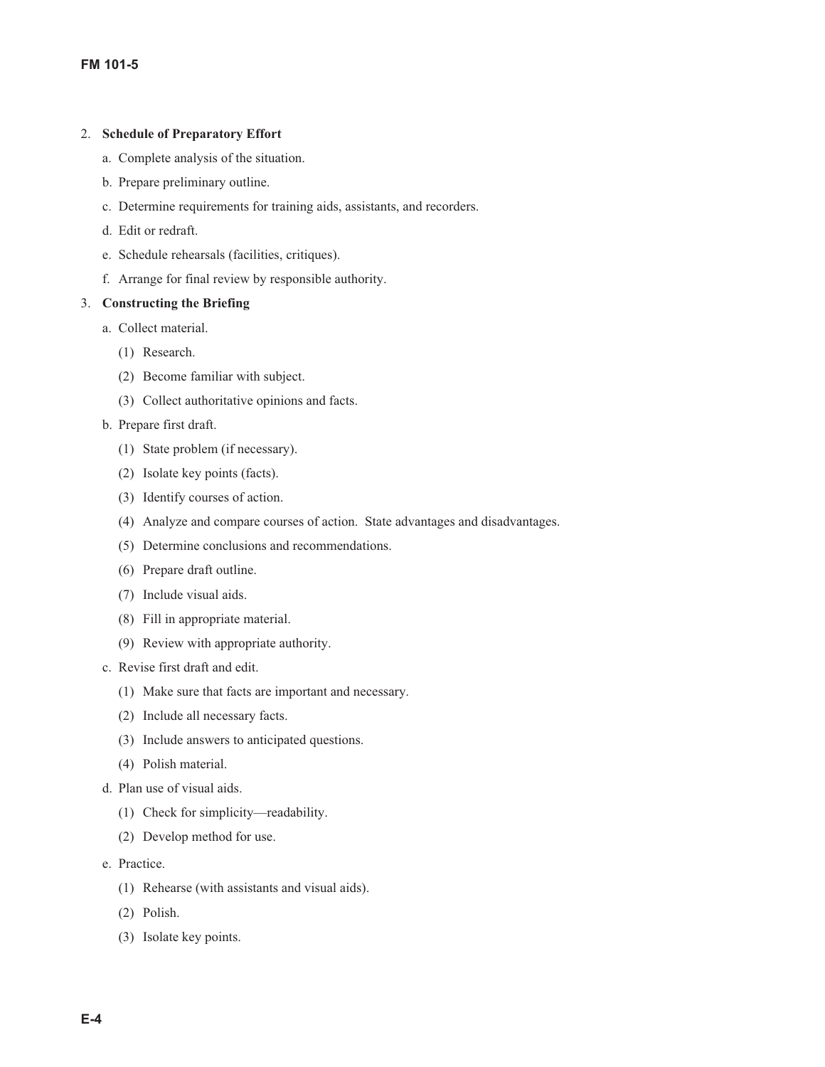#### 2. **Schedule of Preparatory Effort**

- a. Complete analysis of the situation.
- b. Prepare preliminary outline.
- c. Determine requirements for training aids, assistants, and recorders.
- d. Edit or redraft.
- e. Schedule rehearsals (facilities, critiques).
- f. Arrange for final review by responsible authority.

#### 3. **Constructing the Briefing**

- a. Collect material.
	- (1) Research.
	- (2) Become familiar with subject.
	- (3) Collect authoritative opinions and facts.
- b. Prepare first draft.
	- (1) State problem (if necessary).
	- (2) Isolate key points (facts).
	- (3) Identify courses of action.
	- (4) Analyze and compare courses of action. State advantages and disadvantages.
	- (5) Determine conclusions and recommendations.
	- (6) Prepare draft outline.
	- (7) Include visual aids.
	- (8) Fill in appropriate material.
	- (9) Review with appropriate authority.
- c. Revise first draft and edit.
	- (1) Make sure that facts are important and necessary.
	- (2) Include all necessary facts.
	- (3) Include answers to anticipated questions.
	- (4) Polish material.
- d. Plan use of visual aids.
	- (1) Check for simplicity—readability.
	- (2) Develop method for use.
- e. Practice.
	- (1) Rehearse (with assistants and visual aids).
	- (2) Polish.
	- (3) Isolate key points.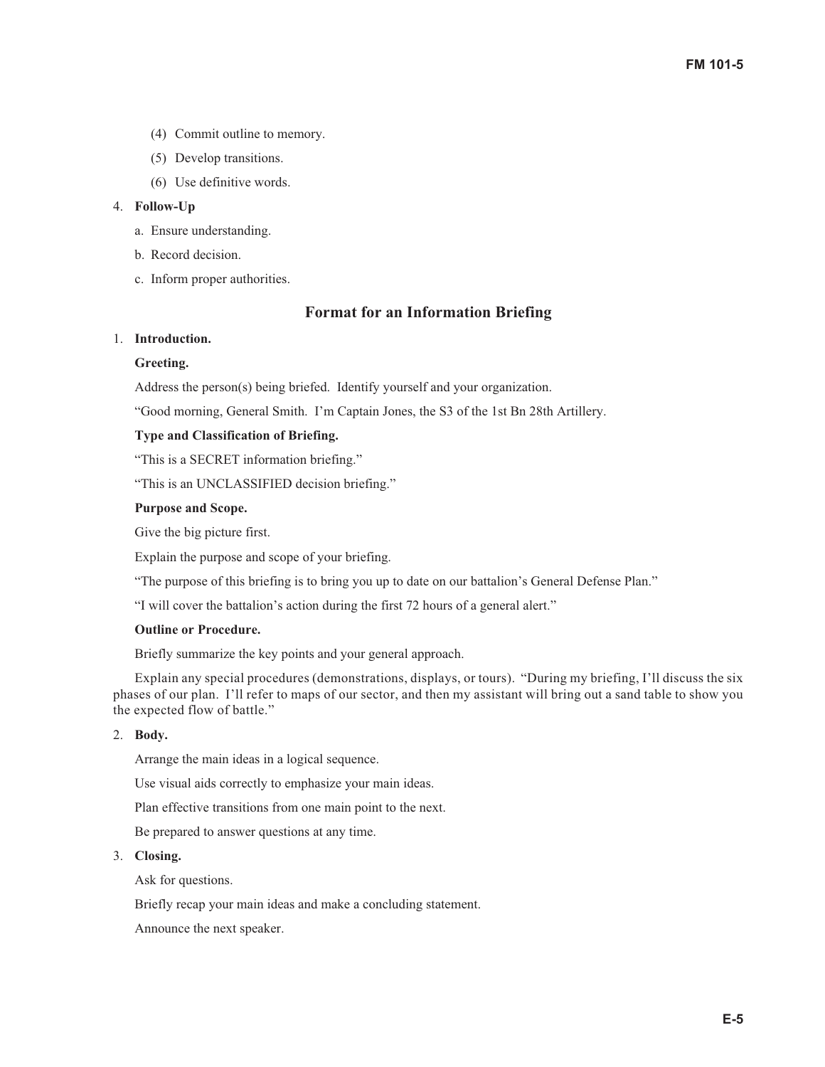- (4) Commit outline to memory.
- (5) Develop transitions.
- (6) Use definitive words.

#### 4. **Follow-Up**

- a. Ensure understanding.
- b. Record decision.
- c. Inform proper authorities.

## **Format for an Information Briefing**

#### 1. **Introduction.**

#### **Greeting.**

Address the person(s) being briefed. Identify yourself and your organization.

"Good morning, General Smith. I'm Captain Jones, the S3 of the 1st Bn 28th Artillery.

#### **Type and Classification of Briefing.**

"This is a SECRET information briefing."

"This is an UNCLASSIFIED decision briefing."

#### **Purpose and Scope.**

Give the big picture first.

Explain the purpose and scope of your briefing.

"The purpose of this briefing is to bring you up to date on our battalion's General Defense Plan."

"I will cover the battalion's action during the first 72 hours of a general alert."

## **Outline or Procedure.**

Briefly summarize the key points and your general approach.

Explain any special procedures (demonstrations, displays, or tours). "During my briefing, I'll discuss the six phases of our plan. I'll refer to maps of our sector, and then my assistant will bring out a sand table to show you the expected flow of battle."

#### 2. **Body.**

Arrange the main ideas in a logical sequence.

Use visual aids correctly to emphasize your main ideas.

Plan effective transitions from one main point to the next.

Be prepared to answer questions at any time.

#### 3. **Closing.**

Ask for questions.

Briefly recap your main ideas and make a concluding statement.

Announce the next speaker.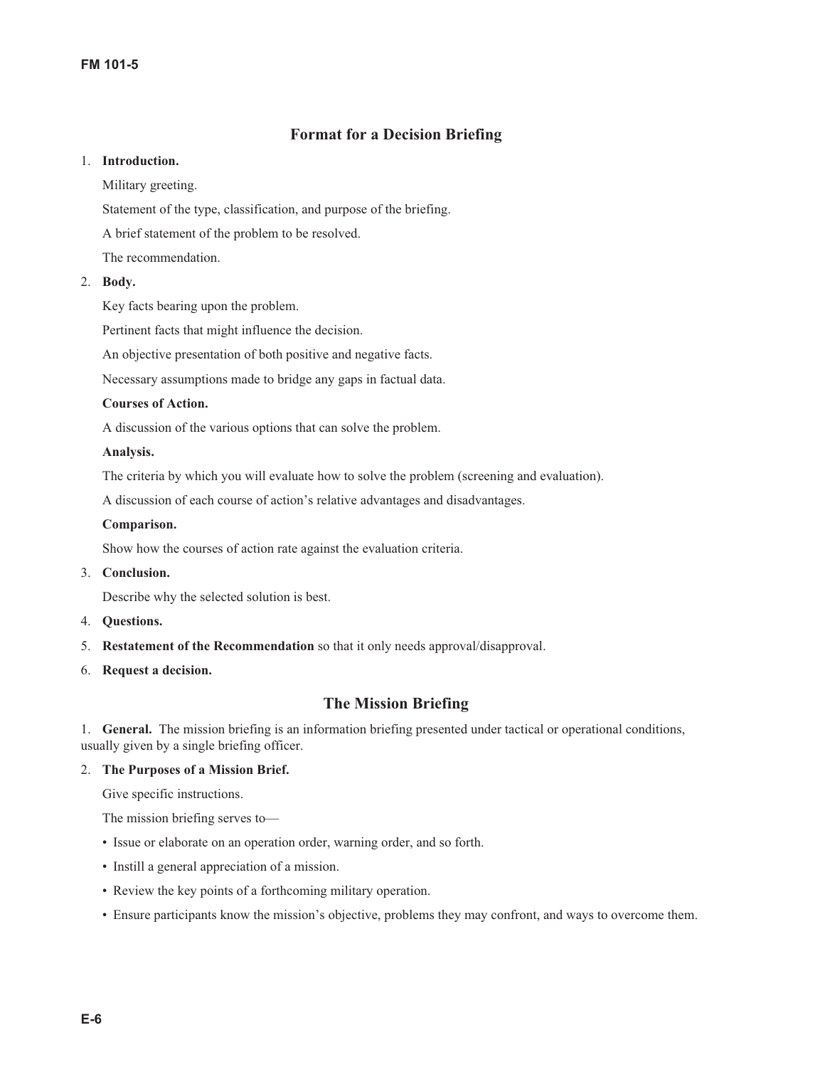## **Format for a Decision Briefing**

#### 1. **Introduction.**

Military greeting.

Statement of the type, classification, and purpose of the briefing.

A brief statement of the problem to be resolved.

The recommendation.

#### 2. **Body.**

Key facts bearing upon the problem.

Pertinent facts that might influence the decision.

An objective presentation of both positive and negative facts.

Necessary assumptions made to bridge any gaps in factual data.

#### **Courses of Action.**

A discussion of the various options that can solve the problem.

#### **Analysis.**

The criteria by which you will evaluate how to solve the problem (screening and evaluation).

A discussion of each course of action's relative advantages and disadvantages.

#### **Comparison.**

Show how the courses of action rate against the evaluation criteria.

#### 3. **Conclusion.**

Describe why the selected solution is best.

#### 4. **Questions.**

- 5. **Restatement of the Recommendation** so that it only needs approval/disapproval.
- 6. **Request a decision.**

## **The Mission Briefing**

1. **General.** The mission briefing is an information briefing presented under tactical or operational conditions, usually given by a single briefing officer.

#### 2. **The Purposes of a Mission Brief.**

Give specific instructions.

The mission briefing serves to—

- Issue or elaborate on an operation order, warning order, and so forth.
- Instill a general appreciation of a mission.
- Review the key points of a forthcoming military operation.
- Ensure participants know the mission's objective, problems they may confront, and ways to overcome them.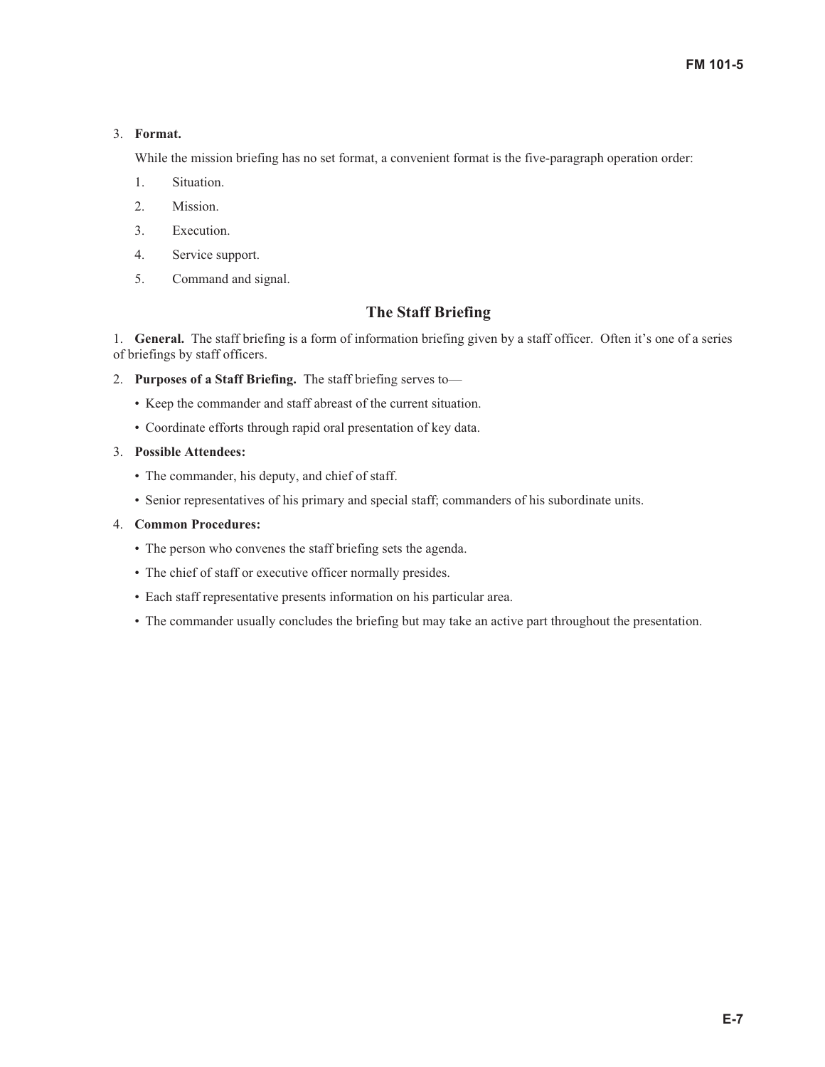## 3. **Format.**

While the mission briefing has no set format, a convenient format is the five-paragraph operation order:

- 1. Situation.
- 2. Mission.
- 3. Execution.
- 4. Service support.
- 5. Command and signal.

## **The Staff Briefing**

1. **General.** The staff briefing is a form of information briefing given by a staff officer. Often it's one of a series of briefings by staff officers.

2. **Purposes of a Staff Briefing.** The staff briefing serves to—

- Keep the commander and staff abreast of the current situation.
- Coordinate efforts through rapid oral presentation of key data.
- 3. **Possible Attendees:**
	- The commander, his deputy, and chief of staff.
	- Senior representatives of his primary and special staff; commanders of his subordinate units.
- 4. **Common Procedures:**
	- The person who convenes the staff briefing sets the agenda.
	- The chief of staff or executive officer normally presides.
	- Each staff representative presents information on his particular area.
	- The commander usually concludes the briefing but may take an active part throughout the presentation.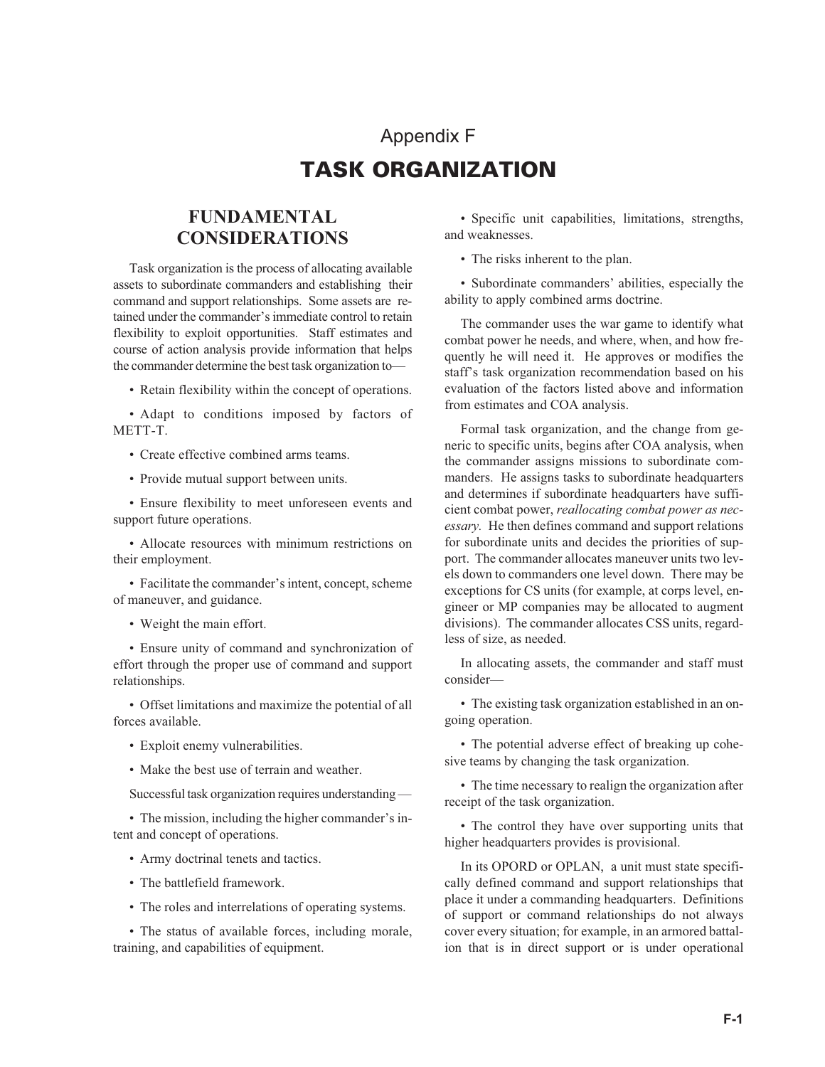# Appendix F **TASK ORGANIZATION**

# **FUNDAMENTAL CONSIDERATIONS**

Task organization is the process of allocating available assets to subordinate commanders and establishing their command and support relationships. Some assets are retained under the commander's immediate control to retain flexibility to exploit opportunities. Staff estimates and course of action analysis provide information that helps the commander determine the best task organization to—

• Retain flexibility within the concept of operations.

• Adapt to conditions imposed by factors of METT-T.

- Create effective combined arms teams.
- Provide mutual support between units.

• Ensure flexibility to meet unforeseen events and support future operations.

• Allocate resources with minimum restrictions on their employment.

• Facilitate the commander's intent, concept, scheme of maneuver, and guidance.

• Weight the main effort.

• Ensure unity of command and synchronization of effort through the proper use of command and support relationships.

• Offset limitations and maximize the potential of all forces available.

- Exploit enemy vulnerabilities.
- Make the best use of terrain and weather.

Successful task organization requires understanding—

• The mission, including the higher commander's intent and concept of operations.

- Army doctrinal tenets and tactics.
- The battlefield framework.
- The roles and interrelations of operating systems.

• The status of available forces, including morale, training, and capabilities of equipment.

• Specific unit capabilities, limitations, strengths, and weaknesses.

• The risks inherent to the plan.

• Subordinate commanders' abilities, especially the ability to apply combined arms doctrine.

The commander uses the war game to identify what combat power he needs, and where, when, and how frequently he will need it. He approves or modifies the staff's task organization recommendation based on his evaluation of the factors listed above and information from estimates and COA analysis.

Formal task organization, and the change from generic to specific units, begins after COA analysis, when the commander assigns missions to subordinate commanders. He assigns tasks to subordinate headquarters and determines if subordinate headquarters have sufficient combat power, *reallocating combat power as necessary.* He then defines command and support relations for subordinate units and decides the priorities of support. The commander allocates maneuver units two levels down to commanders one level down. There may be exceptions for CS units (for example, at corps level, engineer or MP companies may be allocated to augment divisions). The commander allocates CSS units, regardless of size, as needed.

In allocating assets, the commander and staff must consider—

• The existing task organization established in an ongoing operation.

• The potential adverse effect of breaking up cohesive teams by changing the task organization.

• The time necessary to realign the organization after receipt of the task organization.

• The control they have over supporting units that higher headquarters provides is provisional.

In its OPORD or OPLAN, a unit must state specifically defined command and support relationships that place it under a commanding headquarters. Definitions of support or command relationships do not always cover every situation; for example, in an armored battalion that is in direct support or is under operational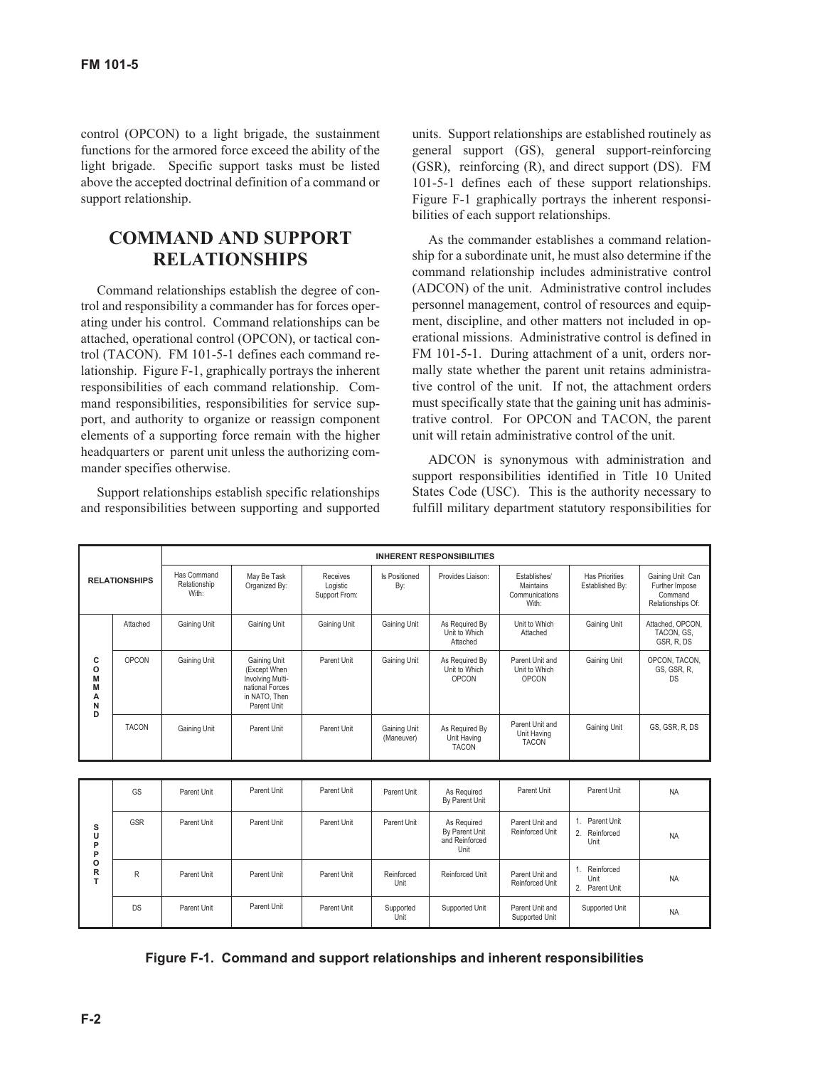control (OPCON) to a light brigade, the sustainment functions for the armored force exceed the ability of the light brigade. Specific support tasks must be listed above the accepted doctrinal definition of a command or support relationship.

# **COMMAND AND SUPPORT RELATIONSHIPS**

Command relationships establish the degree of control and responsibility a commander has for forces operating under his control. Command relationships can be attached, operational control (OPCON), or tactical control (TACON). FM 101-5-1 defines each command relationship. Figure F-1, graphically portrays the inherent responsibilities of each command relationship. Command responsibilities, responsibilities for service support, and authority to organize or reassign component elements of a supporting force remain with the higher headquarters or parent unit unless the authorizing commander specifies otherwise.

Support relationships establish specific relationships and responsibilities between supporting and supported units. Support relationships are established routinely as general support (GS), general support-reinforcing (GSR), reinforcing (R), and direct support (DS). FM 101-5-1 defines each of these support relationships. Figure F-1 graphically portrays the inherent responsibilities of each support relationships.

As the commander establishes a command relationship for a subordinate unit, he must also determine if the command relationship includes administrative control (ADCON) of the unit. Administrative control includes personnel management, control of resources and equipment, discipline, and other matters not included in operational missions. Administrative control is defined in FM 101-5-1. During attachment of a unit, orders normally state whether the parent unit retains administrative control of the unit. If not, the attachment orders must specifically state that the gaining unit has administrative control. For OPCON and TACON, the parent unit will retain administrative control of the unit.

ADCON is synonymous with administration and support responsibilities identified in Title 10 United States Code (USC). This is the authority necessary to fulfill military department statutory responsibilities for

|                                 |                      | <b>INHERENT RESPONSIBILITIES</b>     |                                                                                                     |                                       |                            |                                                 |                                                      |                                          |                                                                    |  |  |
|---------------------------------|----------------------|--------------------------------------|-----------------------------------------------------------------------------------------------------|---------------------------------------|----------------------------|-------------------------------------------------|------------------------------------------------------|------------------------------------------|--------------------------------------------------------------------|--|--|
|                                 | <b>RELATIONSHIPS</b> | Has Command<br>Relationship<br>With: | May Be Task<br>Organized By:                                                                        | Receives<br>Logistic<br>Support From: | Is Positioned<br>By:       | Provides Liaison:                               | Establishes/<br>Maintains<br>Communications<br>With: | <b>Has Priorities</b><br>Established By: | Gaining Unit Can<br>Further Impose<br>Command<br>Relationships Of: |  |  |
|                                 | Attached             | Gaining Unit                         | Gaining Unit                                                                                        | <b>Gaining Unit</b>                   | Gaining Unit               | As Required By<br>Unit to Which<br>Attached     | Unit to Which<br>Attached                            | Gaining Unit                             | Attached, OPCON,<br>TACON, GS.<br>GSR, R, DS                       |  |  |
| С<br>o<br>M<br>M<br>А<br>N<br>D | <b>OPCON</b>         | Gaining Unit                         | Gaining Unit<br>(Except When<br>Involving Multi-<br>national Forces<br>in NATO. Then<br>Parent Unit | Parent Unit                           | Gaining Unit               | As Required By<br>Unit to Which<br><b>OPCON</b> | Parent Unit and<br>Unit to Which<br><b>OPCON</b>     | Gaining Unit                             | OPCON, TACON,<br>GS, GSR, R,<br>DS                                 |  |  |
|                                 | <b>TACON</b>         | Gaining Unit                         | Parent Unit                                                                                         | Parent Unit                           | Gaining Unit<br>(Maneuver) | As Required By<br>Unit Having<br><b>TACON</b>   | Parent Unit and<br>Unit Having<br><b>TACON</b>       | Gaining Unit                             | GS, GSR, R, DS                                                     |  |  |

|                            | GS  | Parent Unit | Parent Unit | Parent Unit | Parent Unit        | As Required<br>By Parent Unit                           | Parent Unit                        | Parent Unit                             | <b>NA</b> |
|----------------------------|-----|-------------|-------------|-------------|--------------------|---------------------------------------------------------|------------------------------------|-----------------------------------------|-----------|
| s<br>U<br>P<br>P<br>о<br>R | GSR | Parent Unit | Parent Unit | Parent Unit | Parent Unit        | As Required<br>By Parent Unit<br>and Reinforced<br>Unit | Parent Unit and<br>Reinforced Unit | 1. Parent Unit<br>2. Reinforced<br>Unit | <b>NA</b> |
|                            | R   | Parent Unit | Parent Unit | Parent Unit | Reinforced<br>Unit | Reinforced Unit                                         | Parent Unit and<br>Reinforced Unit | Reinforced<br>Unit<br>2.<br>Parent Unit | <b>NA</b> |
|                            | DS  | Parent Unit | Parent Unit | Parent Unit | Supported<br>Unit  | Supported Unit                                          | Parent Unit and<br>Supported Unit  | Supported Unit                          | <b>NA</b> |

**Figure F-1. Command and support relationships and inherent responsibilities**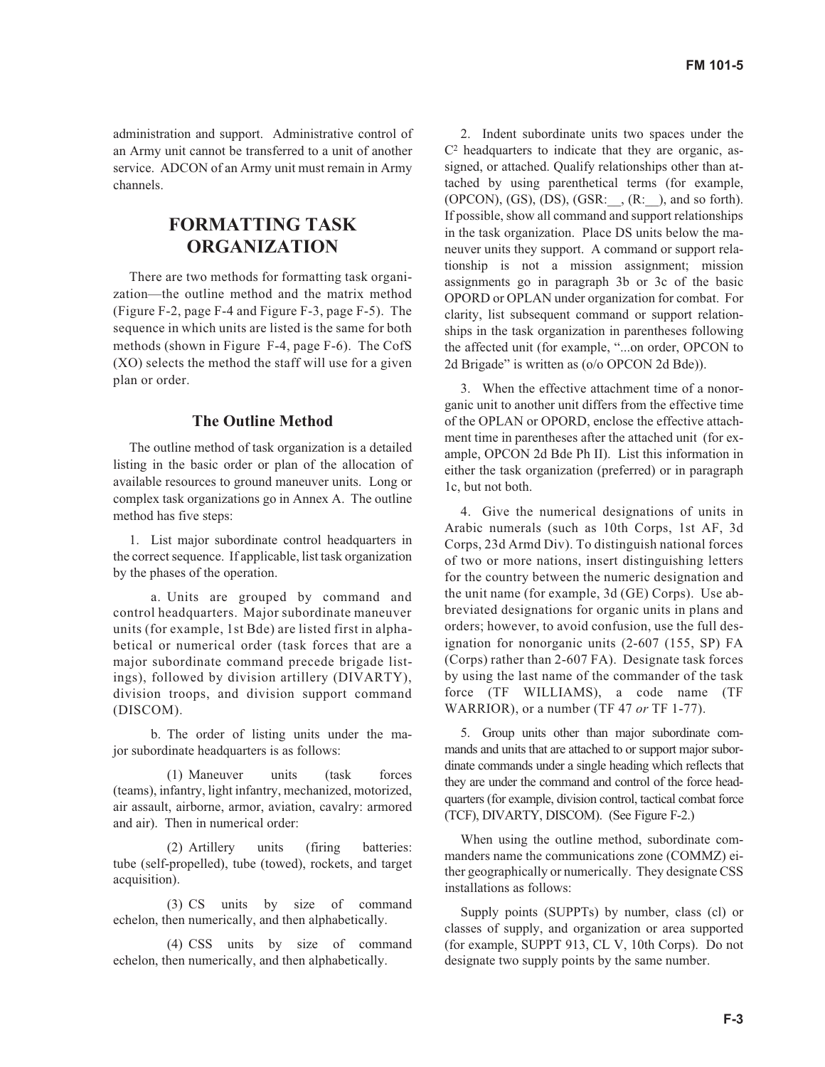administration and support. Administrative control of an Army unit cannot be transferred to a unit of another service. ADCON of an Army unit must remain in Army channels.

# **FORMATTING TASK ORGANIZATION**

There are two methods for formatting task organization—the outline method and the matrix method (Figure F-2, page F-4 and Figure F-3, page F-5). The sequence in which units are listed is the same for both methods (shown in Figure F-4, page F-6). The CofS (XO) selects the method the staff will use for a given plan or order.

## **The Outline Method**

The outline method of task organization is a detailed listing in the basic order or plan of the allocation of available resources to ground maneuver units. Long or complex task organizations go in Annex A. The outline method has five steps:

1. List major subordinate control headquarters in the correct sequence. If applicable, list task organization by the phases of the operation.

a. Units are grouped by command and control headquarters. Major subordinate maneuver units (for example, 1st Bde) are listed first in alphabetical or numerical order (task forces that are a major subordinate command precede brigade listings), followed by division artillery (DIVARTY), division troops, and division support command (DISCOM).

b. The order of listing units under the major subordinate headquarters is as follows:

(1) Maneuver units (task forces (teams), infantry, light infantry, mechanized, motorized, air assault, airborne, armor, aviation, cavalry: armored and air). Then in numerical order:

(2) Artillery units (firing batteries: tube (self-propelled), tube (towed), rockets, and target acquisition).

(3) CS units by size of command echelon, then numerically, and then alphabetically.

(4) CSS units by size of command echelon, then numerically, and then alphabetically.

2. Indent subordinate units two spaces under the C2 headquarters to indicate that they are organic, assigned, or attached. Qualify relationships other than attached by using parenthetical terms (for example, (OPCON), (GS), (DS), (GSR:\_\_, (R:\_\_), and so forth). If possible, show all command and support relationships in the task organization. Place DS units below the maneuver units they support. A command or support relationship is not a mission assignment; mission assignments go in paragraph 3b or 3c of the basic OPORD or OPLAN under organization for combat. For clarity, list subsequent command or support relationships in the task organization in parentheses following the affected unit (for example, "...on order, OPCON to 2d Brigade" is written as (o/o OPCON 2d Bde)).

3. When the effective attachment time of a nonorganic unit to another unit differs from the effective time of the OPLAN or OPORD, enclose the effective attachment time in parentheses after the attached unit (for example, OPCON 2d Bde Ph II). List this information in either the task organization (preferred) or in paragraph 1c, but not both.

4. Give the numerical designations of units in Arabic numerals (such as 10th Corps, 1st AF, 3d Corps, 23d Armd Div). To distinguish national forces of two or more nations, insert distinguishing letters for the country between the numeric designation and the unit name (for example, 3d (GE) Corps). Use abbreviated designations for organic units in plans and orders; however, to avoid confusion, use the full designation for nonorganic units (2-607 (155, SP) FA (Corps) rather than 2-607 FA). Designate task forces by using the last name of the commander of the task force (TF WILLIAMS), a code name (TF WARRIOR), or a number (TF 47 *or* TF 1-77).

5. Group units other than major subordinate commands and units that are attached to or support major subordinate commands under a single heading which reflects that they are under the command and control of the force headquarters (for example, division control, tactical combat force (TCF), DIVARTY, DISCOM). (See Figure F-2.)

When using the outline method, subordinate commanders name the communications zone (COMMZ) either geographically or numerically. They designate CSS installations as follows:

Supply points (SUPPTs) by number, class (cl) or classes of supply, and organization or area supported (for example, SUPPT 913, CL V, 10th Corps). Do not designate two supply points by the same number.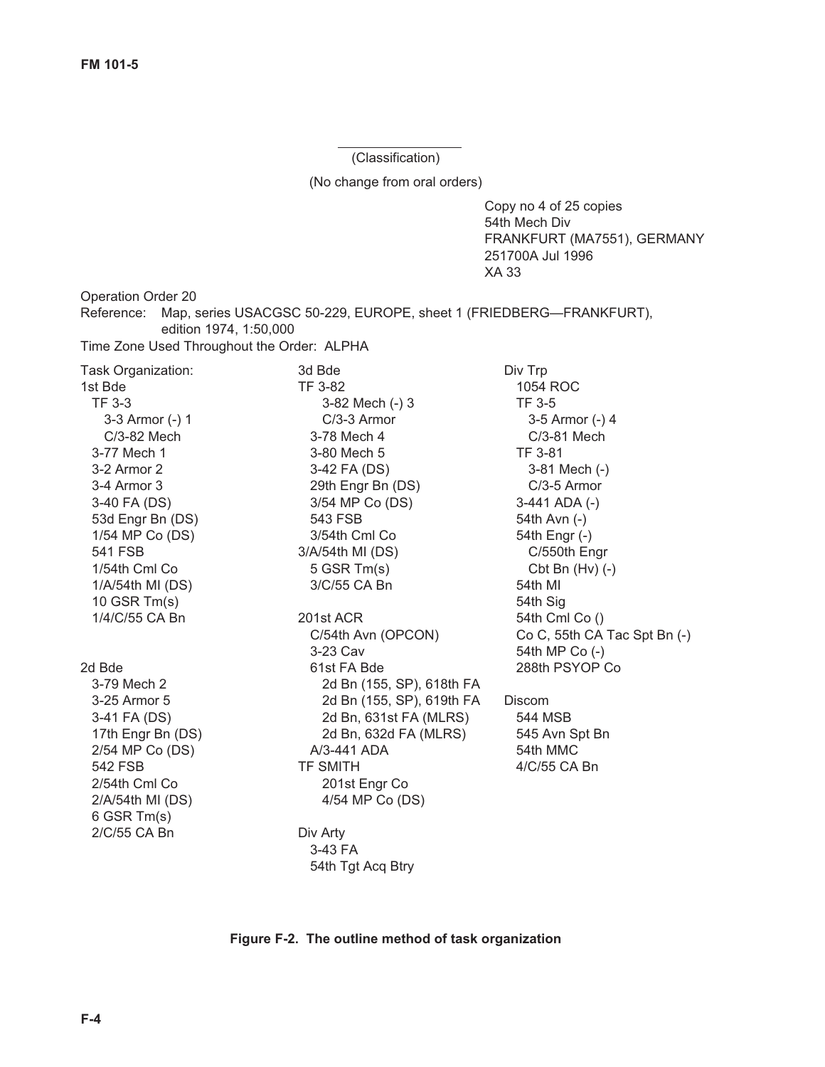(Classification)

(No change from oral orders)

Copy no 4 of 25 copies 54th Mech Div FRANKFURT (MA7551), GERMANY 251700A Jul 1996 XA 33 Operation Order 20 Reference: Map, series USACGSC 50-229, EUROPE, sheet 1 (FRIEDBERG—FRANKFURT), edition 1974, 1:50,000 Time Zone Used Throughout the Order: ALPHA Task Organization: 3d Bde Div Trp 1st Bde TF 3-82 1054 ROC TF 3-3 3-82 Mech (-) 3 TF 3-5 3-3 Armor (-) 1 C/3-3 Armor 3-5 Armor (-) 4 C/3-82 Mech 3-78 Mech 4 C/3-81 Mech 3-77 Mech 1 3-80 Mech 5 TF 3-81 3-2 Armor 2 3-42 FA (DS) 3-81 Mech (-) 3-4 Armor 3 29th Engr Bn (DS) C/3-5 Armor 3-40 FA (DS) 3/54 MP Co (DS) 3-441 ADA (-) 53d Engr Bn (DS) 543 FSB 54th Avn (-) 1/54 MP Co (DS) 3/54th Cml Co 54th Engr (-) 541 FSB 3/A/54th MI (DS) C/550th Engr 1/54th Cml Co 5 GSR Tm(s) Cbt Bn (Hv) (-) 1/A/54th MI (DS) 3/C/55 CA Bn 54th MI 10 GSR Tm(s) 54th Sig 1/4/C/55 CA Bn 201st ACR 54th Cml Co () C/54th Avn (OPCON) Co C, 55th CA Tac Spt Bn (-) 3-23 Cav 54th MP Co (-) 2d Bde 61st FA Bde 288th PSYOP Co 3-79 Mech 2 2d Bn (155, SP), 618th FA 3-25 Armor 5 2d Bn (155, SP), 619th FA Discom 3-41 FA (DS) 2d Bn, 631st FA (MLRS) 544 MSB 17th Engr Bn (DS) 2d Bn, 632d FA (MLRS) 545 Avn Spt Bn 2/54 MP Co (DS)  $A/3-441$  ADA 54th MMC 542 FSB TF SMITH 4/C/55 CA Bn 2/54th Cml Co 201st Engr Co 2/A/54th MI (DS) 4/54 MP Co (DS) 6 GSR Tm(s) 2/C/55 CA Bn Div Arty

## **Figure F-2. The outline method of task organization**

3-43 FA

54th Tgt Acq Btry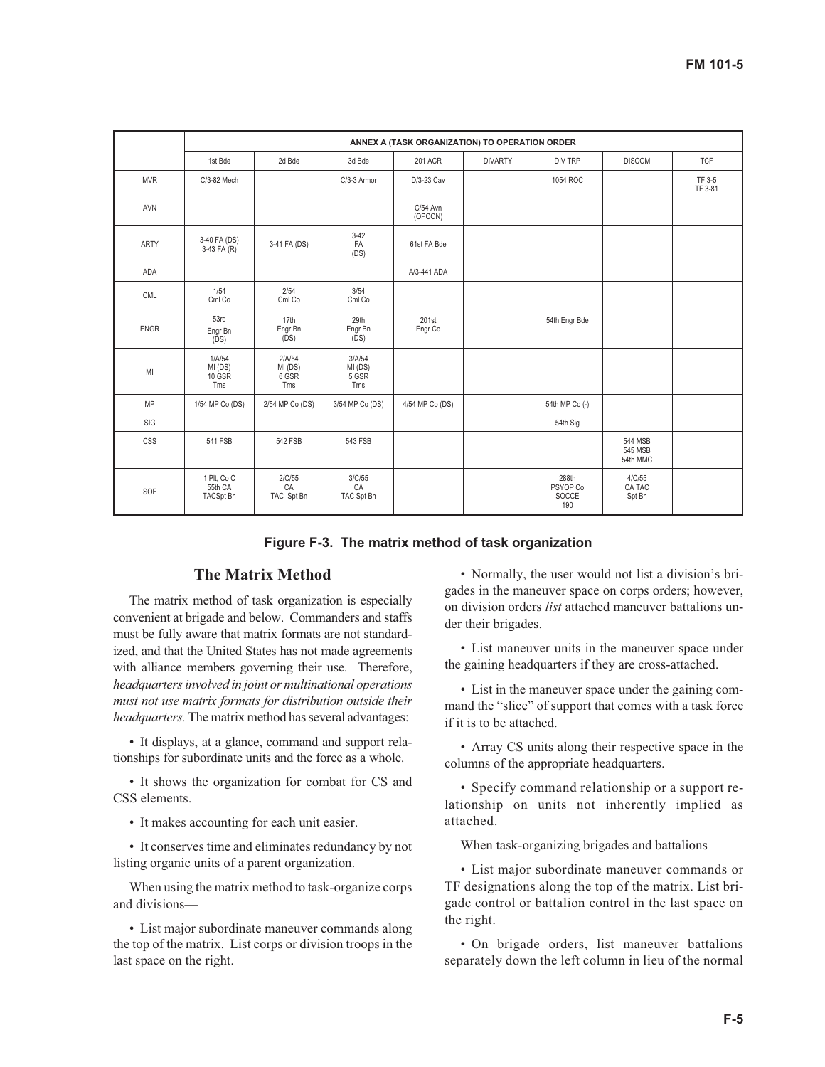|             |                                            | ANNEX A (TASK ORGANIZATION) TO OPERATION ORDER |                                   |                       |                |                                   |                                       |                   |  |
|-------------|--------------------------------------------|------------------------------------------------|-----------------------------------|-----------------------|----------------|-----------------------------------|---------------------------------------|-------------------|--|
|             | 1st Bde                                    | 2d Bde                                         | 3d Bde                            | <b>201 ACR</b>        | <b>DIVARTY</b> | DIV TRP                           | <b>DISCOM</b>                         | <b>TCF</b>        |  |
| <b>MVR</b>  | C/3-82 Mech                                |                                                | C/3-3 Armor                       | D/3-23 Cav            |                | 1054 ROC                          |                                       | TF 3-5<br>TF 3-81 |  |
| AVN         |                                            |                                                |                                   | $C/54$ Avn<br>(OPCON) |                |                                   |                                       |                   |  |
| ARTY        | 3-40 FA (DS)<br>3-43 FA (R)                | 3-41 FA (DS)                                   | $3-42$<br>FA<br>(DS)              | 61st FA Bde           |                |                                   |                                       |                   |  |
| ADA         |                                            |                                                |                                   | A/3-441 ADA           |                |                                   |                                       |                   |  |
| CML         | 1/54<br>Cml Co                             | 2/54<br>Cml Co                                 | 3/54<br>Cml Co                    |                       |                |                                   |                                       |                   |  |
| <b>ENGR</b> | 53rd<br>Engr Bn<br>(DS)                    | 17th<br>Engr Bn<br>(DS)                        | 29th<br>Engr Bn<br>(DS)           | 201st<br>Engr Co      |                | 54th Engr Bde                     |                                       |                   |  |
| MI          | 1/A/54<br>MI (DS)<br>10 GSR<br>Tms         | 2/A/54<br>MI (DS)<br>6 GSR<br>Tms              | 3/A/54<br>MI (DS)<br>5 GSR<br>Tms |                       |                |                                   |                                       |                   |  |
| <b>MP</b>   | 1/54 MP Co (DS)                            | 2/54 MP Co (DS)                                | 3/54 MP Co (DS)                   | 4/54 MP Co (DS)       |                | 54th MP Co (-)                    |                                       |                   |  |
| SIG         |                                            |                                                |                                   |                       |                | 54th Sig                          |                                       |                   |  |
| <b>CSS</b>  | 541 FSB                                    | 542 FSB                                        | 543 FSB                           |                       |                |                                   | <b>544 MSB</b><br>545 MSB<br>54th MMC |                   |  |
| SOF         | 1 Plt. Co C<br>55th CA<br><b>TACSpt Bn</b> | 2/C/55<br>CA<br>TAC Spt Bn                     | 3/C/55<br>CA<br>TAC Spt Bn        |                       |                | 288th<br>PSYOP Co<br>SOCCE<br>190 | 4/C/55<br>CA TAC<br>Spt Bn            |                   |  |

**Figure F-3. The matrix method of task organization**

## **The Matrix Method**

The matrix method of task organization is especially convenient at brigade and below. Commanders and staffs must be fully aware that matrix formats are not standardized, and that the United States has not made agreements with alliance members governing their use. Therefore, *headquarters involved in joint or multinational operations must not use matrix formats for distribution outside their headquarters.* The matrix method has several advantages:

• It displays, at a glance, command and support relationships for subordinate units and the force as a whole.

• It shows the organization for combat for CS and CSS elements.

• It makes accounting for each unit easier.

• It conserves time and eliminates redundancy by not listing organic units of a parent organization.

When using the matrix method to task-organize corps and divisions—

• List major subordinate maneuver commands along the top of the matrix. List corps or division troops in the last space on the right.

• Normally, the user would not list a division's brigades in the maneuver space on corps orders; however, on division orders *list* attached maneuver battalions under their brigades.

• List maneuver units in the maneuver space under the gaining headquarters if they are cross-attached.

• List in the maneuver space under the gaining command the "slice" of support that comes with a task force if it is to be attached.

• Array CS units along their respective space in the columns of the appropriate headquarters.

• Specify command relationship or a support relationship on units not inherently implied as attached.

When task-organizing brigades and battalions—

• List major subordinate maneuver commands or TF designations along the top of the matrix. List brigade control or battalion control in the last space on the right.

• On brigade orders, list maneuver battalions separately down the left column in lieu of the normal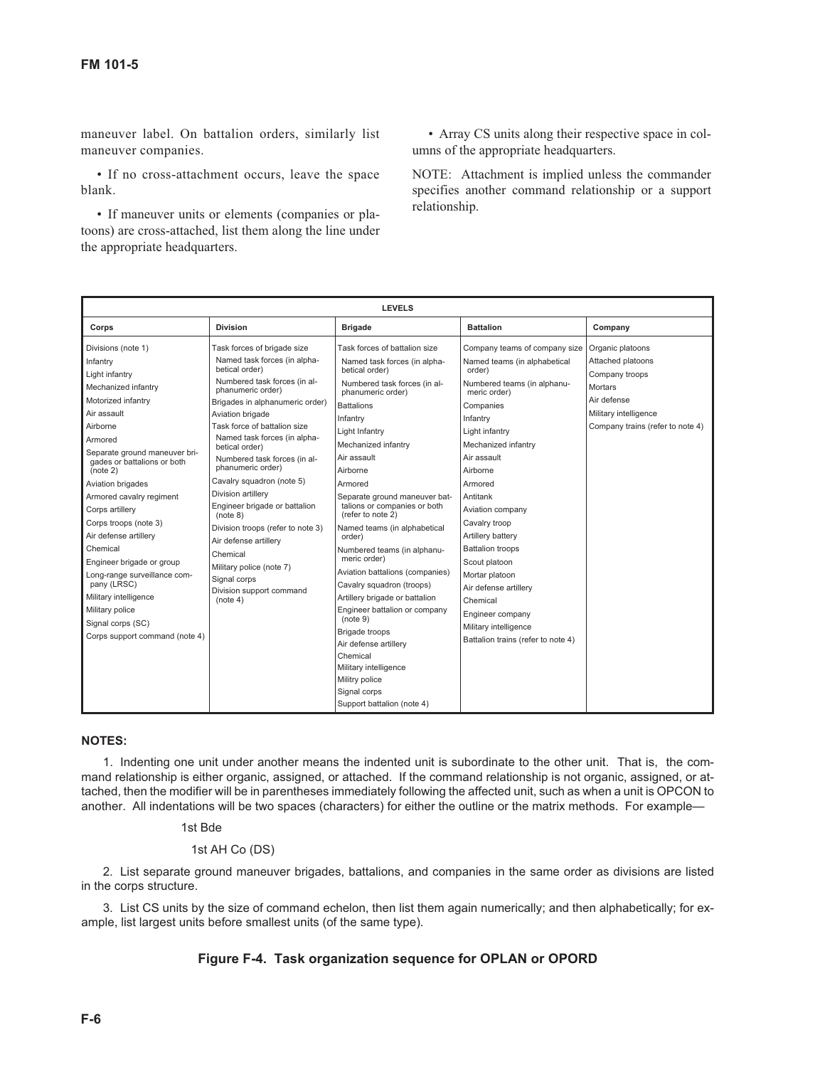maneuver label. On battalion orders, similarly list maneuver companies.

• If no cross-attachment occurs, leave the space blank.

• If maneuver units or elements (companies or platoons) are cross-attached, list them along the line under the appropriate headquarters.

• Array CS units along their respective space in columns of the appropriate headquarters.

NOTE: Attachment is implied unless the commander specifies another command relationship or a support relationship.

| <b>LEVELS</b>                                                                                                                                                                                                                                                                                                                                                                                                                                                                                                                    |                                                                                                                                                                                                                                                                                                                                                                                                                                                                                                                                                                                                |                                                                                                                                                                                                                                                                                                                                                                                                                                                                                                                                                                                                                                                                                                      |                                                                                                                                                                                                                                                                                                                                                                                                                                                                                            |                                                                                                                                                |  |  |  |  |
|----------------------------------------------------------------------------------------------------------------------------------------------------------------------------------------------------------------------------------------------------------------------------------------------------------------------------------------------------------------------------------------------------------------------------------------------------------------------------------------------------------------------------------|------------------------------------------------------------------------------------------------------------------------------------------------------------------------------------------------------------------------------------------------------------------------------------------------------------------------------------------------------------------------------------------------------------------------------------------------------------------------------------------------------------------------------------------------------------------------------------------------|------------------------------------------------------------------------------------------------------------------------------------------------------------------------------------------------------------------------------------------------------------------------------------------------------------------------------------------------------------------------------------------------------------------------------------------------------------------------------------------------------------------------------------------------------------------------------------------------------------------------------------------------------------------------------------------------------|--------------------------------------------------------------------------------------------------------------------------------------------------------------------------------------------------------------------------------------------------------------------------------------------------------------------------------------------------------------------------------------------------------------------------------------------------------------------------------------------|------------------------------------------------------------------------------------------------------------------------------------------------|--|--|--|--|
| <b>Division</b><br>Corps                                                                                                                                                                                                                                                                                                                                                                                                                                                                                                         |                                                                                                                                                                                                                                                                                                                                                                                                                                                                                                                                                                                                | <b>Brigade</b>                                                                                                                                                                                                                                                                                                                                                                                                                                                                                                                                                                                                                                                                                       | <b>Battalion</b>                                                                                                                                                                                                                                                                                                                                                                                                                                                                           | Company                                                                                                                                        |  |  |  |  |
| Divisions (note 1)<br>Infantry<br>Light infantry<br>Mechanized infantry<br>Motorized infantry<br>Air assault<br>Airborne<br>Armored<br>Separate ground maneuver bri-<br>gades or battalions or both<br>(note 2)<br>Aviation brigades<br>Armored cavalry regiment<br>Corps artillery<br>Corps troops (note 3)<br>Air defense artillery<br>Chemical<br>Engineer brigade or group<br>Long-range surveillance com-<br>pany (LRSC)<br>Military intelligence<br>Military police<br>Signal corps (SC)<br>Corps support command (note 4) | Task forces of brigade size<br>Named task forces (in alpha-<br>betical order)<br>Numbered task forces (in al-<br>phanumeric order)<br>Brigades in alphanumeric order)<br>Aviation brigade<br>Task force of battalion size<br>Named task forces (in alpha-<br>betical order)<br>Numbered task forces (in al-<br>phanumeric order)<br>Cavalry squadron (note 5)<br>Division artillery<br>Engineer brigade or battalion<br>(note 8)<br>Division troops (refer to note 3)<br>Air defense artillery<br>Chemical<br>Military police (note 7)<br>Signal corps<br>Division support command<br>(note 4) | Task forces of battalion size<br>Named task forces (in alpha-<br>betical order)<br>Numbered task forces (in al-<br>phanumeric order)<br><b>Battalions</b><br>Infantry<br>Light Infantry<br>Mechanized infantry<br>Air assault<br>Airborne<br>Armored<br>Separate ground maneuver bat-<br>talions or companies or both<br>(refer to note 2)<br>Named teams (in alphabetical<br>order)<br>Numbered teams (in alphanu-<br>meric order)<br>Aviation battalions (companies)<br>Cavalry squadron (troops)<br>Artillery brigade or battalion<br>Engineer battalion or company<br>(note 9)<br>Brigade troops<br>Air defense artillerv<br>Chemical<br>Military intelligence<br>Militry police<br>Signal corps | Company teams of company size<br>Named teams (in alphabetical<br>order)<br>Numbered teams (in alphanu-<br>meric order)<br>Companies<br>Infantry<br>Light infantry<br>Mechanized infantry<br>Air assault<br>Airborne<br>Armored<br>Antitank<br>Aviation company<br>Cavalry troop<br>Artillery battery<br><b>Battalion troops</b><br>Scout platoon<br>Mortar platoon<br>Air defense artillery<br>Chemical<br>Engineer company<br>Military intelligence<br>Battalion trains (refer to note 4) | Organic platoons<br>Attached platoons<br>Company troops<br>Mortars<br>Air defense<br>Military intelligence<br>Company trains (refer to note 4) |  |  |  |  |
|                                                                                                                                                                                                                                                                                                                                                                                                                                                                                                                                  |                                                                                                                                                                                                                                                                                                                                                                                                                                                                                                                                                                                                | Support battalion (note 4)                                                                                                                                                                                                                                                                                                                                                                                                                                                                                                                                                                                                                                                                           |                                                                                                                                                                                                                                                                                                                                                                                                                                                                                            |                                                                                                                                                |  |  |  |  |

#### **NOTES:**

1. Indenting one unit under another means the indented unit is subordinate to the other unit. That is, the command relationship is either organic, assigned, or attached. If the command relationship is not organic, assigned, or attached, then the modifier will be in parentheses immediately following the affected unit, such as when a unit is OPCON to another. All indentations will be two spaces (characters) for either the outline or the matrix methods. For example—

#### 1st Bde

1st AH Co (DS)

2. List separate ground maneuver brigades, battalions, and companies in the same order as divisions are listed in the corps structure.

3. List CS units by the size of command echelon, then list them again numerically; and then alphabetically; for example, list largest units before smallest units (of the same type).

## **Figure F-4. Task organization sequence for OPLAN or OPORD**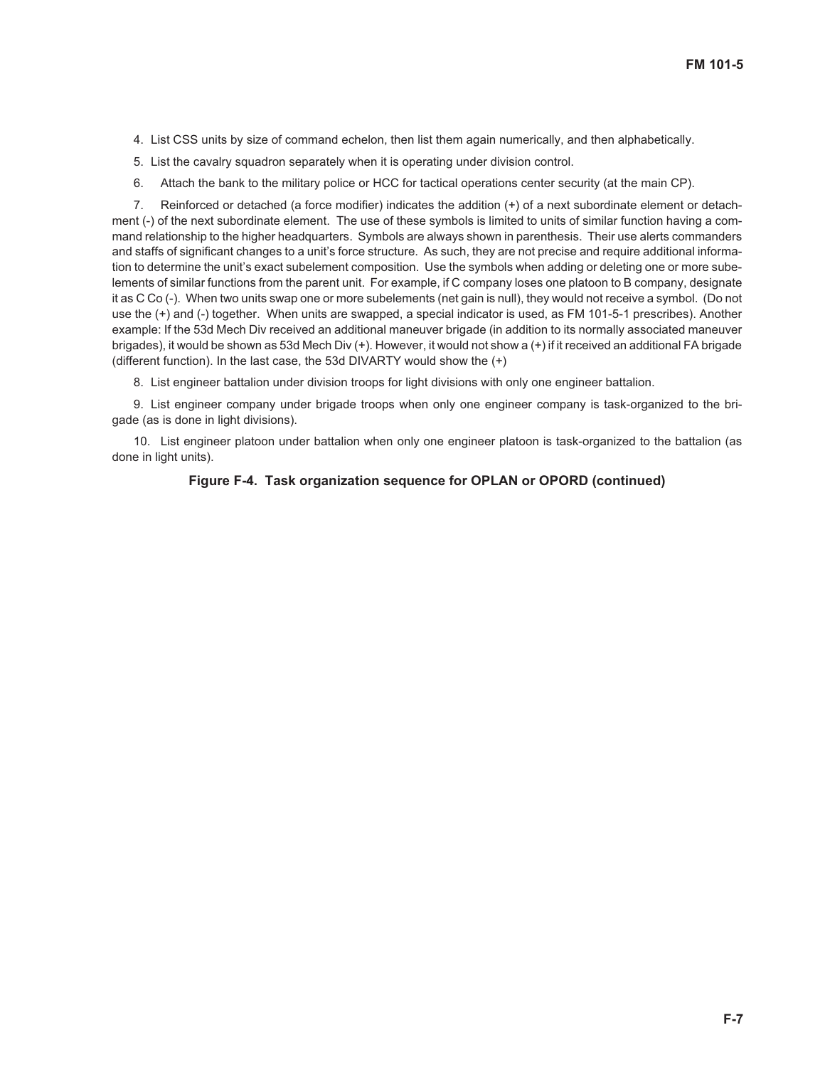- 4. List CSS units by size of command echelon, then list them again numerically, and then alphabetically.
- 5. List the cavalry squadron separately when it is operating under division control.
- 6. Attach the bank to the military police or HCC for tactical operations center security (at the main CP).

7. Reinforced or detached (a force modifier) indicates the addition (+) of a next subordinate element or detachment (-) of the next subordinate element. The use of these symbols is limited to units of similar function having a command relationship to the higher headquarters. Symbols are always shown in parenthesis. Their use alerts commanders and staffs of significant changes to a unit's force structure. As such, they are not precise and require additional information to determine the unit's exact subelement composition. Use the symbols when adding or deleting one or more subelements of similar functions from the parent unit. For example, if C company loses one platoon to B company, designate it as C Co (-). When two units swap one or more subelements (net gain is null), they would not receive a symbol. (Do not use the (+) and (-) together. When units are swapped, a special indicator is used, as FM 101-5-1 prescribes). Another example: If the 53d Mech Div received an additional maneuver brigade (in addition to its normally associated maneuver brigades), it would be shown as 53d Mech Div (+). However, it would not show a (+) if it received an additional FA brigade (different function). In the last case, the 53d DIVARTY would show the (+)

8. List engineer battalion under division troops for light divisions with only one engineer battalion.

9. List engineer company under brigade troops when only one engineer company is task-organized to the brigade (as is done in light divisions).

10. List engineer platoon under battalion when only one engineer platoon is task-organized to the battalion (as done in light units).

#### **Figure F-4. Task organization sequence for OPLAN or OPORD (continued)**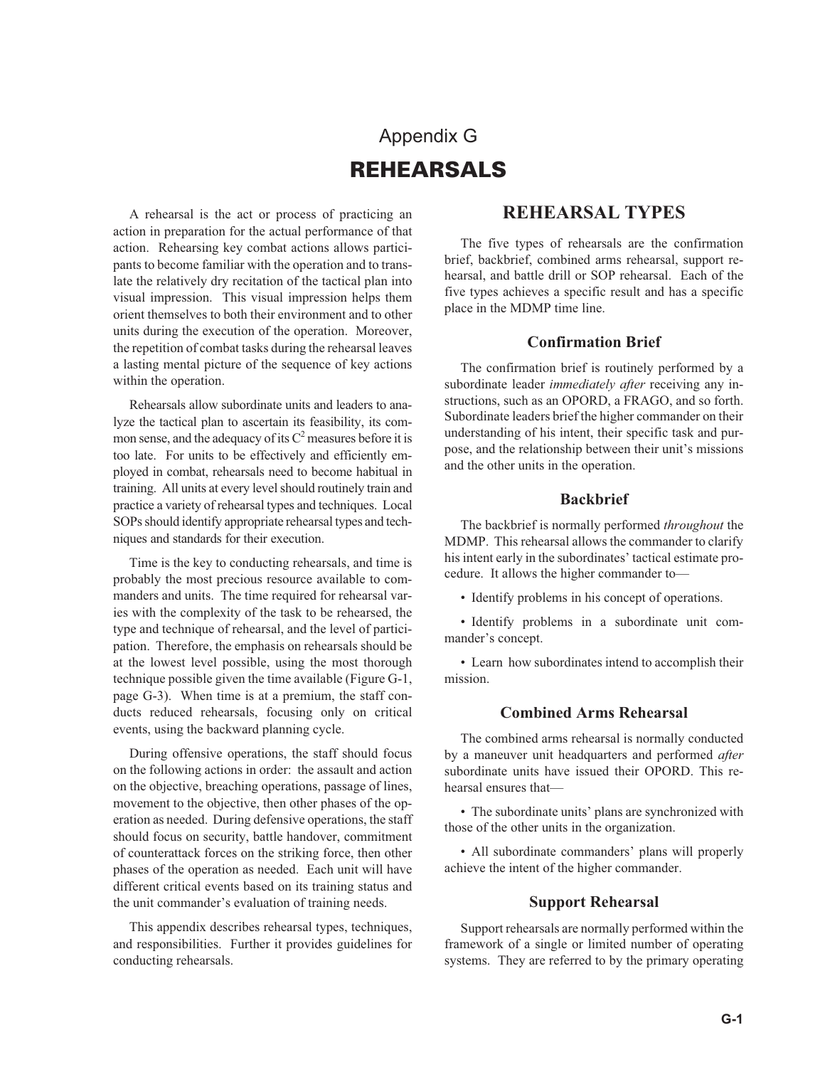# Appendix G **REHEARSALS**

A rehearsal is the act or process of practicing an action in preparation for the actual performance of that action. Rehearsing key combat actions allows participants to become familiar with the operation and to translate the relatively dry recitation of the tactical plan into visual impression. This visual impression helps them orient themselves to both their environment and to other units during the execution of the operation. Moreover, the repetition of combat tasks during the rehearsal leaves a lasting mental picture of the sequence of key actions within the operation.

Rehearsals allow subordinate units and leaders to analyze the tactical plan to ascertain its feasibility, its common sense, and the adequacy of its  $C^2$  measures before it is too late. For units to be effectively and efficiently employed in combat, rehearsals need to become habitual in training. All units at every level should routinely train and practice a variety of rehearsal types and techniques. Local SOPs should identify appropriate rehearsal types and techniques and standards for their execution.

Time is the key to conducting rehearsals, and time is probably the most precious resource available to commanders and units. The time required for rehearsal varies with the complexity of the task to be rehearsed, the type and technique of rehearsal, and the level of participation. Therefore, the emphasis on rehearsals should be at the lowest level possible, using the most thorough technique possible given the time available (Figure G-1, page G-3). When time is at a premium, the staff conducts reduced rehearsals, focusing only on critical events, using the backward planning cycle.

During offensive operations, the staff should focus on the following actions in order: the assault and action on the objective, breaching operations, passage of lines, movement to the objective, then other phases of the operation as needed. During defensive operations, the staff should focus on security, battle handover, commitment of counterattack forces on the striking force, then other phases of the operation as needed. Each unit will have different critical events based on its training status and the unit commander's evaluation of training needs.

This appendix describes rehearsal types, techniques, and responsibilities. Further it provides guidelines for conducting rehearsals.

# **REHEARSAL TYPES**

The five types of rehearsals are the confirmation brief, backbrief, combined arms rehearsal, support rehearsal, and battle drill or SOP rehearsal. Each of the five types achieves a specific result and has a specific place in the MDMP time line.

## **Confirmation Brief**

The confirmation brief is routinely performed by a subordinate leader *immediately after* receiving any instructions, such as an OPORD, a FRAGO, and so forth. Subordinate leaders brief the higher commander on their understanding of his intent, their specific task and purpose, and the relationship between their unit's missions and the other units in the operation.

## **Backbrief**

The backbrief is normally performed *throughout* the MDMP. This rehearsal allows the commander to clarify his intent early in the subordinates' tactical estimate procedure. It allows the higher commander to—

• Identify problems in his concept of operations.

• Identify problems in a subordinate unit commander's concept.

• Learn how subordinates intend to accomplish their mission.

## **Combined Arms Rehearsal**

The combined arms rehearsal is normally conducted by a maneuver unit headquarters and performed *after* subordinate units have issued their OPORD. This rehearsal ensures that—

• The subordinate units' plans are synchronized with those of the other units in the organization.

• All subordinate commanders' plans will properly achieve the intent of the higher commander.

## **Support Rehearsal**

Support rehearsals are normally performed within the framework of a single or limited number of operating systems. They are referred to by the primary operating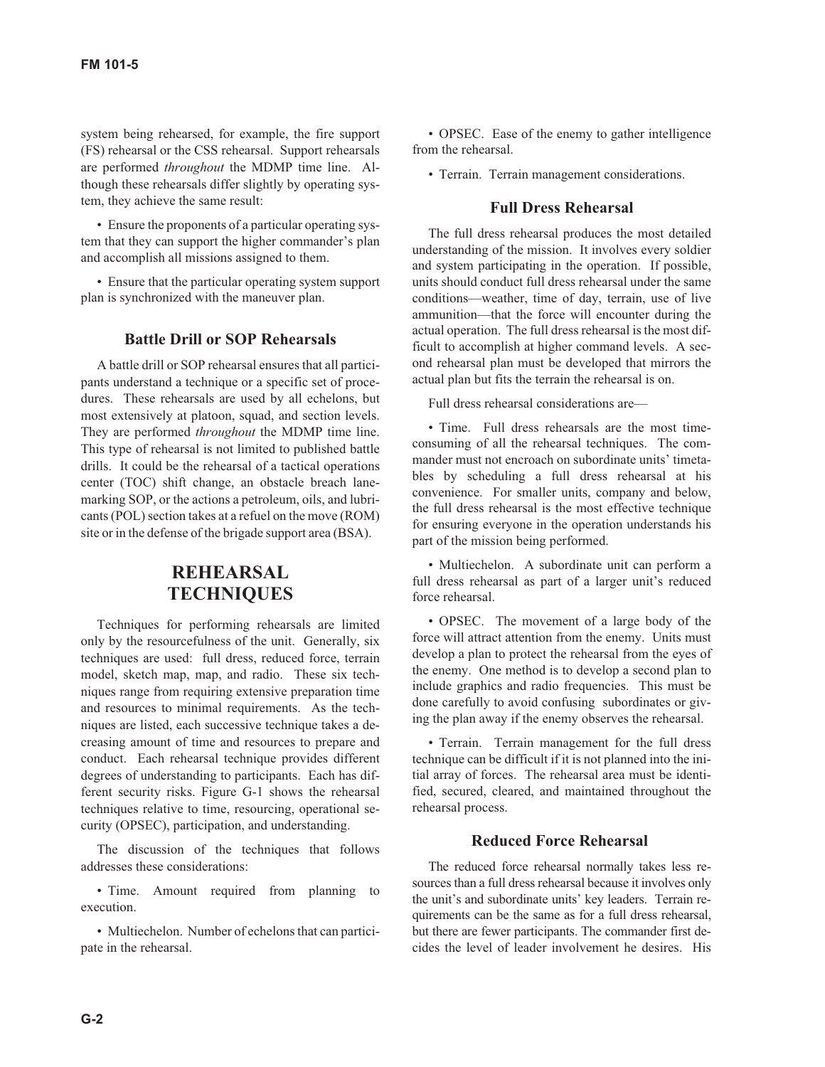system being rehearsed, for example, the fire support (FS) rehearsal or the CSS rehearsal. Support rehearsals are performed *throughout* the MDMP time line. Although these rehearsals differ slightly by operating system, they achieve the same result:

• Ensure the proponents of a particular operating system that they can support the higher commander's plan and accomplish all missions assigned to them.

• Ensure that the particular operating system support plan is synchronized with the maneuver plan.

## **Battle Drill or SOP Rehearsals**

A battle drill or SOP rehearsal ensures that all participants understand a technique or a specific set of procedures. These rehearsals are used by all echelons, but most extensively at platoon, squad, and section levels. They are performed *throughout* the MDMP time line. This type of rehearsal is not limited to published battle drills. It could be the rehearsal of a tactical operations center (TOC) shift change, an obstacle breach lanemarking SOP, or the actions a petroleum, oils, and lubricants (POL) section takes at a refuel on the move (ROM) site or in the defense of the brigade support area (BSA).

# **REHEARSAL TECHNIQUES**

Techniques for performing rehearsals are limited only by the resourcefulness of the unit. Generally, six techniques are used: full dress, reduced force, terrain model, sketch map, map, and radio. These six techniques range from requiring extensive preparation time and resources to minimal requirements. As the techniques are listed, each successive technique takes a decreasing amount of time and resources to prepare and conduct. Each rehearsal technique provides different degrees of understanding to participants. Each has different security risks. Figure G-1 shows the rehearsal techniques relative to time, resourcing, operational security (OPSEC), participation, and understanding.

The discussion of the techniques that follows addresses these considerations:

• Time. Amount required from planning to execution.

• Multiechelon. Number of echelons that can participate in the rehearsal.

• OPSEC. Ease of the enemy to gather intelligence from the rehearsal.

• Terrain. Terrain management considerations.

## **Full Dress Rehearsal**

The full dress rehearsal produces the most detailed understanding of the mission. It involves every soldier and system participating in the operation. If possible, units should conduct full dress rehearsal under the same conditions—weather, time of day, terrain, use of live ammunition—that the force will encounter during the actual operation. The full dress rehearsal is the most difficult to accomplish at higher command levels. A second rehearsal plan must be developed that mirrors the actual plan but fits the terrain the rehearsal is on.

Full dress rehearsal considerations are—

• Time. Full dress rehearsals are the most timeconsuming of all the rehearsal techniques. The commander must not encroach on subordinate units' timetables by scheduling a full dress rehearsal at his convenience. For smaller units, company and below, the full dress rehearsal is the most effective technique for ensuring everyone in the operation understands his part of the mission being performed.

• Multiechelon. A subordinate unit can perform a full dress rehearsal as part of a larger unit's reduced force rehearsal.

• OPSEC. The movement of a large body of the force will attract attention from the enemy. Units must develop a plan to protect the rehearsal from the eyes of the enemy. One method is to develop a second plan to include graphics and radio frequencies. This must be done carefully to avoid confusing subordinates or giving the plan away if the enemy observes the rehearsal.

• Terrain. Terrain management for the full dress technique can be difficult if it is not planned into the initial array of forces. The rehearsal area must be identified, secured, cleared, and maintained throughout the rehearsal process.

#### **Reduced Force Rehearsal**

The reduced force rehearsal normally takes less resources than a full dress rehearsal because it involves only the unit's and subordinate units' key leaders. Terrain requirements can be the same as for a full dress rehearsal, but there are fewer participants. The commander first decides the level of leader involvement he desires. His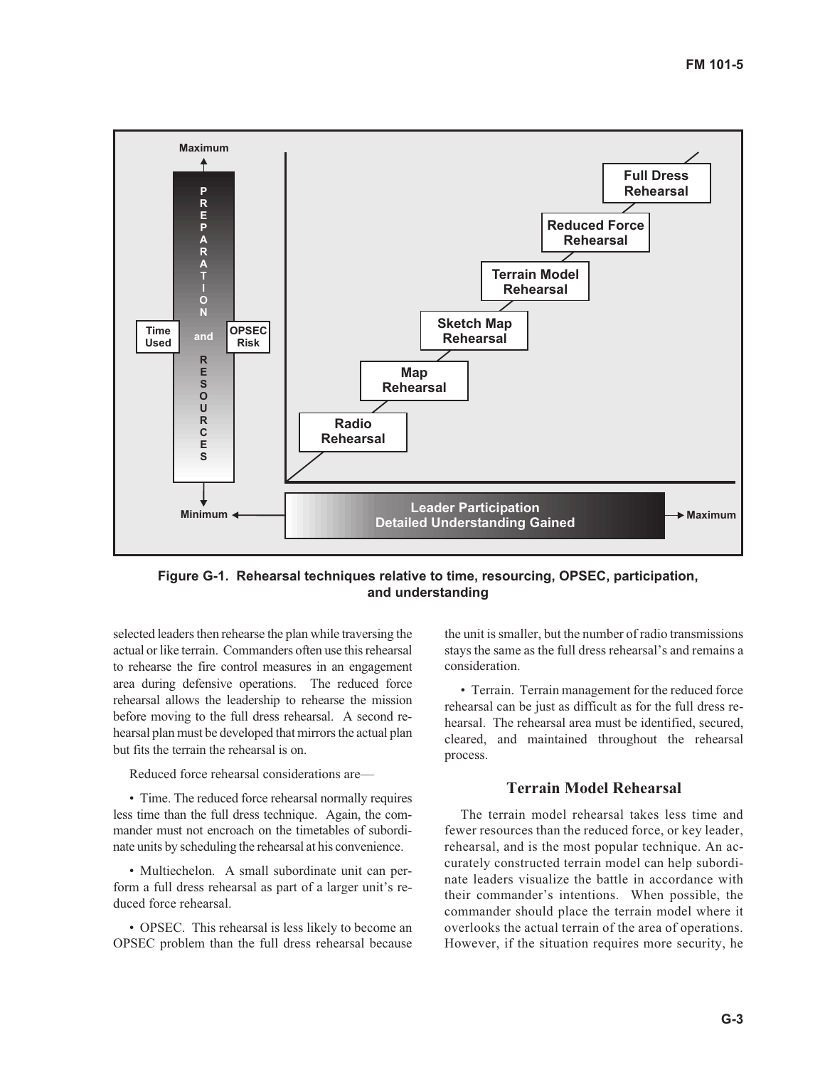

**Figure G-1. Rehearsal techniques relative to time, resourcing, OPSEC, participation, and understanding**

selected leaders then rehearse the plan while traversing the actual or like terrain. Commanders often use this rehearsal to rehearse the fire control measures in an engagement area during defensive operations. The reduced force rehearsal allows the leadership to rehearse the mission before moving to the full dress rehearsal. A second rehearsal plan must be developed that mirrors the actual plan but fits the terrain the rehearsal is on.

Reduced force rehearsal considerations are—

• Time. The reduced force rehearsal normally requires less time than the full dress technique. Again, the commander must not encroach on the timetables of subordinate units by scheduling the rehearsal at his convenience.

• Multiechelon. A small subordinate unit can perform a full dress rehearsal as part of a larger unit's reduced force rehearsal.

• OPSEC. This rehearsal is less likely to become an OPSEC problem than the full dress rehearsal because the unit is smaller, but the number of radio transmissions stays the same as the full dress rehearsal's and remains a consideration.

• Terrain. Terrain management for the reduced force rehearsal can be just as difficult as for the full dress rehearsal. The rehearsal area must be identified, secured, cleared, and maintained throughout the rehearsal process.

## **Terrain Model Rehearsal**

The terrain model rehearsal takes less time and fewer resources than the reduced force, or key leader, rehearsal, and is the most popular technique. An accurately constructed terrain model can help subordinate leaders visualize the battle in accordance with their commander's intentions. When possible, the commander should place the terrain model where it overlooks the actual terrain of the area of operations. However, if the situation requires more security, he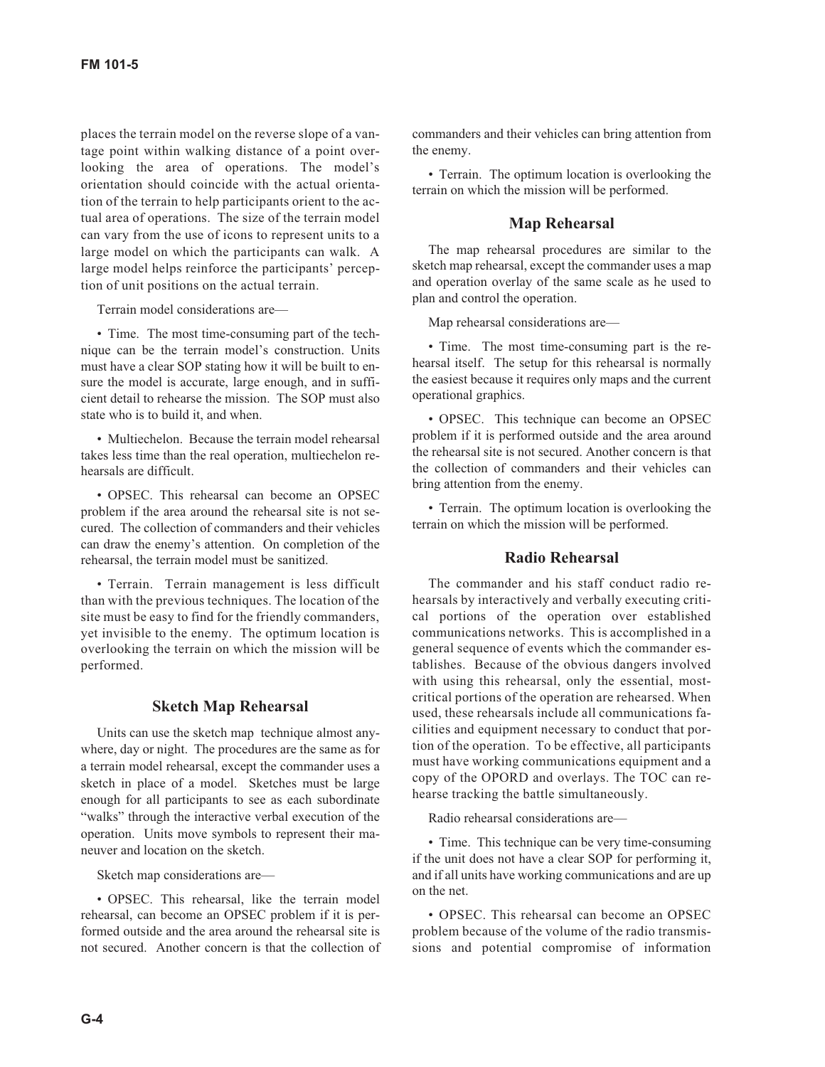places the terrain model on the reverse slope of a vantage point within walking distance of a point overlooking the area of operations. The model's orientation should coincide with the actual orientation of the terrain to help participants orient to the actual area of operations. The size of the terrain model can vary from the use of icons to represent units to a large model on which the participants can walk. A large model helps reinforce the participants' perception of unit positions on the actual terrain.

Terrain model considerations are—

• Time. The most time-consuming part of the technique can be the terrain model's construction. Units must have a clear SOP stating how it will be built to ensure the model is accurate, large enough, and in sufficient detail to rehearse the mission. The SOP must also state who is to build it, and when.

• Multiechelon. Because the terrain model rehearsal takes less time than the real operation, multiechelon rehearsals are difficult.

• OPSEC. This rehearsal can become an OPSEC problem if the area around the rehearsal site is not secured. The collection of commanders and their vehicles can draw the enemy's attention. On completion of the rehearsal, the terrain model must be sanitized.

• Terrain. Terrain management is less difficult than with the previous techniques. The location of the site must be easy to find for the friendly commanders, yet invisible to the enemy. The optimum location is overlooking the terrain on which the mission will be performed.

## **Sketch Map Rehearsal**

Units can use the sketch map technique almost anywhere, day or night. The procedures are the same as for a terrain model rehearsal, except the commander uses a sketch in place of a model. Sketches must be large enough for all participants to see as each subordinate "walks" through the interactive verbal execution of the operation. Units move symbols to represent their maneuver and location on the sketch.

Sketch map considerations are—

• OPSEC. This rehearsal, like the terrain model rehearsal, can become an OPSEC problem if it is performed outside and the area around the rehearsal site is not secured. Another concern is that the collection of commanders and their vehicles can bring attention from the enemy.

• Terrain. The optimum location is overlooking the terrain on which the mission will be performed.

### **Map Rehearsal**

The map rehearsal procedures are similar to the sketch map rehearsal, except the commander uses a map and operation overlay of the same scale as he used to plan and control the operation.

Map rehearsal considerations are—

• Time. The most time-consuming part is the rehearsal itself. The setup for this rehearsal is normally the easiest because it requires only maps and the current operational graphics.

• OPSEC. This technique can become an OPSEC problem if it is performed outside and the area around the rehearsal site is not secured. Another concern is that the collection of commanders and their vehicles can bring attention from the enemy.

• Terrain. The optimum location is overlooking the terrain on which the mission will be performed.

## **Radio Rehearsal**

The commander and his staff conduct radio rehearsals by interactively and verbally executing critical portions of the operation over established communications networks. This is accomplished in a general sequence of events which the commander establishes. Because of the obvious dangers involved with using this rehearsal, only the essential, mostcritical portions of the operation are rehearsed. When used, these rehearsals include all communications facilities and equipment necessary to conduct that portion of the operation. To be effective, all participants must have working communications equipment and a copy of the OPORD and overlays. The TOC can rehearse tracking the battle simultaneously.

Radio rehearsal considerations are—

• Time. This technique can be very time-consuming if the unit does not have a clear SOP for performing it, and if all units have working communications and are up on the net.

• OPSEC. This rehearsal can become an OPSEC problem because of the volume of the radio transmissions and potential compromise of information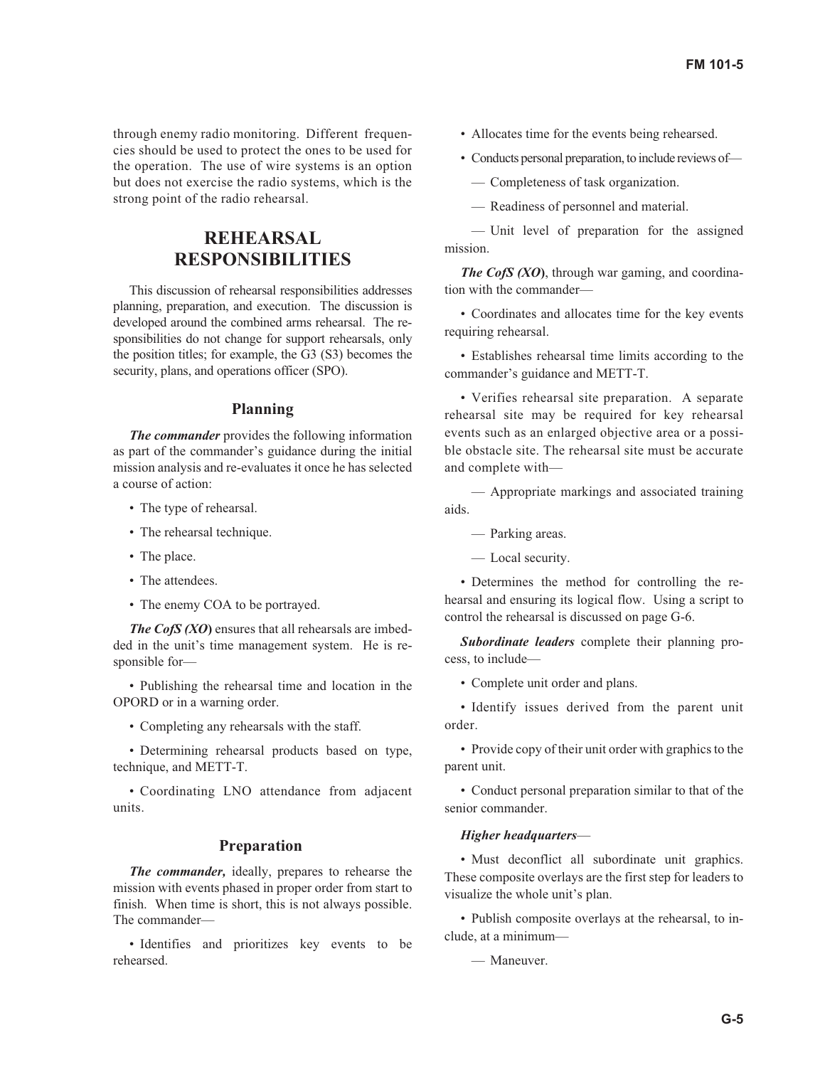through enemy radio monitoring. Different frequencies should be used to protect the ones to be used for the operation. The use of wire systems is an option but does not exercise the radio systems, which is the strong point of the radio rehearsal.

## **REHEARSAL RESPONSIBILITIES**

This discussion of rehearsal responsibilities addresses planning, preparation, and execution. The discussion is developed around the combined arms rehearsal. The responsibilities do not change for support rehearsals, only the position titles; for example, the G3 (S3) becomes the security, plans, and operations officer (SPO).

#### **Planning**

*The commander* provides the following information as part of the commander's guidance during the initial mission analysis and re-evaluates it once he has selected a course of action:

- The type of rehearsal.
- The rehearsal technique.
- The place.
- The attendees.
- The enemy COA to be portrayed.

*The CofS (XO***)** ensures that all rehearsals are imbedded in the unit's time management system. He is responsible for—

• Publishing the rehearsal time and location in the OPORD or in a warning order.

• Completing any rehearsals with the staff.

• Determining rehearsal products based on type, technique, and METT-T.

• Coordinating LNO attendance from adjacent units.

#### **Preparation**

*The commander,* ideally, prepares to rehearse the mission with events phased in proper order from start to finish. When time is short, this is not always possible. The commander—

• Identifies and prioritizes key events to be rehearsed.

- Allocates time for the events being rehearsed.
- Conducts personal preparation, to include reviews of-

— Completeness of task organization.

— Readiness of personnel and material.

— Unit level of preparation for the assigned mission.

*The CofS (XO***)**, through war gaming, and coordination with the commander—

• Coordinates and allocates time for the key events requiring rehearsal.

• Establishes rehearsal time limits according to the commander's guidance and METT-T.

• Verifies rehearsal site preparation. A separate rehearsal site may be required for key rehearsal events such as an enlarged objective area or a possible obstacle site. The rehearsal site must be accurate and complete with—

— Appropriate markings and associated training aids.

— Parking areas.

— Local security.

• Determines the method for controlling the rehearsal and ensuring its logical flow. Using a script to control the rehearsal is discussed on page G-6.

*Subordinate leaders* complete their planning process, to include—

• Complete unit order and plans.

• Identify issues derived from the parent unit order.

• Provide copy of their unit order with graphics to the parent unit.

• Conduct personal preparation similar to that of the senior commander.

#### *Higher headquarters*—

• Must deconflict all subordinate unit graphics. These composite overlays are the first step for leaders to visualize the whole unit's plan.

• Publish composite overlays at the rehearsal, to include, at a minimum—

— Maneuver.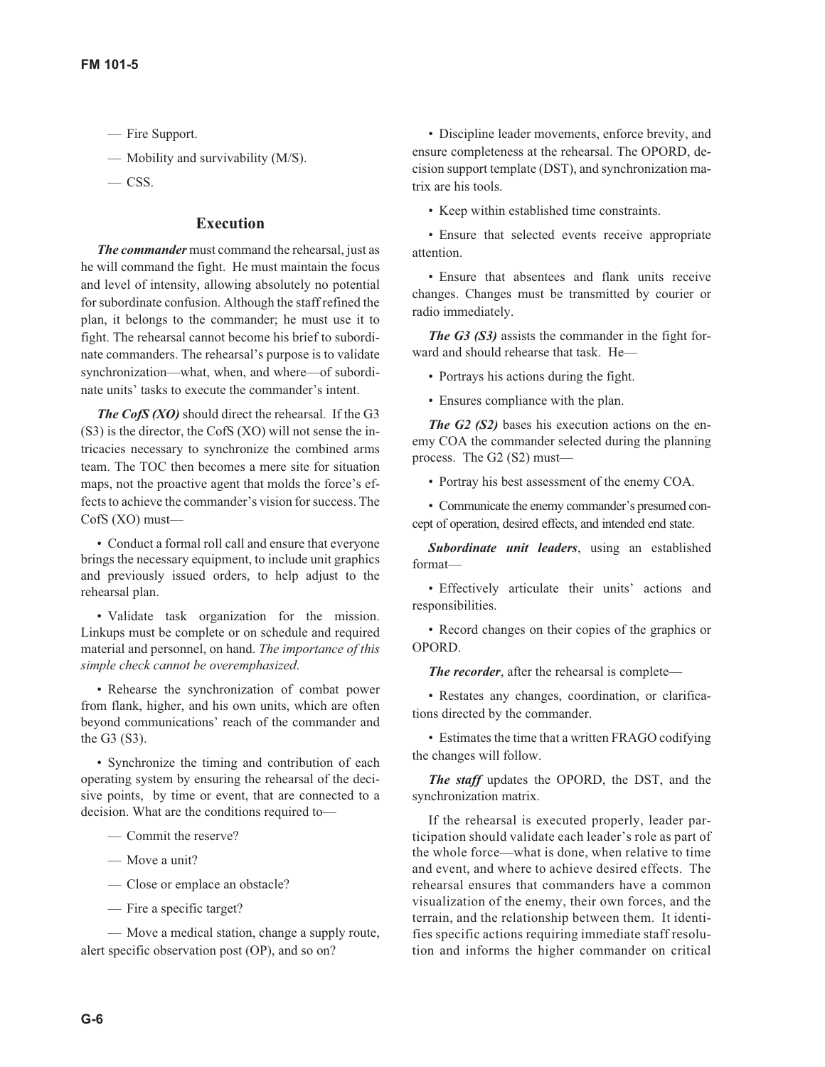— Fire Support.

— Mobility and survivability (M/S).

 $\sim$  CSS.

#### **Execution**

*The commander* must command the rehearsal, just as he will command the fight. He must maintain the focus and level of intensity, allowing absolutely no potential for subordinate confusion. Although the staff refined the plan, it belongs to the commander; he must use it to fight. The rehearsal cannot become his brief to subordinate commanders. The rehearsal's purpose is to validate synchronization—what, when, and where—of subordinate units' tasks to execute the commander's intent.

*The CofS (XO)* should direct the rehearsal. If the G3 (S3) is the director, the CofS (XO) will not sense the intricacies necessary to synchronize the combined arms team. The TOC then becomes a mere site for situation maps, not the proactive agent that molds the force's effects to achieve the commander's vision for success. The CofS (XO) must—

• Conduct a formal roll call and ensure that everyone brings the necessary equipment, to include unit graphics and previously issued orders, to help adjust to the rehearsal plan.

• Validate task organization for the mission. Linkups must be complete or on schedule and required material and personnel, on hand. *The importance of this simple check cannot be overemphasized*.

• Rehearse the synchronization of combat power from flank, higher, and his own units, which are often beyond communications' reach of the commander and the G3 (S3).

• Synchronize the timing and contribution of each operating system by ensuring the rehearsal of the decisive points, by time or event, that are connected to a decision. What are the conditions required to—

- Commit the reserve?
- Move a unit?
- Close or emplace an obstacle?
- Fire a specific target?

— Move a medical station, change a supply route, alert specific observation post (OP), and so on?

• Discipline leader movements, enforce brevity, and ensure completeness at the rehearsal. The OPORD, decision support template (DST), and synchronization matrix are his tools.

• Keep within established time constraints.

• Ensure that selected events receive appropriate attention.

• Ensure that absentees and flank units receive changes. Changes must be transmitted by courier or radio immediately.

*The G3 (S3)* assists the commander in the fight forward and should rehearse that task. He-

• Portrays his actions during the fight.

• Ensures compliance with the plan.

*The G2 (S2)* bases his execution actions on the enemy COA the commander selected during the planning process. The G2 (S2) must—

• Portray his best assessment of the enemy COA.

• Communicate the enemy commander's presumed concept of operation, desired effects, and intended end state.

*Subordinate unit leaders*, using an established format—

• Effectively articulate their units' actions and responsibilities.

• Record changes on their copies of the graphics or OPORD.

*The recorder*, after the rehearsal is complete—

• Restates any changes, coordination, or clarifications directed by the commander.

• Estimates the time that a written FRAGO codifying the changes will follow.

*The staff* updates the OPORD, the DST, and the synchronization matrix.

If the rehearsal is executed properly, leader participation should validate each leader's role as part of the whole force—what is done, when relative to time and event, and where to achieve desired effects. The rehearsal ensures that commanders have a common visualization of the enemy, their own forces, and the terrain, and the relationship between them. It identifies specific actions requiring immediate staff resolution and informs the higher commander on critical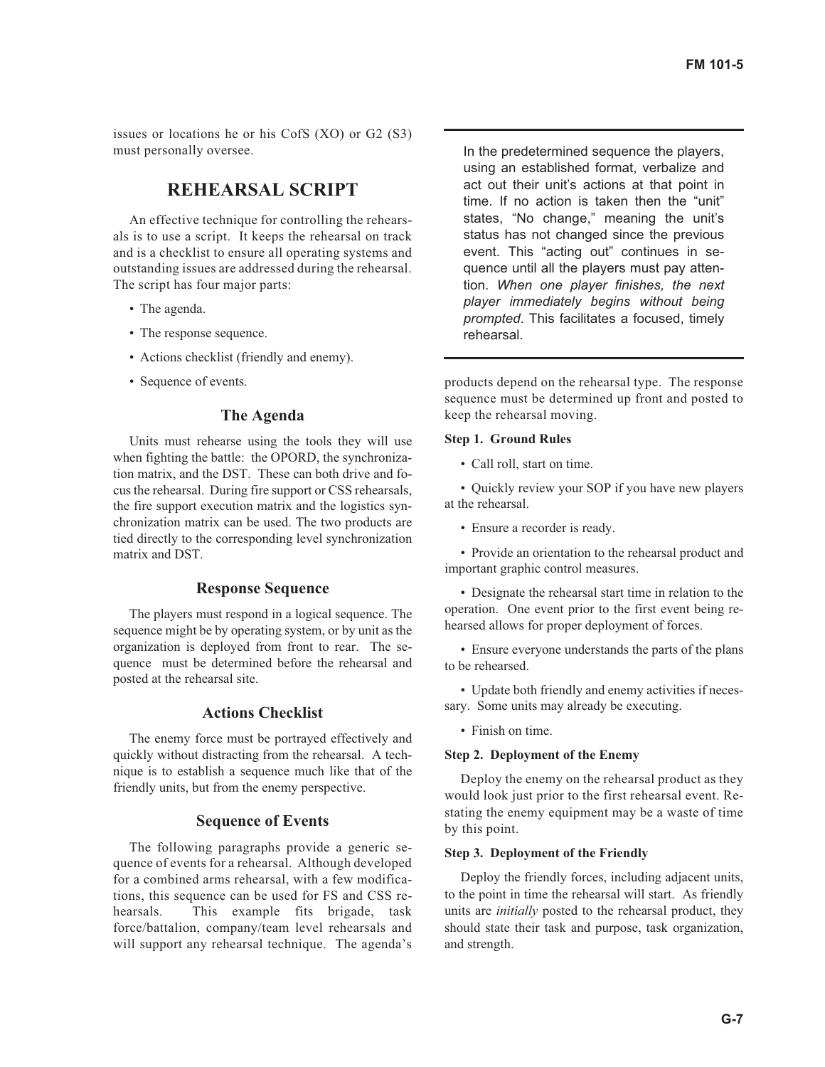issues or locations he or his CofS (XO) or G2 (S3) must personally oversee.

## **REHEARSAL SCRIPT**

An effective technique for controlling the rehearsals is to use a script. It keeps the rehearsal on track and is a checklist to ensure all operating systems and outstanding issues are addressed during the rehearsal. The script has four major parts:

- The agenda.
- The response sequence.
- Actions checklist (friendly and enemy).
- Sequence of events.

## **The Agenda**

Units must rehearse using the tools they will use when fighting the battle: the OPORD, the synchronization matrix, and the DST. These can both drive and focus the rehearsal. During fire support or CSS rehearsals, the fire support execution matrix and the logistics synchronization matrix can be used. The two products are tied directly to the corresponding level synchronization matrix and DST.

#### **Response Sequence**

The players must respond in a logical sequence. The sequence might be by operating system, or by unit as the organization is deployed from front to rear. The sequence must be determined before the rehearsal and posted at the rehearsal site.

## **Actions Checklist**

The enemy force must be portrayed effectively and quickly without distracting from the rehearsal. A technique is to establish a sequence much like that of the friendly units, but from the enemy perspective.

#### **Sequence of Events**

The following paragraphs provide a generic sequence of events for a rehearsal. Although developed for a combined arms rehearsal, with a few modifications, this sequence can be used for FS and CSS rehearsals. This example fits brigade, task force/battalion, company/team level rehearsals and will support any rehearsal technique. The agenda's

In the predetermined sequence the players, using an established format, verbalize and act out their unit's actions at that point in time. If no action is taken then the "unit" states, "No change," meaning the unit's status has not changed since the previous event. This "acting out" continues in sequence until all the players must pay attention. *When one player finishes, the next player immediately begins without being prompted*. This facilitates a focused, timely rehearsal.

products depend on the rehearsal type. The response sequence must be determined up front and posted to keep the rehearsal moving.

#### **Step 1. Ground Rules**

• Call roll, start on time.

• Quickly review your SOP if you have new players at the rehearsal.

• Ensure a recorder is ready.

• Provide an orientation to the rehearsal product and important graphic control measures.

• Designate the rehearsal start time in relation to the operation. One event prior to the first event being rehearsed allows for proper deployment of forces.

• Ensure everyone understands the parts of the plans to be rehearsed.

• Update both friendly and enemy activities if necessary. Some units may already be executing.

• Finish on time.

#### **Step 2. Deployment of the Enemy**

Deploy the enemy on the rehearsal product as they would look just prior to the first rehearsal event. Restating the enemy equipment may be a waste of time by this point.

#### **Step 3. Deployment of the Friendly**

Deploy the friendly forces, including adjacent units, to the point in time the rehearsal will start. As friendly units are *initially* posted to the rehearsal product, they should state their task and purpose, task organization, and strength.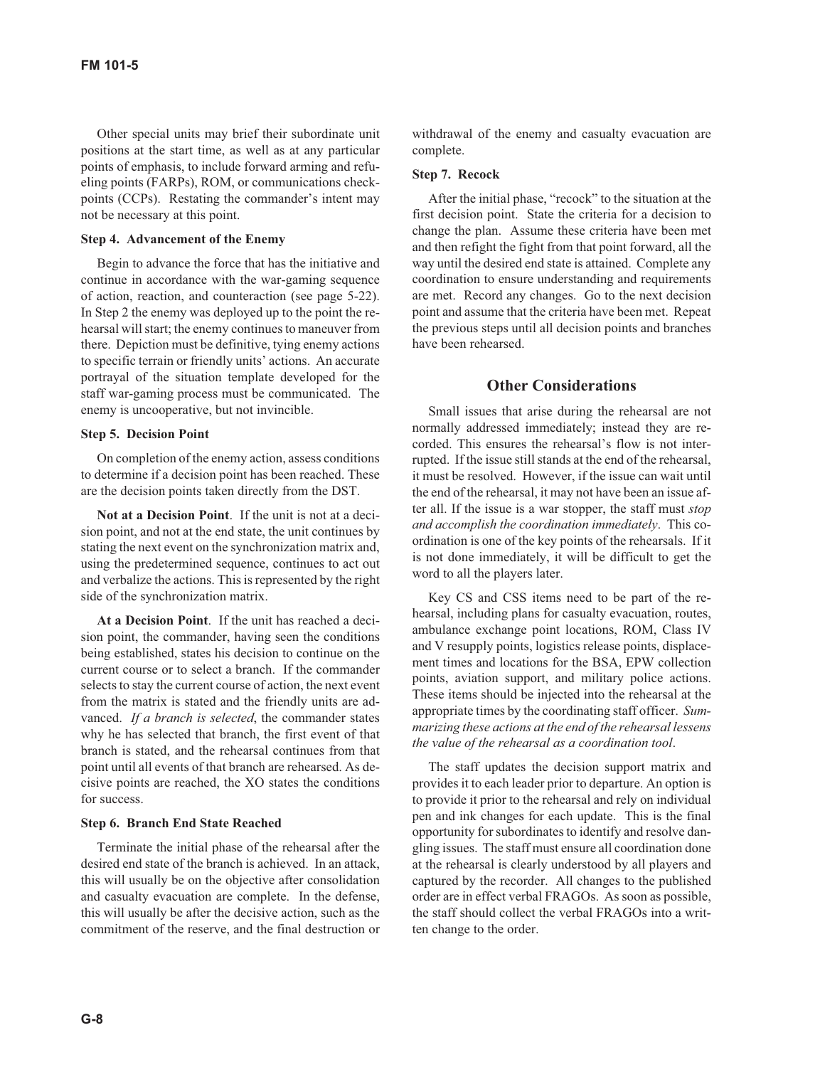Other special units may brief their subordinate unit positions at the start time, as well as at any particular points of emphasis, to include forward arming and refueling points (FARPs), ROM, or communications checkpoints (CCPs). Restating the commander's intent may not be necessary at this point.

#### **Step 4. Advancement of the Enemy**

Begin to advance the force that has the initiative and continue in accordance with the war-gaming sequence of action, reaction, and counteraction (see page 5-22). In Step 2 the enemy was deployed up to the point the rehearsal will start; the enemy continues to maneuver from there. Depiction must be definitive, tying enemy actions to specific terrain or friendly units' actions. An accurate portrayal of the situation template developed for the staff war-gaming process must be communicated. The enemy is uncooperative, but not invincible.

#### **Step 5. Decision Point**

On completion of the enemy action, assess conditions to determine if a decision point has been reached. These are the decision points taken directly from the DST.

**Not at a Decision Point**. If the unit is not at a decision point, and not at the end state, the unit continues by stating the next event on the synchronization matrix and, using the predetermined sequence, continues to act out and verbalize the actions. This is represented by the right side of the synchronization matrix.

**At a Decision Point**. If the unit has reached a decision point, the commander, having seen the conditions being established, states his decision to continue on the current course or to select a branch. If the commander selects to stay the current course of action, the next event from the matrix is stated and the friendly units are advanced. *If a branch is selected*, the commander states why he has selected that branch, the first event of that branch is stated, and the rehearsal continues from that point until all events of that branch are rehearsed. As decisive points are reached, the XO states the conditions for success.

#### **Step 6. Branch End State Reached**

Terminate the initial phase of the rehearsal after the desired end state of the branch is achieved. In an attack, this will usually be on the objective after consolidation and casualty evacuation are complete. In the defense, this will usually be after the decisive action, such as the commitment of the reserve, and the final destruction or withdrawal of the enemy and casualty evacuation are complete.

#### **Step 7. Recock**

After the initial phase, "recock" to the situation at the first decision point. State the criteria for a decision to change the plan. Assume these criteria have been met and then refight the fight from that point forward, all the way until the desired end state is attained. Complete any coordination to ensure understanding and requirements are met. Record any changes. Go to the next decision point and assume that the criteria have been met. Repeat the previous steps until all decision points and branches have been rehearsed.

## **Other Considerations**

Small issues that arise during the rehearsal are not normally addressed immediately; instead they are recorded. This ensures the rehearsal's flow is not interrupted. If the issue still stands at the end of the rehearsal, it must be resolved. However, if the issue can wait until the end of the rehearsal, it may not have been an issue after all. If the issue is a war stopper, the staff must *stop and accomplish the coordination immediately*. This coordination is one of the key points of the rehearsals. If it is not done immediately, it will be difficult to get the word to all the players later.

Key CS and CSS items need to be part of the rehearsal, including plans for casualty evacuation, routes, ambulance exchange point locations, ROM, Class IV and V resupply points, logistics release points, displacement times and locations for the BSA, EPW collection points, aviation support, and military police actions. These items should be injected into the rehearsal at the appropriate times by the coordinating staff officer. *Summarizing these actions at the end of the rehearsal lessens the value of the rehearsal as a coordination tool*.

The staff updates the decision support matrix and provides it to each leader prior to departure. An option is to provide it prior to the rehearsal and rely on individual pen and ink changes for each update. This is the final opportunity for subordinates to identify and resolve dangling issues. The staff must ensure all coordination done at the rehearsal is clearly understood by all players and captured by the recorder. All changes to the published order are in effect verbal FRAGOs. As soon as possible, the staff should collect the verbal FRAGOs into a written change to the order.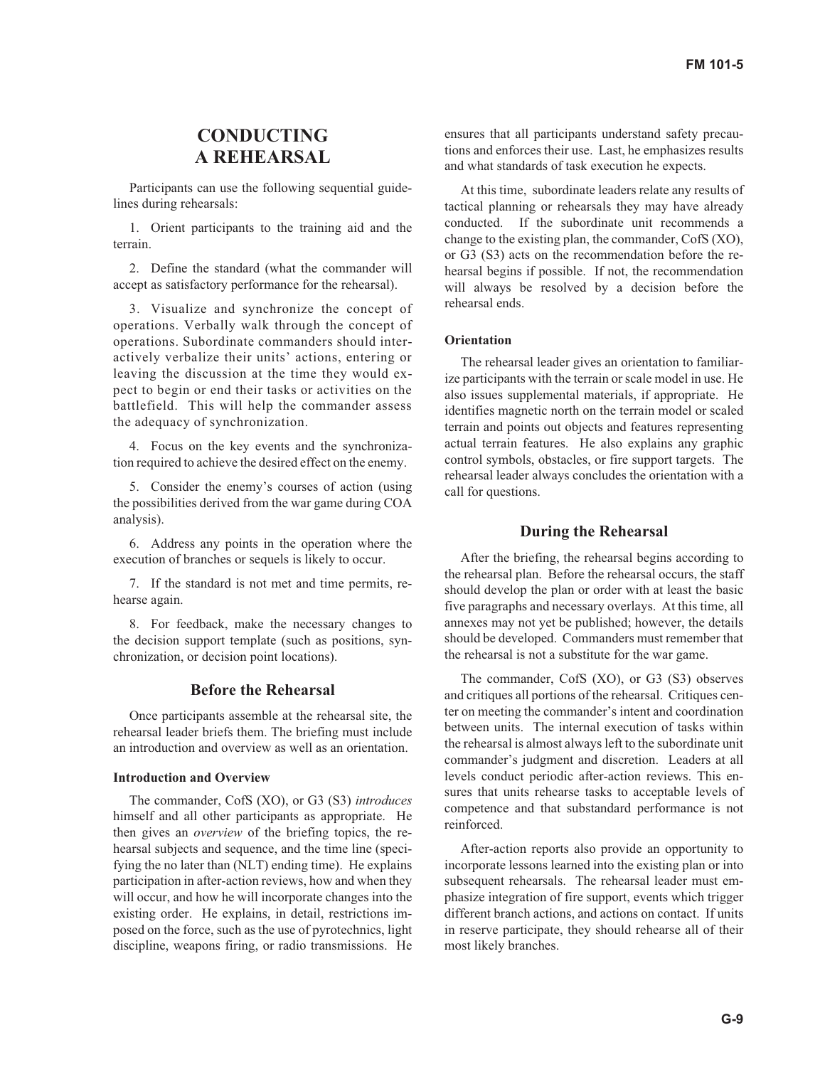# **CONDUCTING A REHEARSAL**

Participants can use the following sequential guidelines during rehearsals:

1. Orient participants to the training aid and the terrain.

2. Define the standard (what the commander will accept as satisfactory performance for the rehearsal).

3. Visualize and synchronize the concept of operations. Verbally walk through the concept of operations. Subordinate commanders should interactively verbalize their units' actions, entering or leaving the discussion at the time they would expect to begin or end their tasks or activities on the battlefield. This will help the commander assess the adequacy of synchronization.

4. Focus on the key events and the synchronization required to achieve the desired effect on the enemy.

5. Consider the enemy's courses of action (using the possibilities derived from the war game during COA analysis).

6. Address any points in the operation where the execution of branches or sequels is likely to occur.

7. If the standard is not met and time permits, rehearse again.

8. For feedback, make the necessary changes to the decision support template (such as positions, synchronization, or decision point locations).

#### **Before the Rehearsal**

Once participants assemble at the rehearsal site, the rehearsal leader briefs them. The briefing must include an introduction and overview as well as an orientation.

#### **Introduction and Overview**

The commander, CofS (XO), or G3 (S3) *introduces* himself and all other participants as appropriate. He then gives an *overview* of the briefing topics, the rehearsal subjects and sequence, and the time line (specifying the no later than (NLT) ending time). He explains participation in after-action reviews, how and when they will occur, and how he will incorporate changes into the existing order. He explains, in detail, restrictions imposed on the force, such as the use of pyrotechnics, light discipline, weapons firing, or radio transmissions. He

ensures that all participants understand safety precautions and enforces their use. Last, he emphasizes results and what standards of task execution he expects.

At this time, subordinate leaders relate any results of tactical planning or rehearsals they may have already conducted. If the subordinate unit recommends a change to the existing plan, the commander, CofS (XO), or G3 (S3) acts on the recommendation before the rehearsal begins if possible. If not, the recommendation will always be resolved by a decision before the rehearsal ends.

#### **Orientation**

The rehearsal leader gives an orientation to familiarize participants with the terrain or scale model in use. He also issues supplemental materials, if appropriate. He identifies magnetic north on the terrain model or scaled terrain and points out objects and features representing actual terrain features. He also explains any graphic control symbols, obstacles, or fire support targets. The rehearsal leader always concludes the orientation with a call for questions.

#### **During the Rehearsal**

After the briefing, the rehearsal begins according to the rehearsal plan. Before the rehearsal occurs, the staff should develop the plan or order with at least the basic five paragraphs and necessary overlays. At this time, all annexes may not yet be published; however, the details should be developed. Commanders must remember that the rehearsal is not a substitute for the war game.

The commander, CofS (XO), or G3 (S3) observes and critiques all portions of the rehearsal. Critiques center on meeting the commander's intent and coordination between units. The internal execution of tasks within the rehearsal is almost always left to the subordinate unit commander's judgment and discretion. Leaders at all levels conduct periodic after-action reviews. This ensures that units rehearse tasks to acceptable levels of competence and that substandard performance is not reinforced.

After-action reports also provide an opportunity to incorporate lessons learned into the existing plan or into subsequent rehearsals. The rehearsal leader must emphasize integration of fire support, events which trigger different branch actions, and actions on contact. If units in reserve participate, they should rehearse all of their most likely branches.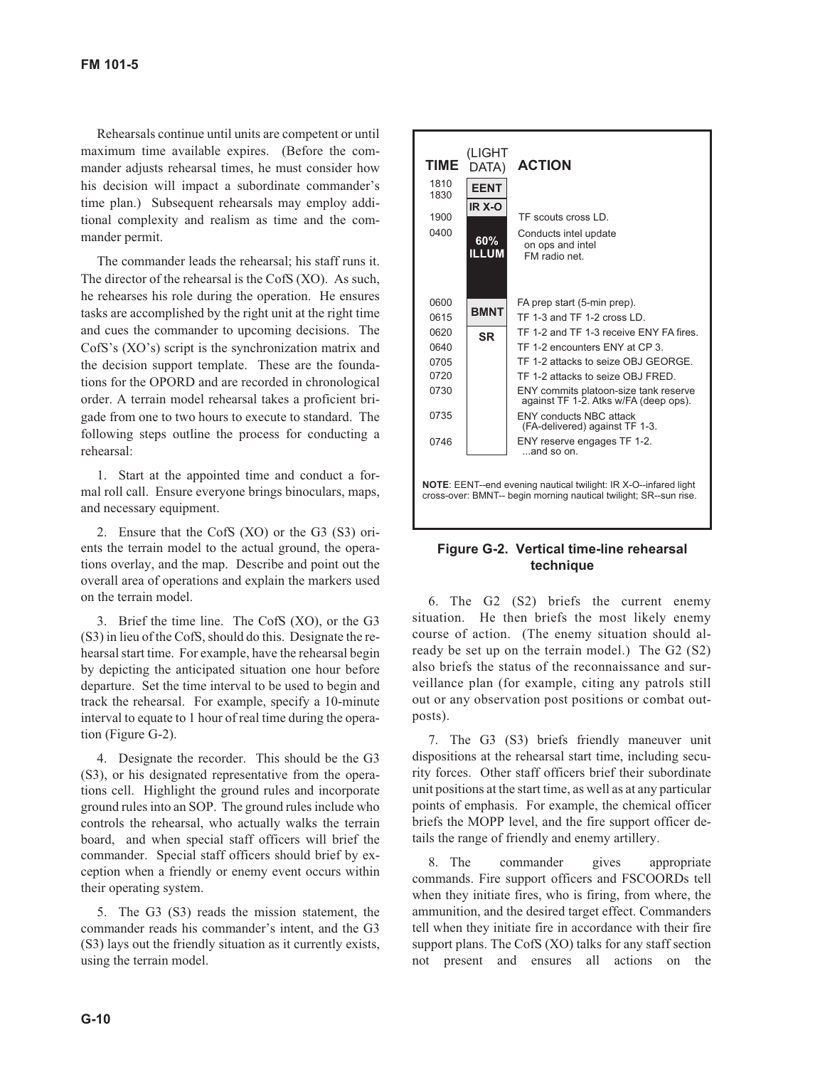Rehearsals continue until units are competent or until maximum time available expires. (Before the commander adjusts rehearsal times, he must consider how his decision will impact a subordinate commander's time plan.) Subsequent rehearsals may employ additional complexity and realism as time and the commander permit.

The commander leads the rehearsal; his staff runs it. The director of the rehearsal is the CofS (XO). As such, he rehearses his role during the operation. He ensures tasks are accomplished by the right unit at the right time and cues the commander to upcoming decisions. The CofS's (XO's) script is the synchronization matrix and the decision support template. These are the foundations for the OPORD and are recorded in chronological order. A terrain model rehearsal takes a proficient brigade from one to two hours to execute to standard. The following steps outline the process for conducting a rehearsal:

1. Start at the appointed time and conduct a formal roll call. Ensure everyone brings binoculars, maps, and necessary equipment.

2. Ensure that the CofS (XO) or the G3 (S3) orients the terrain model to the actual ground, the operations overlay, and the map. Describe and point out the overall area of operations and explain the markers used on the terrain model.

3. Brief the time line. The CofS (XO), or the G3 (S3) in lieu of the CofS, should do this. Designate the rehearsal start time. For example, have the rehearsal begin by depicting the anticipated situation one hour before departure. Set the time interval to be used to begin and track the rehearsal. For example, specify a 10-minute interval to equate to 1 hour of real time during the operation (Figure G-2).

4. Designate the recorder. This should be the G3 (S3), or his designated representative from the operations cell. Highlight the ground rules and incorporate ground rules into an SOP. The ground rules include who controls the rehearsal, who actually walks the terrain board, and when special staff officers will brief the commander. Special staff officers should brief by exception when a friendly or enemy event occurs within their operating system.

5. The G3 (S3) reads the mission statement, the commander reads his commander's intent, and the G3 (S3) lays out the friendly situation as it currently exists, using the terrain model.



## **Figure G-2. Vertical time-line rehearsal technique**

6. The G2 (S2) briefs the current enemy situation. He then briefs the most likely enemy course of action. (The enemy situation should already be set up on the terrain model.) The G2 (S2) also briefs the status of the reconnaissance and surveillance plan (for example, citing any patrols still out or any observation post positions or combat outposts).

7. The G3 (S3) briefs friendly maneuver unit dispositions at the rehearsal start time, including security forces. Other staff officers brief their subordinate unit positions at the start time, as well as at any particular points of emphasis. For example, the chemical officer briefs the MOPP level, and the fire support officer details the range of friendly and enemy artillery.

8. The commander gives appropriate commands. Fire support officers and FSCOORDs tell when they initiate fires, who is firing, from where, the ammunition, and the desired target effect. Commanders tell when they initiate fire in accordance with their fire support plans. The CofS (XO) talks for any staff section not present and ensures all actions on the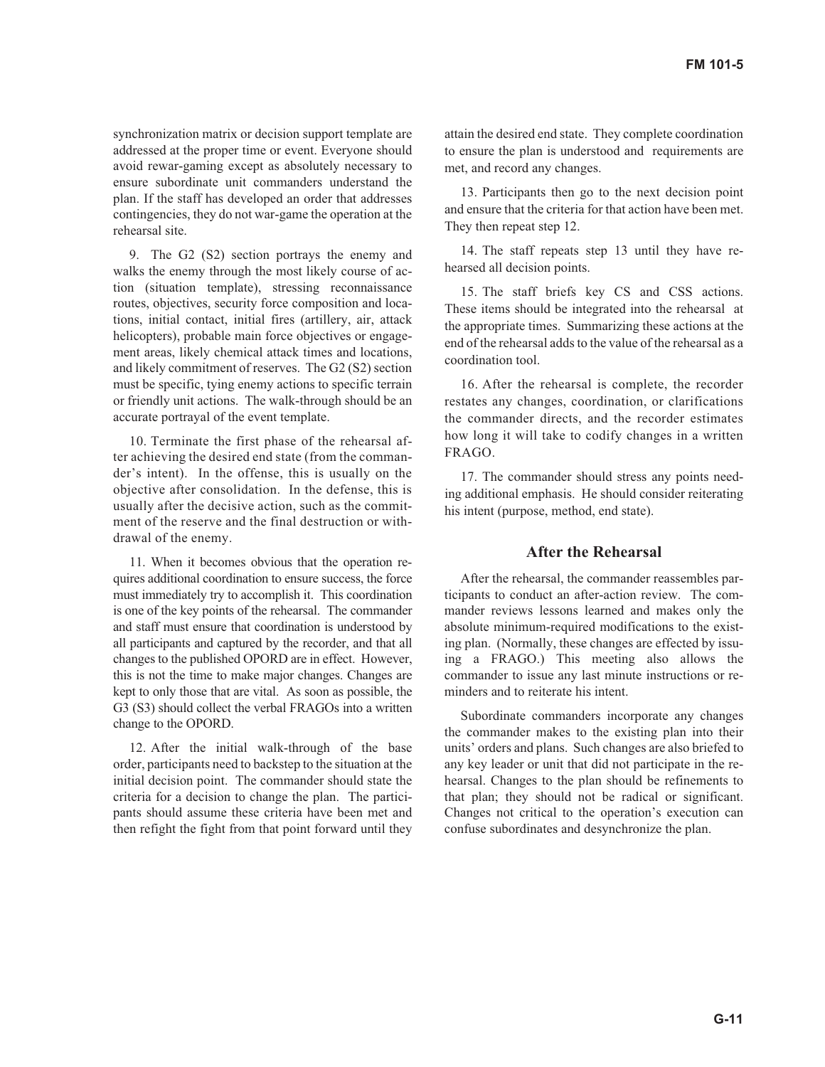synchronization matrix or decision support template are addressed at the proper time or event. Everyone should avoid rewar-gaming except as absolutely necessary to ensure subordinate unit commanders understand the plan. If the staff has developed an order that addresses contingencies, they do not war-game the operation at the rehearsal site.

9. The G2 (S2) section portrays the enemy and walks the enemy through the most likely course of action (situation template), stressing reconnaissance routes, objectives, security force composition and locations, initial contact, initial fires (artillery, air, attack helicopters), probable main force objectives or engagement areas, likely chemical attack times and locations, and likely commitment of reserves. The G2 (S2) section must be specific, tying enemy actions to specific terrain or friendly unit actions. The walk-through should be an accurate portrayal of the event template.

10. Terminate the first phase of the rehearsal after achieving the desired end state (from the commander's intent). In the offense, this is usually on the objective after consolidation. In the defense, this is usually after the decisive action, such as the commitment of the reserve and the final destruction or withdrawal of the enemy.

11. When it becomes obvious that the operation requires additional coordination to ensure success, the force must immediately try to accomplish it. This coordination is one of the key points of the rehearsal. The commander and staff must ensure that coordination is understood by all participants and captured by the recorder, and that all changes to the published OPORD are in effect. However, this is not the time to make major changes. Changes are kept to only those that are vital. As soon as possible, the G3 (S3) should collect the verbal FRAGOs into a written change to the OPORD.

12. After the initial walk-through of the base order, participants need to backstep to the situation at the initial decision point. The commander should state the criteria for a decision to change the plan. The participants should assume these criteria have been met and then refight the fight from that point forward until they attain the desired end state. They complete coordination to ensure the plan is understood and requirements are met, and record any changes.

13. Participants then go to the next decision point and ensure that the criteria for that action have been met. They then repeat step 12.

14. The staff repeats step 13 until they have rehearsed all decision points.

15. The staff briefs key CS and CSS actions. These items should be integrated into the rehearsal at the appropriate times. Summarizing these actions at the end of the rehearsal adds to the value of the rehearsal as a coordination tool.

16. After the rehearsal is complete, the recorder restates any changes, coordination, or clarifications the commander directs, and the recorder estimates how long it will take to codify changes in a written FRAGO.

17. The commander should stress any points needing additional emphasis. He should consider reiterating his intent (purpose, method, end state).

## **After the Rehearsal**

After the rehearsal, the commander reassembles participants to conduct an after-action review. The commander reviews lessons learned and makes only the absolute minimum-required modifications to the existing plan. (Normally, these changes are effected by issuing a FRAGO.) This meeting also allows the commander to issue any last minute instructions or reminders and to reiterate his intent.

Subordinate commanders incorporate any changes the commander makes to the existing plan into their units' orders and plans. Such changes are also briefed to any key leader or unit that did not participate in the rehearsal. Changes to the plan should be refinements to that plan; they should not be radical or significant. Changes not critical to the operation's execution can confuse subordinates and desynchronize the plan.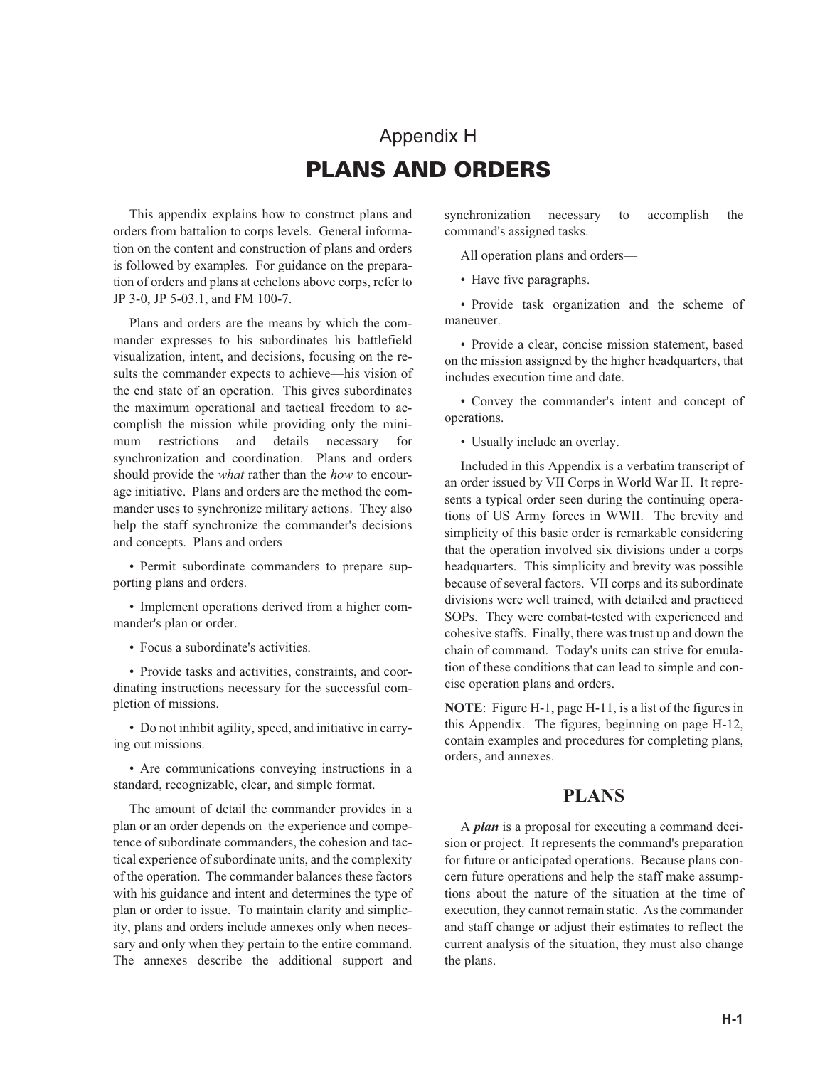# Appendix H **PLANS AND ORDERS**

This appendix explains how to construct plans and orders from battalion to corps levels. General information on the content and construction of plans and orders is followed by examples. For guidance on the preparation of orders and plans at echelons above corps, refer to JP 3-0, JP 5-03.1, and FM 100-7.

Plans and orders are the means by which the commander expresses to his subordinates his battlefield visualization, intent, and decisions, focusing on the results the commander expects to achieve—his vision of the end state of an operation. This gives subordinates the maximum operational and tactical freedom to accomplish the mission while providing only the minimum restrictions and details necessary for synchronization and coordination. Plans and orders should provide the *what* rather than the *how* to encourage initiative. Plans and orders are the method the commander uses to synchronize military actions. They also help the staff synchronize the commander's decisions and concepts. Plans and orders—

• Permit subordinate commanders to prepare supporting plans and orders.

• Implement operations derived from a higher commander's plan or order.

• Focus a subordinate's activities.

• Provide tasks and activities, constraints, and coordinating instructions necessary for the successful completion of missions.

• Do not inhibit agility, speed, and initiative in carrying out missions.

• Are communications conveying instructions in a standard, recognizable, clear, and simple format.

The amount of detail the commander provides in a plan or an order depends on the experience and competence of subordinate commanders, the cohesion and tactical experience of subordinate units, and the complexity of the operation. The commander balances these factors with his guidance and intent and determines the type of plan or order to issue. To maintain clarity and simplicity, plans and orders include annexes only when necessary and only when they pertain to the entire command. The annexes describe the additional support and

synchronization necessary to accomplish the command's assigned tasks.

All operation plans and orders—

• Have five paragraphs.

• Provide task organization and the scheme of maneuver.

• Provide a clear, concise mission statement, based on the mission assigned by the higher headquarters, that includes execution time and date.

• Convey the commander's intent and concept of operations.

• Usually include an overlay.

Included in this Appendix is a verbatim transcript of an order issued by VII Corps in World War II. It represents a typical order seen during the continuing operations of US Army forces in WWII. The brevity and simplicity of this basic order is remarkable considering that the operation involved six divisions under a corps headquarters. This simplicity and brevity was possible because of several factors. VII corps and its subordinate divisions were well trained, with detailed and practiced SOPs. They were combat-tested with experienced and cohesive staffs. Finally, there was trust up and down the chain of command. Today's units can strive for emulation of these conditions that can lead to simple and concise operation plans and orders.

**NOTE**: Figure H-1, page H-11, is a list of the figures in this Appendix. The figures, beginning on page H-12, contain examples and procedures for completing plans, orders, and annexes.

## **PLANS**

A *plan* is a proposal for executing a command decision or project. It represents the command's preparation for future or anticipated operations. Because plans concern future operations and help the staff make assumptions about the nature of the situation at the time of execution, they cannot remain static. As the commander and staff change or adjust their estimates to reflect the current analysis of the situation, they must also change the plans.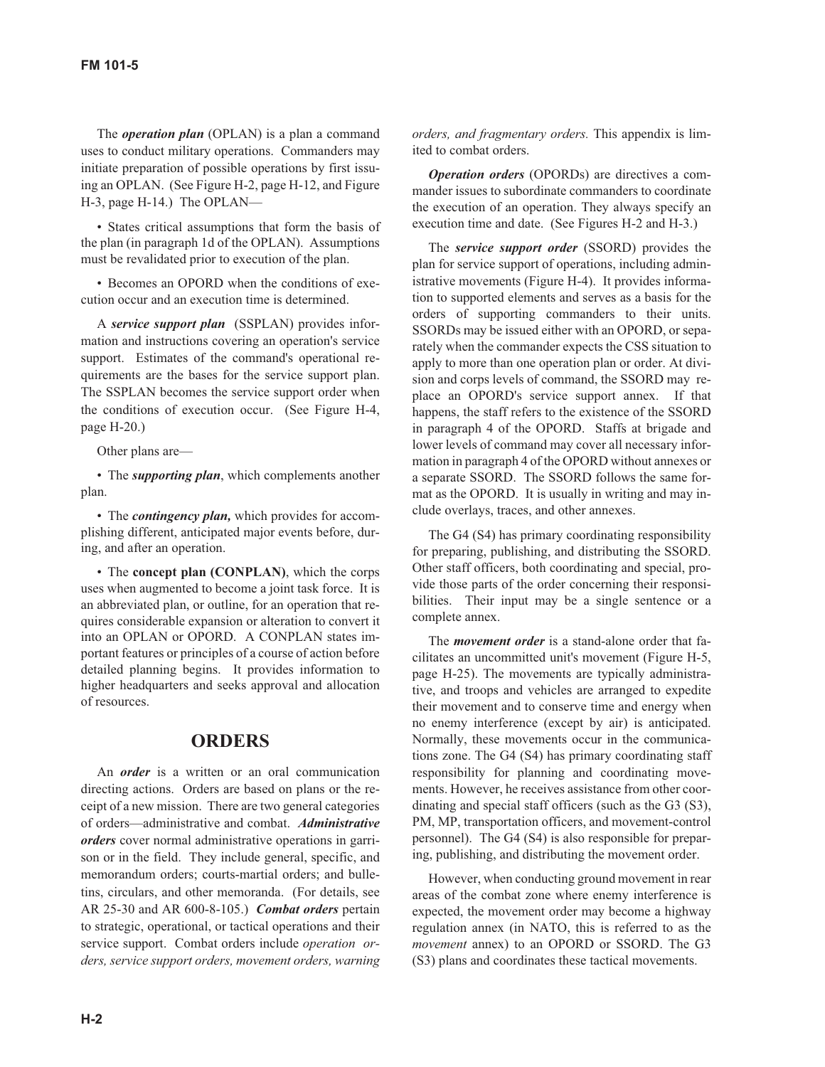The *operation plan* (OPLAN) is a plan a command uses to conduct military operations. Commanders may initiate preparation of possible operations by first issuing an OPLAN. (See Figure H-2, page H-12, and Figure H-3, page H-14.) The OPLAN—

• States critical assumptions that form the basis of the plan (in paragraph 1d of the OPLAN). Assumptions must be revalidated prior to execution of the plan.

• Becomes an OPORD when the conditions of execution occur and an execution time is determined.

A *service support plan* (SSPLAN) provides information and instructions covering an operation's service support. Estimates of the command's operational requirements are the bases for the service support plan. The SSPLAN becomes the service support order when the conditions of execution occur. (See Figure H-4, page H-20.)

Other plans are—

• The *supporting plan*, which complements another plan.

• The *contingency plan,* which provides for accomplishing different, anticipated major events before, during, and after an operation.

• The **concept plan (CONPLAN)**, which the corps uses when augmented to become a joint task force. It is an abbreviated plan, or outline, for an operation that requires considerable expansion or alteration to convert it into an OPLAN or OPORD. A CONPLAN states important features or principles of a course of action before detailed planning begins. It provides information to higher headquarters and seeks approval and allocation of resources.

## **ORDERS**

An *order* is a written or an oral communication directing actions. Orders are based on plans or the receipt of a new mission. There are two general categories of orders—administrative and combat. *Administrative orders* cover normal administrative operations in garrison or in the field. They include general, specific, and memorandum orders; courts-martial orders; and bulletins, circulars, and other memoranda. (For details, see AR 25-30 and AR 600-8-105.) *Combat orders* pertain to strategic, operational, or tactical operations and their service support. Combat orders include *operation orders, service support orders, movement orders, warning* *orders, and fragmentary orders.* This appendix is limited to combat orders.

*Operation orders* (OPORDs) are directives a commander issues to subordinate commanders to coordinate the execution of an operation. They always specify an execution time and date. (See Figures H-2 and H-3.)

The *service support order* (SSORD) provides the plan for service support of operations, including administrative movements (Figure H-4). It provides information to supported elements and serves as a basis for the orders of supporting commanders to their units. SSORDs may be issued either with an OPORD, or separately when the commander expects the CSS situation to apply to more than one operation plan or order. At division and corps levels of command, the SSORD may replace an OPORD's service support annex. If that happens, the staff refers to the existence of the SSORD in paragraph 4 of the OPORD. Staffs at brigade and lower levels of command may cover all necessary information in paragraph 4 of the OPORD without annexes or a separate SSORD. The SSORD follows the same format as the OPORD. It is usually in writing and may include overlays, traces, and other annexes.

The G4 (S4) has primary coordinating responsibility for preparing, publishing, and distributing the SSORD. Other staff officers, both coordinating and special, provide those parts of the order concerning their responsibilities. Their input may be a single sentence or a complete annex.

The *movement order* is a stand-alone order that facilitates an uncommitted unit's movement (Figure H-5, page H-25). The movements are typically administrative, and troops and vehicles are arranged to expedite their movement and to conserve time and energy when no enemy interference (except by air) is anticipated. Normally, these movements occur in the communications zone. The G4 (S4) has primary coordinating staff responsibility for planning and coordinating movements. However, he receives assistance from other coordinating and special staff officers (such as the G3 (S3), PM, MP, transportation officers, and movement-control personnel). The G4 (S4) is also responsible for preparing, publishing, and distributing the movement order.

However, when conducting ground movement in rear areas of the combat zone where enemy interference is expected, the movement order may become a highway regulation annex (in NATO, this is referred to as the *movement* annex) to an OPORD or SSORD. The G3 (S3) plans and coordinates these tactical movements.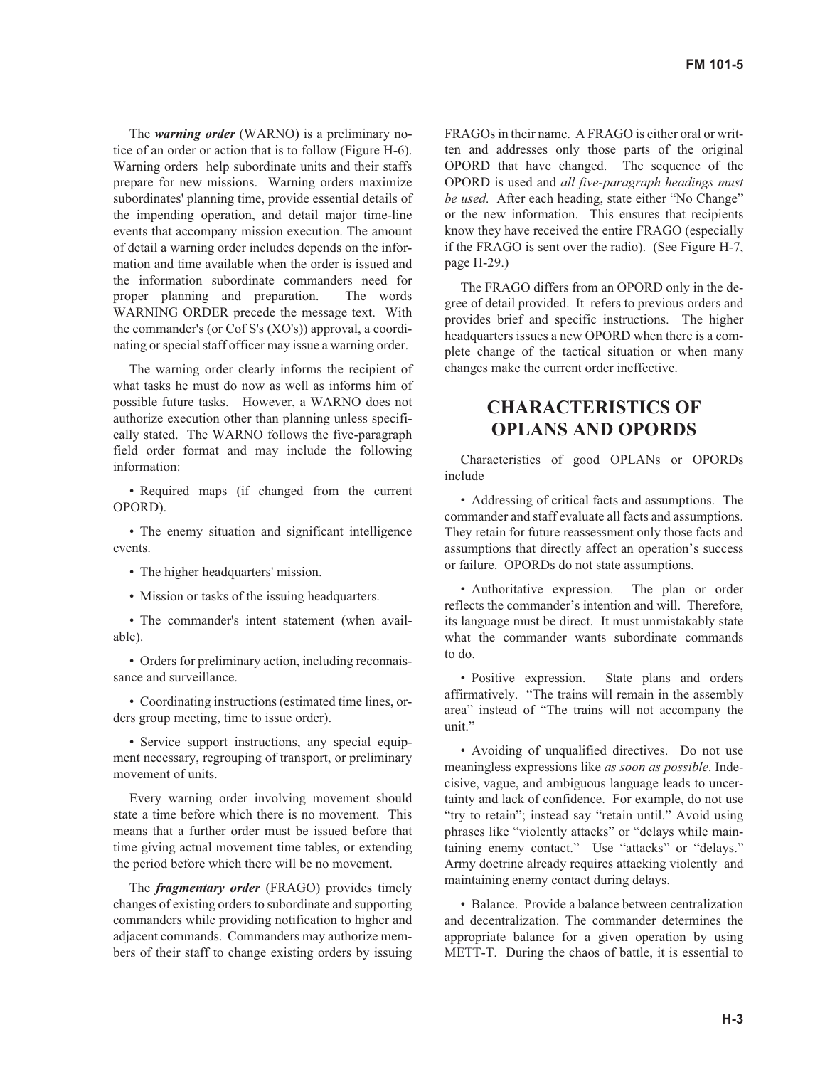The *warning order* (WARNO) is a preliminary notice of an order or action that is to follow (Figure H-6). Warning orders help subordinate units and their staffs prepare for new missions. Warning orders maximize subordinates' planning time, provide essential details of the impending operation, and detail major time-line events that accompany mission execution. The amount of detail a warning order includes depends on the information and time available when the order is issued and the information subordinate commanders need for proper planning and preparation. The words WARNING ORDER precede the message text. With the commander's (or Cof S's (XO's)) approval, a coordinating or special staff officer may issue a warning order.

The warning order clearly informs the recipient of what tasks he must do now as well as informs him of possible future tasks. However, a WARNO does not authorize execution other than planning unless specifically stated. The WARNO follows the five-paragraph field order format and may include the following information:

• Required maps (if changed from the current OPORD).

• The enemy situation and significant intelligence events.

- The higher headquarters' mission.
- Mission or tasks of the issuing headquarters.

• The commander's intent statement (when available).

• Orders for preliminary action, including reconnaissance and surveillance.

• Coordinating instructions (estimated time lines, orders group meeting, time to issue order).

• Service support instructions, any special equipment necessary, regrouping of transport, or preliminary movement of units.

Every warning order involving movement should state a time before which there is no movement. This means that a further order must be issued before that time giving actual movement time tables, or extending the period before which there will be no movement.

The *fragmentary order* (FRAGO) provides timely changes of existing orders to subordinate and supporting commanders while providing notification to higher and adjacent commands. Commanders may authorize members of their staff to change existing orders by issuing FRAGOs in their name. A FRAGO is either oral or written and addresses only those parts of the original OPORD that have changed. The sequence of the OPORD is used and *all five-paragraph headings must be used*. After each heading, state either "No Change" or the new information. This ensures that recipients know they have received the entire FRAGO (especially if the FRAGO is sent over the radio). (See Figure H-7, page H-29.)

The FRAGO differs from an OPORD only in the degree of detail provided. It refers to previous orders and provides brief and specific instructions. The higher headquarters issues a new OPORD when there is a complete change of the tactical situation or when many changes make the current order ineffective.

# **CHARACTERISTICS OF OPLANS AND OPORDS**

Characteristics of good OPLANs or OPORDs include—

• Addressing of critical facts and assumptions. The commander and staff evaluate all facts and assumptions. They retain for future reassessment only those facts and assumptions that directly affect an operation's success or failure. OPORDs do not state assumptions.

• Authoritative expression. The plan or order reflects the commander's intention and will. Therefore, its language must be direct. It must unmistakably state what the commander wants subordinate commands to do.

• Positive expression. State plans and orders affirmatively. "The trains will remain in the assembly area" instead of "The trains will not accompany the unit."

• Avoiding of unqualified directives. Do not use meaningless expressions like *as soon as possible*. Indecisive, vague, and ambiguous language leads to uncertainty and lack of confidence. For example, do not use "try to retain"; instead say "retain until." Avoid using phrases like "violently attacks" or "delays while maintaining enemy contact." Use "attacks" or "delays." Army doctrine already requires attacking violently and maintaining enemy contact during delays.

• Balance. Provide a balance between centralization and decentralization. The commander determines the appropriate balance for a given operation by using METT-T. During the chaos of battle, it is essential to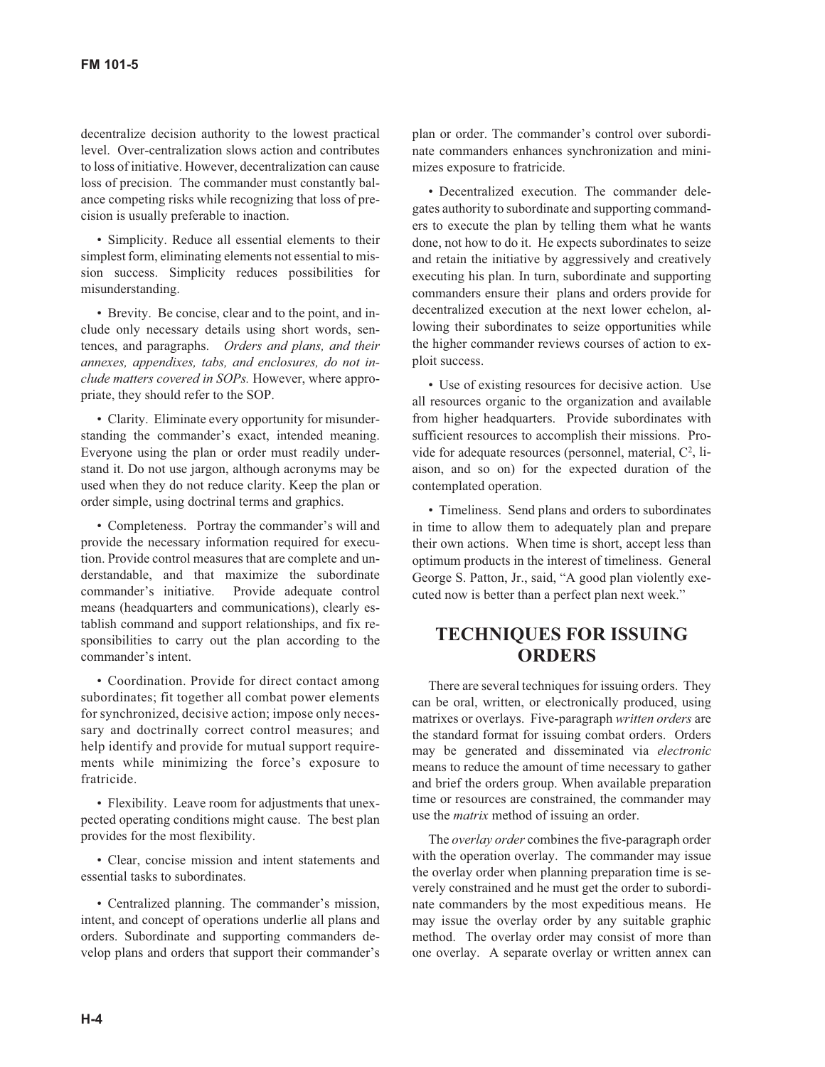decentralize decision authority to the lowest practical level. Over-centralization slows action and contributes to loss of initiative. However, decentralization can cause loss of precision. The commander must constantly balance competing risks while recognizing that loss of precision is usually preferable to inaction.

• Simplicity. Reduce all essential elements to their simplest form, eliminating elements not essential to mission success. Simplicity reduces possibilities for misunderstanding.

• Brevity. Be concise, clear and to the point, and include only necessary details using short words, sentences, and paragraphs. *Orders and plans, and their annexes, appendixes, tabs, and enclosures, do not include matters covered in SOPs.* However, where appropriate, they should refer to the SOP.

• Clarity. Eliminate every opportunity for misunderstanding the commander's exact, intended meaning. Everyone using the plan or order must readily understand it. Do not use jargon, although acronyms may be used when they do not reduce clarity. Keep the plan or order simple, using doctrinal terms and graphics.

• Completeness. Portray the commander's will and provide the necessary information required for execution. Provide control measures that are complete and understandable, and that maximize the subordinate commander's initiative. Provide adequate control means (headquarters and communications), clearly establish command and support relationships, and fix responsibilities to carry out the plan according to the commander's intent.

• Coordination. Provide for direct contact among subordinates; fit together all combat power elements for synchronized, decisive action; impose only necessary and doctrinally correct control measures; and help identify and provide for mutual support requirements while minimizing the force's exposure to fratricide.

• Flexibility. Leave room for adjustments that unexpected operating conditions might cause. The best plan provides for the most flexibility.

• Clear, concise mission and intent statements and essential tasks to subordinates.

• Centralized planning. The commander's mission, intent, and concept of operations underlie all plans and orders. Subordinate and supporting commanders develop plans and orders that support their commander's plan or order. The commander's control over subordinate commanders enhances synchronization and minimizes exposure to fratricide.

• Decentralized execution. The commander delegates authority to subordinate and supporting commanders to execute the plan by telling them what he wants done, not how to do it. He expects subordinates to seize and retain the initiative by aggressively and creatively executing his plan. In turn, subordinate and supporting commanders ensure their plans and orders provide for decentralized execution at the next lower echelon, allowing their subordinates to seize opportunities while the higher commander reviews courses of action to exploit success.

• Use of existing resources for decisive action. Use all resources organic to the organization and available from higher headquarters. Provide subordinates with sufficient resources to accomplish their missions. Provide for adequate resources (personnel, material,  $C<sup>2</sup>$ , liaison, and so on) for the expected duration of the contemplated operation.

• Timeliness. Send plans and orders to subordinates in time to allow them to adequately plan and prepare their own actions. When time is short, accept less than optimum products in the interest of timeliness. General George S. Patton, Jr., said, "A good plan violently executed now is better than a perfect plan next week."

# **TECHNIQUES FOR ISSUING ORDERS**

There are several techniques for issuing orders. They can be oral, written, or electronically produced, using matrixes or overlays. Five-paragraph *written orders* are the standard format for issuing combat orders. Orders may be generated and disseminated via *electronic* means to reduce the amount of time necessary to gather and brief the orders group. When available preparation time or resources are constrained, the commander may use the *matrix* method of issuing an order.

The *overlay order* combines the five-paragraph order with the operation overlay. The commander may issue the overlay order when planning preparation time is severely constrained and he must get the order to subordinate commanders by the most expeditious means. He may issue the overlay order by any suitable graphic method. The overlay order may consist of more than one overlay. A separate overlay or written annex can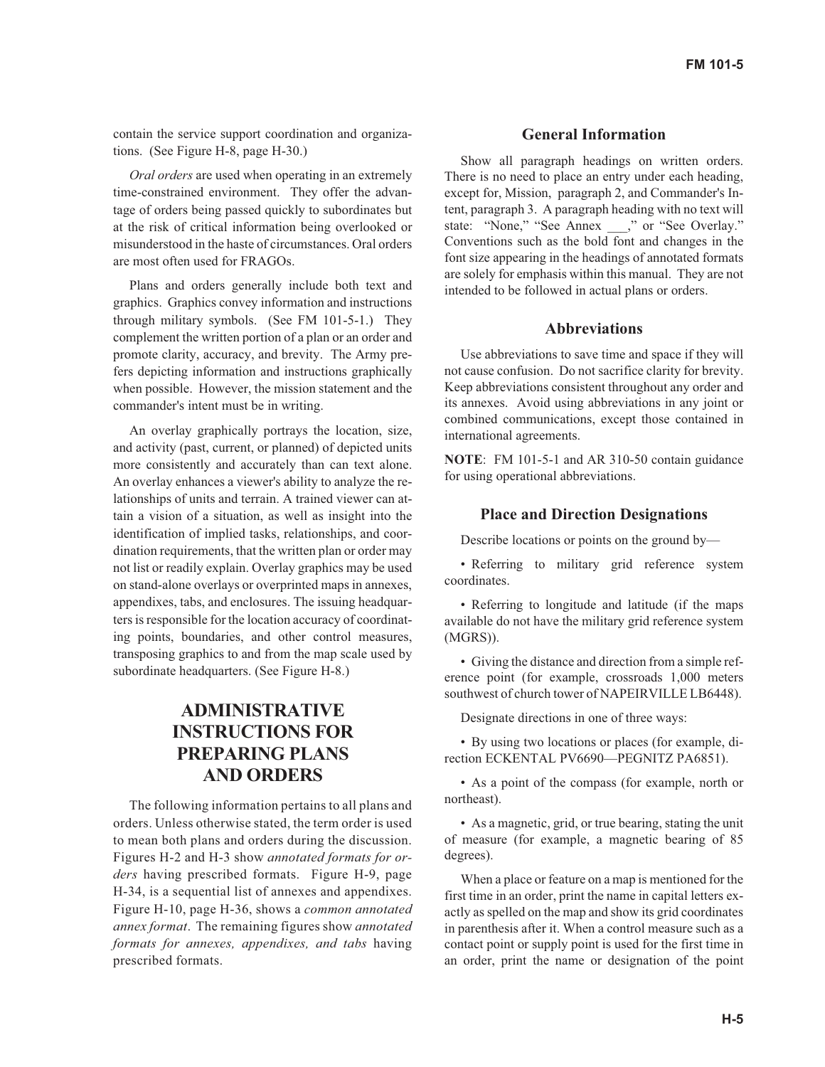contain the service support coordination and organizations. (See Figure H-8, page H-30.)

*Oral orders* are used when operating in an extremely time-constrained environment. They offer the advantage of orders being passed quickly to subordinates but at the risk of critical information being overlooked or misunderstood in the haste of circumstances. Oral orders are most often used for FRAGOs.

Plans and orders generally include both text and graphics. Graphics convey information and instructions through military symbols. (See FM 101-5-1.) They complement the written portion of a plan or an order and promote clarity, accuracy, and brevity. The Army prefers depicting information and instructions graphically when possible. However, the mission statement and the commander's intent must be in writing.

An overlay graphically portrays the location, size, and activity (past, current, or planned) of depicted units more consistently and accurately than can text alone. An overlay enhances a viewer's ability to analyze the relationships of units and terrain. A trained viewer can attain a vision of a situation, as well as insight into the identification of implied tasks, relationships, and coordination requirements, that the written plan or order may not list or readily explain. Overlay graphics may be used on stand-alone overlays or overprinted maps in annexes, appendixes, tabs, and enclosures. The issuing headquarters is responsible for the location accuracy of coordinating points, boundaries, and other control measures, transposing graphics to and from the map scale used by subordinate headquarters. (See Figure H-8.)

# **ADMINISTRATIVE INSTRUCTIONS FOR PREPARING PLANS AND ORDERS**

The following information pertains to all plans and orders. Unless otherwise stated, the term order is used to mean both plans and orders during the discussion. Figures H-2 and H-3 show *annotated formats for orders* having prescribed formats. Figure H-9, page H-34, is a sequential list of annexes and appendixes. Figure H-10, page H-36, shows a *common annotated annex format*. The remaining figures show *annotated formats for annexes, appendixes, and tabs* having prescribed formats.

#### **General Information**

Show all paragraph headings on written orders. There is no need to place an entry under each heading, except for, Mission, paragraph 2, and Commander's Intent, paragraph 3. A paragraph heading with no text will state: "None," "See Annex ..." or "See Overlay." Conventions such as the bold font and changes in the font size appearing in the headings of annotated formats are solely for emphasis within this manual. They are not intended to be followed in actual plans or orders.

## **Abbreviations**

Use abbreviations to save time and space if they will not cause confusion. Do not sacrifice clarity for brevity. Keep abbreviations consistent throughout any order and its annexes. Avoid using abbreviations in any joint or combined communications, except those contained in international agreements.

**NOTE**: FM 101-5-1 and AR 310-50 contain guidance for using operational abbreviations.

## **Place and Direction Designations**

Describe locations or points on the ground by—

• Referring to military grid reference system coordinates.

• Referring to longitude and latitude (if the maps available do not have the military grid reference system (MGRS)).

• Giving the distance and direction from a simple reference point (for example, crossroads 1,000 meters southwest of church tower of NAPEIRVILLE LB6448).

Designate directions in one of three ways:

• By using two locations or places (for example, direction ECKENTAL PV6690—PEGNITZ PA6851).

• As a point of the compass (for example, north or northeast).

• As a magnetic, grid, or true bearing, stating the unit of measure (for example, a magnetic bearing of 85 degrees).

When a place or feature on a map is mentioned for the first time in an order, print the name in capital letters exactly as spelled on the map and show its grid coordinates in parenthesis after it. When a control measure such as a contact point or supply point is used for the first time in an order, print the name or designation of the point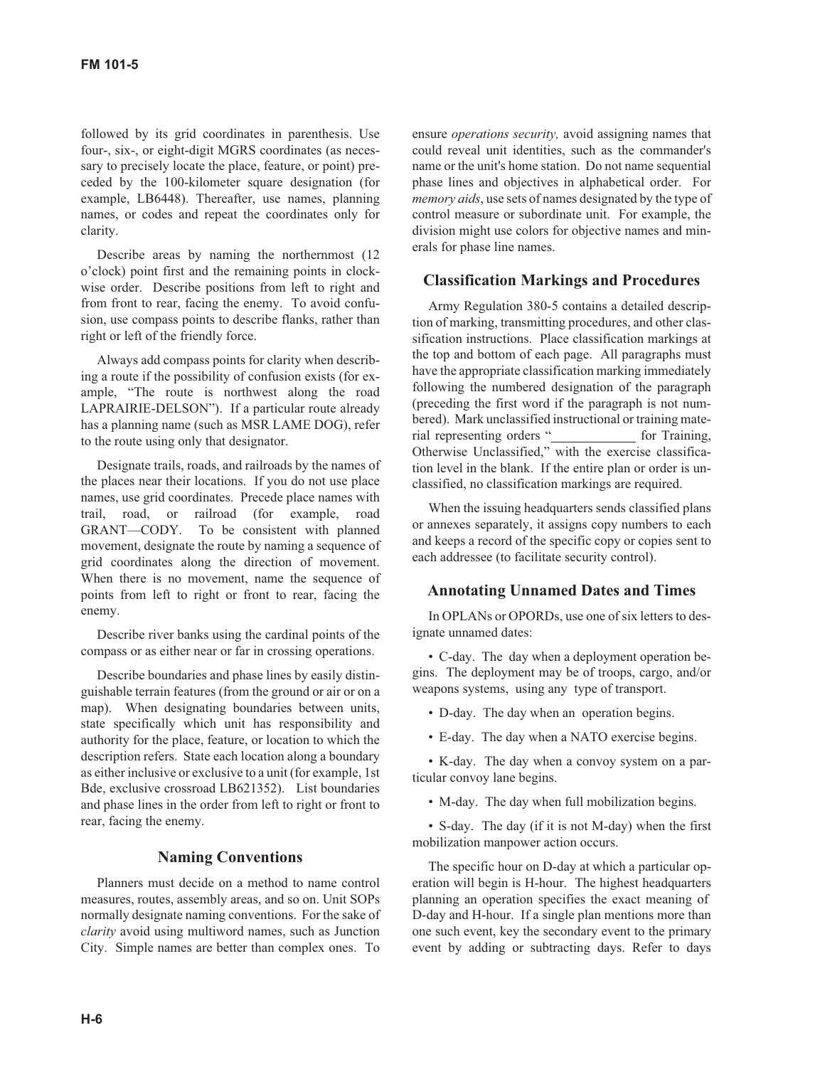followed by its grid coordinates in parenthesis. Use four-, six-, or eight-digit MGRS coordinates (as necessary to precisely locate the place, feature, or point) preceded by the 100-kilometer square designation (for example, LB6448). Thereafter, use names, planning names, or codes and repeat the coordinates only for clarity.

Describe areas by naming the northernmost (12 o'clock) point first and the remaining points in clockwise order. Describe positions from left to right and from front to rear, facing the enemy. To avoid confusion, use compass points to describe flanks, rather than right or left of the friendly force.

Always add compass points for clarity when describing a route if the possibility of confusion exists (for example, "The route is northwest along the road LAPRAIRIE-DELSON"). If a particular route already has a planning name (such as MSR LAME DOG), refer to the route using only that designator.

Designate trails, roads, and railroads by the names of the places near their locations. If you do not use place names, use grid coordinates. Precede place names with trail, road, or railroad (for example, road GRANT—CODY. To be consistent with planned movement, designate the route by naming a sequence of grid coordinates along the direction of movement. When there is no movement, name the sequence of points from left to right or front to rear, facing the enemy.

Describe river banks using the cardinal points of the compass or as either near or far in crossing operations.

Describe boundaries and phase lines by easily distinguishable terrain features (from the ground or air or on a map). When designating boundaries between units, state specifically which unit has responsibility and authority for the place, feature, or location to which the description refers. State each location along a boundary as either inclusive or exclusive to a unit (for example, 1st Bde, exclusive crossroad LB621352). List boundaries and phase lines in the order from left to right or front to rear, facing the enemy.

### **Naming Conventions**

Planners must decide on a method to name control measures, routes, assembly areas, and so on. Unit SOPs normally designate naming conventions. For the sake of *clarity* avoid using multiword names, such as Junction City. Simple names are better than complex ones. To ensure *operations security,* avoid assigning names that could reveal unit identities, such as the commander's name or the unit's home station. Do not name sequential phase lines and objectives in alphabetical order. For *memory aids*, use sets of names designated by the type of control measure or subordinate unit. For example, the division might use colors for objective names and minerals for phase line names.

#### **Classification Markings and Procedures**

Army Regulation 380-5 contains a detailed description of marking, transmitting procedures, and other classification instructions. Place classification markings at the top and bottom of each page. All paragraphs must have the appropriate classification marking immediately following the numbered designation of the paragraph (preceding the first word if the paragraph is not numbered). Mark unclassified instructional or training material representing orders " for Training, Otherwise Unclassified," with the exercise classification level in the blank. If the entire plan or order is unclassified, no classification markings are required.

When the issuing headquarters sends classified plans or annexes separately, it assigns copy numbers to each and keeps a record of the specific copy or copies sent to each addressee (to facilitate security control).

### **Annotating Unnamed Dates and Times**

In OPLANs or OPORDs, use one of six letters to designate unnamed dates:

• C-day. The day when a deployment operation begins. The deployment may be of troops, cargo, and/or weapons systems, using any type of transport.

- D-day. The day when an operation begins.
- E-day. The day when a NATO exercise begins.

• K-day. The day when a convoy system on a particular convoy lane begins.

• M-day. The day when full mobilization begins.

• S-day. The day (if it is not M-day) when the first mobilization manpower action occurs.

The specific hour on D-day at which a particular operation will begin is H-hour. The highest headquarters planning an operation specifies the exact meaning of D-day and H-hour. If a single plan mentions more than one such event, key the secondary event to the primary event by adding or subtracting days. Refer to days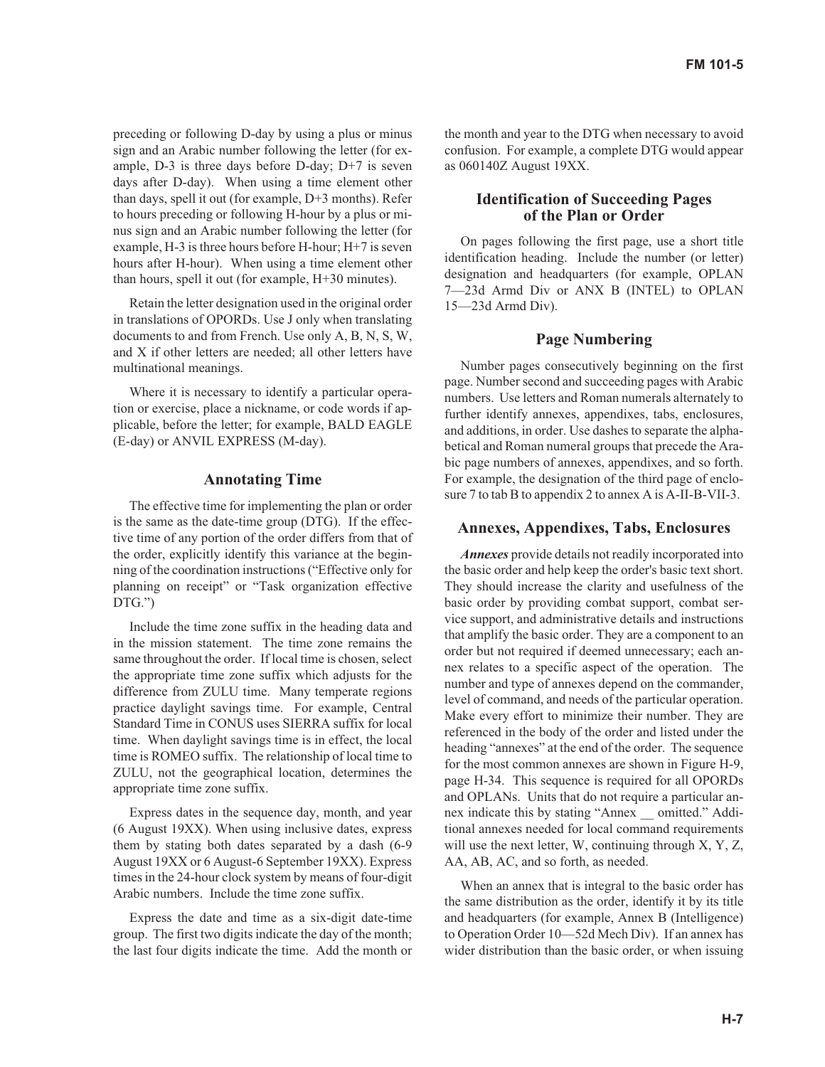preceding or following D-day by using a plus or minus sign and an Arabic number following the letter (for example, D-3 is three days before D-day; D+7 is seven days after D-day). When using a time element other than days, spell it out (for example, D+3 months). Refer to hours preceding or following H-hour by a plus or minus sign and an Arabic number following the letter (for example, H-3 is three hours before H-hour; H+7 is seven hours after H-hour). When using a time element other than hours, spell it out (for example, H+30 minutes).

Retain the letter designation used in the original order in translations of OPORDs. Use J only when translating documents to and from French. Use only A, B, N, S, W, and X if other letters are needed; all other letters have multinational meanings.

Where it is necessary to identify a particular operation or exercise, place a nickname, or code words if applicable, before the letter; for example, BALD EAGLE (E-day) or ANVIL EXPRESS (M-day).

#### **Annotating Time**

The effective time for implementing the plan or order is the same as the date-time group (DTG). If the effective time of any portion of the order differs from that of the order, explicitly identify this variance at the beginning of the coordination instructions ("Effective only for planning on receipt" or "Task organization effective DTG.")

Include the time zone suffix in the heading data and in the mission statement. The time zone remains the same throughout the order. If local time is chosen, select the appropriate time zone suffix which adjusts for the difference from ZULU time. Many temperate regions practice daylight savings time. For example, Central Standard Time in CONUS uses SIERRA suffix for local time. When daylight savings time is in effect, the local time is ROMEO suffix. The relationship of local time to ZULU, not the geographical location, determines the appropriate time zone suffix.

Express dates in the sequence day, month, and year (6 August 19XX). When using inclusive dates, express them by stating both dates separated by a dash (6-9 August 19XX or 6 August-6 September 19XX). Express times in the 24-hour clock system by means of four-digit Arabic numbers. Include the time zone suffix.

Express the date and time as a six-digit date-time group. The first two digits indicate the day of the month; the last four digits indicate the time. Add the month or the month and year to the DTG when necessary to avoid confusion. For example, a complete DTG would appear as 060140Z August 19XX.

## **Identification of Succeeding Pages of the Plan or Order**

On pages following the first page, use a short title identification heading. Include the number (or letter) designation and headquarters (for example, OPLAN 7—23d Armd Div or ANX B (INTEL) to OPLAN 15—23d Armd Div).

#### **Page Numbering**

Number pages consecutively beginning on the first page. Number second and succeeding pages with Arabic numbers. Use letters and Roman numerals alternately to further identify annexes, appendixes, tabs, enclosures, and additions, in order. Use dashes to separate the alphabetical and Roman numeral groups that precede the Arabic page numbers of annexes, appendixes, and so forth. For example, the designation of the third page of enclosure 7 to tab B to appendix 2 to annex A is A-II-B-VII-3.

#### **Annexes, Appendixes, Tabs, Enclosures**

*Annexes* provide details not readily incorporated into the basic order and help keep the order's basic text short. They should increase the clarity and usefulness of the basic order by providing combat support, combat service support, and administrative details and instructions that amplify the basic order. They are a component to an order but not required if deemed unnecessary; each annex relates to a specific aspect of the operation. The number and type of annexes depend on the commander, level of command, and needs of the particular operation. Make every effort to minimize their number. They are referenced in the body of the order and listed under the heading "annexes" at the end of the order. The sequence for the most common annexes are shown in Figure H-9, page H-34. This sequence is required for all OPORDs and OPLANs. Units that do not require a particular annex indicate this by stating "Annex \_\_ omitted." Additional annexes needed for local command requirements will use the next letter, W, continuing through X, Y, Z, AA, AB, AC, and so forth, as needed.

When an annex that is integral to the basic order has the same distribution as the order, identify it by its title and headquarters (for example, Annex B (Intelligence) to Operation Order 10—52d Mech Div). If an annex has wider distribution than the basic order, or when issuing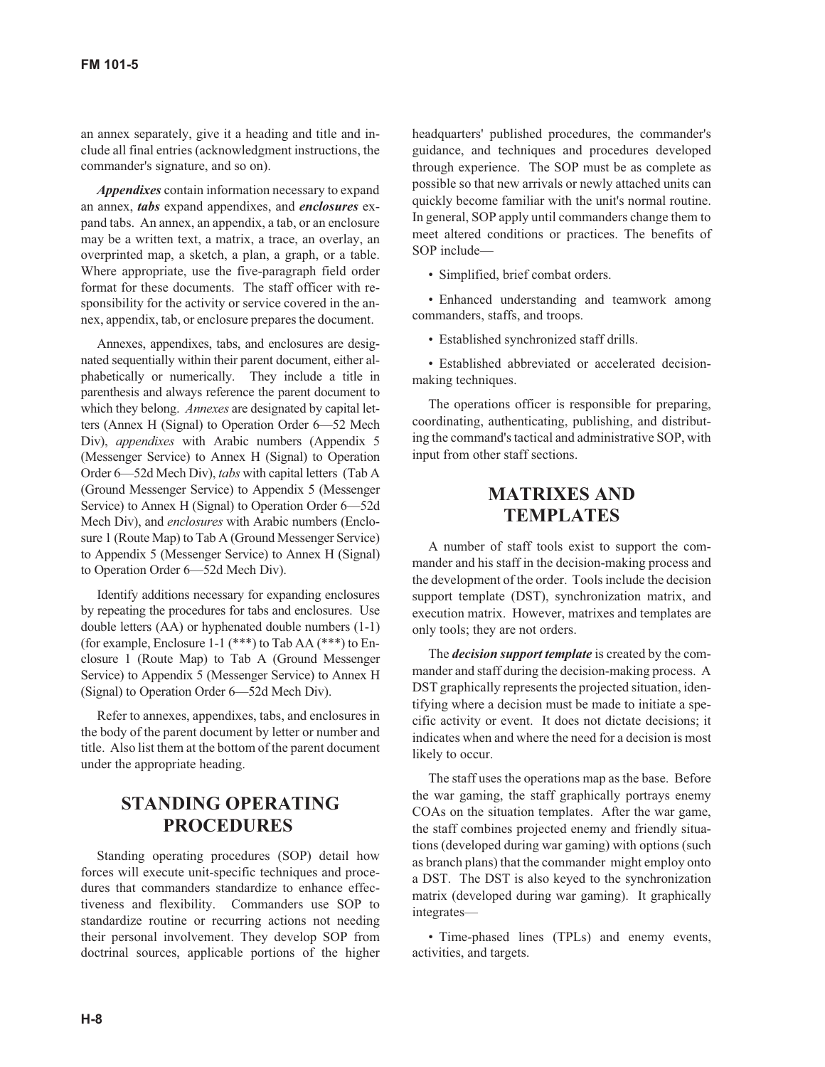an annex separately, give it a heading and title and include all final entries (acknowledgment instructions, the commander's signature, and so on).

*Appendixes* contain information necessary to expand an annex, *tabs* expand appendixes, and *enclosures* expand tabs. An annex, an appendix, a tab, or an enclosure may be a written text, a matrix, a trace, an overlay, an overprinted map, a sketch, a plan, a graph, or a table. Where appropriate, use the five-paragraph field order format for these documents. The staff officer with responsibility for the activity or service covered in the annex, appendix, tab, or enclosure prepares the document.

Annexes, appendixes, tabs, and enclosures are designated sequentially within their parent document, either alphabetically or numerically. They include a title in parenthesis and always reference the parent document to which they belong. *Annexes* are designated by capital letters (Annex H (Signal) to Operation Order 6—52 Mech Div), *appendixes* with Arabic numbers (Appendix 5 (Messenger Service) to Annex H (Signal) to Operation Order 6—52d Mech Div), *tabs* with capital letters (Tab A (Ground Messenger Service) to Appendix 5 (Messenger Service) to Annex H (Signal) to Operation Order 6—52d Mech Div), and *enclosures* with Arabic numbers (Enclosure 1 (Route Map) to Tab A (Ground Messenger Service) to Appendix 5 (Messenger Service) to Annex H (Signal) to Operation Order 6—52d Mech Div).

Identify additions necessary for expanding enclosures by repeating the procedures for tabs and enclosures. Use double letters (AA) or hyphenated double numbers (1-1) (for example, Enclosure 1-1 (\*\*\*) to Tab AA (\*\*\*) to Enclosure 1 (Route Map) to Tab A (Ground Messenger Service) to Appendix 5 (Messenger Service) to Annex H (Signal) to Operation Order 6—52d Mech Div).

Refer to annexes, appendixes, tabs, and enclosures in the body of the parent document by letter or number and title. Also list them at the bottom of the parent document under the appropriate heading.

# **STANDING OPERATING PROCEDURES**

Standing operating procedures (SOP) detail how forces will execute unit-specific techniques and procedures that commanders standardize to enhance effectiveness and flexibility. Commanders use SOP to standardize routine or recurring actions not needing their personal involvement. They develop SOP from doctrinal sources, applicable portions of the higher headquarters' published procedures, the commander's guidance, and techniques and procedures developed through experience. The SOP must be as complete as possible so that new arrivals or newly attached units can quickly become familiar with the unit's normal routine. In general, SOP apply until commanders change them to meet altered conditions or practices. The benefits of SOP include—

• Simplified, brief combat orders.

• Enhanced understanding and teamwork among commanders, staffs, and troops.

• Established synchronized staff drills.

• Established abbreviated or accelerated decisionmaking techniques.

The operations officer is responsible for preparing, coordinating, authenticating, publishing, and distributing the command's tactical and administrative SOP, with input from other staff sections.

# **MATRIXES AND TEMPLATES**

A number of staff tools exist to support the commander and his staff in the decision-making process and the development of the order. Tools include the decision support template (DST), synchronization matrix, and execution matrix. However, matrixes and templates are only tools; they are not orders.

The *decision support template* is created by the commander and staff during the decision-making process. A DST graphically represents the projected situation, identifying where a decision must be made to initiate a specific activity or event. It does not dictate decisions; it indicates when and where the need for a decision is most likely to occur.

The staff uses the operations map as the base. Before the war gaming, the staff graphically portrays enemy COAs on the situation templates. After the war game, the staff combines projected enemy and friendly situations (developed during war gaming) with options (such as branch plans) that the commander might employ onto a DST. The DST is also keyed to the synchronization matrix (developed during war gaming). It graphically integrates—

• Time-phased lines (TPLs) and enemy events, activities, and targets.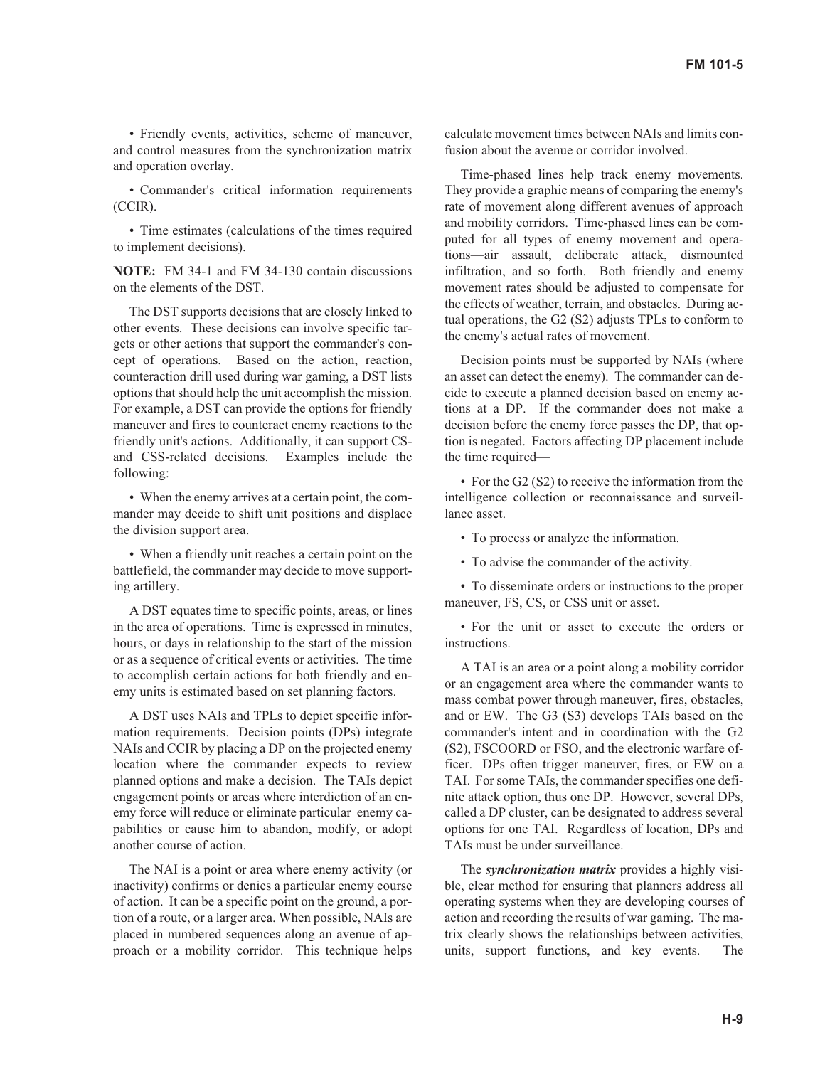• Friendly events, activities, scheme of maneuver, and control measures from the synchronization matrix and operation overlay.

• Commander's critical information requirements (CCIR).

• Time estimates (calculations of the times required to implement decisions).

**NOTE:** FM 34-1 and FM 34-130 contain discussions on the elements of the DST.

The DST supports decisions that are closely linked to other events. These decisions can involve specific targets or other actions that support the commander's concept of operations. Based on the action, reaction, counteraction drill used during war gaming, a DST lists options that should help the unit accomplish the mission. For example, a DST can provide the options for friendly maneuver and fires to counteract enemy reactions to the friendly unit's actions. Additionally, it can support CSand CSS-related decisions. Examples include the following:

• When the enemy arrives at a certain point, the commander may decide to shift unit positions and displace the division support area.

• When a friendly unit reaches a certain point on the battlefield, the commander may decide to move supporting artillery.

A DST equates time to specific points, areas, or lines in the area of operations. Time is expressed in minutes, hours, or days in relationship to the start of the mission or as a sequence of critical events or activities. The time to accomplish certain actions for both friendly and enemy units is estimated based on set planning factors.

A DST uses NAIs and TPLs to depict specific information requirements. Decision points (DPs) integrate NAIs and CCIR by placing a DP on the projected enemy location where the commander expects to review planned options and make a decision. The TAIs depict engagement points or areas where interdiction of an enemy force will reduce or eliminate particular enemy capabilities or cause him to abandon, modify, or adopt another course of action.

The NAI is a point or area where enemy activity (or inactivity) confirms or denies a particular enemy course of action. It can be a specific point on the ground, a portion of a route, or a larger area. When possible, NAIs are placed in numbered sequences along an avenue of approach or a mobility corridor. This technique helps calculate movement times between NAIs and limits confusion about the avenue or corridor involved.

Time-phased lines help track enemy movements. They provide a graphic means of comparing the enemy's rate of movement along different avenues of approach and mobility corridors. Time-phased lines can be computed for all types of enemy movement and operations—air assault, deliberate attack, dismounted infiltration, and so forth. Both friendly and enemy movement rates should be adjusted to compensate for the effects of weather, terrain, and obstacles. During actual operations, the G2 (S2) adjusts TPLs to conform to the enemy's actual rates of movement.

Decision points must be supported by NAIs (where an asset can detect the enemy). The commander can decide to execute a planned decision based on enemy actions at a DP. If the commander does not make a decision before the enemy force passes the DP, that option is negated. Factors affecting DP placement include the time required—

• For the G2 (S2) to receive the information from the intelligence collection or reconnaissance and surveillance asset.

• To process or analyze the information.

• To advise the commander of the activity.

• To disseminate orders or instructions to the proper maneuver, FS, CS, or CSS unit or asset.

• For the unit or asset to execute the orders or instructions.

A TAI is an area or a point along a mobility corridor or an engagement area where the commander wants to mass combat power through maneuver, fires, obstacles, and or EW. The G3 (S3) develops TAIs based on the commander's intent and in coordination with the G2 (S2), FSCOORD or FSO, and the electronic warfare officer. DPs often trigger maneuver, fires, or EW on a TAI. For some TAIs, the commander specifies one definite attack option, thus one DP. However, several DPs, called a DP cluster, can be designated to address several options for one TAI. Regardless of location, DPs and TAIs must be under surveillance.

The *synchronization matrix* provides a highly visible, clear method for ensuring that planners address all operating systems when they are developing courses of action and recording the results of war gaming. The matrix clearly shows the relationships between activities, units, support functions, and key events. The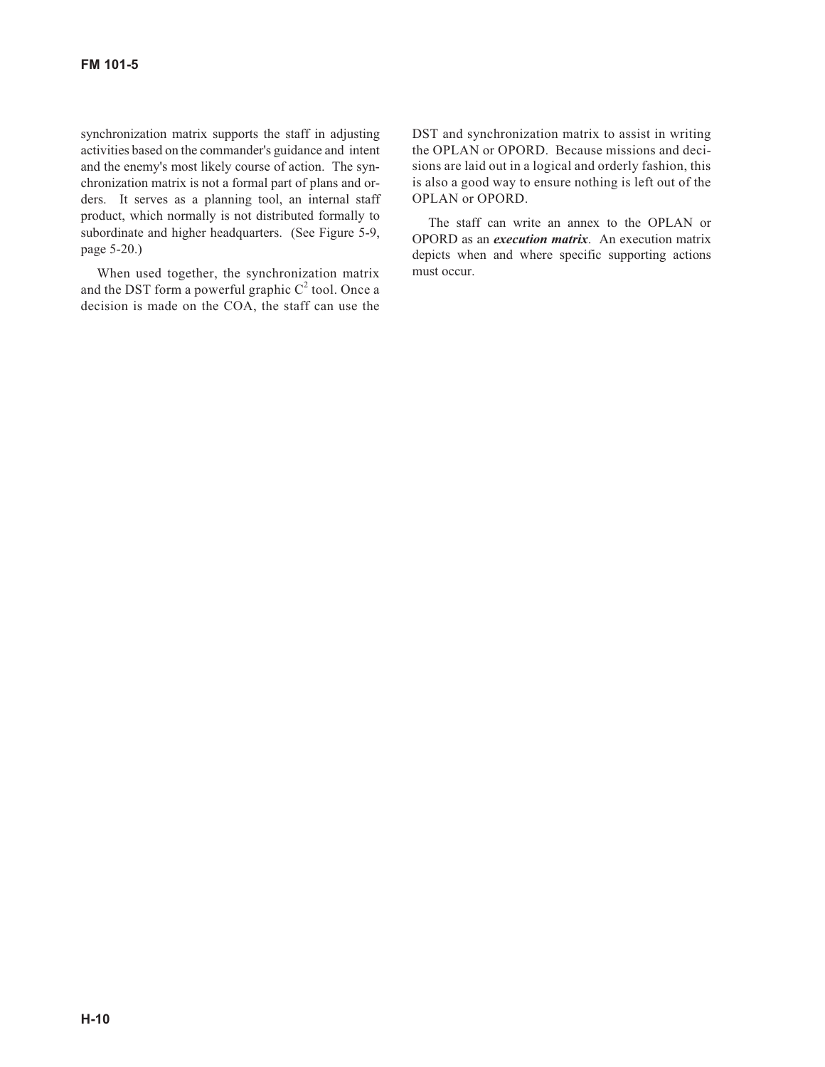synchronization matrix supports the staff in adjusting activities based on the commander's guidance and intent and the enemy's most likely course of action. The synchronization matrix is not a formal part of plans and orders. It serves as a planning tool, an internal staff product, which normally is not distributed formally to subordinate and higher headquarters. (See Figure 5-9, page 5-20.)

When used together, the synchronization matrix and the DST form a powerful graphic  $C<sup>2</sup>$  tool. Once a decision is made on the COA, the staff can use the DST and synchronization matrix to assist in writing the OPLAN or OPORD. Because missions and decisions are laid out in a logical and orderly fashion, this is also a good way to ensure nothing is left out of the OPLAN or OPORD.

The staff can write an annex to the OPLAN or OPORD as an *execution matrix*. An execution matrix depicts when and where specific supporting actions must occur.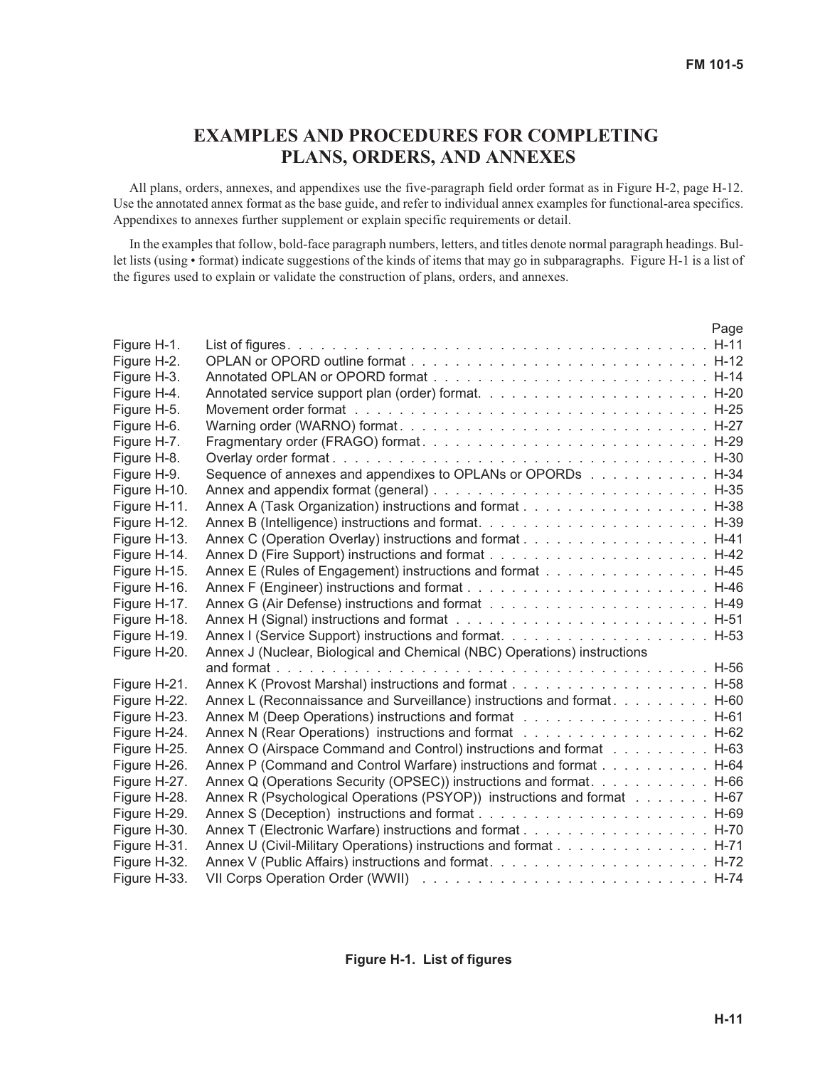# **EXAMPLES AND PROCEDURES FOR COMPLETING PLANS, ORDERS, AND ANNEXES**

All plans, orders, annexes, and appendixes use the five-paragraph field order format as in Figure H-2, page H-12. Use the annotated annex format as the base guide, and refer to individual annex examples for functional-area specifics. Appendixes to annexes further supplement or explain specific requirements or detail.

In the examples that follow, bold-face paragraph numbers, letters, and titles denote normal paragraph headings. Bullet lists (using • format) indicate suggestions of the kinds of items that may go in subparagraphs. Figure H-1 is a list of the figures used to explain or validate the construction of plans, orders, and annexes.

|              | Page                                                                     |
|--------------|--------------------------------------------------------------------------|
| Figure H-1.  |                                                                          |
| Figure H-2.  |                                                                          |
| Figure H-3.  |                                                                          |
| Figure H-4.  |                                                                          |
| Figure H-5.  |                                                                          |
| Figure H-6.  |                                                                          |
| Figure H-7.  |                                                                          |
| Figure H-8.  |                                                                          |
| Figure H-9.  | Sequence of annexes and appendixes to OPLANs or OPORDs H-34              |
| Figure H-10. |                                                                          |
| Figure H-11. | Annex A (Task Organization) instructions and format H-38                 |
| Figure H-12. |                                                                          |
| Figure H-13. | Annex C (Operation Overlay) instructions and format H-41                 |
| Figure H-14. |                                                                          |
| Figure H-15. | Annex E (Rules of Engagement) instructions and format H-45               |
| Figure H-16. |                                                                          |
| Figure H-17. |                                                                          |
| Figure H-18. |                                                                          |
| Figure H-19. | Annex I (Service Support) instructions and formatB-53                    |
| Figure H-20. | Annex J (Nuclear, Biological and Chemical (NBC) Operations) instructions |
|              |                                                                          |
| Figure H-21. | Annex K (Provost Marshal) instructions and format H-58                   |
| Figure H-22. | Annex L (Reconnaissance and Surveillance) instructions and format H-60   |
| Figure H-23. | Annex M (Deep Operations) instructions and format H-61                   |
| Figure H-24. | Annex N (Rear Operations) instructions and format H-62                   |
| Figure H-25. | Annex O (Airspace Command and Control) instructions and format H-63      |
| Figure H-26. | Annex P (Command and Control Warfare) instructions and format H-64       |
| Figure H-27. | Annex Q (Operations Security (OPSEC)) instructions and format. H-66      |
| Figure H-28. | Annex R (Psychological Operations (PSYOP)) instructions and format H-67  |
| Figure H-29. |                                                                          |
| Figure H-30. | Annex T (Electronic Warfare) instructions and format H-70                |
| Figure H-31. | Annex U (Civil-Military Operations) instructions and format H-71         |
| Figure H-32. |                                                                          |
| Figure H-33. |                                                                          |

**Figure H-1. List of figures**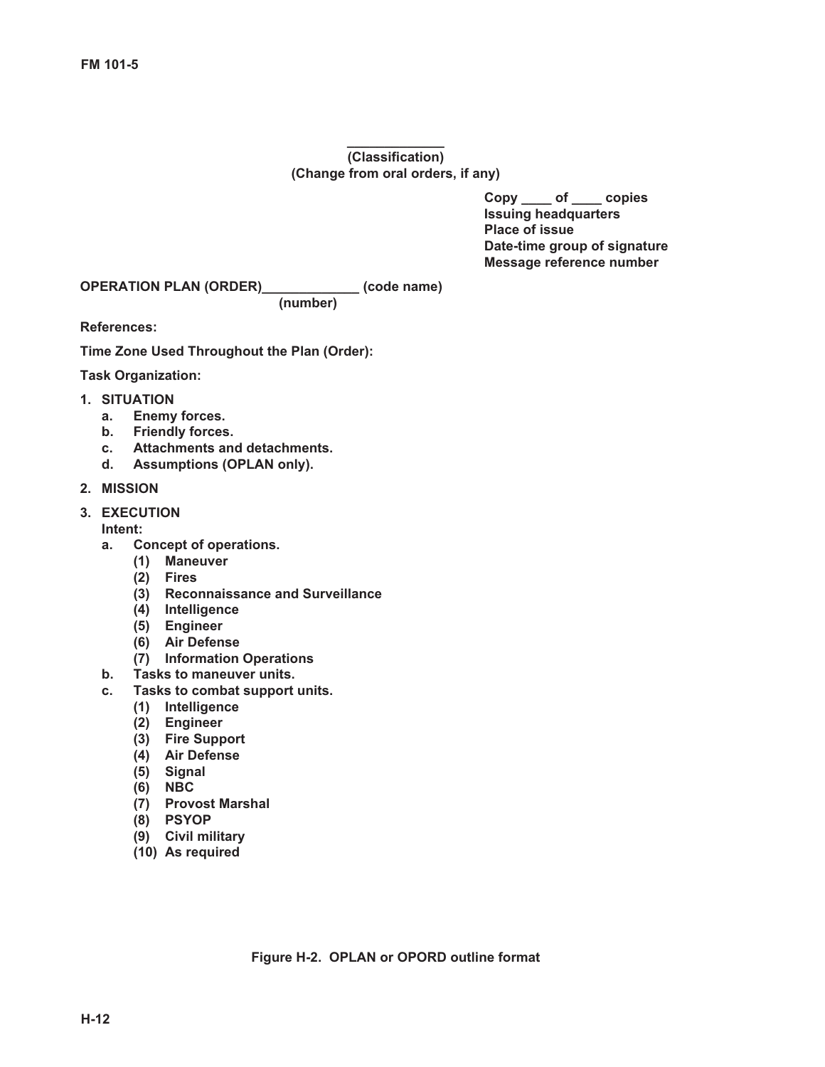**\_\_\_\_\_\_\_\_\_\_\_\_\_ (Classification) (Change from oral orders, if any)**

> **Copy \_\_\_\_ of \_\_\_\_ copies Issuing headquarters Place of issue Date-time group of signature Message reference number**

**OPERATION PLAN (ORDER)\_\_\_\_\_\_\_\_\_\_\_\_\_ (code name)**

**(number)**

**References:**

**Time Zone Used Throughout the Plan (Order):**

**Task Organization:**

- **1. SITUATION**
	- **a. Enemy forces.**
	- **b. Friendly forces.**
	- **c. Attachments and detachments.**
	- **d. Assumptions (OPLAN only).**
- **2. MISSION**
- **3. EXECUTION**
	- **Intent:**
	- **a. Concept of operations.**
		- **(1) Maneuver**
		- **(2) Fires**
		- **(3) Reconnaissance and Surveillance**
		- **(4) Intelligence**
		- **(5) Engineer**
		- **(6) Air Defense**
		- **(7) Information Operations**
	- **b. Tasks to maneuver units.**
	- **c. Tasks to combat support units.**
		- **(1) Intelligence**
		- **(2) Engineer**
		- **(3) Fire Support**
		- **(4) Air Defense**
		- **(5) Signal**
		- **(6) NBC**
		- **(7) Provost Marshal**
		- **(8) PSYOP**
		- **(9) Civil military**
		- **(10) As required**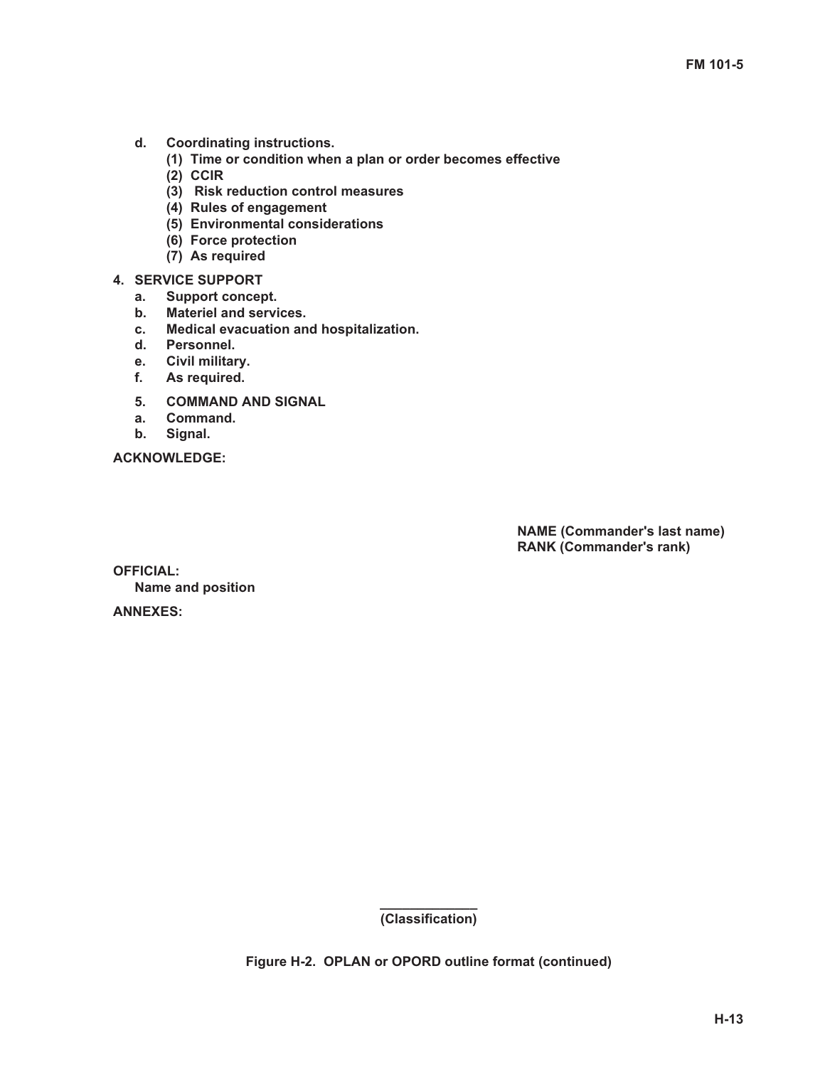- **d. Coordinating instructions.**
	- **(1) Time or condition when a plan or order becomes effective**
	- **(2) CCIR**
	- **(3) Risk reduction control measures**
	- **(4) Rules of engagement**
	- **(5) Environmental considerations**
	- **(6) Force protection**
	- **(7) As required**

### **4. SERVICE SUPPORT**

- **a. Support concept.**
- **b. Materiel and services.**
- **c. Medical evacuation and hospitalization.**
- **d. Personnel.**
- **e. Civil military.**
- **f. As required.**
- **5. COMMAND AND SIGNAL**
- **a. Command.**
- **b. Signal.**

**ACKNOWLEDGE:**

**NAME (Commander's last name) RANK (Commander's rank)**

**OFFICIAL: Name and position**

**ANNEXES:**

**\_\_\_\_\_\_\_\_\_\_\_\_\_ (Classification)**

**Figure H-2. OPLAN or OPORD outline format (continued)**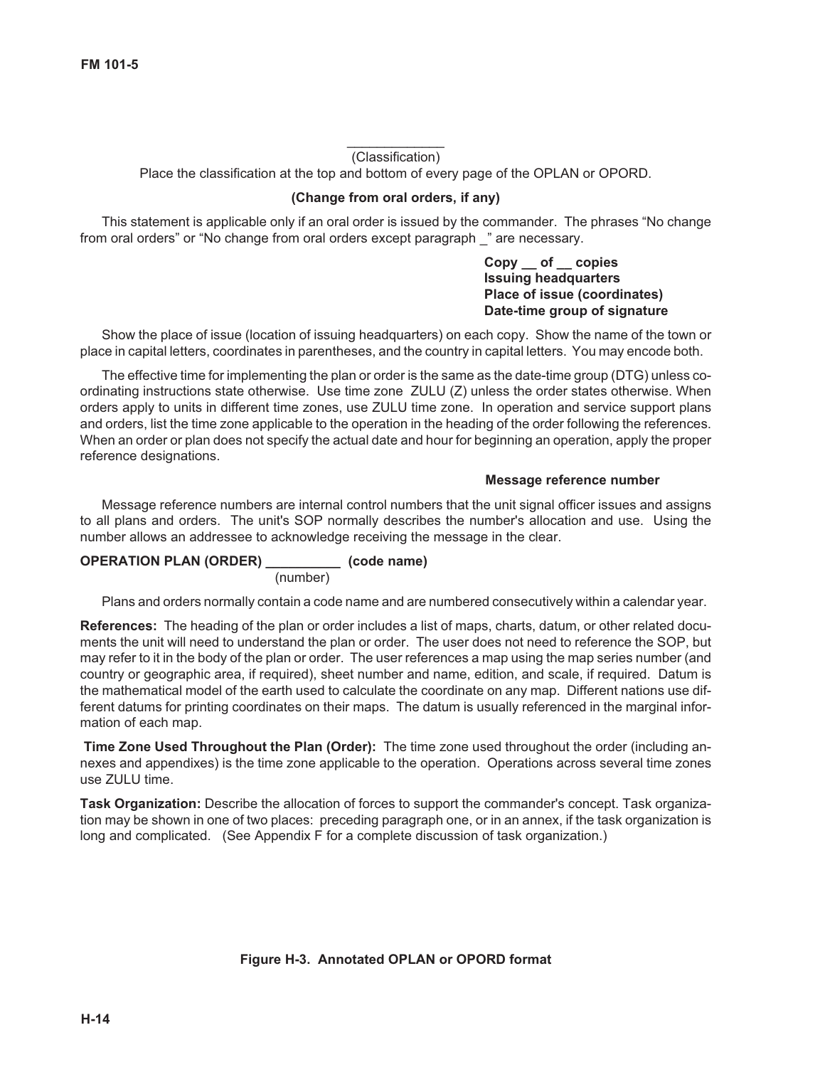#### \_\_\_\_\_\_\_\_\_\_\_\_\_ (Classification)

Place the classification at the top and bottom of every page of the OPLAN or OPORD.

## **(Change from oral orders, if any)**

This statement is applicable only if an oral order is issued by the commander. The phrases "No change from oral orders" or "No change from oral orders except paragraph \_" are necessary.

> **Copy \_\_ of \_\_ copies Issuing headquarters Place of issue (coordinates) Date-time group of signature**

Show the place of issue (location of issuing headquarters) on each copy. Show the name of the town or place in capital letters, coordinates in parentheses, and the country in capital letters. You may encode both.

The effective time for implementing the plan or order is the same as the date-time group (DTG) unless coordinating instructions state otherwise. Use time zone ZULU (Z) unless the order states otherwise. When orders apply to units in different time zones, use ZULU time zone. In operation and service support plans and orders, list the time zone applicable to the operation in the heading of the order following the references. When an order or plan does not specify the actual date and hour for beginning an operation, apply the proper reference designations.

#### **Message reference number**

Message reference numbers are internal control numbers that the unit signal officer issues and assigns to all plans and orders. The unit's SOP normally describes the number's allocation and use. Using the number allows an addressee to acknowledge receiving the message in the clear.

**OPERATION PLAN (ORDER) \_\_\_\_\_\_\_\_\_\_ (code name)** (number)

Plans and orders normally contain a code name and are numbered consecutively within a calendar year.

**References:** The heading of the plan or order includes a list of maps, charts, datum, or other related documents the unit will need to understand the plan or order. The user does not need to reference the SOP, but may refer to it in the body of the plan or order. The user references a map using the map series number (and country or geographic area, if required), sheet number and name, edition, and scale, if required. Datum is the mathematical model of the earth used to calculate the coordinate on any map. Different nations use different datums for printing coordinates on their maps. The datum is usually referenced in the marginal information of each map.

**Time Zone Used Throughout the Plan (Order):** The time zone used throughout the order (including annexes and appendixes) is the time zone applicable to the operation. Operations across several time zones use ZULU time.

**Task Organization:** Describe the allocation of forces to support the commander's concept. Task organization may be shown in one of two places: preceding paragraph one, or in an annex, if the task organization is long and complicated. (See Appendix F for a complete discussion of task organization.)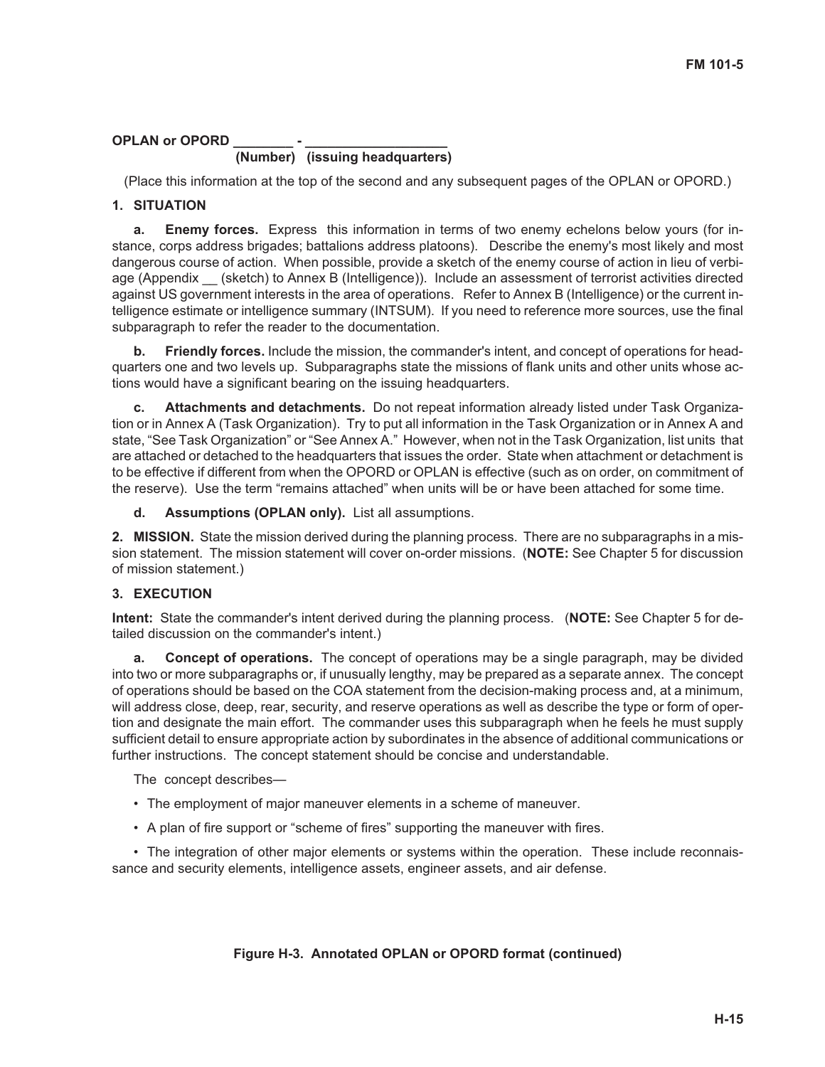# **OPLAN or OPORD**

### **(Number) (issuing headquarters)**

(Place this information at the top of the second and any subsequent pages of the OPLAN or OPORD.)

## **1. SITUATION**

**a. Enemy forces.** Express this information in terms of two enemy echelons below yours (for instance, corps address brigades; battalions address platoons). Describe the enemy's most likely and most dangerous course of action. When possible, provide a sketch of the enemy course of action in lieu of verbiage (Appendix \_\_ (sketch) to Annex B (Intelligence)). Include an assessment of terrorist activities directed against US government interests in the area of operations. Refer to Annex B (Intelligence) or the current intelligence estimate or intelligence summary (INTSUM). If you need to reference more sources, use the final subparagraph to refer the reader to the documentation.

**b. Friendly forces.** Include the mission, the commander's intent, and concept of operations for headquarters one and two levels up. Subparagraphs state the missions of flank units and other units whose actions would have a significant bearing on the issuing headquarters.

**c. Attachments and detachments.** Do not repeat information already listed under Task Organization or in Annex A (Task Organization). Try to put all information in the Task Organization or in Annex A and state, "See Task Organization" or "See Annex A." However, when not in the Task Organization, list units that are attached or detached to the headquarters that issues the order. State when attachment or detachment is to be effective if different from when the OPORD or OPLAN is effective (such as on order, on commitment of the reserve). Use the term "remains attached" when units will be or have been attached for some time.

**d. Assumptions (OPLAN only).** List all assumptions.

**2. MISSION.** State the mission derived during the planning process. There are no subparagraphs in a mission statement. The mission statement will cover on-order missions. (**NOTE:** See Chapter 5 for discussion of mission statement.)

### **3. EXECUTION**

**Intent:** State the commander's intent derived during the planning process. (**NOTE:** See Chapter 5 for detailed discussion on the commander's intent.)

**a. Concept of operations.** The concept of operations may be a single paragraph, may be divided into two or more subparagraphs or, if unusually lengthy, may be prepared as a separate annex. The concept of operations should be based on the COA statement from the decision-making process and, at a minimum, will address close, deep, rear, security, and reserve operations as well as describe the type or form of opertion and designate the main effort. The commander uses this subparagraph when he feels he must supply sufficient detail to ensure appropriate action by subordinates in the absence of additional communications or further instructions. The concept statement should be concise and understandable.

The concept describes—

- The employment of major maneuver elements in a scheme of maneuver.
- A plan of fire support or "scheme of fires" supporting the maneuver with fires.

• The integration of other major elements or systems within the operation. These include reconnaissance and security elements, intelligence assets, engineer assets, and air defense.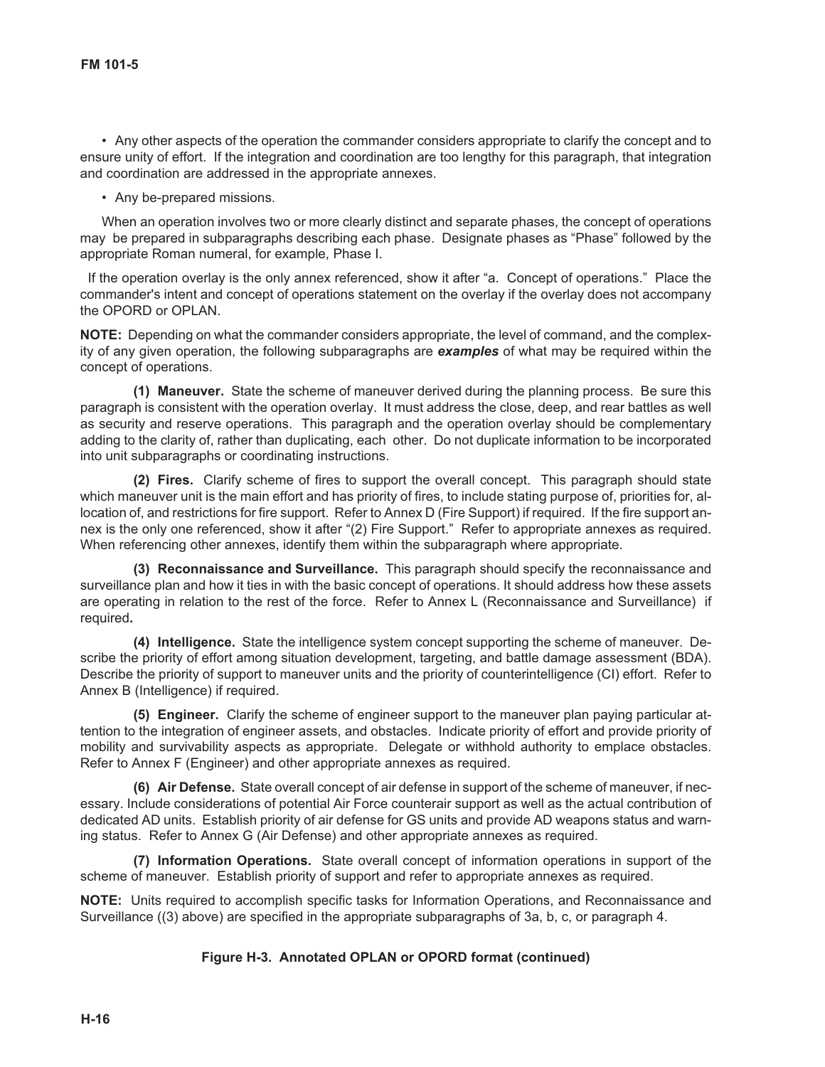• Any other aspects of the operation the commander considers appropriate to clarify the concept and to ensure unity of effort. If the integration and coordination are too lengthy for this paragraph, that integration and coordination are addressed in the appropriate annexes.

• Any be-prepared missions.

When an operation involves two or more clearly distinct and separate phases, the concept of operations may be prepared in subparagraphs describing each phase. Designate phases as "Phase" followed by the appropriate Roman numeral, for example, Phase I.

If the operation overlay is the only annex referenced, show it after "a. Concept of operations." Place the commander's intent and concept of operations statement on the overlay if the overlay does not accompany the OPORD or OPLAN.

**NOTE:** Depending on what the commander considers appropriate, the level of command, and the complexity of any given operation, the following subparagraphs are *examples* of what may be required within the concept of operations.

**(1) Maneuver.** State the scheme of maneuver derived during the planning process. Be sure this paragraph is consistent with the operation overlay. It must address the close, deep, and rear battles as well as security and reserve operations. This paragraph and the operation overlay should be complementary adding to the clarity of, rather than duplicating, each other. Do not duplicate information to be incorporated into unit subparagraphs or coordinating instructions.

**(2) Fires.** Clarify scheme of fires to support the overall concept. This paragraph should state which maneuver unit is the main effort and has priority of fires, to include stating purpose of, priorities for, allocation of, and restrictions for fire support. Refer to Annex D (Fire Support) if required. If the fire support annex is the only one referenced, show it after "(2) Fire Support." Refer to appropriate annexes as required. When referencing other annexes, identify them within the subparagraph where appropriate.

**(3) Reconnaissance and Surveillance.** This paragraph should specify the reconnaissance and surveillance plan and how it ties in with the basic concept of operations. It should address how these assets are operating in relation to the rest of the force. Refer to Annex L (Reconnaissance and Surveillance) if required**.**

**(4) Intelligence.** State the intelligence system concept supporting the scheme of maneuver. Describe the priority of effort among situation development, targeting, and battle damage assessment (BDA). Describe the priority of support to maneuver units and the priority of counterintelligence (CI) effort. Refer to Annex B (Intelligence) if required.

**(5) Engineer.** Clarify the scheme of engineer support to the maneuver plan paying particular attention to the integration of engineer assets, and obstacles. Indicate priority of effort and provide priority of mobility and survivability aspects as appropriate. Delegate or withhold authority to emplace obstacles. Refer to Annex F (Engineer) and other appropriate annexes as required.

**(6) Air Defense.** State overall concept of air defense in support of the scheme of maneuver, if necessary. Include considerations of potential Air Force counterair support as well as the actual contribution of dedicated AD units. Establish priority of air defense for GS units and provide AD weapons status and warning status. Refer to Annex G (Air Defense) and other appropriate annexes as required.

**(7) Information Operations.** State overall concept of information operations in support of the scheme of maneuver. Establish priority of support and refer to appropriate annexes as required.

**NOTE:** Units required to accomplish specific tasks for Information Operations, and Reconnaissance and Surveillance ((3) above) are specified in the appropriate subparagraphs of 3a, b, c, or paragraph 4.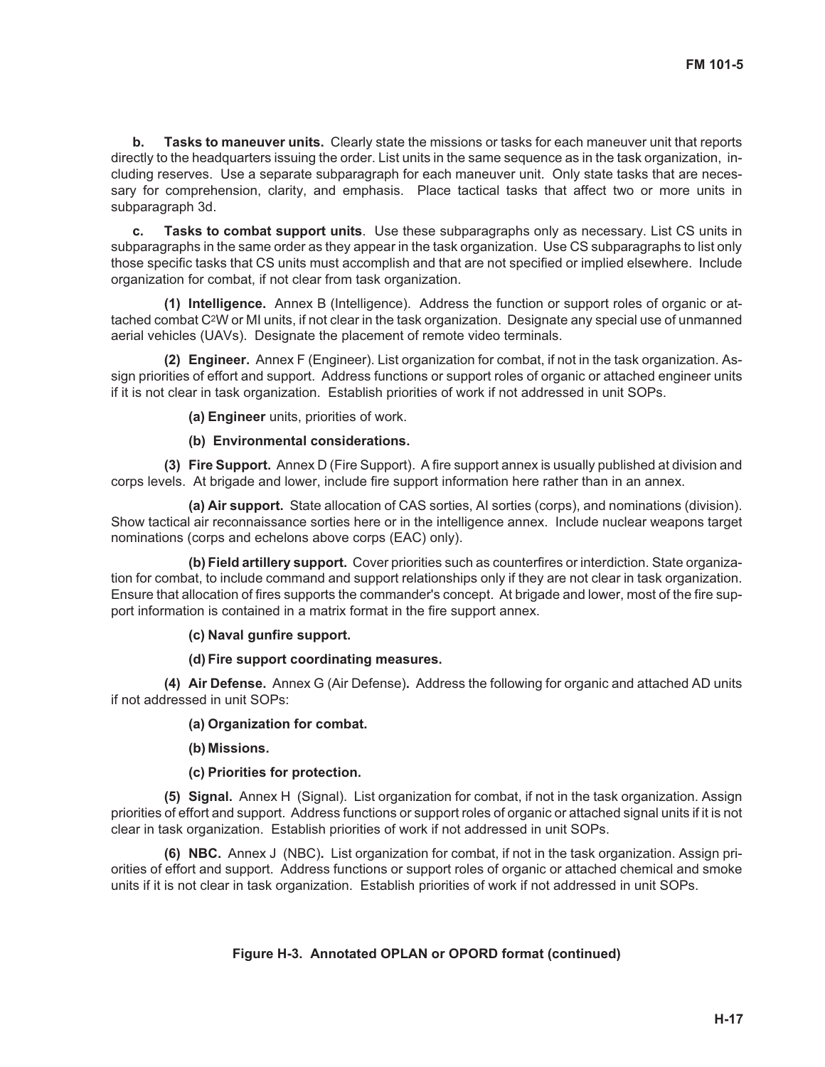**b. Tasks to maneuver units.** Clearly state the missions or tasks for each maneuver unit that reports directly to the headquarters issuing the order. List units in the same sequence as in the task organization, including reserves. Use a separate subparagraph for each maneuver unit. Only state tasks that are necessary for comprehension, clarity, and emphasis. Place tactical tasks that affect two or more units in subparagraph 3d.

**c. Tasks to combat support units**. Use these subparagraphs only as necessary. List CS units in subparagraphs in the same order as they appear in the task organization. Use CS subparagraphs to list only those specific tasks that CS units must accomplish and that are not specified or implied elsewhere. Include organization for combat, if not clear from task organization.

**(1) Intelligence.** Annex B (Intelligence). Address the function or support roles of organic or attached combat C2W or MI units, if not clear in the task organization. Designate any special use of unmanned aerial vehicles (UAVs). Designate the placement of remote video terminals.

**(2) Engineer.** Annex F (Engineer). List organization for combat, if not in the task organization. Assign priorities of effort and support. Address functions or support roles of organic or attached engineer units if it is not clear in task organization. Establish priorities of work if not addressed in unit SOPs.

**(a) Engineer** units, priorities of work.

## **(b) Environmental considerations.**

**(3) Fire Support.** Annex D (Fire Support). A fire support annex is usually published at division and corps levels. At brigade and lower, include fire support information here rather than in an annex.

**(a) Air support.** State allocation of CAS sorties, AI sorties (corps), and nominations (division). Show tactical air reconnaissance sorties here or in the intelligence annex. Include nuclear weapons target nominations (corps and echelons above corps (EAC) only).

**(b) Field artillery support.** Cover priorities such as counterfires or interdiction. State organization for combat, to include command and support relationships only if they are not clear in task organization. Ensure that allocation of fires supports the commander's concept. At brigade and lower, most of the fire support information is contained in a matrix format in the fire support annex.

# **(c) Naval gunfire support.**

### **(d) Fire support coordinating measures.**

**(4) Air Defense.** Annex G (Air Defense)**.** Address the following for organic and attached AD units if not addressed in unit SOPs:

# **(a) Organization for combat.**

**(b) Missions.**

# **(c) Priorities for protection.**

**(5) Signal.** Annex H (Signal). List organization for combat, if not in the task organization. Assign priorities of effort and support. Address functions or support roles of organic or attached signal units if it is not clear in task organization. Establish priorities of work if not addressed in unit SOPs.

**(6) NBC.** Annex J (NBC)**.** List organization for combat, if not in the task organization. Assign priorities of effort and support. Address functions or support roles of organic or attached chemical and smoke units if it is not clear in task organization. Establish priorities of work if not addressed in unit SOPs.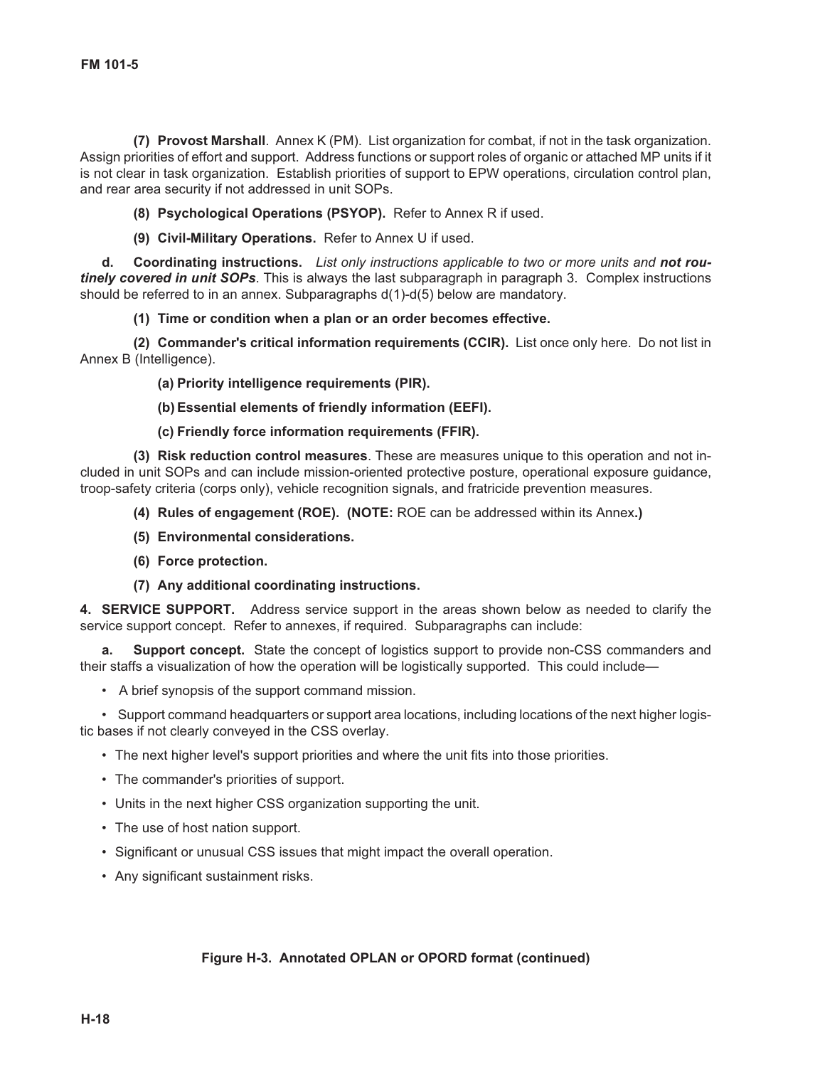**(7) Provost Marshall**. Annex K (PM). List organization for combat, if not in the task organization. Assign priorities of effort and support. Address functions or support roles of organic or attached MP units if it is not clear in task organization. Establish priorities of support to EPW operations, circulation control plan, and rear area security if not addressed in unit SOPs.

**(8) Psychological Operations (PSYOP).** Refer to Annex R if used.

**(9) Civil-Military Operations.** Refer to Annex U if used.

**d. Coordinating instructions.** *List only instructions applicable to two or more units and not routinely covered in unit SOPs*. This is always the last subparagraph in paragraph 3. Complex instructions should be referred to in an annex. Subparagraphs d(1)-d(5) below are mandatory.

**(1) Time or condition when a plan or an order becomes effective.**

**(2) Commander's critical information requirements (CCIR).** List once only here. Do not list in Annex B (Intelligence).

**(a) Priority intelligence requirements (PIR).**

**(b) Essential elements of friendly information (EEFI).**

**(c) Friendly force information requirements (FFIR).**

**(3) Risk reduction control measures**. These are measures unique to this operation and not included in unit SOPs and can include mission-oriented protective posture, operational exposure guidance, troop-safety criteria (corps only), vehicle recognition signals, and fratricide prevention measures.

**(4) Rules of engagement (ROE). (NOTE:** ROE can be addressed within its Annex**.)**

**(5) Environmental considerations.**

**(6) Force protection.**

**(7) Any additional coordinating instructions.**

**4. SERVICE SUPPORT.** Address service support in the areas shown below as needed to clarify the service support concept. Refer to annexes, if required. Subparagraphs can include:

**Support concept.** State the concept of logistics support to provide non-CSS commanders and their staffs a visualization of how the operation will be logistically supported. This could include—

• A brief synopsis of the support command mission.

• Support command headquarters or support area locations, including locations of the next higher logistic bases if not clearly conveyed in the CSS overlay.

• The next higher level's support priorities and where the unit fits into those priorities.

- The commander's priorities of support.
- Units in the next higher CSS organization supporting the unit.
- The use of host nation support.
- Significant or unusual CSS issues that might impact the overall operation.
- Any significant sustainment risks.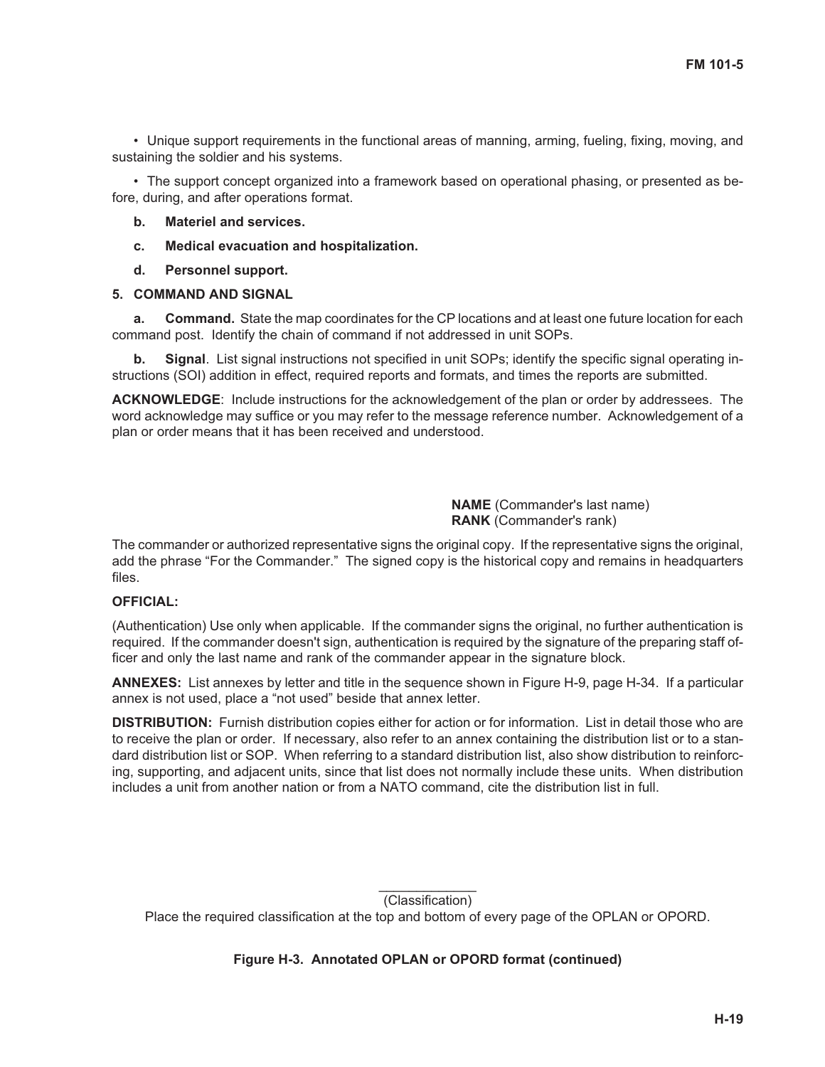• Unique support requirements in the functional areas of manning, arming, fueling, fixing, moving, and sustaining the soldier and his systems.

• The support concept organized into a framework based on operational phasing, or presented as before, during, and after operations format.

- **b. Materiel and services.**
- **c. Medical evacuation and hospitalization.**
- **d. Personnel support.**

#### **5. COMMAND AND SIGNAL**

**a. Command.** State the map coordinates for the CP locations and at least one future location for each command post. Identify the chain of command if not addressed in unit SOPs.

**Signal**. List signal instructions not specified in unit SOPs; identify the specific signal operating instructions (SOI) addition in effect, required reports and formats, and times the reports are submitted.

**ACKNOWLEDGE**: Include instructions for the acknowledgement of the plan or order by addressees. The word acknowledge may suffice or you may refer to the message reference number. Acknowledgement of a plan or order means that it has been received and understood.

> **NAME** (Commander's last name) **RANK** (Commander's rank)

The commander or authorized representative signs the original copy. If the representative signs the original, add the phrase "For the Commander." The signed copy is the historical copy and remains in headquarters files.

### **OFFICIAL:**

(Authentication) Use only when applicable. If the commander signs the original, no further authentication is required. If the commander doesn't sign, authentication is required by the signature of the preparing staff officer and only the last name and rank of the commander appear in the signature block.

**ANNEXES:** List annexes by letter and title in the sequence shown in Figure H-9, page H-34. If a particular annex is not used, place a "not used" beside that annex letter.

**DISTRIBUTION:** Furnish distribution copies either for action or for information. List in detail those who are to receive the plan or order. If necessary, also refer to an annex containing the distribution list or to a standard distribution list or SOP. When referring to a standard distribution list, also show distribution to reinforcing, supporting, and adjacent units, since that list does not normally include these units. When distribution includes a unit from another nation or from a NATO command, cite the distribution list in full.

> \_\_\_\_\_\_\_\_\_\_\_\_\_ (Classification)

Place the required classification at the top and bottom of every page of the OPLAN or OPORD.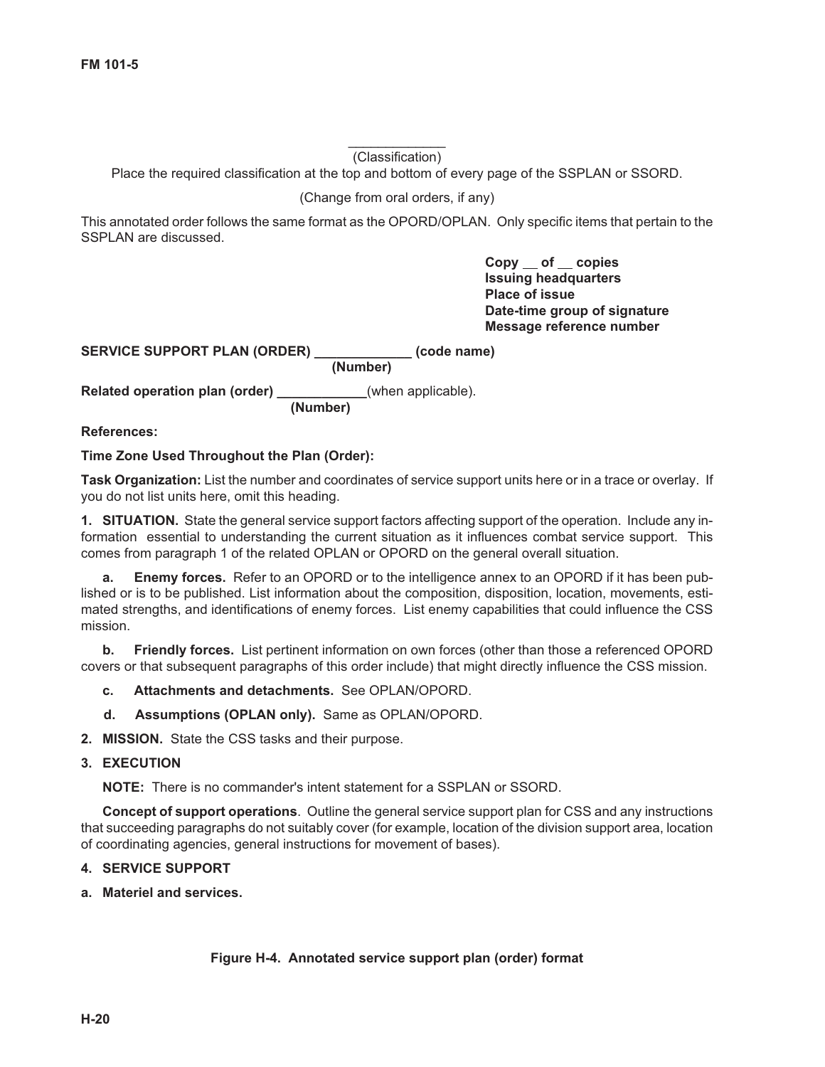\_\_\_\_\_\_\_\_\_\_\_\_\_ (Classification)

Place the required classification at the top and bottom of every page of the SSPLAN or SSORD.

(Change from oral orders, if any)

This annotated order follows the same format as the OPORD/OPLAN. Only specific items that pertain to the SSPLAN are discussed.

> **Copy of copies Issuing headquarters Place of issue Date-time group of signature Message reference number**

**SERVICE SUPPORT PLAN (ORDER) \_\_\_\_\_\_\_\_\_\_\_\_\_ (code name)**

**(Number)**

**Related operation plan (order)** \_\_\_\_\_\_\_\_\_\_\_(when applicable).

**(Number)**

**References:**

#### **Time Zone Used Throughout the Plan (Order):**

**Task Organization:** List the number and coordinates of service support units here or in a trace or overlay. If you do not list units here, omit this heading.

**1. SITUATION.** State the general service support factors affecting support of the operation. Include any information essential to understanding the current situation as it influences combat service support. This comes from paragraph 1 of the related OPLAN or OPORD on the general overall situation.

**a. Enemy forces.** Refer to an OPORD or to the intelligence annex to an OPORD if it has been published or is to be published. List information about the composition, disposition, location, movements, estimated strengths, and identifications of enemy forces. List enemy capabilities that could influence the CSS mission.

**b. Friendly forces.** List pertinent information on own forces (other than those a referenced OPORD covers or that subsequent paragraphs of this order include) that might directly influence the CSS mission.

- **c. Attachments and detachments.** See OPLAN/OPORD.
- **d. Assumptions (OPLAN only).** Same as OPLAN/OPORD.
- **2. MISSION.** State the CSS tasks and their purpose.
- **3. EXECUTION**

**NOTE:** There is no commander's intent statement for a SSPLAN or SSORD.

**Concept of support operations**. Outline the general service support plan for CSS and any instructions that succeeding paragraphs do not suitably cover (for example, location of the division support area, location of coordinating agencies, general instructions for movement of bases).

- **4. SERVICE SUPPORT**
- **a. Materiel and services.**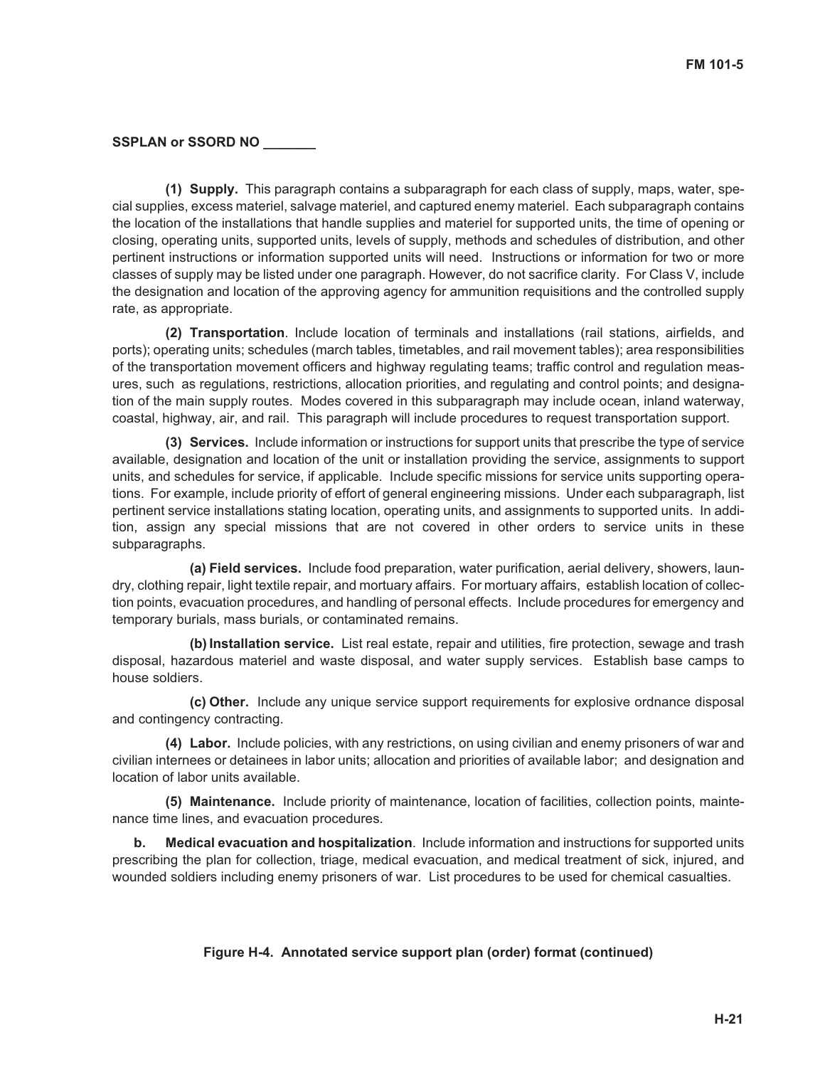**(1) Supply.** This paragraph contains a subparagraph for each class of supply, maps, water, special supplies, excess materiel, salvage materiel, and captured enemy materiel. Each subparagraph contains the location of the installations that handle supplies and materiel for supported units, the time of opening or closing, operating units, supported units, levels of supply, methods and schedules of distribution, and other pertinent instructions or information supported units will need. Instructions or information for two or more classes of supply may be listed under one paragraph. However, do not sacrifice clarity. For Class V, include the designation and location of the approving agency for ammunition requisitions and the controlled supply rate, as appropriate.

**(2) Transportation**. Include location of terminals and installations (rail stations, airfields, and ports); operating units; schedules (march tables, timetables, and rail movement tables); area responsibilities of the transportation movement officers and highway regulating teams; traffic control and regulation measures, such as regulations, restrictions, allocation priorities, and regulating and control points; and designation of the main supply routes. Modes covered in this subparagraph may include ocean, inland waterway, coastal, highway, air, and rail. This paragraph will include procedures to request transportation support.

**(3) Services.** Include information or instructions for support units that prescribe the type of service available, designation and location of the unit or installation providing the service, assignments to support units, and schedules for service, if applicable. Include specific missions for service units supporting operations. For example, include priority of effort of general engineering missions. Under each subparagraph, list pertinent service installations stating location, operating units, and assignments to supported units. In addition, assign any special missions that are not covered in other orders to service units in these subparagraphs.

**(a) Field services.** Include food preparation, water purification, aerial delivery, showers, laundry, clothing repair, light textile repair, and mortuary affairs. For mortuary affairs, establish location of collection points, evacuation procedures, and handling of personal effects. Include procedures for emergency and temporary burials, mass burials, or contaminated remains.

**(b) Installation service.** List real estate, repair and utilities, fire protection, sewage and trash disposal, hazardous materiel and waste disposal, and water supply services. Establish base camps to house soldiers.

**(c) Other.** Include any unique service support requirements for explosive ordnance disposal and contingency contracting.

**(4) Labor.** Include policies, with any restrictions, on using civilian and enemy prisoners of war and civilian internees or detainees in labor units; allocation and priorities of available labor; and designation and location of labor units available.

**(5) Maintenance.** Include priority of maintenance, location of facilities, collection points, maintenance time lines, and evacuation procedures.

**b. Medical evacuation and hospitalization**. Include information and instructions for supported units prescribing the plan for collection, triage, medical evacuation, and medical treatment of sick, injured, and wounded soldiers including enemy prisoners of war. List procedures to be used for chemical casualties.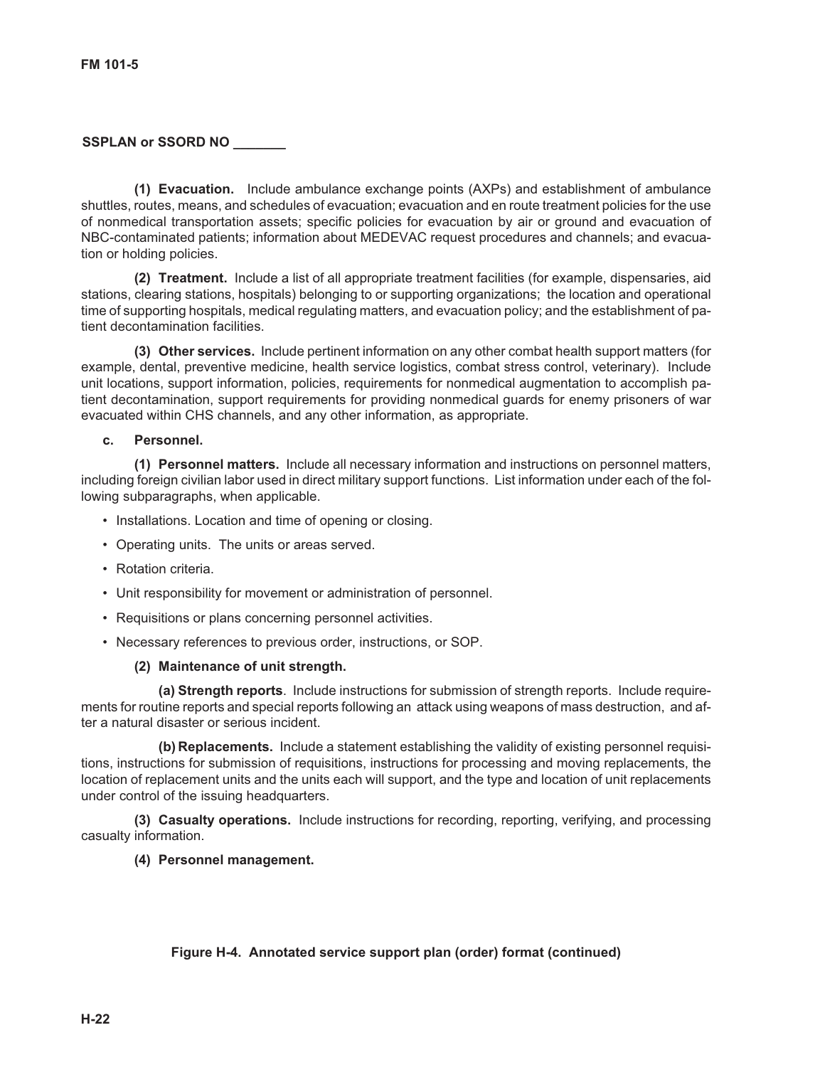**(1) Evacuation.** Include ambulance exchange points (AXPs) and establishment of ambulance shuttles, routes, means, and schedules of evacuation; evacuation and en route treatment policies for the use of nonmedical transportation assets; specific policies for evacuation by air or ground and evacuation of NBC-contaminated patients; information about MEDEVAC request procedures and channels; and evacuation or holding policies.

**(2) Treatment.** Include a list of all appropriate treatment facilities (for example, dispensaries, aid stations, clearing stations, hospitals) belonging to or supporting organizations; the location and operational time of supporting hospitals, medical regulating matters, and evacuation policy; and the establishment of patient decontamination facilities.

**(3) Other services.** Include pertinent information on any other combat health support matters (for example, dental, preventive medicine, health service logistics, combat stress control, veterinary). Include unit locations, support information, policies, requirements for nonmedical augmentation to accomplish patient decontamination, support requirements for providing nonmedical guards for enemy prisoners of war evacuated within CHS channels, and any other information, as appropriate.

#### **c. Personnel.**

**(1) Personnel matters.** Include all necessary information and instructions on personnel matters, including foreign civilian labor used in direct military support functions. List information under each of the following subparagraphs, when applicable.

- Installations. Location and time of opening or closing.
- Operating units. The units or areas served.
- Rotation criteria.
- Unit responsibility for movement or administration of personnel.
- Requisitions or plans concerning personnel activities.
- Necessary references to previous order, instructions, or SOP.

#### **(2) Maintenance of unit strength.**

**(a) Strength reports**. Include instructions for submission of strength reports. Include requirements for routine reports and special reports following an attack using weapons of mass destruction, and after a natural disaster or serious incident.

**(b) Replacements.** Include a statement establishing the validity of existing personnel requisitions, instructions for submission of requisitions, instructions for processing and moving replacements, the location of replacement units and the units each will support, and the type and location of unit replacements under control of the issuing headquarters.

**(3) Casualty operations.** Include instructions for recording, reporting, verifying, and processing casualty information.

### **(4) Personnel management.**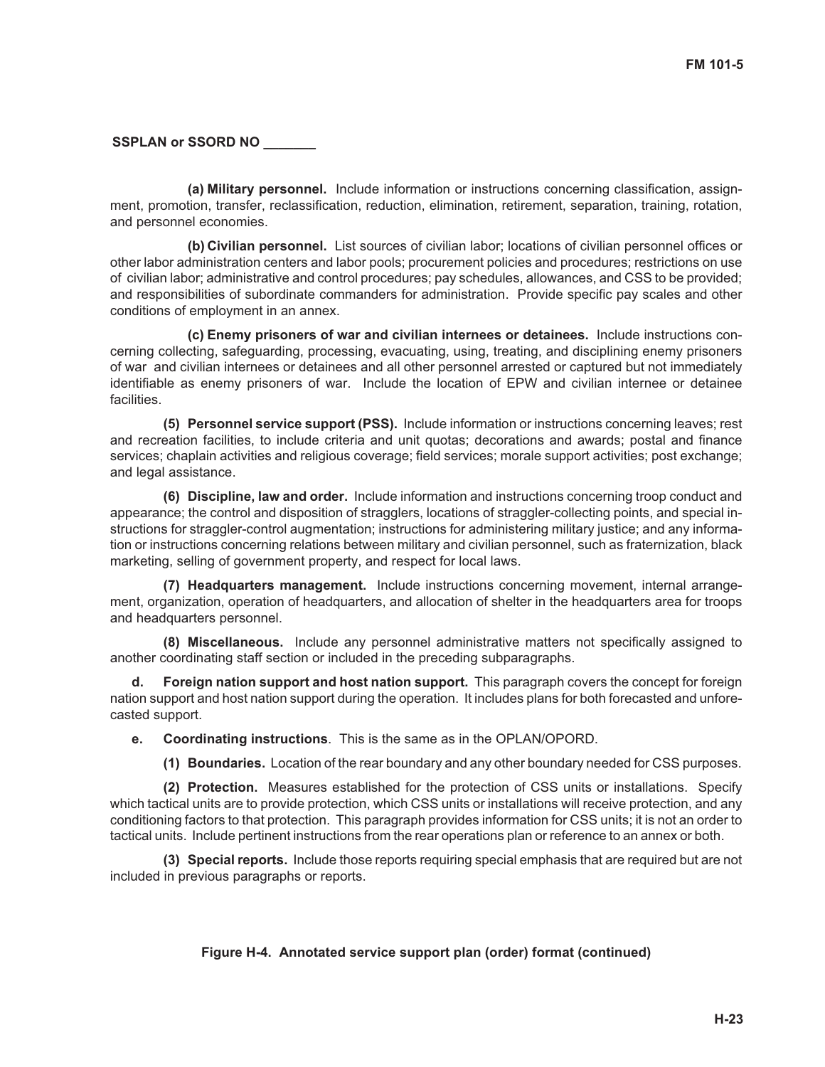**(a) Military personnel.** Include information or instructions concerning classification, assignment, promotion, transfer, reclassification, reduction, elimination, retirement, separation, training, rotation, and personnel economies.

**(b) Civilian personnel.** List sources of civilian labor; locations of civilian personnel offices or other labor administration centers and labor pools; procurement policies and procedures; restrictions on use of civilian labor; administrative and control procedures; pay schedules, allowances, and CSS to be provided; and responsibilities of subordinate commanders for administration. Provide specific pay scales and other conditions of employment in an annex.

**(c) Enemy prisoners of war and civilian internees or detainees.** Include instructions concerning collecting, safeguarding, processing, evacuating, using, treating, and disciplining enemy prisoners of war and civilian internees or detainees and all other personnel arrested or captured but not immediately identifiable as enemy prisoners of war. Include the location of EPW and civilian internee or detainee facilities.

**(5) Personnel service support (PSS).** Include information or instructions concerning leaves; rest and recreation facilities, to include criteria and unit quotas; decorations and awards; postal and finance services; chaplain activities and religious coverage; field services; morale support activities; post exchange; and legal assistance.

**(6) Discipline, law and order.** Include information and instructions concerning troop conduct and appearance; the control and disposition of stragglers, locations of straggler-collecting points, and special instructions for straggler-control augmentation; instructions for administering military justice; and any information or instructions concerning relations between military and civilian personnel, such as fraternization, black marketing, selling of government property, and respect for local laws.

**(7) Headquarters management.** Include instructions concerning movement, internal arrangement, organization, operation of headquarters, and allocation of shelter in the headquarters area for troops and headquarters personnel.

**(8) Miscellaneous.** Include any personnel administrative matters not specifically assigned to another coordinating staff section or included in the preceding subparagraphs.

**d. Foreign nation support and host nation support.** This paragraph covers the concept for foreign nation support and host nation support during the operation. It includes plans for both forecasted and unforecasted support.

**e. Coordinating instructions**. This is the same as in the OPLAN/OPORD.

**(1) Boundaries.** Location of the rear boundary and any other boundary needed for CSS purposes.

**(2) Protection.** Measures established for the protection of CSS units or installations. Specify which tactical units are to provide protection, which CSS units or installations will receive protection, and any conditioning factors to that protection. This paragraph provides information for CSS units; it is not an order to tactical units. Include pertinent instructions from the rear operations plan or reference to an annex or both.

**(3) Special reports.** Include those reports requiring special emphasis that are required but are not included in previous paragraphs or reports.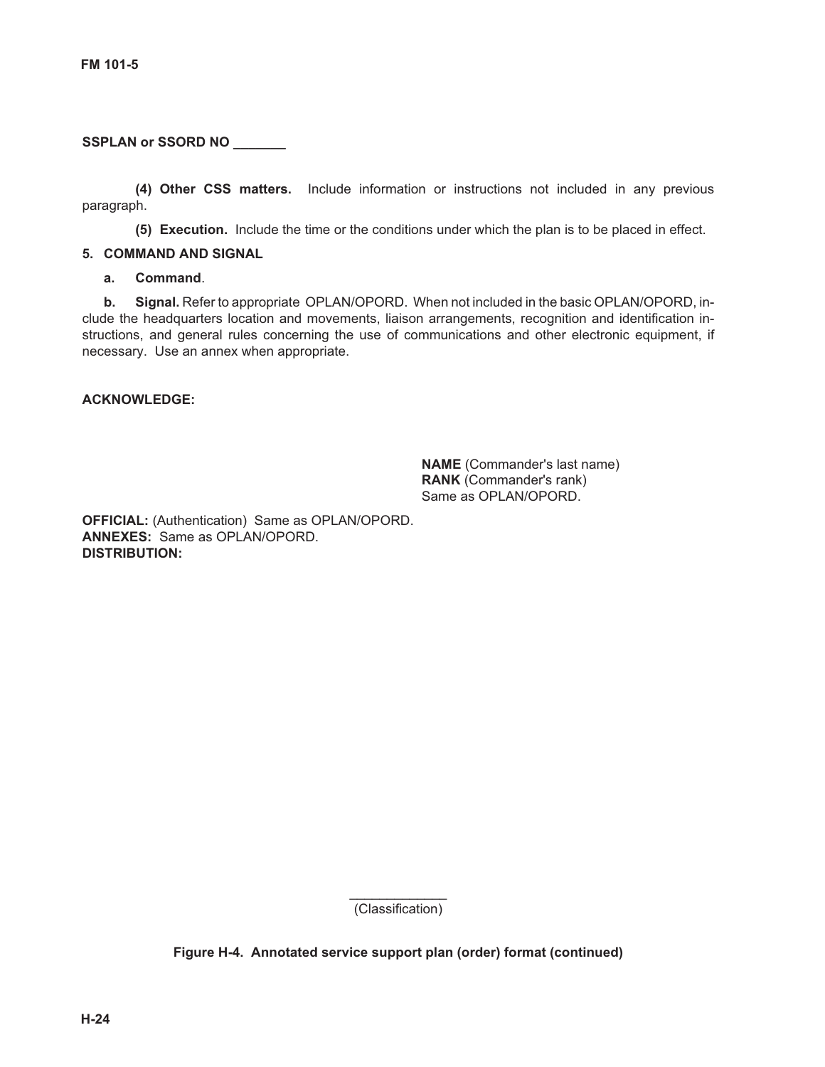**(4) Other CSS matters.** Include information or instructions not included in any previous paragraph.

**(5) Execution.** Include the time or the conditions under which the plan is to be placed in effect.

#### **5. COMMAND AND SIGNAL**

**a. Command**.

**b. Signal.** Refer to appropriate OPLAN/OPORD. When not included in the basic OPLAN/OPORD, include the headquarters location and movements, liaison arrangements, recognition and identification instructions, and general rules concerning the use of communications and other electronic equipment, if necessary. Use an annex when appropriate.

**ACKNOWLEDGE:**

**NAME** (Commander's last name) **RANK** (Commander's rank) Same as OPLAN/OPORD.

**OFFICIAL:** (Authentication) Same as OPLAN/OPORD. **ANNEXES:** Same as OPLAN/OPORD. **DISTRIBUTION:**

> \_\_\_\_\_\_\_\_\_\_\_\_\_ (Classification)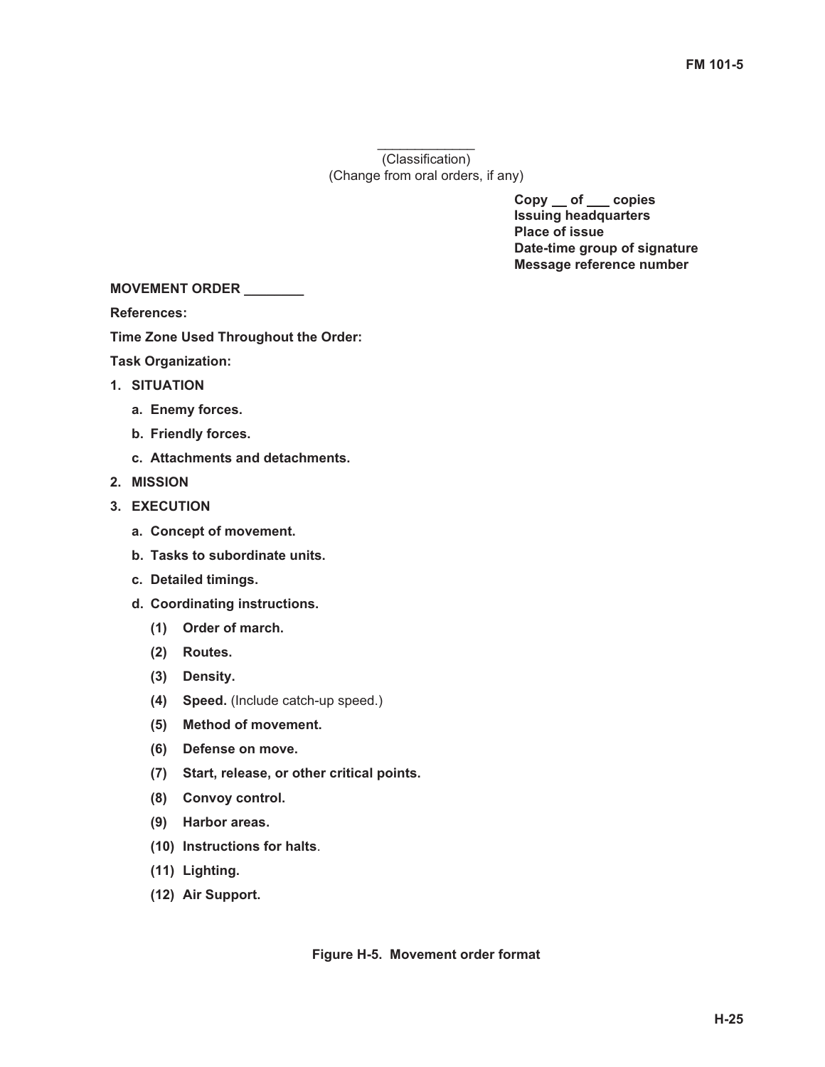\_\_\_\_\_\_\_\_\_\_\_\_\_ (Classification) (Change from oral orders, if any)

> **Copy of copies Issuing headquarters Place of issue Date-time group of signature Message reference number**

**MOVEMENT ORDER \_\_\_\_\_\_\_\_**

**References:**

**Time Zone Used Throughout the Order:**

**Task Organization:**

- **1. SITUATION**
	- **a. Enemy forces.**
	- **b. Friendly forces.**
	- **c. Attachments and detachments.**
- **2. MISSION**
- **3. EXECUTION**
	- **a. Concept of movement.**
	- **b. Tasks to subordinate units.**
	- **c. Detailed timings.**
	- **d. Coordinating instructions.**
		- **(1) Order of march.**
		- **(2) Routes.**
		- **(3) Density.**
		- **(4) Speed.** (Include catch-up speed.)
		- **(5) Method of movement.**
		- **(6) Defense on move.**
		- **(7) Start, release, or other critical points.**
		- **(8) Convoy control.**
		- **(9) Harbor areas.**
		- **(10) Instructions for halts**.
		- **(11) Lighting.**
		- **(12) Air Support.**

**Figure H-5. Movement order format**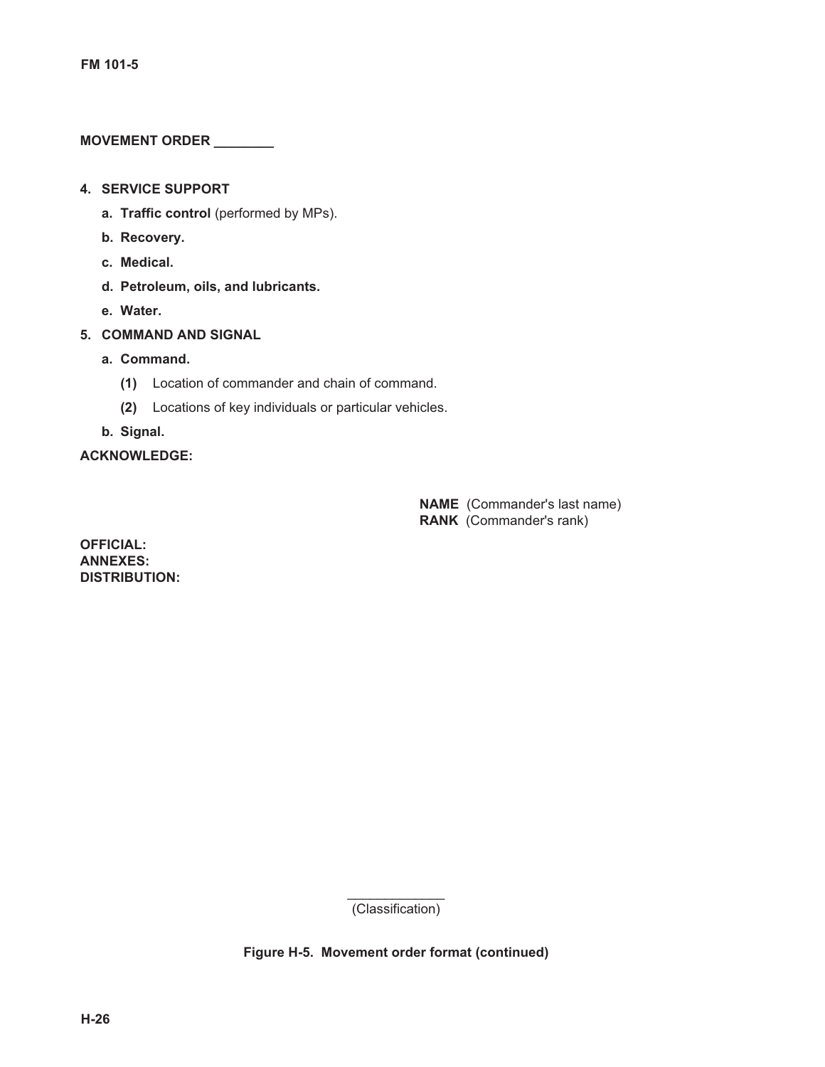**MOVEMENT ORDER \_\_\_\_\_\_\_\_**

### **4. SERVICE SUPPORT**

- **a. Traffic control** (performed by MPs).
- **b. Recovery.**
- **c. Medical.**
- **d. Petroleum, oils, and lubricants.**
- **e. Water.**
- **5. COMMAND AND SIGNAL**
	- **a. Command.**
		- **(1)** Location of commander and chain of command.
		- **(2)** Locations of key individuals or particular vehicles.
	- **b. Signal.**

# **ACKNOWLEDGE:**

**NAME** (Commander's last name) **RANK** (Commander's rank)

**OFFICIAL: ANNEXES: DISTRIBUTION:**

> \_\_\_\_\_\_\_\_\_\_\_\_\_ (Classification)

**Figure H-5. Movement order format (continued)**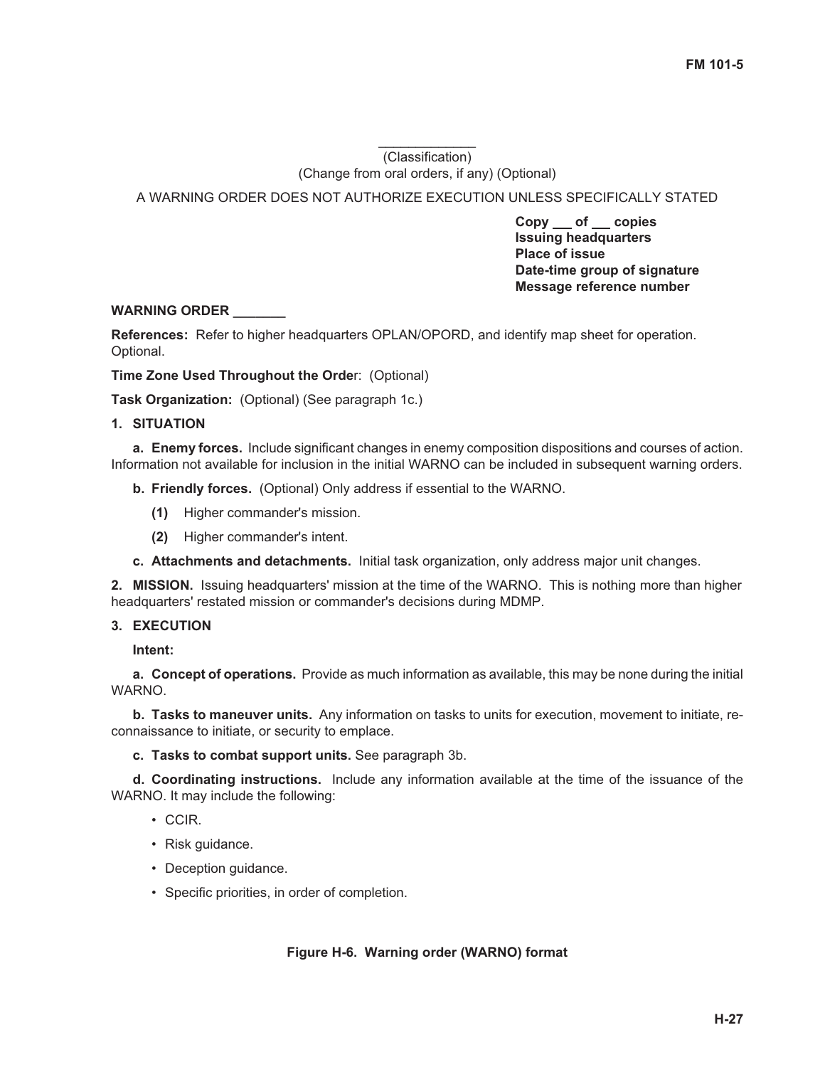## \_\_\_\_\_\_\_\_\_\_\_\_\_ (Classification) (Change from oral orders, if any) (Optional)

# A WARNING ORDER DOES NOT AUTHORIZE EXECUTION UNLESS SPECIFICALLY STATED

**Copy of copies Issuing headquarters Place of issue Date-time group of signature Message reference number**

## **WARNING ORDER \_\_\_\_\_\_\_**

**References:** Refer to higher headquarters OPLAN/OPORD, and identify map sheet for operation. Optional.

**Time Zone Used Throughout the Orde**r: (Optional)

**Task Organization:** (Optional) (See paragraph 1c.)

## **1. SITUATION**

**a. Enemy forces.** Include significant changes in enemy composition dispositions and courses of action. Information not available for inclusion in the initial WARNO can be included in subsequent warning orders.

**b. Friendly forces.** (Optional) Only address if essential to the WARNO.

- **(1)** Higher commander's mission.
- **(2)** Higher commander's intent.
- **c. Attachments and detachments.** Initial task organization, only address major unit changes.

**2. MISSION.** Issuing headquarters' mission at the time of the WARNO. This is nothing more than higher headquarters' restated mission or commander's decisions during MDMP.

### **3. EXECUTION**

### **Intent:**

**a. Concept of operations.** Provide as much information as available, this may be none during the initial WARNO.

**b. Tasks to maneuver units.** Any information on tasks to units for execution, movement to initiate, reconnaissance to initiate, or security to emplace.

**c. Tasks to combat support units.** See paragraph 3b.

**d. Coordinating instructions.** Include any information available at the time of the issuance of the WARNO. It may include the following:

- CCIR.
- Risk guidance.
- Deception guidance.
- Specific priorities, in order of completion.

# **Figure H-6. Warning order (WARNO) format**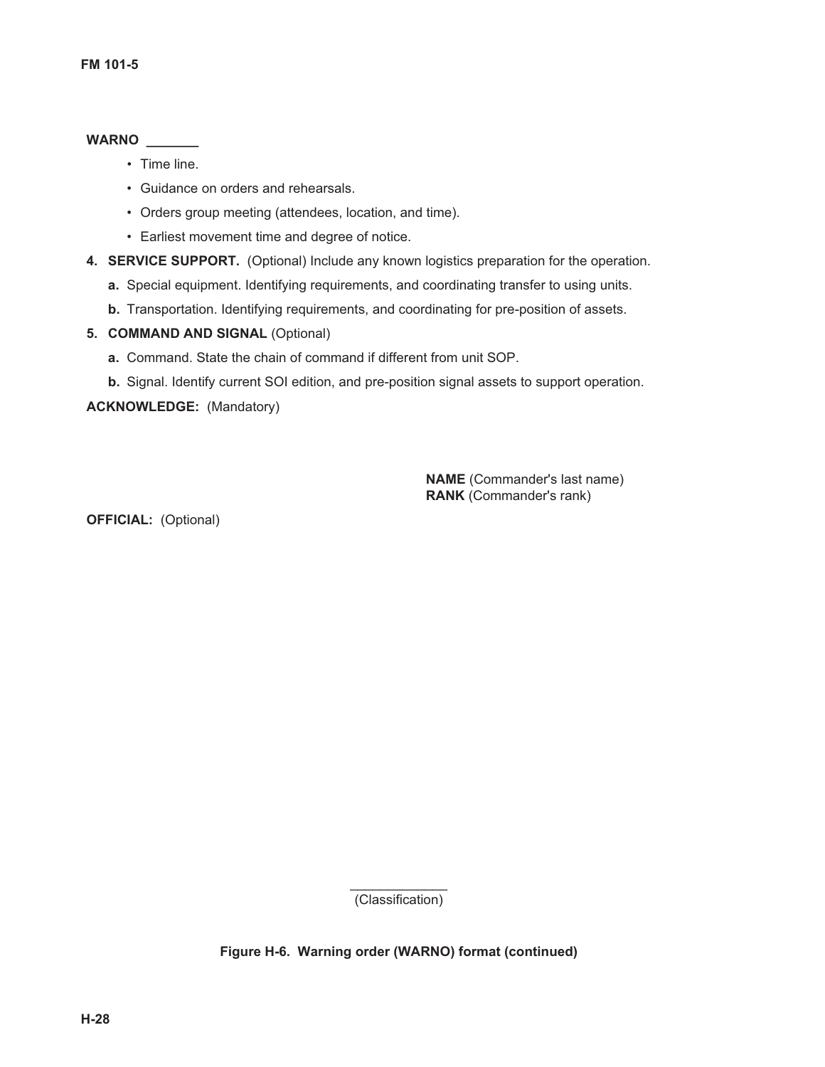# **WARNO \_\_\_\_\_\_\_**

- Time line.
- Guidance on orders and rehearsals.
- Orders group meeting (attendees, location, and time).
- Earliest movement time and degree of notice.
- **4. SERVICE SUPPORT.** (Optional) Include any known logistics preparation for the operation.
	- **a.** Special equipment. Identifying requirements, and coordinating transfer to using units.
	- **b.** Transportation. Identifying requirements, and coordinating for pre-position of assets.
- **5. COMMAND AND SIGNAL** (Optional)
	- **a.** Command. State the chain of command if different from unit SOP.
	- **b.** Signal. Identify current SOI edition, and pre-position signal assets to support operation.

**ACKNOWLEDGE:** (Mandatory)

**NAME** (Commander's last name) **RANK** (Commander's rank)

**OFFICIAL:** (Optional)

 $\mathcal{L}_\text{max}$  , where  $\mathcal{L}_\text{max}$ (Classification)

**Figure H-6. Warning order (WARNO) format (continued)**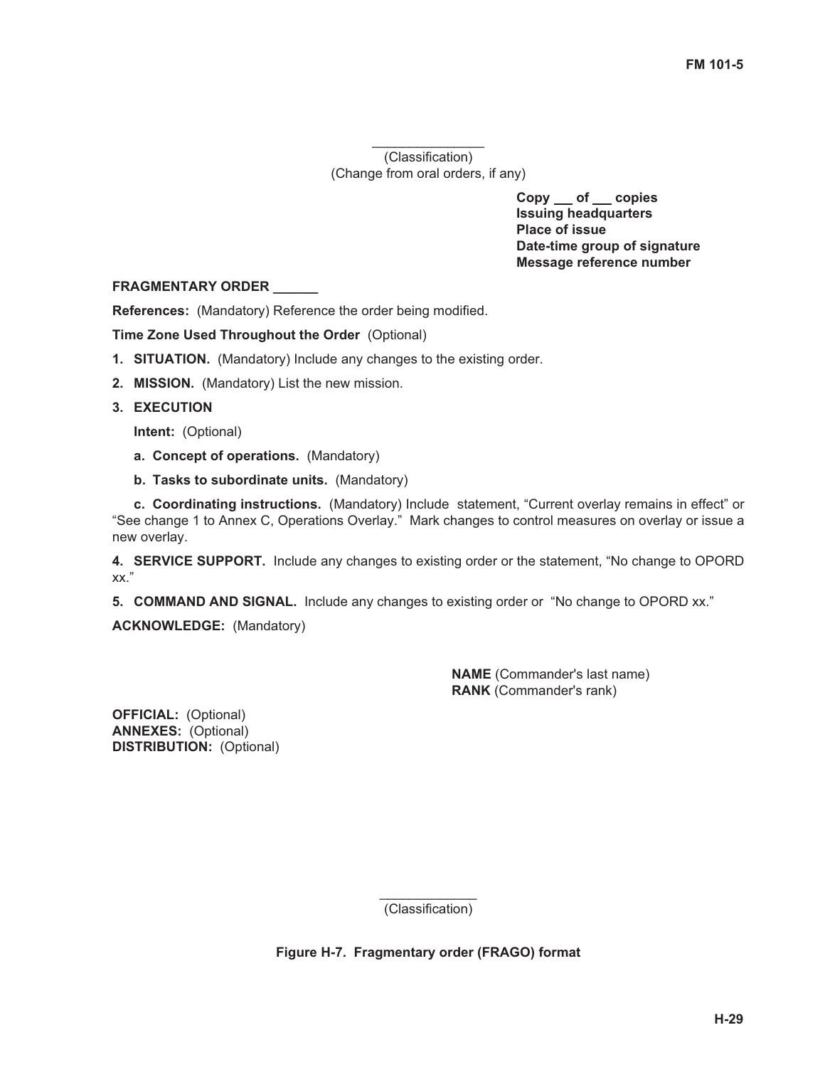\_\_\_\_\_\_\_\_\_\_\_\_\_\_\_ (Classification) (Change from oral orders, if any)

> **Copy of copies Issuing headquarters Place of issue Date-time group of signature Message reference number**

## **FRAGMENTARY ORDER \_\_\_\_\_\_**

**References:** (Mandatory) Reference the order being modified.

**Time Zone Used Throughout the Order** (Optional)

- **1. SITUATION.** (Mandatory) Include any changes to the existing order.
- **2. MISSION.** (Mandatory) List the new mission.
- **3. EXECUTION**

**Intent:** (Optional)

- **a. Concept of operations.** (Mandatory)
- **b. Tasks to subordinate units.** (Mandatory)

**c. Coordinating instructions.** (Mandatory) Include statement, "Current overlay remains in effect" or "See change 1 to Annex C, Operations Overlay." Mark changes to control measures on overlay or issue a new overlay.

**4. SERVICE SUPPORT.** Include any changes to existing order or the statement, "No change to OPORD xx."

**5. COMMAND AND SIGNAL.** Include any changes to existing order or "No change to OPORD xx."

**ACKNOWLEDGE:** (Mandatory)

**NAME** (Commander's last name) **RANK** (Commander's rank)

**OFFICIAL:** (Optional) **ANNEXES:** (Optional) **DISTRIBUTION:** (Optional)

> \_\_\_\_\_\_\_\_\_\_\_\_\_ (Classification)

**Figure H-7. Fragmentary order (FRAGO) format**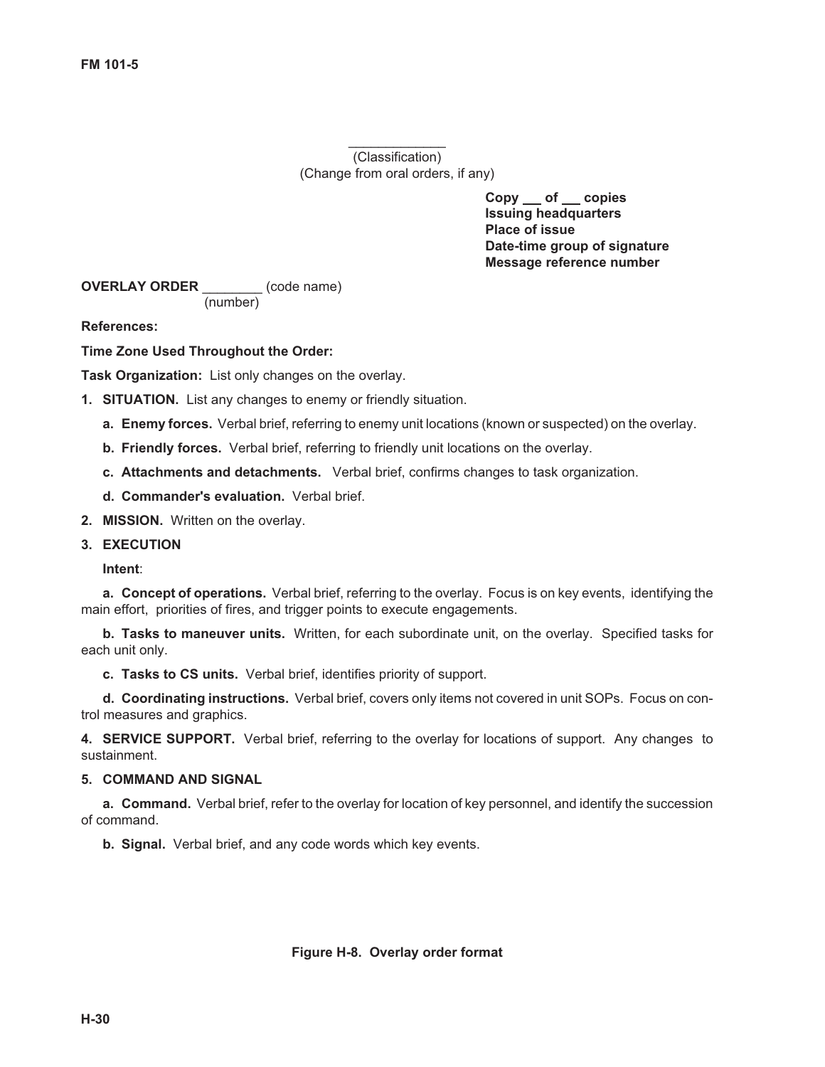\_\_\_\_\_\_\_\_\_\_\_\_\_ (Classification) (Change from oral orders, if any)

> **Copy of copies Issuing headquarters Place of issue Date-time group of signature Message reference number**

**OVERLAY ORDER** \_\_\_\_\_\_\_\_ (code name) (number)

**References:**

## **Time Zone Used Throughout the Order:**

**Task Organization:** List only changes on the overlay.

**1. SITUATION.** List any changes to enemy or friendly situation.

- **a. Enemy forces.** Verbal brief, referring to enemy unit locations (known or suspected) on the overlay.
- **b. Friendly forces.** Verbal brief, referring to friendly unit locations on the overlay.
- **c. Attachments and detachments.** Verbal brief, confirms changes to task organization.
- **d. Commander's evaluation.** Verbal brief.
- **2. MISSION.** Written on the overlay.
- **3. EXECUTION**

**Intent**:

**a. Concept of operations.** Verbal brief, referring to the overlay. Focus is on key events, identifying the main effort, priorities of fires, and trigger points to execute engagements.

**b. Tasks to maneuver units.** Written, for each subordinate unit, on the overlay. Specified tasks for each unit only.

**c. Tasks to CS units.** Verbal brief, identifies priority of support.

**d. Coordinating instructions.** Verbal brief, covers only items not covered in unit SOPs. Focus on control measures and graphics.

**4. SERVICE SUPPORT.** Verbal brief, referring to the overlay for locations of support. Any changes to sustainment.

### **5. COMMAND AND SIGNAL**

**a. Command.** Verbal brief, refer to the overlay for location of key personnel, and identify the succession of command.

**b. Signal.** Verbal brief, and any code words which key events.

### **Figure H-8. Overlay order format**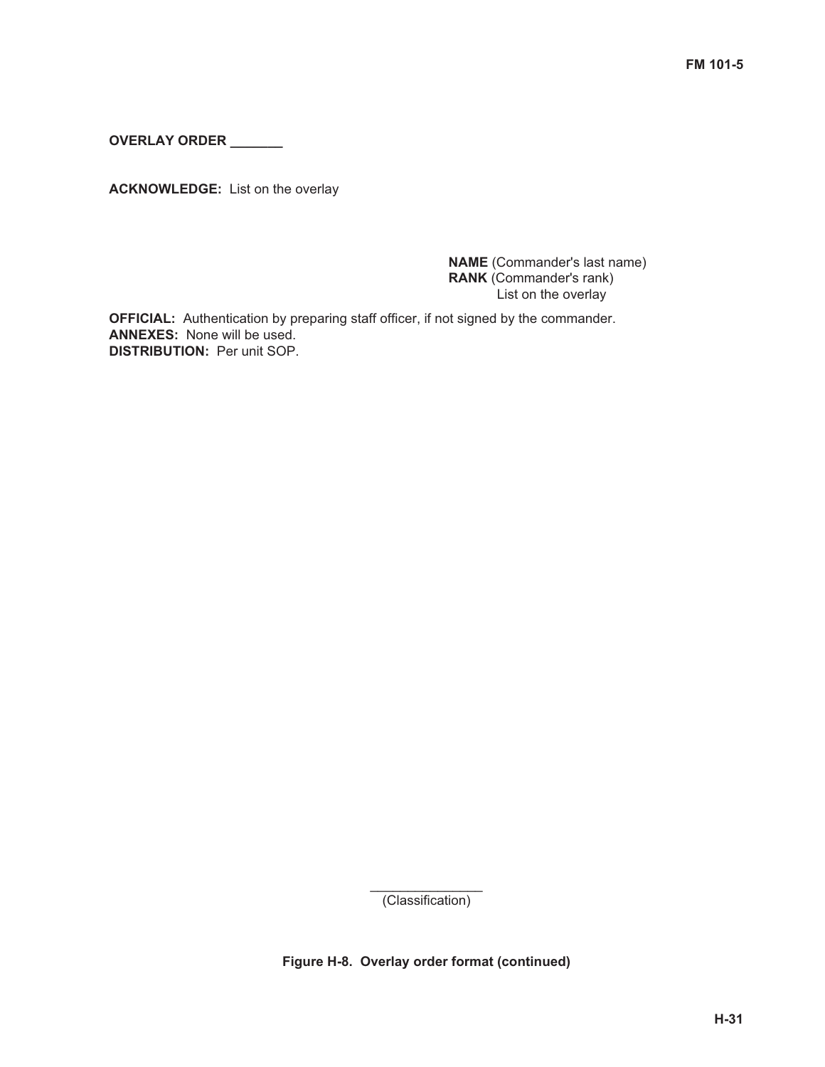**OVERLAY ORDER \_\_\_\_\_\_\_**

**ACKNOWLEDGE:** List on the overlay

**NAME** (Commander's last name) **RANK** (Commander's rank) List on the overlay

**OFFICIAL:** Authentication by preparing staff officer, if not signed by the commander. **ANNEXES:** None will be used. **DISTRIBUTION:** Per unit SOP.

> \_\_\_\_\_\_\_\_\_\_\_\_\_\_\_ (Classification)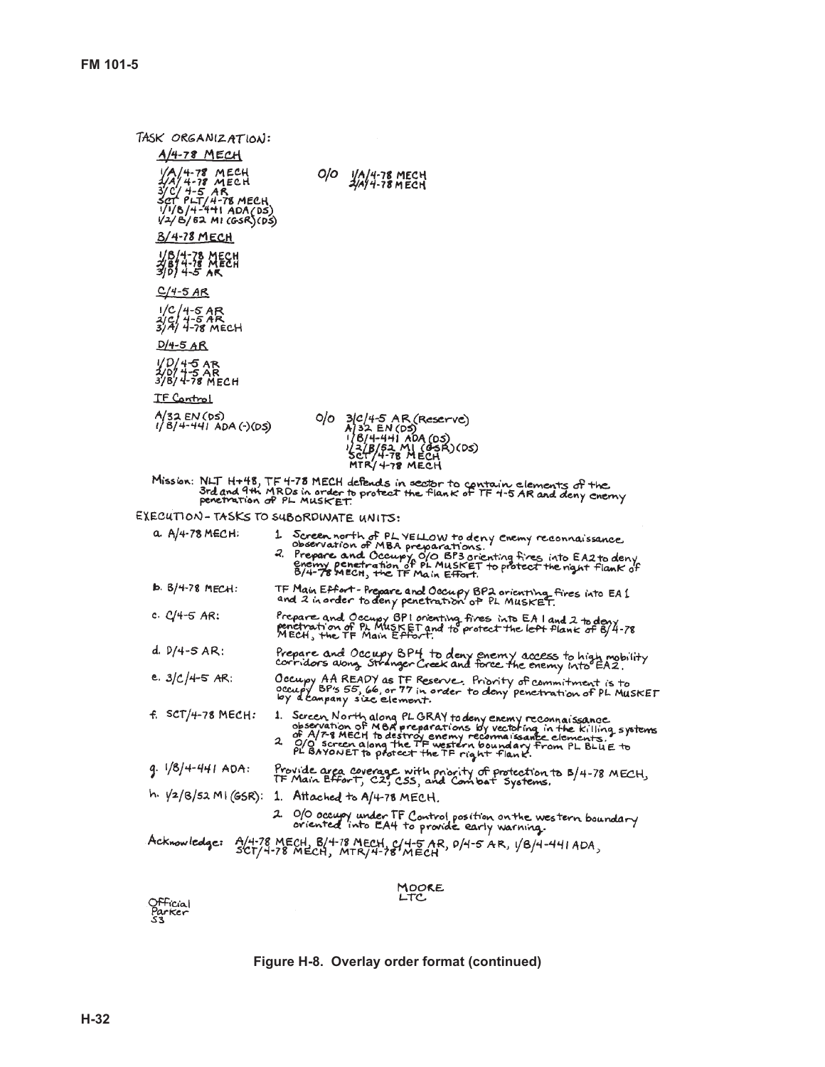| TASK ORGANIZATION:<br><u>A/4-78 MECH</u><br>$1/A$ /4-78 MECH<br>$1/A$ /4-78 MECH                                                                                                        | O/O                                                                                                                                                                                                                                                                 |  |  |
|-----------------------------------------------------------------------------------------------------------------------------------------------------------------------------------------|---------------------------------------------------------------------------------------------------------------------------------------------------------------------------------------------------------------------------------------------------------------------|--|--|
| 3/C/ 4-5 AR<br>Set PLT/4-78 MECH<br>1/1/8/4-441 ADA(DS)<br>(2/6/62 M1 (GSR)(DS)                                                                                                         | 1/4/4-78 MECH<br>2/4/4-78 MECH                                                                                                                                                                                                                                      |  |  |
| <u>B/4-78 MECH</u>                                                                                                                                                                      |                                                                                                                                                                                                                                                                     |  |  |
| 1/B/4-78 MECH<br>2/B/4-78 MECH<br>3/D/4-5 AR                                                                                                                                            |                                                                                                                                                                                                                                                                     |  |  |
| <u>C/4-5 AR</u>                                                                                                                                                                         |                                                                                                                                                                                                                                                                     |  |  |
| 1/C/4-5 AR<br>2/C/4-5 AR<br>3/A/4-78 MECH                                                                                                                                               |                                                                                                                                                                                                                                                                     |  |  |
| $D/4 - 5 AR$                                                                                                                                                                            |                                                                                                                                                                                                                                                                     |  |  |
| 1/D/4-5 AR<br>2/D/4-5 AR<br>3/B/4-78 MECH                                                                                                                                               |                                                                                                                                                                                                                                                                     |  |  |
| <b>TF Control</b>                                                                                                                                                                       |                                                                                                                                                                                                                                                                     |  |  |
| A/32 EN (DS)<br>$1/8/4 - 441$ ADA (-)(DS)                                                                                                                                               | $0/0$ 3/ $c/4$ -5 AR (Reserve)<br>$A/32$ EN (D5)<br>178/4-441 ADA (OS)<br>1/2/B/S2 MI (OSA)(OS)<br>5CT/4-78 MECH<br>MTR/4-78 MECH                                                                                                                                   |  |  |
|                                                                                                                                                                                         |                                                                                                                                                                                                                                                                     |  |  |
| Mission: NLT H+48, TF 4-78 MECH defends in sector to contain elements of the<br>3rd and 9th MRDs in order to protect the flank of TF 4-5 AR and deny enemy<br>penetration of PL MUSKET. |                                                                                                                                                                                                                                                                     |  |  |
| EXECUTION-TASKS TO SUBORDINATE UNITS:                                                                                                                                                   |                                                                                                                                                                                                                                                                     |  |  |
| a. A/4-78 MECH:                                                                                                                                                                         | 1. Screen north of PL VELLOW to deny enemy reconnaissance<br>observation of MBA preparations.<br>2. Prepare and Occupy 0/0 BP3 orienting fires into EA2 to deny<br>enemy penetration of PL MUSKET to protect the right flank of<br>B/4-78 MECH, the IF Main Effort. |  |  |
| <b>b.</b> B/4-78 MECH:                                                                                                                                                                  | TF Main Effort-Prepare and Occupy BP2 orienting fires into EA I<br>and 2 in order to deny penetration of PL MUSKET.                                                                                                                                                 |  |  |
| c. $C/4 - 5$ AR:                                                                                                                                                                        | Prepare and Occupy BPI onenting fives into EA I and 2 to devil.<br>penetration of PL MUSK ET and to protect the left flank of B/4-78<br>MECH, the TF Main Effort.                                                                                                   |  |  |
| d. D/4-5 AR:                                                                                                                                                                            | Prepare and Occupy BP4 to deny enemy access to high mobility<br>corridors along. Stranger Creek and force the enemy into EA2.                                                                                                                                       |  |  |
| e. $3/C/4-5 AR$ :                                                                                                                                                                       | Occupy AA READY as IF Reserve. Priority of commitment is to<br>occupy BP's 55, 66, or 77 in order to deny penetration of PL MUSKET<br>by a canpany size element.                                                                                                    |  |  |
| f. $SCT/4-78$ MECH:                                                                                                                                                                     | 1. Sereon North along PL GRAY to deny enemy reconnaissance<br>observation of MBA preparations by vectoring in the Killing systems<br>of A/7-8 MECH to destroy enemy recommaissance elements.<br>2. O/O screen along the TF western boun                             |  |  |
| g. 1/8/4-441 ADA:                                                                                                                                                                       | Provide area coverage with priority of protection to B/4-78 MECH,<br>TF Main Effort, C2, CSS, and Combat Systems.                                                                                                                                                   |  |  |
| h. $\frac{1}{2}$ /3/52 MI (GSR):                                                                                                                                                        | 1. Attached to $A/4$ -78 MECH.                                                                                                                                                                                                                                      |  |  |
|                                                                                                                                                                                         | 2. O/O occupy under TF Control position on the western boundary<br>oriented into EA4 to provide early warning.                                                                                                                                                      |  |  |
| Acknowledge:                                                                                                                                                                            | A/4-78 MECH, B/4-78 MECH, C/4-5 AR, 0/4-5 AR, 1/B/4-441 ADA,<br>SCT/4-78 MECH, MTR/4-78 MECH                                                                                                                                                                        |  |  |

MOORE<br>LTC

Official<br>Parker<br>S3

**Figure H-8. Overlay order format (continued)**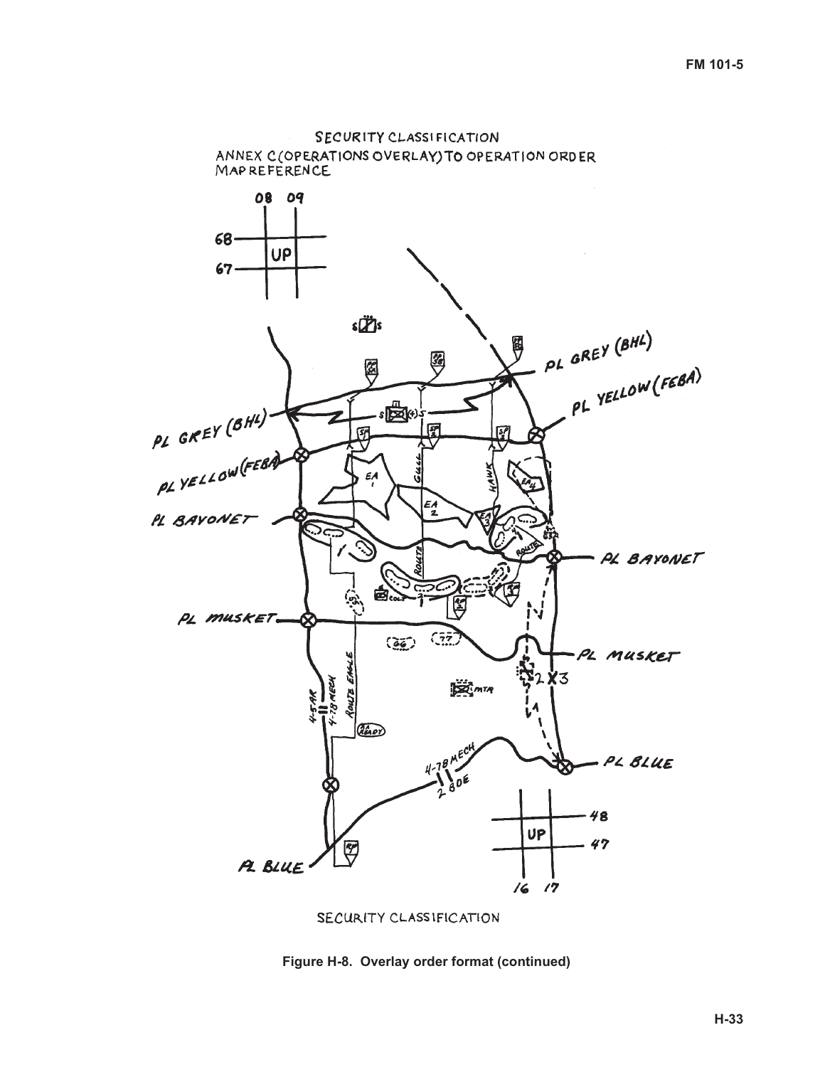

SECURITY CLASSIFICATION

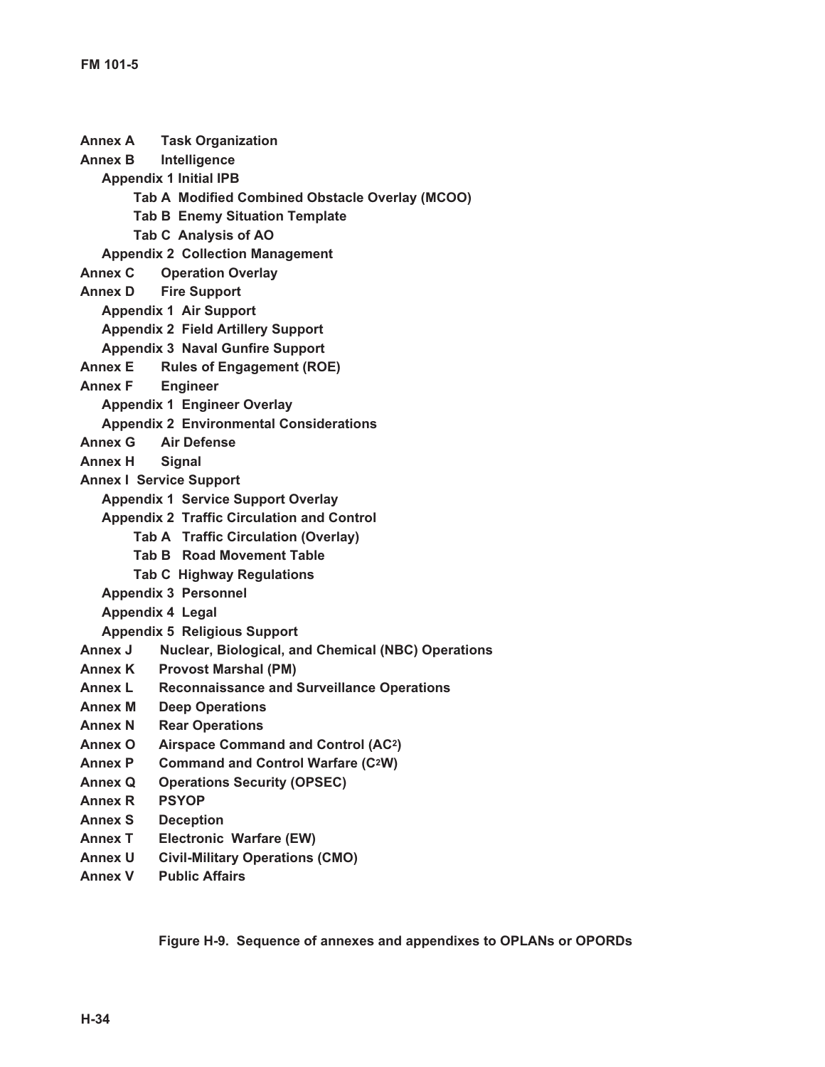- **Annex A Task Organization**
- **Annex B Intelligence**
- **Appendix 1 Initial IPB**
	- **Tab A Modified Combined Obstacle Overlay (MCOO)**
	- **Tab B Enemy Situation Template**
	- **Tab C Analysis of AO**
- **Appendix 2 Collection Management**
- **Annex C Operation Overlay**
- **Annex D Fire Support**
	- **Appendix 1 Air Support**
	- **Appendix 2 Field Artillery Support**
	- **Appendix 3 Naval Gunfire Support**
- **Annex E Rules of Engagement (ROE)**
- **Annex F Engineer**
	- **Appendix 1 Engineer Overlay**
	- **Appendix 2 Environmental Considerations**
- **Annex G Air Defense**
- **Annex H Signal**
- **Annex I Service Support**
	- **Appendix 1 Service Support Overlay**
	- **Appendix 2 Traffic Circulation and Control**
		- **Tab A Traffic Circulation (Overlay)**
		- **Tab B Road Movement Table**
		- **Tab C Highway Regulations**
	- **Appendix 3 Personnel**
	- **Appendix 4 Legal**
	- **Appendix 5 Religious Support**
- **Annex J Nuclear, Biological, and Chemical (NBC) Operations**
- **Annex K Provost Marshal (PM)**
- **Annex L Reconnaissance and Surveillance Operations**
- **Annex M Deep Operations**
- **Annex N Rear Operations**
- **Annex O Airspace Command and Control (AC2)**
- **Annex P Command and Control Warfare (C2W)**
- **Annex Q Operations Security (OPSEC)**
- **Annex R PSYOP**
- **Annex S Deception**
- **Annex T Electronic Warfare (EW)**
- **Annex U Civil-Military Operations (CMO)**
- **Annex V Public Affairs**

**Figure H-9. Sequence of annexes and appendixes to OPLANs or OPORDs**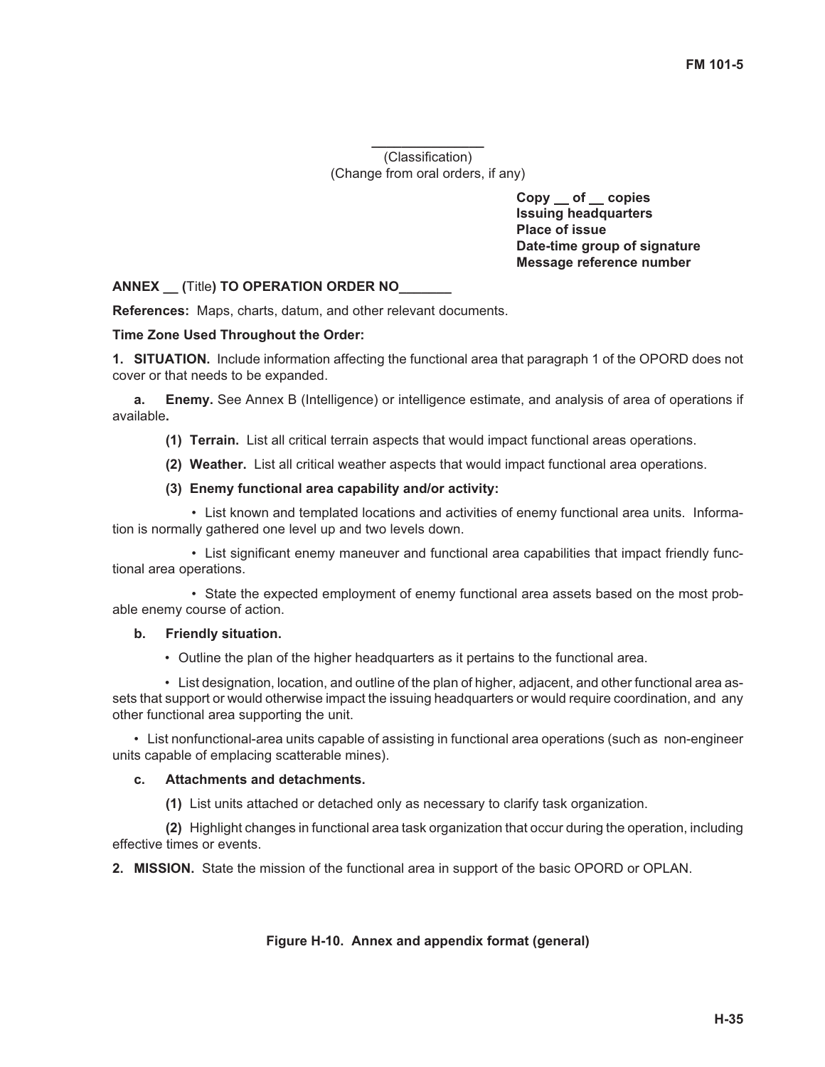**\_\_\_\_\_\_\_\_\_\_\_\_\_\_\_** (Classification) (Change from oral orders, if any)

> **Copy of copies Issuing headquarters Place of issue Date-time group of signature Message reference number**

## **ANNEX \_\_ (**Title**) TO OPERATION ORDER NO\_\_\_\_\_\_\_**

**References:** Maps, charts, datum, and other relevant documents.

#### **Time Zone Used Throughout the Order:**

**1. SITUATION.** Include information affecting the functional area that paragraph 1 of the OPORD does not cover or that needs to be expanded.

**a. Enemy.** See Annex B (Intelligence) or intelligence estimate, and analysis of area of operations if available**.**

- **(1) Terrain.** List all critical terrain aspects that would impact functional areas operations.
- **(2) Weather.** List all critical weather aspects that would impact functional area operations.

### **(3) Enemy functional area capability and/or activity:**

• List known and templated locations and activities of enemy functional area units. Information is normally gathered one level up and two levels down.

• List significant enemy maneuver and functional area capabilities that impact friendly functional area operations.

• State the expected employment of enemy functional area assets based on the most probable enemy course of action.

#### **b. Friendly situation.**

• Outline the plan of the higher headquarters as it pertains to the functional area.

• List designation, location, and outline of the plan of higher, adjacent, and other functional area assets that support or would otherwise impact the issuing headquarters or would require coordination, and any other functional area supporting the unit.

• List nonfunctional-area units capable of assisting in functional area operations (such as non-engineer units capable of emplacing scatterable mines).

#### **c. Attachments and detachments.**

**(1)** List units attached or detached only as necessary to clarify task organization.

**(2)** Highlight changes in functional area task organization that occur during the operation, including effective times or events.

**2. MISSION.** State the mission of the functional area in support of the basic OPORD or OPLAN.

### **Figure H-10. Annex and appendix format (general)**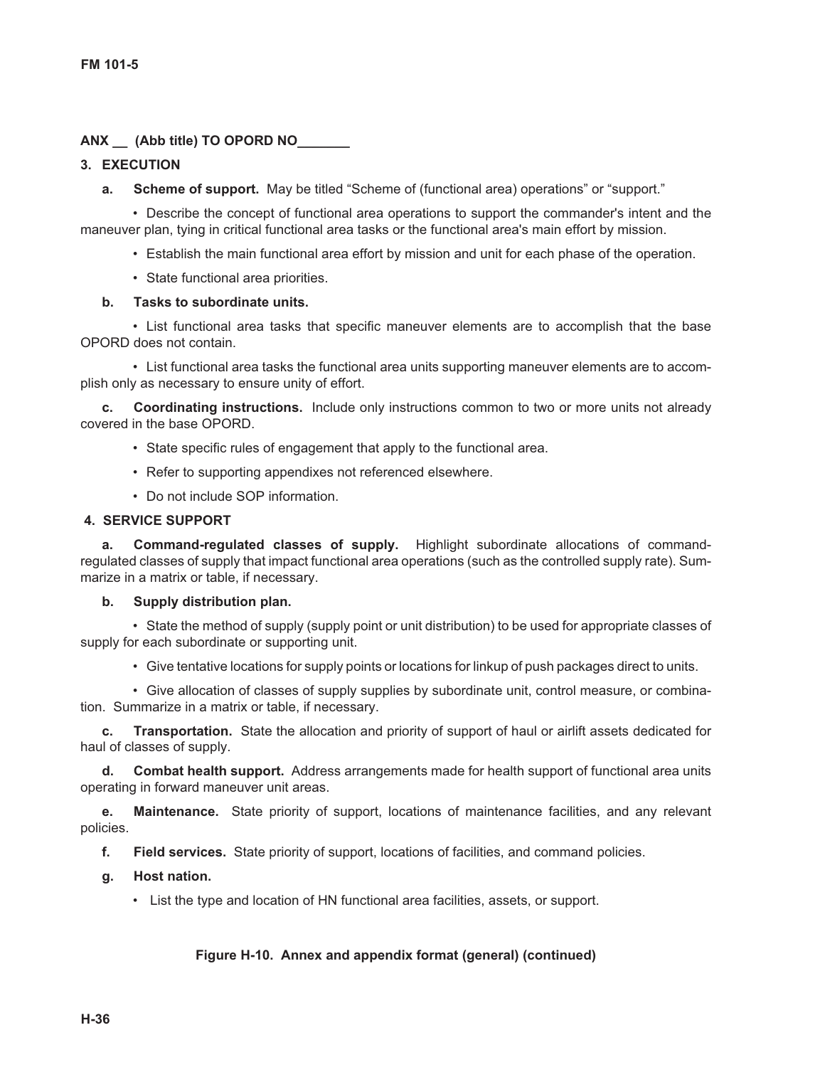## **ANX \_\_ (Abb title) TO OPORD NO\_\_\_\_\_\_\_**

### **3. EXECUTION**

**a. Scheme of support.** May be titled "Scheme of (functional area) operations" or "support."

• Describe the concept of functional area operations to support the commander's intent and the maneuver plan, tying in critical functional area tasks or the functional area's main effort by mission.

- Establish the main functional area effort by mission and unit for each phase of the operation.
- State functional area priorities.

#### **b. Tasks to subordinate units.**

• List functional area tasks that specific maneuver elements are to accomplish that the base OPORD does not contain.

• List functional area tasks the functional area units supporting maneuver elements are to accomplish only as necessary to ensure unity of effort.

**c. Coordinating instructions.** Include only instructions common to two or more units not already covered in the base OPORD.

- State specific rules of engagement that apply to the functional area.
- Refer to supporting appendixes not referenced elsewhere.
- Do not include SOP information.

#### **4. SERVICE SUPPORT**

**a. Command-regulated classes of supply.** Highlight subordinate allocations of commandregulated classes of supply that impact functional area operations (such as the controlled supply rate). Summarize in a matrix or table, if necessary.

#### **b. Supply distribution plan.**

• State the method of supply (supply point or unit distribution) to be used for appropriate classes of supply for each subordinate or supporting unit.

• Give tentative locations for supply points or locations for linkup of push packages direct to units.

• Give allocation of classes of supply supplies by subordinate unit, control measure, or combination. Summarize in a matrix or table, if necessary.

**c. Transportation.** State the allocation and priority of support of haul or airlift assets dedicated for haul of classes of supply.

**d. Combat health support.** Address arrangements made for health support of functional area units operating in forward maneuver unit areas.

**e. Maintenance.** State priority of support, locations of maintenance facilities, and any relevant policies.

**f. Field services.** State priority of support, locations of facilities, and command policies.

#### **g. Host nation.**

• List the type and location of HN functional area facilities, assets, or support.

### **Figure H-10. Annex and appendix format (general) (continued)**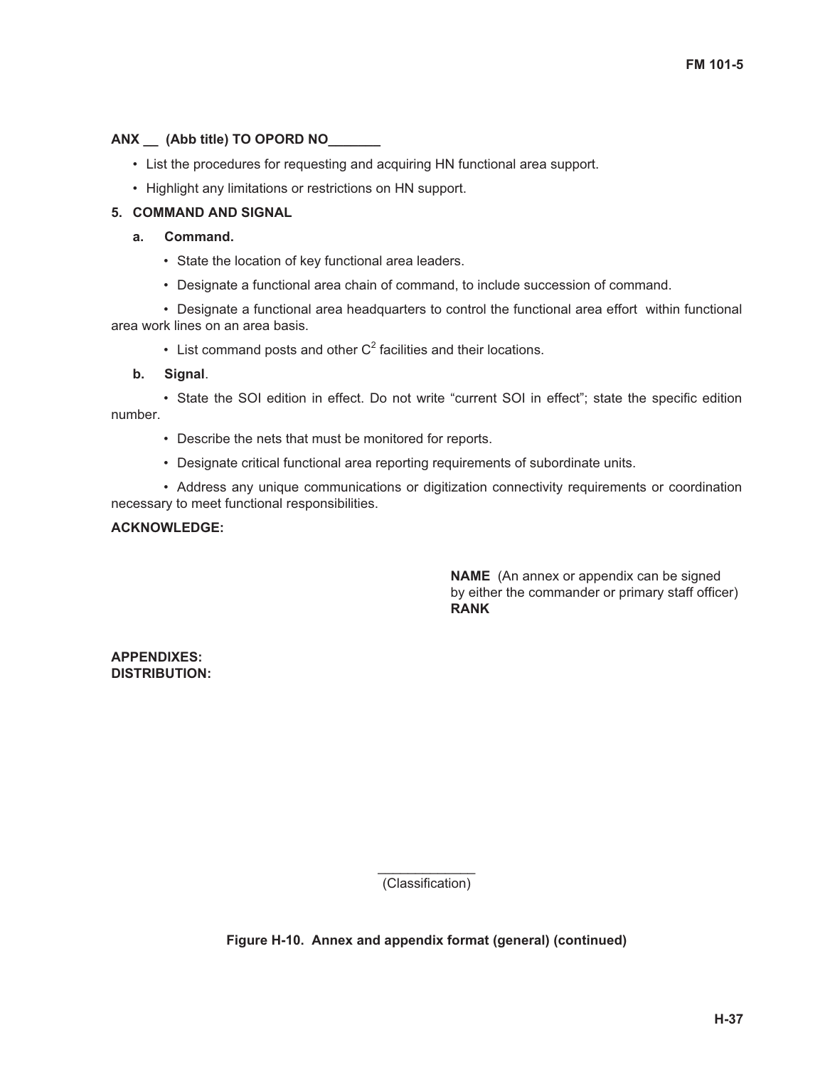# **ANX \_\_ (Abb title) TO OPORD NO\_\_\_\_\_\_\_**

- List the procedures for requesting and acquiring HN functional area support.
- Highlight any limitations or restrictions on HN support.

## **5. COMMAND AND SIGNAL**

- **a. Command.**
	- State the location of key functional area leaders.
	- Designate a functional area chain of command, to include succession of command.

• Designate a functional area headquarters to control the functional area effort within functional area work lines on an area basis.

• List command posts and other  $C^2$  facilities and their locations.

## **b. Signal**.

• State the SOI edition in effect. Do not write "current SOI in effect"; state the specific edition number.

- Describe the nets that must be monitored for reports.
- Designate critical functional area reporting requirements of subordinate units.

• Address any unique communications or digitization connectivity requirements or coordination necessary to meet functional responsibilities.

## **ACKNOWLEDGE:**

**NAME** (An annex or appendix can be signed by either the commander or primary staff officer) **RANK**

**APPENDIXES: DISTRIBUTION:**

> $\mathcal{L}_\text{max}$  , where  $\mathcal{L}_\text{max}$ (Classification)

**Figure H-10. Annex and appendix format (general) (continued)**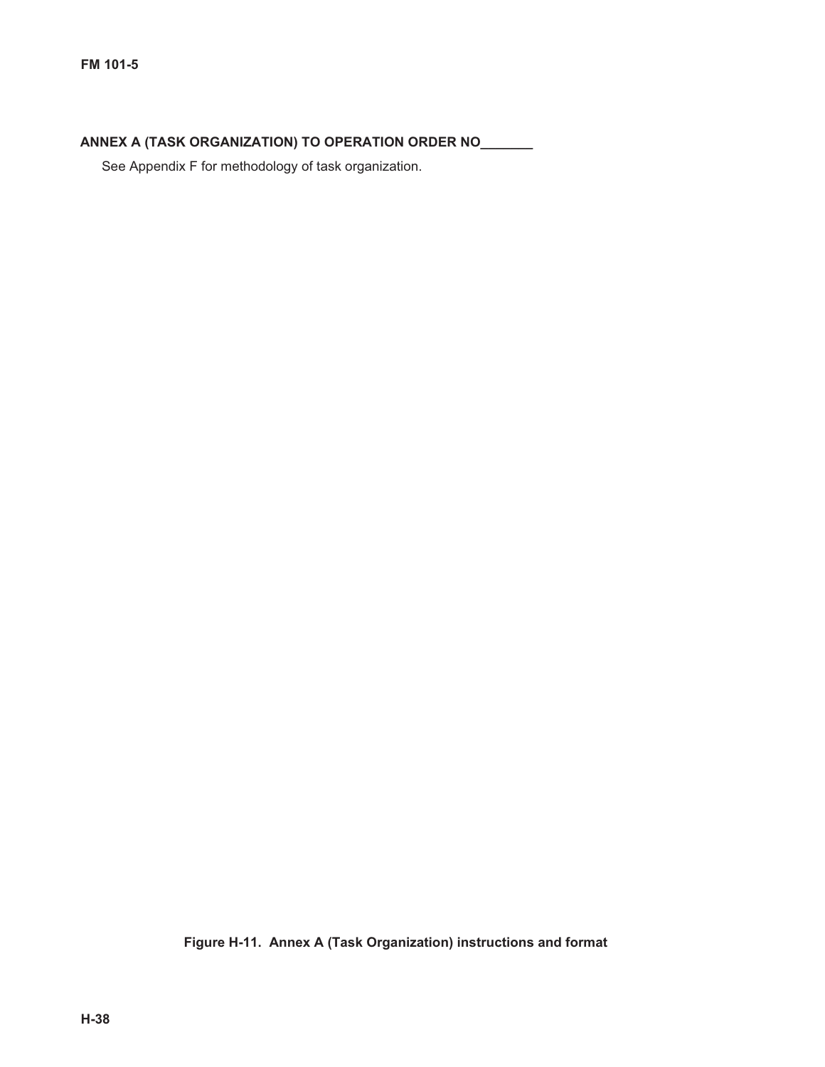# **ANNEX A (TASK ORGANIZATION) TO OPERATION ORDER NO\_\_\_\_\_\_\_**

See Appendix F for methodology of task organization.

**Figure H-11. Annex A (Task Organization) instructions and format**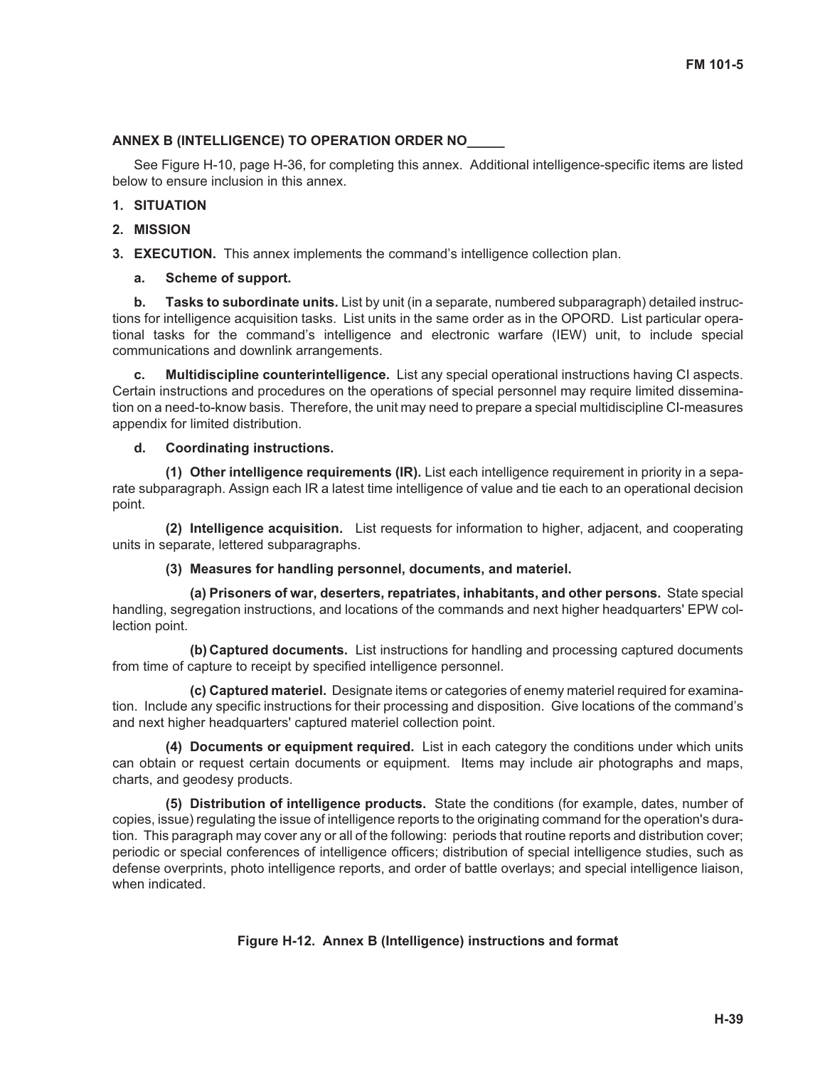# **ANNEX B (INTELLIGENCE) TO OPERATION ORDER NO\_\_\_\_\_**

See Figure H-10, page H-36, for completing this annex. Additional intelligence-specific items are listed below to ensure inclusion in this annex.

# **1. SITUATION**

- **2. MISSION**
- **3. EXECUTION.** This annex implements the command's intelligence collection plan.

### **a. Scheme of support.**

**b. Tasks to subordinate units.** List by unit (in a separate, numbered subparagraph) detailed instructions for intelligence acquisition tasks. List units in the same order as in the OPORD. List particular operational tasks for the command's intelligence and electronic warfare (IEW) unit, to include special communications and downlink arrangements.

**c. Multidiscipline counterintelligence.** List any special operational instructions having CI aspects. Certain instructions and procedures on the operations of special personnel may require limited dissemination on a need-to-know basis. Therefore, the unit may need to prepare a special multidiscipline CI-measures appendix for limited distribution.

### **d. Coordinating instructions.**

**(1) Other intelligence requirements (IR).** List each intelligence requirement in priority in a separate subparagraph. Assign each IR a latest time intelligence of value and tie each to an operational decision point.

**(2) Intelligence acquisition.** List requests for information to higher, adjacent, and cooperating units in separate, lettered subparagraphs.

### **(3) Measures for handling personnel, documents, and materiel.**

**(a) Prisoners of war, deserters, repatriates, inhabitants, and other persons.** State special handling, segregation instructions, and locations of the commands and next higher headquarters' EPW collection point.

**(b) Captured documents.** List instructions for handling and processing captured documents from time of capture to receipt by specified intelligence personnel.

**(c) Captured materiel.** Designate items or categories of enemy materiel required for examination. Include any specific instructions for their processing and disposition. Give locations of the command's and next higher headquarters' captured materiel collection point.

**(4) Documents or equipment required.** List in each category the conditions under which units can obtain or request certain documents or equipment. Items may include air photographs and maps, charts, and geodesy products.

**(5) Distribution of intelligence products.** State the conditions (for example, dates, number of copies, issue) regulating the issue of intelligence reports to the originating command for the operation's duration. This paragraph may cover any or all of the following: periods that routine reports and distribution cover; periodic or special conferences of intelligence officers; distribution of special intelligence studies, such as defense overprints, photo intelligence reports, and order of battle overlays; and special intelligence liaison, when indicated.

# **Figure H-12. Annex B (Intelligence) instructions and format**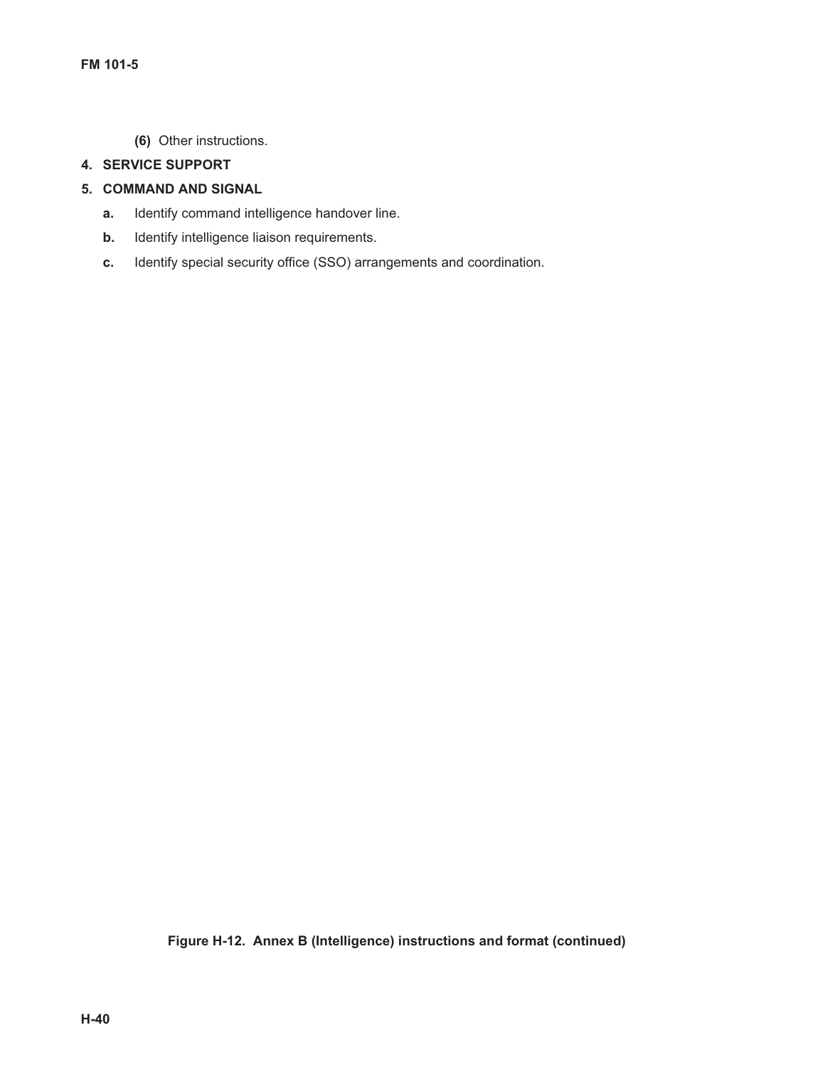**(6)** Other instructions.

# **4. SERVICE SUPPORT**

# **5. COMMAND AND SIGNAL**

- **a.** Identify command intelligence handover line.
- **b.** Identify intelligence liaison requirements.
- **c.** Identify special security office (SSO) arrangements and coordination.

**Figure H-12. Annex B (Intelligence) instructions and format (continued)**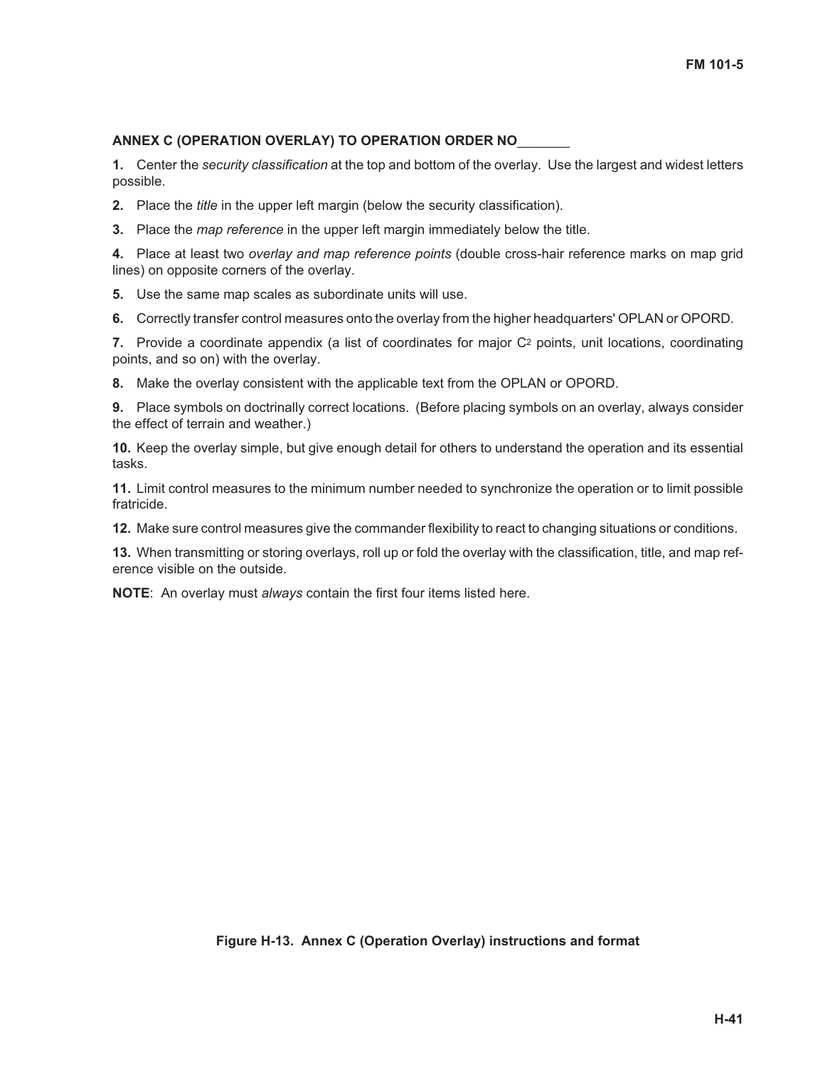# **ANNEX C (OPERATION OVERLAY) TO OPERATION ORDER NO**\_\_\_\_\_\_\_

**1.** Center the *security classification* at the top and bottom of the overlay. Use the largest and widest letters possible.

**2.** Place the *title* in the upper left margin (below the security classification).

**3.** Place the *map reference* in the upper left margin immediately below the title.

**4.** Place at least two *overlay and map reference points* (double cross-hair reference marks on map grid lines) on opposite corners of the overlay.

**5.** Use the same map scales as subordinate units will use.

**6.** Correctly transfer control measures onto the overlay from the higher headquarters' OPLAN or OPORD.

**7.** Provide a coordinate appendix (a list of coordinates for major C2 points, unit locations, coordinating points, and so on) with the overlay.

**8.** Make the overlay consistent with the applicable text from the OPLAN or OPORD.

**9.** Place symbols on doctrinally correct locations. (Before placing symbols on an overlay, always consider the effect of terrain and weather.)

**10.** Keep the overlay simple, but give enough detail for others to understand the operation and its essential tasks.

**11.** Limit control measures to the minimum number needed to synchronize the operation or to limit possible fratricide.

**12.** Make sure control measures give the commander flexibility to react to changing situations or conditions.

**13.** When transmitting or storing overlays, roll up or fold the overlay with the classification, title, and map reference visible on the outside.

**NOTE**: An overlay must *always* contain the first four items listed here.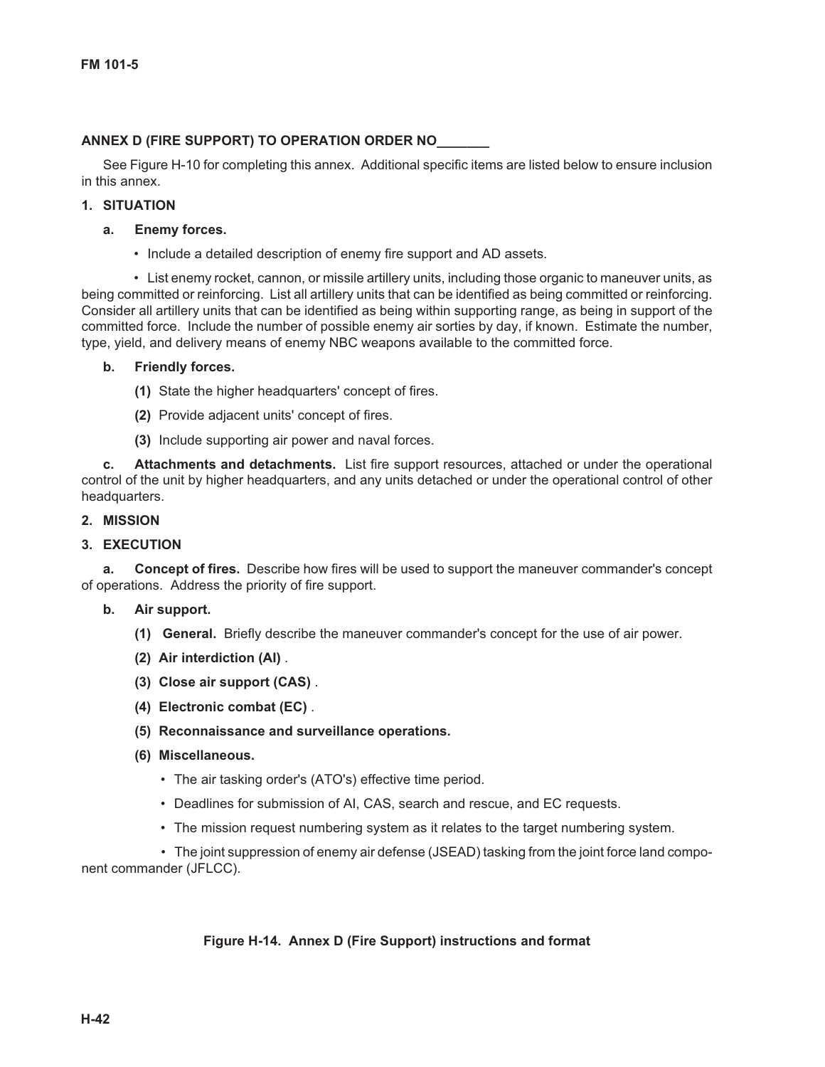# **ANNEX D (FIRE SUPPORT) TO OPERATION ORDER NO\_\_\_\_\_\_\_**

See Figure H-10 for completing this annex. Additional specific items are listed below to ensure inclusion in this annex.

### **1. SITUATION**

- **a. Enemy forces.**
	- Include a detailed description of enemy fire support and AD assets.

• List enemy rocket, cannon, or missile artillery units, including those organic to maneuver units, as being committed or reinforcing. List all artillery units that can be identified as being committed or reinforcing. Consider all artillery units that can be identified as being within supporting range, as being in support of the committed force. Include the number of possible enemy air sorties by day, if known. Estimate the number, type, yield, and delivery means of enemy NBC weapons available to the committed force.

### **b. Friendly forces.**

**(1)** State the higher headquarters' concept of fires.

- **(2)** Provide adjacent units' concept of fires.
- **(3)** Include supporting air power and naval forces.

**c. Attachments and detachments.** List fire support resources, attached or under the operational control of the unit by higher headquarters, and any units detached or under the operational control of other headquarters.

### **2. MISSION**

# **3. EXECUTION**

**a. Concept of fires.** Describe how fires will be used to support the maneuver commander's concept of operations. Address the priority of fire support.

# **b. Air support.**

- **(1) General.** Briefly describe the maneuver commander's concept for the use of air power.
- **(2) Air interdiction (AI)** .
- **(3) Close air support (CAS)** .
- **(4) Electronic combat (EC)** .
- **(5) Reconnaissance and surveillance operations.**
- **(6) Miscellaneous.**
	- The air tasking order's (ATO's) effective time period.
	- Deadlines for submission of AI, CAS, search and rescue, and EC requests.
	- The mission request numbering system as it relates to the target numbering system.

• The joint suppression of enemy air defense (JSEAD) tasking from the joint force land component commander (JFLCC).

# **Figure H-14. Annex D (Fire Support) instructions and format**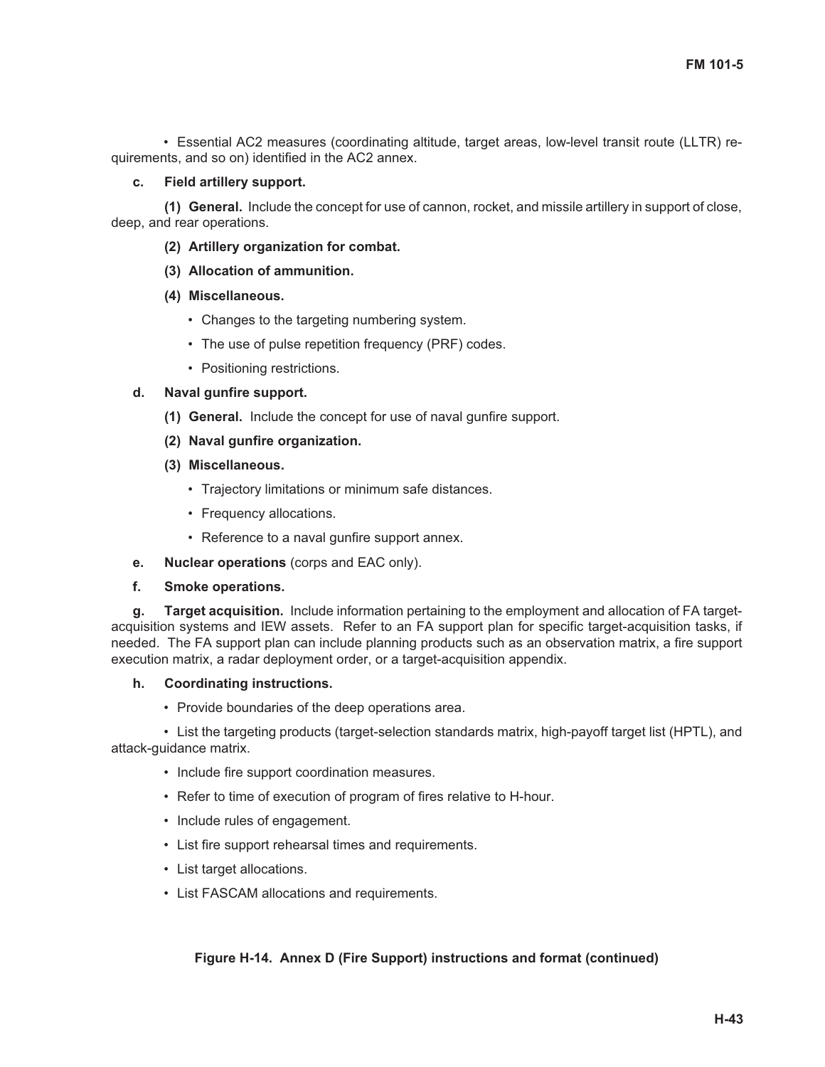• Essential AC2 measures (coordinating altitude, target areas, low-level transit route (LLTR) requirements, and so on) identified in the AC2 annex.

# **c. Field artillery support.**

**(1) General.** Include the concept for use of cannon, rocket, and missile artillery in support of close, deep, and rear operations.

- **(2) Artillery organization for combat.**
- **(3) Allocation of ammunition.**
- **(4) Miscellaneous.**
	- Changes to the targeting numbering system.
	- The use of pulse repetition frequency (PRF) codes.
	- Positioning restrictions.

### **d. Naval gunfire support.**

- **(1) General.** Include the concept for use of naval gunfire support.
- **(2) Naval gunfire organization.**
- **(3) Miscellaneous.**
	- Trajectory limitations or minimum safe distances.
	- Frequency allocations.
	- Reference to a naval gunfire support annex.
- **e. Nuclear operations** (corps and EAC only).
- **f. Smoke operations.**

**g. Target acquisition.** Include information pertaining to the employment and allocation of FA targetacquisition systems and IEW assets. Refer to an FA support plan for specific target-acquisition tasks, if needed. The FA support plan can include planning products such as an observation matrix, a fire support execution matrix, a radar deployment order, or a target-acquisition appendix.

### **h. Coordinating instructions.**

• Provide boundaries of the deep operations area.

• List the targeting products (target-selection standards matrix, high-payoff target list (HPTL), and attack-guidance matrix.

- Include fire support coordination measures.
- Refer to time of execution of program of fires relative to H-hour.
- Include rules of engagement.
- List fire support rehearsal times and requirements.
- List target allocations.
- List FASCAM allocations and requirements.

# **Figure H-14. Annex D (Fire Support) instructions and format (continued)**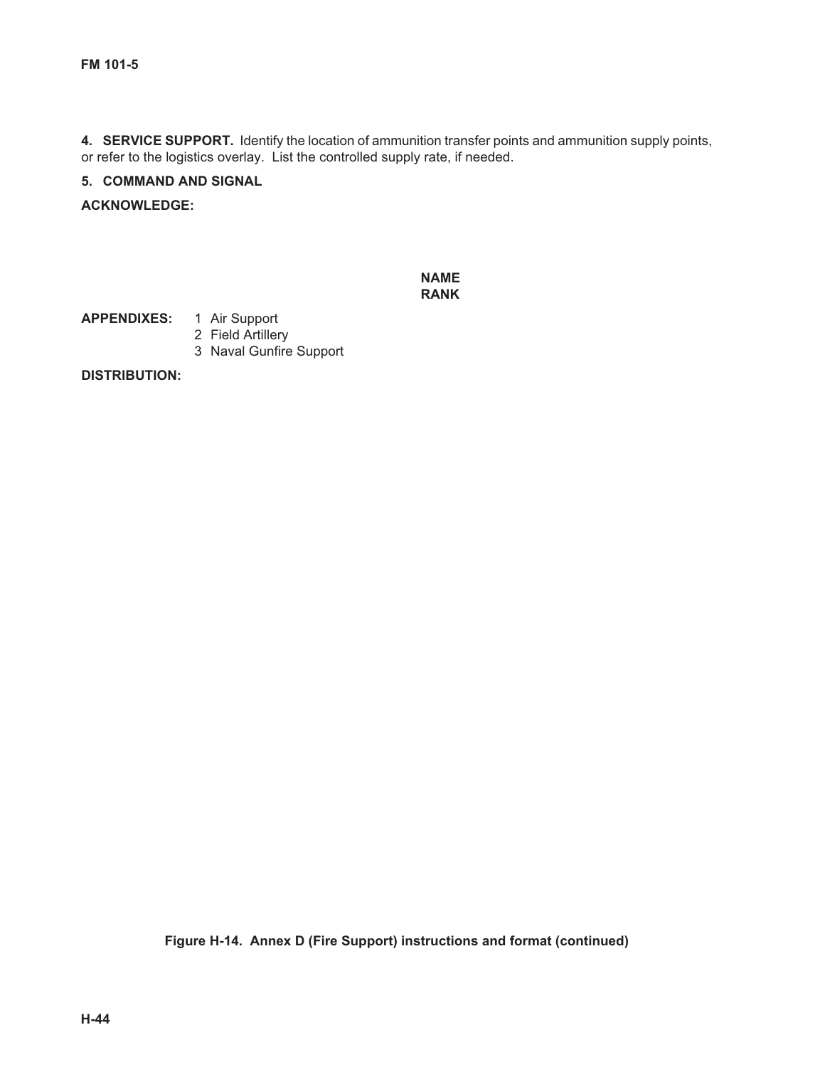**4. SERVICE SUPPORT.** Identify the location of ammunition transfer points and ammunition supply points, or refer to the logistics overlay. List the controlled supply rate, if needed.

### **5. COMMAND AND SIGNAL**

**ACKNOWLEDGE:**

### **NAME RANK**

**APPENDIXES:** 1 Air Support

- 2 Field Artillery
- 3 Naval Gunfire Support

### **DISTRIBUTION:**

**Figure H-14. Annex D (Fire Support) instructions and format (continued)**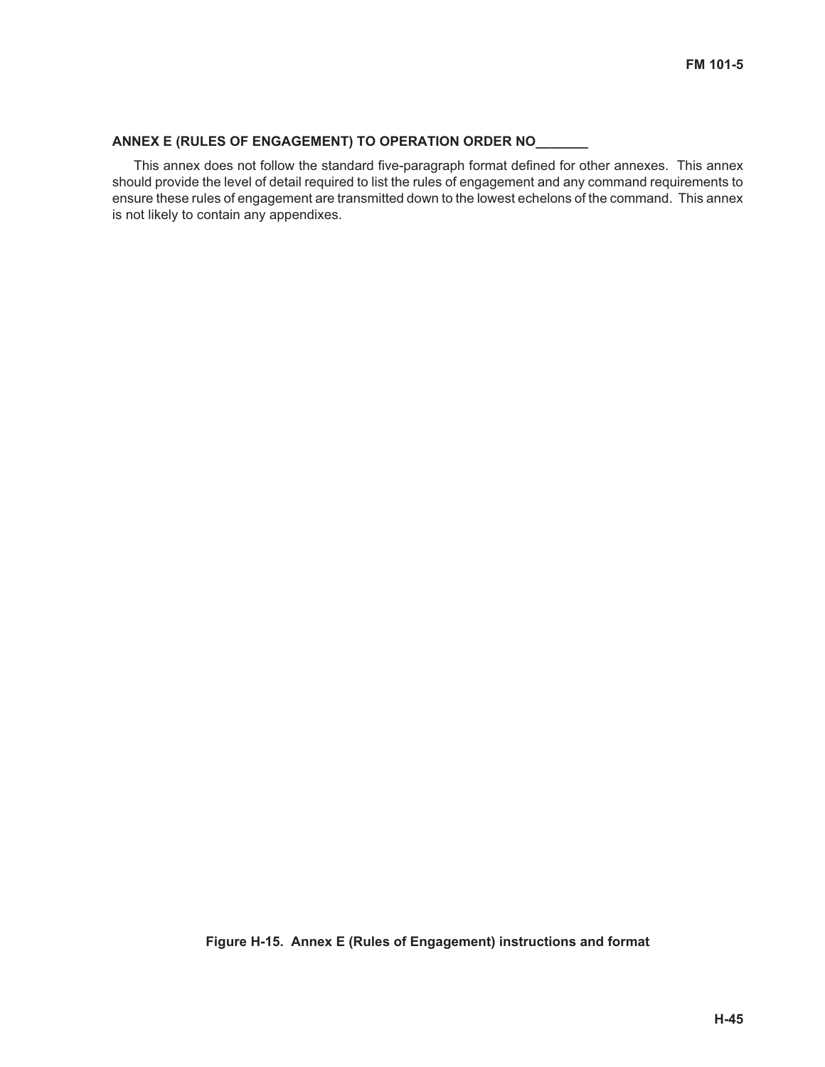### **ANNEX E (RULES OF ENGAGEMENT) TO OPERATION ORDER NO\_\_\_\_\_\_\_**

This annex does not follow the standard five-paragraph format defined for other annexes. This annex should provide the level of detail required to list the rules of engagement and any command requirements to ensure these rules of engagement are transmitted down to the lowest echelons of the command. This annex is not likely to contain any appendixes.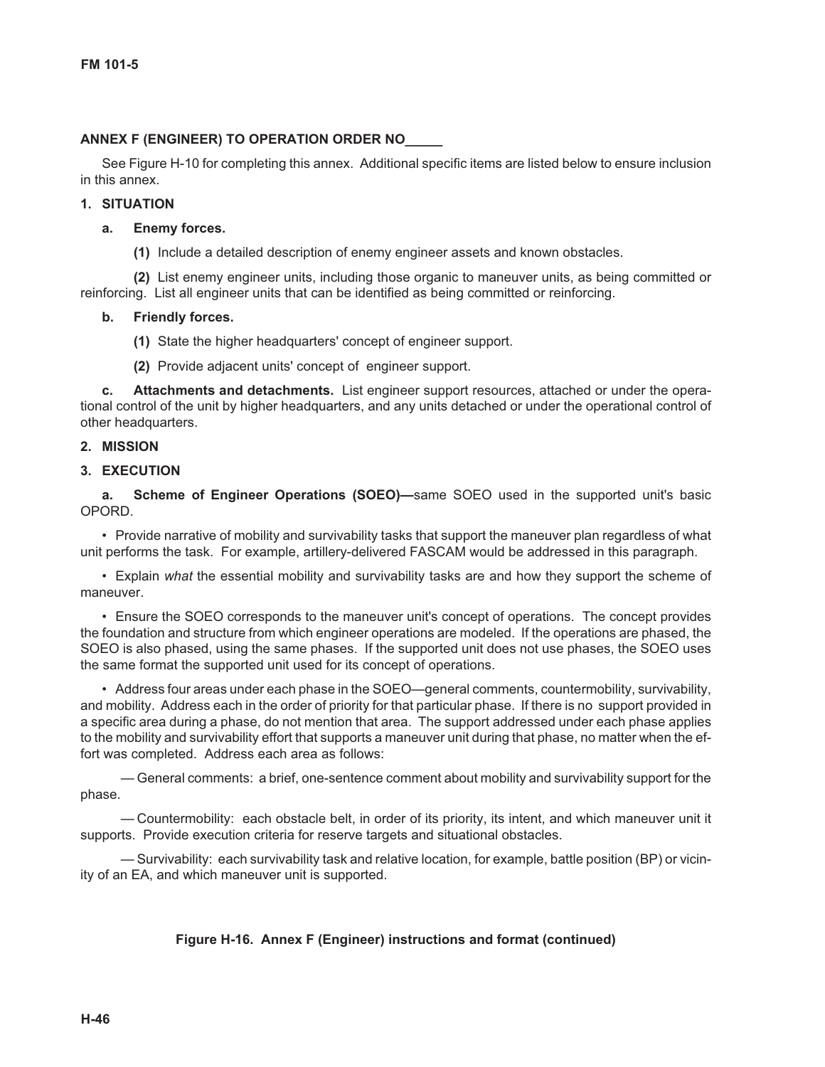# **ANNEX F (ENGINEER) TO OPERATION ORDER NO\_\_\_\_\_**

See Figure H-10 for completing this annex. Additional specific items are listed below to ensure inclusion in this annex.

**1. SITUATION**

### **a. Enemy forces.**

**(1)** Include a detailed description of enemy engineer assets and known obstacles.

**(2)** List enemy engineer units, including those organic to maneuver units, as being committed or reinforcing. List all engineer units that can be identified as being committed or reinforcing.

#### **b. Friendly forces.**

**(1)** State the higher headquarters' concept of engineer support.

**(2)** Provide adjacent units' concept of engineer support.

**c. Attachments and detachments.** List engineer support resources, attached or under the operational control of the unit by higher headquarters, and any units detached or under the operational control of other headquarters.

#### **2. MISSION**

#### **3. EXECUTION**

**a. Scheme of Engineer Operations (SOEO)—**same SOEO used in the supported unit's basic OPORD.

• Provide narrative of mobility and survivability tasks that support the maneuver plan regardless of what unit performs the task. For example, artillery-delivered FASCAM would be addressed in this paragraph.

• Explain *what* the essential mobility and survivability tasks are and how they support the scheme of maneuver.

• Ensure the SOEO corresponds to the maneuver unit's concept of operations. The concept provides the foundation and structure from which engineer operations are modeled. If the operations are phased, the SOEO is also phased, using the same phases. If the supported unit does not use phases, the SOEO uses the same format the supported unit used for its concept of operations.

• Address four areas under each phase in the SOEO—general comments, countermobility, survivability, and mobility. Address each in the order of priority for that particular phase. If there is no support provided in a specific area during a phase, do not mention that area. The support addressed under each phase applies to the mobility and survivability effort that supports a maneuver unit during that phase, no matter when the effort was completed. Address each area as follows:

— General comments: a brief, one-sentence comment about mobility and survivability support for the phase.

— Countermobility: each obstacle belt, in order of its priority, its intent, and which maneuver unit it supports. Provide execution criteria for reserve targets and situational obstacles.

— Survivability: each survivability task and relative location, for example, battle position (BP) or vicinity of an EA, and which maneuver unit is supported.

### **Figure H-16. Annex F (Engineer) instructions and format (continued)**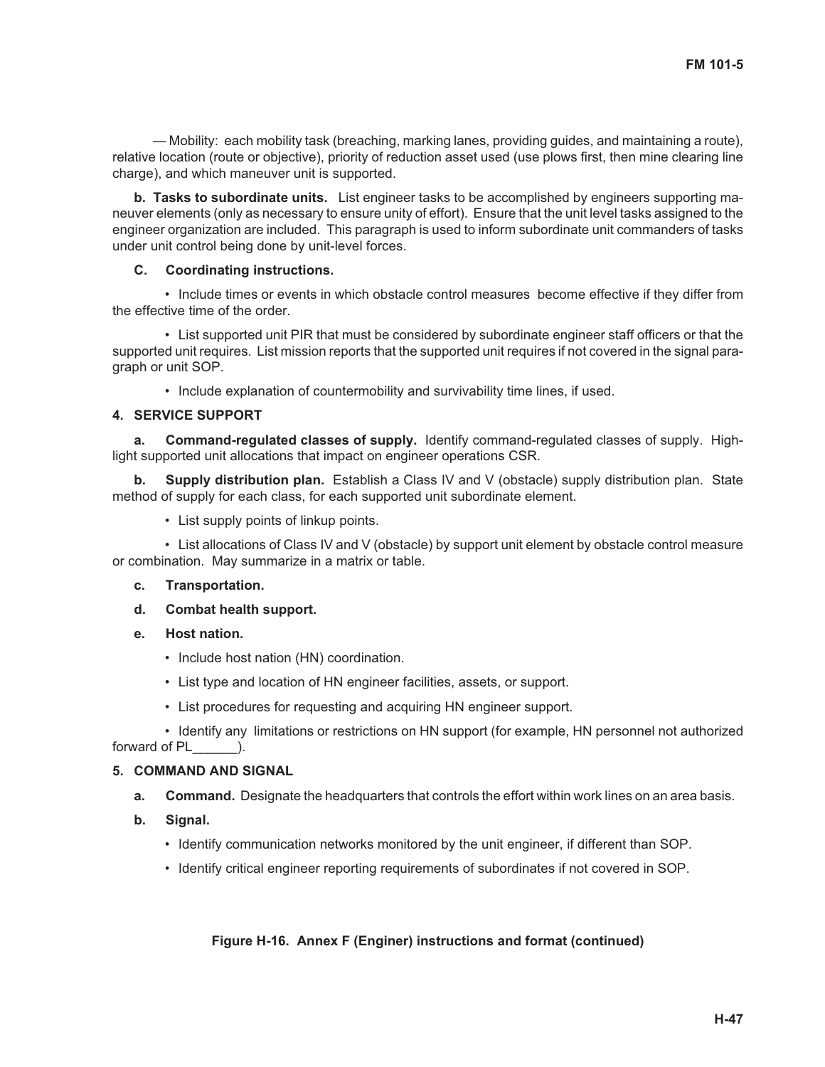— Mobility: each mobility task (breaching, marking lanes, providing guides, and maintaining a route), relative location (route or objective), priority of reduction asset used (use plows first, then mine clearing line charge), and which maneuver unit is supported.

**b. Tasks to subordinate units.** List engineer tasks to be accomplished by engineers supporting maneuver elements (only as necessary to ensure unity of effort). Ensure that the unit level tasks assigned to the engineer organization are included. This paragraph is used to inform subordinate unit commanders of tasks under unit control being done by unit-level forces.

# **C. Coordinating instructions.**

• Include times or events in which obstacle control measures become effective if they differ from the effective time of the order.

• List supported unit PIR that must be considered by subordinate engineer staff officers or that the supported unit requires. List mission reports that the supported unit requires if not covered in the signal paragraph or unit SOP.

• Include explanation of countermobility and survivability time lines, if used.

### **4. SERVICE SUPPORT**

**a. Command-regulated classes of supply.** Identify command-regulated classes of supply. Highlight supported unit allocations that impact on engineer operations CSR.

**b.** Supply distribution plan. Establish a Class IV and V (obstacle) supply distribution plan. State method of supply for each class, for each supported unit subordinate element.

• List supply points of linkup points.

• List allocations of Class IV and V (obstacle) by support unit element by obstacle control measure or combination. May summarize in a matrix or table.

### **c. Transportation.**

- **d. Combat health support.**
- **e. Host nation.**
	- Include host nation (HN) coordination.
	- List type and location of HN engineer facilities, assets, or support.
	- List procedures for requesting and acquiring HN engineer support.

• Identify any limitations or restrictions on HN support (for example, HN personnel not authorized forward of PL\_\_\_\_\_\_).

# **5. COMMAND AND SIGNAL**

- **a. Command.** Designate the headquarters that controls the effort within work lines on an area basis.
- **b. Signal.**
	- Identify communication networks monitored by the unit engineer, if different than SOP.
	- Identify critical engineer reporting requirements of subordinates if not covered in SOP.

# **Figure H-16. Annex F (Enginer) instructions and format (continued)**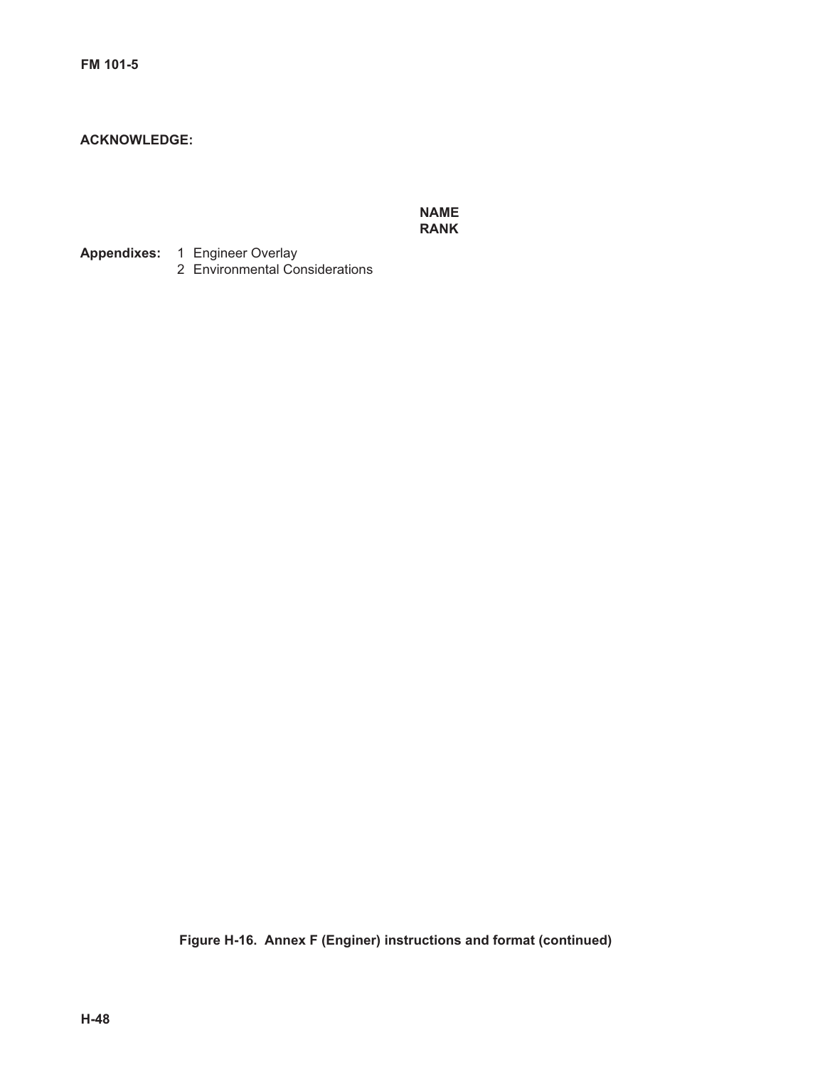### **ACKNOWLEDGE:**

**NAME RANK**

**Appendixes:** 1 Engineer Overlay

2 Environmental Considerations

**Figure H-16. Annex F (Enginer) instructions and format (continued)**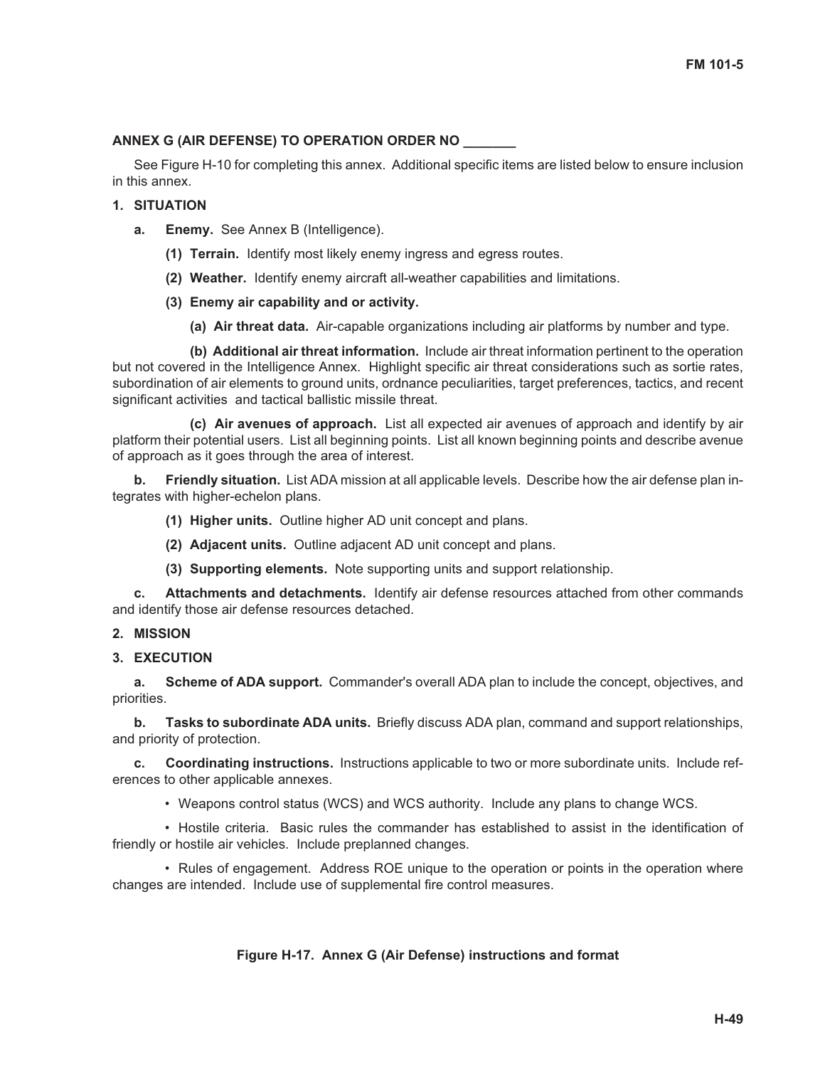# **ANNEX G (AIR DEFENSE) TO OPERATION ORDER NO \_\_\_\_\_\_\_**

See Figure H-10 for completing this annex. Additional specific items are listed below to ensure inclusion in this annex.

### **1. SITUATION**

- **a. Enemy.** See Annex B (Intelligence).
	- **(1) Terrain.** Identify most likely enemy ingress and egress routes.
	- **(2) Weather.** Identify enemy aircraft all-weather capabilities and limitations.
	- **(3) Enemy air capability and or activity.**
		- **(a) Air threat data.** Air-capable organizations including air platforms by number and type.

**(b) Additional air threat information.** Include air threat information pertinent to the operation but not covered in the Intelligence Annex. Highlight specific air threat considerations such as sortie rates, subordination of air elements to ground units, ordnance peculiarities, target preferences, tactics, and recent significant activities and tactical ballistic missile threat.

**(c) Air avenues of approach.** List all expected air avenues of approach and identify by air platform their potential users. List all beginning points. List all known beginning points and describe avenue of approach as it goes through the area of interest.

**b. Friendly situation.** List ADA mission at all applicable levels. Describe how the air defense plan integrates with higher-echelon plans.

- **(1) Higher units.** Outline higher AD unit concept and plans.
- **(2) Adjacent units.** Outline adjacent AD unit concept and plans.
- **(3) Supporting elements.** Note supporting units and support relationship.

**c. Attachments and detachments.** Identify air defense resources attached from other commands and identify those air defense resources detached.

### **2. MISSION**

**3. EXECUTION**

**a. Scheme of ADA support.** Commander's overall ADA plan to include the concept, objectives, and priorities.

**b. Tasks to subordinate ADA units.** Briefly discuss ADA plan, command and support relationships, and priority of protection.

**c. Coordinating instructions.** Instructions applicable to two or more subordinate units. Include references to other applicable annexes.

• Weapons control status (WCS) and WCS authority. Include any plans to change WCS.

• Hostile criteria. Basic rules the commander has established to assist in the identification of friendly or hostile air vehicles. Include preplanned changes.

• Rules of engagement. Address ROE unique to the operation or points in the operation where changes are intended. Include use of supplemental fire control measures.

# **Figure H-17. Annex G (Air Defense) instructions and format**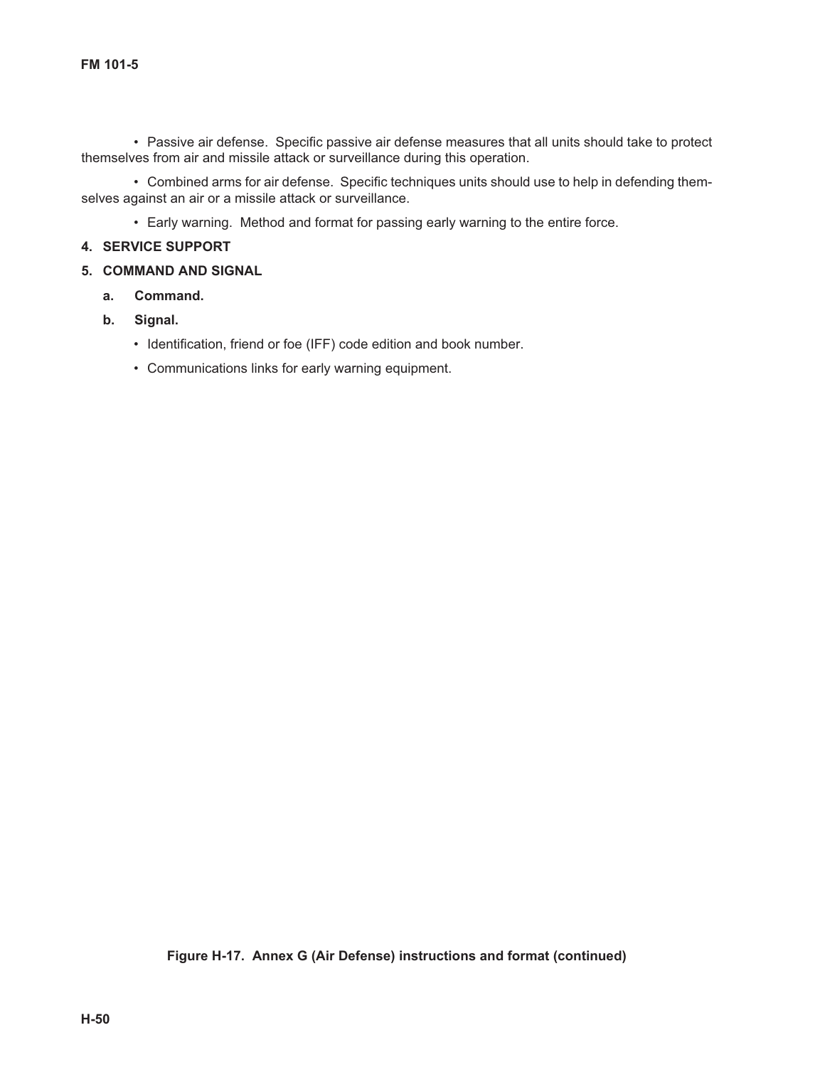• Passive air defense. Specific passive air defense measures that all units should take to protect themselves from air and missile attack or surveillance during this operation.

• Combined arms for air defense. Specific techniques units should use to help in defending themselves against an air or a missile attack or surveillance.

• Early warning. Method and format for passing early warning to the entire force.

### **4. SERVICE SUPPORT**

### **5. COMMAND AND SIGNAL**

- **a. Command.**
- **b. Signal.**
	- Identification, friend or foe (IFF) code edition and book number.
	- Communications links for early warning equipment.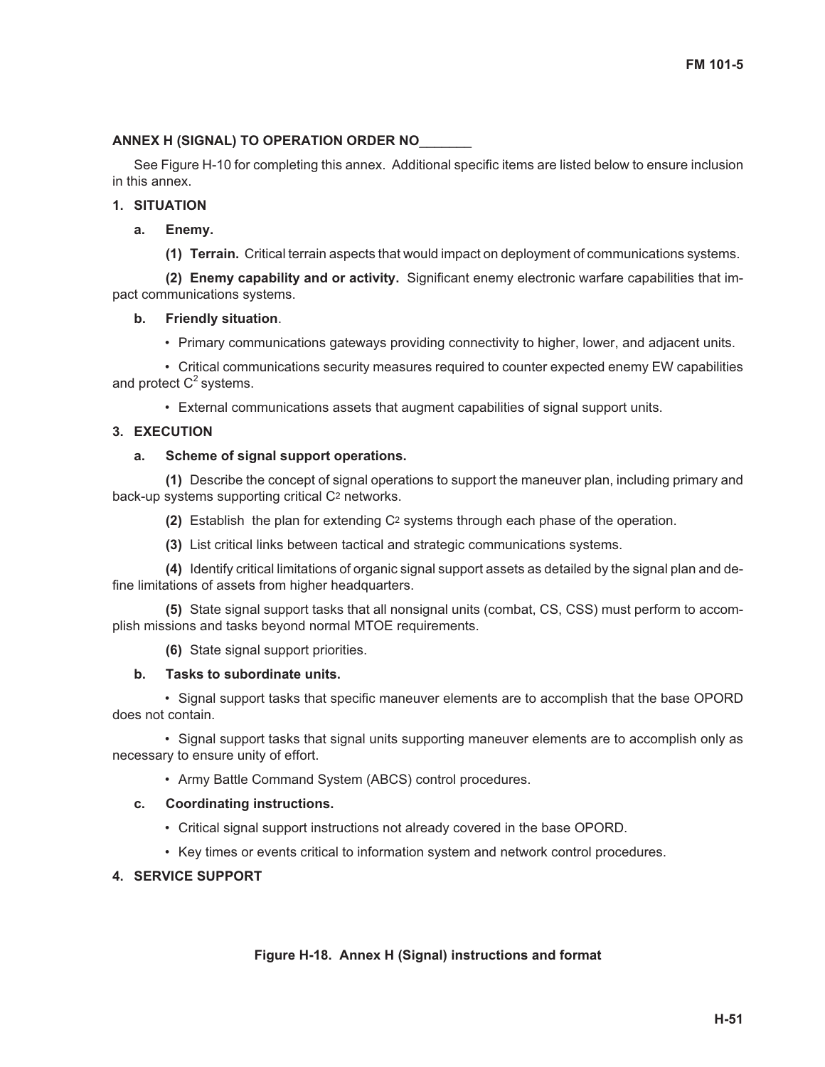# **ANNEX H (SIGNAL) TO OPERATION ORDER NO**\_\_\_\_\_\_\_

See Figure H-10 for completing this annex. Additional specific items are listed below to ensure inclusion in this annex.

### **1. SITUATION**

### **a. Enemy.**

**(1) Terrain.** Critical terrain aspects that would impact on deployment of communications systems.

**(2) Enemy capability and or activity.** Significant enemy electronic warfare capabilities that impact communications systems.

### **b. Friendly situation**.

• Primary communications gateways providing connectivity to higher, lower, and adjacent units.

• Critical communications security measures required to counter expected enemy EW capabilities and protect  $C^2$  systems.

• External communications assets that augment capabilities of signal support units.

### **3. EXECUTION**

### **a. Scheme of signal support operations.**

**(1)** Describe the concept of signal operations to support the maneuver plan, including primary and back-up systems supporting critical C<sup>2</sup> networks.

**(2)** Establish the plan for extending C2 systems through each phase of the operation.

**(3)** List critical links between tactical and strategic communications systems.

**(4)** Identify critical limitations of organic signal support assets as detailed by the signal plan and define limitations of assets from higher headquarters.

**(5)** State signal support tasks that all nonsignal units (combat, CS, CSS) must perform to accomplish missions and tasks beyond normal MTOE requirements.

**(6)** State signal support priorities.

### **b. Tasks to subordinate units.**

• Signal support tasks that specific maneuver elements are to accomplish that the base OPORD does not contain.

• Signal support tasks that signal units supporting maneuver elements are to accomplish only as necessary to ensure unity of effort.

• Army Battle Command System (ABCS) control procedures.

### **c. Coordinating instructions.**

- Critical signal support instructions not already covered in the base OPORD.
- Key times or events critical to information system and network control procedures.

# **4. SERVICE SUPPORT**

# **Figure H-18. Annex H (Signal) instructions and format**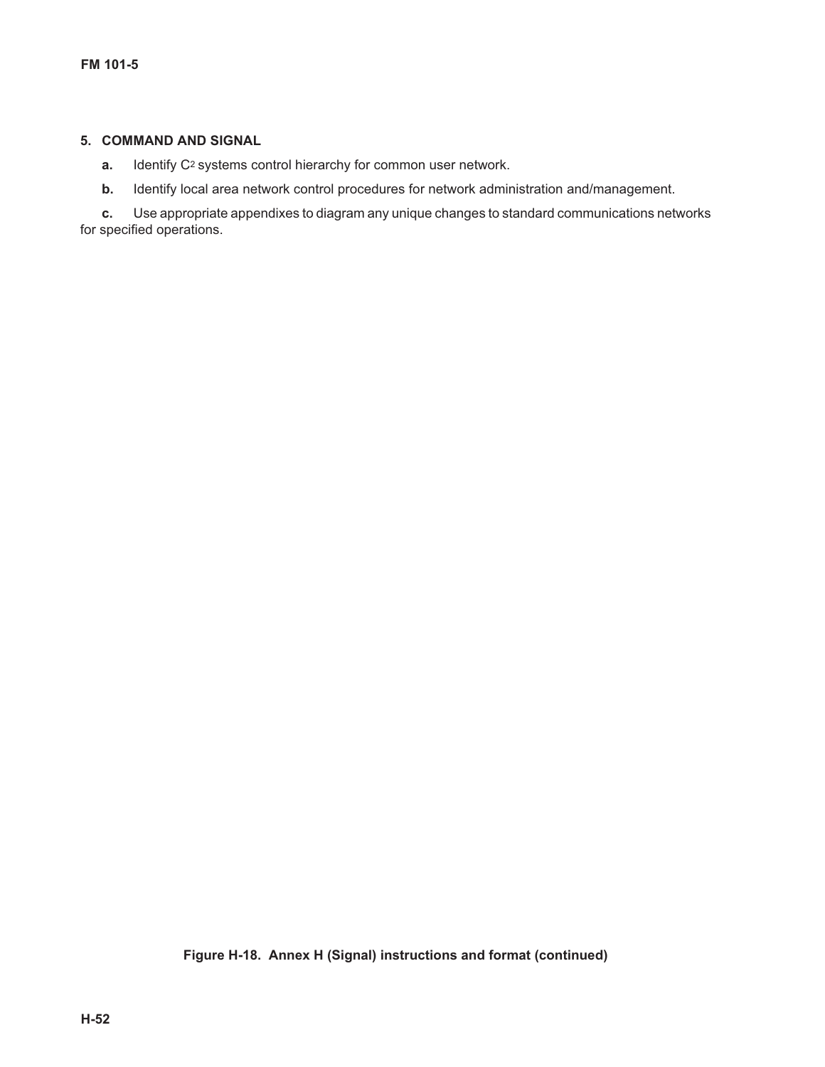# **5. COMMAND AND SIGNAL**

- **a.** Identify C2 systems control hierarchy for common user network.
- **b.** Identify local area network control procedures for network administration and/management.

**c.** Use appropriate appendixes to diagram any unique changes to standard communications networks for specified operations.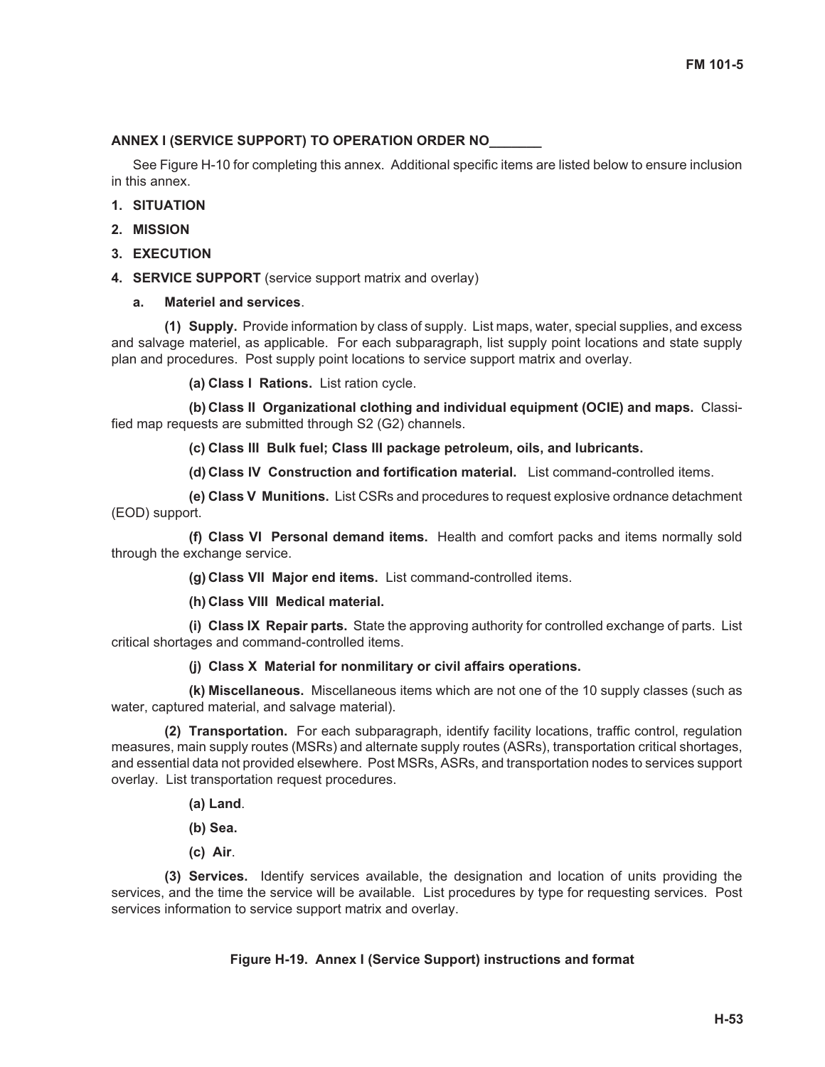# **ANNEX I (SERVICE SUPPORT) TO OPERATION ORDER NO\_\_\_\_\_\_\_**

See Figure H-10 for completing this annex. Additional specific items are listed below to ensure inclusion in this annex.

- **1. SITUATION**
- **2. MISSION**
- **3. EXECUTION**
- **4. SERVICE SUPPORT** (service support matrix and overlay)

### **a. Materiel and services**.

**(1) Supply.** Provide information by class of supply. List maps, water, special supplies, and excess and salvage materiel, as applicable. For each subparagraph, list supply point locations and state supply plan and procedures. Post supply point locations to service support matrix and overlay.

**(a) Class I Rations.** List ration cycle.

**(b) Class II Organizational clothing and individual equipment (OCIE) and maps.** Classified map requests are submitted through S2 (G2) channels.

**(c) Class III Bulk fuel; Class III package petroleum, oils, and lubricants.**

**(d) Class IV Construction and fortification material.** List command-controlled items.

**(e) Class V Munitions.** List CSRs and procedures to request explosive ordnance detachment (EOD) support.

**(f) Class VI Personal demand items.** Health and comfort packs and items normally sold through the exchange service.

**(g) Class VII Major end items.** List command-controlled items.

**(h) Class VIII Medical material.**

**(i) Class IX Repair parts.** State the approving authority for controlled exchange of parts. List critical shortages and command-controlled items.

### **(j) Class X Material for nonmilitary or civil affairs operations.**

**(k) Miscellaneous.** Miscellaneous items which are not one of the 10 supply classes (such as water, captured material, and salvage material).

**(2) Transportation.** For each subparagraph, identify facility locations, traffic control, regulation measures, main supply routes (MSRs) and alternate supply routes (ASRs), transportation critical shortages, and essential data not provided elsewhere. Post MSRs, ASRs, and transportation nodes to services support overlay. List transportation request procedures.

- **(a) Land**.
- **(b) Sea.**
- **(c) Air**.

**(3) Services.** Identify services available, the designation and location of units providing the services, and the time the service will be available. List procedures by type for requesting services. Post services information to service support matrix and overlay.

# **Figure H-19. Annex I (Service Support) instructions and format**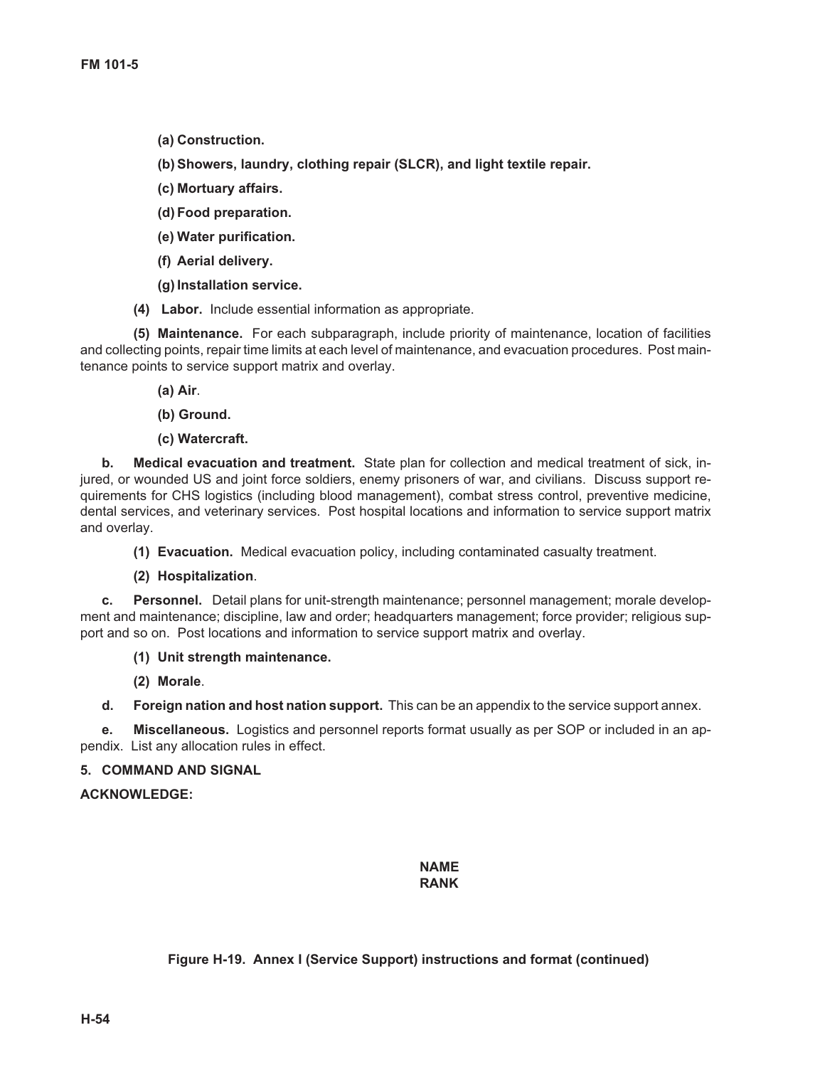- **(a) Construction.**
- **(b) Showers, laundry, clothing repair (SLCR), and light textile repair.**
- **(c) Mortuary affairs.**
- **(d) Food preparation.**
- **(e) Water purification.**
- **(f) Aerial delivery.**
- **(g) Installation service.**
- **(4) Labor.** Include essential information as appropriate.

**(5) Maintenance.** For each subparagraph, include priority of maintenance, location of facilities and collecting points, repair time limits at each level of maintenance, and evacuation procedures. Post maintenance points to service support matrix and overlay.

- **(a) Air**.
- **(b) Ground.**
- **(c) Watercraft.**

**b. Medical evacuation and treatment.** State plan for collection and medical treatment of sick, injured, or wounded US and joint force soldiers, enemy prisoners of war, and civilians. Discuss support requirements for CHS logistics (including blood management), combat stress control, preventive medicine, dental services, and veterinary services. Post hospital locations and information to service support matrix and overlay.

**(1) Evacuation.** Medical evacuation policy, including contaminated casualty treatment.

### **(2) Hospitalization**.

**c. Personnel.** Detail plans for unit-strength maintenance; personnel management; morale development and maintenance; discipline, law and order; headquarters management; force provider; religious support and so on. Post locations and information to service support matrix and overlay.

- **(1) Unit strength maintenance.**
- **(2) Morale**.
- **d. Foreign nation and host nation support.** This can be an appendix to the service support annex.

**e. Miscellaneous.** Logistics and personnel reports format usually as per SOP or included in an appendix. List any allocation rules in effect.

### **5. COMMAND AND SIGNAL**

### **ACKNOWLEDGE:**

### **NAME RANK**

# **Figure H-19. Annex I (Service Support) instructions and format (continued)**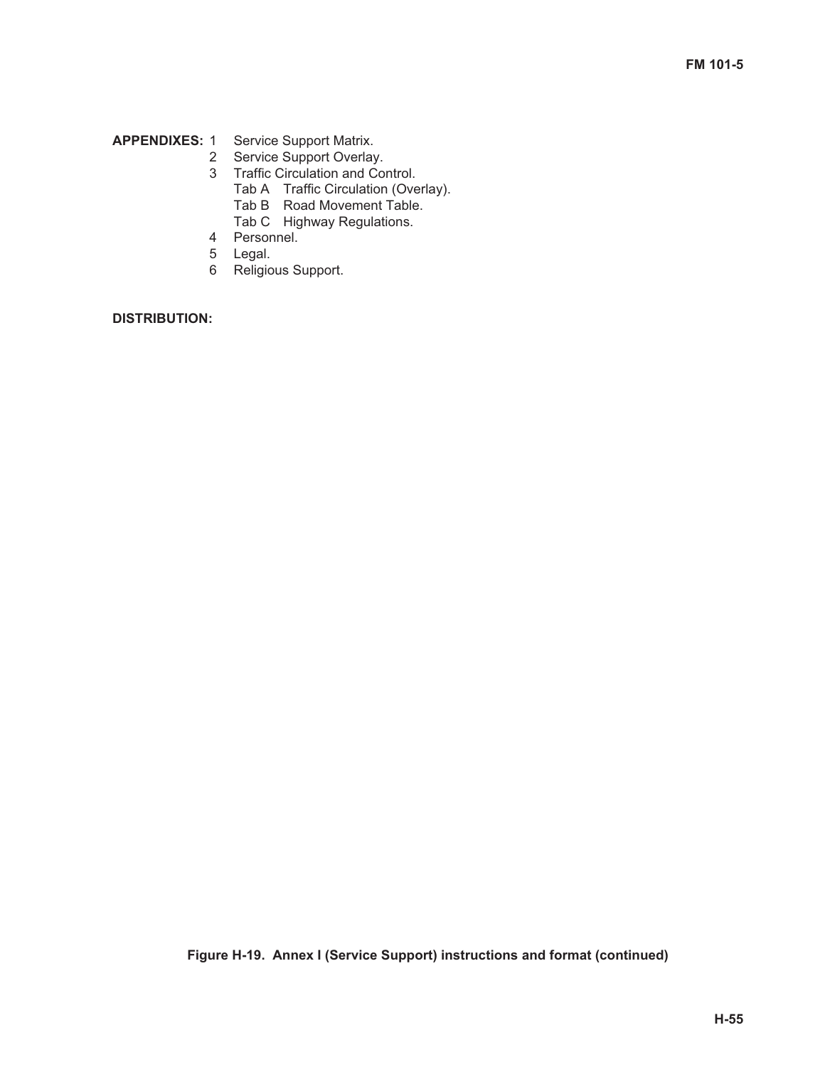### **APPENDIXES:** 1 Service Support Matrix.

- 2 Service Support Overlay.
- 3 Traffic Circulation and Control.
	- Tab A Traffic Circulation (Overlay).
	- Tab B Road Movement Table.
	- Tab C Highway Regulations.
- 4 Personnel.
- 5 Legal.
- 6 Religious Support.

# **DISTRIBUTION:**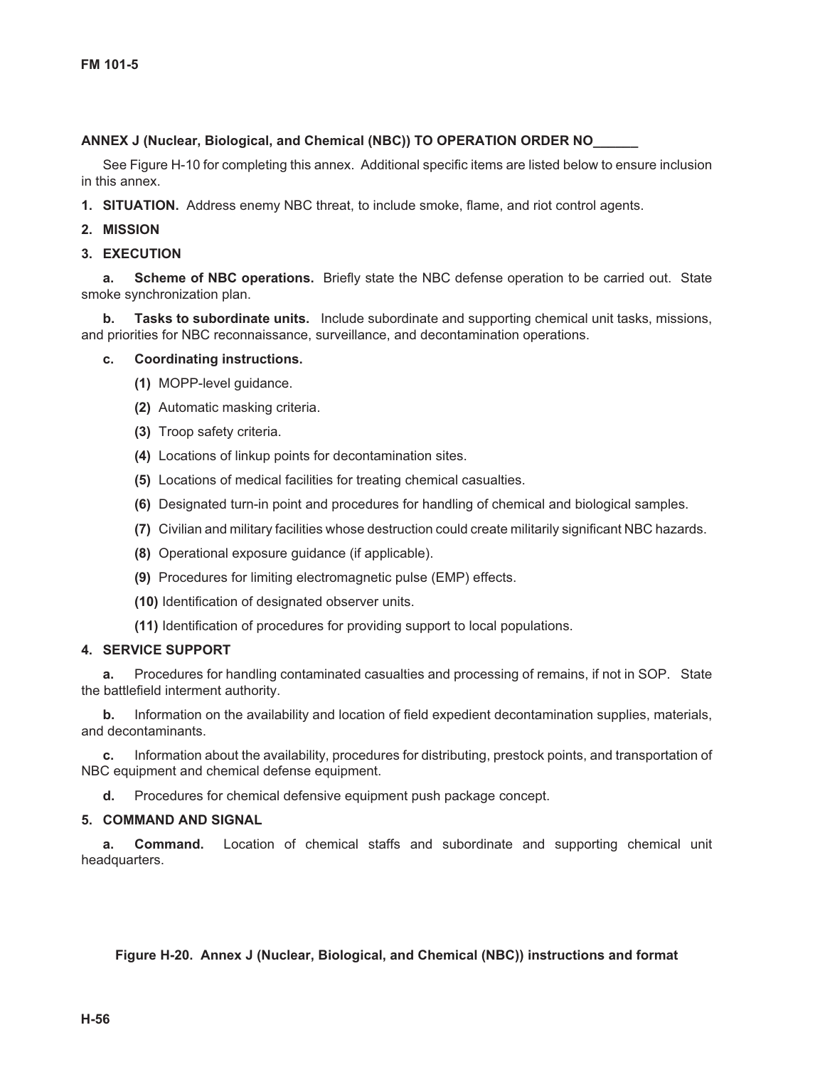# **ANNEX J (Nuclear, Biological, and Chemical (NBC)) TO OPERATION ORDER NO\_\_\_\_\_\_**

See Figure H-10 for completing this annex. Additional specific items are listed below to ensure inclusion in this annex.

- **1. SITUATION.** Address enemy NBC threat, to include smoke, flame, and riot control agents.
- **2. MISSION**
- **3. EXECUTION**

**a. Scheme of NBC operations.** Briefly state the NBC defense operation to be carried out. State smoke synchronization plan.

**b. Tasks to subordinate units.** Include subordinate and supporting chemical unit tasks, missions, and priorities for NBC reconnaissance, surveillance, and decontamination operations.

#### **c. Coordinating instructions.**

- **(1)** MOPP-level guidance.
- **(2)** Automatic masking criteria.
- **(3)** Troop safety criteria.
- **(4)** Locations of linkup points for decontamination sites.
- **(5)** Locations of medical facilities for treating chemical casualties.
- **(6)** Designated turn-in point and procedures for handling of chemical and biological samples.
- **(7)** Civilian and military facilities whose destruction could create militarily significant NBC hazards.
- **(8)** Operational exposure guidance (if applicable).
- **(9)** Procedures for limiting electromagnetic pulse (EMP) effects.
- **(10)** Identification of designated observer units.
- **(11)** Identification of procedures for providing support to local populations.

#### **4. SERVICE SUPPORT**

**a.** Procedures for handling contaminated casualties and processing of remains, if not in SOP. State the battlefield interment authority.

**b.** Information on the availability and location of field expedient decontamination supplies, materials, and decontaminants.

**c.** Information about the availability, procedures for distributing, prestock points, and transportation of NBC equipment and chemical defense equipment.

**d.** Procedures for chemical defensive equipment push package concept.

#### **5. COMMAND AND SIGNAL**

**a. Command.** Location of chemical staffs and subordinate and supporting chemical unit headquarters.

### **Figure H-20. Annex J (Nuclear, Biological, and Chemical (NBC)) instructions and format**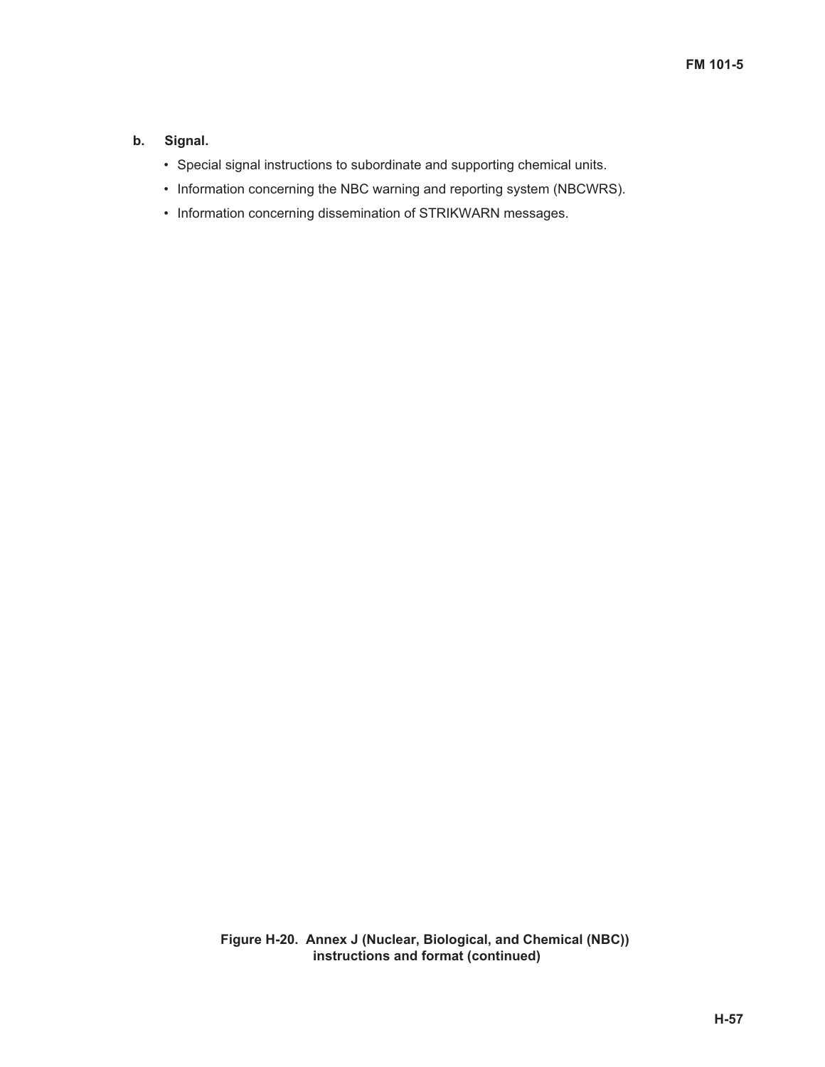# **b. Signal.**

- Special signal instructions to subordinate and supporting chemical units.
- Information concerning the NBC warning and reporting system (NBCWRS).
- Information concerning dissemination of STRIKWARN messages.

**Figure H-20. Annex J (Nuclear, Biological, and Chemical (NBC)) instructions and format (continued)**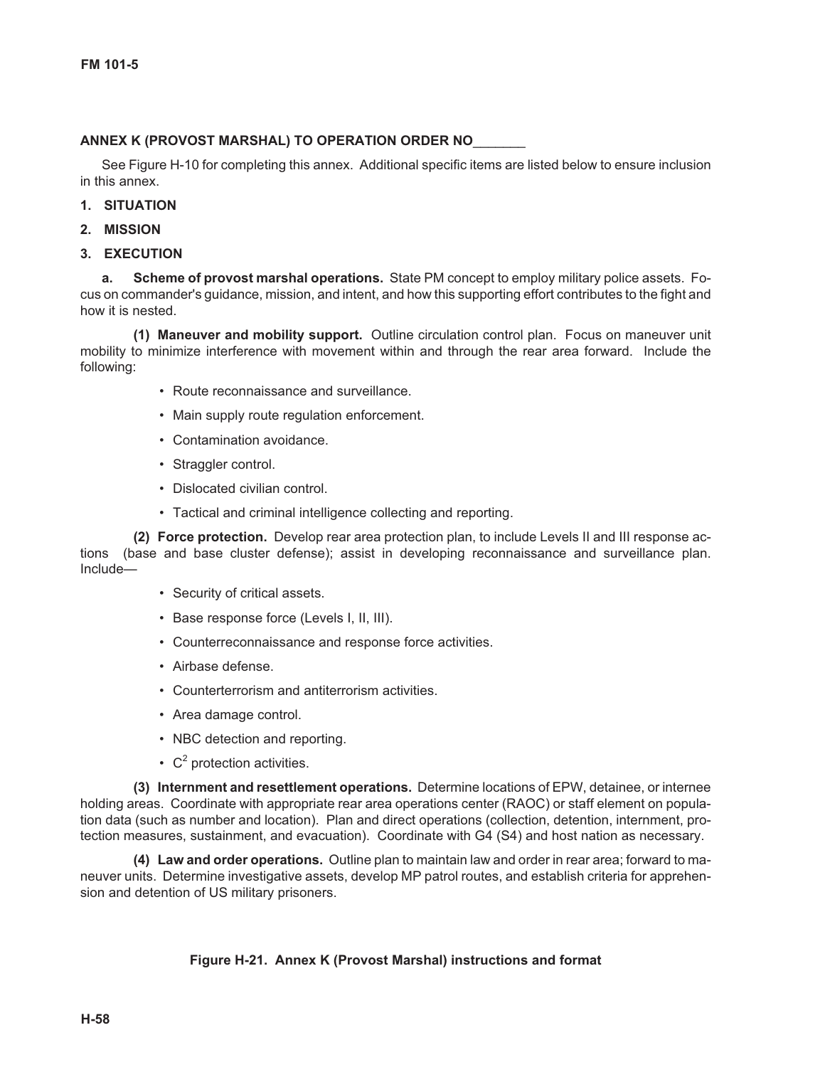# **ANNEX K (PROVOST MARSHAL) TO OPERATION ORDER NO**\_\_\_\_\_\_\_

See Figure H-10 for completing this annex. Additional specific items are listed below to ensure inclusion in this annex.

- **1. SITUATION**
- **2. MISSION**
- **3. EXECUTION**

**a. Scheme of provost marshal operations.** State PM concept to employ military police assets. Focus on commander's guidance, mission, and intent, and how this supporting effort contributes to the fight and how it is nested.

**(1) Maneuver and mobility support.** Outline circulation control plan. Focus on maneuver unit mobility to minimize interference with movement within and through the rear area forward. Include the following:

- Route reconnaissance and surveillance.
- Main supply route regulation enforcement.
- Contamination avoidance.
- Straggler control.
- Dislocated civilian control.
- Tactical and criminal intelligence collecting and reporting.

**(2) Force protection.** Develop rear area protection plan, to include Levels II and III response actions (base and base cluster defense); assist in developing reconnaissance and surveillance plan. Include—

- Security of critical assets.
- Base response force (Levels I, II, III).
- Counterreconnaissance and response force activities.
- Airbase defense.
- Counterterrorism and antiterrorism activities.
- Area damage control.
- NBC detection and reporting.
- $C^2$  protection activities.

**(3) Internment and resettlement operations.** Determine locations of EPW, detainee, or internee holding areas. Coordinate with appropriate rear area operations center (RAOC) or staff element on population data (such as number and location). Plan and direct operations (collection, detention, internment, protection measures, sustainment, and evacuation). Coordinate with G4 (S4) and host nation as necessary.

**(4) Law and order operations.** Outline plan to maintain law and order in rear area; forward to maneuver units. Determine investigative assets, develop MP patrol routes, and establish criteria for apprehension and detention of US military prisoners.

### **Figure H-21. Annex K (Provost Marshal) instructions and format**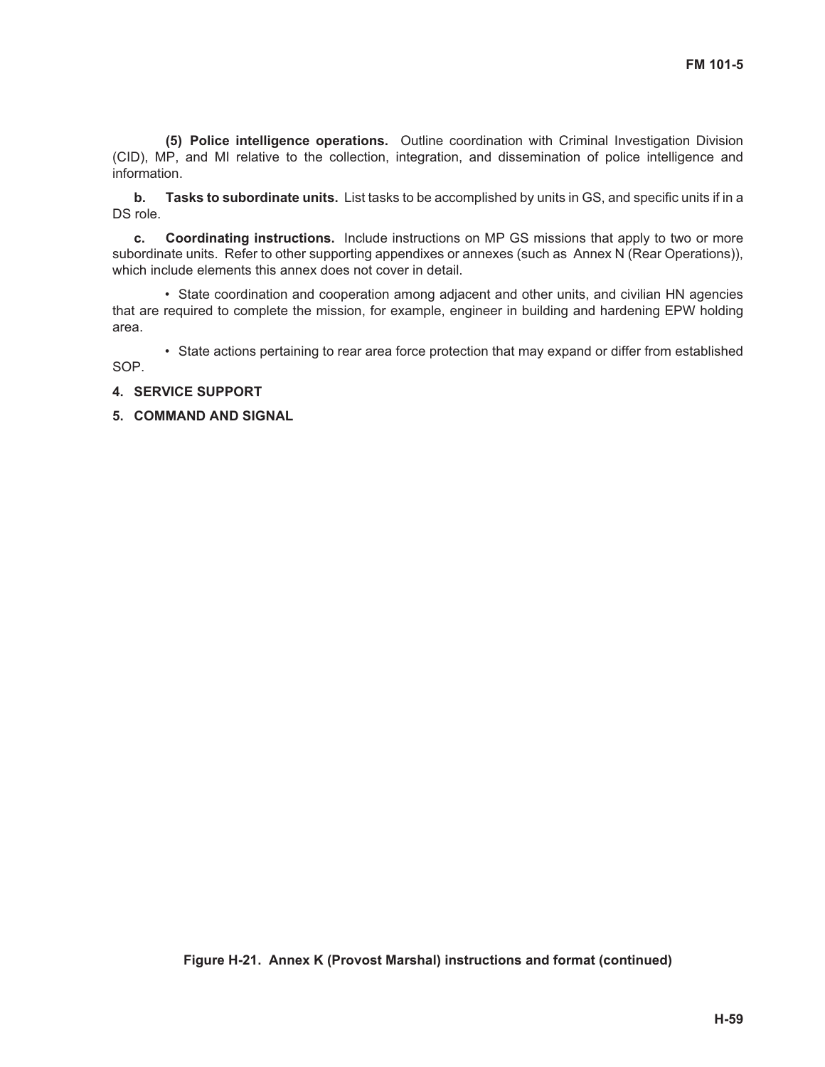**(5) Police intelligence operations.** Outline coordination with Criminal Investigation Division (CID), MP, and MI relative to the collection, integration, and dissemination of police intelligence and information.

**b. Tasks to subordinate units.** List tasks to be accomplished by units in GS, and specific units if in a DS role.

**c. Coordinating instructions.** Include instructions on MP GS missions that apply to two or more subordinate units. Refer to other supporting appendixes or annexes (such as Annex N (Rear Operations)), which include elements this annex does not cover in detail.

• State coordination and cooperation among adjacent and other units, and civilian HN agencies that are required to complete the mission, for example, engineer in building and hardening EPW holding area.

• State actions pertaining to rear area force protection that may expand or differ from established SOP.

**4. SERVICE SUPPORT**

**5. COMMAND AND SIGNAL**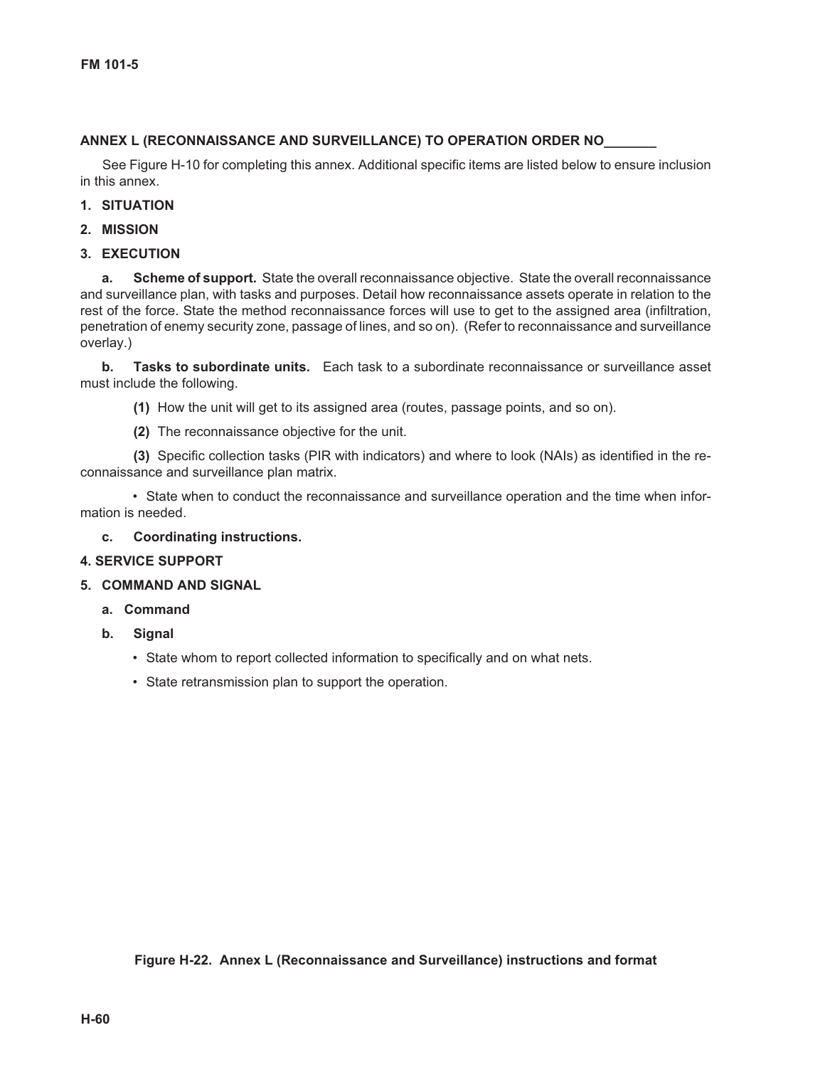# **ANNEX L (RECONNAISSANCE AND SURVEILLANCE) TO OPERATION ORDER NO\_\_\_\_\_\_\_**

See Figure H-10 for completing this annex. Additional specific items are listed below to ensure inclusion in this annex.

- **1. SITUATION**
- **2. MISSION**
- **3. EXECUTION**

**a. Scheme of support.** State the overall reconnaissance objective. State the overall reconnaissance and surveillance plan, with tasks and purposes. Detail how reconnaissance assets operate in relation to the rest of the force. State the method reconnaissance forces will use to get to the assigned area (infiltration, penetration of enemy security zone, passage of lines, and so on). (Refer to reconnaissance and surveillance overlay.)

**b. Tasks to subordinate units.** Each task to a subordinate reconnaissance or surveillance asset must include the following.

**(1)** How the unit will get to its assigned area (routes, passage points, and so on).

**(2)** The reconnaissance objective for the unit.

**(3)** Specific collection tasks (PIR with indicators) and where to look (NAIs) as identified in the reconnaissance and surveillance plan matrix.

• State when to conduct the reconnaissance and surveillance operation and the time when information is needed.

**c. Coordinating instructions.**

#### **4. SERVICE SUPPORT**

- **5. COMMAND AND SIGNAL**
	- **a. Command**
	- **b. Signal**
		- State whom to report collected information to specifically and on what nets.
		- State retransmission plan to support the operation.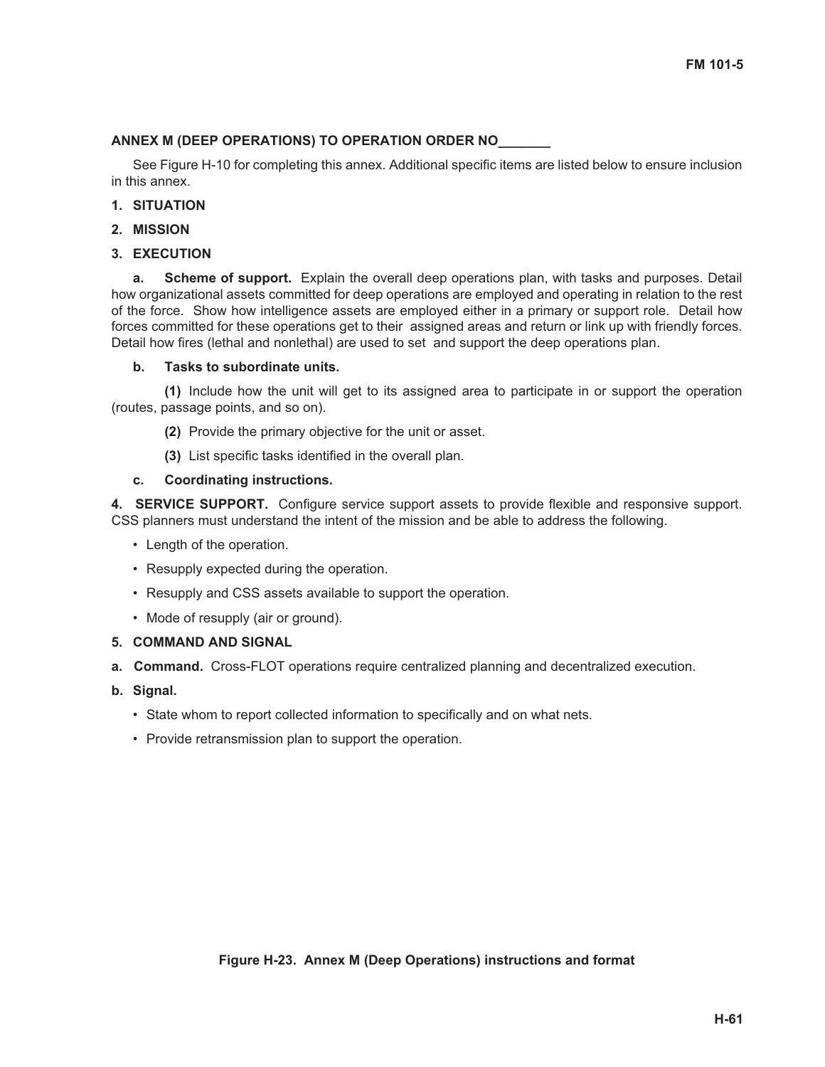# **ANNEX M (DEEP OPERATIONS) TO OPERATION ORDER NO\_\_\_\_\_\_\_**

See Figure H-10 for completing this annex. Additional specific items are listed below to ensure inclusion in this annex.

- **1. SITUATION**
- **2. MISSION**
- **3. EXECUTION**

**a. Scheme of support.** Explain the overall deep operations plan, with tasks and purposes. Detail how organizational assets committed for deep operations are employed and operating in relation to the rest of the force. Show how intelligence assets are employed either in a primary or support role. Detail how forces committed for these operations get to their assigned areas and return or link up with friendly forces. Detail how fires (lethal and nonlethal) are used to set and support the deep operations plan.

### **b. Tasks to subordinate units.**

**(1)** Include how the unit will get to its assigned area to participate in or support the operation (routes, passage points, and so on).

- **(2)** Provide the primary objective for the unit or asset.
- **(3)** List specific tasks identified in the overall plan.

### **c. Coordinating instructions.**

**4. SERVICE SUPPORT.** Configure service support assets to provide flexible and responsive support. CSS planners must understand the intent of the mission and be able to address the following.

- Length of the operation.
- Resupply expected during the operation.
- Resupply and CSS assets available to support the operation.
- Mode of resupply (air or ground).

# **5. COMMAND AND SIGNAL**

- **a. Command.** Cross-FLOT operations require centralized planning and decentralized execution.
- **b. Signal.**
	- State whom to report collected information to specifically and on what nets.
	- Provide retransmission plan to support the operation.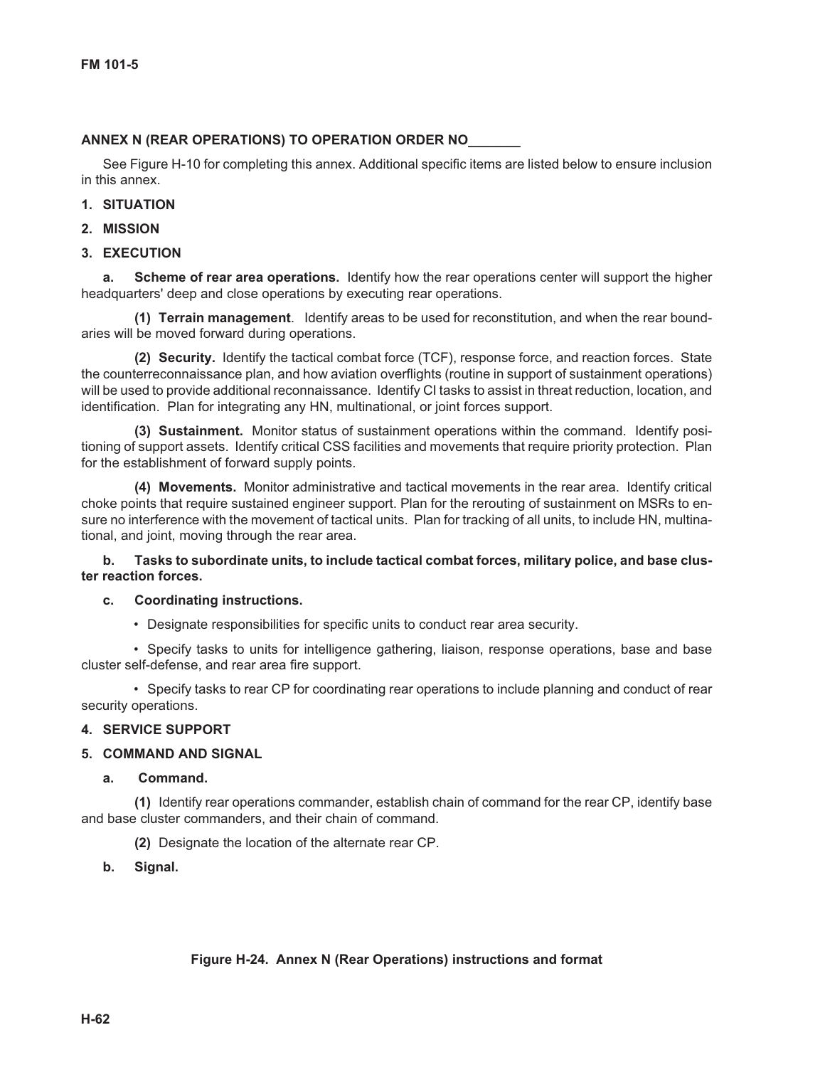# **ANNEX N (REAR OPERATIONS) TO OPERATION ORDER NO\_\_\_\_\_\_\_**

See Figure H-10 for completing this annex. Additional specific items are listed below to ensure inclusion in this annex.

### **1. SITUATION**

- **2. MISSION**
- **3. EXECUTION**

**a. Scheme of rear area operations.** Identify how the rear operations center will support the higher headquarters' deep and close operations by executing rear operations.

**(1) Terrain management**. Identify areas to be used for reconstitution, and when the rear boundaries will be moved forward during operations.

**(2) Security.** Identify the tactical combat force (TCF), response force, and reaction forces. State the counterreconnaissance plan, and how aviation overflights (routine in support of sustainment operations) will be used to provide additional reconnaissance. Identify CI tasks to assist in threat reduction, location, and identification. Plan for integrating any HN, multinational, or joint forces support.

**(3) Sustainment.** Monitor status of sustainment operations within the command. Identify positioning of support assets. Identify critical CSS facilities and movements that require priority protection. Plan for the establishment of forward supply points.

**(4) Movements.** Monitor administrative and tactical movements in the rear area. Identify critical choke points that require sustained engineer support. Plan for the rerouting of sustainment on MSRs to ensure no interference with the movement of tactical units. Plan for tracking of all units, to include HN, multinational, and joint, moving through the rear area.

**b. Tasks to subordinate units, to include tactical combat forces, military police, and base cluster reaction forces.**

### **c. Coordinating instructions.**

• Designate responsibilities for specific units to conduct rear area security.

• Specify tasks to units for intelligence gathering, liaison, response operations, base and base cluster self-defense, and rear area fire support.

• Specify tasks to rear CP for coordinating rear operations to include planning and conduct of rear security operations.

### **4. SERVICE SUPPORT**

### **5. COMMAND AND SIGNAL**

**a. Command.**

**(1)** Identify rear operations commander, establish chain of command for the rear CP, identify base and base cluster commanders, and their chain of command.

**(2)** Designate the location of the alternate rear CP.

**b. Signal.**

# **Figure H-24. Annex N (Rear Operations) instructions and format**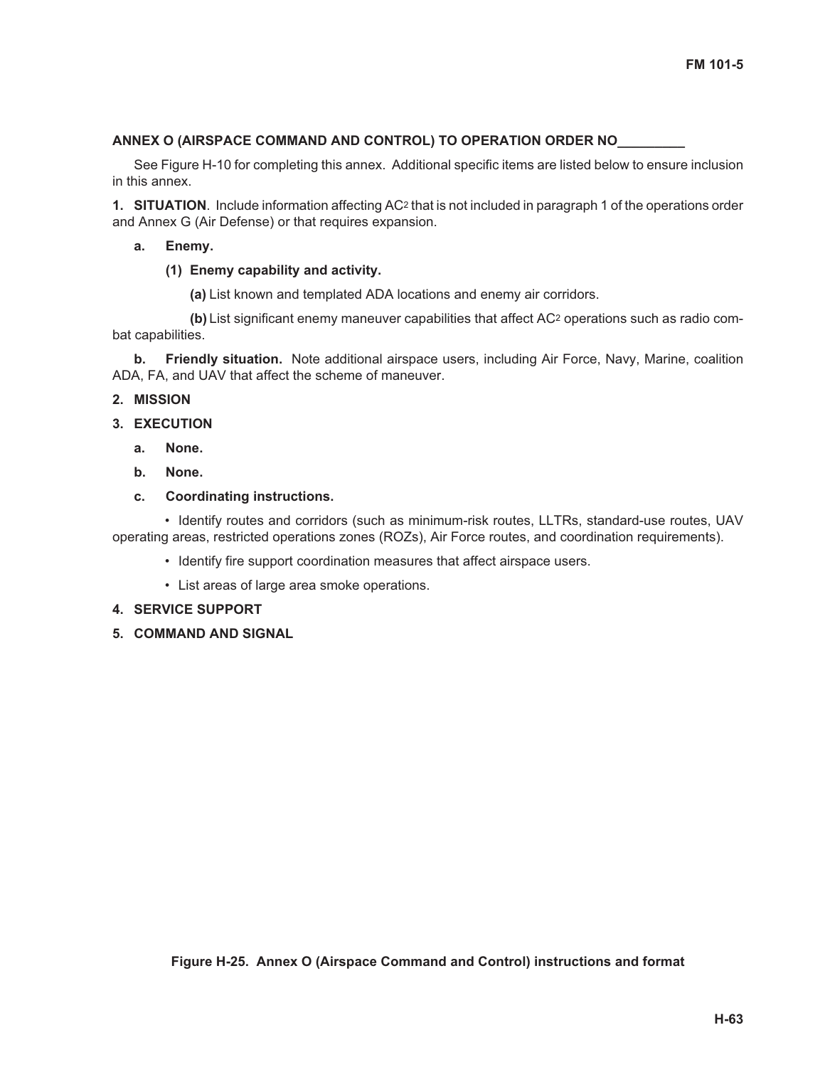# **ANNEX O (AIRSPACE COMMAND AND CONTROL) TO OPERATION ORDER NO\_\_\_\_\_\_\_\_\_**

See Figure H-10 for completing this annex. Additional specific items are listed below to ensure inclusion in this annex.

**1. SITUATION**. Include information affecting AC2 that is not included in paragraph 1 of the operations order and Annex G (Air Defense) or that requires expansion.

**a. Enemy.**

### **(1) Enemy capability and activity.**

**(a)** List known and templated ADA locations and enemy air corridors.

**(b)** List significant enemy maneuver capabilities that affect AC2 operations such as radio combat capabilities.

**b. Friendly situation.** Note additional airspace users, including Air Force, Navy, Marine, coalition ADA, FA, and UAV that affect the scheme of maneuver.

# **2. MISSION**

- **3. EXECUTION**
	- **a. None.**
	- **b. None.**
	- **c. Coordinating instructions.**

• Identify routes and corridors (such as minimum-risk routes, LLTRs, standard-use routes, UAV operating areas, restricted operations zones (ROZs), Air Force routes, and coordination requirements).

- Identify fire support coordination measures that affect airspace users.
- List areas of large area smoke operations.

### **4. SERVICE SUPPORT**

**5. COMMAND AND SIGNAL**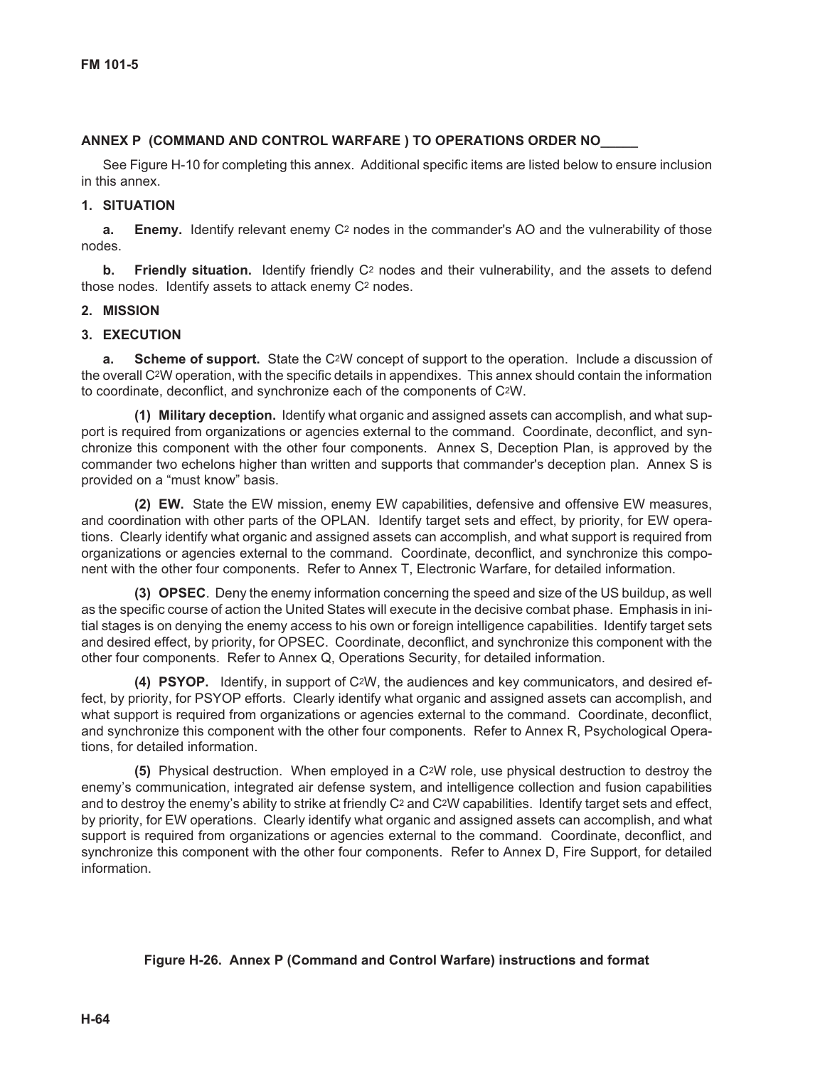# **ANNEX P (COMMAND AND CONTROL WARFARE ) TO OPERATIONS ORDER NO\_\_\_\_\_**

See Figure H-10 for completing this annex. Additional specific items are listed below to ensure inclusion in this annex.

### **1. SITUATION**

**a.** Enemy. Identify relevant enemy C<sup>2</sup> nodes in the commander's AO and the vulnerability of those nodes.

**b.** Friendly situation. Identify friendly C<sup>2</sup> nodes and their vulnerability, and the assets to defend those nodes. Identify assets to attack enemy C2 nodes.

### **2. MISSION**

### **3. EXECUTION**

**a. Scheme of support.** State the C2W concept of support to the operation. Include a discussion of the overall C2W operation, with the specific details in appendixes. This annex should contain the information to coordinate, deconflict, and synchronize each of the components of C2W.

**(1) Military deception.** Identify what organic and assigned assets can accomplish, and what support is required from organizations or agencies external to the command. Coordinate, deconflict, and synchronize this component with the other four components. Annex S, Deception Plan, is approved by the commander two echelons higher than written and supports that commander's deception plan. Annex S is provided on a "must know" basis.

**(2) EW.** State the EW mission, enemy EW capabilities, defensive and offensive EW measures, and coordination with other parts of the OPLAN. Identify target sets and effect, by priority, for EW operations. Clearly identify what organic and assigned assets can accomplish, and what support is required from organizations or agencies external to the command. Coordinate, deconflict, and synchronize this component with the other four components. Refer to Annex T, Electronic Warfare, for detailed information.

**(3) OPSEC**. Deny the enemy information concerning the speed and size of the US buildup, as well as the specific course of action the United States will execute in the decisive combat phase. Emphasis in initial stages is on denying the enemy access to his own or foreign intelligence capabilities. Identify target sets and desired effect, by priority, for OPSEC. Coordinate, deconflict, and synchronize this component with the other four components. Refer to Annex Q, Operations Security, for detailed information.

**(4) PSYOP.** Identify, in support of C2W, the audiences and key communicators, and desired effect, by priority, for PSYOP efforts. Clearly identify what organic and assigned assets can accomplish, and what support is required from organizations or agencies external to the command. Coordinate, deconflict, and synchronize this component with the other four components. Refer to Annex R, Psychological Operations, for detailed information.

**(5)** Physical destruction. When employed in a C2W role, use physical destruction to destroy the enemy's communication, integrated air defense system, and intelligence collection and fusion capabilities and to destroy the enemy's ability to strike at friendly C<sup>2</sup> and C<sup>2</sup>W capabilities. Identify target sets and effect, by priority, for EW operations. Clearly identify what organic and assigned assets can accomplish, and what support is required from organizations or agencies external to the command. Coordinate, deconflict, and synchronize this component with the other four components. Refer to Annex D, Fire Support, for detailed information.

# **Figure H-26. Annex P (Command and Control Warfare) instructions and format**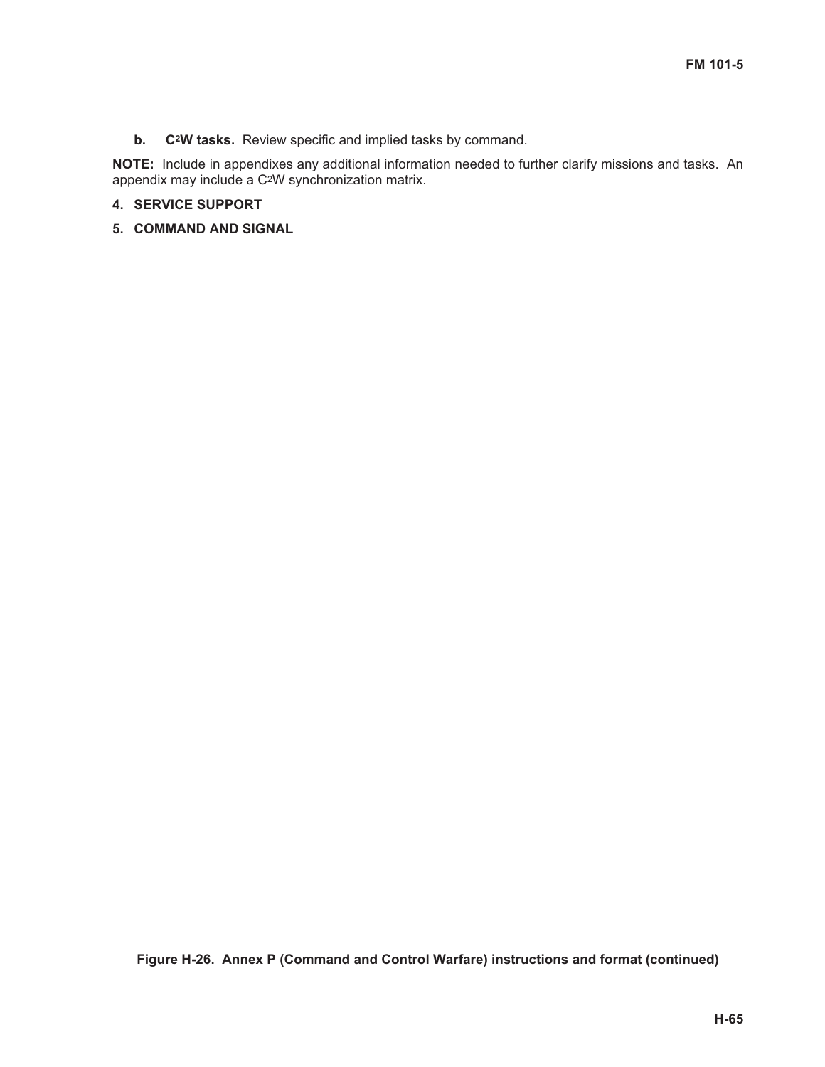**b. C2W tasks.** Review specific and implied tasks by command.

**NOTE:** Include in appendixes any additional information needed to further clarify missions and tasks. An appendix may include a C2W synchronization matrix.

# **4. SERVICE SUPPORT**

**5. COMMAND AND SIGNAL**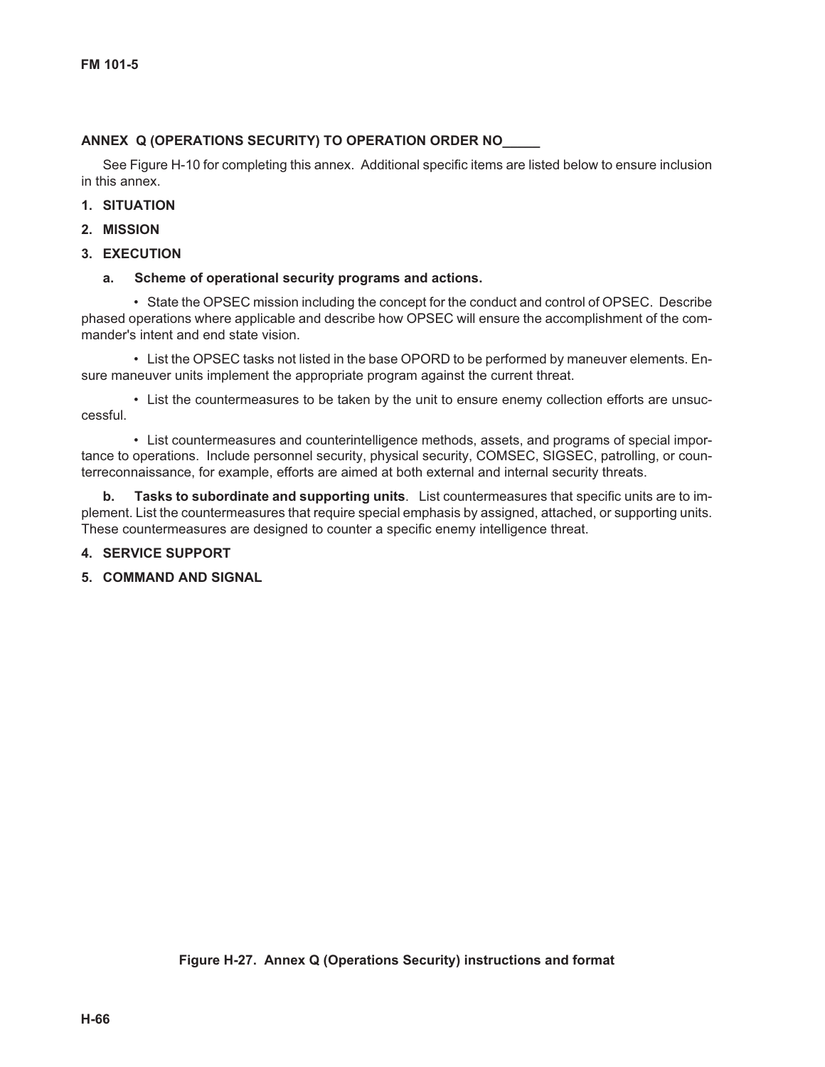# **ANNEX Q (OPERATIONS SECURITY) TO OPERATION ORDER NO\_\_\_\_\_**

See Figure H-10 for completing this annex. Additional specific items are listed below to ensure inclusion in this annex.

### **1. SITUATION**

- **2. MISSION**
- **3. EXECUTION**

### **a. Scheme of operational security programs and actions.**

• State the OPSEC mission including the concept for the conduct and control of OPSEC. Describe phased operations where applicable and describe how OPSEC will ensure the accomplishment of the commander's intent and end state vision.

• List the OPSEC tasks not listed in the base OPORD to be performed by maneuver elements. Ensure maneuver units implement the appropriate program against the current threat.

• List the countermeasures to be taken by the unit to ensure enemy collection efforts are unsuccessful.

• List countermeasures and counterintelligence methods, assets, and programs of special importance to operations. Include personnel security, physical security, COMSEC, SIGSEC, patrolling, or counterreconnaissance, for example, efforts are aimed at both external and internal security threats.

**b. Tasks to subordinate and supporting units**. List countermeasures that specific units are to implement. List the countermeasures that require special emphasis by assigned, attached, or supporting units. These countermeasures are designed to counter a specific enemy intelligence threat.

**4. SERVICE SUPPORT**

**5. COMMAND AND SIGNAL**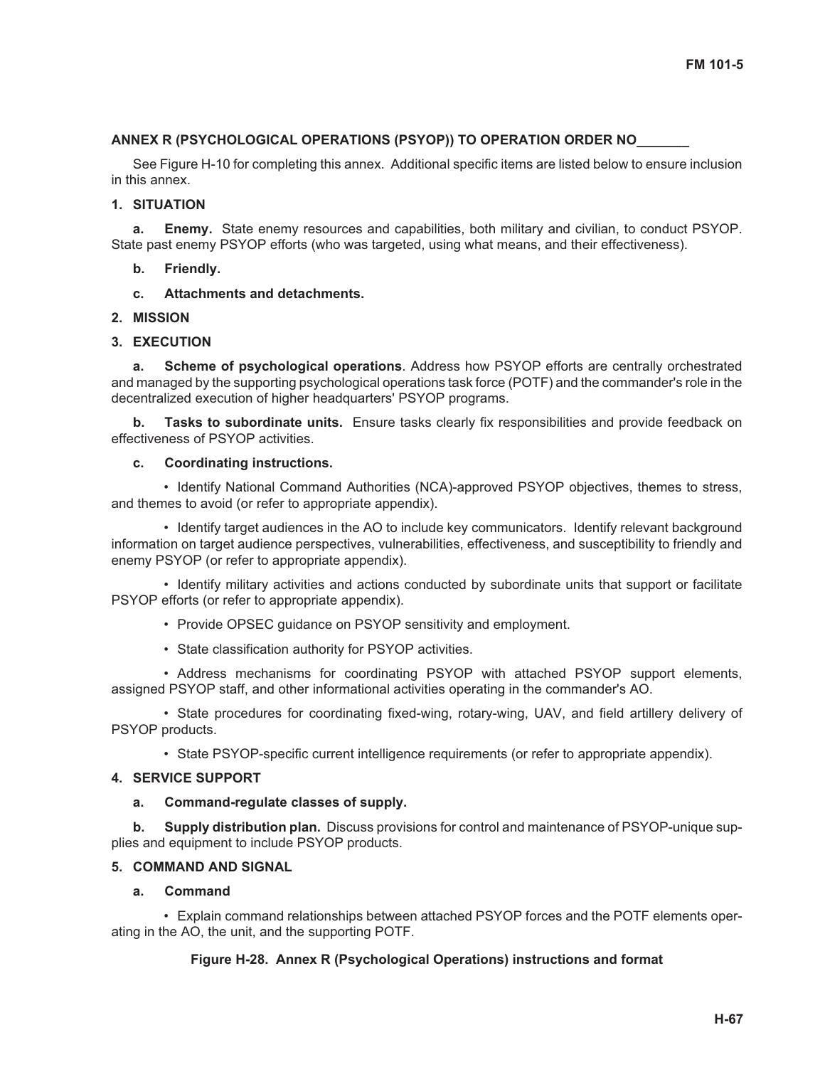# **ANNEX R (PSYCHOLOGICAL OPERATIONS (PSYOP)) TO OPERATION ORDER NO\_\_\_\_\_\_\_**

See Figure H-10 for completing this annex. Additional specific items are listed below to ensure inclusion in this annex.

# **1. SITUATION**

**a. Enemy.** State enemy resources and capabilities, both military and civilian, to conduct PSYOP. State past enemy PSYOP efforts (who was targeted, using what means, and their effectiveness).

### **b. Friendly.**

**c. Attachments and detachments.**

### **2. MISSION**

### **3. EXECUTION**

**a. Scheme of psychological operations**. Address how PSYOP efforts are centrally orchestrated and managed by the supporting psychological operations task force (POTF) and the commander's role in the decentralized execution of higher headquarters' PSYOP programs.

**b. Tasks to subordinate units.** Ensure tasks clearly fix responsibilities and provide feedback on effectiveness of PSYOP activities.

### **c. Coordinating instructions.**

• Identify National Command Authorities (NCA)-approved PSYOP objectives, themes to stress, and themes to avoid (or refer to appropriate appendix).

• Identify target audiences in the AO to include key communicators. Identify relevant background information on target audience perspectives, vulnerabilities, effectiveness, and susceptibility to friendly and enemy PSYOP (or refer to appropriate appendix).

• Identify military activities and actions conducted by subordinate units that support or facilitate PSYOP efforts (or refer to appropriate appendix).

- Provide OPSEC guidance on PSYOP sensitivity and employment.
- State classification authority for PSYOP activities.

• Address mechanisms for coordinating PSYOP with attached PSYOP support elements, assigned PSYOP staff, and other informational activities operating in the commander's AO.

• State procedures for coordinating fixed-wing, rotary-wing, UAV, and field artillery delivery of PSYOP products.

• State PSYOP-specific current intelligence requirements (or refer to appropriate appendix).

### **4. SERVICE SUPPORT**

### **a. Command-regulate classes of supply.**

**b. Supply distribution plan.** Discuss provisions for control and maintenance of PSYOP-unique supplies and equipment to include PSYOP products.

### **5. COMMAND AND SIGNAL**

### **a. Command**

• Explain command relationships between attached PSYOP forces and the POTF elements operating in the AO, the unit, and the supporting POTF.

# **Figure H-28. Annex R (Psychological Operations) instructions and format**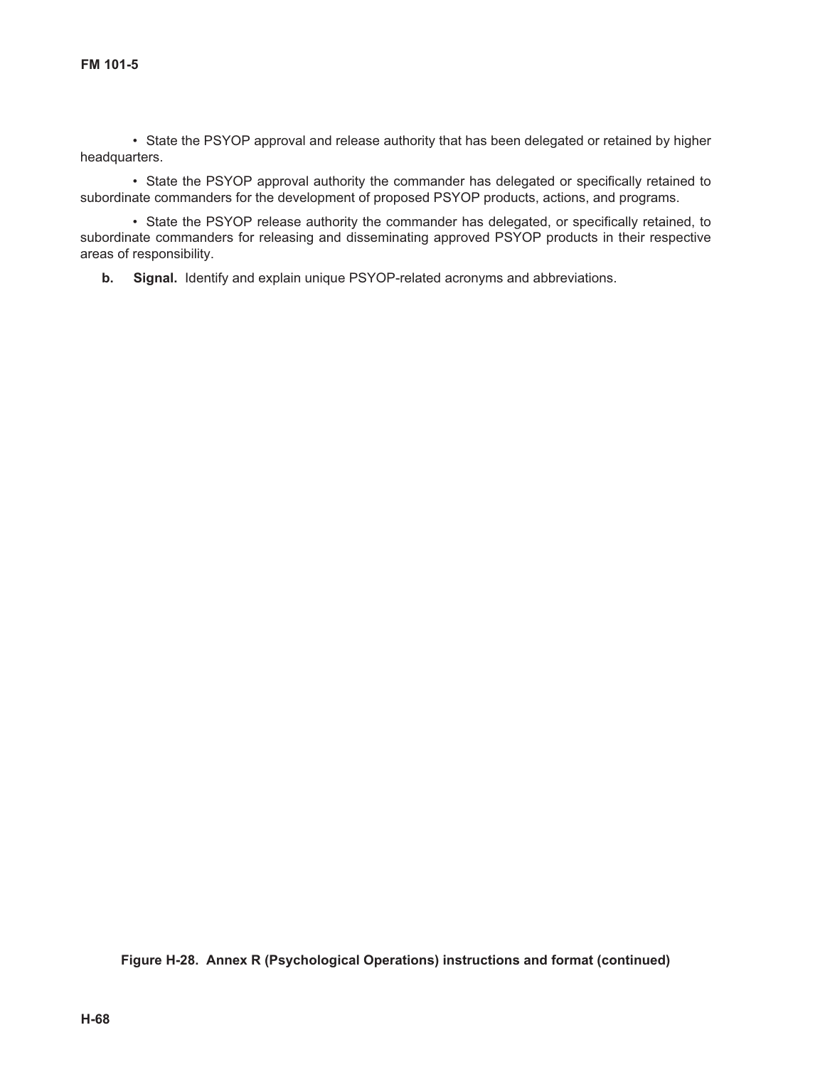• State the PSYOP approval and release authority that has been delegated or retained by higher headquarters.

• State the PSYOP approval authority the commander has delegated or specifically retained to subordinate commanders for the development of proposed PSYOP products, actions, and programs.

• State the PSYOP release authority the commander has delegated, or specifically retained, to subordinate commanders for releasing and disseminating approved PSYOP products in their respective areas of responsibility.

**b. Signal.** Identify and explain unique PSYOP-related acronyms and abbreviations.

**Figure H-28. Annex R (Psychological Operations) instructions and format (continued)**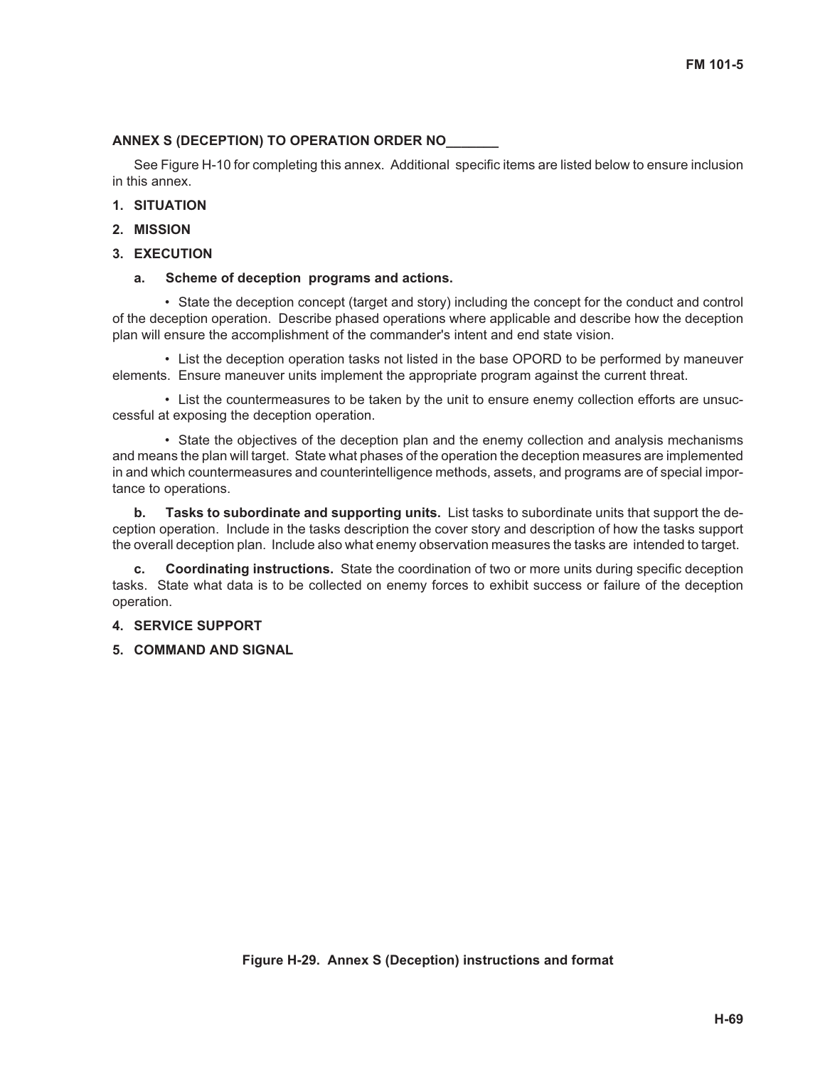# **ANNEX S (DECEPTION) TO OPERATION ORDER NO\_\_\_\_\_\_\_**

See Figure H-10 for completing this annex. Additional specific items are listed below to ensure inclusion in this annex.

- **1. SITUATION**
- **2. MISSION**
- **3. EXECUTION**
	- **a. Scheme of deception programs and actions.**

• State the deception concept (target and story) including the concept for the conduct and control of the deception operation. Describe phased operations where applicable and describe how the deception plan will ensure the accomplishment of the commander's intent and end state vision.

• List the deception operation tasks not listed in the base OPORD to be performed by maneuver elements. Ensure maneuver units implement the appropriate program against the current threat.

• List the countermeasures to be taken by the unit to ensure enemy collection efforts are unsuccessful at exposing the deception operation.

• State the objectives of the deception plan and the enemy collection and analysis mechanisms and means the plan will target. State what phases of the operation the deception measures are implemented in and which countermeasures and counterintelligence methods, assets, and programs are of special importance to operations.

**b. Tasks to subordinate and supporting units.** List tasks to subordinate units that support the deception operation. Include in the tasks description the cover story and description of how the tasks support the overall deception plan. Include also what enemy observation measures the tasks are intended to target.

**c. Coordinating instructions.** State the coordination of two or more units during specific deception tasks. State what data is to be collected on enemy forces to exhibit success or failure of the deception operation.

### **4. SERVICE SUPPORT**

### **5. COMMAND AND SIGNAL**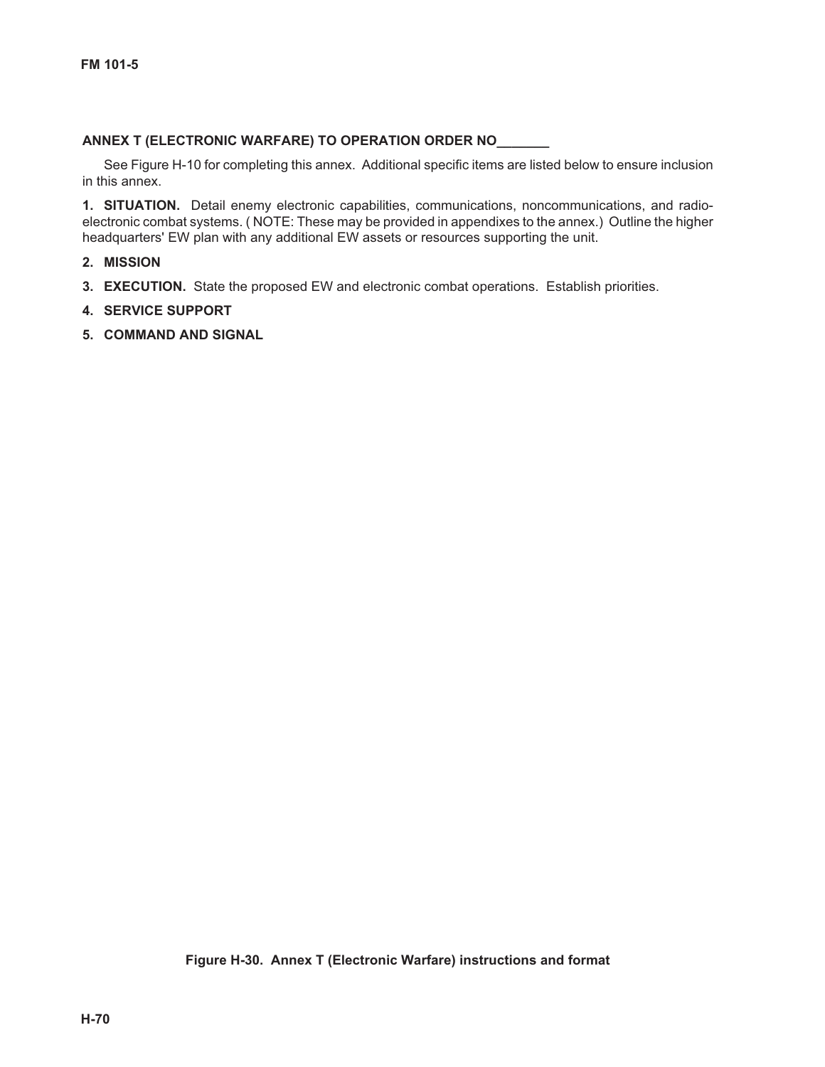# **ANNEX T (ELECTRONIC WARFARE) TO OPERATION ORDER NO\_\_\_\_\_\_\_**

See Figure H-10 for completing this annex. Additional specific items are listed below to ensure inclusion in this annex.

**1. SITUATION.** Detail enemy electronic capabilities, communications, noncommunications, and radioelectronic combat systems. ( NOTE: These may be provided in appendixes to the annex.) Outline the higher headquarters' EW plan with any additional EW assets or resources supporting the unit.

### **2. MISSION**

- **3. EXECUTION.** State the proposed EW and electronic combat operations. Establish priorities.
- **4. SERVICE SUPPORT**
- **5. COMMAND AND SIGNAL**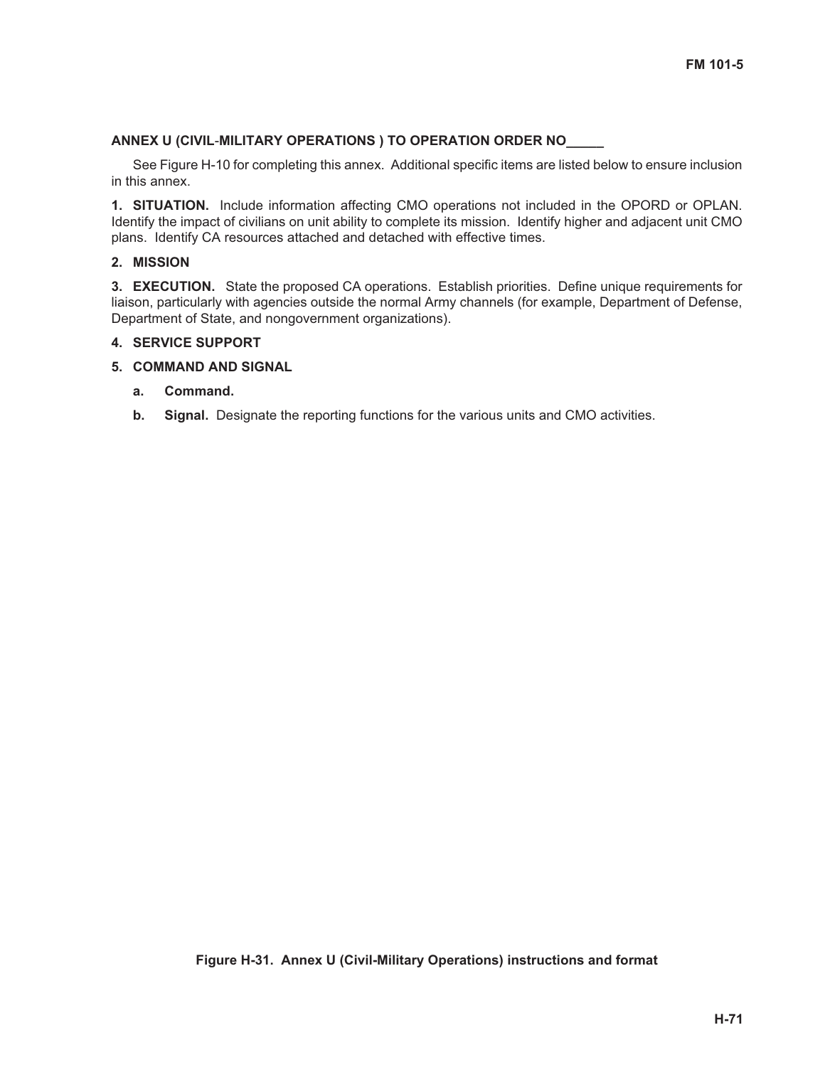# **ANNEX U (CIVIL**-**MILITARY OPERATIONS ) TO OPERATION ORDER NO\_\_\_\_\_**

See Figure H-10 for completing this annex. Additional specific items are listed below to ensure inclusion in this annex.

**1. SITUATION.** Include information affecting CMO operations not included in the OPORD or OPLAN. Identify the impact of civilians on unit ability to complete its mission. Identify higher and adjacent unit CMO plans. Identify CA resources attached and detached with effective times.

# **2. MISSION**

**3. EXECUTION.** State the proposed CA operations. Establish priorities. Define unique requirements for liaison, particularly with agencies outside the normal Army channels (for example, Department of Defense, Department of State, and nongovernment organizations).

# **4. SERVICE SUPPORT**

### **5. COMMAND AND SIGNAL**

### **a. Command.**

**b.** Signal. Designate the reporting functions for the various units and CMO activities.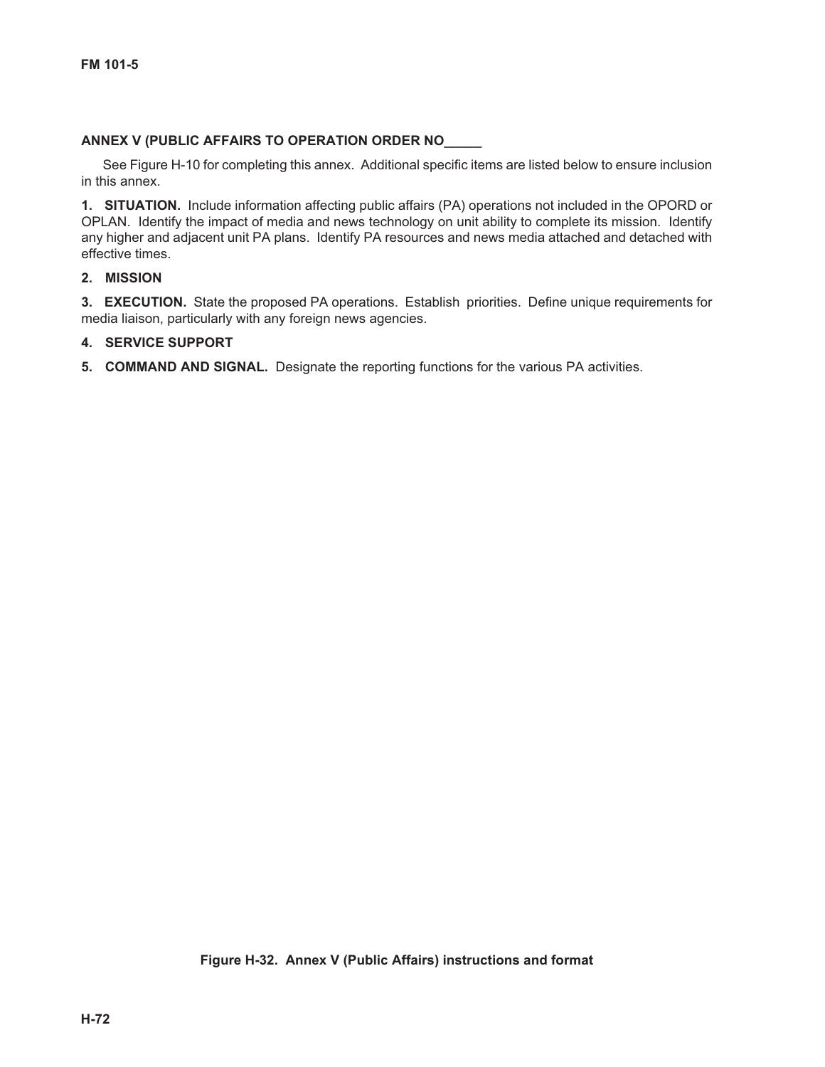# **ANNEX V (PUBLIC AFFAIRS TO OPERATION ORDER NO\_\_\_\_\_**

See Figure H-10 for completing this annex. Additional specific items are listed below to ensure inclusion in this annex.

**1. SITUATION.** Include information affecting public affairs (PA) operations not included in the OPORD or OPLAN. Identify the impact of media and news technology on unit ability to complete its mission. Identify any higher and adjacent unit PA plans. Identify PA resources and news media attached and detached with effective times.

### **2. MISSION**

**3. EXECUTION.** State the proposed PA operations. Establish priorities. Define unique requirements for media liaison, particularly with any foreign news agencies.

### **4. SERVICE SUPPORT**

**5. COMMAND AND SIGNAL.** Designate the reporting functions for the various PA activities.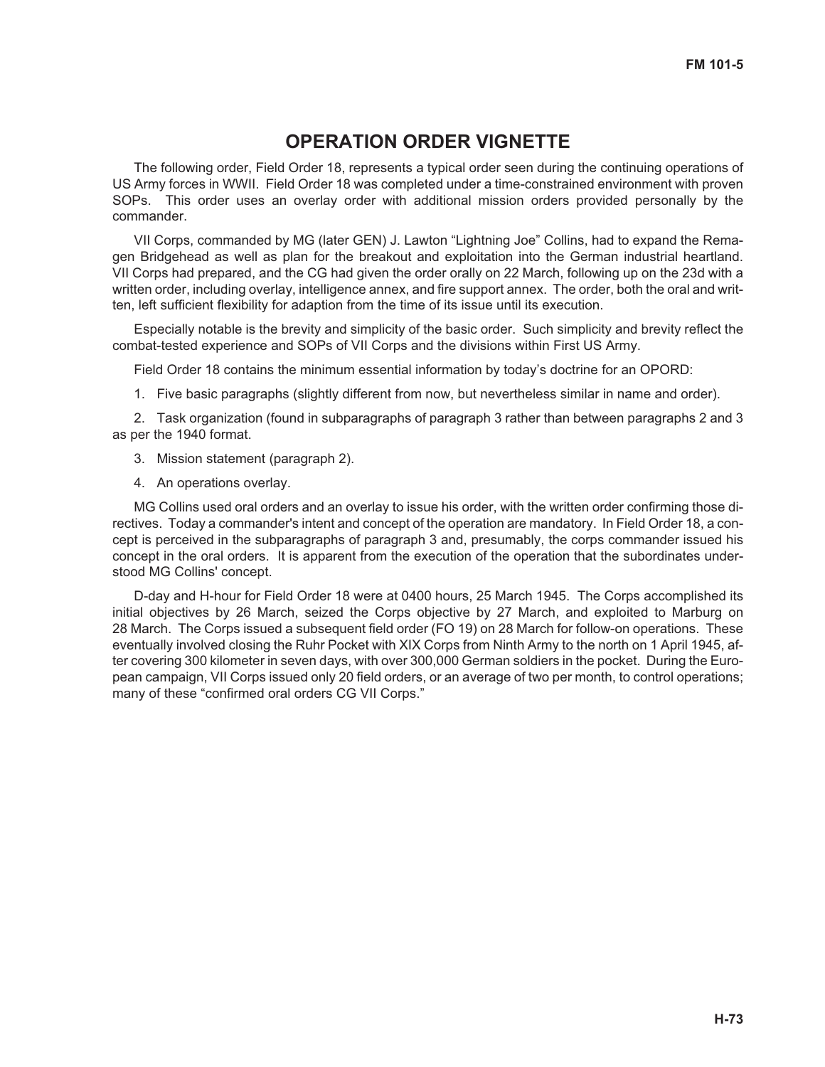# **OPERATION ORDER VIGNETTE**

The following order, Field Order 18, represents a typical order seen during the continuing operations of US Army forces in WWII. Field Order 18 was completed under a time-constrained environment with proven SOPs. This order uses an overlay order with additional mission orders provided personally by the commander.

VII Corps, commanded by MG (later GEN) J. Lawton "Lightning Joe" Collins, had to expand the Remagen Bridgehead as well as plan for the breakout and exploitation into the German industrial heartland. VII Corps had prepared, and the CG had given the order orally on 22 March, following up on the 23d with a written order, including overlay, intelligence annex, and fire support annex. The order, both the oral and written, left sufficient flexibility for adaption from the time of its issue until its execution.

Especially notable is the brevity and simplicity of the basic order. Such simplicity and brevity reflect the combat-tested experience and SOPs of VII Corps and the divisions within First US Army.

Field Order 18 contains the minimum essential information by today's doctrine for an OPORD:

1. Five basic paragraphs (slightly different from now, but nevertheless similar in name and order).

2. Task organization (found in subparagraphs of paragraph 3 rather than between paragraphs 2 and 3 as per the 1940 format.

- 3. Mission statement (paragraph 2).
- 4. An operations overlay.

MG Collins used oral orders and an overlay to issue his order, with the written order confirming those directives. Today a commander's intent and concept of the operation are mandatory. In Field Order 18, a concept is perceived in the subparagraphs of paragraph 3 and, presumably, the corps commander issued his concept in the oral orders. It is apparent from the execution of the operation that the subordinates understood MG Collins' concept.

D-day and H-hour for Field Order 18 were at 0400 hours, 25 March 1945. The Corps accomplished its initial objectives by 26 March, seized the Corps objective by 27 March, and exploited to Marburg on 28 March. The Corps issued a subsequent field order (FO 19) on 28 March for follow-on operations. These eventually involved closing the Ruhr Pocket with XIX Corps from Ninth Army to the north on 1 April 1945, after covering 300 kilometer in seven days, with over 300,000 German soldiers in the pocket. During the European campaign, VII Corps issued only 20 field orders, or an average of two per month, to control operations; many of these "confirmed oral orders CG VII Corps."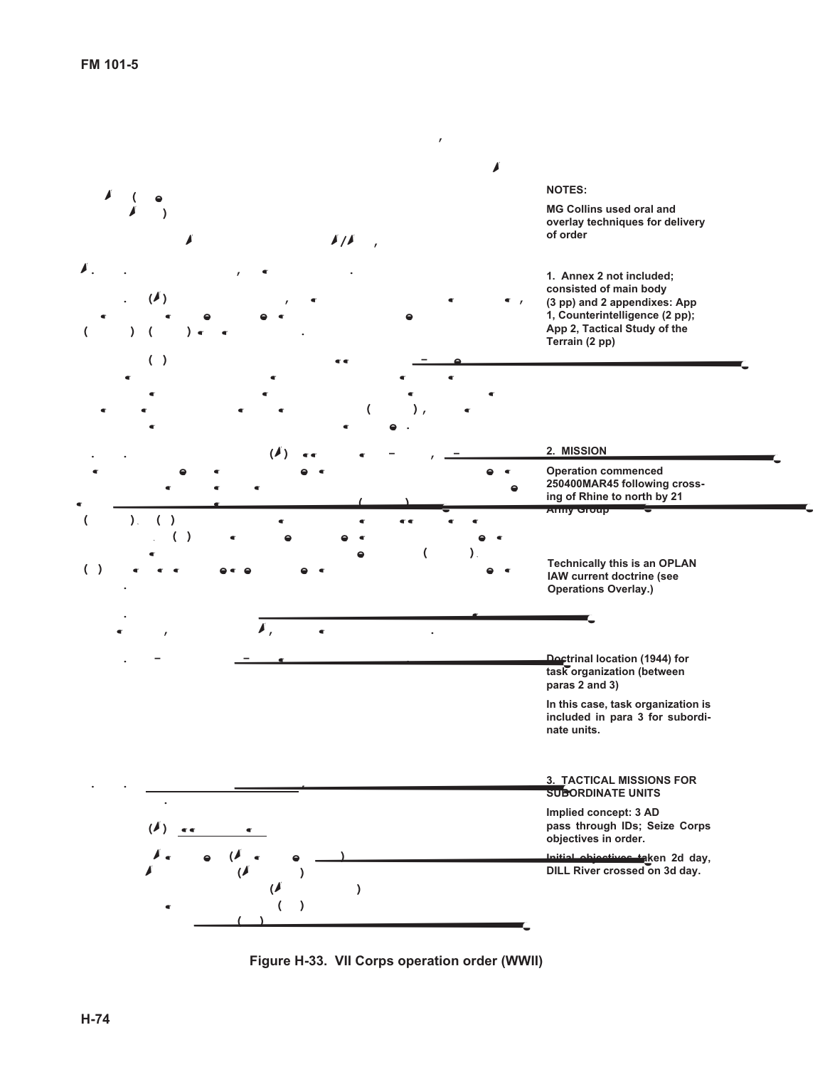**HQ, VII CORPS APO 307 23 MARCH 1945**

**FO 18 (Confirming oral orders CG VII Corps issued 22 March 1945)**

**Maps: GSGS 4416 CENTRAL EUROPE 1/100,000**

**1. a. See Annex 2, Intelligence.**

**b. (1) NINTH US ARMY, with XIX Corps on its right, continues its defense of the RHINE River from WORRINGEN (F3874) (excl) to the NORTH.**

**(2) FIRST US ARMY will attack on D-day from present bridgehead area to drive EAST between the SIEG River on the NORTH and the LAHN River on the SOUTH to capture the road center at LIMBURG (M2398), and the high ground extending generally NORTH thereof.**

**2. a. VII Corps will (1) attack at H-hour, D-day within zone of action EAST of the RHINE and SOUTH of the SIEG River to capture the high ground generally WEST of the DILL River between WURGENDORF (G2740) and NENDEROTH (G3220); (2) be prepared to resume the attack to the NORTHEAST; (3) maintain defense of the WEST bank of the RHINE in the Corps zone and NORTH of BONN (F5537); and (4) protect the left flank of the FIRST ARMY EAST of the RHINE.**

**b. For Corps and Division boundaries and initial objectives, see Annex 1, Operations Overlay.**

**c. H-hour and D-day to be announced.**

**NOTES:**

**MG Collins used oral and overlay techniques for delivery of order**

**1. Annex 2 not included; consisted of main body (3 pp) and 2 appendixes: App 1, Counterintelligence (2 pp); App 2, Tactical Study of the Terrain (2 pp)**

#### **2. MISSION**

**Operation commenced 250400MAR45 following crossing of Rhine to north by 21 Army Group**

**Technically this is an OPLAN IAW current doctrine (see Operations Overlay.)**

**Doctrinal location (1944) for task organization (between paras 2 and 3)**

**In this case, task organization is included in para 3 for subordinate units.**

**3. a. 3d Armored Division, Major General Maurice Rose, 3. TACTICAL MISSIONS FOR SUBORDINATE UNITS**

> **Implied concept: 3 AD pass through IDs; Seize Corps objectives in order.**

> **Initial objectives taken 2d day, DILL River crossed on 3d day.**

**Commanding.**

**(1) Attachments:**

**414th Inf (104th Inf Div) 183d FA Bn (155 How) 83d Armd FA Bn (105 How SP) 486th AAA AW Bn (SP) 703d TD Bn (SP)**

**Figure H-33. VII Corps operation order (WWII)**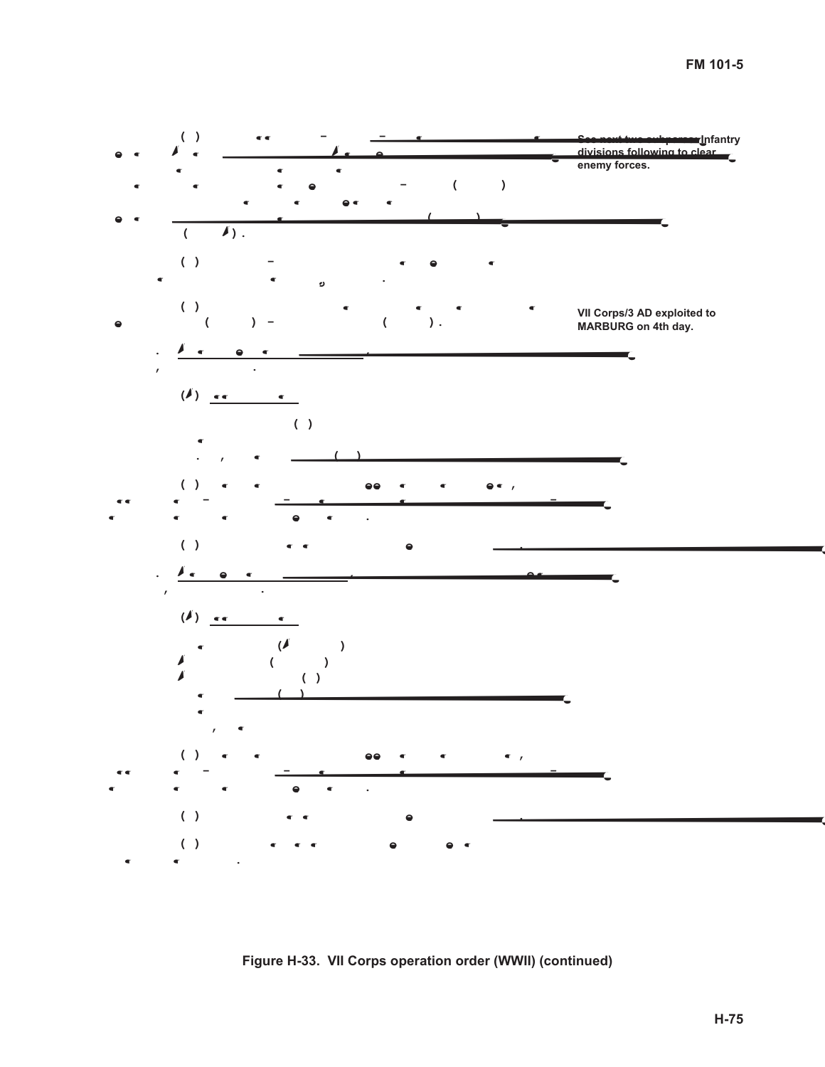**(2) Will attack H-hour D-day through elements of the 104th Division and 1st Inf Div and advance rapidly to seize initially the high ground and road center in the vicinity of ALTENKIR-CHEN (F9332) and successive objectives thereafter to include crossings of the DILL River between DILLENBURG (G3837) and HERBORN (G3931).**

**(3) Will by-pass [sic] pockets of resistance in order to seize objectives quickly.**

**(4) Will be prepared to exploit in the direction of MARBURG (G7347) - FRANKENBERG (G7473).**

**b. 104th Infantry Division, Major General Terry Allen, Commanding.**

**(1) Attachments:**

**555 AAA AW Bn (M) 750th Tk Bn Co. C, 644th TD Bn (SP)**

**(2) With its principal effort on the left, will attack at H-hour on D-day to eliminate all enemy resistance within its zone of action.**

**(3) Will assist the advance of 3d Armd Div.**

**c. 1st Infantry Division, Brigadier General Clifton Andrus, Commanding.**

> **(1) Attachments: 957th FA Bn (155 How) 193d FA Bn (25 Pdr) 103d AAA AW Bn (M) 634th TD Bn (SP) 745th Tk Bn Co A, 86th Cml Bn**

**(2) With its principal effort on the right, will attack at H-hour on D-day to eliminate all enemy resistance within its zone of action.**

**(3) Will assist the advance of 3d Armd Div.**

**(4) Will protect the NORTH flank of the Corps within its zone.**

**Figure H-33. VII Corps operation order (WWII) (continued)**

**See next two subparas: Infantry divisions following to clear enemy forces.**

**VII Corps/3 AD exploited to MARBURG on 4th day.**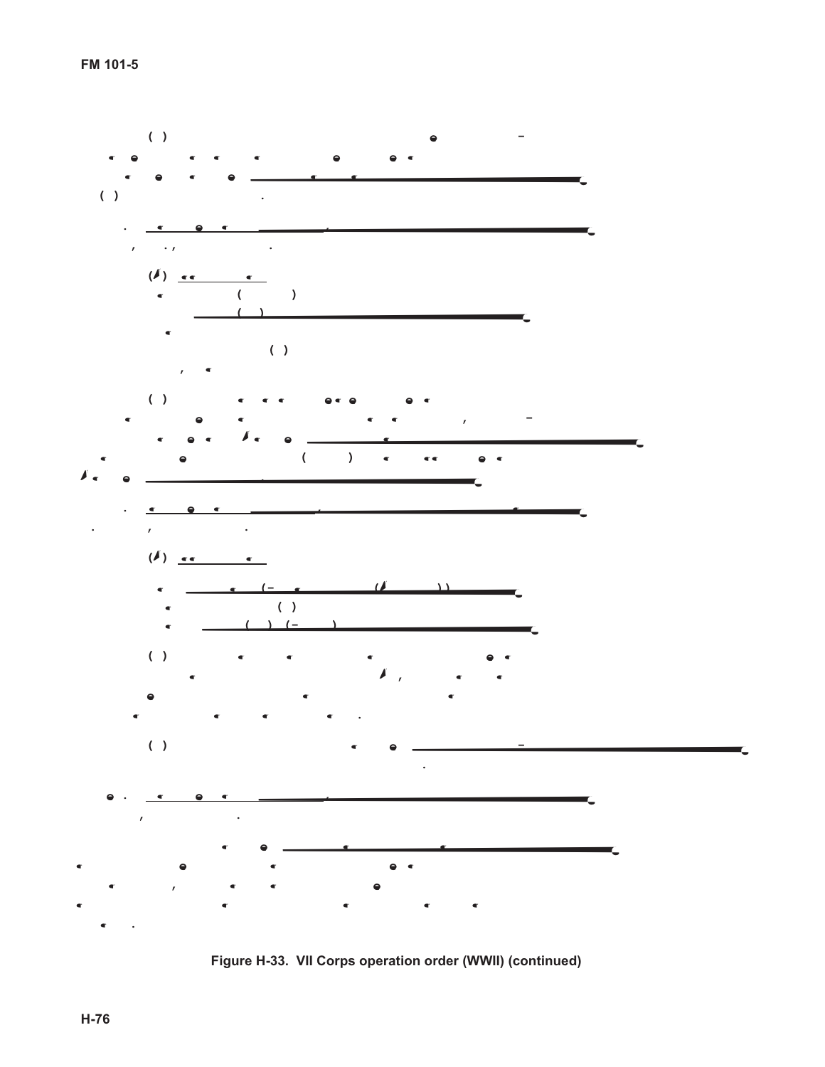**(5) Will be progressively relieved of responsibility for protecting the NORTH flank of the Corps by elements of 78th Inf Div and the 4th Cav Gp per par 3d(3) and par 3g below.**

**d. 78th Infantry Division, Major General Edwin P. Parker, Jr., Commanding.**

```
(1) Attachments:
76th FA Bn (25 Pdr)
893d TD Bn (SP)
774th Tk Bn
552d AAA AW Bn (M)
Co B, 86th Cml Bn
```
**(2) Will protect the left flank of the Corps along the SIEG from the RHINE River to the EAST, relieving elements of the 1st Inf Div along the SIEG River initially as far as MERTEN (F7640) as the attack of the 1st Inf Div progresses.**

**e. 8th Infantry Division, Brigadier General Bryant E. Moore, Commanding.**

**(1) Attachments:**

**69th Div Arty (-879th FA Bn (105 How)) 445th AAA AW Bn (M) 644th TD Bn (SP) (-Co C)**

**(2) Will continue to secure the WEST bank of the RHINE River between F383754 and F535410, preventing the passage of any enemy across the river and maintaining observation over the entire sector.**

**(3) Will be relieved by 86th Inf Div and assemble in Corps reserve on order CG VII Corps.**

**f. 86th Infantry Division, Major General Harris M. Melasky, Commanding.**

**Will relieve 8th Inf Div in its zone and take over the mission of securing the WEST bank of the RHINE River in its zone, preventing the passage of any enemy across the river and maintaining observation over the entire sector.**

**Figure H-33. VII Corps operation order (WWII) (continued)**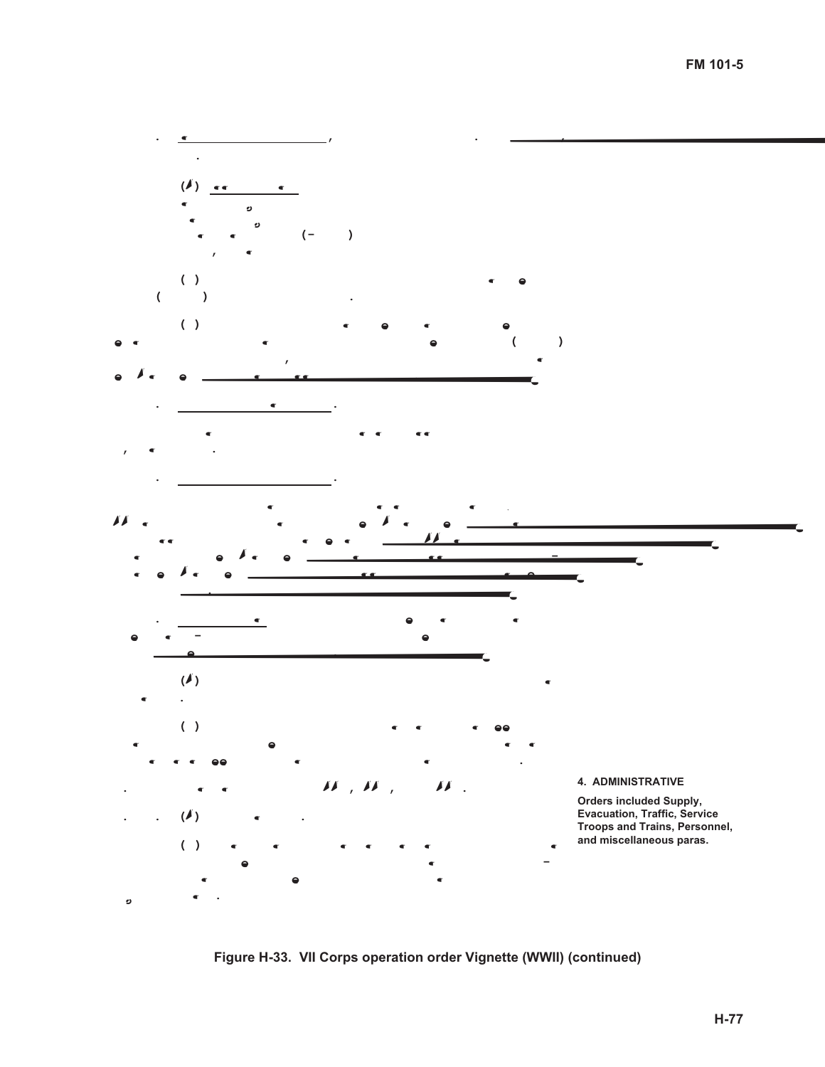**g. 4th Cavalry Group, Colonel John C. McDonald, Commanding.**

> **(1) Attachments: 4th Cav Sq 24th Cav Sq 759th Lt Tk Bn (-Co B) Co A, 298th Engr C Bn**

**(2) Will assemble by 25 March in vicinity of BONN (F5537) in corps reserve.**

**(3) Will be prepared to defend the NORTH flank of the Corps along the SIEG River EAST of MERTEN (F7640) on order CG VII Corps, progressively relieving elements of 1st Inf Div as the attack advances.**

**h. VII Corps Artillery.**

**VII Corps Artillery will support the attack as per Annex 3, Artillery.**

**i. VII Corps Engineers.**

**Corps Engineer troops support the operation; 1120th Engr C Gp in the zone of 104th Inf Div with one battalion in support of the Div; 1106th Engr C Gp in the zone of 1st Inf Div with one battalion in support of 1st Inf Div and one battalion in support of 3d Armd Div.**

**j. Air Support will be provided for the operation by fighter-bombers and medium bombers of IX TAC and IX Bomb Div of NINTH AIR FORCE.**

**(1) No vehicles will be parked on main roads at any time.**

**(2) Commanders will insure that main traffic routes are cleared of road blocks and rubble and that important traffic is not impeded by halted columns.**

**4. Administrative Orders 114, 115, and 116.**

**5. a. (1) Current SOI.**

**(2) Units not in contact with the enemy or not deployed in a defensive role will maintain radio silence except in case of emergency operational requirements.**

**4. ADMINISTRATIVE**

**Orders included Supply, Evacuation, Traffic, Service Troops and Trains, Personnel, and miscellaneous paras.**

**Figure H-33. VII Corps operation order Vignette (WWII) (continued)**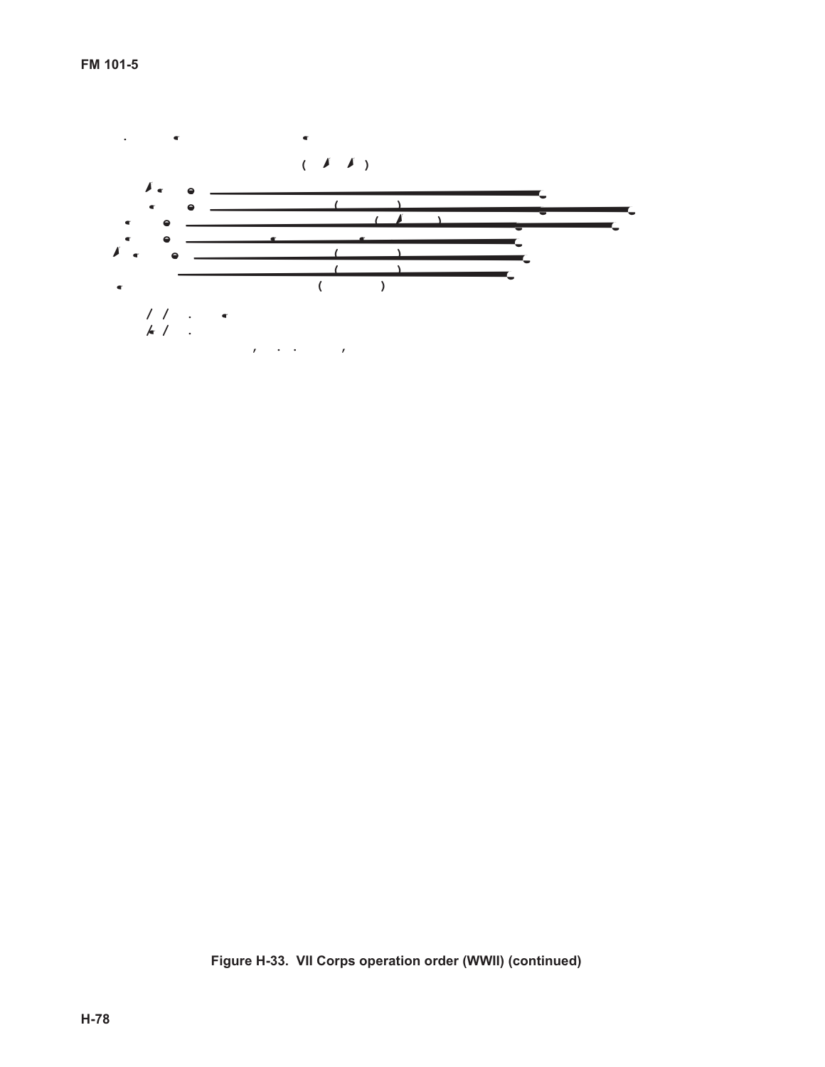```
b. Initial Command Posts:
VII Corps KONIGSWINTER (F617310)
    1st Inf Div F658307
    8th Inf Div WEIDEN (F362606)
78th Inf Div NDR HOLTORF (F610375)
86th Inf Div to be reported.
104th Inf Div HONNEF (F649272)
3d Armd Div HONNEF (F649272)
4th Cav Gp BONN (F553372)
   /s/ J. Lawton Collins
   /t/ J. LAWTON COLLINS
   Major General, U.S. Army,
   Commanding
```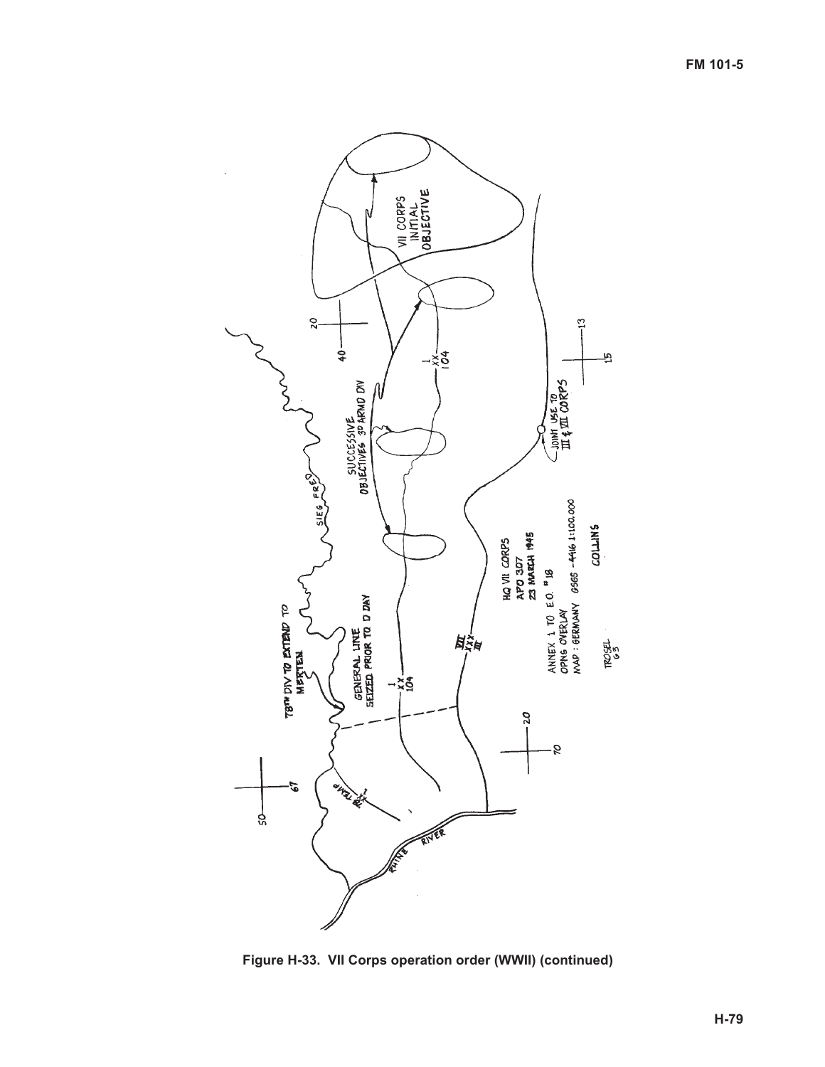

**Figure H-33. VII Corps operation order (WWII) (continued)**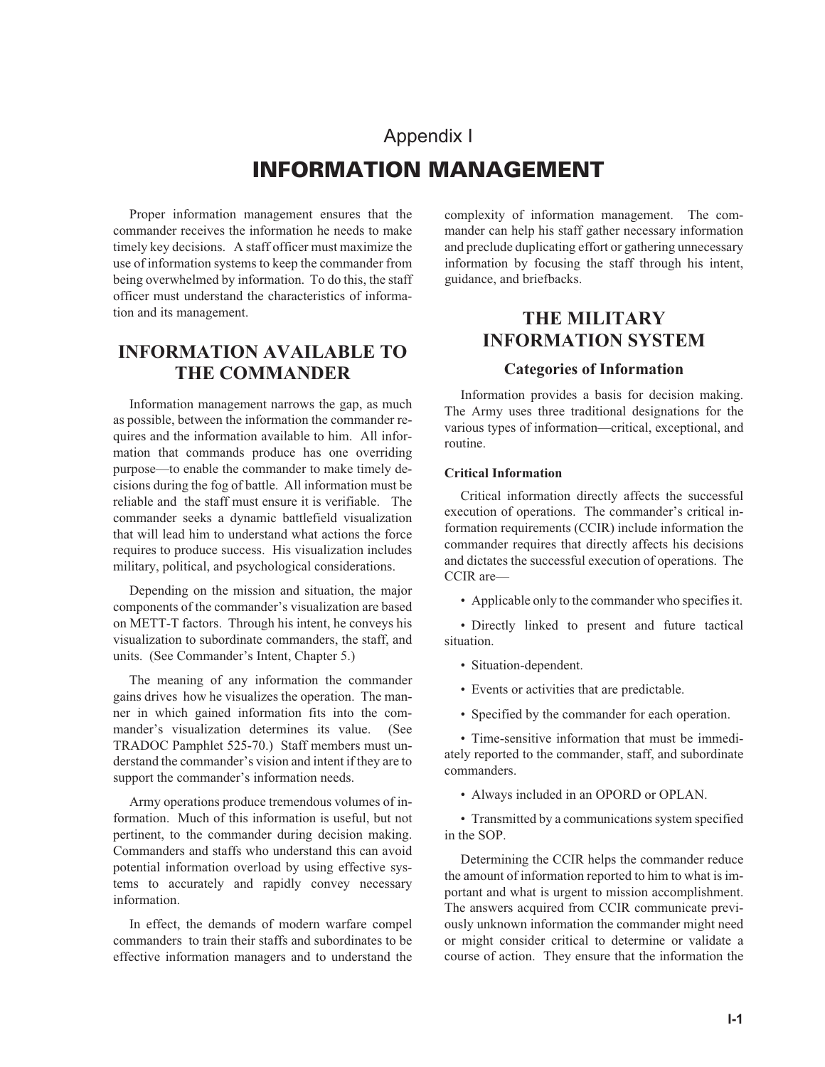# Appendix I **INFORMATION MANAGEMENT**

Proper information management ensures that the commander receives the information he needs to make timely key decisions. A staff officer must maximize the use of information systems to keep the commander from being overwhelmed by information. To do this, the staff officer must understand the characteristics of information and its management.

# **INFORMATION AVAILABLE TO THE COMMANDER**

Information management narrows the gap, as much as possible, between the information the commander requires and the information available to him. All information that commands produce has one overriding purpose—to enable the commander to make timely decisions during the fog of battle. All information must be reliable and the staff must ensure it is verifiable. The commander seeks a dynamic battlefield visualization that will lead him to understand what actions the force requires to produce success. His visualization includes military, political, and psychological considerations.

Depending on the mission and situation, the major components of the commander's visualization are based on METT-T factors. Through his intent, he conveys his visualization to subordinate commanders, the staff, and units. (See Commander's Intent, Chapter 5.)

The meaning of any information the commander gains drives how he visualizes the operation. The manner in which gained information fits into the commander's visualization determines its value. (See TRADOC Pamphlet 525-70.) Staff members must understand the commander's vision and intent if they are to support the commander's information needs.

Army operations produce tremendous volumes of information. Much of this information is useful, but not pertinent, to the commander during decision making. Commanders and staffs who understand this can avoid potential information overload by using effective systems to accurately and rapidly convey necessary information.

In effect, the demands of modern warfare compel commanders to train their staffs and subordinates to be effective information managers and to understand the complexity of information management. The commander can help his staff gather necessary information and preclude duplicating effort or gathering unnecessary information by focusing the staff through his intent, guidance, and briefbacks.

# **THE MILITARY INFORMATION SYSTEM**

# **Categories of Information**

Information provides a basis for decision making. The Army uses three traditional designations for the various types of information—critical, exceptional, and routine.

### **Critical Information**

Critical information directly affects the successful execution of operations. The commander's critical information requirements (CCIR) include information the commander requires that directly affects his decisions and dictates the successful execution of operations. The CCIR are—

• Applicable only to the commander who specifies it.

• Directly linked to present and future tactical situation.

- Situation-dependent.
- Events or activities that are predictable.
- Specified by the commander for each operation.

• Time-sensitive information that must be immediately reported to the commander, staff, and subordinate commanders.

• Always included in an OPORD or OPLAN.

• Transmitted by a communications system specified in the SOP.

Determining the CCIR helps the commander reduce the amount of information reported to him to what is important and what is urgent to mission accomplishment. The answers acquired from CCIR communicate previously unknown information the commander might need or might consider critical to determine or validate a course of action. They ensure that the information the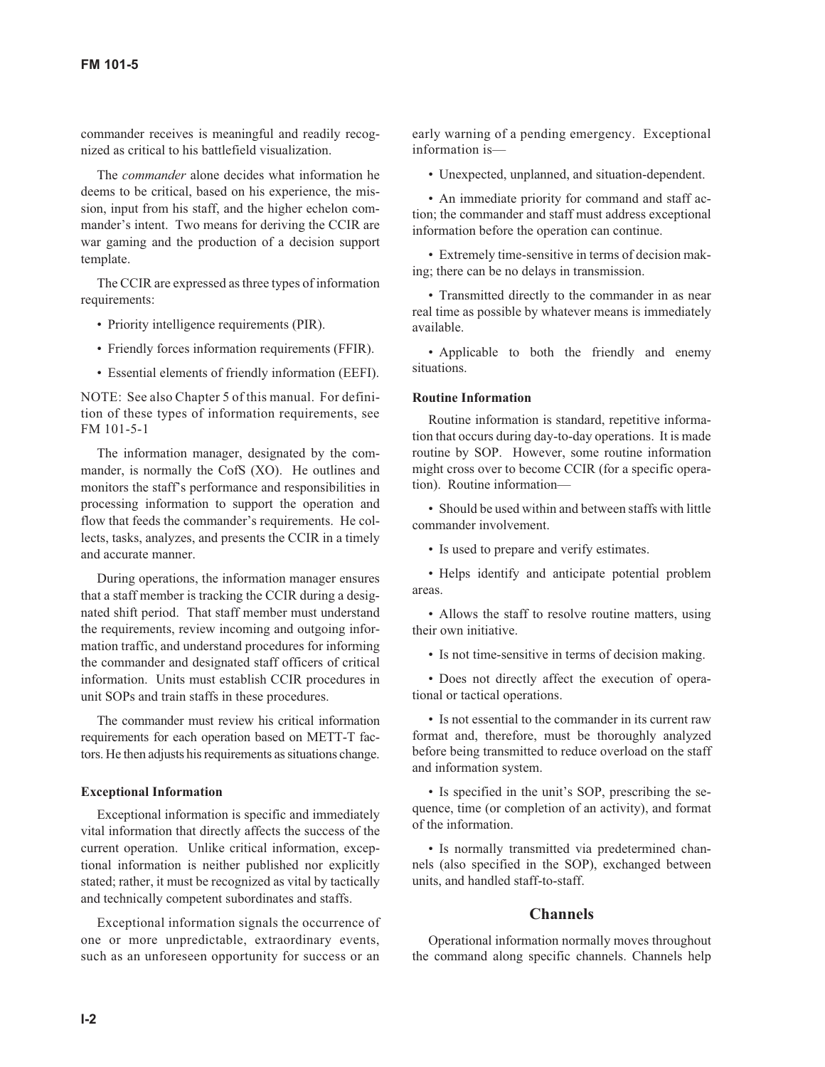commander receives is meaningful and readily recognized as critical to his battlefield visualization.

The *commander* alone decides what information he deems to be critical, based on his experience, the mission, input from his staff, and the higher echelon commander's intent. Two means for deriving the CCIR are war gaming and the production of a decision support template.

The CCIR are expressed as three types of information requirements:

- Priority intelligence requirements (PIR).
- Friendly forces information requirements (FFIR).
- Essential elements of friendly information (EEFI).

NOTE: See also Chapter 5 of this manual. For definition of these types of information requirements, see FM 101-5-1

The information manager, designated by the commander, is normally the CofS (XO). He outlines and monitors the staff's performance and responsibilities in processing information to support the operation and flow that feeds the commander's requirements. He collects, tasks, analyzes, and presents the CCIR in a timely and accurate manner.

During operations, the information manager ensures that a staff member is tracking the CCIR during a designated shift period. That staff member must understand the requirements, review incoming and outgoing information traffic, and understand procedures for informing the commander and designated staff officers of critical information. Units must establish CCIR procedures in unit SOPs and train staffs in these procedures.

The commander must review his critical information requirements for each operation based on METT-T factors. He then adjusts his requirements as situations change.

#### **Exceptional Information**

Exceptional information is specific and immediately vital information that directly affects the success of the current operation. Unlike critical information, exceptional information is neither published nor explicitly stated; rather, it must be recognized as vital by tactically and technically competent subordinates and staffs.

Exceptional information signals the occurrence of one or more unpredictable, extraordinary events, such as an unforeseen opportunity for success or an early warning of a pending emergency. Exceptional information is—

• Unexpected, unplanned, and situation-dependent.

• An immediate priority for command and staff action; the commander and staff must address exceptional information before the operation can continue.

• Extremely time-sensitive in terms of decision making; there can be no delays in transmission.

• Transmitted directly to the commander in as near real time as possible by whatever means is immediately available.

• Applicable to both the friendly and enemy situations.

#### **Routine Information**

Routine information is standard, repetitive information that occurs during day-to-day operations. It is made routine by SOP. However, some routine information might cross over to become CCIR (for a specific operation). Routine information—

• Should be used within and between staffs with little commander involvement.

• Is used to prepare and verify estimates.

• Helps identify and anticipate potential problem areas.

• Allows the staff to resolve routine matters, using their own initiative.

• Is not time-sensitive in terms of decision making.

• Does not directly affect the execution of operational or tactical operations.

• Is not essential to the commander in its current raw format and, therefore, must be thoroughly analyzed before being transmitted to reduce overload on the staff and information system.

• Is specified in the unit's SOP, prescribing the sequence, time (or completion of an activity), and format of the information.

• Is normally transmitted via predetermined channels (also specified in the SOP), exchanged between units, and handled staff-to-staff.

### **Channels**

Operational information normally moves throughout the command along specific channels. Channels help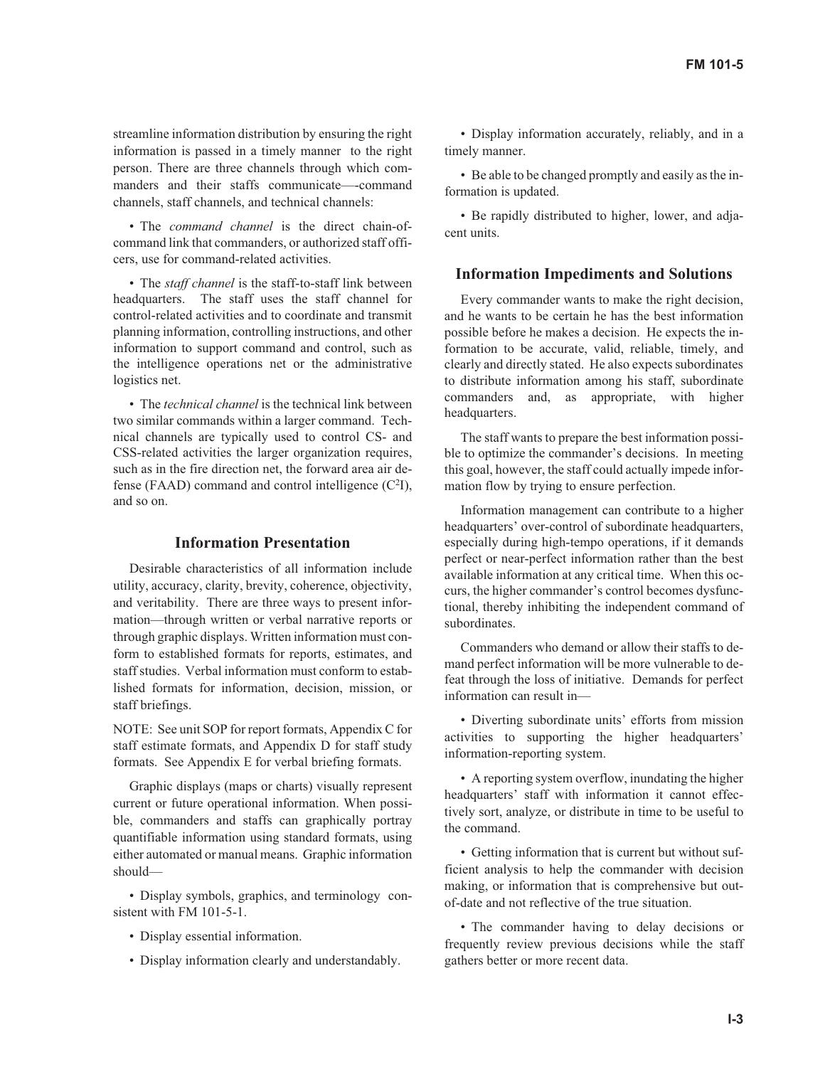streamline information distribution by ensuring the right information is passed in a timely manner to the right person. There are three channels through which commanders and their staffs communicate—-command channels, staff channels, and technical channels:

• The *command channel* is the direct chain-ofcommand link that commanders, or authorized staff officers, use for command-related activities.

• The *staff channel* is the staff-to-staff link between headquarters. The staff uses the staff channel for control-related activities and to coordinate and transmit planning information, controlling instructions, and other information to support command and control, such as the intelligence operations net or the administrative logistics net.

• The *technical channel* is the technical link between two similar commands within a larger command. Technical channels are typically used to control CS- and CSS-related activities the larger organization requires, such as in the fire direction net, the forward area air defense (FAAD) command and control intelligence  $(C<sup>2</sup>I)$ , and so on.

# **Information Presentation**

Desirable characteristics of all information include utility, accuracy, clarity, brevity, coherence, objectivity, and veritability. There are three ways to present information—through written or verbal narrative reports or through graphic displays. Written information must conform to established formats for reports, estimates, and staff studies. Verbal information must conform to established formats for information, decision, mission, or staff briefings.

NOTE: See unit SOP for report formats, Appendix C for staff estimate formats, and Appendix D for staff study formats. See Appendix E for verbal briefing formats.

Graphic displays (maps or charts) visually represent current or future operational information. When possible, commanders and staffs can graphically portray quantifiable information using standard formats, using either automated or manual means. Graphic information should—

• Display symbols, graphics, and terminology consistent with FM 101-5-1.

- Display essential information.
- Display information clearly and understandably.

• Display information accurately, reliably, and in a timely manner.

• Be able to be changed promptly and easily as the information is updated.

• Be rapidly distributed to higher, lower, and adjacent units.

## **Information Impediments and Solutions**

Every commander wants to make the right decision, and he wants to be certain he has the best information possible before he makes a decision. He expects the information to be accurate, valid, reliable, timely, and clearly and directly stated. He also expects subordinates to distribute information among his staff, subordinate commanders and, as appropriate, with higher headquarters.

The staff wants to prepare the best information possible to optimize the commander's decisions. In meeting this goal, however, the staff could actually impede information flow by trying to ensure perfection.

Information management can contribute to a higher headquarters' over-control of subordinate headquarters, especially during high-tempo operations, if it demands perfect or near-perfect information rather than the best available information at any critical time. When this occurs, the higher commander's control becomes dysfunctional, thereby inhibiting the independent command of subordinates.

Commanders who demand or allow their staffs to demand perfect information will be more vulnerable to defeat through the loss of initiative. Demands for perfect information can result in—

• Diverting subordinate units' efforts from mission activities to supporting the higher headquarters' information-reporting system.

• A reporting system overflow, inundating the higher headquarters' staff with information it cannot effectively sort, analyze, or distribute in time to be useful to the command.

• Getting information that is current but without sufficient analysis to help the commander with decision making, or information that is comprehensive but outof-date and not reflective of the true situation.

• The commander having to delay decisions or frequently review previous decisions while the staff gathers better or more recent data.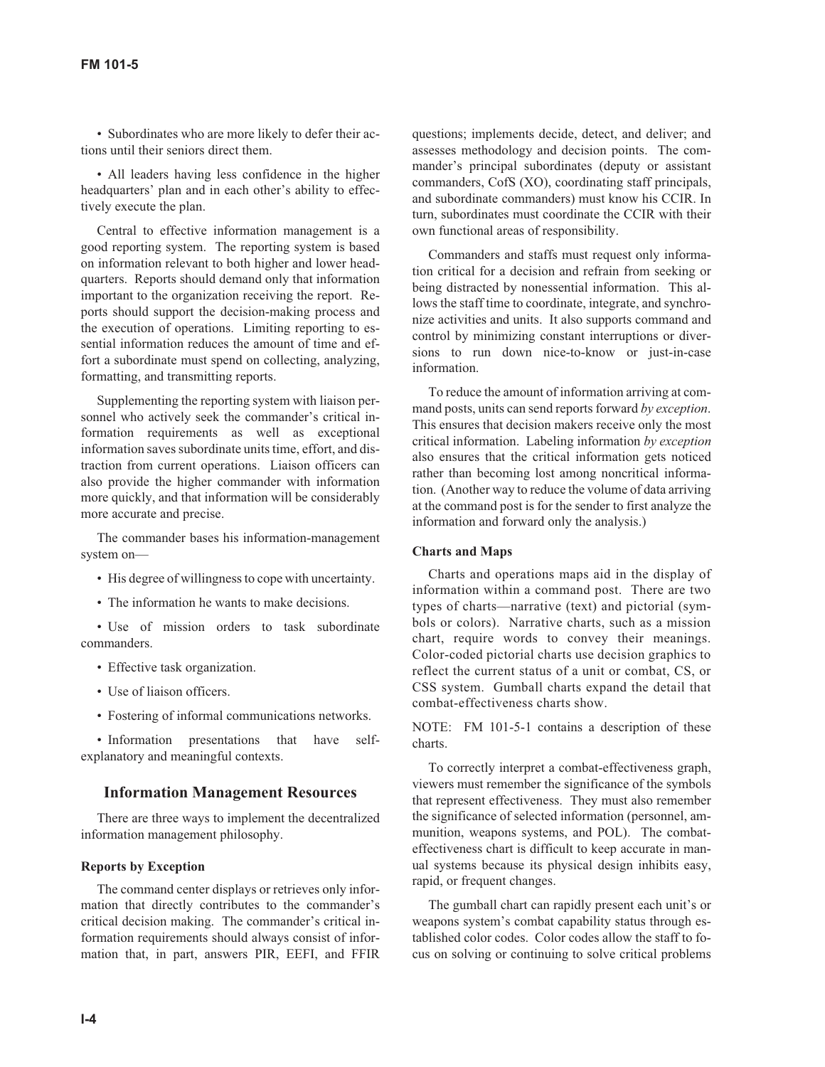• Subordinates who are more likely to defer their actions until their seniors direct them.

• All leaders having less confidence in the higher headquarters' plan and in each other's ability to effectively execute the plan.

Central to effective information management is a good reporting system. The reporting system is based on information relevant to both higher and lower headquarters. Reports should demand only that information important to the organization receiving the report. Reports should support the decision-making process and the execution of operations. Limiting reporting to essential information reduces the amount of time and effort a subordinate must spend on collecting, analyzing, formatting, and transmitting reports.

Supplementing the reporting system with liaison personnel who actively seek the commander's critical information requirements as well as exceptional information saves subordinate units time, effort, and distraction from current operations. Liaison officers can also provide the higher commander with information more quickly, and that information will be considerably more accurate and precise.

The commander bases his information-management system on—

- His degree of willingness to cope with uncertainty.
- The information he wants to make decisions.

• Use of mission orders to task subordinate commanders.

- Effective task organization.
- Use of liaison officers.
- Fostering of informal communications networks.

• Information presentations that have selfexplanatory and meaningful contexts.

### **Information Management Resources**

There are three ways to implement the decentralized information management philosophy.

#### **Reports by Exception**

The command center displays or retrieves only information that directly contributes to the commander's critical decision making. The commander's critical information requirements should always consist of information that, in part, answers PIR, EEFI, and FFIR questions; implements decide, detect, and deliver; and assesses methodology and decision points. The commander's principal subordinates (deputy or assistant commanders, CofS (XO), coordinating staff principals, and subordinate commanders) must know his CCIR. In turn, subordinates must coordinate the CCIR with their own functional areas of responsibility.

Commanders and staffs must request only information critical for a decision and refrain from seeking or being distracted by nonessential information. This allows the staff time to coordinate, integrate, and synchronize activities and units. It also supports command and control by minimizing constant interruptions or diversions to run down nice-to-know or just-in-case information.

To reduce the amount of information arriving at command posts, units can send reports forward *by exception*. This ensures that decision makers receive only the most critical information. Labeling information *by exception* also ensures that the critical information gets noticed rather than becoming lost among noncritical information. (Another way to reduce the volume of data arriving at the command post is for the sender to first analyze the information and forward only the analysis.)

#### **Charts and Maps**

Charts and operations maps aid in the display of information within a command post. There are two types of charts—narrative (text) and pictorial (symbols or colors). Narrative charts, such as a mission chart, require words to convey their meanings. Color-coded pictorial charts use decision graphics to reflect the current status of a unit or combat, CS, or CSS system. Gumball charts expand the detail that combat-effectiveness charts show.

NOTE: FM 101-5-1 contains a description of these charts.

To correctly interpret a combat-effectiveness graph, viewers must remember the significance of the symbols that represent effectiveness. They must also remember the significance of selected information (personnel, ammunition, weapons systems, and POL). The combateffectiveness chart is difficult to keep accurate in manual systems because its physical design inhibits easy, rapid, or frequent changes.

The gumball chart can rapidly present each unit's or weapons system's combat capability status through established color codes. Color codes allow the staff to focus on solving or continuing to solve critical problems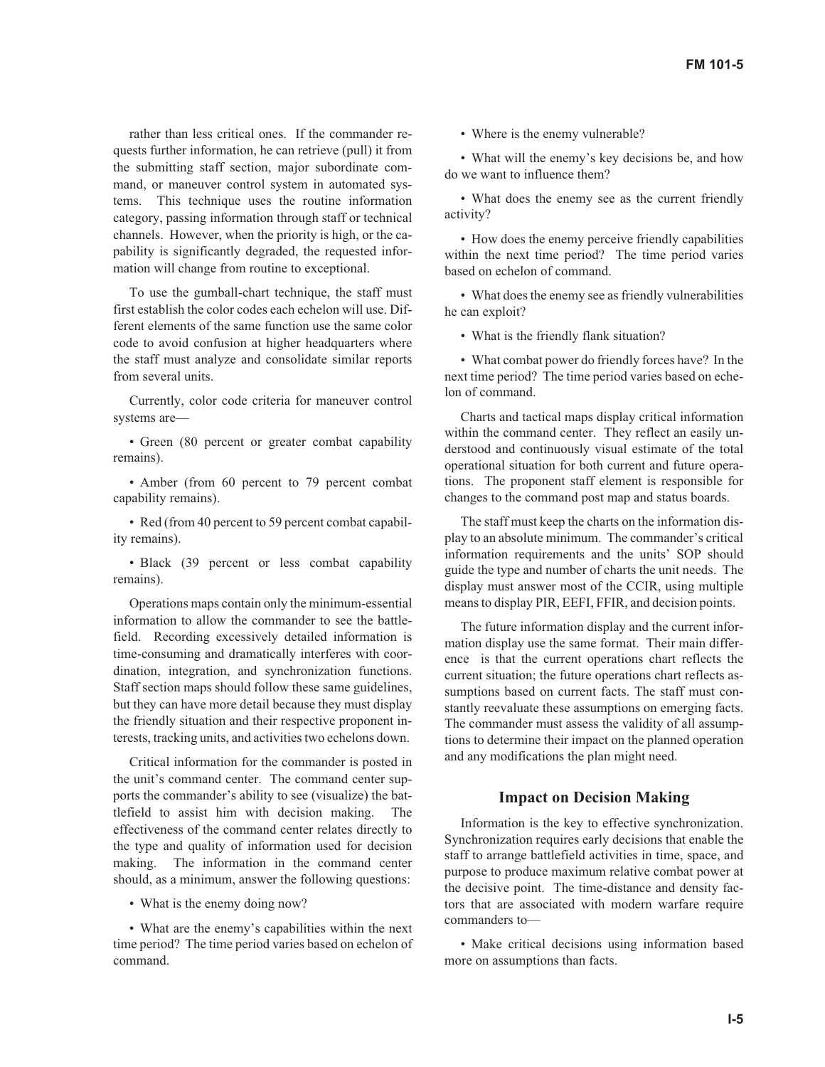rather than less critical ones. If the commander requests further information, he can retrieve (pull) it from the submitting staff section, major subordinate command, or maneuver control system in automated systems. This technique uses the routine information category, passing information through staff or technical channels. However, when the priority is high, or the capability is significantly degraded, the requested information will change from routine to exceptional.

To use the gumball-chart technique, the staff must first establish the color codes each echelon will use. Different elements of the same function use the same color code to avoid confusion at higher headquarters where the staff must analyze and consolidate similar reports from several units.

Currently, color code criteria for maneuver control systems are—

• Green (80 percent or greater combat capability remains).

• Amber (from 60 percent to 79 percent combat capability remains).

• Red (from 40 percent to 59 percent combat capability remains).

• Black (39 percent or less combat capability remains).

Operations maps contain only the minimum-essential information to allow the commander to see the battlefield. Recording excessively detailed information is time-consuming and dramatically interferes with coordination, integration, and synchronization functions. Staff section maps should follow these same guidelines, but they can have more detail because they must display the friendly situation and their respective proponent interests, tracking units, and activities two echelons down.

Critical information for the commander is posted in the unit's command center. The command center supports the commander's ability to see (visualize) the battlefield to assist him with decision making. The effectiveness of the command center relates directly to the type and quality of information used for decision making. The information in the command center should, as a minimum, answer the following questions:

• What is the enemy doing now?

• What are the enemy's capabilities within the next time period? The time period varies based on echelon of command.

• Where is the enemy vulnerable?

• What will the enemy's key decisions be, and how do we want to influence them?

• What does the enemy see as the current friendly activity?

• How does the enemy perceive friendly capabilities within the next time period? The time period varies based on echelon of command.

• What does the enemy see as friendly vulnerabilities he can exploit?

• What is the friendly flank situation?

• What combat power do friendly forces have? In the next time period? The time period varies based on echelon of command.

Charts and tactical maps display critical information within the command center. They reflect an easily understood and continuously visual estimate of the total operational situation for both current and future operations. The proponent staff element is responsible for changes to the command post map and status boards.

The staff must keep the charts on the information display to an absolute minimum. The commander's critical information requirements and the units' SOP should guide the type and number of charts the unit needs. The display must answer most of the CCIR, using multiple means to display PIR, EEFI, FFIR, and decision points.

The future information display and the current information display use the same format. Their main difference is that the current operations chart reflects the current situation; the future operations chart reflects assumptions based on current facts. The staff must constantly reevaluate these assumptions on emerging facts. The commander must assess the validity of all assumptions to determine their impact on the planned operation and any modifications the plan might need.

### **Impact on Decision Making**

Information is the key to effective synchronization. Synchronization requires early decisions that enable the staff to arrange battlefield activities in time, space, and purpose to produce maximum relative combat power at the decisive point. The time-distance and density factors that are associated with modern warfare require commanders to—

• Make critical decisions using information based more on assumptions than facts.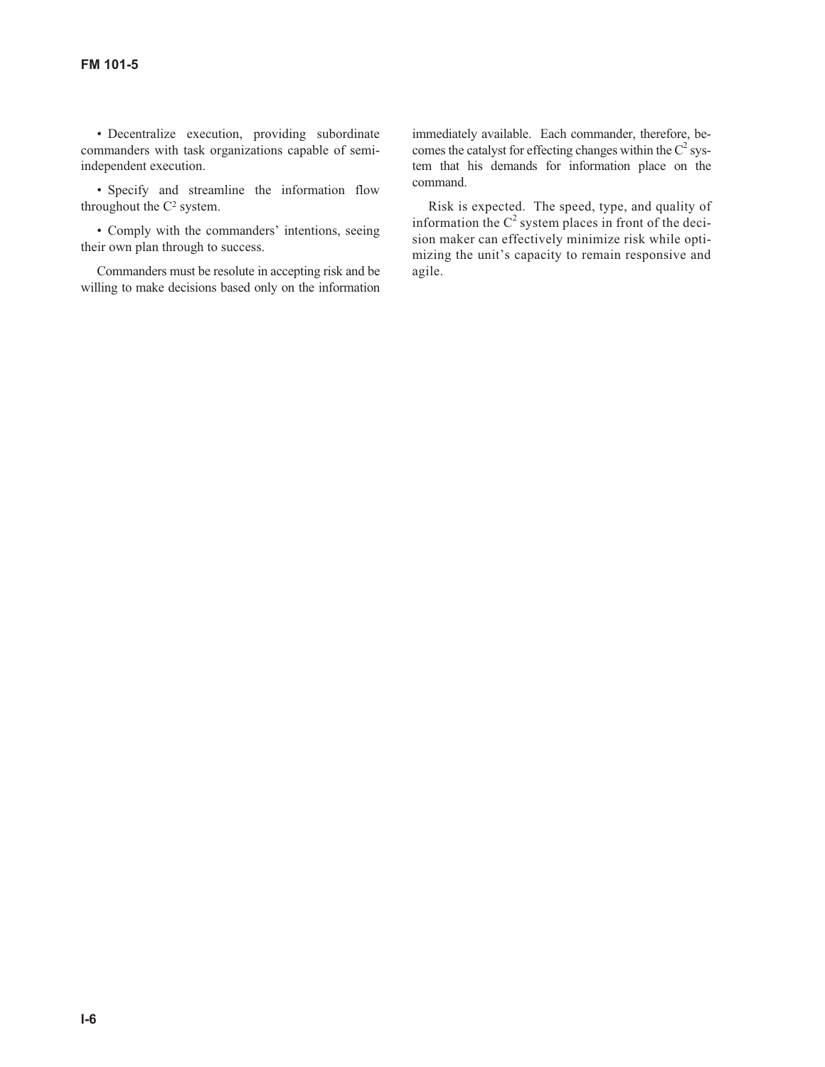• Decentralize execution, providing subordinate commanders with task organizations capable of semiindependent execution.

• Specify and streamline the information flow throughout the  $C<sup>2</sup>$  system.

• Comply with the commanders' intentions, seeing their own plan through to success.

Commanders must be resolute in accepting risk and be willing to make decisions based only on the information immediately available. Each commander, therefore, becomes the catalyst for effecting changes within the  $C^2$  system that his demands for information place on the command.

Risk is expected. The speed, type, and quality of information the  $C<sup>2</sup>$  system places in front of the decision maker can effectively minimize risk while optimizing the unit's capacity to remain responsive and agile.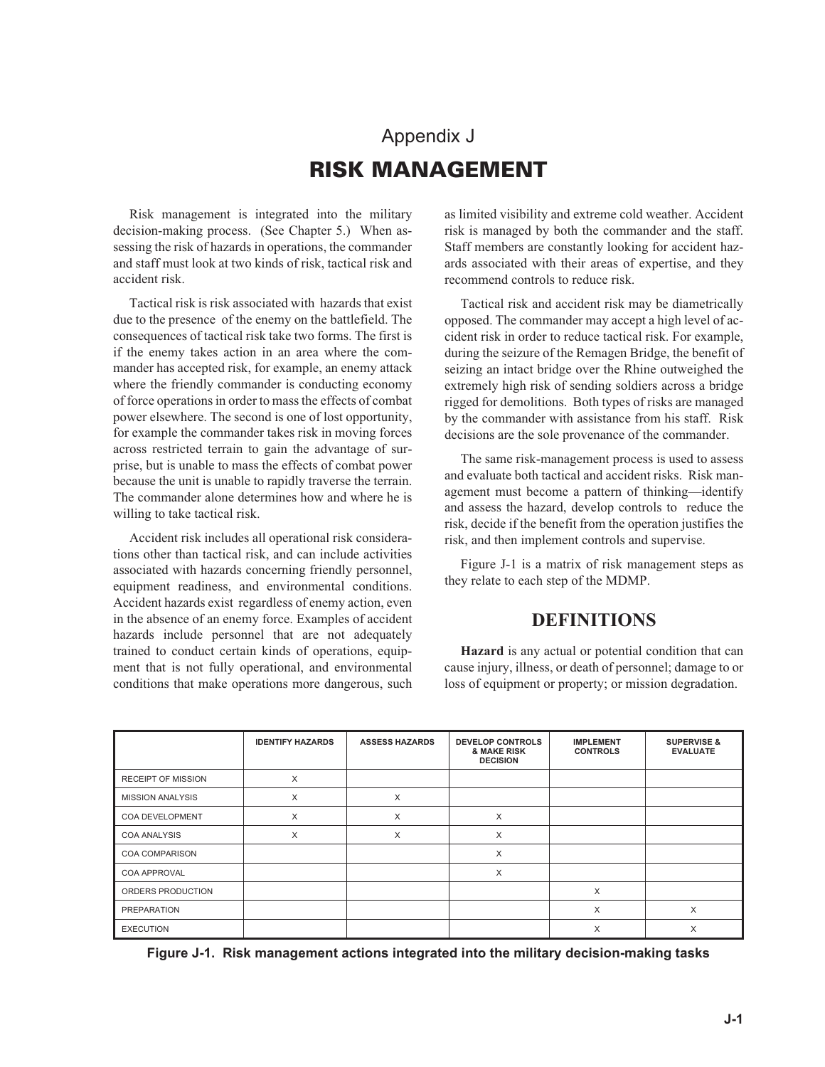# Appendix J **RISK MANAGEMENT**

Risk management is integrated into the military decision-making process. (See Chapter 5.) When assessing the risk of hazards in operations, the commander and staff must look at two kinds of risk, tactical risk and accident risk.

Tactical risk is risk associated with hazards that exist due to the presence of the enemy on the battlefield. The consequences of tactical risk take two forms. The first is if the enemy takes action in an area where the commander has accepted risk, for example, an enemy attack where the friendly commander is conducting economy of force operations in order to mass the effects of combat power elsewhere. The second is one of lost opportunity, for example the commander takes risk in moving forces across restricted terrain to gain the advantage of surprise, but is unable to mass the effects of combat power because the unit is unable to rapidly traverse the terrain. The commander alone determines how and where he is willing to take tactical risk.

Accident risk includes all operational risk considerations other than tactical risk, and can include activities associated with hazards concerning friendly personnel, equipment readiness, and environmental conditions. Accident hazards exist regardless of enemy action, even in the absence of an enemy force. Examples of accident hazards include personnel that are not adequately trained to conduct certain kinds of operations, equipment that is not fully operational, and environmental conditions that make operations more dangerous, such as limited visibility and extreme cold weather. Accident risk is managed by both the commander and the staff. Staff members are constantly looking for accident hazards associated with their areas of expertise, and they recommend controls to reduce risk.

Tactical risk and accident risk may be diametrically opposed. The commander may accept a high level of accident risk in order to reduce tactical risk. For example, during the seizure of the Remagen Bridge, the benefit of seizing an intact bridge over the Rhine outweighed the extremely high risk of sending soldiers across a bridge rigged for demolitions. Both types of risks are managed by the commander with assistance from his staff. Risk decisions are the sole provenance of the commander.

The same risk-management process is used to assess and evaluate both tactical and accident risks. Risk management must become a pattern of thinking—identify and assess the hazard, develop controls to reduce the risk, decide if the benefit from the operation justifies the risk, and then implement controls and supervise.

Figure J-1 is a matrix of risk management steps as they relate to each step of the MDMP.

# **DEFINITIONS**

**Hazard** is any actual or potential condition that can cause injury, illness, or death of personnel; damage to or loss of equipment or property; or mission degradation.

|                           | <b>IDENTIFY HAZARDS</b> | <b>ASSESS HAZARDS</b> | <b>DEVELOP CONTROLS</b><br><b>&amp; MAKE RISK</b><br><b>DECISION</b> | <b>IMPLEMENT</b><br><b>CONTROLS</b> | <b>SUPERVISE &amp;</b><br><b>EVALUATE</b> |
|---------------------------|-------------------------|-----------------------|----------------------------------------------------------------------|-------------------------------------|-------------------------------------------|
| <b>RECEIPT OF MISSION</b> | X                       |                       |                                                                      |                                     |                                           |
| <b>MISSION ANALYSIS</b>   | X                       | X                     |                                                                      |                                     |                                           |
| COA DEVELOPMENT           | X                       | X                     | X                                                                    |                                     |                                           |
| <b>COA ANALYSIS</b>       | X                       | X                     | X                                                                    |                                     |                                           |
| <b>COA COMPARISON</b>     |                         |                       | X                                                                    |                                     |                                           |
| <b>COA APPROVAL</b>       |                         |                       | X                                                                    |                                     |                                           |
| ORDERS PRODUCTION         |                         |                       |                                                                      | X                                   |                                           |
| <b>PREPARATION</b>        |                         |                       |                                                                      | X                                   | X                                         |
| <b>EXECUTION</b>          |                         |                       |                                                                      | X                                   | X                                         |

**Figure J-1. Risk management actions integrated into the military decision-making tasks**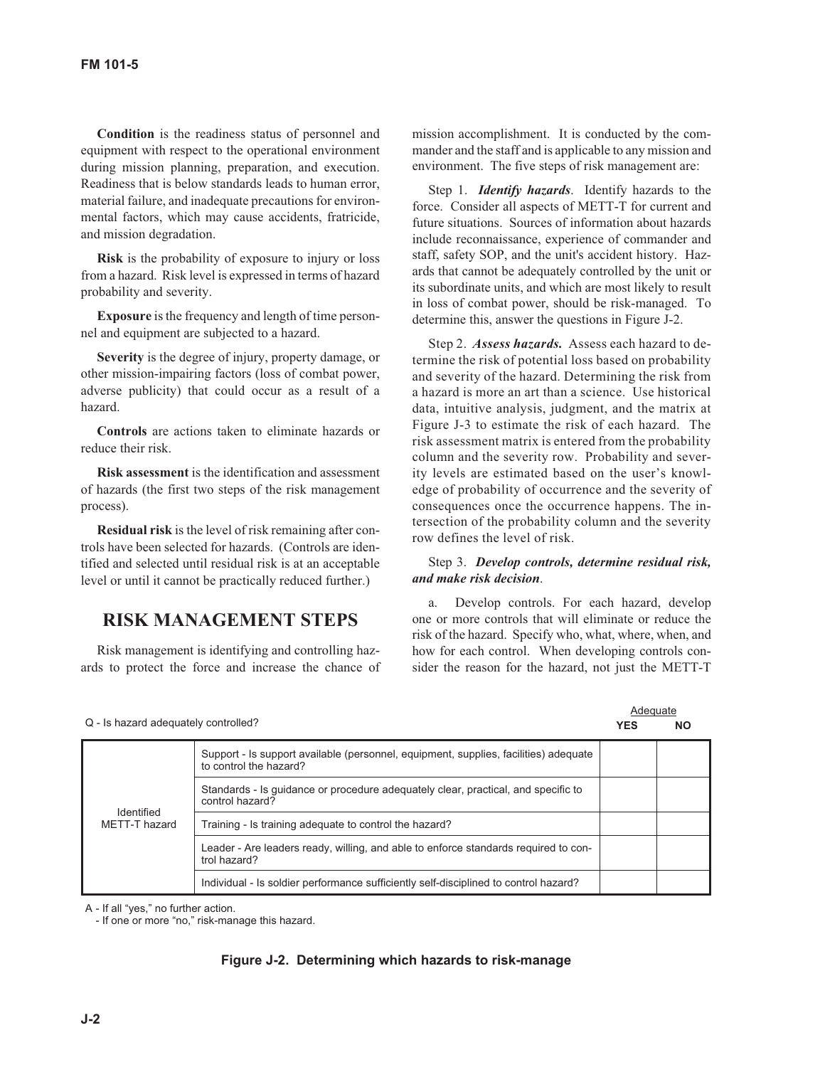**Condition** is the readiness status of personnel and equipment with respect to the operational environment during mission planning, preparation, and execution. Readiness that is below standards leads to human error, material failure, and inadequate precautions for environmental factors, which may cause accidents, fratricide, and mission degradation.

**Risk** is the probability of exposure to injury or loss from a hazard. Risk level is expressed in terms of hazard probability and severity.

**Exposure** is the frequency and length of time personnel and equipment are subjected to a hazard.

**Severity** is the degree of injury, property damage, or other mission-impairing factors (loss of combat power, adverse publicity) that could occur as a result of a hazard.

**Controls** are actions taken to eliminate hazards or reduce their risk.

**Risk assessment** is the identification and assessment of hazards (the first two steps of the risk management process).

**Residual risk** is the level of risk remaining after controls have been selected for hazards. (Controls are identified and selected until residual risk is at an acceptable level or until it cannot be practically reduced further.)

# **RISK MANAGEMENT STEPS**

Risk management is identifying and controlling hazards to protect the force and increase the chance of mission accomplishment. It is conducted by the commander and the staff and is applicable to any mission and environment. The five steps of risk management are:

Step 1. *Identify hazards*. Identify hazards to the force. Consider all aspects of METT-T for current and future situations. Sources of information about hazards include reconnaissance, experience of commander and staff, safety SOP, and the unit's accident history. Hazards that cannot be adequately controlled by the unit or its subordinate units, and which are most likely to result in loss of combat power, should be risk-managed. To determine this, answer the questions in Figure J-2.

Step 2. *Assess hazards.* Assess each hazard to determine the risk of potential loss based on probability and severity of the hazard. Determining the risk from a hazard is more an art than a science. Use historical data, intuitive analysis, judgment, and the matrix at Figure J-3 to estimate the risk of each hazard. The risk assessment matrix is entered from the probability column and the severity row. Probability and severity levels are estimated based on the user's knowledge of probability of occurrence and the severity of consequences once the occurrence happens. The intersection of the probability column and the severity row defines the level of risk.

### Step 3. *Develop controls, determine residual risk, and make risk decision*.

a. Develop controls. For each hazard, develop one or more controls that will eliminate or reduce the risk of the hazard. Specify who, what, where, when, and how for each control. When developing controls consider the reason for the hazard, not just the METT-T

Adequate

| Q - Is hazard adequately controlled? |                                                                                                                | YES | <b>NO</b> |
|--------------------------------------|----------------------------------------------------------------------------------------------------------------|-----|-----------|
| Identified<br>METT-T hazard          | Support - Is support available (personnel, equipment, supplies, facilities) adequate<br>to control the hazard? |     |           |
|                                      | Standards - Is guidance or procedure adequately clear, practical, and specific to<br>control hazard?           |     |           |
|                                      | Training - Is training adequate to control the hazard?                                                         |     |           |
|                                      | Leader - Are leaders ready, willing, and able to enforce standards required to con-<br>trol hazard?            |     |           |
|                                      | Individual - Is soldier performance sufficiently self-disciplined to control hazard?                           |     |           |

A - If all "yes," no further action.

- If one or more "no," risk-manage this hazard.

# **Figure J-2. Determining which hazards to risk-manage**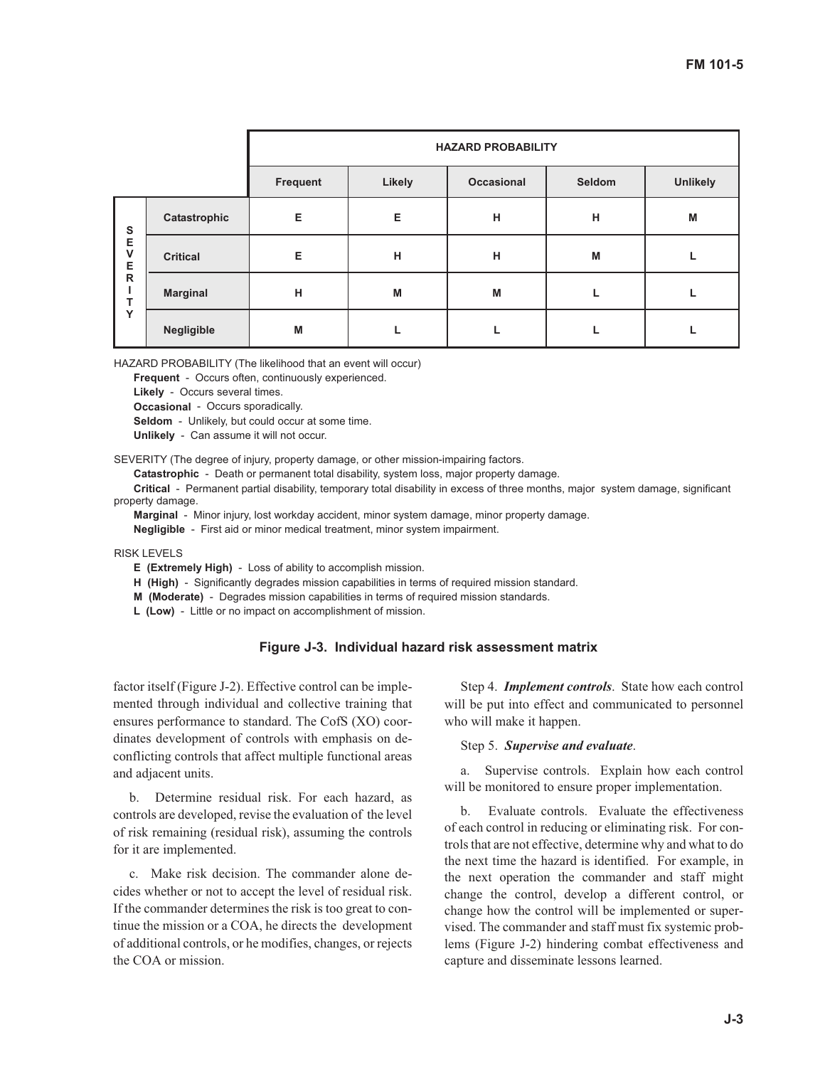|                        |                 | <b>HAZARD PROBABILITY</b> |        |                   |        |                 |
|------------------------|-----------------|---------------------------|--------|-------------------|--------|-----------------|
|                        |                 | Frequent                  | Likely | <b>Occasional</b> | Seldom | <b>Unlikely</b> |
| S                      | Catastrophic    | Е                         | Е      | н                 | Н      | M               |
| Е<br>$\mathsf{V}$<br>E | <b>Critical</b> | Е                         | Н      | Н                 | M      |                 |
| $\mathsf{R}$<br>┳      | <b>Marginal</b> | н                         | M      | M                 |        |                 |
| Y                      | Negligible      | M                         |        |                   |        |                 |

HAZARD PROBABILITY (The likelihood that an event will occur)

Frequent - Occurs often, continuously experienced.

Likely - Occurs several times.

**Occasional** - Occurs sporadically.

**Seldom** - Unlikely, but could occur at some time.

Unlikely - Can assume it will not occur.

SEVERITY (The degree of injury, property damage, or other mission-impairing factors.

**Catastrophic** - Death or permanent total disability, system loss, major property damage.

Critical - Permanent partial disability, temporary total disability in excess of three months, major system damage, significant property damage.

**Marginal** - Minor injury, lost workday accident, minor system damage, minor property damage.

Negligible - First aid or minor medical treatment, minor system impairment.

RISK LEVELS

**E** (Extremely High) - Loss of ability to accomplish mission.

H (High) - Significantly degrades mission capabilities in terms of required mission standard.

**M** (Moderate) - Degrades mission capabilities in terms of required mission standards.

L (Low) - Little or no impact on accomplishment of mission.

#### **Figure J-3. Individual hazard risk assessment matrix**

factor itself (Figure J-2). Effective control can be implemented through individual and collective training that ensures performance to standard. The CofS (XO) coordinates development of controls with emphasis on deconflicting controls that affect multiple functional areas and adjacent units.

b. Determine residual risk. For each hazard, as controls are developed, revise the evaluation of the level of risk remaining (residual risk), assuming the controls for it are implemented.

c. Make risk decision. The commander alone decides whether or not to accept the level of residual risk. If the commander determines the risk is too great to continue the mission or a COA, he directs the development of additional controls, or he modifies, changes, or rejects the COA or mission.

Step 4. *Implement controls*. State how each control will be put into effect and communicated to personnel who will make it happen.

#### Step 5. *Supervise and evaluate*.

Supervise controls. Explain how each control will be monitored to ensure proper implementation.

b. Evaluate controls. Evaluate the effectiveness of each control in reducing or eliminating risk. For controls that are not effective, determine why and what to do the next time the hazard is identified. For example, in the next operation the commander and staff might change the control, develop a different control, or change how the control will be implemented or supervised. The commander and staff must fix systemic problems (Figure J-2) hindering combat effectiveness and capture and disseminate lessons learned.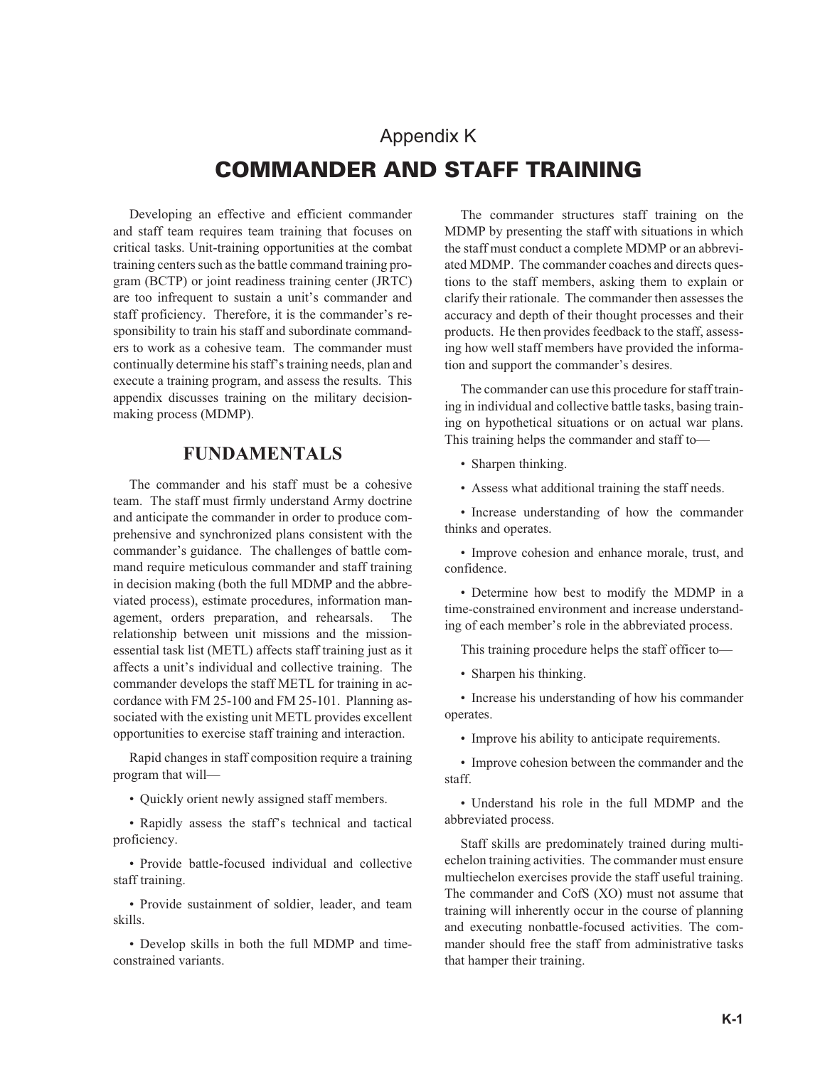# Appendix K **COMMANDER AND STAFF TRAINING**

Developing an effective and efficient commander and staff team requires team training that focuses on critical tasks. Unit-training opportunities at the combat training centers such as the battle command training program (BCTP) or joint readiness training center (JRTC) are too infrequent to sustain a unit's commander and staff proficiency. Therefore, it is the commander's responsibility to train his staff and subordinate commanders to work as a cohesive team. The commander must continually determine his staff's training needs, plan and execute a training program, and assess the results. This appendix discusses training on the military decisionmaking process (MDMP).

# **FUNDAMENTALS**

The commander and his staff must be a cohesive team. The staff must firmly understand Army doctrine and anticipate the commander in order to produce comprehensive and synchronized plans consistent with the commander's guidance. The challenges of battle command require meticulous commander and staff training in decision making (both the full MDMP and the abbreviated process), estimate procedures, information management, orders preparation, and rehearsals. The relationship between unit missions and the missionessential task list (METL) affects staff training just as it affects a unit's individual and collective training. The commander develops the staff METL for training in accordance with FM 25-100 and FM 25-101. Planning associated with the existing unit METL provides excellent opportunities to exercise staff training and interaction.

Rapid changes in staff composition require a training program that will—

• Quickly orient newly assigned staff members.

• Rapidly assess the staff's technical and tactical proficiency.

• Provide battle-focused individual and collective staff training.

• Provide sustainment of soldier, leader, and team skills.

• Develop skills in both the full MDMP and timeconstrained variants.

The commander structures staff training on the MDMP by presenting the staff with situations in which the staff must conduct a complete MDMP or an abbreviated MDMP. The commander coaches and directs questions to the staff members, asking them to explain or clarify their rationale. The commander then assesses the accuracy and depth of their thought processes and their products. He then provides feedback to the staff, assessing how well staff members have provided the information and support the commander's desires.

The commander can use this procedure for staff training in individual and collective battle tasks, basing training on hypothetical situations or on actual war plans. This training helps the commander and staff to—

• Sharpen thinking.

• Assess what additional training the staff needs.

• Increase understanding of how the commander thinks and operates.

• Improve cohesion and enhance morale, trust, and confidence.

• Determine how best to modify the MDMP in a time-constrained environment and increase understanding of each member's role in the abbreviated process.

This training procedure helps the staff officer to—

• Sharpen his thinking.

• Increase his understanding of how his commander operates.

• Improve his ability to anticipate requirements.

• Improve cohesion between the commander and the staff.

• Understand his role in the full MDMP and the abbreviated process.

Staff skills are predominately trained during multiechelon training activities. The commander must ensure multiechelon exercises provide the staff useful training. The commander and CofS (XO) must not assume that training will inherently occur in the course of planning and executing nonbattle-focused activities. The commander should free the staff from administrative tasks that hamper their training.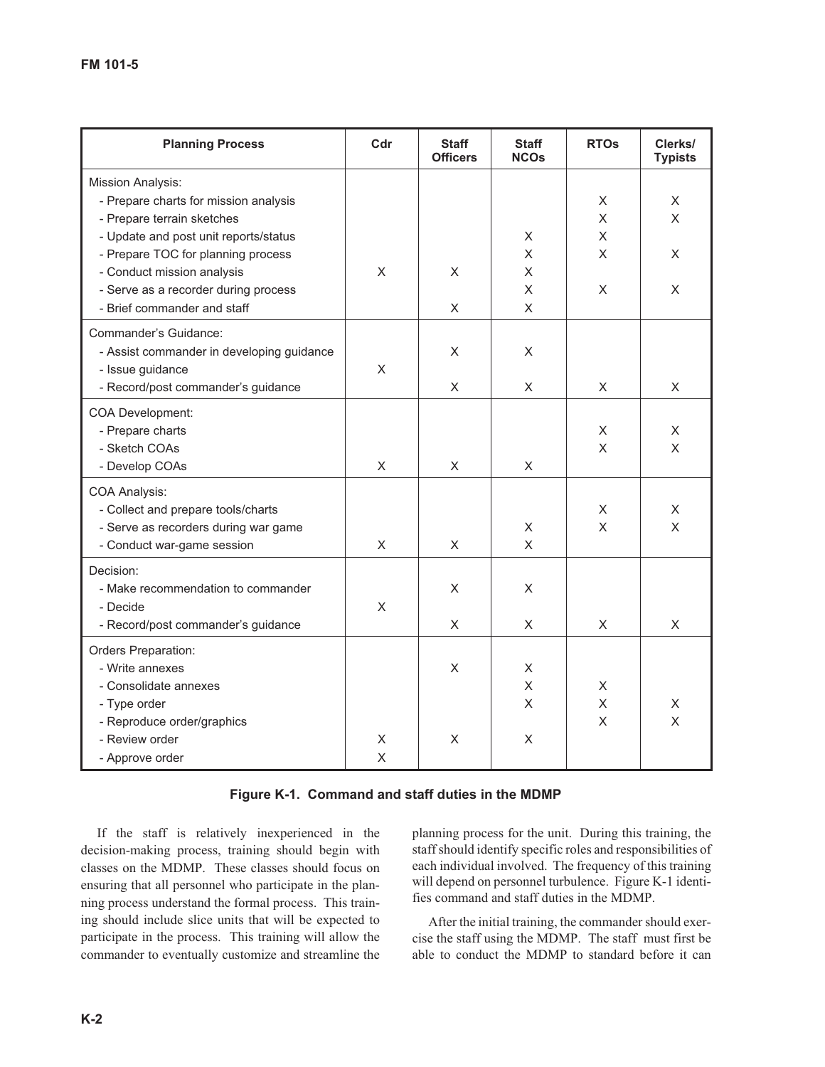| <b>Planning Process</b>                   | Cdr         | <b>Staff</b><br><b>Officers</b> | <b>Staff</b><br><b>NCOs</b> | <b>RTOs</b>               | Clerks/<br><b>Typists</b> |
|-------------------------------------------|-------------|---------------------------------|-----------------------------|---------------------------|---------------------------|
| <b>Mission Analysis:</b>                  |             |                                 |                             |                           |                           |
| - Prepare charts for mission analysis     |             |                                 |                             | X                         | X                         |
| - Prepare terrain sketches                |             |                                 |                             | X                         | X                         |
| - Update and post unit reports/status     |             |                                 | X                           | X                         |                           |
| - Prepare TOC for planning process        |             |                                 | X                           | X                         | X                         |
| - Conduct mission analysis                | X           | X                               | X                           |                           |                           |
| - Serve as a recorder during process      |             |                                 | $\pmb{\times}$              | X                         | X                         |
| - Brief commander and staff               |             | X                               | X                           |                           |                           |
| Commander's Guidance:                     |             |                                 |                             |                           |                           |
| - Assist commander in developing guidance |             | X                               | X                           |                           |                           |
| - Issue guidance                          | X           |                                 |                             |                           |                           |
| - Record/post commander's guidance        |             | X                               | X                           | X                         | X                         |
| COA Development:                          |             |                                 |                             |                           |                           |
| - Prepare charts                          |             |                                 |                             | X                         | X                         |
| - Sketch COAs                             |             |                                 |                             | X                         | X                         |
| - Develop COAs                            | X           | X                               | X                           |                           |                           |
| <b>COA Analysis:</b>                      |             |                                 |                             |                           |                           |
| - Collect and prepare tools/charts        |             |                                 |                             | X                         | X                         |
| - Serve as recorders during war game      |             |                                 | X                           | X                         | X                         |
| - Conduct war-game session                | X           | X                               | X                           |                           |                           |
| Decision:                                 |             |                                 |                             |                           |                           |
| - Make recommendation to commander        |             | X                               | X                           |                           |                           |
| - Decide                                  | X           |                                 |                             |                           |                           |
| - Record/post commander's guidance        |             | X                               | X                           | X                         | X                         |
| Orders Preparation:                       |             |                                 |                             |                           |                           |
| - Write annexes                           |             | X                               | X                           |                           |                           |
| - Consolidate annexes                     |             |                                 | X                           | X                         |                           |
| - Type order                              |             |                                 | X                           | X                         | X                         |
| - Reproduce order/graphics                |             |                                 |                             | $\boldsymbol{\mathsf{X}}$ | X                         |
| - Review order                            | X           | X                               | X                           |                           |                           |
| - Approve order                           | $\mathsf X$ |                                 |                             |                           |                           |

### **Figure K-1. Command and staff duties in the MDMP**

If the staff is relatively inexperienced in the decision-making process, training should begin with classes on the MDMP. These classes should focus on ensuring that all personnel who participate in the planning process understand the formal process. This training should include slice units that will be expected to participate in the process. This training will allow the commander to eventually customize and streamline the planning process for the unit. During this training, the staff should identify specific roles and responsibilities of each individual involved. The frequency of this training will depend on personnel turbulence. Figure K-1 identifies command and staff duties in the MDMP.

After the initial training, the commander should exercise the staff using the MDMP. The staff must first be able to conduct the MDMP to standard before it can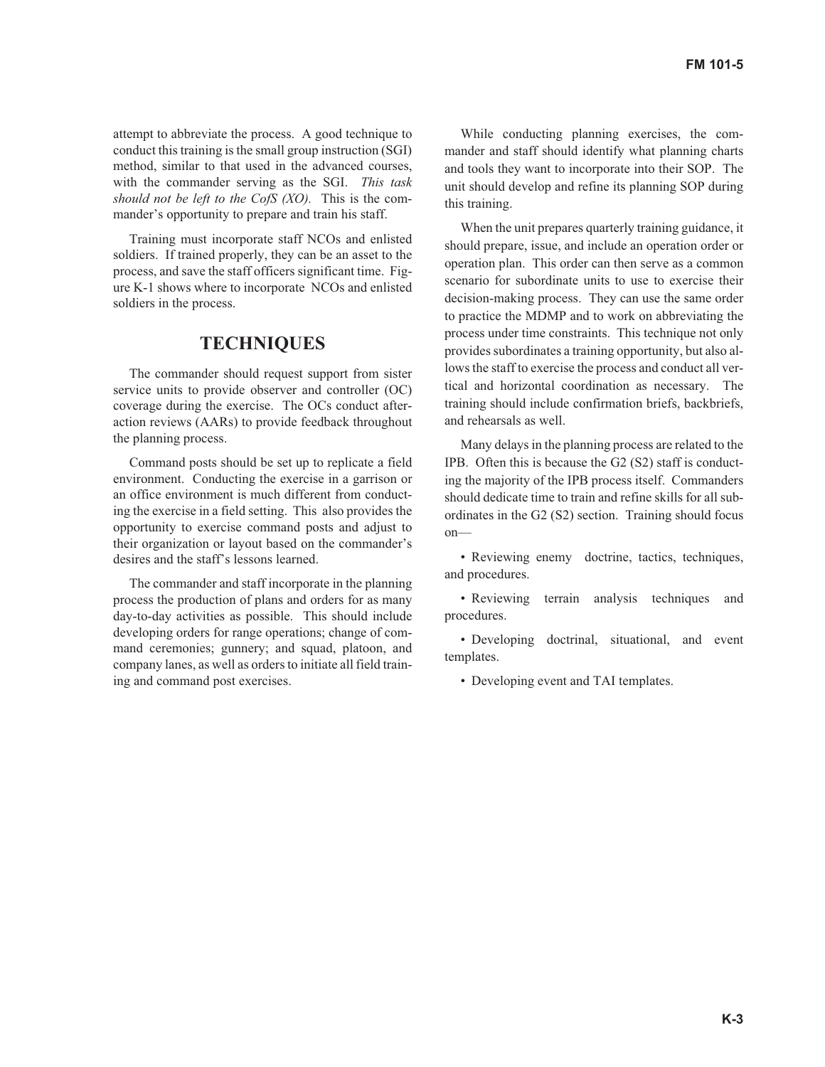attempt to abbreviate the process. A good technique to conduct this training is the small group instruction (SGI) method, similar to that used in the advanced courses, with the commander serving as the SGI. *This task should not be left to the CofS (XO).* This is the commander's opportunity to prepare and train his staff.

Training must incorporate staff NCOs and enlisted soldiers. If trained properly, they can be an asset to the process, and save the staff officers significant time. Figure K-1 shows where to incorporate NCOs and enlisted soldiers in the process.

# **TECHNIQUES**

The commander should request support from sister service units to provide observer and controller (OC) coverage during the exercise. The OCs conduct afteraction reviews (AARs) to provide feedback throughout the planning process.

Command posts should be set up to replicate a field environment. Conducting the exercise in a garrison or an office environment is much different from conducting the exercise in a field setting. This also provides the opportunity to exercise command posts and adjust to their organization or layout based on the commander's desires and the staff's lessons learned.

The commander and staff incorporate in the planning process the production of plans and orders for as many day-to-day activities as possible. This should include developing orders for range operations; change of command ceremonies; gunnery; and squad, platoon, and company lanes, as well as orders to initiate all field training and command post exercises.

While conducting planning exercises, the commander and staff should identify what planning charts and tools they want to incorporate into their SOP. The unit should develop and refine its planning SOP during this training.

When the unit prepares quarterly training guidance, it should prepare, issue, and include an operation order or operation plan. This order can then serve as a common scenario for subordinate units to use to exercise their decision-making process. They can use the same order to practice the MDMP and to work on abbreviating the process under time constraints. This technique not only provides subordinates a training opportunity, but also allows the staff to exercise the process and conduct all vertical and horizontal coordination as necessary. The training should include confirmation briefs, backbriefs, and rehearsals as well.

Many delays in the planning process are related to the IPB. Often this is because the G2 (S2) staff is conducting the majority of the IPB process itself. Commanders should dedicate time to train and refine skills for all subordinates in the G2 (S2) section. Training should focus on—

• Reviewing enemy doctrine, tactics, techniques, and procedures.

• Reviewing terrain analysis techniques and procedures.

• Developing doctrinal, situational, and event templates.

• Developing event and TAI templates.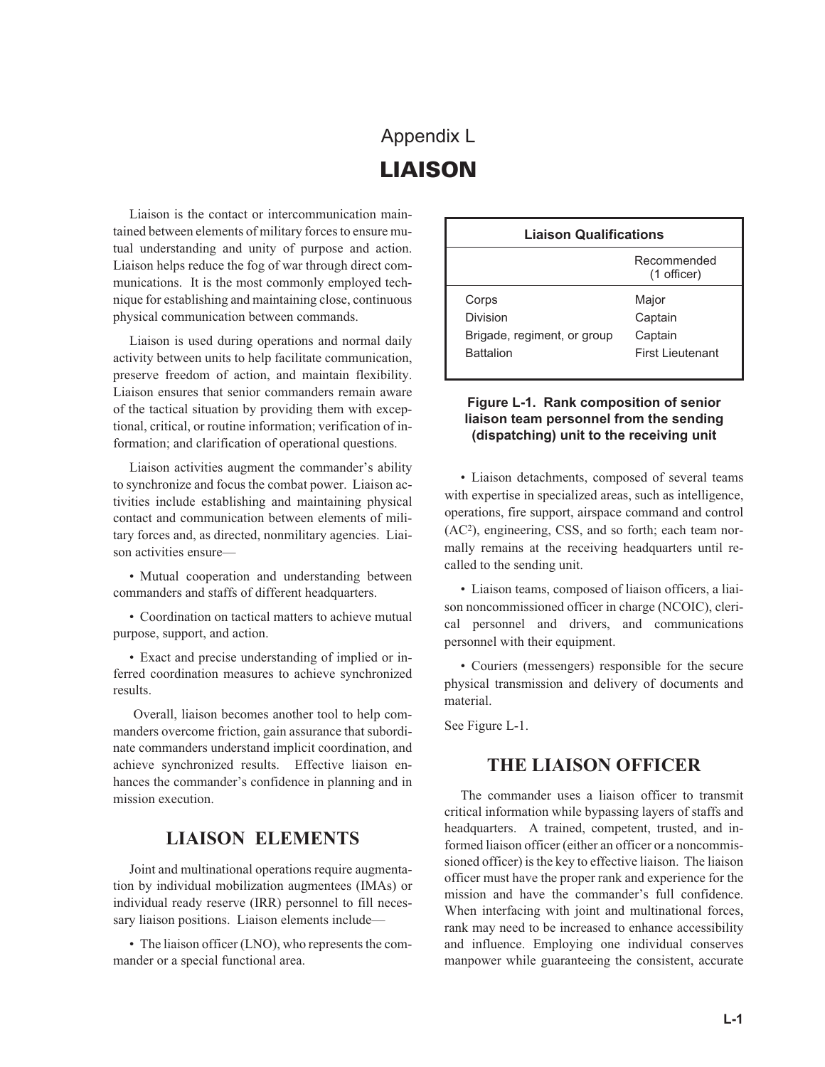# Appendix L **LIAISON**

Liaison is the contact or intercommunication maintained between elements of military forces to ensure mutual understanding and unity of purpose and action. Liaison helps reduce the fog of war through direct communications. It is the most commonly employed technique for establishing and maintaining close, continuous physical communication between commands.

Liaison is used during operations and normal daily activity between units to help facilitate communication, preserve freedom of action, and maintain flexibility. Liaison ensures that senior commanders remain aware of the tactical situation by providing them with exceptional, critical, or routine information; verification of information; and clarification of operational questions.

Liaison activities augment the commander's ability to synchronize and focus the combat power. Liaison activities include establishing and maintaining physical contact and communication between elements of military forces and, as directed, nonmilitary agencies. Liaison activities ensure—

• Mutual cooperation and understanding between commanders and staffs of different headquarters.

• Coordination on tactical matters to achieve mutual purpose, support, and action.

• Exact and precise understanding of implied or inferred coordination measures to achieve synchronized results.

Overall, liaison becomes another tool to help commanders overcome friction, gain assurance that subordinate commanders understand implicit coordination, and achieve synchronized results. Effective liaison enhances the commander's confidence in planning and in mission execution.

# **LIAISON ELEMENTS**

Joint and multinational operations require augmentation by individual mobilization augmentees (IMAs) or individual ready reserve (IRR) personnel to fill necessary liaison positions. Liaison elements include—

• The liaison officer (LNO), who represents the commander or a special functional area.

| <b>Liaison Qualifications</b> |                            |  |  |
|-------------------------------|----------------------------|--|--|
|                               | Recommended<br>(1 officer) |  |  |
| Corps                         | Major                      |  |  |
| Division                      | Captain                    |  |  |
| Brigade, regiment, or group   | Captain                    |  |  |
| <b>Battalion</b>              | First Lieutenant           |  |  |

# **Figure L-1. Rank composition of senior liaison team personnel from the sending (dispatching) unit to the receiving unit**

• Liaison detachments, composed of several teams with expertise in specialized areas, such as intelligence, operations, fire support, airspace command and control (AC2), engineering, CSS, and so forth; each team normally remains at the receiving headquarters until recalled to the sending unit.

• Liaison teams, composed of liaison officers, a liaison noncommissioned officer in charge (NCOIC), clerical personnel and drivers, and communications personnel with their equipment.

• Couriers (messengers) responsible for the secure physical transmission and delivery of documents and material.

See Figure L-1.

# **THE LIAISON OFFICER**

The commander uses a liaison officer to transmit critical information while bypassing layers of staffs and headquarters. A trained, competent, trusted, and informed liaison officer (either an officer or a noncommissioned officer) is the key to effective liaison. The liaison officer must have the proper rank and experience for the mission and have the commander's full confidence. When interfacing with joint and multinational forces, rank may need to be increased to enhance accessibility and influence. Employing one individual conserves manpower while guaranteeing the consistent, accurate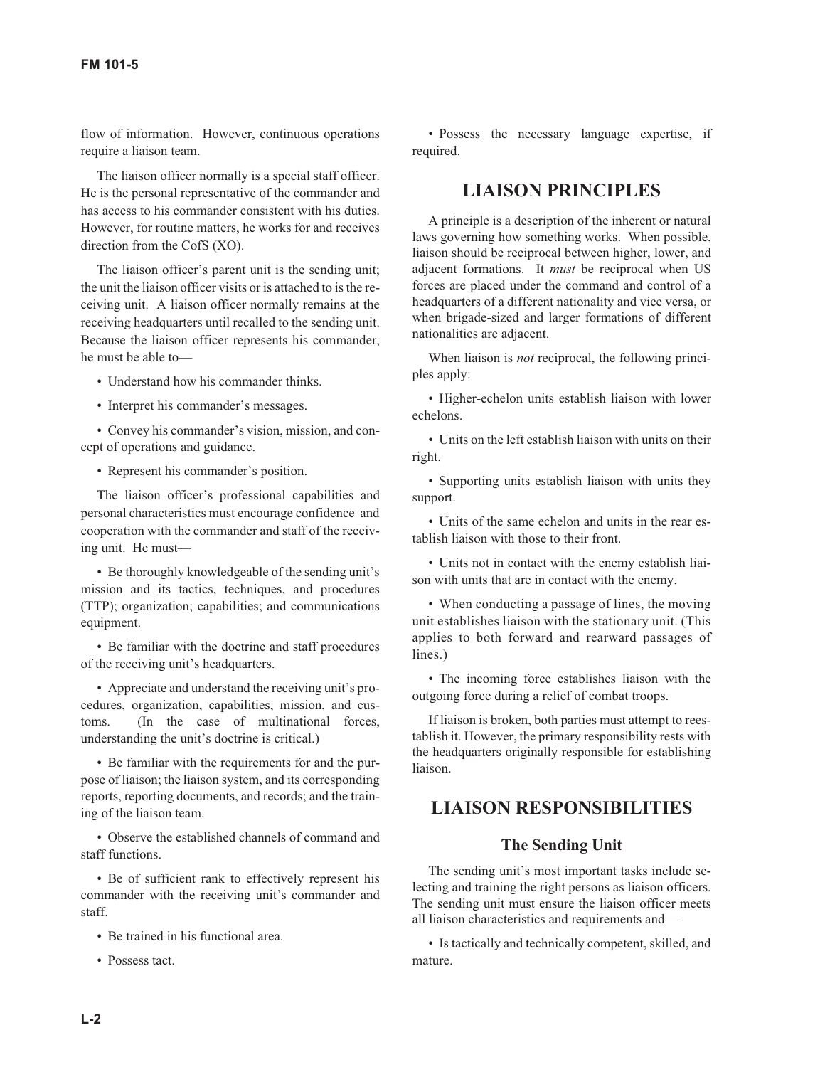flow of information. However, continuous operations require a liaison team.

The liaison officer normally is a special staff officer. He is the personal representative of the commander and has access to his commander consistent with his duties. However, for routine matters, he works for and receives direction from the CofS (XO).

The liaison officer's parent unit is the sending unit; the unit the liaison officer visits or is attached to is the receiving unit. A liaison officer normally remains at the receiving headquarters until recalled to the sending unit. Because the liaison officer represents his commander, he must be able to—

- Understand how his commander thinks.
- Interpret his commander's messages.

• Convey his commander's vision, mission, and concept of operations and guidance.

• Represent his commander's position.

The liaison officer's professional capabilities and personal characteristics must encourage confidence and cooperation with the commander and staff of the receiving unit. He must—

• Be thoroughly knowledgeable of the sending unit's mission and its tactics, techniques, and procedures (TTP); organization; capabilities; and communications equipment.

• Be familiar with the doctrine and staff procedures of the receiving unit's headquarters.

• Appreciate and understand the receiving unit's procedures, organization, capabilities, mission, and customs. (In the case of multinational forces, understanding the unit's doctrine is critical.)

• Be familiar with the requirements for and the purpose of liaison; the liaison system, and its corresponding reports, reporting documents, and records; and the training of the liaison team.

• Observe the established channels of command and staff functions.

• Be of sufficient rank to effectively represent his commander with the receiving unit's commander and staff.

• Be trained in his functional area.

• Possess tact.

• Possess the necessary language expertise, if required.

# **LIAISON PRINCIPLES**

A principle is a description of the inherent or natural laws governing how something works. When possible, liaison should be reciprocal between higher, lower, and adjacent formations. It *must* be reciprocal when US forces are placed under the command and control of a headquarters of a different nationality and vice versa, or when brigade-sized and larger formations of different nationalities are adjacent.

When liaison is *not* reciprocal, the following principles apply:

• Higher-echelon units establish liaison with lower echelons.

• Units on the left establish liaison with units on their right.

• Supporting units establish liaison with units they support.

• Units of the same echelon and units in the rear establish liaison with those to their front.

• Units not in contact with the enemy establish liaison with units that are in contact with the enemy.

• When conducting a passage of lines, the moving unit establishes liaison with the stationary unit. (This applies to both forward and rearward passages of lines.)

• The incoming force establishes liaison with the outgoing force during a relief of combat troops.

If liaison is broken, both parties must attempt to reestablish it. However, the primary responsibility rests with the headquarters originally responsible for establishing liaison.

# **LIAISON RESPONSIBILITIES**

# **The Sending Unit**

The sending unit's most important tasks include selecting and training the right persons as liaison officers. The sending unit must ensure the liaison officer meets all liaison characteristics and requirements and—

• Is tactically and technically competent, skilled, and mature.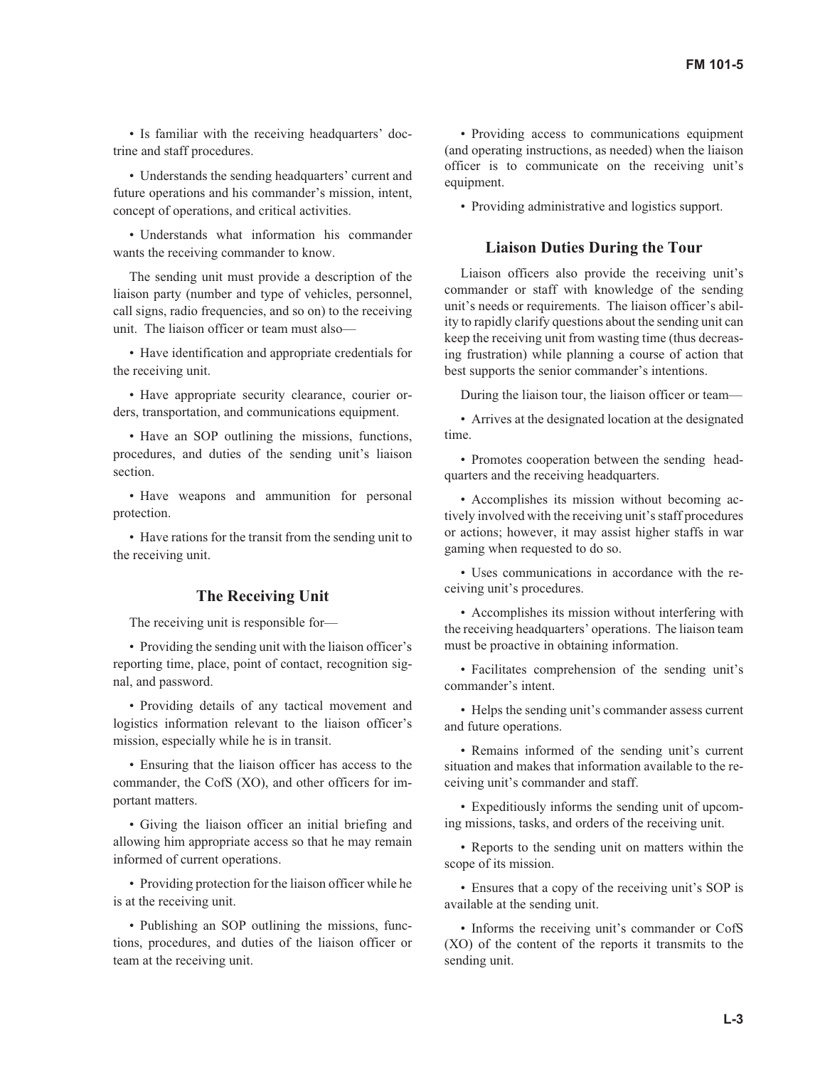• Is familiar with the receiving headquarters' doctrine and staff procedures.

• Understands the sending headquarters' current and future operations and his commander's mission, intent, concept of operations, and critical activities.

• Understands what information his commander wants the receiving commander to know.

The sending unit must provide a description of the liaison party (number and type of vehicles, personnel, call signs, radio frequencies, and so on) to the receiving unit. The liaison officer or team must also—

• Have identification and appropriate credentials for the receiving unit.

• Have appropriate security clearance, courier orders, transportation, and communications equipment.

• Have an SOP outlining the missions, functions, procedures, and duties of the sending unit's liaison section.

• Have weapons and ammunition for personal protection.

• Have rations for the transit from the sending unit to the receiving unit.

# **The Receiving Unit**

The receiving unit is responsible for—

• Providing the sending unit with the liaison officer's reporting time, place, point of contact, recognition signal, and password.

• Providing details of any tactical movement and logistics information relevant to the liaison officer's mission, especially while he is in transit.

• Ensuring that the liaison officer has access to the commander, the CofS (XO), and other officers for important matters.

• Giving the liaison officer an initial briefing and allowing him appropriate access so that he may remain informed of current operations.

• Providing protection for the liaison officer while he is at the receiving unit.

• Publishing an SOP outlining the missions, functions, procedures, and duties of the liaison officer or team at the receiving unit.

• Providing access to communications equipment (and operating instructions, as needed) when the liaison officer is to communicate on the receiving unit's equipment.

• Providing administrative and logistics support.

### **Liaison Duties During the Tour**

Liaison officers also provide the receiving unit's commander or staff with knowledge of the sending unit's needs or requirements. The liaison officer's ability to rapidly clarify questions about the sending unit can keep the receiving unit from wasting time (thus decreasing frustration) while planning a course of action that best supports the senior commander's intentions.

During the liaison tour, the liaison officer or team—

• Arrives at the designated location at the designated time.

• Promotes cooperation between the sending headquarters and the receiving headquarters.

• Accomplishes its mission without becoming actively involved with the receiving unit's staff procedures or actions; however, it may assist higher staffs in war gaming when requested to do so.

• Uses communications in accordance with the receiving unit's procedures.

• Accomplishes its mission without interfering with the receiving headquarters' operations. The liaison team must be proactive in obtaining information.

• Facilitates comprehension of the sending unit's commander's intent.

• Helps the sending unit's commander assess current and future operations.

• Remains informed of the sending unit's current situation and makes that information available to the receiving unit's commander and staff.

• Expeditiously informs the sending unit of upcoming missions, tasks, and orders of the receiving unit.

• Reports to the sending unit on matters within the scope of its mission.

• Ensures that a copy of the receiving unit's SOP is available at the sending unit.

• Informs the receiving unit's commander or CofS (XO) of the content of the reports it transmits to the sending unit.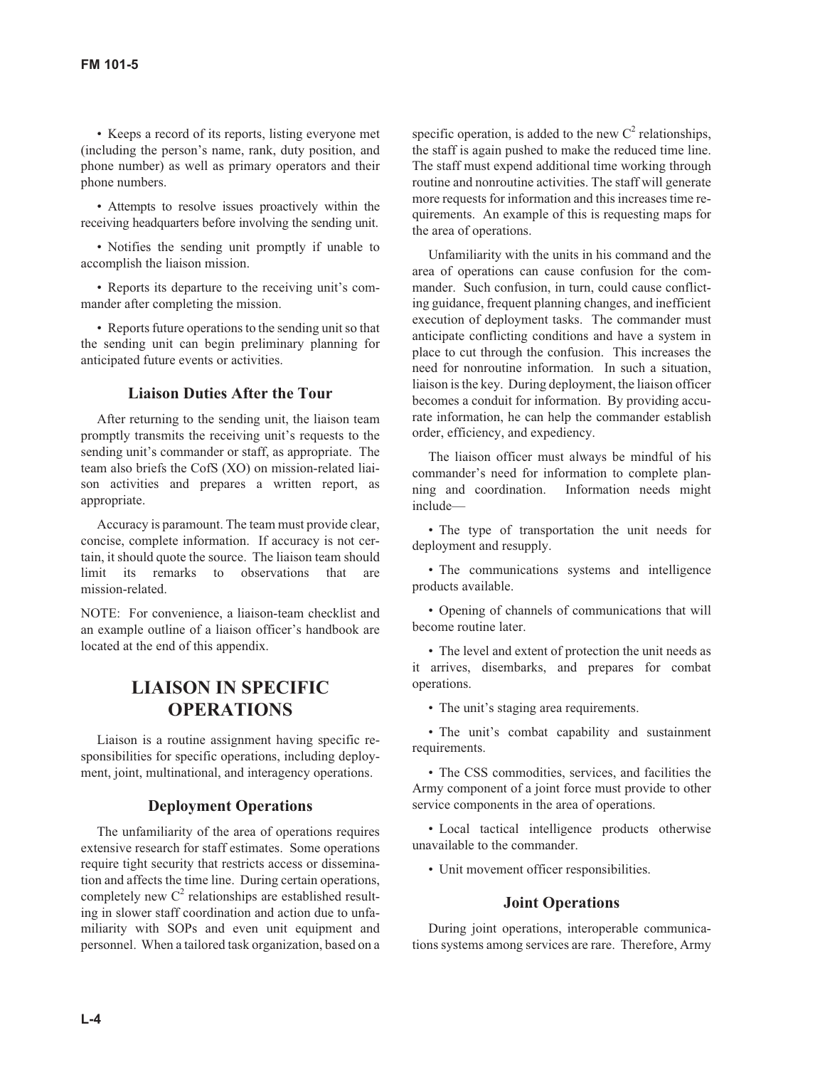• Keeps a record of its reports, listing everyone met (including the person's name, rank, duty position, and phone number) as well as primary operators and their phone numbers.

• Attempts to resolve issues proactively within the receiving headquarters before involving the sending unit.

• Notifies the sending unit promptly if unable to accomplish the liaison mission.

• Reports its departure to the receiving unit's commander after completing the mission.

• Reports future operations to the sending unit so that the sending unit can begin preliminary planning for anticipated future events or activities.

### **Liaison Duties After the Tour**

After returning to the sending unit, the liaison team promptly transmits the receiving unit's requests to the sending unit's commander or staff, as appropriate. The team also briefs the CofS (XO) on mission-related liaison activities and prepares a written report, as appropriate.

Accuracy is paramount. The team must provide clear, concise, complete information. If accuracy is not certain, it should quote the source. The liaison team should limit its remarks to observations that are mission-related.

NOTE: For convenience, a liaison-team checklist and an example outline of a liaison officer's handbook are located at the end of this appendix.

# **LIAISON IN SPECIFIC OPERATIONS**

Liaison is a routine assignment having specific responsibilities for specific operations, including deployment, joint, multinational, and interagency operations.

### **Deployment Operations**

The unfamiliarity of the area of operations requires extensive research for staff estimates. Some operations require tight security that restricts access or dissemination and affects the time line. During certain operations, completely new  $C^2$  relationships are established resulting in slower staff coordination and action due to unfamiliarity with SOPs and even unit equipment and personnel. When a tailored task organization, based on a specific operation, is added to the new  $C^2$  relationships, the staff is again pushed to make the reduced time line. The staff must expend additional time working through routine and nonroutine activities. The staff will generate more requests for information and this increases time requirements. An example of this is requesting maps for the area of operations.

Unfamiliarity with the units in his command and the area of operations can cause confusion for the commander. Such confusion, in turn, could cause conflicting guidance, frequent planning changes, and inefficient execution of deployment tasks. The commander must anticipate conflicting conditions and have a system in place to cut through the confusion. This increases the need for nonroutine information. In such a situation, liaison is the key. During deployment, the liaison officer becomes a conduit for information. By providing accurate information, he can help the commander establish order, efficiency, and expediency.

The liaison officer must always be mindful of his commander's need for information to complete planning and coordination. Information needs might include—

• The type of transportation the unit needs for deployment and resupply.

• The communications systems and intelligence products available.

• Opening of channels of communications that will become routine later.

• The level and extent of protection the unit needs as it arrives, disembarks, and prepares for combat operations.

• The unit's staging area requirements.

• The unit's combat capability and sustainment requirements.

• The CSS commodities, services, and facilities the Army component of a joint force must provide to other service components in the area of operations.

• Local tactical intelligence products otherwise unavailable to the commander.

• Unit movement officer responsibilities.

### **Joint Operations**

During joint operations, interoperable communications systems among services are rare. Therefore, Army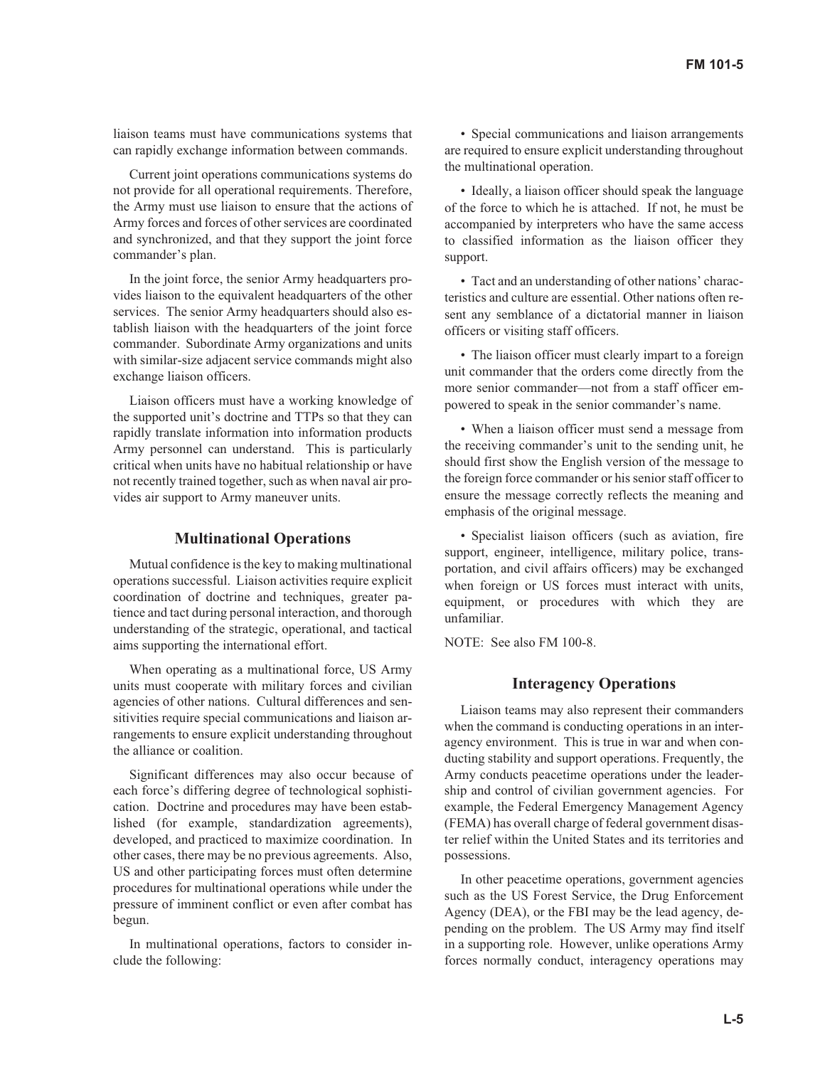liaison teams must have communications systems that can rapidly exchange information between commands.

Current joint operations communications systems do not provide for all operational requirements. Therefore, the Army must use liaison to ensure that the actions of Army forces and forces of other services are coordinated and synchronized, and that they support the joint force commander's plan.

In the joint force, the senior Army headquarters provides liaison to the equivalent headquarters of the other services. The senior Army headquarters should also establish liaison with the headquarters of the joint force commander. Subordinate Army organizations and units with similar-size adjacent service commands might also exchange liaison officers.

Liaison officers must have a working knowledge of the supported unit's doctrine and TTPs so that they can rapidly translate information into information products Army personnel can understand. This is particularly critical when units have no habitual relationship or have not recently trained together, such as when naval air provides air support to Army maneuver units.

## **Multinational Operations**

Mutual confidence is the key to making multinational operations successful. Liaison activities require explicit coordination of doctrine and techniques, greater patience and tact during personal interaction, and thorough understanding of the strategic, operational, and tactical aims supporting the international effort.

When operating as a multinational force, US Army units must cooperate with military forces and civilian agencies of other nations. Cultural differences and sensitivities require special communications and liaison arrangements to ensure explicit understanding throughout the alliance or coalition.

Significant differences may also occur because of each force's differing degree of technological sophistication. Doctrine and procedures may have been established (for example, standardization agreements), developed, and practiced to maximize coordination. In other cases, there may be no previous agreements. Also, US and other participating forces must often determine procedures for multinational operations while under the pressure of imminent conflict or even after combat has begun.

In multinational operations, factors to consider include the following:

• Special communications and liaison arrangements are required to ensure explicit understanding throughout the multinational operation.

• Ideally, a liaison officer should speak the language of the force to which he is attached. If not, he must be accompanied by interpreters who have the same access to classified information as the liaison officer they support.

• Tact and an understanding of other nations' characteristics and culture are essential. Other nations often resent any semblance of a dictatorial manner in liaison officers or visiting staff officers.

• The liaison officer must clearly impart to a foreign unit commander that the orders come directly from the more senior commander—not from a staff officer empowered to speak in the senior commander's name.

• When a liaison officer must send a message from the receiving commander's unit to the sending unit, he should first show the English version of the message to the foreign force commander or his senior staff officer to ensure the message correctly reflects the meaning and emphasis of the original message.

• Specialist liaison officers (such as aviation, fire support, engineer, intelligence, military police, transportation, and civil affairs officers) may be exchanged when foreign or US forces must interact with units, equipment, or procedures with which they are unfamiliar.

NOTE: See also FM 100-8.

# **Interagency Operations**

Liaison teams may also represent their commanders when the command is conducting operations in an interagency environment. This is true in war and when conducting stability and support operations. Frequently, the Army conducts peacetime operations under the leadership and control of civilian government agencies. For example, the Federal Emergency Management Agency (FEMA) has overall charge of federal government disaster relief within the United States and its territories and possessions.

In other peacetime operations, government agencies such as the US Forest Service, the Drug Enforcement Agency (DEA), or the FBI may be the lead agency, depending on the problem. The US Army may find itself in a supporting role. However, unlike operations Army forces normally conduct, interagency operations may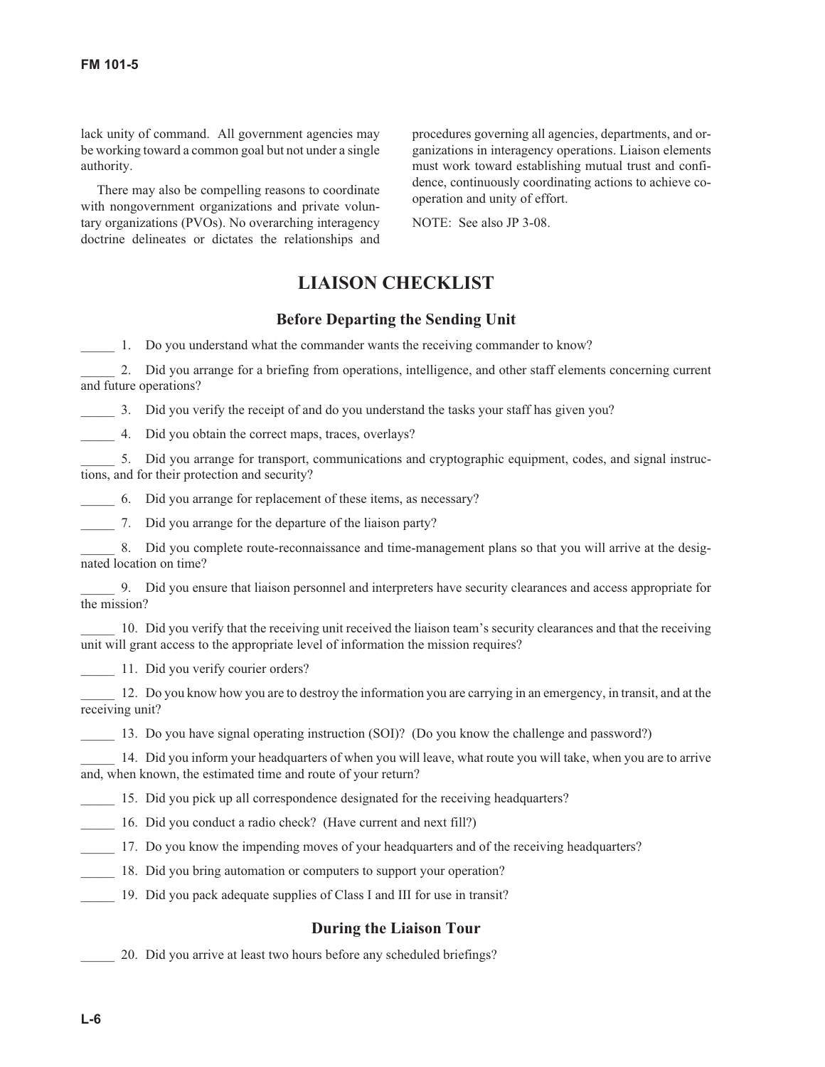lack unity of command. All government agencies may be working toward a common goal but not under a single authority.

There may also be compelling reasons to coordinate with nongovernment organizations and private voluntary organizations (PVOs). No overarching interagency doctrine delineates or dictates the relationships and procedures governing all agencies, departments, and organizations in interagency operations. Liaison elements must work toward establishing mutual trust and confidence, continuously coordinating actions to achieve cooperation and unity of effort.

NOTE: See also JP 3-08.

# **LIAISON CHECKLIST**

# **Before Departing the Sending Unit**

\_\_\_\_\_ 1. Do you understand what the commander wants the receiving commander to know?

\_\_\_\_\_ 2. Did you arrange for a briefing from operations, intelligence, and other staff elements concerning current and future operations?

\_\_\_\_\_ 3. Did you verify the receipt of and do you understand the tasks your staff has given you?

4. Did you obtain the correct maps, traces, overlays?

\_\_\_\_\_ 5. Did you arrange for transport, communications and cryptographic equipment, codes, and signal instructions, and for their protection and security?

\_\_\_\_\_ 6. Did you arrange for replacement of these items, as necessary?

\_\_\_\_\_ 7. Did you arrange for the departure of the liaison party?

8. Did you complete route-reconnaissance and time-management plans so that you will arrive at the designated location on time?

\_\_\_\_\_ 9. Did you ensure that liaison personnel and interpreters have security clearances and access appropriate for the mission?

\_\_\_\_\_ 10. Did you verify that the receiving unit received the liaison team's security clearances and that the receiving unit will grant access to the appropriate level of information the mission requires?

\_\_\_\_\_ 11. Did you verify courier orders?

\_\_\_\_\_ 12. Do you know how you are to destroy the information you are carrying in an emergency, in transit, and at the receiving unit?

\_\_\_\_\_ 13. Do you have signal operating instruction (SOI)? (Do you know the challenge and password?)

\_\_\_\_\_ 14. Did you inform your headquarters of when you will leave, what route you will take, when you are to arrive and, when known, the estimated time and route of your return?

15. Did you pick up all correspondence designated for the receiving headquarters?

16. Did you conduct a radio check? (Have current and next fill?)

17. Do you know the impending moves of your headquarters and of the receiving headquarters?

18. Did you bring automation or computers to support your operation?

19. Did you pack adequate supplies of Class I and III for use in transit?

# **During the Liaison Tour**

20. Did you arrive at least two hours before any scheduled briefings?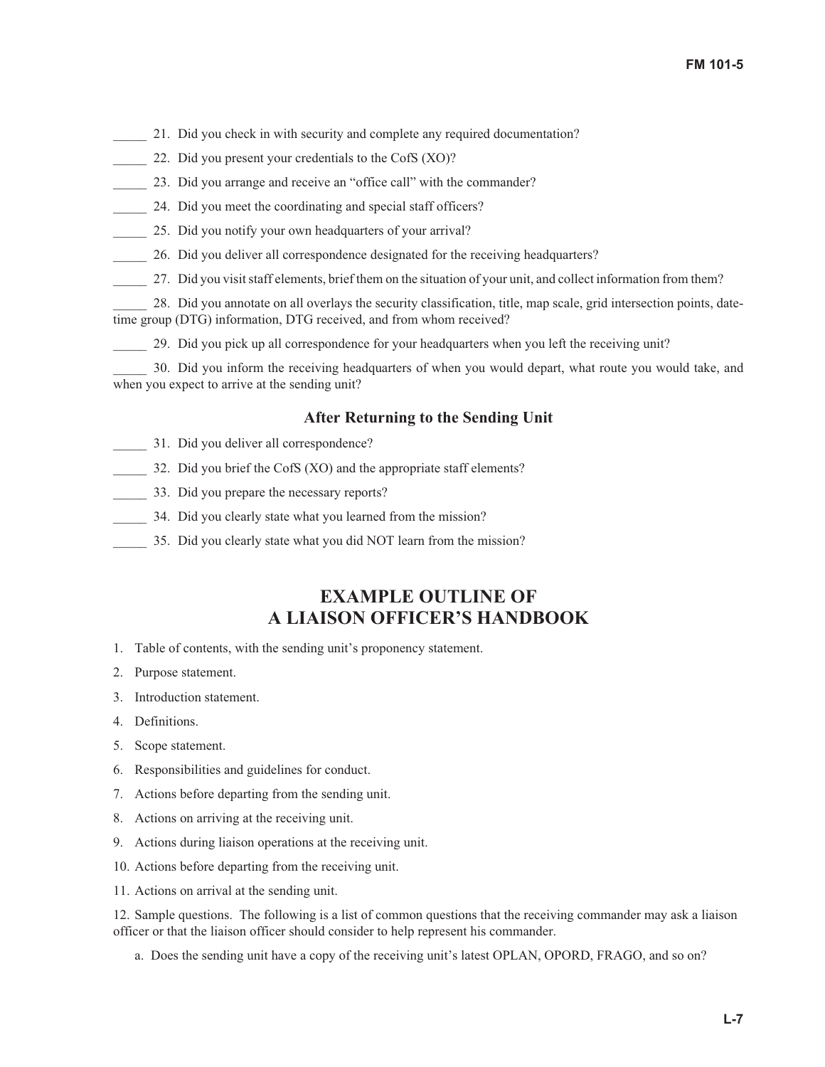- \_\_\_\_\_ 21. Did you check in with security and complete any required documentation?
- $\sim$  22. Did you present your credentials to the CofS (XO)?
- 23. Did you arrange and receive an "office call" with the commander?
- 24. Did you meet the coordinating and special staff officers?
- \_\_\_\_\_ 25. Did you notify your own headquarters of your arrival?
- 26. Did you deliver all correspondence designated for the receiving headquarters?
- 27. Did you visit staff elements, brief them on the situation of your unit, and collect information from them?

\_\_\_\_\_ 28. Did you annotate on all overlays the security classification, title, map scale, grid intersection points, datetime group (DTG) information, DTG received, and from whom received?

\_\_\_\_\_ 29. Did you pick up all correspondence for your headquarters when you left the receiving unit?

\_\_\_\_\_ 30. Did you inform the receiving headquarters of when you would depart, what route you would take, and when you expect to arrive at the sending unit?

# **After Returning to the Sending Unit**

- 31. Did you deliver all correspondence?
- 32. Did you brief the CofS (XO) and the appropriate staff elements?
- 33. Did you prepare the necessary reports?
- \_\_\_\_\_ 34. Did you clearly state what you learned from the mission?
- 35. Did you clearly state what you did NOT learn from the mission?

# **EXAMPLE OUTLINE OF A LIAISON OFFICER'S HANDBOOK**

- 1. Table of contents, with the sending unit's proponency statement.
- 2. Purpose statement.
- 3. Introduction statement.
- 4. Definitions.
- 5. Scope statement.
- 6. Responsibilities and guidelines for conduct.
- 7. Actions before departing from the sending unit.
- 8. Actions on arriving at the receiving unit.
- 9. Actions during liaison operations at the receiving unit.
- 10. Actions before departing from the receiving unit.
- 11. Actions on arrival at the sending unit.

12. Sample questions. The following is a list of common questions that the receiving commander may ask a liaison officer or that the liaison officer should consider to help represent his commander.

a. Does the sending unit have a copy of the receiving unit's latest OPLAN, OPORD, FRAGO, and so on?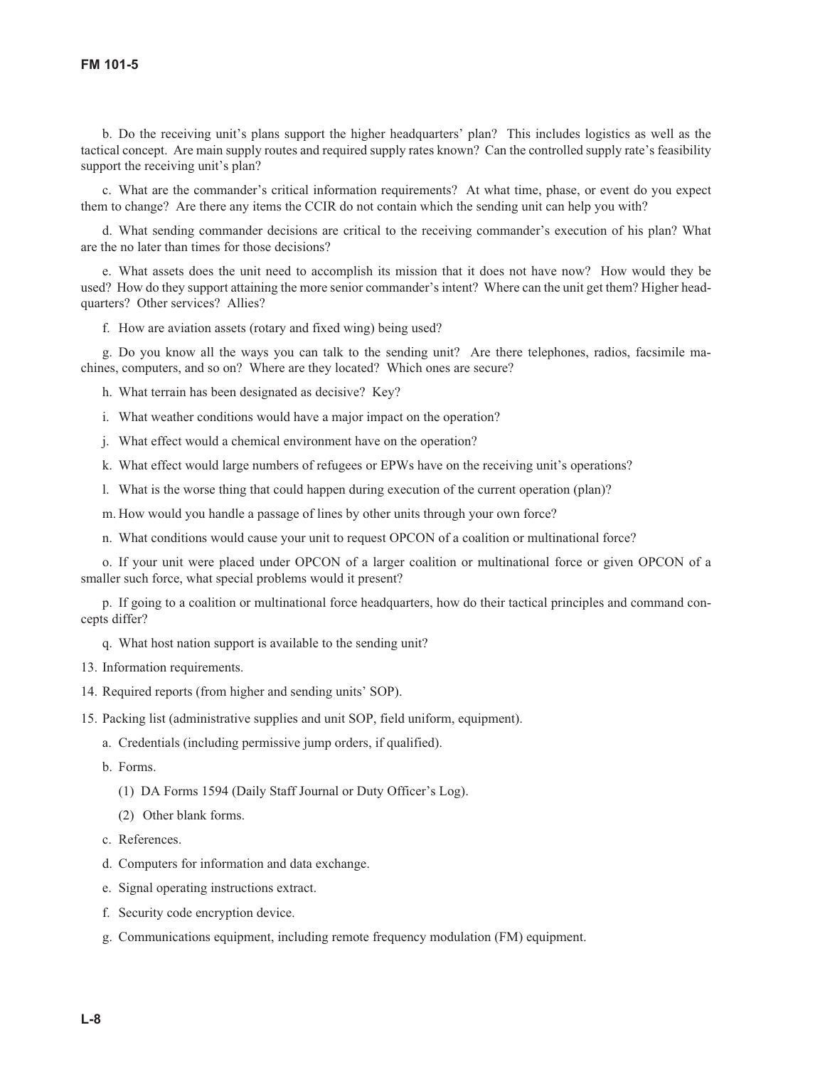b. Do the receiving unit's plans support the higher headquarters' plan? This includes logistics as well as the tactical concept. Are main supply routes and required supply rates known? Can the controlled supply rate's feasibility support the receiving unit's plan?

c. What are the commander's critical information requirements? At what time, phase, or event do you expect them to change? Are there any items the CCIR do not contain which the sending unit can help you with?

d. What sending commander decisions are critical to the receiving commander's execution of his plan? What are the no later than times for those decisions?

e. What assets does the unit need to accomplish its mission that it does not have now? How would they be used? How do they support attaining the more senior commander's intent? Where can the unit get them? Higher headquarters? Other services? Allies?

f. How are aviation assets (rotary and fixed wing) being used?

g. Do you know all the ways you can talk to the sending unit? Are there telephones, radios, facsimile machines, computers, and so on? Where are they located? Which ones are secure?

h. What terrain has been designated as decisive? Key?

i. What weather conditions would have a major impact on the operation?

j. What effect would a chemical environment have on the operation?

k. What effect would large numbers of refugees or EPWs have on the receiving unit's operations?

l. What is the worse thing that could happen during execution of the current operation (plan)?

m. How would you handle a passage of lines by other units through your own force?

n. What conditions would cause your unit to request OPCON of a coalition or multinational force?

o. If your unit were placed under OPCON of a larger coalition or multinational force or given OPCON of a smaller such force, what special problems would it present?

p. If going to a coalition or multinational force headquarters, how do their tactical principles and command concepts differ?

q. What host nation support is available to the sending unit?

13. Information requirements.

14. Required reports (from higher and sending units' SOP).

15. Packing list (administrative supplies and unit SOP, field uniform, equipment).

a. Credentials (including permissive jump orders, if qualified).

b. Forms.

(1) DA Forms 1594 (Daily Staff Journal or Duty Officer's Log).

(2) Other blank forms.

c. References.

d. Computers for information and data exchange.

e. Signal operating instructions extract.

f. Security code encryption device.

g. Communications equipment, including remote frequency modulation (FM) equipment.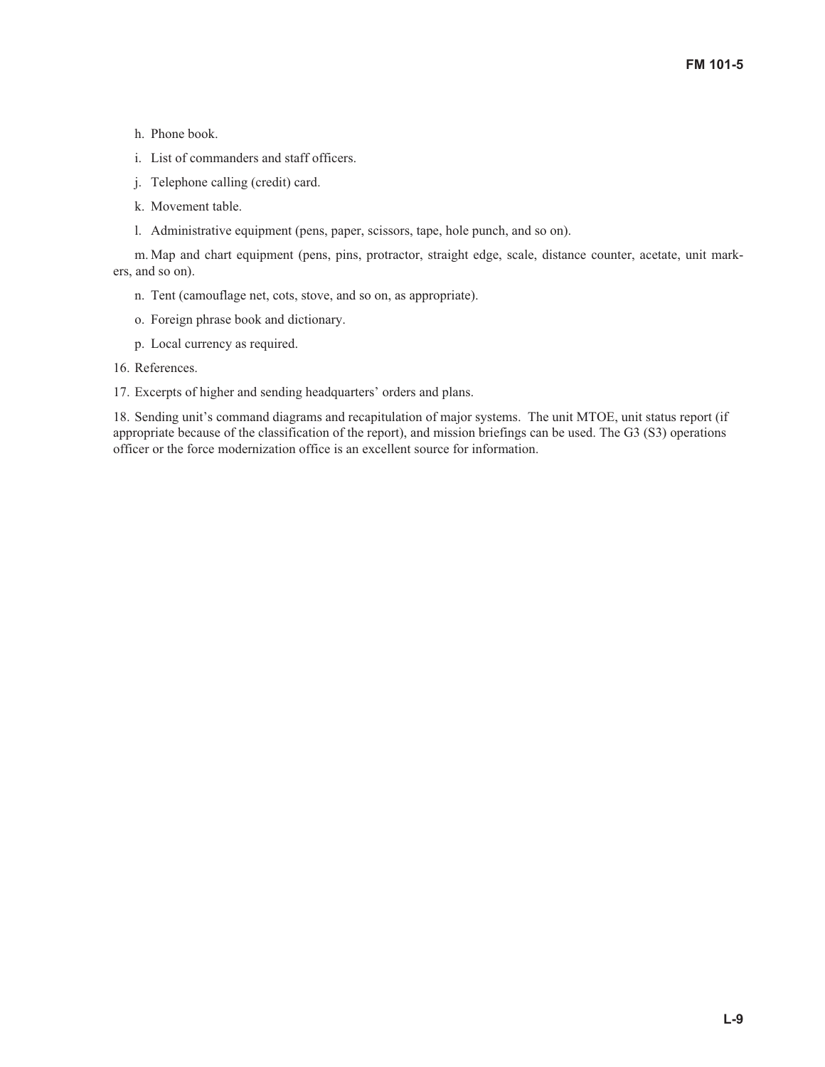- h. Phone book.
- i. List of commanders and staff officers.
- j. Telephone calling (credit) card.
- k. Movement table.
- l. Administrative equipment (pens, paper, scissors, tape, hole punch, and so on).

m. Map and chart equipment (pens, pins, protractor, straight edge, scale, distance counter, acetate, unit markers, and so on).

- n. Tent (camouflage net, cots, stove, and so on, as appropriate).
- o. Foreign phrase book and dictionary.
- p. Local currency as required.
- 16. References.
- 17. Excerpts of higher and sending headquarters' orders and plans.

18. Sending unit's command diagrams and recapitulation of major systems. The unit MTOE, unit status report (if appropriate because of the classification of the report), and mission briefings can be used. The G3 (S3) operations officer or the force modernization office is an excellent source for information.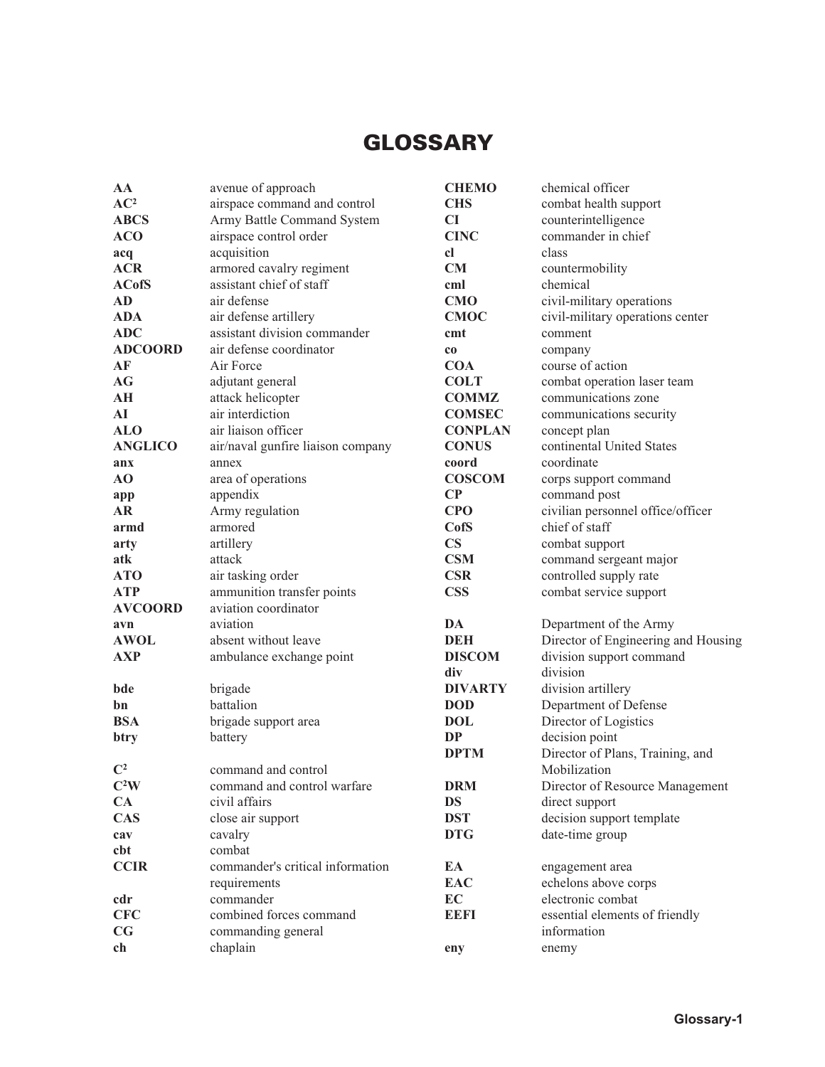# **GLOSSARY**

| AA                     | avenue of approach                | <b>CHEMO</b>           | chemical officer                    |
|------------------------|-----------------------------------|------------------------|-------------------------------------|
| AC <sup>2</sup>        | airspace command and control      | <b>CHS</b>             | combat health support               |
| <b>ABCS</b>            | Army Battle Command System        | CI                     | counterintelligence                 |
| <b>ACO</b>             | airspace control order            | <b>CINC</b>            | commander in chief                  |
| acq                    | acquisition                       | cl                     | class                               |
| <b>ACR</b>             | armored cavalry regiment          | CM                     | countermobility                     |
| <b>ACofS</b>           | assistant chief of staff          | cml                    | chemical                            |
| AD                     | air defense                       | <b>CMO</b>             | civil-military operations           |
| <b>ADA</b>             | air defense artillery             | <b>CMOC</b>            | civil-military operations center    |
| <b>ADC</b>             | assistant division commander      | cmt                    | comment                             |
| <b>ADCOORD</b>         | air defense coordinator           | c <sub>0</sub>         | company                             |
| AF                     | Air Force                         | <b>COA</b>             | course of action                    |
| AG                     | adjutant general                  | <b>COLT</b>            | combat operation laser team         |
| AH                     | attack helicopter                 | <b>COMMZ</b>           | communications zone                 |
| ${\bf AI}$             | air interdiction                  | <b>COMSEC</b>          | communications security             |
| <b>ALO</b>             | air liaison officer               | <b>CONPLAN</b>         | concept plan                        |
| <b>ANGLICO</b>         | air/naval gunfire liaison company | <b>CONUS</b>           | continental United States           |
| anx                    | annex                             | coord                  | coordinate                          |
| AO                     | area of operations                | <b>COSCOM</b>          | corps support command               |
| app                    | appendix                          | $\mathbf{C}\mathbf{P}$ | command post                        |
| AR                     | Army regulation                   | <b>CPO</b>             | civilian personnel office/officer   |
| armd                   | armored                           | CofS                   | chief of staff                      |
| arty                   | artillery                         | $\mathbf{CS}$          | combat support                      |
| atk                    | attack                            | <b>CSM</b>             | command sergeant major              |
| <b>ATO</b>             | air tasking order                 | <b>CSR</b>             | controlled supply rate              |
| <b>ATP</b>             | ammunition transfer points        | <b>CSS</b>             | combat service support              |
| <b>AVCOORD</b>         | aviation coordinator              |                        |                                     |
| avn                    | aviation                          | DA                     | Department of the Army              |
| <b>AWOL</b>            | absent without leave              | <b>DEH</b>             | Director of Engineering and Housing |
| <b>AXP</b>             | ambulance exchange point          | <b>DISCOM</b>          | division support command            |
|                        |                                   | div                    | division                            |
| bde                    | brigade                           | <b>DIVARTY</b>         | division artillery                  |
| bn                     | battalion                         | <b>DOD</b>             | Department of Defense               |
| <b>BSA</b>             | brigade support area              | <b>DOL</b>             | Director of Logistics               |
| btry                   | battery                           | <b>DP</b>              | decision point                      |
|                        |                                   | <b>DPTM</b>            | Director of Plans, Training, and    |
| $\mathbb{C}^2$         | command and control               |                        | Mobilization                        |
| $C^2W$                 | command and control warfare       | <b>DRM</b>             | Director of Resource Management     |
| CA                     | civil affairs                     | <b>DS</b>              | direct support                      |
| <b>CAS</b>             | close air support                 | <b>DST</b>             | decision support template           |
| cav                    | cavalry                           | <b>DTG</b>             | date-time group                     |
| cbt                    | combat                            |                        |                                     |
| <b>CCIR</b>            | commander's critical information  | EA                     | engagement area                     |
|                        | requirements                      | <b>EAC</b>             | echelons above corps                |
| cdr                    | commander                         | EC                     | electronic combat                   |
| <b>CFC</b>             | combined forces command           | <b>EEFI</b>            | essential elements of friendly      |
| $\mathbf{C}\mathbf{G}$ | commanding general                |                        | information                         |
| ch                     | chaplain                          | eny                    | enemy                               |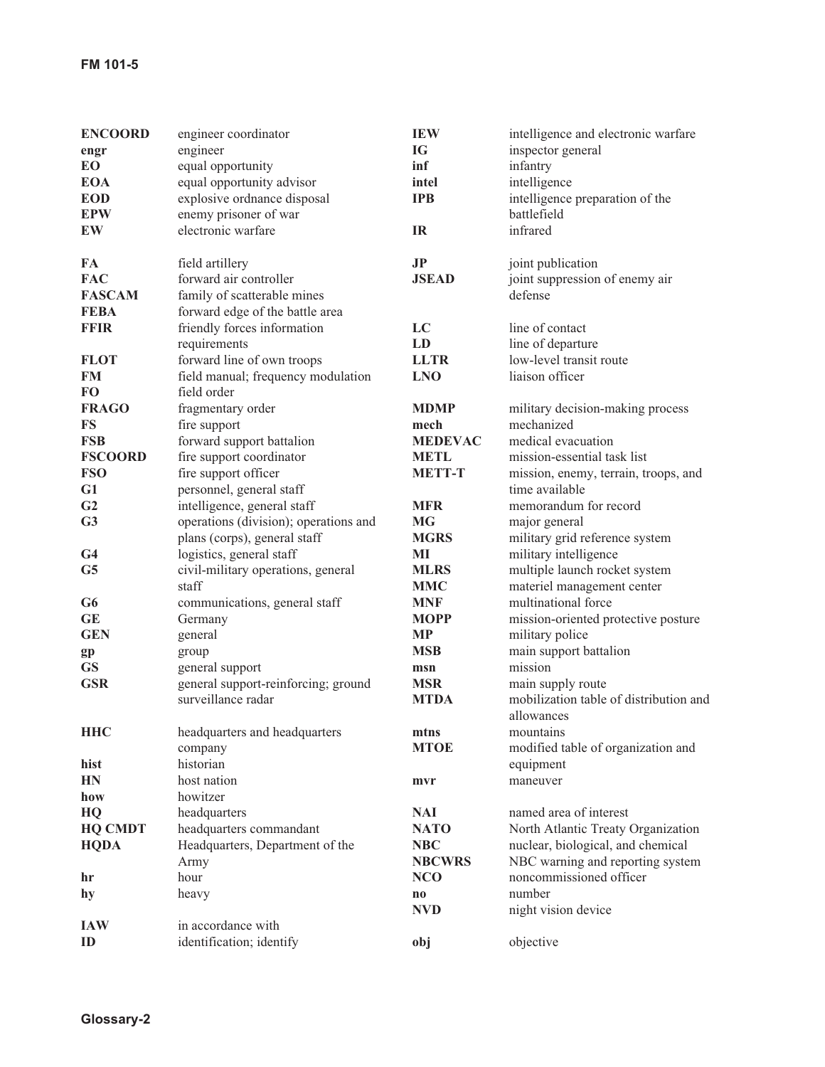| <b>ENCOORD</b> | engineer coordinator                  | <b>IEW</b>     | intelligence and electronic warfare                  |
|----------------|---------------------------------------|----------------|------------------------------------------------------|
| engr           | engineer                              | IG             | inspector general                                    |
| EO             | equal opportunity                     | inf            | infantry                                             |
| <b>EOA</b>     | equal opportunity advisor             | intel          | intelligence                                         |
| <b>EOD</b>     | explosive ordnance disposal           | <b>IPB</b>     | intelligence preparation of the                      |
| <b>EPW</b>     | enemy prisoner of war                 |                | battlefield                                          |
| EW             | electronic warfare                    | <b>IR</b>      | infrared                                             |
| FA             | field artillery                       | J <sub>P</sub> | joint publication                                    |
| <b>FAC</b>     | forward air controller                | <b>JSEAD</b>   | joint suppression of enemy air                       |
| <b>FASCAM</b>  | family of scatterable mines           |                | defense                                              |
| <b>FEBA</b>    | forward edge of the battle area       |                |                                                      |
| <b>FFIR</b>    | friendly forces information           | LC             | line of contact                                      |
|                | requirements                          | LD             | line of departure                                    |
| <b>FLOT</b>    | forward line of own troops            | <b>LLTR</b>    | low-level transit route                              |
| FM             | field manual; frequency modulation    | <b>LNO</b>     | liaison officer                                      |
| <b>FO</b>      | field order                           |                |                                                      |
| <b>FRAGO</b>   | fragmentary order                     | <b>MDMP</b>    | military decision-making process                     |
| <b>FS</b>      | fire support                          | mech           | mechanized                                           |
| <b>FSB</b>     | forward support battalion             | <b>MEDEVAC</b> | medical evacuation                                   |
| <b>FSCOORD</b> | fire support coordinator              | <b>METL</b>    | mission-essential task list                          |
| <b>FSO</b>     | fire support officer                  | <b>METT-T</b>  | mission, enemy, terrain, troops, and                 |
| G1             | personnel, general staff              |                | time available                                       |
| G <sub>2</sub> | intelligence, general staff           | <b>MFR</b>     | memorandum for record                                |
| G <sub>3</sub> | operations (division); operations and | <b>MG</b>      | major general                                        |
|                | plans (corps), general staff          | <b>MGRS</b>    | military grid reference system                       |
| G <sub>4</sub> | logistics, general staff              | MI             | military intelligence                                |
| G <sub>5</sub> | civil-military operations, general    | <b>MLRS</b>    | multiple launch rocket system                        |
|                | staff                                 | <b>MMC</b>     | materiel management center                           |
| G <sub>6</sub> | communications, general staff         | <b>MNF</b>     | multinational force                                  |
| <b>GE</b>      | Germany                               | <b>MOPP</b>    | mission-oriented protective posture                  |
| <b>GEN</b>     | general                               | <b>MP</b>      | military police                                      |
| gp             | group                                 | <b>MSB</b>     | main support battalion                               |
| <b>GS</b>      | general support                       | msn            | mission                                              |
| <b>GSR</b>     | general support-reinforcing; ground   | <b>MSR</b>     | main supply route                                    |
|                | surveillance radar                    | <b>MTDA</b>    | mobilization table of distribution and<br>allowances |
| <b>HHC</b>     | headquarters and headquarters         | mtns           | mountains                                            |
|                | company                               | <b>MTOE</b>    | modified table of organization and                   |
| hist           | historian                             |                | equipment                                            |
| HN             | host nation                           | mvr            | maneuver                                             |
| how            | howitzer                              |                |                                                      |
| HQ             | headquarters                          | <b>NAI</b>     | named area of interest                               |
| <b>HQ CMDT</b> | headquarters commandant               | <b>NATO</b>    | North Atlantic Treaty Organization                   |
| <b>HQDA</b>    | Headquarters, Department of the       | <b>NBC</b>     | nuclear, biological, and chemical                    |
|                | Army                                  | <b>NBCWRS</b>  | NBC warning and reporting system                     |
| hr             | hour                                  | <b>NCO</b>     | noncommissioned officer                              |
| hy             | heavy                                 | $\bf{no}$      | number                                               |
|                |                                       | <b>NVD</b>     | night vision device                                  |
| <b>IAW</b>     | in accordance with                    |                |                                                      |
| ID             | identification; identify              | obj            | objective                                            |
|                |                                       |                |                                                      |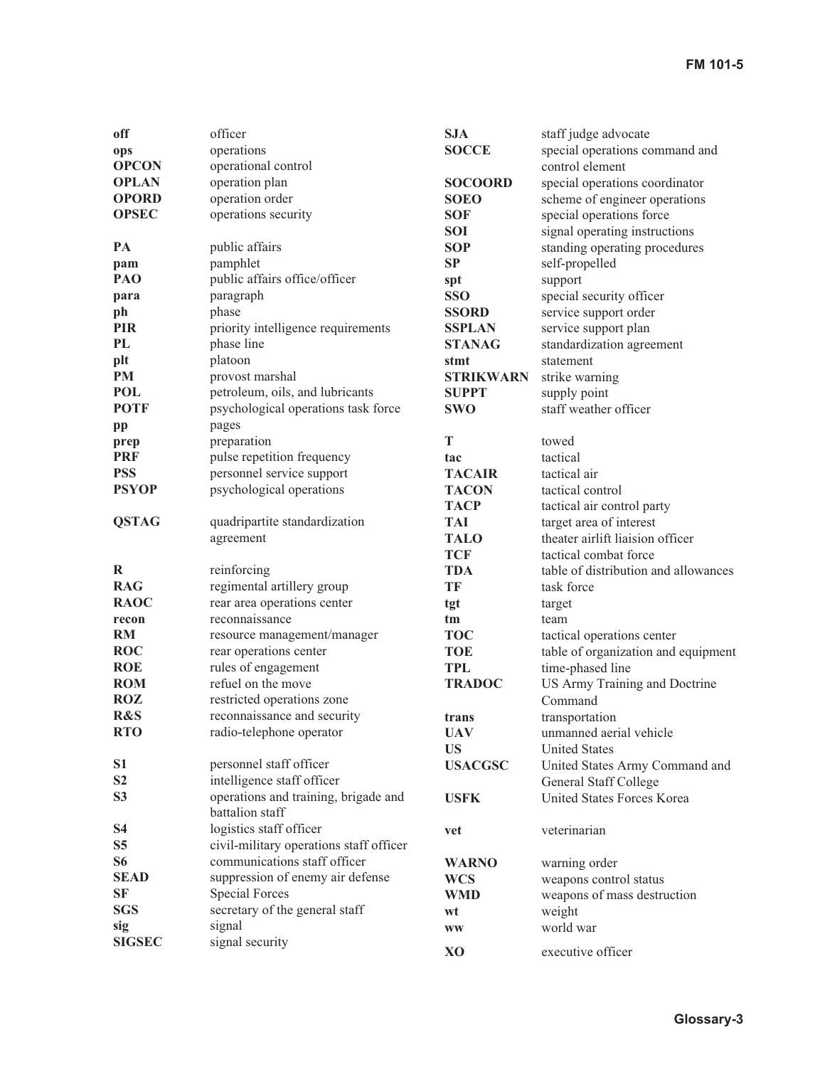| off            | officer                                 | <b>SJA</b>                | staff judge advocate                                        |
|----------------|-----------------------------------------|---------------------------|-------------------------------------------------------------|
| ops            | operations                              | <b>SOCCE</b>              | special operations command and                              |
| <b>OPCON</b>   | operational control                     |                           | control element                                             |
| <b>OPLAN</b>   | operation plan                          | <b>SOCOORD</b>            | special operations coordinator                              |
| <b>OPORD</b>   | operation order                         | <b>SOEO</b>               | scheme of engineer operations                               |
| <b>OPSEC</b>   | operations security                     | <b>SOF</b>                | special operations force                                    |
|                |                                         | <b>SOI</b>                | signal operating instructions                               |
| PA             | public affairs                          | <b>SOP</b>                | standing operating procedures                               |
| pam            | pamphlet                                | <b>SP</b>                 | self-propelled                                              |
| PAO            | public affairs office/officer           | spt                       | support                                                     |
| para           | paragraph                               | <b>SSO</b>                | special security officer                                    |
| ph             | phase                                   | <b>SSORD</b>              | service support order                                       |
| <b>PIR</b>     | priority intelligence requirements      | <b>SSPLAN</b>             | service support plan                                        |
| PL             | phase line                              | <b>STANAG</b>             | standardization agreement                                   |
| plt            | platoon                                 | stmt                      | statement                                                   |
| PM             | provost marshal                         | <b>STRIKWARN</b>          | strike warning                                              |
| <b>POL</b>     | petroleum, oils, and lubricants         | <b>SUPPT</b>              | supply point                                                |
| <b>POTF</b>    | psychological operations task force     | <b>SWO</b>                | staff weather officer                                       |
| pp             | pages                                   |                           |                                                             |
| prep           | preparation                             | T                         | towed                                                       |
| <b>PRF</b>     | pulse repetition frequency              | tac                       | tactical                                                    |
| <b>PSS</b>     | personnel service support               | <b>TACAIR</b>             | tactical air                                                |
| <b>PSYOP</b>   | psychological operations                | <b>TACON</b>              | tactical control                                            |
|                |                                         | <b>TACP</b><br><b>TAI</b> | tactical air control party                                  |
| <b>QSTAG</b>   | quadripartite standardization           | <b>TALO</b>               | target area of interest<br>theater airlift liaision officer |
|                | agreement                               | <b>TCF</b>                | tactical combat force                                       |
| $\bf{R}$       | reinforcing                             | <b>TDA</b>                | table of distribution and allowances                        |
| <b>RAG</b>     | regimental artillery group              | TF                        | task force                                                  |
| <b>RAOC</b>    | rear area operations center             | tgt                       | target                                                      |
| recon          | reconnaissance                          | tm                        | team                                                        |
| RM             | resource management/manager             | <b>TOC</b>                | tactical operations center                                  |
| <b>ROC</b>     | rear operations center                  | <b>TOE</b>                | table of organization and equipment                         |
| <b>ROE</b>     | rules of engagement                     | <b>TPL</b>                | time-phased line                                            |
| <b>ROM</b>     | refuel on the move                      | <b>TRADOC</b>             | US Army Training and Doctrine                               |
| <b>ROZ</b>     | restricted operations zone              |                           | Command                                                     |
| R&S            | reconnaissance and security             | trans                     | transportation                                              |
| <b>RTO</b>     | radio-telephone operator                | <b>UAV</b>                | unmanned aerial vehicle                                     |
|                |                                         | <b>US</b>                 | <b>United States</b>                                        |
| S <sub>1</sub> | personnel staff officer                 | <b>USACGSC</b>            | United States Army Command and                              |
| S <sub>2</sub> | intelligence staff officer              |                           | General Staff College                                       |
| S <sub>3</sub> | operations and training, brigade and    | <b>USFK</b>               | <b>United States Forces Korea</b>                           |
|                | battalion staff                         |                           |                                                             |
| <b>S4</b>      | logistics staff officer                 | vet                       | veterinarian                                                |
| S <sub>5</sub> | civil-military operations staff officer |                           |                                                             |
| <b>S6</b>      | communications staff officer            | <b>WARNO</b>              | warning order                                               |
| <b>SEAD</b>    | suppression of enemy air defense        | <b>WCS</b>                | weapons control status                                      |
| SF             | <b>Special Forces</b>                   | <b>WMD</b>                | weapons of mass destruction                                 |
| <b>SGS</b>     | secretary of the general staff          | wt                        | weight                                                      |
| sig            | signal                                  | <b>WW</b>                 | world war                                                   |
| <b>SIGSEC</b>  | signal security                         |                           |                                                             |
|                |                                         | XO                        | executive officer                                           |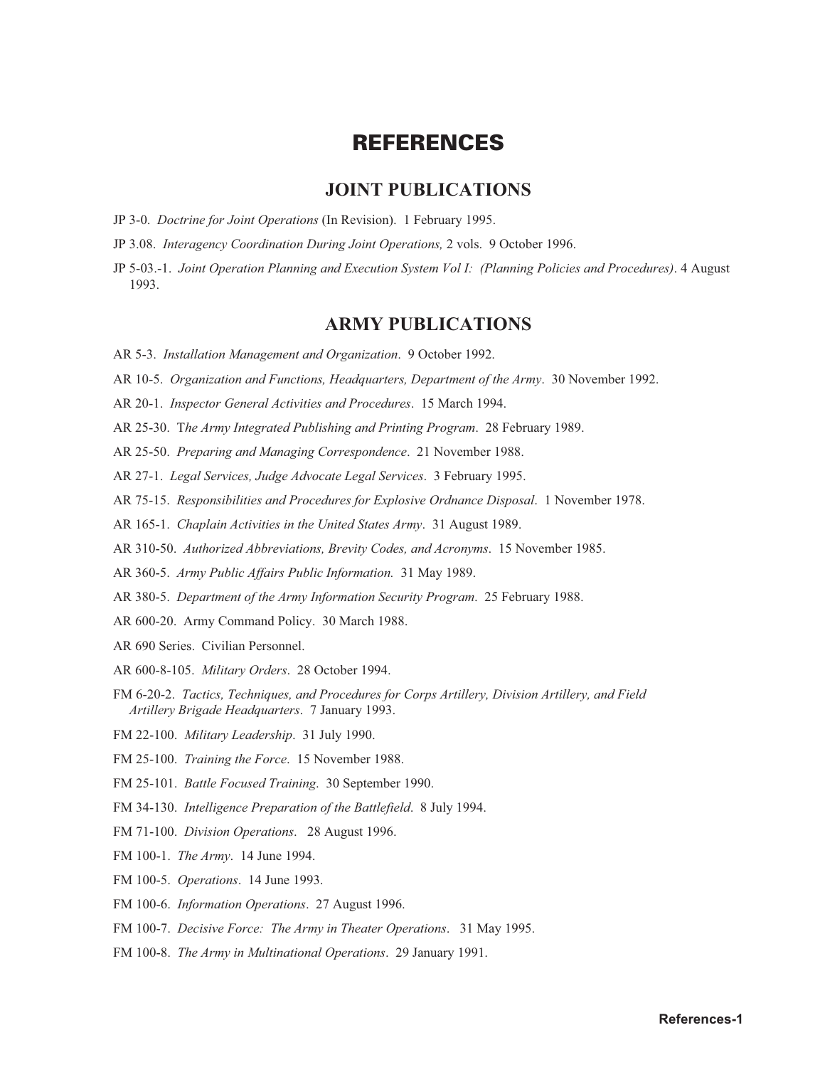# **REFERENCES**

# **JOINT PUBLICATIONS**

- JP 3-0. *Doctrine for Joint Operations* (In Revision). 1 February 1995.
- JP 3.08. *Interagency Coordination During Joint Operations,* 2 vols. 9 October 1996.
- JP 5-03.-1. *Joint Operation Planning and Execution System Vol I: (Planning Policies and Procedures)*. 4 August 1993.

# **ARMY PUBLICATIONS**

- AR 5-3. *Installation Management and Organization*. 9 October 1992.
- AR 10-5. *Organization and Functions, Headquarters, Department of the Army*. 30 November 1992.
- AR 20-1. *Inspector General Activities and Procedures*. 15 March 1994.
- AR 25-30. T*he Army Integrated Publishing and Printing Program*. 28 February 1989.
- AR 25-50. *Preparing and Managing Correspondence*. 21 November 1988.
- AR 27-1. *Legal Services, Judge Advocate Legal Services*. 3 February 1995.
- AR 75-15. *Responsibilities and Procedures for Explosive Ordnance Disposal*. 1 November 1978.
- AR 165-1. *Chaplain Activities in the United States Army*. 31 August 1989.
- AR 310-50. *Authorized Abbreviations, Brevity Codes, and Acronyms*. 15 November 1985.
- AR 360-5. *Army Public Affairs Public Information.* 31 May 1989.
- AR 380-5. *Department of the Army Information Security Program*. 25 February 1988.
- AR 600-20. Army Command Policy. 30 March 1988.
- AR 690 Series. Civilian Personnel.
- AR 600-8-105. *Military Orders*. 28 October 1994.
- FM 6-20-2. *Tactics, Techniques, and Procedures for Corps Artillery, Division Artillery, and Field Artillery Brigade Headquarters*. 7 January 1993.
- FM 22-100. *Military Leadership*. 31 July 1990.
- FM 25-100. *Training the Force*. 15 November 1988.
- FM 25-101. *Battle Focused Training*. 30 September 1990.
- FM 34-130. *Intelligence Preparation of the Battlefield*. 8 July 1994.
- FM 71-100. *Division Operations*. 28 August 1996.
- FM 100-1. *The Army*. 14 June 1994.
- FM 100-5. *Operations*. 14 June 1993.
- FM 100-6. *Information Operations*. 27 August 1996.
- FM 100-7. *Decisive Force: The Army in Theater Operations*. 31 May 1995.
- FM 100-8. *The Army in Multinational Operations*. 29 January 1991.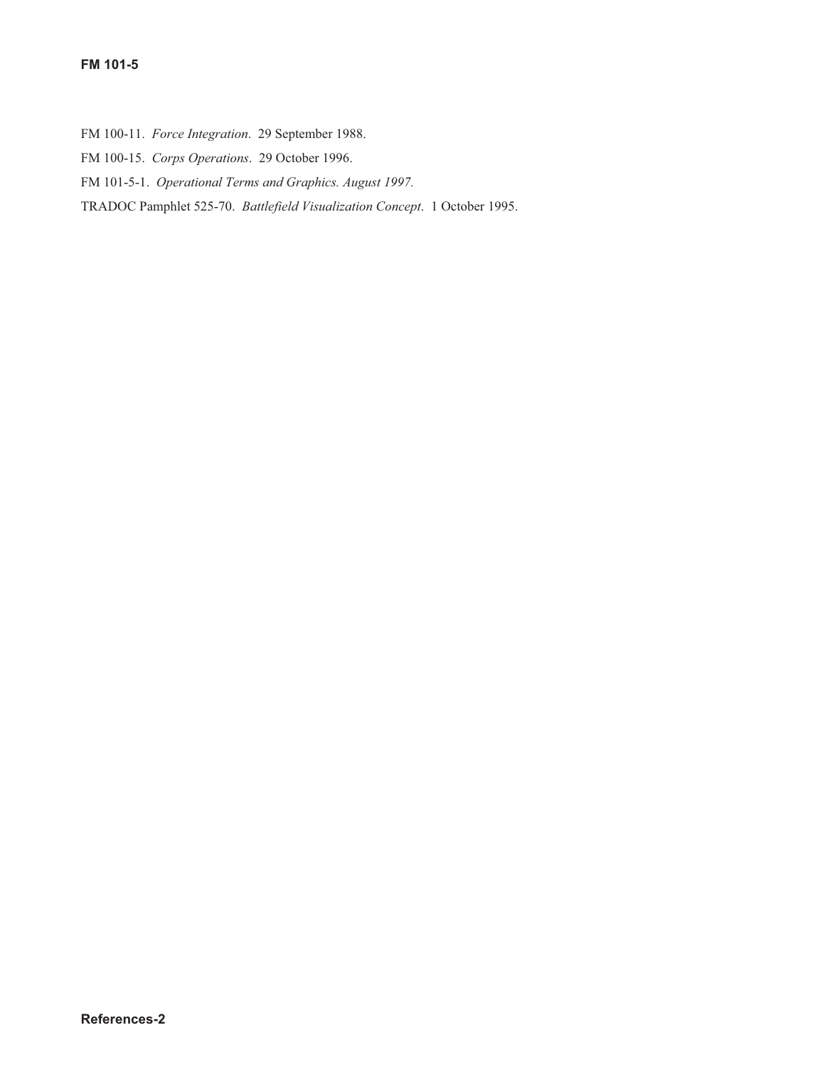- FM 100-11. *Force Integration*. 29 September 1988.
- FM 100-15. *Corps Operations*. 29 October 1996.
- FM 101-5-1. *Operational Terms and Graphics. August 1997.*
- TRADOC Pamphlet 525-70. *Battlefield Visualization Concept*. 1 October 1995.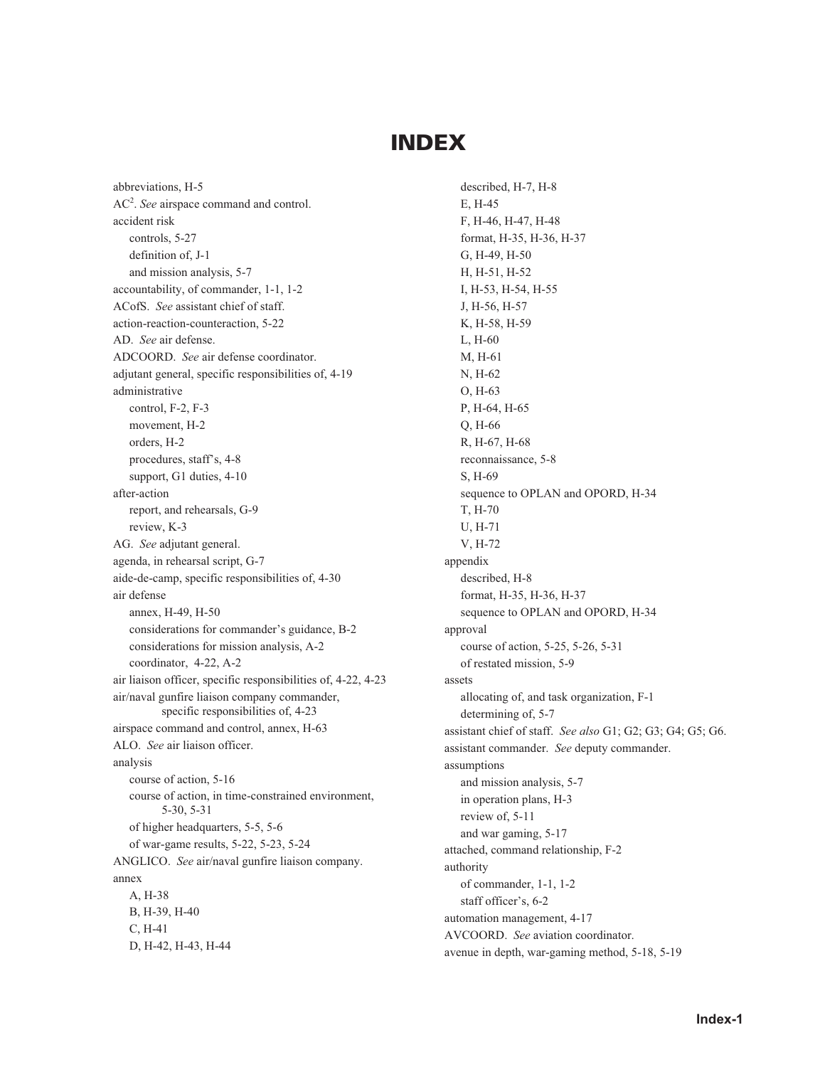## **INDEX**

abbreviations, H-5 AC<sup>2</sup>. See airspace command and control. accident risk controls, 5-27 definition of, J-1 and mission analysis, 5-7 accountability, of commander, 1-1, 1-2 ACofS. *See* assistant chief of staff. action-reaction-counteraction, 5-22 AD. *See* air defense. ADCOORD. *See* air defense coordinator. adjutant general, specific responsibilities of, 4-19 administrative control, F-2, F-3 movement, H-2 orders, H-2 procedures, staff's, 4-8 support, G1 duties, 4-10 after-action report, and rehearsals, G-9 review, K-3 AG. *See* adjutant general. agenda, in rehearsal script, G-7 aide-de-camp, specific responsibilities of, 4-30 air defense annex, H-49, H-50 considerations for commander's guidance, B-2 considerations for mission analysis, A-2 coordinator, 4-22, A-2 air liaison officer, specific responsibilities of, 4-22, 4-23 air/naval gunfire liaison company commander, specific responsibilities of, 4-23 airspace command and control, annex, H-63 ALO. *See* air liaison officer. analysis course of action, 5-16 course of action, in time-constrained environment, 5-30, 5-31 of higher headquarters, 5-5, 5-6 of war-game results, 5-22, 5-23, 5-24 ANGLICO. *See* air/naval gunfire liaison company. annex A, H-38 B, H-39, H-40 C, H-41 D, H-42, H-43, H-44

described, H-7, H-8 E, H-45 F, H-46, H-47, H-48 format, H-35, H-36, H-37 G, H-49, H-50 H, H-51, H-52 I, H-53, H-54, H-55 J, H-56, H-57 K, H-58, H-59 L, H-60 M, H-61 N, H-62 O, H-63 P, H-64, H-65 Q, H-66 R, H-67, H-68 reconnaissance, 5-8 S, H-69 sequence to OPLAN and OPORD, H-34 T, H-70 U, H-71 V, H-72 appendix described, H-8 format, H-35, H-36, H-37 sequence to OPLAN and OPORD, H-34 approval course of action, 5-25, 5-26, 5-31 of restated mission, 5-9 assets allocating of, and task organization, F-1 determining of, 5-7 assistant chief of staff. *See also* G1; G2; G3; G4; G5; G6. assistant commander. *See* deputy commander. assumptions and mission analysis, 5-7 in operation plans, H-3 review of, 5-11 and war gaming, 5-17 attached, command relationship, F-2 authority of commander, 1-1, 1-2 staff officer's, 6-2 automation management, 4-17 AVCOORD. *See* aviation coordinator. avenue in depth, war-gaming method, 5-18, 5-19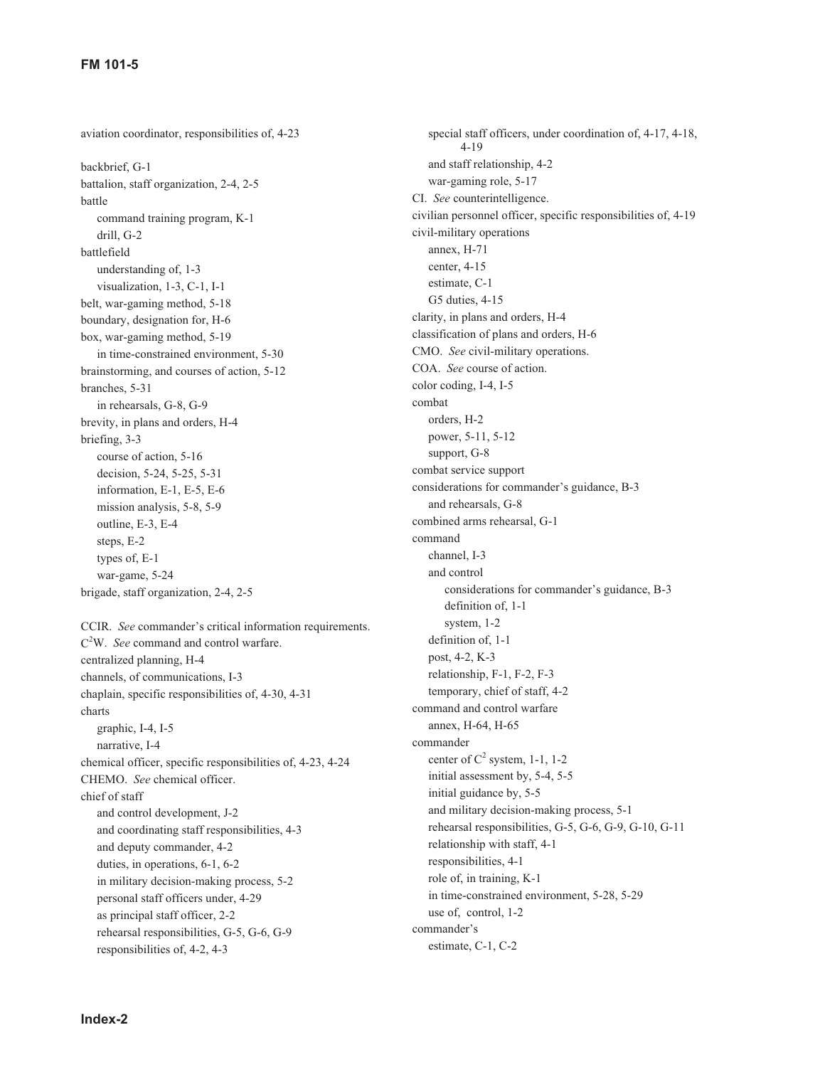aviation coordinator, responsibilities of, 4-23 backbrief, G-1 battalion, staff organization, 2-4, 2-5 battle command training program, K-1 drill, G-2 battlefield understanding of, 1-3 visualization, 1-3, C-1, I-1 belt, war-gaming method, 5-18 boundary, designation for, H-6 box, war-gaming method, 5-19 in time-constrained environment, 5-30 brainstorming, and courses of action, 5-12 branches, 5-31 in rehearsals, G-8, G-9 brevity, in plans and orders, H-4 briefing, 3-3 course of action, 5-16 decision, 5-24, 5-25, 5-31 information, E-1, E-5, E-6 mission analysis, 5-8, 5-9 outline, E-3, E-4 steps, E-2 types of, E-1

war-game, 5-24

brigade, staff organization, 2-4, 2-5

CCIR. *See* commander's critical information requirements. C2 W. *See* command and control warfare. centralized planning, H-4 channels, of communications, I-3 chaplain, specific responsibilities of, 4-30, 4-31 charts graphic, I-4, I-5 narrative, I-4 chemical officer, specific responsibilities of, 4-23, 4-24 CHEMO. *See* chemical officer. chief of staff and control development, J-2 and coordinating staff responsibilities, 4-3 and deputy commander, 4-2 duties, in operations, 6-1, 6-2 in military decision-making process, 5-2 personal staff officers under, 4-29 as principal staff officer, 2-2 rehearsal responsibilities, G-5, G-6, G-9 responsibilities of, 4-2, 4-3

special staff officers, under coordination of, 4-17, 4-18, 4-19 and staff relationship, 4-2 war-gaming role, 5-17 CI. *See* counterintelligence. civilian personnel officer, specific responsibilities of, 4-19 civil-military operations annex, H-71 center, 4-15 estimate, C-1 G5 duties, 4-15 clarity, in plans and orders, H-4 classification of plans and orders, H-6 CMO. *See* civil-military operations. COA. *See* course of action. color coding, I-4, I-5 combat orders, H-2 power, 5-11, 5-12 support, G-8 combat service support considerations for commander's guidance, B-3 and rehearsals, G-8 combined arms rehearsal, G-1 command channel, I-3 and control considerations for commander's guidance, B-3 definition of, 1-1 system, 1-2 definition of, 1-1 post, 4-2, K-3 relationship, F-1, F-2, F-3 temporary, chief of staff, 4-2 command and control warfare annex, H-64, H-65 commander center of  $C^2$  system, 1-1, 1-2 initial assessment by, 5-4, 5-5 initial guidance by, 5-5 and military decision-making process, 5-1 rehearsal responsibilities, G-5, G-6, G-9, G-10, G-11 relationship with staff, 4-1 responsibilities, 4-1 role of, in training, K-1 in time-constrained environment, 5-28, 5-29 use of, control, 1-2 commander's estimate, C-1, C-2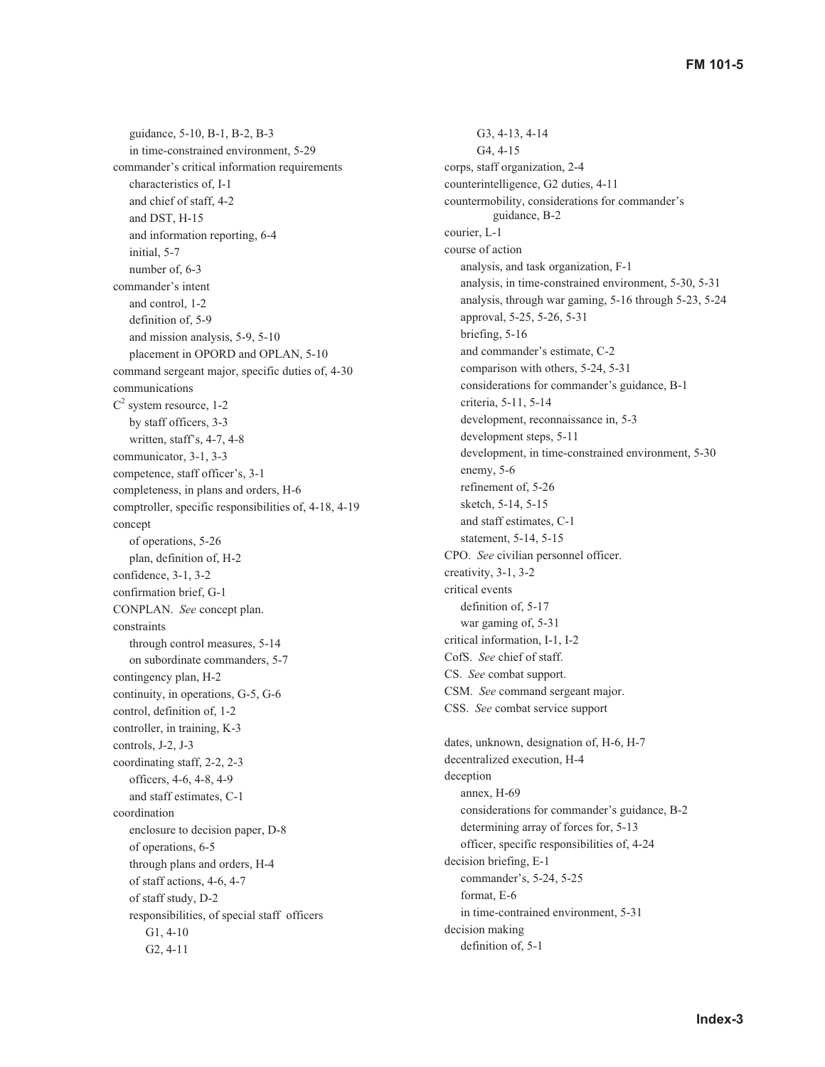guidance, 5-10, B-1, B-2, B-3 in time-constrained environment, 5-29 commander's critical information requirements characteristics of, I-1 and chief of staff, 4-2 and DST, H-15 and information reporting, 6-4 initial, 5-7 number of, 6-3 commander's intent and control, 1-2 definition of, 5-9 and mission analysis, 5-9, 5-10 placement in OPORD and OPLAN, 5-10 command sergeant major, specific duties of, 4-30 communications  $C<sup>2</sup>$  system resource, 1-2 by staff officers, 3-3 written, staff's, 4-7, 4-8 communicator, 3-1, 3-3 competence, staff officer's, 3-1 completeness, in plans and orders, H-6 comptroller, specific responsibilities of, 4-18, 4-19 concept of operations, 5-26 plan, definition of, H-2 confidence, 3-1, 3-2 confirmation brief, G-1 CONPLAN. *See* concept plan. constraints through control measures, 5-14 on subordinate commanders, 5-7 contingency plan, H-2 continuity, in operations, G-5, G-6 control, definition of, 1-2 controller, in training, K-3 controls, J-2, J-3 coordinating staff, 2-2, 2-3 officers, 4-6, 4-8, 4-9 and staff estimates, C-1 coordination enclosure to decision paper, D-8 of operations, 6-5 through plans and orders, H-4 of staff actions, 4-6, 4-7 of staff study, D-2 responsibilities, of special staff officers G1, 4-10 G2, 4-11

G3, 4-13, 4-14 G4, 4-15 corps, staff organization, 2-4 counterintelligence, G2 duties, 4-11 countermobility, considerations for commander's guidance, B-2 courier, L-1 course of action analysis, and task organization, F-1 analysis, in time-constrained environment, 5-30, 5-31 analysis, through war gaming, 5-16 through 5-23, 5-24 approval, 5-25, 5-26, 5-31 briefing, 5-16 and commander's estimate, C-2 comparison with others, 5-24, 5-31 considerations for commander's guidance, B-1 criteria, 5-11, 5-14 development, reconnaissance in, 5-3 development steps, 5-11 development, in time-constrained environment, 5-30 enemy, 5-6 refinement of, 5-26 sketch, 5-14, 5-15 and staff estimates, C-1 statement, 5-14, 5-15 CPO. *See* civilian personnel officer. creativity, 3-1, 3-2 critical events definition of, 5-17 war gaming of, 5-31 critical information, I-1, I-2 CofS. *See* chief of staff. CS. *See* combat support. CSM. *See* command sergeant major. CSS. *See* combat service support dates, unknown, designation of, H-6, H-7 decentralized execution, H-4 deception annex, H-69 considerations for commander's guidance, B-2 determining array of forces for, 5-13 officer, specific responsibilities of, 4-24 decision briefing, E-1 commander's, 5-24, 5-25 format, E-6 in time-contrained environment, 5-31 decision making definition of, 5-1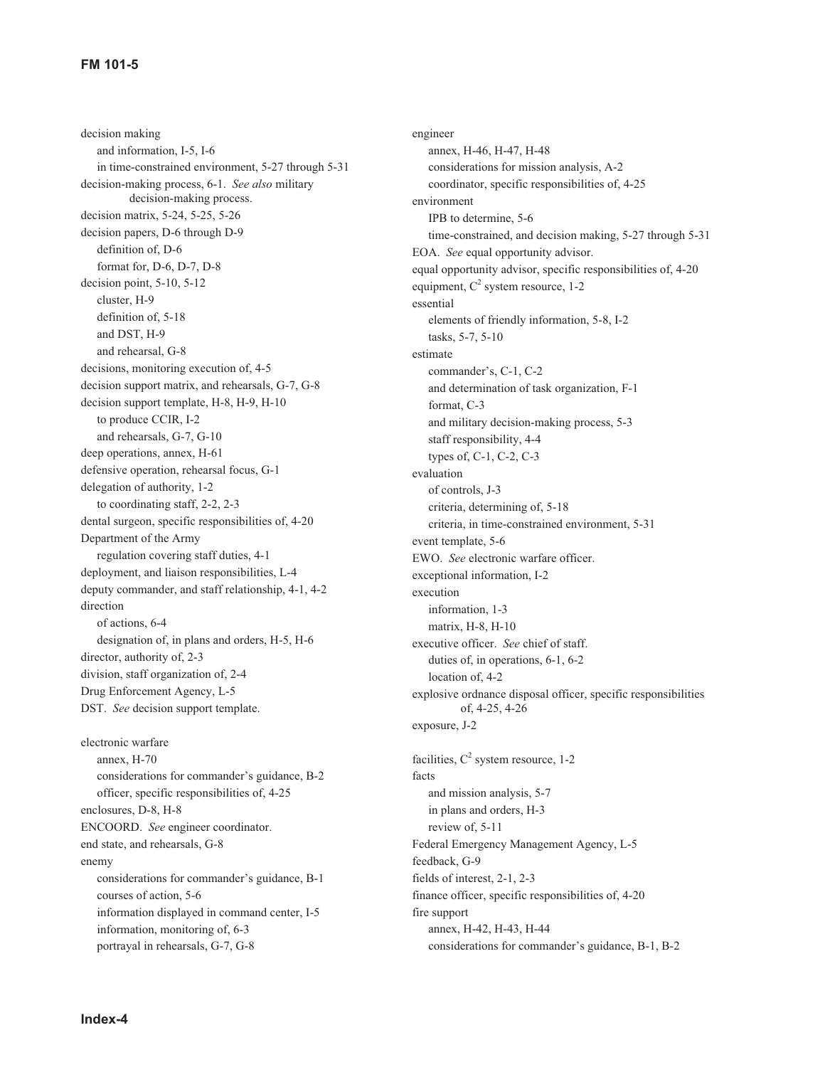decision making and information, I-5, I-6 in time-constrained environment, 5-27 through 5-31 decision-making process, 6-1. *See also* military decision-making process. decision matrix, 5-24, 5-25, 5-26 decision papers, D-6 through D-9 definition of, D-6 format for, D-6, D-7, D-8 decision point, 5-10, 5-12 cluster, H-9 definition of, 5-18 and DST, H-9 and rehearsal, G-8 decisions, monitoring execution of, 4-5 decision support matrix, and rehearsals, G-7, G-8 decision support template, H-8, H-9, H-10 to produce CCIR, I-2 and rehearsals, G-7, G-10 deep operations, annex, H-61 defensive operation, rehearsal focus, G-1 delegation of authority, 1-2 to coordinating staff, 2-2, 2-3 dental surgeon, specific responsibilities of, 4-20 Department of the Army regulation covering staff duties, 4-1 deployment, and liaison responsibilities, L-4 deputy commander, and staff relationship, 4-1, 4-2 direction of actions, 6-4 designation of, in plans and orders, H-5, H-6 director, authority of, 2-3 division, staff organization of, 2-4 Drug Enforcement Agency, L-5 DST. *See* decision support template. electronic warfare annex, H-70 considerations for commander's guidance, B-2 officer, specific responsibilities of, 4-25 enclosures, D-8, H-8 ENCOORD. *See* engineer coordinator. end state, and rehearsals, G-8 enemy considerations for commander's guidance, B-1 courses of action, 5-6

information displayed in command center, I-5 information, monitoring of, 6-3 portrayal in rehearsals, G-7, G-8

engineer annex, H-46, H-47, H-48 considerations for mission analysis, A-2 coordinator, specific responsibilities of, 4-25 environment IPB to determine, 5-6 time-constrained, and decision making, 5-27 through 5-31 EOA. *See* equal opportunity advisor. equal opportunity advisor, specific responsibilities of, 4-20 equipment,  $C^2$  system resource, 1-2 essential elements of friendly information, 5-8, I-2 tasks, 5-7, 5-10 estimate commander's, C-1, C-2 and determination of task organization, F-1 format, C-3 and military decision-making process, 5-3 staff responsibility, 4-4 types of, C-1, C-2, C-3 evaluation of controls, J-3 criteria, determining of, 5-18 criteria, in time-constrained environment, 5-31 event template, 5-6 EWO. *See* electronic warfare officer. exceptional information, I-2 execution information, 1-3 matrix, H-8, H-10 executive officer. *See* chief of staff. duties of, in operations, 6-1, 6-2 location of, 4-2 explosive ordnance disposal officer, specific responsibilities of, 4-25, 4-26 exposure, J-2 facilities,  $C^2$  system resource, 1-2 facts and mission analysis, 5-7 in plans and orders, H-3 review of, 5-11 Federal Emergency Management Agency, L-5 feedback, G-9 fields of interest, 2-1, 2-3 finance officer, specific responsibilities of, 4-20 fire support annex, H-42, H-43, H-44 considerations for commander's guidance, B-1, B-2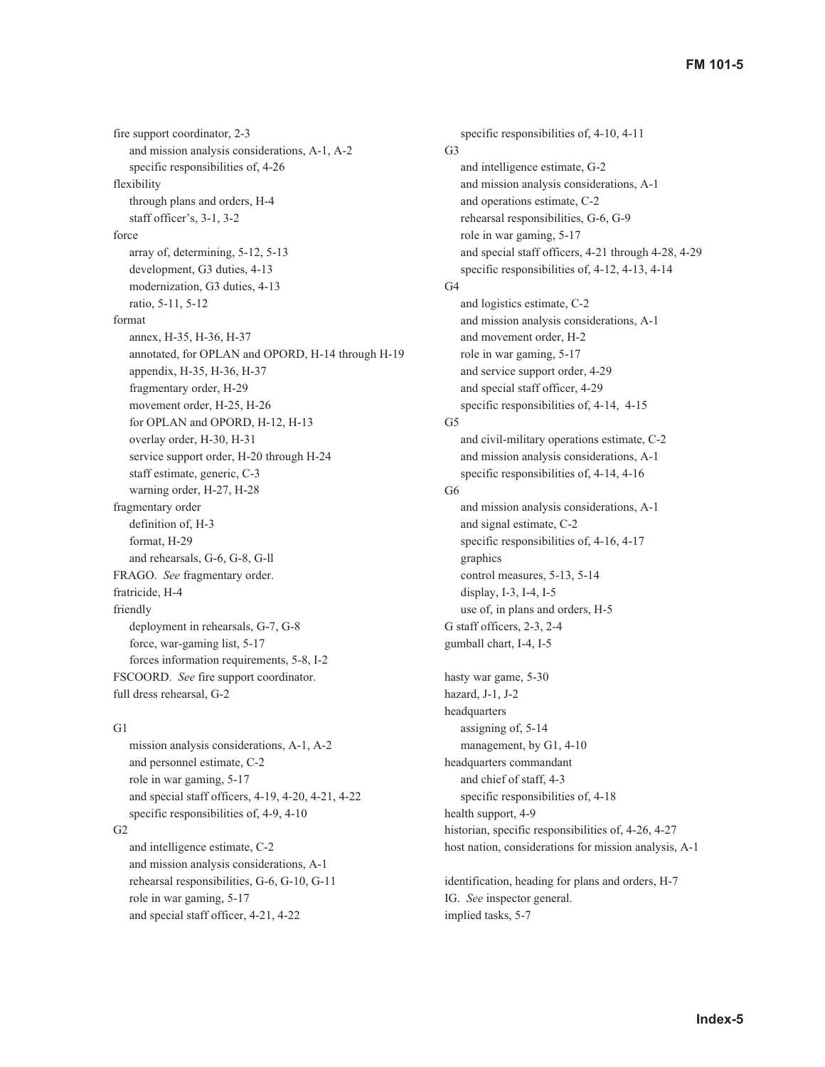fire support coordinator, 2-3 and mission analysis considerations, A-1, A-2 specific responsibilities of, 4-26 flexibility through plans and orders, H-4 staff officer's, 3-1, 3-2 force array of, determining, 5-12, 5-13 development, G3 duties, 4-13 modernization, G3 duties, 4-13 ratio, 5-11, 5-12 format annex, H-35, H-36, H-37 annotated, for OPLAN and OPORD, H-14 through H-19 appendix, H-35, H-36, H-37 fragmentary order, H-29 movement order, H-25, H-26 for OPLAN and OPORD, H-12, H-13 overlay order, H-30, H-31 service support order, H-20 through H-24 staff estimate, generic, C-3 warning order, H-27, H-28 fragmentary order definition of, H-3 format, H-29 and rehearsals, G-6, G-8, G-ll FRAGO. *See* fragmentary order. fratricide, H-4 friendly deployment in rehearsals, G-7, G-8 force, war-gaming list, 5-17 forces information requirements, 5-8, I-2 FSCOORD. *See* fire support coordinator. full dress rehearsal, G-2

## G1

mission analysis considerations, A-1, A-2 and personnel estimate, C-2 role in war gaming, 5-17 and special staff officers, 4-19, 4-20, 4-21, 4-22 specific responsibilities of, 4-9, 4-10 G2 and intelligence estimate, C-2 and mission analysis considerations, A-1 rehearsal responsibilities, G-6, G-10, G-11 role in war gaming, 5-17 and special staff officer, 4-21, 4-22

specific responsibilities of, 4-10, 4-11 G3 and intelligence estimate, G-2 and mission analysis considerations, A-1 and operations estimate, C-2 rehearsal responsibilities, G-6, G-9 role in war gaming, 5-17 and special staff officers, 4-21 through 4-28, 4-29 specific responsibilities of, 4-12, 4-13, 4-14  $G<sub>4</sub>$ and logistics estimate, C-2 and mission analysis considerations, A-1 and movement order, H-2 role in war gaming, 5-17 and service support order, 4-29 and special staff officer, 4-29 specific responsibilities of, 4-14, 4-15 G5 and civil-military operations estimate, C-2 and mission analysis considerations, A-1 specific responsibilities of, 4-14, 4-16 G6 and mission analysis considerations, A-1 and signal estimate, C-2 specific responsibilities of, 4-16, 4-17 graphics control measures, 5-13, 5-14 display, I-3, I-4, I-5 use of, in plans and orders, H-5 G staff officers, 2-3, 2-4 gumball chart, I-4, I-5 hasty war game, 5-30 hazard, J-1, J-2 headquarters assigning of, 5-14 management, by G1, 4-10 headquarters commandant and chief of staff, 4-3 specific responsibilities of, 4-18 health support, 4-9 historian, specific responsibilities of, 4-26, 4-27 host nation, considerations for mission analysis, A-1 identification, heading for plans and orders, H-7 IG. *See* inspector general. implied tasks, 5-7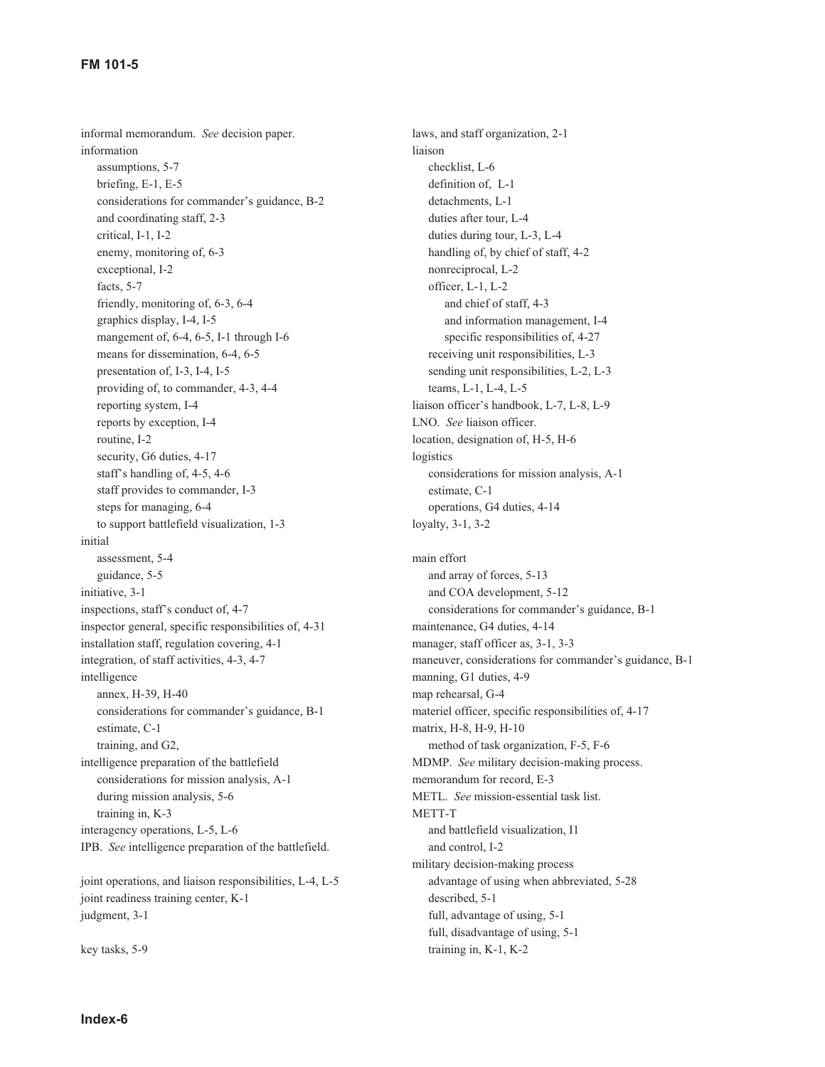informal memorandum. *See* decision paper. information assumptions, 5-7 briefing, E-1, E-5 considerations for commander's guidance, B-2 and coordinating staff, 2-3 critical, I-1, I-2 enemy, monitoring of, 6-3 exceptional, I-2 facts, 5-7 friendly, monitoring of, 6-3, 6-4 graphics display, I-4, I-5 mangement of, 6-4, 6-5, I-1 through I-6 means for dissemination, 6-4, 6-5 presentation of, I-3, I-4, I-5 providing of, to commander, 4-3, 4-4 reporting system, I-4 reports by exception, I-4 routine, I-2 security, G6 duties, 4-17 staff's handling of, 4-5, 4-6 staff provides to commander, I-3 steps for managing, 6-4 to support battlefield visualization, 1-3 initial assessment, 5-4 guidance, 5-5 initiative, 3-1 inspections, staff's conduct of, 4-7 inspector general, specific responsibilities of, 4-31 installation staff, regulation covering, 4-1 integration, of staff activities, 4-3, 4-7 intelligence annex, H-39, H-40 considerations for commander's guidance, B-1 estimate, C-1 training, and G2, intelligence preparation of the battlefield considerations for mission analysis, A-1 during mission analysis, 5-6 training in, K-3 interagency operations, L-5, L-6 IPB. *See* intelligence preparation of the battlefield. joint operations, and liaison responsibilities, L-4, L-5

joint readiness training center, K-1 judgment, 3-1

key tasks, 5-9

laws, and staff organization, 2-1 liaison checklist, L-6 definition of, L-1 detachments, L-1 duties after tour, L-4 duties during tour, L-3, L-4 handling of, by chief of staff, 4-2 nonreciprocal, L-2 officer, L-1, L-2 and chief of staff, 4-3 and information management, I-4 specific responsibilities of, 4-27 receiving unit responsibilities, L-3 sending unit responsibilities, L-2, L-3 teams, L-1, L-4, L-5 liaison officer's handbook, L-7, L-8, L-9 LNO. *See* liaison officer. location, designation of, H-5, H-6 logistics considerations for mission analysis, A-1 estimate, C-1 operations, G4 duties, 4-14 loyalty, 3-1, 3-2

main effort and array of forces, 5-13 and COA development, 5-12 considerations for commander's guidance, B-1 maintenance, G4 duties, 4-14 manager, staff officer as, 3-1, 3-3 maneuver, considerations for commander's guidance, B-1 manning, G1 duties, 4-9 map rehearsal, G-4 materiel officer, specific responsibilities of, 4-17 matrix, H-8, H-9, H-10 method of task organization, F-5, F-6 MDMP. *See* military decision-making process. memorandum for record, E-3 METL. *See* mission-essential task list. METT-T and battlefield visualization, I1 and control, I-2 military decision-making process advantage of using when abbreviated, 5-28 described, 5-1 full, advantage of using, 5-1 full, disadvantage of using, 5-1 training in, K-1, K-2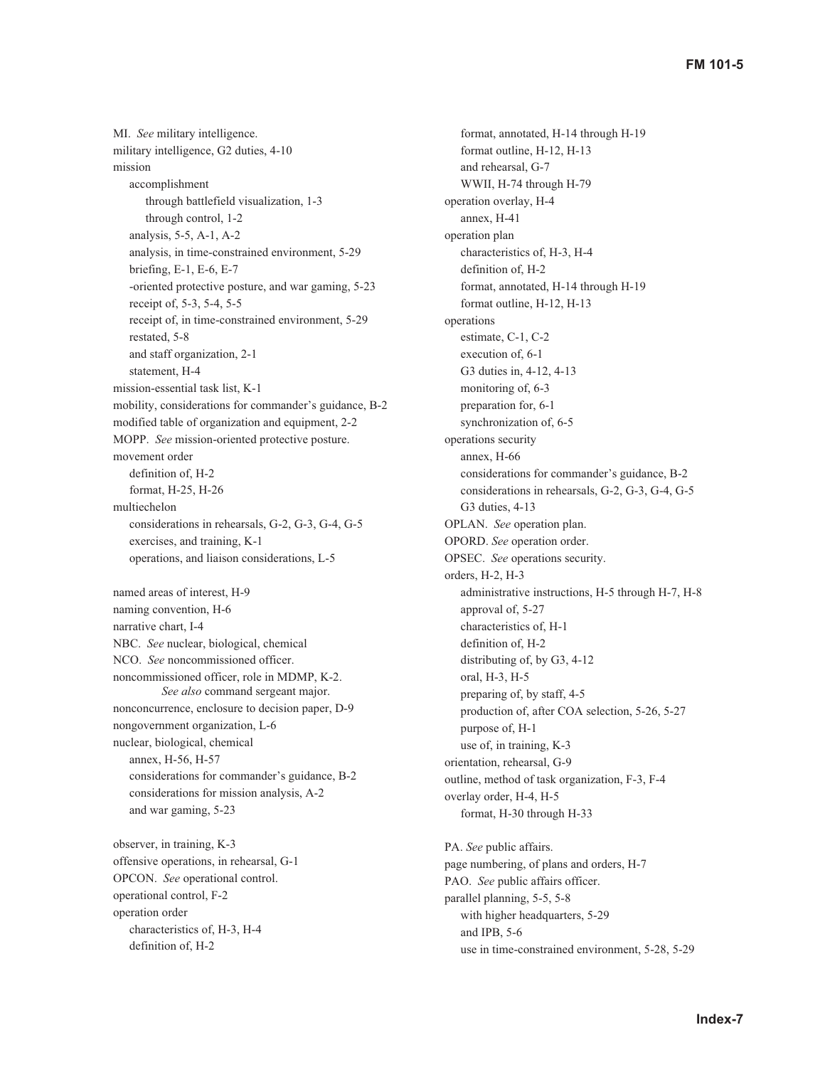MI. *See* military intelligence. military intelligence, G2 duties, 4-10 mission accomplishment through battlefield visualization, 1-3 through control, 1-2 analysis, 5-5, A-1, A-2 analysis, in time-constrained environment, 5-29 briefing, E-1, E-6, E-7 -oriented protective posture, and war gaming, 5-23 receipt of, 5-3, 5-4, 5-5 receipt of, in time-constrained environment, 5-29 restated, 5-8 and staff organization, 2-1 statement, H-4 mission-essential task list, K-1 mobility, considerations for commander's guidance, B-2 modified table of organization and equipment, 2-2 MOPP. *See* mission-oriented protective posture. movement order definition of, H-2 format, H-25, H-26 multiechelon considerations in rehearsals, G-2, G-3, G-4, G-5 exercises, and training, K-1 operations, and liaison considerations, L-5 named areas of interest, H-9 naming convention, H-6 narrative chart, I-4 NBC. *See* nuclear, biological, chemical NCO. *See* noncommissioned officer. noncommissioned officer, role in MDMP, K-2. *See also* command sergeant major. nonconcurrence, enclosure to decision paper, D-9 nongovernment organization, L-6 nuclear, biological, chemical annex, H-56, H-57 considerations for commander's guidance, B-2 considerations for mission analysis, A-2 and war gaming, 5-23 observer, in training, K-3 offensive operations, in rehearsal, G-1

OPCON. *See* operational control. operational control, F-2 operation order characteristics of, H-3, H-4 definition of, H-2

format, annotated, H-14 through H-19 format outline, H-12, H-13 and rehearsal, G-7 WWII, H-74 through H-79 operation overlay, H-4 annex, H-41 operation plan characteristics of, H-3, H-4 definition of, H-2 format, annotated, H-14 through H-19 format outline, H-12, H-13 operations estimate, C-1, C-2 execution of, 6-1 G3 duties in, 4-12, 4-13 monitoring of, 6-3 preparation for, 6-1 synchronization of, 6-5 operations security annex, H-66 considerations for commander's guidance, B-2 considerations in rehearsals, G-2, G-3, G-4, G-5 G3 duties, 4-13 OPLAN. *See* operation plan. OPORD. *See* operation order. OPSEC. *See* operations security. orders, H-2, H-3 administrative instructions, H-5 through H-7, H-8 approval of, 5-27 characteristics of, H-1 definition of, H-2 distributing of, by G3, 4-12 oral, H-3, H-5 preparing of, by staff, 4-5 production of, after COA selection, 5-26, 5-27 purpose of, H-1 use of, in training, K-3 orientation, rehearsal, G-9 outline, method of task organization, F-3, F-4 overlay order, H-4, H-5 format, H-30 through H-33 PA. *See* public affairs.

page numbering, of plans and orders, H-7 PAO. *See* public affairs officer. parallel planning, 5-5, 5-8 with higher headquarters, 5-29 and IPB, 5-6 use in time-constrained environment, 5-28, 5-29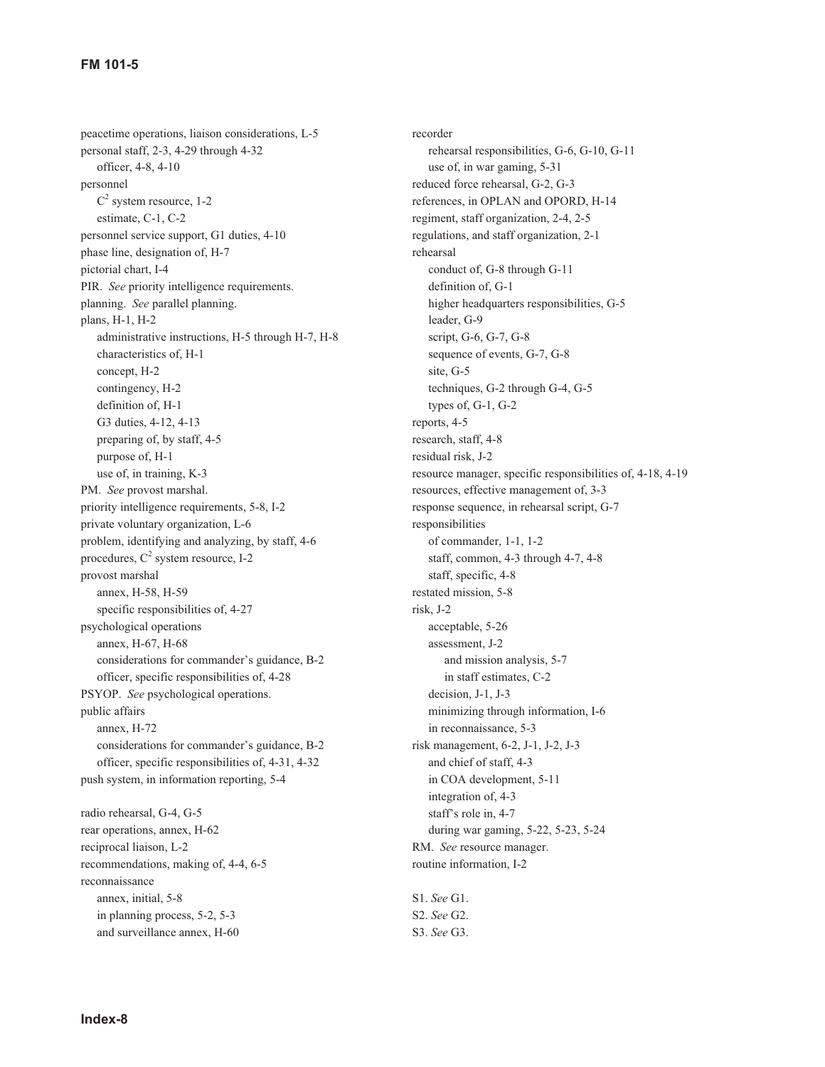peacetime operations, liaison considerations, L-5 personal staff, 2-3, 4-29 through 4-32 officer, 4-8, 4-10 personnel  $C<sup>2</sup>$  system resource, 1-2 estimate, C-1, C-2 personnel service support, G1 duties, 4-10 phase line, designation of, H-7 pictorial chart, I-4 PIR. *See* priority intelligence requirements. planning. *See* parallel planning. plans, H-1, H-2 administrative instructions, H-5 through H-7, H-8 characteristics of, H-1 concept, H-2 contingency, H-2 definition of, H-1 G3 duties, 4-12, 4-13 preparing of, by staff, 4-5 purpose of, H-1 use of, in training, K-3 PM. *See* provost marshal. priority intelligence requirements, 5-8, I-2 private voluntary organization, L-6 problem, identifying and analyzing, by staff, 4-6 procedures,  $C^2$  system resource, I-2 provost marshal annex, H-58, H-59 specific responsibilities of, 4-27 psychological operations annex, H-67, H-68 considerations for commander's guidance, B-2 officer, specific responsibilities of, 4-28 PSYOP. *See* psychological operations. public affairs annex, H-72 considerations for commander's guidance, B-2 officer, specific responsibilities of, 4-31, 4-32 push system, in information reporting, 5-4 radio rehearsal, G-4, G-5 rear operations, annex, H-62 reciprocal liaison, L-2 recommendations, making of, 4-4, 6-5 reconnaissance annex, initial, 5-8 in planning process, 5-2, 5-3 and surveillance annex, H-60

recorder rehearsal responsibilities, G-6, G-10, G-11 use of, in war gaming, 5-31 reduced force rehearsal, G-2, G-3 references, in OPLAN and OPORD, H-14 regiment, staff organization, 2-4, 2-5 regulations, and staff organization, 2-1 rehearsal conduct of, G-8 through G-11 definition of, G-1 higher headquarters responsibilities, G-5 leader, G-9 script, G-6, G-7, G-8 sequence of events, G-7, G-8 site, G-5 techniques, G-2 through G-4, G-5 types of, G-1, G-2 reports, 4-5 research, staff, 4-8 residual risk, J-2 resource manager, specific responsibilities of, 4-18, 4-19 resources, effective management of, 3-3 response sequence, in rehearsal script, G-7 responsibilities of commander, 1-1, 1-2 staff, common, 4-3 through 4-7, 4-8 staff, specific, 4-8 restated mission, 5-8 risk, J-2 acceptable, 5-26 assessment, J-2 and mission analysis, 5-7 in staff estimates, C-2 decision, J-1, J-3 minimizing through information, I-6 in reconnaissance, 5-3 risk management, 6-2, J-1, J-2, J-3 and chief of staff, 4-3 in COA development, 5-11 integration of, 4-3 staff's role in, 4-7 during war gaming, 5-22, 5-23, 5-24 RM. *See* resource manager. routine information, I-2

S1. *See* G1. S2. *See* G2. S3. *See* G3.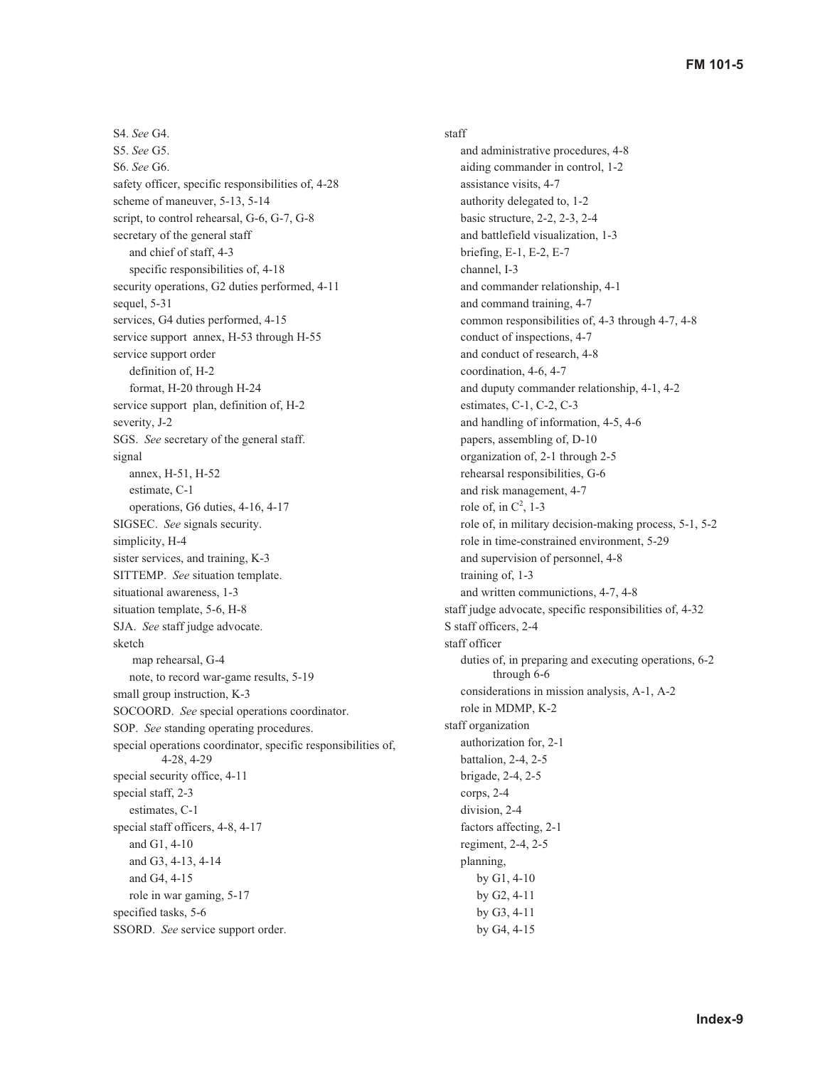S4. *See* G4. S5. *See* G5. S6. *See* G6. safety officer, specific responsibilities of, 4-28 scheme of maneuver, 5-13, 5-14 script, to control rehearsal, G-6, G-7, G-8 secretary of the general staff and chief of staff, 4-3 specific responsibilities of, 4-18 security operations, G2 duties performed, 4-11 sequel, 5-31 services, G4 duties performed, 4-15 service support annex, H-53 through H-55 service support order definition of, H-2 format, H-20 through H-24 service support plan, definition of, H-2 severity, J-2 SGS. *See* secretary of the general staff. signal annex, H-51, H-52 estimate, C-1 operations, G6 duties, 4-16, 4-17 SIGSEC. *See* signals security. simplicity, H-4 sister services, and training, K-3 SITTEMP. *See* situation template. situational awareness, 1-3 situation template, 5-6, H-8 SJA. *See* staff judge advocate. sketch map rehearsal, G-4 note, to record war-game results, 5-19 small group instruction, K-3 SOCOORD. *See* special operations coordinator. SOP. *See* standing operating procedures. special operations coordinator, specific responsibilities of, 4-28, 4-29 special security office, 4-11 special staff, 2-3 estimates, C-1 special staff officers, 4-8, 4-17 and G1, 4-10 and G3, 4-13, 4-14 and G4, 4-15 role in war gaming, 5-17 specified tasks, 5-6 SSORD. *See* service support order.

## staff

and administrative procedures, 4-8 aiding commander in control, 1-2 assistance visits, 4-7 authority delegated to, 1-2 basic structure, 2-2, 2-3, 2-4 and battlefield visualization, 1-3 briefing, E-1, E-2, E-7 channel, I-3 and commander relationship, 4-1 and command training, 4-7 common responsibilities of, 4-3 through 4-7, 4-8 conduct of inspections, 4-7 and conduct of research, 4-8 coordination, 4-6, 4-7 and duputy commander relationship, 4-1, 4-2 estimates, C-1, C-2, C-3 and handling of information, 4-5, 4-6 papers, assembling of, D-10 organization of, 2-1 through 2-5 rehearsal responsibilities, G-6 and risk management, 4-7 role of, in  $C^2$ , 1-3 role of, in military decision-making process, 5-1, 5-2 role in time-constrained environment, 5-29 and supervision of personnel, 4-8 training of, 1-3 and written communictions, 4-7, 4-8 staff judge advocate, specific responsibilities of, 4-32 S staff officers, 2-4 staff officer duties of, in preparing and executing operations, 6-2 through 6-6 considerations in mission analysis, A-1, A-2 role in MDMP, K-2 staff organization authorization for, 2-1 battalion, 2-4, 2-5 brigade, 2-4, 2-5 corps, 2-4 division, 2-4 factors affecting, 2-1 regiment, 2-4, 2-5 planning, by G1, 4-10 by G2, 4-11 by G3, 4-11 by G4, 4-15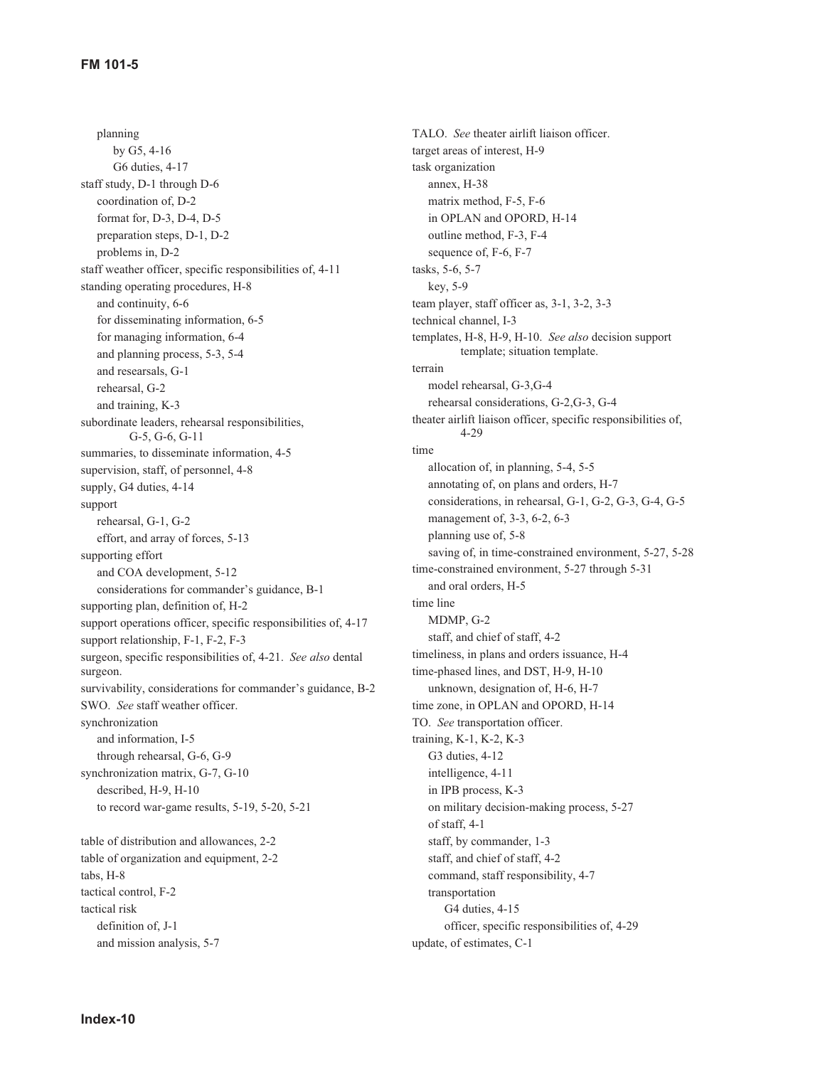planning by G5, 4-16 G6 duties, 4-17 staff study, D-1 through D-6 coordination of, D-2 format for, D-3, D-4, D-5 preparation steps, D-1, D-2 problems in, D-2 staff weather officer, specific responsibilities of, 4-11 standing operating procedures, H-8 and continuity, 6-6 for disseminating information, 6-5 for managing information, 6-4 and planning process, 5-3, 5-4 and researsals, G-1 rehearsal, G-2 and training, K-3 subordinate leaders, rehearsal responsibilities, G-5, G-6, G-11 summaries, to disseminate information, 4-5 supervision, staff, of personnel, 4-8 supply, G4 duties, 4-14 support rehearsal, G-1, G-2 effort, and array of forces, 5-13 supporting effort and COA development, 5-12 considerations for commander's guidance, B-1 supporting plan, definition of, H-2 support operations officer, specific responsibilities of, 4-17 support relationship, F-1, F-2, F-3 surgeon, specific responsibilities of, 4-21. *See also* dental surgeon. survivability, considerations for commander's guidance, B-2 SWO. *See* staff weather officer. synchronization and information, I-5 through rehearsal, G-6, G-9 synchronization matrix, G-7, G-10 described, H-9, H-10 to record war-game results, 5-19, 5-20, 5-21 table of distribution and allowances, 2-2 table of organization and equipment, 2-2 tabs, H-8 tactical control, F-2 tactical risk

definition of, J-1 and mission analysis, 5-7

TALO. *See* theater airlift liaison officer. target areas of interest, H-9 task organization annex, H-38 matrix method, F-5, F-6 in OPLAN and OPORD, H-14 outline method, F-3, F-4 sequence of, F-6, F-7 tasks, 5-6, 5-7 key, 5-9 team player, staff officer as, 3-1, 3-2, 3-3 technical channel, I-3 templates, H-8, H-9, H-10. *See also* decision support template; situation template. terrain model rehearsal, G-3,G-4 rehearsal considerations, G-2,G-3, G-4 theater airlift liaison officer, specific responsibilities of, 4-29 time allocation of, in planning, 5-4, 5-5 annotating of, on plans and orders, H-7 considerations, in rehearsal, G-1, G-2, G-3, G-4, G-5 management of, 3-3, 6-2, 6-3 planning use of, 5-8 saving of, in time-constrained environment, 5-27, 5-28 time-constrained environment, 5-27 through 5-31 and oral orders, H-5 time line MDMP, G-2 staff, and chief of staff, 4-2 timeliness, in plans and orders issuance, H-4 time-phased lines, and DST, H-9, H-10 unknown, designation of, H-6, H-7 time zone, in OPLAN and OPORD, H-14 TO. *See* transportation officer. training, K-1, K-2, K-3 G3 duties, 4-12 intelligence, 4-11 in IPB process, K-3 on military decision-making process, 5-27 of staff, 4-1 staff, by commander, 1-3 staff, and chief of staff, 4-2 command, staff responsibility, 4-7 transportation G4 duties, 4-15 officer, specific responsibilities of, 4-29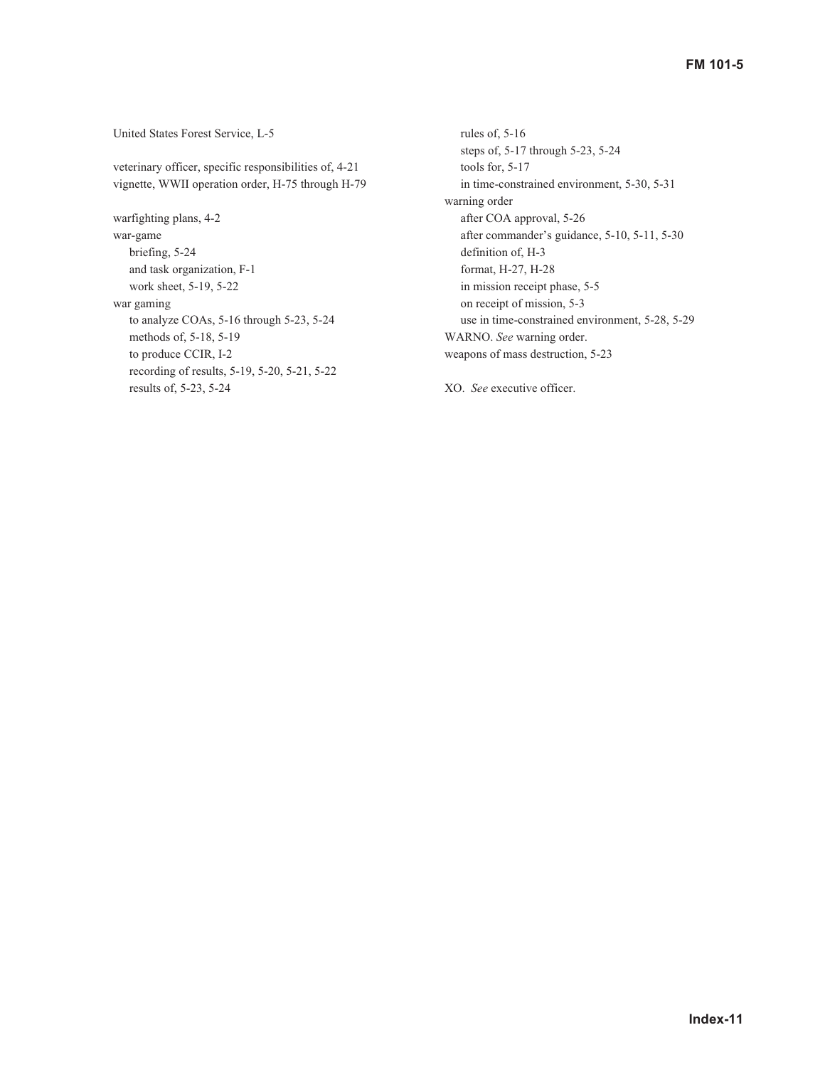United States Forest Service, L-5

veterinary officer, specific responsibilities of, 4-21 vignette, WWII operation order, H-75 through H-79

warfighting plans, 4-2 war-game briefing, 5-24 and task organization, F-1 work sheet, 5-19, 5-22 war gaming to analyze COAs, 5-16 through 5-23, 5-24 methods of, 5-18, 5-19 to produce CCIR, I-2 recording of results, 5-19, 5-20, 5-21, 5-22 results of, 5-23, 5-24

rules of, 5-16 steps of, 5-17 through 5-23, 5-24 tools for, 5-17 in time-constrained environment, 5-30, 5-31 warning order after COA approval, 5-26 after commander's guidance, 5-10, 5-11, 5-30 definition of, H-3 format, H-27, H-28 in mission receipt phase, 5-5 on receipt of mission, 5-3 use in time-constrained environment, 5-28, 5-29 WARNO. *See* warning order. weapons of mass destruction, 5-23

XO. *See* executive officer.